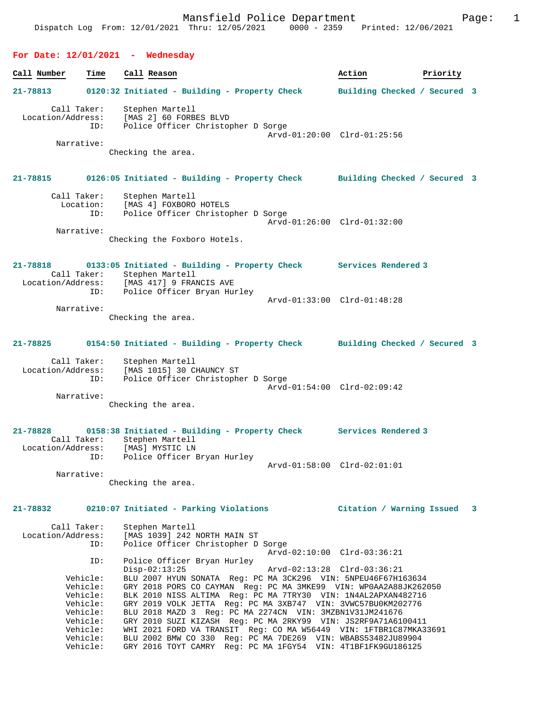# **Call Number Time Call Reason Action Action Priority 21-78813 0120:32 Initiated - Building - Property Check Building Checked / Secured 3** Call Taker: Stephen Martell Location/Address: [MAS 2] 60 FORBES BLVD ID: Police Officer Christopher D Sorge Arvd-01:20:00 Clrd-01:25:56 Narrative:

**For Date: 12/01/2021 - Wednesday**

Checking the area.

# **21-78815 0126:05 Initiated - Building - Property Check Building Checked / Secured 3** Call Taker: Stephen Martell Location: [MAS 4] FOXBORO HOTELS

 ID: Police Officer Christopher D Sorge Arvd-01:26:00 Clrd-01:32:00 Narrative:

Checking the Foxboro Hotels.

### **21-78818 0133:05 Initiated - Building - Property Check Services Rendered 3**  Call Taker: Stephen Martell Location/Address: [MAS 417] 9 FRANCIS AVE ID: Police Officer Bryan Hurley Arvd-01:33:00 Clrd-01:48:28 Narrative:

Checking the area.

## **21-78825 0154:50 Initiated - Building - Property Check Building Checked / Secured 3**

| Call Taker:       | Stephen Martell                    |  |
|-------------------|------------------------------------|--|
| Location/Address: | [MAS 1015] 30 CHAUNCY ST           |  |
| ID:               | Police Officer Christopher D Sorge |  |
|                   | Arvd-01:54:00 Clrd-02:09:42        |  |
| Narrative:        |                                    |  |

Checking the area.

#### **21-78828 0158:38 Initiated - Building - Property Check Services Rendered 3**  Call Taker: Stephen Martell Location/Address: [MAS] MYSTIC LN ID: Police Officer Bryan Hurley Arvd-01:58:00 Clrd-02:01:01 Narrative:

Checking the area.

## **21-78832 0210:07 Initiated - Parking Violations Citation / Warning Issued 3**

| Call Taker:       | Stephen Martell                                                   |
|-------------------|-------------------------------------------------------------------|
| Location/Address: | [MAS 1039] 242 NORTH MAIN ST                                      |
| ID:               | Police Officer Christopher D Sorge                                |
|                   | Arvd-02:10:00 Clrd-03:36:21                                       |
| ID:               | Police Officer Bryan Hurley                                       |
|                   | $Disp-02:13:25$                                                   |
| Vehicle:          | BLU 2007 HYUN SONATA Req: PC MA 3CK296 VIN: 5NPEU46F67H163634     |
| Vehicle:          | GRY 2018 PORS CO CAYMAN Req: PC MA 3MKE99 VIN: WP0AA2A88JK262050  |
| Vehicle:          | BLK 2010 NISS ALTIMA Req: PC MA 7TRY30 VIN: 1N4AL2APXAN482716     |
| Vehicle:          | GRY 2019 VOLK JETTA Req: PC MA 3XB747 VIN: 3VWC57BU0KM202776      |
| Vehicle:          | BLU 2018 MAZD 3 Req: PC MA 2274CN VIN: 3MZBN1V31JM241676          |
| Vehicle:          | GRY 2010 SUZI KIZASH Req: PC MA 2RKY99 VIN: JS2RF9A71A6100411     |
| Vehicle:          | WHI 2021 FORD VA TRANSIT Req: CO MA W56449 VIN: 1FTBR1C87MKA33691 |
| Vehicle:          | BLU 2002 BMW CO 330 Req: PC MA 7DE269 VIN: WBABS53482JU89904      |
| Vehicle:          | GRY 2016 TOYT CAMRY Req: PC MA 1FGY54 VIN: 4T1BF1FK9GU186125      |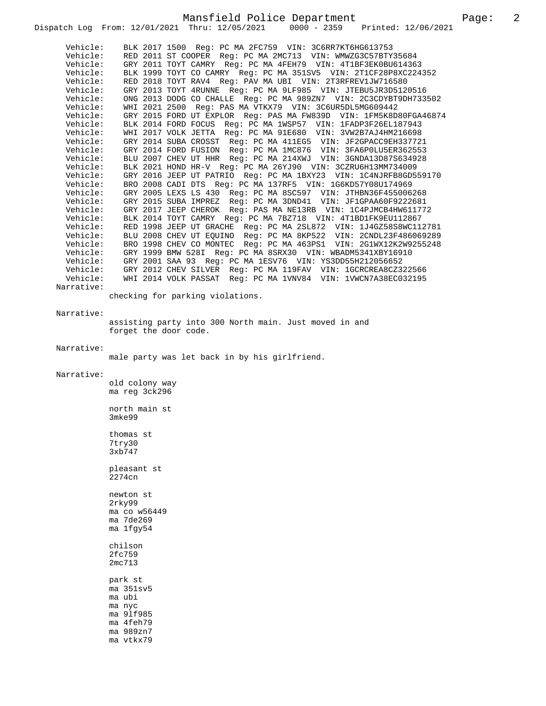Mansfield Police Department Page: 2 Dispatch Log From: 12/01/2021 Thru: 12/05/2021 Vehicle: BLK 2017 1500 Reg: PC MA 2FC759 VIN: 3C6RR7KT6HG613753 Vehicle: RED 2011 ST COOPER Reg: PC MA 2MC713 VIN: WMWZG3C57BTY35684 Vehicle: GRY 2011 TOYT CAMRY Reg: PC MA 4FEH79 VIN: 4T1BF3EK0BU614363<br>Vehicle: BLK 1999 TOYT CO CAMRY Reg: PC MA 351SV5 VIN: 2T1CF28P8XC224 Vehicle: BLK 1999 TOYT CO CAMRY Reg: PC MA 351SV5 VIN: 2T1CF28P8XC224352<br>Vehicle: RED 2018 TOYT RAV4 Reg: PAV MA UBI VIN: 2T3RFREV1JW716580 RED 2018 TOYT RAV4 Reg: PAV MA UBI VIN: 2T3RFREV1JW716580 Vehicle: GRY 2013 TOYT 4RUNNE Reg: PC MA 9LF985 VIN: JTEBU5JR3D5120516 Vehicle: ONG 2013 DODG CO CHALLE Reg: PC MA 989ZN7 VIN: 2C3CDYBT9DH733502<br>Vehicle: WHI 2021 2500 Reg: PAS MA VTKX79 VIN: 3C6UR5DL5MG609442<br>Vehicle: COLL The VAG 2013 DODG OG GINDER NOGH 2018 VIN: 3C6UR5DL5MG609442 Vehicle: GRY 2015 FORD UT EXPLOR Reg: PAS MA FW839D VIN: 1FM5K8D80FGA46874 Vehicle: BLK 2014 FORD FOCUS Reg: PC MA 1WSP57 VIN: 1FADP3F26EL187943 Vehicle: WHI 2017 VOLK JETTA Reg: PC MA 91E680 VIN: 3VW2B7AJ4HM216698 Vehicle: GRY 2014 SUBA CROSST Reg: PC MA 411EG5 VIN: JF2GPACC9EH337721 Vehicle: GRY 2014 FORD FUSION Reg: PC MA 1MC876 VIN: 3FA6P0LU5ER362553 Vehicle: BLU 2007 CHEV UT HHR Reg: PC MA 214XWJ VIN: 3GNDA13D87S634928 Vehicle: BLK 2021 HOND HR-V Reg: PC MA 26YJ90 VIN: 3CZRU6H13MM734009 Vehicle: GRY 2016 JEEP UT PATRIO Reg: PC MA 1BXY23 VIN: 1C4NJRFB8GD559170<br>Vehicle: BRO 2008 CADI DTS Reg: PC MA 137RF5 VIN: 1G6KD57Y08U174969 BRO 2008 CADI DTS Reg: PC MA 137RF5 VIN: 1G6KD57Y08U174969 Vehicle: GRY 2005 LEXS LS 430 Reg: PC MA 8SC597 VIN: JTHBN36F455006268 Vehicle: GRY 2015 SUBA IMPREZ Reg: PC MA 3DND41 VIN: JF1GPAA60F9222681 Vehicle: GRY 2017 JEEP CHEROK Reg: PAS MA NE13RB VIN: 1C4PJMCB4HW611772 Vehicle: BLK 2014 TOYT CAMRY Reg: PC MA 7BZ718 VIN: 4T1BD1FK9EU112867 Vehicle: RED 1998 JEEP UT GRACHE Reg: PC MA 2SL872 VIN: 1J4GZ58S8WC112781<br>Vehicle: BLU 2008 CHEV UT EOUINO Reg: PC MA 8KP522 VIN: 2CNDL23F486069289 Vehicle: BLU 2008 CHEV UT EQUINO Reg: PC MA 8KP522 VIN: 2CNDL23F486069289 Vehicle: BRO 1998 CHEV CO MONTEC Reg: PC MA 463PS1 VIN: 2G1WX12K2W9255248 Vehicle: GRY 1999 BMW 528I Reg: PC MA 8SRX30 VIN: WBADM5341XBY16910<br>Vehicle: GRY 2001 SAA 93 Reg: PC MA 1ESV76 VIN: YS3DD55H212056652 GRY 2001 SAA 93 Reg: PC MA 1ESV76 VIN: YS3DD55H212056652 Vehicle: GRY 2012 CHEV SILVER Reg: PC MA 119FAV VIN: 1GCRCREA8CZ322566 Vehicle: WHI 2014 VOLK PASSAT Reg: PC MA 1VNV84 VIN: 1VWCN7A38EC032195 Narrative: checking for parking violations. Narrative: assisting party into 300 North main. Just moved in and forget the door code. Narrative: male party was let back in by his girlfriend. Narrative: old colony way ma reg 3ck296 north main st 3mke99 thomas st 7try30 3xb747 pleasant st 2274cn newton st 2rky99 ma co w56449 ma 7de269 ma 1fgy54 chilson 2fc759 2mc713 park st ma 351sv5 ma ubi ma nyc ma 9lf985 ma 4feh79

ma 989zn7 ma vtkx79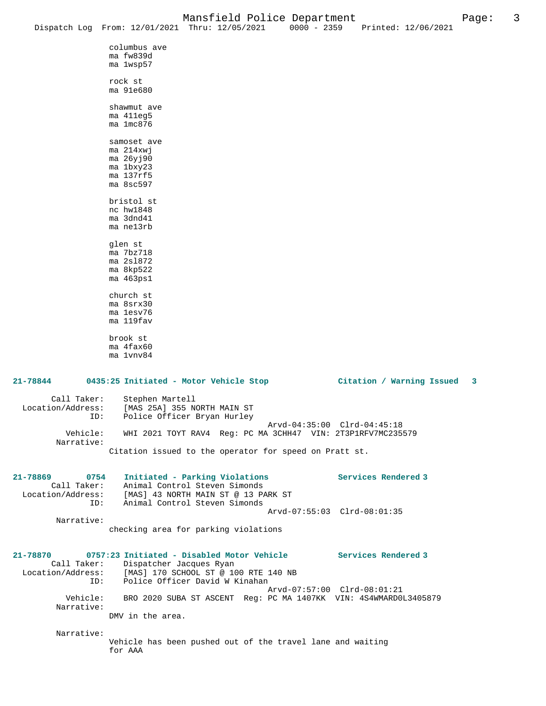|                                 |                                     | Dispatch Log From: 12/01/2021 Thru: 12/05/2021                  | $0000 - 2359$               | Printed: 12/06/2021                                              |   |
|---------------------------------|-------------------------------------|-----------------------------------------------------------------|-----------------------------|------------------------------------------------------------------|---|
|                                 | columbus ave                        |                                                                 |                             |                                                                  |   |
|                                 | ma fw839d                           |                                                                 |                             |                                                                  |   |
|                                 | ma 1wsp57                           |                                                                 |                             |                                                                  |   |
|                                 | rock st                             |                                                                 |                             |                                                                  |   |
|                                 | ma 91e680                           |                                                                 |                             |                                                                  |   |
|                                 | shawmut ave                         |                                                                 |                             |                                                                  |   |
|                                 | ma 411eg5                           |                                                                 |                             |                                                                  |   |
|                                 | ma 1mc876                           |                                                                 |                             |                                                                  |   |
|                                 | samoset ave                         |                                                                 |                             |                                                                  |   |
|                                 | $ma$ 214 $xw$ j                     |                                                                 |                             |                                                                  |   |
|                                 | ma 26yj90<br>ma 1bxy23              |                                                                 |                             |                                                                  |   |
|                                 | ma 137rf5                           |                                                                 |                             |                                                                  |   |
|                                 | $ma$ 8sc597                         |                                                                 |                             |                                                                  |   |
|                                 | bristol st                          |                                                                 |                             |                                                                  |   |
|                                 | nc hw1848                           |                                                                 |                             |                                                                  |   |
|                                 | ma 3dnd41<br>ma nel3rb              |                                                                 |                             |                                                                  |   |
|                                 |                                     |                                                                 |                             |                                                                  |   |
|                                 | glen st                             |                                                                 |                             |                                                                  |   |
|                                 | ma 7bz718<br>ma 2s1872              |                                                                 |                             |                                                                  |   |
|                                 | ma 8kp522                           |                                                                 |                             |                                                                  |   |
|                                 | $ma$ 463 $ps1$                      |                                                                 |                             |                                                                  |   |
|                                 | church st                           |                                                                 |                             |                                                                  |   |
|                                 | ma 8srx30                           |                                                                 |                             |                                                                  |   |
|                                 | ma 1esv76<br>ma 119fav              |                                                                 |                             |                                                                  |   |
|                                 |                                     |                                                                 |                             |                                                                  |   |
|                                 | brook st<br>ma 4fax60               |                                                                 |                             |                                                                  |   |
|                                 | ma 1vnv84                           |                                                                 |                             |                                                                  |   |
|                                 |                                     |                                                                 |                             |                                                                  |   |
| 21-78844                        |                                     | 0435:25 Initiated - Motor Vehicle Stop                          |                             | Citation / Warning Issued                                        | 3 |
| Call Taker:                     | Stephen Martell                     |                                                                 |                             |                                                                  |   |
| Location/Address:               |                                     | [MAS 25A] 355 NORTH MAIN ST                                     |                             |                                                                  |   |
| ID:                             |                                     | Police Officer Bryan Hurley                                     | Arvd-04:35:00 Clrd-04:45:18 |                                                                  |   |
| Vehicle:                        |                                     | WHI 2021 TOYT RAV4 Reg: PC MA 3CHH47 VIN: 2T3P1RFV7MC235579     |                             |                                                                  |   |
| Narrative:                      |                                     |                                                                 |                             |                                                                  |   |
|                                 |                                     | Citation issued to the operator for speed on Pratt st.          |                             |                                                                  |   |
|                                 |                                     |                                                                 |                             |                                                                  |   |
| 21-78869<br>0754<br>Call Taker: |                                     | Initiated - Parking Violations<br>Animal Control Steven Simonds |                             | Services Rendered 3                                              |   |
| Location/Address:               |                                     | [MAS] 43 NORTH MAIN ST @ 13 PARK ST                             |                             |                                                                  |   |
| ID:                             |                                     | Animal Control Steven Simonds                                   | Arvd-07:55:03 Clrd-08:01:35 |                                                                  |   |
| Narrative:                      |                                     |                                                                 |                             |                                                                  |   |
|                                 |                                     | checking area for parking violations                            |                             |                                                                  |   |
|                                 |                                     |                                                                 |                             |                                                                  |   |
| 21-78870                        |                                     | 0757:23 Initiated - Disabled Motor Vehicle                      |                             | Services Rendered 3                                              |   |
|                                 | Call Taker: Dispatcher Jacques Ryan | Location/Address: [MAS] 170 SCHOOL ST @ 100 RTE 140 NB          |                             |                                                                  |   |
| ID:                             |                                     | Police Officer David W Kinahan                                  |                             |                                                                  |   |
| Vehicle:                        |                                     |                                                                 | Arvd-07:57:00 Clrd-08:01:21 | BRO 2020 SUBA ST ASCENT Reg: PC MA 1407KK VIN: 4S4WMARD0L3405879 |   |
| Narrative:                      |                                     |                                                                 |                             |                                                                  |   |
|                                 | DMV in the area.                    |                                                                 |                             |                                                                  |   |
| Narrative:                      |                                     |                                                                 |                             |                                                                  |   |
|                                 |                                     | Vehicle has been pushed out of the travel lane and waiting      |                             |                                                                  |   |
|                                 | for AAA                             |                                                                 |                             |                                                                  |   |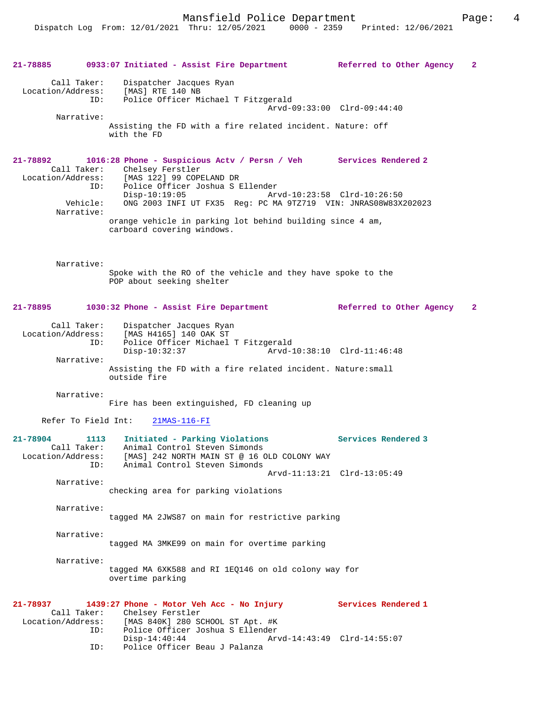**21-78885 0933:07 Initiated - Assist Fire Department Referred to Other Agency 2** Call Taker: Dispatcher Jacques Ryan Location/Address: [MAS] RTE 140 NB<br>ID: Police Officer M: Police Officer Michael T Fitzgerald Arvd-09:33:00 Clrd-09:44:40 Narrative: Assisting the FD with a fire related incident. Nature: off with the FD **21-78892 1016:28 Phone - Suspicious Actv / Persn / Veh Services Rendered 2**  Call Taker: Chelsey Ferstler<br>Location/Address: [MAS 122] 99 COP [MAS 122] 99 COPELAND DR ID: Police Officer Joshua S Ellender Disp-10:19:05 Arvd-10:23:58 Clrd-10:26:50 Vehicle: ONG 2003 INFI UT FX35 Reg: PC MA 9TZ719 VIN: JNRAS08W83X202023 Narrative: orange vehicle in parking lot behind building since 4 am, carboard covering windows. Narrative: Spoke with the RO of the vehicle and they have spoke to the POP about seeking shelter **21-78895 1030:32 Phone - Assist Fire Department Referred to Other Agency 2** Call Taker: Dispatcher Jacques Ryan Location/Address: [MAS H4165] 140 OAK ST ID: Police Officer Michael T Fitzgerald Disp-10:32:37 Arvd-10:38:10 Clrd-11:46:48 Narrative: Assisting the FD with a fire related incident. Nature:small outside fire Narrative: Fire has been extinguished, FD cleaning up Refer To Field Int: 21MAS-116-FI **21-78904 1113 Initiated - Parking Violations Services Rendered 3**  Call Taker: Animal Control Steven Simonds Location/Address: [MAS] 242 NORTH MAIN ST @ 16 OLD COLONY WAY ID: Animal Control Steven Simonds Arvd-11:13:21 Clrd-13:05:49 Narrative: checking area for parking violations Narrative: tagged MA 2JWS87 on main for restrictive parking Narrative: tagged MA 3MKE99 on main for overtime parking Narrative: tagged MA 6XK588 and RI 1EQ146 on old colony way for overtime parking **21-78937 1439:27 Phone - Motor Veh Acc - No Injury Services Rendered 1**  Call Taker: Chelsey Ferstler<br>Location/Address: [MAS 840K] 280 SO [MAS 840K] 280 SCHOOL ST Apt. #K ID: Police Officer Joshua S Ellender Disp-14:40:44 Arvd-14:43:49 Clrd-14:55:07<br>TD: Police Officer Beau J Palanza Police Officer Beau J Palanza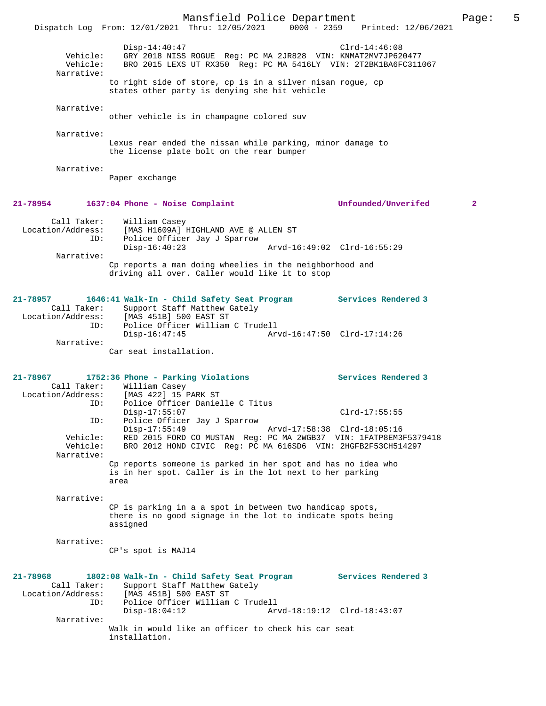|                                                                                                  | Dispatch Log From: 12/01/2021 Thru: 12/05/2021 0000 - 2359 Printed: 12/06/2021              | Mansfield Police Department                                                                                                      |                             |                            | Page:        | 5 |
|--------------------------------------------------------------------------------------------------|---------------------------------------------------------------------------------------------|----------------------------------------------------------------------------------------------------------------------------------|-----------------------------|----------------------------|--------------|---|
|                                                                                                  |                                                                                             |                                                                                                                                  |                             |                            |              |   |
| Vehicle:<br>Narrative:                                                                           | $Disp-14:40:47$<br>Vehicle: BRO 2015 LEXS UT RX350 Reg: PC MA 5416LY VIN: 2T2BK1BA6FC311067 | GRY 2018 NISS ROGUE Reg: PC MA 2JR828 VIN: KNMAT2MV7JP620477                                                                     |                             | $Clrd-14:46:08$            |              |   |
|                                                                                                  |                                                                                             | to right side of store, cp is in a silver nisan rogue, cp<br>states other party is denying she hit vehicle                       |                             |                            |              |   |
| Narrative:                                                                                       |                                                                                             | other vehicle is in champagne colored suv                                                                                        |                             |                            |              |   |
| Narrative:                                                                                       |                                                                                             | Lexus rear ended the nissan while parking, minor damage to<br>the license plate bolt on the rear bumper                          |                             |                            |              |   |
| Narrative:                                                                                       | Paper exchange                                                                              |                                                                                                                                  |                             |                            |              |   |
| 21-78954 1637:04 Phone - Noise Complaint                                                         |                                                                                             |                                                                                                                                  |                             | Unfounded/Unverifed        | $\mathbf{2}$ |   |
| Location/Address: [MAS H1609A] HIGHLAND AVE @ ALLEN ST                                           | Call Taker: William Casey                                                                   |                                                                                                                                  |                             |                            |              |   |
| ID:                                                                                              | $Disp-16:40:23$                                                                             | Police Officer Jay J Sparrow                                                                                                     | Arvd-16:49:02 Clrd-16:55:29 |                            |              |   |
| Narrative:                                                                                       |                                                                                             | Cp reports a man doing wheelies in the neighborhood and<br>driving all over. Caller would like it to stop                        |                             |                            |              |   |
| 21-78957<br>Call Taker: Support Staff Matthew Gately<br>Location/Address: [MAS 451B] 500 EAST ST | 1646:41 Walk-In - Child Safety Seat Program                                                 |                                                                                                                                  |                             | <b>Services Rendered 3</b> |              |   |
| ID:                                                                                              | Disp-16:47:45                                                                               | Police Officer William C Trudell                                                                                                 | Arvd-16:47:50 Clrd-17:14:26 |                            |              |   |
| Narrative:                                                                                       | Car seat installation.                                                                      |                                                                                                                                  |                             |                            |              |   |
| 21-78967<br>Location/Address: [MAS 422] 15 PARK ST                                               | 1752:36 Phone - Parking Violations<br>Call Taker: William Casey                             |                                                                                                                                  |                             | Services Rendered 3        |              |   |
| ID:<br>ID:                                                                                       | $Disp-17:55:07$                                                                             | Police Officer Danielle C Titus<br>Police Officer Jay J Sparrow                                                                  |                             | $Clrd-17:55:55$            |              |   |
| Vehicle:<br>Vehicle:                                                                             | $Disp-17:55:49$                                                                             | RED 2015 FORD CO MUSTAN Reg: PC MA 2WGB37 VIN: 1FATP8EM3F5379418<br>BRO 2012 HOND CIVIC Reg: PC MA 616SD6 VIN: 2HGFB2F53CH514297 | Arvd-17:58:38 Clrd-18:05:16 |                            |              |   |
| Narrative:                                                                                       | area                                                                                        | Cp reports someone is parked in her spot and has no idea who<br>is in her spot. Caller is in the lot next to her parking         |                             |                            |              |   |
| Narrative:                                                                                       | assigned                                                                                    | CP is parking in a a spot in between two handicap spots,<br>there is no good signage in the lot to indicate spots being          |                             |                            |              |   |
| Narrative:                                                                                       | CP's spot is MAJ14                                                                          |                                                                                                                                  |                             |                            |              |   |
| 21-78968<br>Call Taker:<br>Location/Address:<br>ID:                                              | 1802:08 Walk-In - Child Safety Seat Program<br>[MAS 451B] 500 EAST ST                       | Support Staff Matthew Gately<br>Police Officer William C Trudell                                                                 |                             | Services Rendered 3        |              |   |
| Narrative:                                                                                       | $Disp-18:04:12$                                                                             |                                                                                                                                  | Arvd-18:19:12 Clrd-18:43:07 |                            |              |   |
|                                                                                                  | installation.                                                                               | Walk in would like an officer to check his car seat                                                                              |                             |                            |              |   |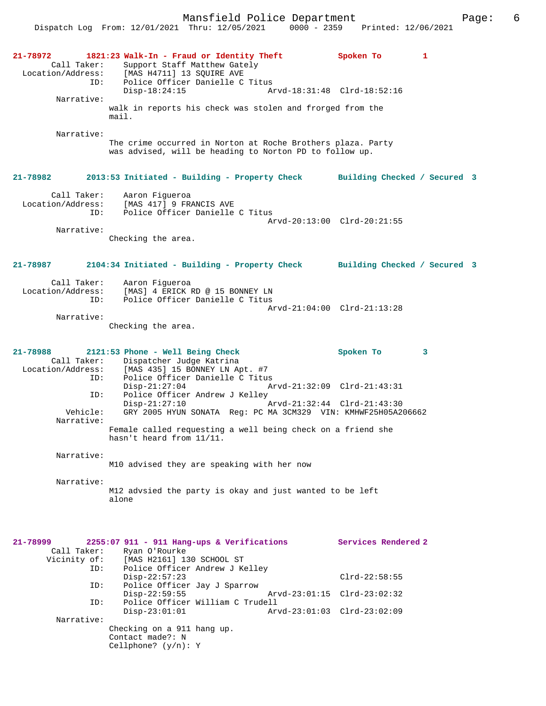| 21-78972<br>Location/Address: | Call Taker:<br>ID: | 1821:23 Walk-In - Fraud or Identity Theft<br>Support Staff Matthew Gately<br>[MAS H4711] 13 SQUIRE AVE<br>Police Officer Danielle C Titus            | Spoken To                                | 1 |
|-------------------------------|--------------------|------------------------------------------------------------------------------------------------------------------------------------------------------|------------------------------------------|---|
|                               | Narrative:         | $Disp-18:24:15$                                                                                                                                      | Arvd-18:31:48 Clrd-18:52:16              |   |
|                               |                    | walk in reports his check was stolen and frorged from the<br>mail.                                                                                   |                                          |   |
|                               | Narrative:         | The crime occurred in Norton at Roche Brothers plaza. Party<br>was advised, will be heading to Norton PD to follow up.                               |                                          |   |
| 21-78982                      |                    | 2013:53 Initiated - Building - Property Check Building Checked / Secured 3                                                                           |                                          |   |
| Location/Address:             | Call Taker:<br>ID: | Aaron Figueroa<br>[MAS 417] 9 FRANCIS AVE<br>Police Officer Danielle C Titus                                                                         | Arvd-20:13:00 Clrd-20:21:55              |   |
|                               | Narrative:         | Checking the area.                                                                                                                                   |                                          |   |
| 21-78987                      |                    | 2104:34 Initiated - Building - Property Check Building Checked / Secured 3                                                                           |                                          |   |
| Location/Address:             | Call Taker:<br>ID: | Aaron Fiqueroa<br>[MAS] 4 ERICK RD @ 15 BONNEY LN<br>Police Officer Danielle C Titus                                                                 | Arvd-21:04:00 Clrd-21:13:28              |   |
|                               | Narrative:         | Checking the area.                                                                                                                                   |                                          |   |
| 21-78988<br>Location/Address: | Call Taker:<br>ID: | 2121:53 Phone - Well Being Check<br>Dispatcher Judge Katrina<br>[MAS 435] 15 BONNEY LN Apt. #7<br>Police Officer Danielle C Titus<br>$Disp-21:27:04$ | Spoken To<br>Arvd-21:32:09 Clrd-21:43:31 | 3 |
|                               | ID:<br>Vehicle:    | Police Officer Andrew J Kelley<br>$Disp-21:27:10$<br>Arvd-21:32:44 Clrd-21:43:30<br>GRY 2005 HYUN SONATA Reg: PC MA 3CM329 VIN: KMHWF25H05A206662    |                                          |   |
|                               | Narrative:         | Female called requesting a well being check on a friend she                                                                                          |                                          |   |
|                               | Narrative:         | hasn't heard from 11/11.                                                                                                                             |                                          |   |
|                               |                    | M10 advised they are speaking with her now                                                                                                           |                                          |   |
|                               | Narrative:         | M12 advsied the party is okay and just wanted to be left<br>alone                                                                                    |                                          |   |
| 21-78999<br>Vicinity of:      | Call Taker:        | 2255:07 911 - 911 Hang-ups & Verifications<br>Ryan O'Rourke<br>[MAS H2161] 130 SCHOOL ST                                                             | Services Rendered 2                      |   |
|                               | ID:                | Police Officer Andrew J Kelley<br>$Disp-22:57:23$                                                                                                    | $Clrd-22:58:55$                          |   |
|                               | ID:<br>ID:         | Police Officer Jay J Sparrow<br>$Disp-22:59:55$<br>Police Officer William C Trudell                                                                  | Arvd-23:01:15 Clrd-23:02:32              |   |
|                               | Narrative:         | $Disp-23:01:01$                                                                                                                                      | Arvd-23:01:03 Clrd-23:02:09              |   |
|                               |                    | Checking on a 911 hang up.<br>Contact made?: N<br>Cellphone? $(y/n): Y$                                                                              |                                          |   |
|                               |                    |                                                                                                                                                      |                                          |   |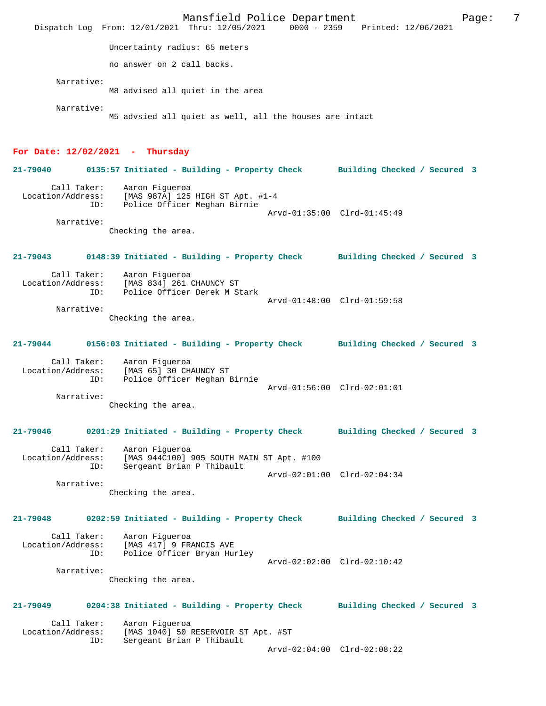Mansfield Police Department Page: 7 Dispatch Log From: 12/01/2021 Thru: 12/05/2021 Uncertainty radius: 65 meters no answer on 2 call backs. Narrative: M8 advised all quiet in the area Narrative: M5 advsied all quiet as well, all the houses are intact **For Date: 12/02/2021 - Thursday 21-79040 0135:57 Initiated - Building - Property Check Building Checked / Secured 3** Call Taker: Aaron Figueroa Location/Address: [MAS 987A] 125 HIGH ST Apt. #1-4 Police Officer Meghan Birnie Arvd-01:35:00 Clrd-01:45:49 Narrative: Checking the area. **21-79043 0148:39 Initiated - Building - Property Check Building Checked / Secured 3** Call Taker: Aaron Figueroa<br>Location/Address: [MAS 834] 261 ess: [MAS 834] 261 CHAUNCY ST<br>ID: Police Officer Derek M St Police Officer Derek M Stark Arvd-01:48:00 Clrd-01:59:58 Narrative: Checking the area. **21-79044 0156:03 Initiated - Building - Property Check Building Checked / Secured 3** Call Taker: Aaron Figueroa Location/Address: [MAS 65] 30 CHAUNCY ST ID: Police Officer Meghan Birnie Arvd-01:56:00 Clrd-02:01:01 Narrative: Checking the area. **21-79046 0201:29 Initiated - Building - Property Check Building Checked / Secured 3** Call Taker: Aaron Figueroa Location/Address: [MAS 944C100] 905 SOUTH MAIN ST Apt. #100 ID: Sergeant Brian P Thibault Arvd-02:01:00 Clrd-02:04:34 Narrative: Checking the area. **21-79048 0202:59 Initiated - Building - Property Check Building Checked / Secured 3** Call Taker: Aaron Figueroa Location/Address: [MAS 417] 9 FRANCIS AVE<br>ID: Police Officer Brvan Hu: Police Officer Bryan Hurley Arvd-02:02:00 Clrd-02:10:42 Narrative: Checking the area. **21-79049 0204:38 Initiated - Building - Property Check Building Checked / Secured 3** Call Taker: Aaron Figueroa Location/Address: [MAS 1040] 50 RESERVOIR ST Apt. #ST Sergeant Brian P Thibault Arvd-02:04:00 Clrd-02:08:22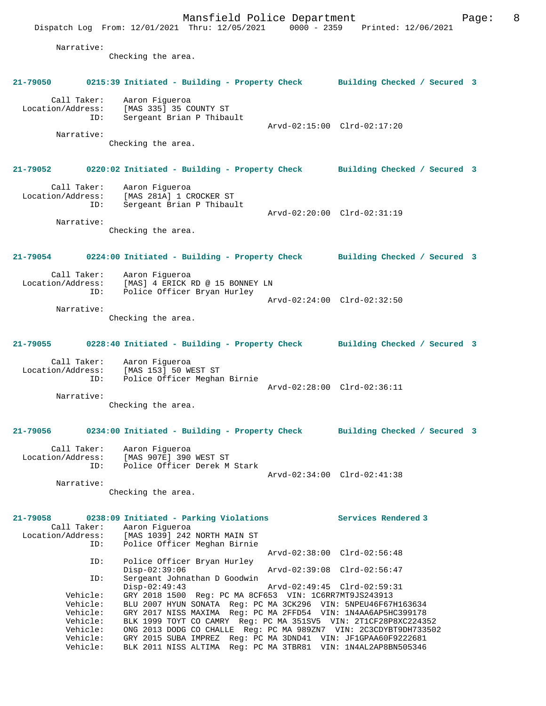Mansfield Police Department Form Page: 8 Dispatch Log From: 12/01/2021 Thru: 12/05/2021 0000 - 2359 Printed: 12/06/2021 Narrative: Checking the area. **21-79050 0215:39 Initiated - Building - Property Check Building Checked / Secured 3** Call Taker: Aaron Figueroa Location/Address: [MAS 335] 35 COUNTY ST ID: Sergeant Brian P Thibault Arvd-02:15:00 Clrd-02:17:20 Narrative: Checking the area. **21-79052 0220:02 Initiated - Building - Property Check Building Checked / Secured 3** Call Taker: Aaron Figueroa Location/Address: [MAS 281A] 1 CROCKER ST ID: Sergeant Brian P Thibault Arvd-02:20:00 Clrd-02:31:19 Narrative: Checking the area. **21-79054 0224:00 Initiated - Building - Property Check Building Checked / Secured 3** Call Taker: Aaron Figueroa Location/Address: [MAS] 4 ERICK RD @ 15 BONNEY LN ID: Police Officer Bryan Hurley Arvd-02:24:00 Clrd-02:32:50 Narrative: Checking the area. **21-79055 0228:40 Initiated - Building - Property Check Building Checked / Secured 3** Call Taker: Aaron Figueroa Location/Address: [MAS 153] 50 WEST ST ID: Police Officer Meghan Birnie Arvd-02:28:00 Clrd-02:36:11 Narrative: Checking the area. **21-79056 0234:00 Initiated - Building - Property Check Building Checked / Secured 3** Call Taker: Aaron Figueroa Location/Address: [MAS 907E] 390 WEST ST ID: Police Officer Derek M Stark Arvd-02:34:00 Clrd-02:41:38 Narrative: Checking the area. **21-79058 0238:09 Initiated - Parking Violations Services Rendered 3**  Call Taker: Aaron Figueroa Location/Address: [MAS 1039] 242 NORTH MAIN ST ID: Police Officer Meghan Birnie Arvd-02:38:00 Clrd-02:56:48 ID: Police Officer Bryan Hurley Disp-02:39:06 Arvd-02:39:08 Clrd-02:56:47<br>ID: Sergeant Johnathan D Goodwin Sergeant Johnathan D Goodwin<br>Disp-02:49:43 Arvd-02:49:45 Clrd-02:59:31 Vehicle: GRY 2018 1500 Reg: PC MA 8CF653 VIN: 1C6RR7MT9JS243913 Vehicle: BLU 2007 HYUN SONATA Reg: PC MA 3CK296 VIN: 5NPEU46F67H163634 Vehicle: GRY 2017 NISS MAXIMA Reg: PC MA 2FFD54 VIN: 1N4AA6AP5HC399178 Vehicle: BLK 1999 TOYT CO CAMRY Reg: PC MA 351SV5 VIN: 2T1CF28P8XC224352 Vehicle: ONG 2013 DODG CO CHALLE Reg: PC MA 989ZN7 VIN: 2C3CDYBT9DH733502 Vehicle: GRY 2015 SUBA IMPREZ Reg: PC MA 3DND41 VIN: JF1GPAA60F9222681 Vehicle: BLK 2011 NISS ALTIMA Reg: PC MA 3TBR81 VIN: 1N4AL2AP8BN505346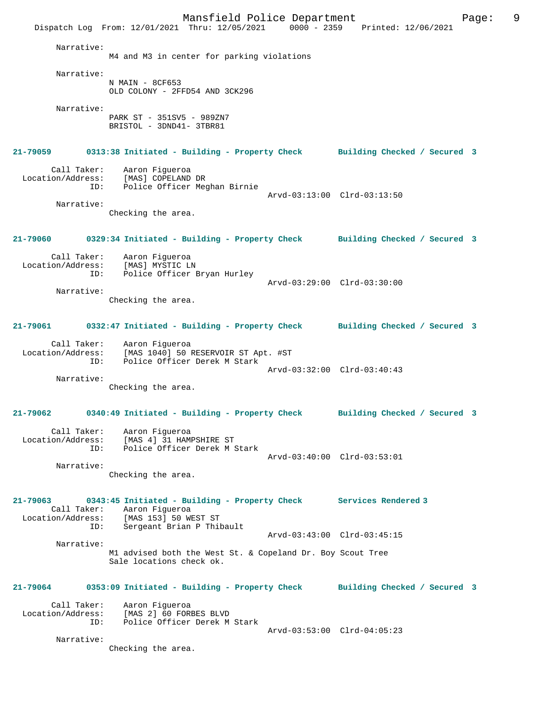Mansfield Police Department Fage: 9 Dispatch Log From: 12/01/2021 Thru: 12/05/2021 0000 - 2359 Printed: 12/06/2021 Narrative: M4 and M3 in center for parking violations Narrative: N MAIN - 8CF653 OLD COLONY - 2FFD54 AND 3CK296 Narrative: PARK ST - 351SV5 - 989ZN7 BRISTOL - 3DND41- 3TBR81 **21-79059 0313:38 Initiated - Building - Property Check Building Checked / Secured 3** Call Taker: Aaron Figueroa Location/Address: [MAS] COPELAND DR ID: Police Officer Meghan Birnie Arvd-03:13:00 Clrd-03:13:50 Narrative: Checking the area. **21-79060 0329:34 Initiated - Building - Property Check Building Checked / Secured 3** Call Taker: Aaron Figueroa Location/Address: [MAS] MYSTIC LN ID: Police Officer Bryan Hurley Arvd-03:29:00 Clrd-03:30:00 Narrative: Checking the area. **21-79061 0332:47 Initiated - Building - Property Check Building Checked / Secured 3** Call Taker: Aaron Figueroa Location/Address: [MAS 1040] 50 RESERVOIR ST Apt. #ST ID: Police Officer Derek M Stark Arvd-03:32:00 Clrd-03:40:43 Narrative: Checking the area. **21-79062 0340:49 Initiated - Building - Property Check Building Checked / Secured 3** Call Taker: Aaron Figueroa Location/Address: [MAS 4] 31 HAMPSHIRE ST ID: Police Officer Derek M Stark Arvd-03:40:00 Clrd-03:53:01 Narrative: Checking the area. **21-79063 0343:45 Initiated - Building - Property Check Services Rendered 3**  Call Taker: Aaron Figueroa<br>Location/Address: [MAS 153] 50 W.  $[MAS 153] 50 WEST ST$  ID: Sergeant Brian P Thibault Arvd-03:43:00 Clrd-03:45:15 Narrative: M1 advised both the West St. & Copeland Dr. Boy Scout Tree Sale locations check ok. **21-79064 0353:09 Initiated - Building - Property Check Building Checked / Secured 3** Call Taker: Aaron Figueroa Location/Address: [MAS 2] 60 FORBES BLVD ID: Police Officer Derek M Stark Arvd-03:53:00 Clrd-04:05:23 Narrative: Checking the area.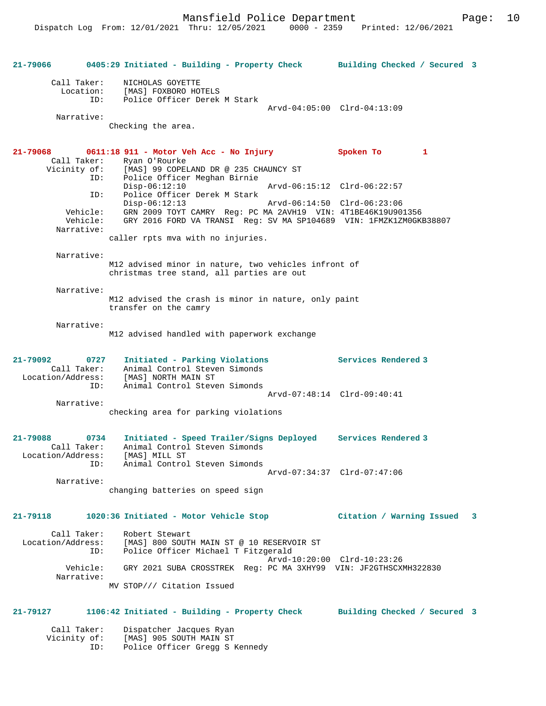Mansfield Police Department Form Page: 10

**21-79066 0405:29 Initiated - Building - Property Check Building Checked / Secured 3** Call Taker: NICHOLAS GOYETTE Location: [MAS] FOXBORO HOTELS ID: Police Officer Derek M Stark Arvd-04:05:00 Clrd-04:13:09 Narrative: Checking the area. **21-79068 0611:18 911 - Motor Veh Acc - No Injury Spoken To 1**  Call Taker: Ryan O'Rourke<br>Vicinity of: [MAS] 99 COPEI Vicinity of: [MAS] 99 COPELAND DR @ 235 CHAUNCY ST ID: Police Officer Meghan Birnie Disp-06:12:10 Arvd-06:15:12 Clrd-06:22:57 ID: Police Officer Derek M Stark Disp-06:12:13 Arvd-06:14:50 Clrd-06:23:06 Vehicle: GRN 2009 TOYT CAMRY Reg: PC MA 2AVH19 VIN: 4T1BE46K19U901356 Vehicle: GRY 2016 FORD VA TRANSI Reg: SV MA SP104689 VIN: 1FMZK1ZM0GKB38807 Narrative: caller rpts mva with no injuries. Narrative: M12 advised minor in nature, two vehicles infront of christmas tree stand, all parties are out Narrative: M12 advised the crash is minor in nature, only paint transfer on the camry Narrative: M12 advised handled with paperwork exchange **21-79092 0727 Initiated - Parking Violations Services Rendered 3**  Call Taker: Animal Control Steven Simonds Location/Address: [MAS] NORTH MAIN ST ID: Animal Control Steven Simonds Arvd-07:48:14 Clrd-09:40:41 Narrative: checking area for parking violations **21-79088 0734 Initiated - Speed Trailer/Signs Deployed Services Rendered 3**  Call Taker: Animal Control Steven Simonds Location/Address: [MAS] MILL ST ID: Animal Control Steven Simonds Arvd-07:34:37 Clrd-07:47:06 Narrative: changing batteries on speed sign **21-79118 1020:36 Initiated - Motor Vehicle Stop Citation / Warning Issued 3** Call Taker: Robert Stewart Location/Address: [MAS] 800 SOUTH MAIN ST @ 10 RESERVOIR ST ID: Police Officer Michael T Fitzgerald Arvd-10:20:00 Clrd-10:23:26 Vehicle: GRY 2021 SUBA CROSSTREK Reg: PC MA 3XHY99 VIN: JF2GTHSCXMH322830 Narrative: MV STOP/// Citation Issued **21-79127 1106:42 Initiated - Building - Property Check Building Checked / Secured 3** Call Taker: Dispatcher Jacques Ryan Vicinity of: [MAS] 905 SOUTH MAIN ST ID: Police Officer Gregg S Kennedy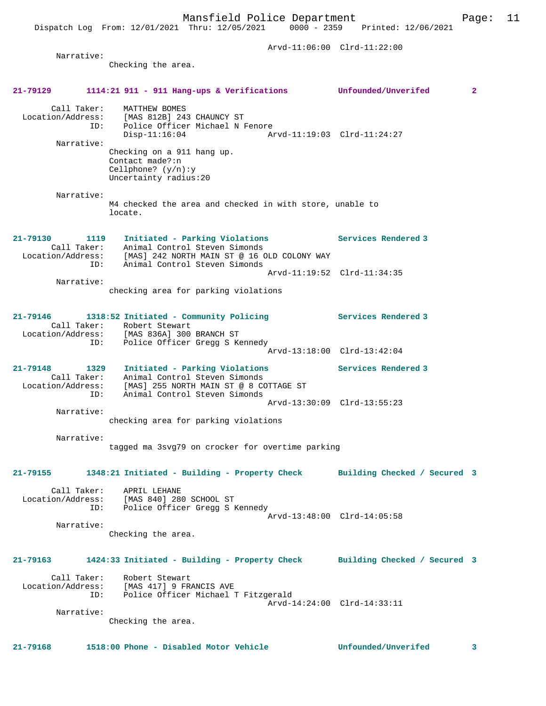Dispatch Log From: 12/01/2021 Thru: 12/05/2021 0000 - 2359 Printed: 12/06/2021

 Arvd-11:06:00 Clrd-11:22:00 Narrative: Checking the area. **21-79129 1114:21 911 - 911 Hang-ups & Verifications Unfounded/Unverifed 2** Call Taker: MATTHEW BOMES Location/Address: [MAS 812B] 243 CHAUNCY ST ID: Police Officer Michael N Fenore Disp-11:16:04 Arvd-11:19:03 Clrd-11:24:27 Narrative: Checking on a 911 hang up. Contact made?:n Cellphone? (y/n):y Uncertainty radius:20 Narrative: M4 checked the area and checked in with store, unable to locate. **21-79130 1119 Initiated - Parking Violations Services Rendered 3**  Call Taker: Animal Control Steven Simonds Location/Address: [MAS] 242 NORTH MAIN ST @ 16 OLD COLONY WAY ID: Animal Control Steven Simonds Arvd-11:19:52 Clrd-11:34:35 Narrative: checking area for parking violations **21-79146 1318:52 Initiated - Community Policing Services Rendered 3**  Call Taker: Robert Stewart Location/Address: [MAS 836A] 300 BRANCH ST ID: Police Officer Gregg S Kennedy Arvd-13:18:00 Clrd-13:42:04 **21-79148 1329 Initiated - Parking Violations Services Rendered 3**  Call Taker: Animal Control Steven Simonds Location/Address: [MAS] 255 NORTH MAIN ST @ 8 COTTAGE ST ID: Animal Control Steven Simonds Arvd-13:30:09 Clrd-13:55:23 Narrative: checking area for parking violations Narrative: tagged ma 3svg79 on crocker for overtime parking **21-79155 1348:21 Initiated - Building - Property Check Building Checked / Secured 3** Call Taker: APRIL LEHANE Location/Address: [MAS 840] 280 SCHOOL ST ID: Police Officer Gregg S Kennedy Arvd-13:48:00 Clrd-14:05:58 Narrative: Checking the area. **21-79163 1424:33 Initiated - Building - Property Check Building Checked / Secured 3** Call Taker: Robert Stewart Location/Address: [MAS 417] 9 FRANCIS AVE ID: Police Officer Michael T Fitzgerald Arvd-14:24:00 Clrd-14:33:11 Narrative: Checking the area. **21-79168 1518:00 Phone - Disabled Motor Vehicle Unfounded/Unverifed 3**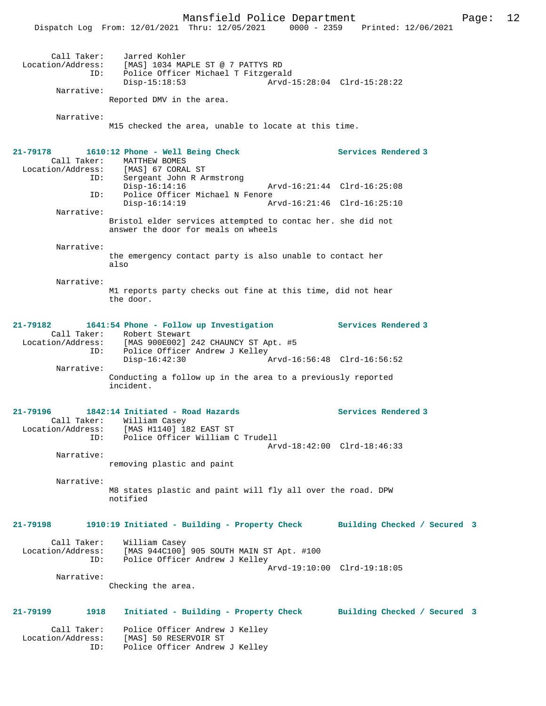Dispatch Log From: 12/01/2021 Thru: 12/05/2021 0000 - 2359 Printed: 12/06/2021

| ID:                                     | Call Taker: Jarred Kohler<br>Location/Address: [MAS] 1034 MAPLE ST @ 7 PATTYS RD<br>Police Officer Michael T Fitzgerald<br>$Disp-15:18:53$<br>Arvd-15:28:04 Clrd-15:28:22             |                              |
|-----------------------------------------|---------------------------------------------------------------------------------------------------------------------------------------------------------------------------------------|------------------------------|
| Narrative:                              | Reported DMV in the area.                                                                                                                                                             |                              |
| Narrative:                              | M15 checked the area, unable to locate at this time.                                                                                                                                  |                              |
| 21-79178                                | 1610:12 Phone - Well Being Check<br>Call Taker: MATTHEW BOMES<br>Location/Address: [MAS] 67 CORAL ST                                                                                  | Services Rendered 3          |
| ID:<br>ID:                              | Sergeant John R Armstrong<br>$Disp-16:14:16$<br>Arvd-16:21:44 Clrd-16:25:08<br>Police Officer Michael N Fenore                                                                        |                              |
| Narrative:                              | $Disp-16:14:19$<br>Arvd-16:21:46 Clrd-16:25:10                                                                                                                                        |                              |
|                                         | Bristol elder services attempted to contac her. she did not<br>answer the door for meals on wheels                                                                                    |                              |
| Narrative:                              | the emergency contact party is also unable to contact her<br>also                                                                                                                     |                              |
| Narrative:                              | M1 reports party checks out fine at this time, did not hear<br>the door.                                                                                                              |                              |
| 21-79182<br>ID:                         | 1641:54 Phone - Follow up Investigation Services Rendered 3<br>Call Taker: Robert Stewart<br>Location/Address: [MAS 900E002] 242 CHAUNCY ST Apt. #5<br>Police Officer Andrew J Kelley |                              |
| Narrative:                              | $Disp-16:42:30$                                                                                                                                                                       |                              |
|                                         | Conducting a follow up in the area to a previously reported<br>incident.                                                                                                              |                              |
| 21-79196<br>Call Taker:<br>ID:          | 1842:14 Initiated - Road Hazards<br>William Casey<br>Location/Address: [MAS H1140] 182 EAST ST                                                                                        | Services Rendered 3          |
| Narrative:                              | Police Officer William C Trudell                                                                                                                                                      | Arvd-18:42:00 Clrd-18:46:33  |
|                                         | removing plastic and paint                                                                                                                                                            |                              |
| Narrative:                              | M8 states plastic and paint will fly all over the road. DPW<br>notified                                                                                                               |                              |
| 21-79198                                | 1910:19 Initiated - Building - Property Check                                                                                                                                         | Building Checked / Secured 3 |
| Call Taker:<br>Location/Address:<br>ID: | William Casey<br>[MAS 944C100] 905 SOUTH MAIN ST Apt. #100<br>Police Officer Andrew J Kelley                                                                                          | Arvd-19:10:00 Clrd-19:18:05  |
| Narrative:                              | Checking the area.                                                                                                                                                                    |                              |
| 1918<br>21-79199                        | Initiated - Building - Property Check                                                                                                                                                 | Building Checked / Secured 3 |
| Call Taker:<br>Location/Address:<br>ID: | Police Officer Andrew J Kelley<br>[MAS] 50 RESERVOIR ST<br>Police Officer Andrew J Kelley                                                                                             |                              |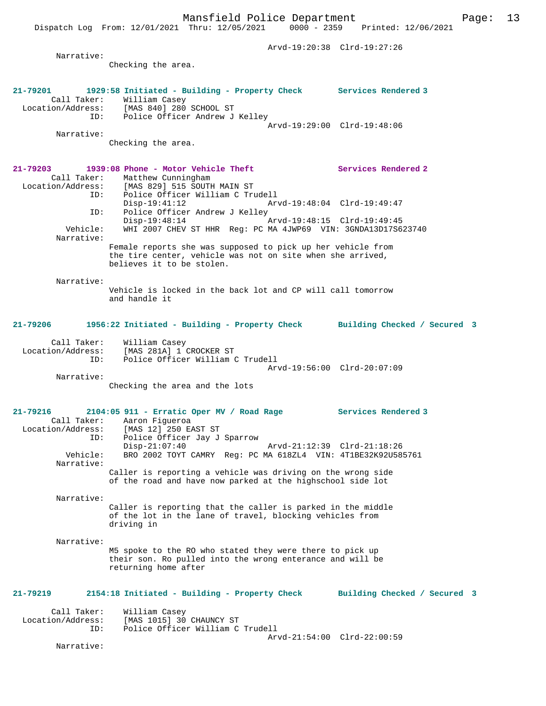Arvd-19:20:38 Clrd-19:27:26 Narrative: Checking the area. **21-79201 1929:58 Initiated - Building - Property Check Services Rendered 3**  Call Taker: William Casey<br>Location/Address: [MAS 840] 280 Location/Address: [MAS 840] 280 SCHOOL ST ID: Police Officer Andrew J Kelley Arvd-19:29:00 Clrd-19:48:06 Narrative: Checking the area. **21-79203 1939:08 Phone - Motor Vehicle Theft Services Rendered 2**  Call Taker: Matthew Cunningham Location/Address: [MAS 829] 515 SOUTH MAIN ST ID: Police Officer William C Trudell Disp-19:41:12 Arvd-19:48:04 Clrd-19:49:47 ID: Police Officer Andrew J Kelley Disp-19:48:14 Arvd-19:48:15 Clrd-19:49:45 Vehicle: WHI 2007 CHEV ST HHR Reg: PC MA 4JWP69 VIN: 3GNDA13D17S623740 Narrative: Female reports she was supposed to pick up her vehicle from the tire center, vehicle was not on site when she arrived, believes it to be stolen. Narrative: Vehicle is locked in the back lot and CP will call tomorrow and handle it **21-79206 1956:22 Initiated - Building - Property Check Building Checked / Secured 3** Call Taker: William Casey Location/Address: [MAS 281A] 1 CROCKER ST ID: Police Officer William C Trudell Arvd-19:56:00 Clrd-20:07:09 Narrative: Checking the area and the lots **21-79216 2104:05 911 - Erratic Oper MV / Road Rage Services Rendered 3**  Call Taker: Aaron Figueroa<br>Location/Address: [MAS 12] 250 EA  $[MAS 12] 250 EAST ST$  ID: Police Officer Jay J Sparrow Disp-21:07:40 Arvd-21:12:39 Clrd-21:18:26 Vehicle: BRO 2002 TOYT CAMRY Reg: PC MA 618ZL4 VIN: 4T1BE32K92U585761 Narrative: Caller is reporting a vehicle was driving on the wrong side of the road and have now parked at the highschool side lot Narrative: Caller is reporting that the caller is parked in the middle of the lot in the lane of travel, blocking vehicles from driving in Narrative: M5 spoke to the RO who stated they were there to pick up their son. Ro pulled into the wrong enterance and will be returning home after **21-79219 2154:18 Initiated - Building - Property Check Building Checked / Secured 3** Call Taker: William Casey Location/Address: [MAS 1015] 30 CHAUNCY ST ID: Police Officer William C Trudell Arvd-21:54:00 Clrd-22:00:59 Narrative: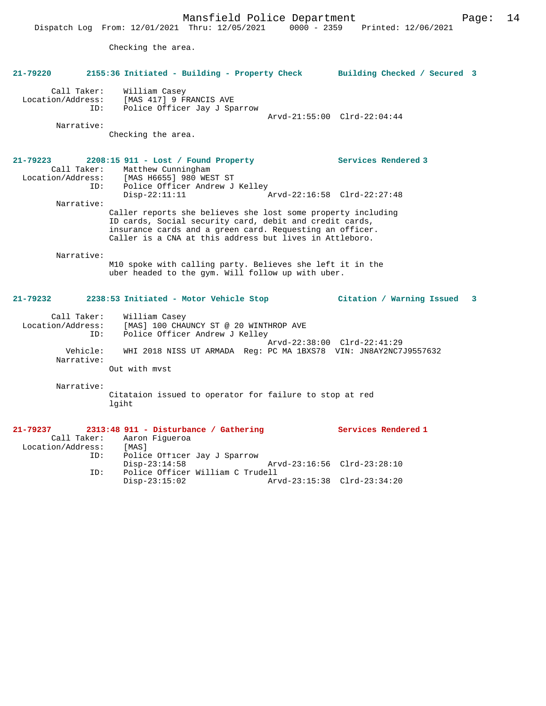Checking the area.

| 21-79220                                     | 2155:36 Initiated - Building - Property Check Building Checked / Secured 3                                                                                                                                                                     |                                           |
|----------------------------------------------|------------------------------------------------------------------------------------------------------------------------------------------------------------------------------------------------------------------------------------------------|-------------------------------------------|
| Call Taker:<br>Location/Address:<br>ID:      | William Casey<br>[MAS 417] 9 FRANCIS AVE<br>Police Officer Jay J Sparrow                                                                                                                                                                       | Arvd-21:55:00 Clrd-22:04:44               |
| Narrative:                                   | Checking the area.                                                                                                                                                                                                                             |                                           |
| $21 - 79223$<br>Call Taker:                  | $2208:15$ 911 - Lost / Found Property<br>Matthew Cunningham<br>Location/Address: [MAS H6655] 980 WEST ST                                                                                                                                       | Services Rendered 3                       |
| ID:                                          | Police Officer Andrew J Kelley<br>$Disp-22:11:11$                                                                                                                                                                                              | Arvd-22:16:58 Clrd-22:27:48               |
| Narrative:                                   | Caller reports she believes she lost some property including<br>ID cards, Social security card, debit and credit cards,<br>insurance cards and a green card. Requesting an officer.<br>Caller is a CNA at this address but lives in Attleboro. |                                           |
| Narrative:                                   | M10 spoke with calling party. Believes she left it in the<br>uber headed to the gym. Will follow up with uber.                                                                                                                                 |                                           |
|                                              |                                                                                                                                                                                                                                                |                                           |
| 21-79232                                     | 2238:53 Initiated - Motor Vehicle Stop                                                                                                                                                                                                         | Citation / Warning Issued<br>$\mathbf{3}$ |
| Call Taker:<br>Location/Address:<br>ID:      | William Casey<br>[MAS] 100 CHAUNCY ST @ 20 WINTHROP AVE<br>Police Officer Andrew J Kelley                                                                                                                                                      |                                           |
| Vehicle:<br>Narrative:                       | WHI 2018 NISS UT ARMADA Reg: PC MA 1BXS78 VIN: JN8AY2NC7J9557632<br>Out with myst                                                                                                                                                              | Arvd-22:38:00 Clrd-22:41:29               |
| Narrative:                                   | Citataion issued to operator for failure to stop at red<br>lgiht                                                                                                                                                                               |                                           |
| 21-79237<br>Call Taker:<br>Location/Address: | 2313:48 911 - Disturbance / Gathering<br>Aaron Figueroa<br>[MAS]                                                                                                                                                                               | Services Rendered 1                       |
| ID:<br>ID:                                   | Police Officer Jay J Sparrow<br>$Disp-23:14:58$<br>Police Officer William C Trudell                                                                                                                                                            | Arvd-23:16:56 Clrd-23:28:10               |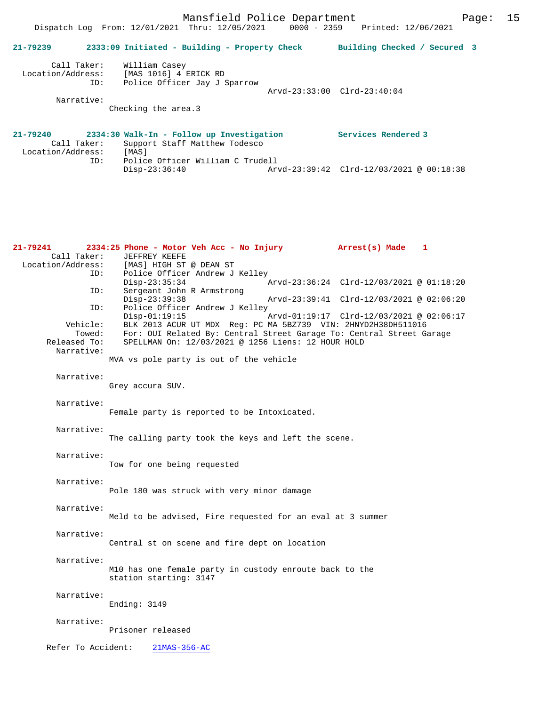| $21 - 79239$                     |     | 2333:09 Initiated - Building - Property Check                              | Building Checked / Secured 3 |
|----------------------------------|-----|----------------------------------------------------------------------------|------------------------------|
| Call Taker:<br>Location/Address: | ID: | William Casey<br>[MAS 1016] 4 ERICK RD<br>Police Officer Jay J Sparrow     |                              |
|                                  |     |                                                                            | Arvd-23:33:00 Clrd-23:40:04  |
| Narrative:                       |     |                                                                            |                              |
|                                  |     | Checking the area.3                                                        |                              |
|                                  |     |                                                                            |                              |
| 21-79240<br>Call Taker:          |     | 2334:30 Walk-In - Follow up Investigation<br>Support Staff Matthew Todesco | Services Rendered 3          |

Disp-23:36:40 Arvd-23:39:42 Clrd-12/03/2021 @ 00:18:38

Location/Address: [MAS]

ID: Police Officer William C Trudell

| 21-79241          |                    | 2334:25 Phone - Motor Veh Acc - No Injury                            | Arrest(s) Made                           | 1 |
|-------------------|--------------------|----------------------------------------------------------------------|------------------------------------------|---|
|                   | Call Taker:        | JEFFREY KEEFE                                                        |                                          |   |
| Location/Address: |                    | [MAS] HIGH ST @ DEAN ST                                              |                                          |   |
|                   | ID:                | Police Officer Andrew J Kelley                                       |                                          |   |
|                   |                    | $Disp-23:35:34$                                                      | Arvd-23:36:24 Clrd-12/03/2021 @ 01:18:20 |   |
|                   | ID:                | Sergeant John R Armstrong                                            |                                          |   |
|                   |                    | Disp-23:39:38                                                        | Arvd-23:39:41 Clrd-12/03/2021 @ 02:06:20 |   |
|                   | ID:                | Police Officer Andrew J Kelley                                       |                                          |   |
|                   |                    | $Disp-01:19:15$                                                      | Arvd-01:19:17 Clrd-12/03/2021 @ 02:06:17 |   |
|                   | Vehicle:           | BLK 2013 ACUR UT MDX Reg: PC MA 5BZ739 VIN: 2HNYD2H38DH511016        |                                          |   |
|                   | Towed:             | For: OUI Related By: Central Street Garage To: Central Street Garage |                                          |   |
|                   | Released To:       | SPELLMAN On: 12/03/2021 @ 1256 Liens: 12 HOUR HOLD                   |                                          |   |
|                   | Narrative:         |                                                                      |                                          |   |
|                   |                    | MVA vs pole party is out of the vehicle                              |                                          |   |
|                   | Narrative:         |                                                                      |                                          |   |
|                   |                    | Grey accura SUV.                                                     |                                          |   |
|                   |                    |                                                                      |                                          |   |
|                   | Narrative:         |                                                                      |                                          |   |
|                   |                    | Female party is reported to be Intoxicated.                          |                                          |   |
|                   |                    |                                                                      |                                          |   |
|                   | Narrative:         |                                                                      |                                          |   |
|                   |                    | The calling party took the keys and left the scene.                  |                                          |   |
|                   |                    |                                                                      |                                          |   |
|                   | Narrative:         |                                                                      |                                          |   |
|                   |                    | Tow for one being requested                                          |                                          |   |
|                   |                    |                                                                      |                                          |   |
|                   | Narrative:         |                                                                      |                                          |   |
|                   |                    | Pole 180 was struck with very minor damage                           |                                          |   |
|                   | Narrative:         |                                                                      |                                          |   |
|                   |                    | Meld to be advised, Fire requested for an eval at 3 summer           |                                          |   |
|                   |                    |                                                                      |                                          |   |
|                   | Narrative:         |                                                                      |                                          |   |
|                   |                    | Central st on scene and fire dept on location                        |                                          |   |
|                   |                    |                                                                      |                                          |   |
|                   | Narrative:         |                                                                      |                                          |   |
|                   |                    | M10 has one female party in custody enroute back to the              |                                          |   |
|                   |                    | station starting: 3147                                               |                                          |   |
|                   |                    |                                                                      |                                          |   |
|                   | Narrative:         |                                                                      |                                          |   |
|                   |                    | Ending: $3149$                                                       |                                          |   |
|                   |                    |                                                                      |                                          |   |
|                   | Narrative:         |                                                                      |                                          |   |
|                   |                    | Prisoner released                                                    |                                          |   |
|                   | Refer To Accident: | 21MAS-356-AC                                                         |                                          |   |
|                   |                    |                                                                      |                                          |   |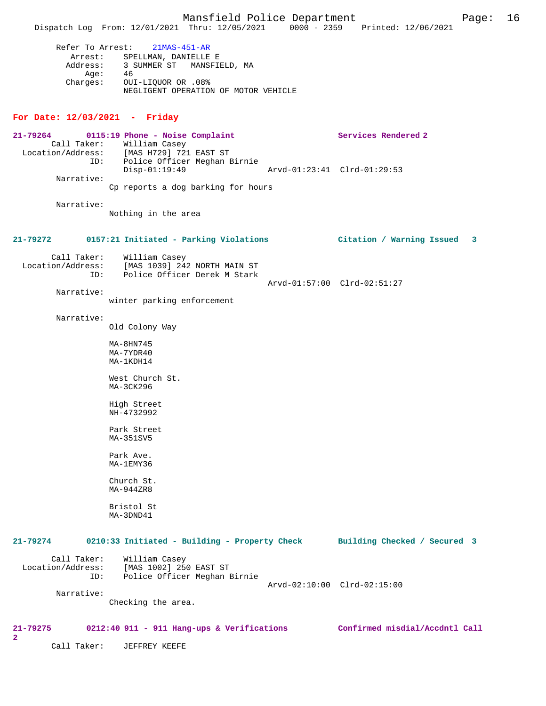|          | Refer To Arrest: 21MAS-451-AR        |
|----------|--------------------------------------|
| Arrest:  | SPELLMAN, DANIELLE E                 |
|          | Address: 3 SUMMER ST MANSFIELD, MA   |
| Aae:     | 46                                   |
| Charges: | OUI-LIOUOR OR .08%                   |
|          | NEGLIGENT OPERATION OF MOTOR VEHICLE |

## **For Date: 12/03/2021 - Friday**

| 21-79264<br>ID:<br>Narrative:           | 0115:19 Phone - Noise Complaint<br>Call Taker: William Casey<br>Location/Address: [MAS H729] 721 EAST ST<br>Police Officer Meghan Birnie<br>$Disp-01:19:49$ | Services Rendered 2<br>Arvd-01:23:41 Clrd-01:29:53 |
|-----------------------------------------|-------------------------------------------------------------------------------------------------------------------------------------------------------------|----------------------------------------------------|
| Narrative:                              | Cp reports a dog barking for hours<br>Nothing in the area                                                                                                   |                                                    |
| 21-79272                                | 0157:21 Initiated - Parking Violations                                                                                                                      | Citation / Warning Issued 3                        |
| Call Taker:<br>Location/Address:<br>ID: | William Casey<br>[MAS 1039] 242 NORTH MAIN ST<br>Police Officer Derek M Stark                                                                               |                                                    |
| Narrative:                              | winter parking enforcement                                                                                                                                  | Arvd-01:57:00 Clrd-02:51:27                        |
| Narrative:                              | Old Colony Way                                                                                                                                              |                                                    |
|                                         | MA-8HN745<br>MA-7YDR40<br>MA-1KDH14                                                                                                                         |                                                    |
|                                         | West Church St.<br>MA-3CK296                                                                                                                                |                                                    |
|                                         | High Street<br>NH-4732992                                                                                                                                   |                                                    |
|                                         | Park Street<br>MA-351SV5                                                                                                                                    |                                                    |
|                                         | Park Ave.<br>MA-1EMY36                                                                                                                                      |                                                    |
|                                         | Church St.<br>MA-944ZR8                                                                                                                                     |                                                    |
|                                         | Bristol St<br>MA-3DND41                                                                                                                                     |                                                    |
| 21-79274                                | 0210:33 Initiated - Building - Property Check                                                                                                               | Building Checked / Secured 3                       |
| Call Taker:<br>Location/Address:<br>ID: | William Casey<br>[MAS 1002] 250 EAST ST<br>Police Officer Meghan Birnie                                                                                     |                                                    |
| Narrative:                              | Checking the area.                                                                                                                                          | Arvd-02:10:00 Clrd-02:15:00                        |
| 21-79275<br>$\mathbf{2}$                | 0212:40 911 - 911 Hang-ups & Verifications                                                                                                                  | Confirmed misdial/Accdntl Call                     |
| Call Taker:                             | JEFFREY KEEFE                                                                                                                                               |                                                    |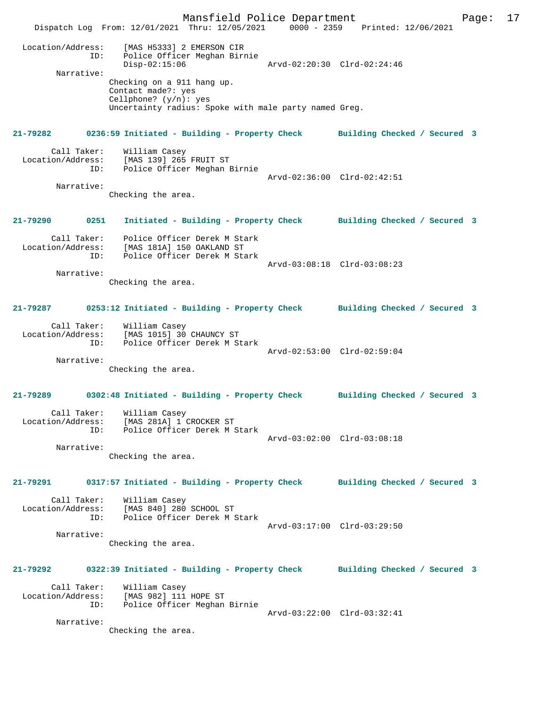Mansfield Police Department Page: 17 Dispatch Log From: 12/01/2021 Thru: 12/05/2021 0000 - 2359 Printed: 12/06/2021 Location/Address: [MAS H5333] 2 EMERSON CIR ID: Police Officer Meghan Birnie Arvd-02:20:30 Clrd-02:24:46<br>Police Officer Meghan Birnie<br>Arvd-02:20:30 Clrd-02:24:46 Narrative: Checking on a 911 hang up. Contact made?: yes Cellphone? (y/n): yes Uncertainty radius: Spoke with male party named Greg. **21-79282 0236:59 Initiated - Building - Property Check Building Checked / Secured 3** Call Taker: William Casey<br>Location/Address: [MAS 139] 265 Location/Address: [MAS 139] 265 FRUIT ST ID: Police Officer Meghan Birnie Arvd-02:36:00 Clrd-02:42:51 Narrative: Checking the area. **21-79290 0251 Initiated - Building - Property Check Building Checked / Secured 3** Call Taker: Police Officer Derek M Stark Location/Address: [MAS 181A] 150 OAKLAND ST ID: Police Officer Derek M Stark Arvd-03:08:18 Clrd-03:08:23 Narrative: Checking the area. **21-79287 0253:12 Initiated - Building - Property Check Building Checked / Secured 3** Call Taker: William Casey Location/Address: [MAS 1015] 30 CHAUNCY ST ID: Police Officer Derek M Stark Arvd-02:53:00 Clrd-02:59:04 Narrative: Checking the area. **21-79289 0302:48 Initiated - Building - Property Check Building Checked / Secured 3** Call Taker: William Casey Location/Address: [MAS 281A] 1 CROCKER ST ID: Police Officer Derek M Stark Arvd-03:02:00 Clrd-03:08:18 Narrative: Checking the area. **21-79291 0317:57 Initiated - Building - Property Check Building Checked / Secured 3** Call Taker: William Casey Location/Address: [MAS 840] 280 SCHOOL ST<br>ID: Police Officer Derek M 3 Police Officer Derek M Stark Arvd-03:17:00 Clrd-03:29:50 Narrative: Checking the area. **21-79292 0322:39 Initiated - Building - Property Check Building Checked / Secured 3** Call Taker: William Casey Location/Address: [MAS 982] 111 HOPE ST ID: Police Officer Meghan Birnie Arvd-03:22:00 Clrd-03:32:41 Narrative: Checking the area.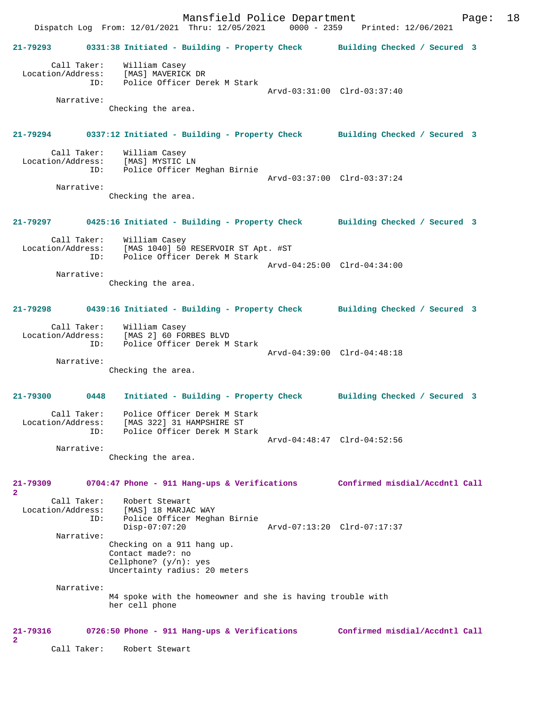Mansfield Police Department Page: 18 Dispatch Log From: 12/01/2021 Thru: 12/05/2021 **21-79293 0331:38 Initiated - Building - Property Check Building Checked / Secured 3** Call Taker: William Casey<br>.on/Address: [MAS] MAVERICK DR Location/Address: ID: Police Officer Derek M Stark Arvd-03:31:00 Clrd-03:37:40 Narrative: Checking the area. **21-79294 0337:12 Initiated - Building - Property Check Building Checked / Secured 3** Call Taker: William Casey<br>Location/Address: [MAS] MYSTIC ess: [MAS] MYSTIC LN<br>ID: Police Officer I Police Officer Meghan Birnie Arvd-03:37:00 Clrd-03:37:24 Narrative: Checking the area. **21-79297 0425:16 Initiated - Building - Property Check Building Checked / Secured 3** Call Taker: William Casey Location/Address: [MAS 1040] 50 RESERVOIR ST Apt. #ST Police Officer Derek M Stark Arvd-04:25:00 Clrd-04:34:00 Narrative: Checking the area. **21-79298 0439:16 Initiated - Building - Property Check Building Checked / Secured 3** Call Taker: William Casey Location/Address: [MAS 2] 60 FORBES BLVD Police Officer Derek M Stark Arvd-04:39:00 Clrd-04:48:18 Narrative: Checking the area. **21-79300 0448 Initiated - Building - Property Check Building Checked / Secured 3** Call Taker: Police Officer Derek M Stark Location/Address: [MAS 322] 31 HAMPSHIRE ST<br>ID: Police Officer Derek M Sta Police Officer Derek M Stark Arvd-04:48:47 Clrd-04:52:56 Narrative: Checking the area. **21-79309 0704:47 Phone - 911 Hang-ups & Verifications Confirmed misdial/Accdntl Call 2**  Call Taker: Robert Stewart<br>Location/Address: [MAS] 18 MARJA [MAS] 18 MARJAC WAY ID: Police Officer Meghan Birnie Disp-07:07:20 Arvd-07:13:20 Clrd-07:17:37 Narrative: Checking on a 911 hang up. Contact made?: no Cellphone? (y/n): yes Uncertainty radius: 20 meters Narrative: M4 spoke with the homeowner and she is having trouble with her cell phone **21-79316 0726:50 Phone - 911 Hang-ups & Verifications Confirmed misdial/Accdntl Call 2**  Call Taker: Robert Stewart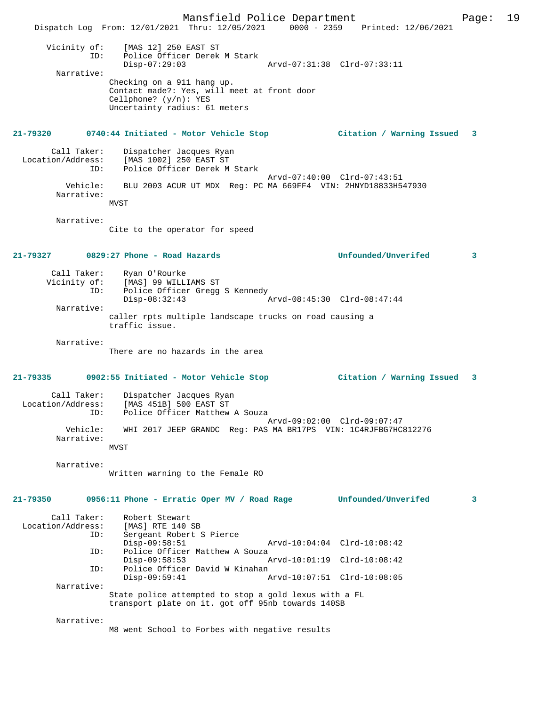Mansfield Police Department Page: 19 Dispatch Log From: 12/01/2021 Thru: 12/05/2021 0000 - 2359 Printed: 12/06/2021 Vicinity of: [MAS 12] 250 EAST ST ID: Police Officer Derek M Stark Disp-07:29:03 Arvd-07:31:38 Clrd-07:33:11 Narrative: Checking on a 911 hang up. Contact made?: Yes, will meet at front door Cellphone? (y/n): YES Uncertainty radius: 61 meters **21-79320 0740:44 Initiated - Motor Vehicle Stop Citation / Warning Issued 3** Call Taker: Dispatcher Jacques Ryan<br>Location/Address: [MAS 1002] 250 EAST ST [MAS 1002] 250 EAST ST ID: Police Officer Derek M Stark Arvd-07:40:00 Clrd-07:43:51<br>Vehicle: BLU 2003 ACUR UT MDX Reg: PC MA 669FF4 VIN: 2HNYD18833H54 BLU 2003 ACUR UT MDX Reg: PC MA 669FF4 VIN: 2HNYD18833H547930 Narrative: MVST Narrative: Cite to the operator for speed **21-79327 0829:27 Phone - Road Hazards Unfounded/Unverifed 3** Call Taker: Ryan O'Rourke<br>Vicinity of: [MAS] 99 WILLI of: [MAS] 99 WILLIAMS ST<br>ID: Police Officer Gread Police Officer Gregg S Kennedy<br>Disp-08:32:43 Disp-08:32:43 Arvd-08:45:30 Clrd-08:47:44 Narrative: caller rpts multiple landscape trucks on road causing a traffic issue. Narrative: There are no hazards in the area **21-79335 0902:55 Initiated - Motor Vehicle Stop Citation / Warning Issued 3** Call Taker: Dispatcher Jacques Ryan Location/Address: [MAS 451B] 500 EAST ST ID: Police Officer Matthew A Souza Arvd-09:02:00 Clrd-09:07:47 Vehicle: WHI 2017 JEEP GRANDC Reg: PAS MA BR17PS VIN: 1C4RJFBG7HC812276 Narrative: MVST Narrative: Written warning to the Female RO **21-79350 0956:11 Phone - Erratic Oper MV / Road Rage Unfounded/Unverifed 3** Call Taker: Robert Stewart<br>.on/Address: [MAS] RTE 140 SB Location/Address: ID: Sergeant Robert S Pierce Disp-09:58:51 Arvd-10:04:04 Clrd-10:08:42<br>TD: Police Officer Matthew A Souza Police Officer Matthew A Souza<br>Disp-09:58:53 A Disp-09:58:53 Arvd-10:01:19 Clrd-10:08:42<br>ID: Police Officer David W Kinahan Police Officer David W Kinahan<br>Disp-09:59:41 P Disp-09:59:41 Arvd-10:07:51 Clrd-10:08:05 Narrative: State police attempted to stop a gold lexus with a FL transport plate on it. got off 95nb towards 140SB Narrative: M8 went School to Forbes with negative results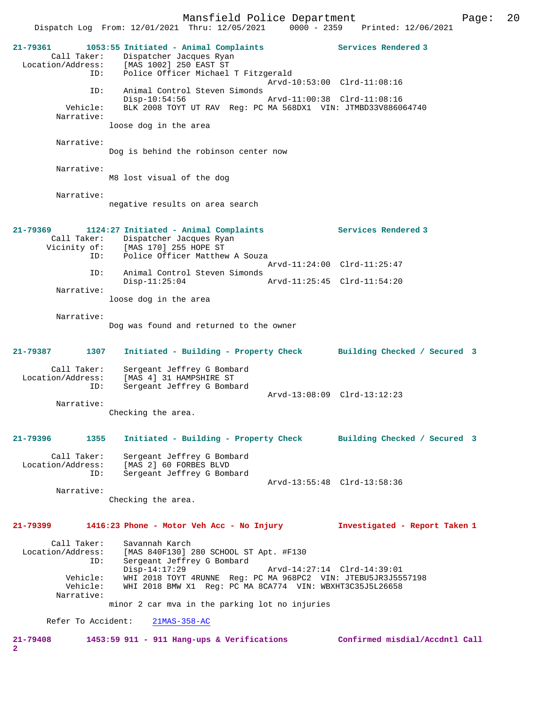Mansfield Police Department Page: 20 Dispatch Log From: 12/01/2021 Thru: 12/05/2021 0000 - 2359 Printed: 12/06/2021 **21-79361 1053:55 Initiated - Animal Complaints Services Rendered 3**  Call Taker: Dispatcher Jacques Ryan Location/Address: [MAS 1002] 250 EAST ST ID: Police Officer Michael T Fitzgerald Arvd-10:53:00 Clrd-11:08:16 ID: Animal Control Steven Simonds Disp-10:54:56 Arvd-11:00:38 Clrd-11:08:16<br>Vehicle: BLK 2008 TOYT UT RAV Req: PC MA 568DX1 VIN: JTMBD33V88600 BLK 2008 TOYT UT RAV Reg: PC MA 568DX1 VIN: JTMBD33V886064740 Narrative: loose dog in the area Narrative: Dog is behind the robinson center now Narrative: M8 lost visual of the dog Narrative: negative results on area search **21-79369 1124:27 Initiated - Animal Complaints Services Rendered 3**  Call Taker: Dispatcher Jacques Ryan Vicinity of: [MAS 170] 255 HOPE ST ID: Police Officer Matthew A Souza Arvd-11:24:00 Clrd-11:25:47 ID: Animal Control Steven Simonds Disp-11:25:04 Arvd-11:25:45 Clrd-11:54:20 Narrative: loose dog in the area Narrative: Dog was found and returned to the owner **21-79387 1307 Initiated - Building - Property Check Building Checked / Secured 3** Call Taker: Sergeant Jeffrey G Bombard Location/Address: [MAS 4] 31 HAMPSHIRE ST ID: Sergeant Jeffrey G Bombard Arvd-13:08:09 Clrd-13:12:23 Narrative: Checking the area. **21-79396 1355 Initiated - Building - Property Check Building Checked / Secured 3** Call Taker: Sergeant Jeffrey G Bombard Location/Address: [MAS 2] 60 FORBES BLVD ID: Sergeant Jeffrey G Bombard Arvd-13:55:48 Clrd-13:58:36 Narrative: Checking the area. **21-79399 1416:23 Phone - Motor Veh Acc - No Injury Investigated - Report Taken 1** Call Taker: Savannah Karch Location/Address: [MAS 840F130] 280 SCHOOL ST Apt. #F130 Sergeant Jeffrey G Bombard Disp-14:17:29 Arvd-14:27:14 Clrd-14:39:01 Vehicle: WHI 2018 TOYT 4RUNNE Reg: PC MA 968PC2 VIN: JTEBU5JR3J5557198<br>Vehicle: WHI 2018 BMW X1 Reg: PC MA 8CA774 VIN: WBXHT3C35J5L26658 Vehicle: WHI 2018 BMW X1 Reg: PC MA 8CA774 VIN: WBXHT3C35J5L26658 Narrative: minor 2 car mva in the parking lot no injuries Refer To Accident: 21MAS-358-AC **21-79408 1453:59 911 - 911 Hang-ups & Verifications Confirmed misdial/Accdntl Call 2**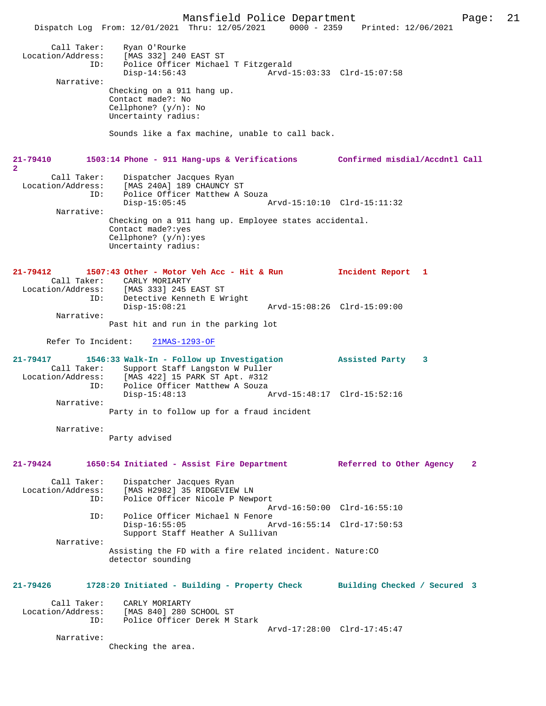Mansfield Police Department Page: 21 Dispatch Log From: 12/01/2021 Thru: 12/05/2021 0000 - 2359 Printed: 12/06/2021 Call Taker: Ryan O'Rourke<br>Location/Address: [MAS 332] 240 [MAS 332] 240 EAST ST ID: Police Officer Michael T Fitzgerald<br>Disp-14:56:43 Arvd-1 Arvd-15:03:33 Clrd-15:07:58 Narrative: Checking on a 911 hang up. Contact made?: No Cellphone? (y/n): No Uncertainty radius: Sounds like a fax machine, unable to call back. **21-79410 1503:14 Phone - 911 Hang-ups & Verifications Confirmed misdial/Accdntl Call 2**  Call Taker: Dispatcher Jacques Ryan Location/Address: [MAS 240A] 189 CHAUNCY ST ID: Police Officer Matthew A Souza<br>Disp-15:05:45 Disp-15:05:45 Arvd-15:10:10 Clrd-15:11:32 Narrative: Checking on a 911 hang up. Employee states accidental. Contact made?:yes Cellphone? (y/n):yes Uncertainty radius: **21-79412 1507:43 Other - Motor Veh Acc - Hit & Run Incident Report 1**  Call Taker: CARLY MORIARTY<br>Location/Address: [MAS 333] 245 E [MAS 333] 245 EAST ST ID: Detective Kenneth E Wright Disp-15:08:21 Arvd-15:08:26 Clrd-15:09:00 Narrative: Past hit and run in the parking lot Refer To Incident: 21MAS-1293-OF **21-79417 1546:33 Walk-In - Follow up Investigation Assisted Party 3**  Call Taker: Support Staff Langston W Puller<br>Location/Address: [MAS 422] 15 PARK ST Apt. #312 Location/Address: [MAS 422] 15 PARK ST Apt. #312 ID: Police Officer Matthew A Souza Disp-15:48:13 Arvd-15:48:17 Clrd-15:52:16 Narrative: Party in to follow up for a fraud incident Narrative: Party advised **21-79424 1650:54 Initiated - Assist Fire Department Referred to Other Agency 2** Call Taker: Dispatcher Jacques Ryan<br>Location/Address: [MAS H2982] 35 RIDGEVIET ess: [MAS H2982] 35 RIDGEVIEW LN<br>ID: Police Officer Nicole P News Police Officer Nicole P Newport Arvd-16:50:00 Clrd-16:55:10<br>TD: Police Officer Michael N Fenore Police Officer Michael N Fenore<br>Disp-16:55:05 Arvd-16:55:14 Clrd-17:50:53 Support Staff Heather A Sullivan Narrative: Assisting the FD with a fire related incident. Nature:CO detector sounding **21-79426 1728:20 Initiated - Building - Property Check Building Checked / Secured 3** Call Taker: CARLY MORIARTY<br>Location/Address: [MAS 840] 280 [MAS 840] 280 SCHOOL ST ID: Police Officer Derek M Stark Arvd-17:28:00 Clrd-17:45:47 Narrative: Checking the area.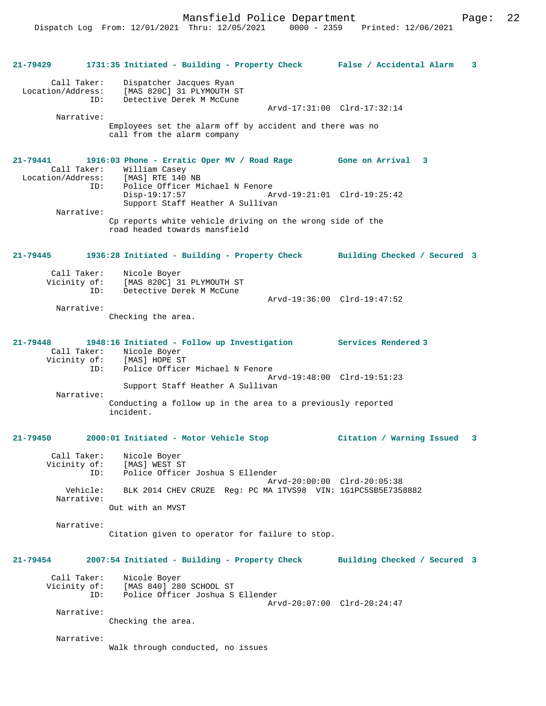| 21-79429     |                        | 1731:35 Initiated - Building - Property Check False / Accidental Alarm                                                                                                                       |                              | $\overline{\mathbf{3}}$ |
|--------------|------------------------|----------------------------------------------------------------------------------------------------------------------------------------------------------------------------------------------|------------------------------|-------------------------|
|              | Call Taker:<br>ID:     | Dispatcher Jacques Ryan<br>Location/Address: [MAS 820C] 31 PLYMOUTH ST<br>Detective Derek M McCune                                                                                           |                              |                         |
|              | Narrative:             |                                                                                                                                                                                              | Arvd-17:31:00 Clrd-17:32:14  |                         |
|              |                        | Employees set the alarm off by accident and there was no<br>call from the alarm company                                                                                                      |                              |                         |
| 21-79441     |                        | 1916:03 Phone - Erratic Oper MV / Road Rage Gone on Arrival 3<br>Call Taker: William Casey<br>Location/Address: [MAS] RTE 140 NB<br>ID: Police Officer M:<br>Police Officer Michael N Fenore |                              |                         |
|              |                        | $Disp-19:17:57$<br>Support Staff Heather A Sullivan                                                                                                                                          |                              |                         |
|              | Narrative:             | Cp reports white vehicle driving on the wrong side of the<br>road headed towards mansfield                                                                                                   |                              |                         |
| $21 - 79445$ |                        | 1936:28 Initiated - Building - Property Check Building Checked / Secured 3                                                                                                                   |                              |                         |
|              | Call Taker:<br>ID:     | Nicole Boyer<br>Vicinity of: [MAS 820C] 31 PLYMOUTH ST<br>Detective Derek M McCune                                                                                                           |                              |                         |
|              | Narrative:             |                                                                                                                                                                                              | Arvd-19:36:00 Clrd-19:47:52  |                         |
|              |                        | Checking the area.                                                                                                                                                                           |                              |                         |
| $21 - 79448$ | ID:                    | 1948:16 Initiated - Follow up Investigation Services Rendered 3<br>Call Taker: Nicole Boyer<br>Vicinity of: [MAS] HOPE ST                                                                    |                              |                         |
|              |                        | Police Officer Michael N Fenore<br>Support Staff Heather A Sullivan                                                                                                                          | Arvd-19:48:00 Clrd-19:51:23  |                         |
|              | Narrative:             | Conducting a follow up in the area to a previously reported<br>incident.                                                                                                                     |                              |                         |
|              |                        | 21-79450 2000:01 Initiated - Motor Vehicle Stop                                                                                                                                              | Citation / Warning Issued 3  |                         |
|              | Vicinity of:<br>ID:    | Call Taker: Nicole Boyer<br>[MAS] WEST ST<br>Police Officer Joshua S Ellender                                                                                                                | Arvd-20:00:00 Clrd-20:05:38  |                         |
|              | Vehicle:<br>Narrative: | BLK 2014 CHEV CRUZE Req: PC MA 1TVS98 VIN: 1G1PC5SB5E7358882<br>Out with an MVST                                                                                                             |                              |                         |
|              | Narrative:             | Citation given to operator for failure to stop.                                                                                                                                              |                              |                         |
| 21-79454     |                        | 2007:54 Initiated - Building - Property Check                                                                                                                                                | Building Checked / Secured 3 |                         |
|              | Call Taker:<br>ID:     | Nicole Boyer<br>Vicinity of: [MAS 840] 280 SCHOOL ST<br>Police Officer Joshua S Ellender                                                                                                     | Arvd-20:07:00 Clrd-20:24:47  |                         |
|              | Narrative:             | Checking the area.                                                                                                                                                                           |                              |                         |
|              | Narrative:             | Walk through conducted, no issues                                                                                                                                                            |                              |                         |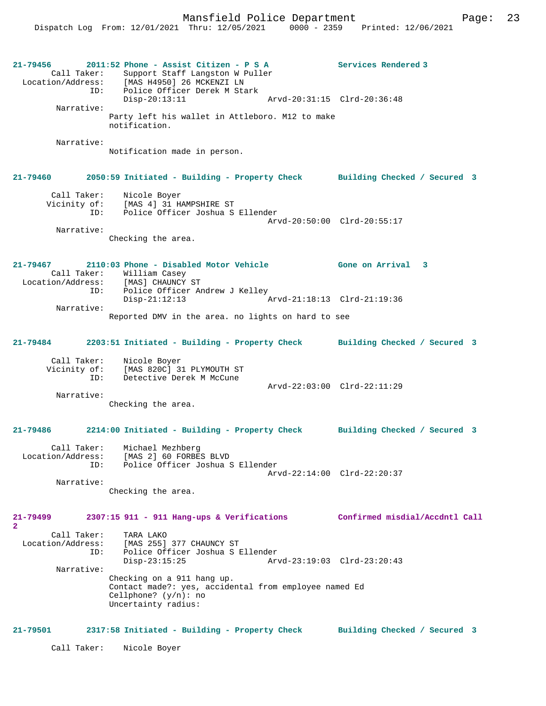Mansfield Police Department Fage: 23

**21-79456 2011:52 Phone - Assist Citizen - P S A Services Rendered 3**  Call Taker: Support Staff Langston W Puller<br>Location/Address: [MAS H4950] 26 MCKENZI LN [MAS H4950] 26 MCKENZI LN ID: Police Officer Derek M Stark Disp-20:13:11 Arvd-20:31:15 Clrd-20:36:48 Narrative: Party left his wallet in Attleboro. M12 to make notification. Narrative: Notification made in person. **21-79460 2050:59 Initiated - Building - Property Check Building Checked / Secured 3** Call Taker: Nicole Boyer Vicinity of: [MAS 4] 31 HAMPSHIRE ST<br>ID: Police Officer Joshua S Police Officer Joshua S Ellender Arvd-20:50:00 Clrd-20:55:17 Narrative: Checking the area. **21-79467 2110:03 Phone - Disabled Motor Vehicle Gone on Arrival 3**  Call Taker: William Casey<br>ion/Address: [MAS] CHAUNCY ST: Location/Address: ID: Police Officer Andrew J Kelley<br>Disp-21:12:13 Disp-21:12:13 Arvd-21:18:13 Clrd-21:19:36 Narrative: Reported DMV in the area. no lights on hard to see **21-79484 2203:51 Initiated - Building - Property Check Building Checked / Secured 3** Call Taker: Nicole Boyer<br>Vicinity of: [MAS 820C] 3 of: [MAS 820C] 31 PLYMOUTH ST<br>TD: Detective Derek M McCune Detective Derek M McCune Arvd-22:03:00 Clrd-22:11:29 Narrative: Checking the area. **21-79486 2214:00 Initiated - Building - Property Check Building Checked / Secured 3** Call Taker: Michael Mezhberg<br>Location/Address: [MAS 2] 60 FORBE Location/Address: [MAS 2] 60 FORBES BLVD ID: Police Officer Joshua S Ellender Arvd-22:14:00 Clrd-22:20:37 Narrative: Checking the area. **21-79499 2307:15 911 - 911 Hang-ups & Verifications Confirmed misdial/Accdntl Call 2**  Call Taker: TARA LAKO Location/Address: [MAS 255] 377 CHAUNCY ST Police Officer Joshua S Ellender<br>Disp-23:15:25 Ary Disp-23:15:25 Arvd-23:19:03 Clrd-23:20:43 Narrative: Checking on a 911 hang up. Contact made?: yes, accidental from employee named Ed Cellphone? (y/n): no Uncertainty radius: **21-79501 2317:58 Initiated - Building - Property Check Building Checked / Secured 3** Call Taker: Nicole Boyer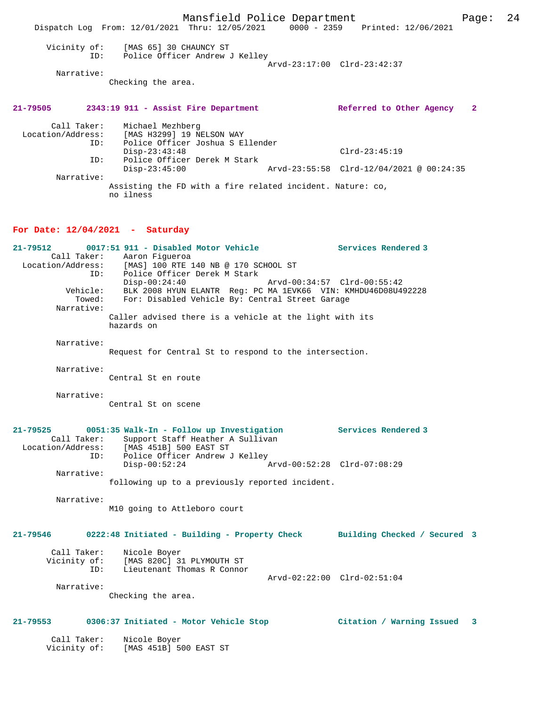Mansfield Police Department Page: 24 Dispatch Log From: 12/01/2021 Thru: 12/05/2021 0000 - 2359 Printed: 12/06/2021 Vicinity of: [MAS 65] 30 CHAUNCY ST ID: Police Officer Andrew J Kelley Arvd-23:17:00 Clrd-23:42:37 Narrative: Checking the area. **21-79505 2343:19 911 - Assist Fire Department Referred to Other Agency 2** Call Taker: Michael Mezhberg Location/Address: [MAS H3299] 19 NELSON WAY ID: Police Officer Joshua S Ellender Disp-23:43:48 Clrd-23:45:19 ID: Police Officer Derek M Stark Disp-23:45:00 Arvd-23:55:58 Clrd-12/04/2021 @ 00:24:35 ID: Police Singley<br>Disp-23:45:00<br>Narrative: Assisting the FD with a fire related incident. Nature: co, no ilness **For Date: 12/04/2021 - Saturday 21-79512 0017:51 911 - Disabled Motor Vehicle Services Rendered 3**  Call Taker: Aaron Figueroa<br>Location/Address: [MAS] 100 RTE ] [MAS] 100 RTE 140 NB @ 170 SCHOOL ST ID: Police Officer Derek M Stark Disp-00:24:40 Arvd-00:34:57 Clrd-00:55:42 Vehicle: BLK 2008 HYUN ELANTR Reg: PC MA 1EVK66 VIN: KMHDU46D08U492228 Towed: For: Disabled Vehicle By: Central Street Garage Narrative: Caller advised there is a vehicle at the light with its hazards on Narrative: Request for Central St to respond to the intersection. Narrative: Central St en route Narrative: Central St on scene **21-79525 0051:35 Walk-In - Follow up Investigation Services Rendered 3**  Call Taker: Support Staff Heather A Sullivan<br>Location/Address: [MAS 451B] 500 EAST ST ess: [MAS 451B] 500 EAST ST<br>TD: Police Officer Andrew J Police Officer Andrew J Kelley<br>Disp-00:52:24 A Disp-00:52:24 Arvd-00:52:28 Clrd-07:08:29 Narrative: following up to a previously reported incident. Narrative: M10 going to Attleboro court **21-79546 0222:48 Initiated - Building - Property Check Building Checked / Secured 3** Call Taker: Nicole Boyer Vicinity of: [MAS 820C] 31 PLYMOUTH ST ID: Lieutenant Thomas R Connor Arvd-02:22:00 Clrd-02:51:04 Narrative: Checking the area. **21-79553 0306:37 Initiated - Motor Vehicle Stop Citation / Warning Issued 3** Call Taker: Nicole Boyer Vicinity of: [MAS 451B] 500 EAST ST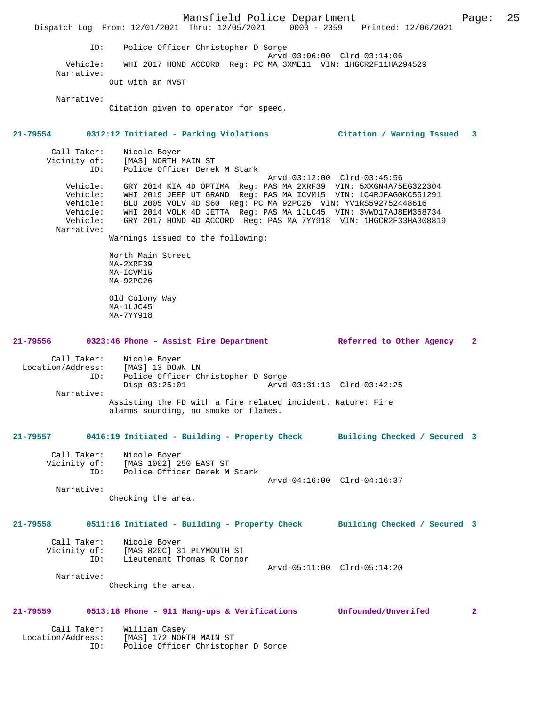Mansfield Police Department Form Page: 25 Dispatch Log From: 12/01/2021 Thru: 12/05/2021 0000 - 2359 Printed: 12/06/2021 ID: Police Officer Christopher D Sorge Arvd-03:06:00 Clrd-03:14:06<br>Vehicle: WHI 2017 HOND ACCORD Reg: PC MA 3XME11 VIN: 1HGCR2F11HA2 WHI 2017 HOND ACCORD Reg: PC MA 3XME11 VIN: 1HGCR2F11HA294529 Narrative: Out with an MVST Narrative: Citation given to operator for speed. **21-79554 0312:12 Initiated - Parking Violations Citation / Warning Issued 3** Call Taker: Nicole Boyer<br>Vicinity of: [MAS] NORTH 1 Of: [MAS] NORTH MAIN ST<br>ID: [Police Officer Derek Police Officer Derek M Stark Arvd-03:12:00 Clrd-03:45:56 Vehicle: GRY 2014 KIA 4D OPTIMA Reg: PAS MA 2XRF39 VIN: 5XXGN4A75EG322304 Vehicle: WHI 2019 JEEP UT GRAND Reg: PAS MA ICVM15 VIN: 1C4RJFAG0KC551291 Vehicle: BLU 2005 VOLV 4D S60 Reg: PC MA 92PC26 VIN: YV1RS592752448616<br>Vehicle: WHI 2014 VOLK 4D JETTA Reg: PAS MA 1JLC45 VIN: 3VWD17AJ8EM368<br>Vehicle: GRY 2017 HOND 4D ACCORD Reg: PAS MA 7YY918 VIN: 1HGCR2F33HA30 WHI 2014 VOLK 4D JETTA Reg: PAS MA 1JLC45 VIN: 3VWD17AJ8EM368734 GRY 2017 HOND 4D ACCORD Reg: PAS MA 7YY918 VIN: 1HGCR2F33HA308819 Narrative: Warnings issued to the following: North Main Street MA-2XRF39 MA-ICVM15 MA-92PC26 Old Colony Way MA-1LJC45 MA-7YY918 **21-79556 0323:46 Phone - Assist Fire Department Referred to Other Agency 2** Call Taker: Nicole Boyer<br>Location/Address: [MAS] 13 DOW Example of the set of the set of the set of the set of the set of the set of the set of the set of the set of <br>Location of the set of the set of the set of the set of the set of the set of the set of the set of the set of<br> Police Officer Christopher D Sorge<br>Disp-03:25:01 Arvd- Disp-03:25:01 Arvd-03:31:13 Clrd-03:42:25 Narrative: Assisting the FD with a fire related incident. Nature: Fire alarms sounding, no smoke or flames. **21-79557 0416:19 Initiated - Building - Property Check Building Checked / Secured 3** Call Taker: Nicole Boyer Vicinity of: [MAS 1002] 250 EAST ST<br>TD: Police Officer Derek M Police Officer Derek M Stark Arvd-04:16:00 Clrd-04:16:37 Narrative: Checking the area. **21-79558 0511:16 Initiated - Building - Property Check Building Checked / Secured 3** Call Taker: Nicole Boyer Vicinity of: [MAS 820C] 31 PLYMOUTH ST ID: Lieutenant Thomas R Connor Arvd-05:11:00 Clrd-05:14:20 Narrative: Checking the area. **21-79559 0513:18 Phone - 911 Hang-ups & Verifications Unfounded/Unverifed 2** Call Taker: William Casey Location/Address: [MAS] 172 NORTH MAIN ST ID: Police Officer Christopher D Sorge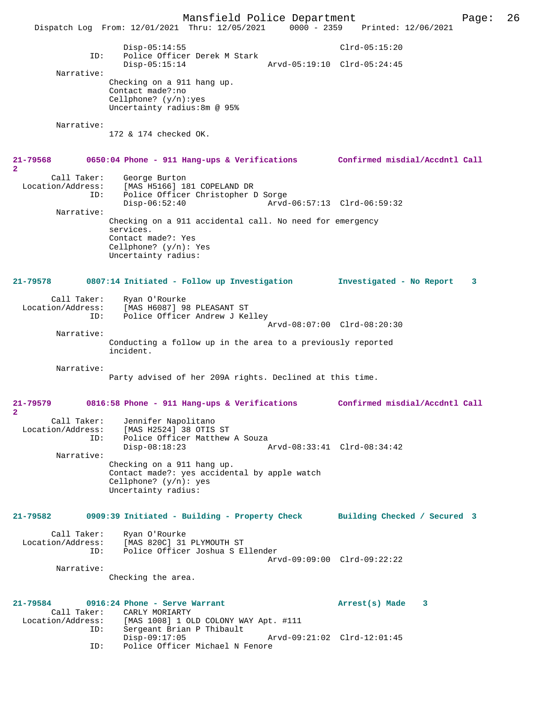Mansfield Police Department Page: 26 Dispatch Log From: 12/01/2021 Thru: 12/05/2021 0000 - 2359 Disp-05:14:55 Clrd-05:15:20 ID: Police Officer Derek M Stark Disp-05:15:14 Arvd-05:19:10 Clrd-05:24:45 Narrative: Checking on a 911 hang up. Contact made?:no Cellphone? (y/n):yes Uncertainty radius:8m @ 95% Narrative: 172 & 174 checked OK. **21-79568 0650:04 Phone - 911 Hang-ups & Verifications Confirmed misdial/Accdntl Call 2**  Call Taker: George Burton Location/Address: [MAS H5166] 181 COPELAND DR ID: Police Officer Christopher D Sorge Disp-06:52:40 Arvd-06:57:13 Clrd-06:59:32 Narrative: Checking on a 911 accidental call. No need for emergency services. Contact made?: Yes Cellphone? (y/n): Yes Uncertainty radius: **21-79578 0807:14 Initiated - Follow up Investigation Investigated - No Report 3** Call Taker: Ryan O'Rourke<br>Location/Address: [MAS H6087] 98 ess: [MAS H6087] 98 PLEASANT ST<br>TD: Police Officer Andrew J Ke Police Officer Andrew J Kelley Arvd-08:07:00 Clrd-08:20:30 Narrative: Conducting a follow up in the area to a previously reported incident. Narrative: Party advised of her 209A rights. Declined at this time. **21-79579 0816:58 Phone - 911 Hang-ups & Verifications Confirmed misdial/Accdntl Call 2**  Call Taker: Jennifer Napolitano<br>Location/Address: [MAS H2524] 38 OTIS ess: [MAS H2524] 38 OTIS ST<br>ID: Police Officer Matthew Police Officer Matthew A Souza<br>Disp-08:18:23 P Disp-08:18:23 Arvd-08:33:41 Clrd-08:34:42 Narrative: Checking on a 911 hang up. Contact made?: yes accidental by apple watch Cellphone? (y/n): yes Uncertainty radius: **21-79582 0909:39 Initiated - Building - Property Check Building Checked / Secured 3** Call Taker: Ryan O'Rourke Location/Address: [MAS 820C] 31 PLYMOUTH ST<br>TD: Police Officer Joshua S E Police Officer Joshua S Ellender Arvd-09:09:00 Clrd-09:22:22 Narrative: Checking the area. **21-79584 0916:24 Phone - Serve Warrant Arrest(s) Made 3**  Call Taker: CARLY MORIARTY<br>Location/Address: [MAS 1008] 1 OI ess: [MAS 1008] 1 OLD COLONY WAY Apt. #111<br>ID: Sergeant Brian P Thibault Sergeant Brian P Thibault<br>Disp-09:17:05 Disp-09:17:05 Arvd-09:21:02 Clrd-12:01:45<br>ID: Police Officer Michael N Fenore Police Officer Michael N Fenore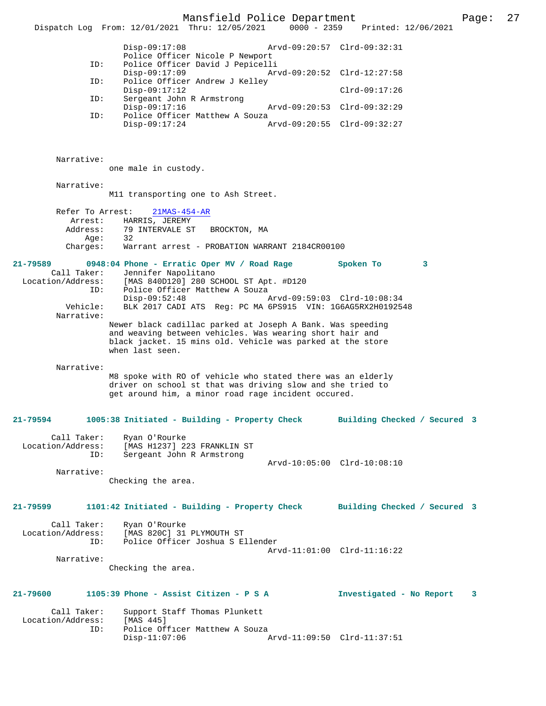Mansfield Police Department Page: 27 Dispatch Log From: 12/01/2021 Thru: 12/05/2021 Disp-09:17:08 Arvd-09:20:57 Clrd-09:32:31 Police Officer Nicole P Newport<br>TD: Police Officer David J Pepicell Police Officer David J Pepicelli<br>Disp-09:17:09 Ar Disp-09:17:09 <br>Disp-09:17:09 Arvd-09:20:52 Clrd-12:27:58<br>Dice Officer Andrew J Kelley Police Officer Andrew J Kelley Disp-09:17:12 Clrd-09:17:26 ID: Sergeant John R Armstrong Disp-09:17:16 Arvd-09:20:53 Clrd-09:32:29<br>TD: Police Officer Matthew A Souza Police Officer Matthew A Souza<br>Disp-09:17:24 A Disp-09:17:24 Arvd-09:20:55 Clrd-09:32:27 Narrative: one male in custody. Narrative: M11 transporting one to Ash Street. Refer To Arrest: 21MAS-454-AR Arrest: HARRIS, JEREMY<br>Address: 79 INTERVALE ST 79 INTERVALE ST BROCKTON, MA<br>32 Age: Charges: Warrant arrest - PROBATION WARRANT 2184CR00100 **21-79589 0948:04 Phone - Erratic Oper MV / Road Rage Spoken To 3**  Call Taker: Jennifer Napolitano Location/Address: [MAS 840D120] 280 SCHOOL ST Apt. #D120 ID: Police Officer Matthew A Souza<br>Disp-09:52:48 Disp-09:52:48 Arvd-09:59:03 Clrd-10:08:34<br>Vehicle: BLK 2017 CADI ATS Reg: PC MA 6PS915 VIN: 1G6AG5RX2H019254 BLK 2017 CADI ATS Reg: PC MA 6PS915 VIN: 1G6AG5RX2H0192548 Narrative: Newer black cadillac parked at Joseph A Bank. Was speeding and weaving between vehicles. Was wearing short hair and black jacket. 15 mins old. Vehicle was parked at the store when last seen. Narrative: M8 spoke with RO of vehicle who stated there was an elderly driver on school st that was driving slow and she tried to get around him, a minor road rage incident occured. **21-79594 1005:38 Initiated - Building - Property Check Building Checked / Secured 3** Call Taker: Ryan O'Rourke<br>Location/Address: [MAS H1237] 2 ess: [MAS H1237] 223 FRANKLIN ST<br>ID: Sergeant John B Armstrong Sergeant John R Armstrong Arvd-10:05:00 Clrd-10:08:10 Narrative: Checking the area. **21-79599 1101:42 Initiated - Building - Property Check Building Checked / Secured 3** Call Taker: Ryan O'Rourke<br>Location/Address: [MAS 820C] 31 ess: [MAS 820C] 31 PLYMOUTH ST<br>ID: Police Officer Joshua S.E. Police Officer Joshua S Ellender Arvd-11:01:00 Clrd-11:16:22 Narrative: Checking the area. **21-79600 1105:39 Phone - Assist Citizen - P S A Investigated - No Report 3** Call Taker: Support Staff Thomas Plunkett<br>.on/Address: [MAS 445] Location/Address:<br>ID: Police Officer Matthew A Souza<br>Disp-11:07:06 2 Disp-11:07:06 Arvd-11:09:50 Clrd-11:37:51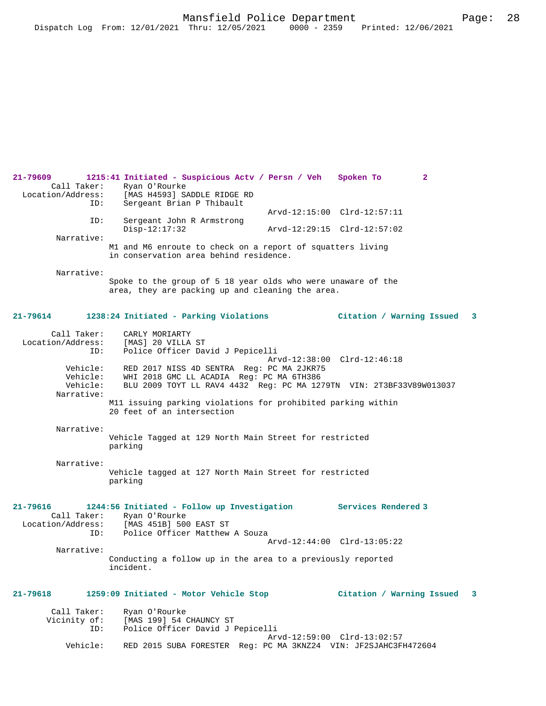**21-79609 1215:41 Initiated - Suspicious Actv / Persn / Veh Spoken To 2**  Call Taker: Ryan O'Rourke<br>Location/Address: [MAS H4593] SA [MAS H4593] SADDLE RIDGE RD ID: Sergeant Brian P Thibault Arvd-12:15:00 Clrd-12:57:11<br>ID: Sergeant John R Armstrong Sergeant John R Armstrong<br>Disp-12:17:32 Disp-12:17:32 Arvd-12:29:15 Clrd-12:57:02 Narrative: M1 and M6 enroute to check on a report of squatters living in conservation area behind residence. Narrative: Spoke to the group of 5 18 year olds who were unaware of the area, they are packing up and cleaning the area. **21-79614 1238:24 Initiated - Parking Violations Citation / Warning Issued 3** Call Taker: CARLY MORIARTY Location/Address: [MAS] 20 VILLA ST ID: Police Officer David J Pepicelli Arvd-12:38:00 Clrd-12:46:18 Vehicle: RED 2017 NISS 4D SENTRA Reg: PC MA 2JKR75<br>Vehicle: WHI 2018 GMC LL ACADIA Reg: PC MA 6TH386 Vehicle: WHI 2018 GMC LL ACADIA Reg: PC MA 6TH386 Vehicle: BLU 2009 TOYT LL RAV4 4432 Reg: PC MA 1279TN VIN: 2T3BF33V89W013037 Narrative: M11 issuing parking violations for prohibited parking within 20 feet of an intersection Narrative: Vehicle Tagged at 129 North Main Street for restricted parking Narrative: Vehicle tagged at 127 North Main Street for restricted parking **21-79616 1244:56 Initiated - Follow up Investigation Services Rendered 3**  Call Taker: Ryan O'Rourke<br>Location/Address: [MAS 451B] 500 ess: [MAS 451B] 500 EAST ST<br>ID: Police Officer Matthew Police Officer Matthew A Souza Arvd-12:44:00 Clrd-13:05:22 Narrative: Conducting a follow up in the area to a previously reported incident. **21-79618 1259:09 Initiated - Motor Vehicle Stop Citation / Warning Issued 3** Call Taker: Ryan O'Rourke Vicinity of: [MAS 199] 54 CHAUNCY ST<br>TD: Police Officer David J I Police Officer David J Pepicelli Arvd-12:59:00 Clrd-13:02:57<br>Vebicle: RED 2015 SUBA FORESTER Reg: PC MA 3KNZ24 VIN: JE2SJAHC3FL RED 2015 SUBA FORESTER Reg: PC MA 3KNZ24 VIN: JF2SJAHC3FH472604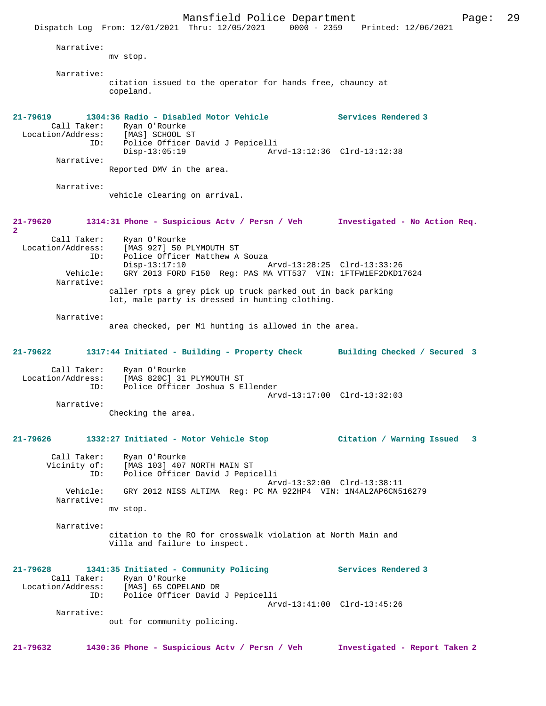Mansfield Police Department Page: 29 Dispatch Log From: 12/01/2021 Thru: 12/05/2021 0000 - 2359 Printed: 12/06/2021 Narrative: mv stop. Narrative: citation issued to the operator for hands free, chauncy at copeland. **21-79619 1304:36 Radio - Disabled Motor Vehicle Services Rendered 3**  Call Taker: Ryan O'Rourke<br>ion/Address: [MAS] SCHOOL ST Location/Address: ID: Police Officer David J Pepicelli Disp-13:05:19 Arvd-13:12:36 Clrd-13:12:38 Narrative: Reported DMV in the area. Narrative: vehicle clearing on arrival. **21-79620 1314:31 Phone - Suspicious Actv / Persn / Veh Investigated - No Action Req. 2**  Call Taker: Ryan O'Rourke Location/Address: [MAS 927] 50 PLYMOUTH ST ID: Police Officer Matthew A Souza Disp-13:17:10 Arvd-13:28:25 Clrd-13:33:26<br>Vehicle: GRY 2013 FORD F150 Reg: PAS MA VTT537 VIN: 1FTFW1EF2DKD1 GRY 2013 FORD F150 Reg: PAS MA VTT537 VIN: 1FTFW1EF2DKD17624 Narrative: caller rpts a grey pick up truck parked out in back parking lot, male party is dressed in hunting clothing. Narrative: area checked, per M1 hunting is allowed in the area. **21-79622 1317:44 Initiated - Building - Property Check Building Checked / Secured 3** Call Taker: Ryan O'Rourke Location/Address: [MAS 820C] 31 PLYMOUTH ST<br>ID: Police Officer Joshua S E Police Officer Joshua S Ellender Arvd-13:17:00 Clrd-13:32:03 Narrative: Checking the area. **21-79626 1332:27 Initiated - Motor Vehicle Stop Citation / Warning Issued 3** Call Taker: Ryan O'Rourke Vicinity of: [MAS 103] 407 NORTH MAIN ST ID: Police Officer David J Pepicelli Arvd-13:32:00 Clrd-13:38:11 Vehicle: GRY 2012 NISS ALTIMA Reg: PC MA 922HP4 VIN: 1N4AL2AP6CN516279 Narrative: mv stop. Narrative: citation to the RO for crosswalk violation at North Main and Villa and failure to inspect. **21-79628 1341:35 Initiated - Community Policing Services Rendered 3**  Call Taker: Ryan O'Rourke Location/Address: [MAS] 65 COPELAND DR ID: Police Officer David J Pepicelli Arvd-13:41:00 Clrd-13:45:26 Narrative: out for community policing. **21-79632 1430:36 Phone - Suspicious Actv / Persn / Veh Investigated - Report Taken 2**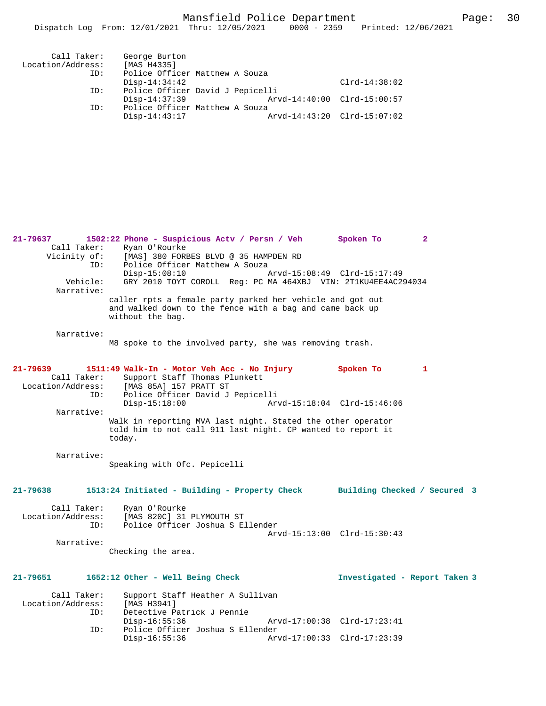| Call Taker:<br>Location/Address:<br>ID: | George Burton<br>[MAS H4335]<br>Police Officer Matthew A Souza |                 |
|-----------------------------------------|----------------------------------------------------------------|-----------------|
|                                         | $Disp-14:34:42$                                                | $Clrd-14:38:02$ |
| ID:                                     | Police Officer David J Pepicelli                               |                 |
|                                         | $Disp-14:37:39$<br>Arvd-14:40:00 Clrd-15:00:57                 |                 |
| ID:                                     | Police Officer Matthew A Souza                                 |                 |
|                                         | $Disp-14:43:17$<br>Arvd-14:43:20 Clrd-15:07:02                 |                 |

**21-79637 1502:22 Phone - Suspicious Actv / Persn / Veh Spoken To 2**  Call Taker: Ryan O'Rourke<br>Vicinity of: [MAS] 380 FOR of: [MAS] 380 FORBES BLVD @ 35 HAMPDEN RD<br>TD: Police Officer Matthew A Souza Police Officer Matthew A Souza<br>Disp-15:08:10 / Disp-15:08:10 Arvd-15:08:49 Clrd-15:17:49 Vehicle: GRY 2010 TOYT COROLL Reg: PC MA 464XBJ VIN: 2T1KU4EE4AC294034 Narrative: caller rpts a female party parked her vehicle and got out and walked down to the fence with a bag and came back up without the bag. Narrative: M8 spoke to the involved party, she was removing trash. **21-79639 1511:49 Walk-In - Motor Veh Acc - No Injury Spoken To 1**  Call Taker: Support Staff Thomas Plunkett<br>Location/Address: [MAS 85A] 157 PRATT ST [MAS 85A] 157 PRATT ST ID: Police Officer David J Pepicelli Disp-15:18:00 Arvd-15:18:04 Clrd-15:46:06 Narrative: Walk in reporting MVA last night. Stated the other operator told him to not call 911 last night. CP wanted to report it today. Narrative: Speaking with Ofc. Pepicelli **21-79638 1513:24 Initiated - Building - Property Check Building Checked / Secured 3** Call Taker: Ryan O'Rourke Location/Address: [MAS 820C] 31 PLYMOUTH ST<br>ID: Police Officer Joshua S E Police Officer Joshua S Ellender Arvd-15:13:00 Clrd-15:30:43 Narrative: Checking the area. **21-79651 1652:12 Other - Well Being Check Investigated - Report Taken 3** Call Taker: Support Staff Heather A Sullivan<br>.on/Address: [MAS H3941] Location/Address:<br>ID: Detective Patrick J Pennie<br>Disp-16:55:36 Disp-16:55:36 Arvd-17:00:38 Clrd-17:23:41 ID: Police Officer Joshua S Ellender Disp-16:55:36 Arvd-17:00:33 Clrd-17:23:39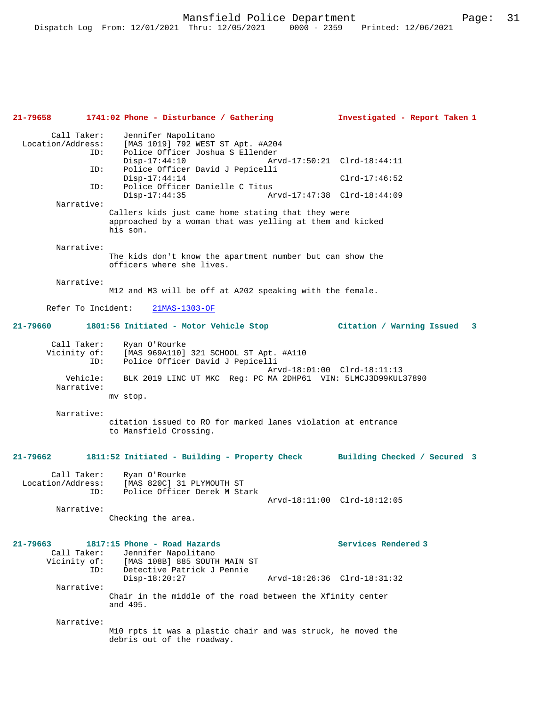**21-79658 1741:02 Phone - Disturbance / Gathering Investigated - Report Taken 1** Call Taker: Jennifer Napolitano<br>Location/Address: [MAS 1019] 792 WEST ess: [MAS 1019] 792 WEST ST Apt. #A204<br>ID: Police Officer Joshua S Ellender ID: Police Officer Joshua S Ellender Disp-17:44:10 Arvd-17:50:21 Clrd-18:44:11 ID: Police Officer David J Pepicelli Disp-17:44:14 Clrd-17:46:52<br>TD: Police Officer Danielle C Titus Police Officer Danielle C Titus<br>Disp-17:44:35 Ar Disp-17:44:35 Arvd-17:47:38 Clrd-18:44:09 Narrative: Callers kids just came home stating that they were approached by a woman that was yelling at them and kicked his son. Narrative: The kids don't know the apartment number but can show the officers where she lives. Narrative: M12 and M3 will be off at A202 speaking with the female. Refer To Incident: 21MAS-1303-OF **21-79660 1801:56 Initiated - Motor Vehicle Stop Citation / Warning Issued 3** Call Taker: Ryan O'Rourke<br>Vicinity of: [MAS 969A110] Vicinity of: [MAS 969A110] 321 SCHOOL ST Apt. #A110 ID: Police Officer David J Pepicelli Arvd-18:01:00 Clrd-18:11:13 Vehicle: BLK 2019 LINC UT MKC Reg: PC MA 2DHP61 VIN: 5LMCJ3D99KUL37890 Narrative: mv stop. Narrative: citation issued to RO for marked lanes violation at entrance to Mansfield Crossing. **21-79662 1811:52 Initiated - Building - Property Check Building Checked / Secured 3** Call Taker: Ryan O'Rourke<br>Location/Address: [MAS 820C] 31 ess: [MAS 820C] 31 PLYMOUTH ST<br>ID: Police Officer Derek M Sta Police Officer Derek M Stark Arvd-18:11:00 Clrd-18:12:05 Narrative: Checking the area. **21-79663 1817:15 Phone - Road Hazards Services Rendered 3**  Call Taker: Jennifer Napolitano Vicinity of: [MAS 108B] 885 SOUTH MAIN ST ID: Detective Patrick J Pennie Disp-18:20:27 Arvd-18:26:36 Clrd-18:31:32 Narrative: Chair in the middle of the road between the Xfinity center and 495. Narrative: M10 rpts it was a plastic chair and was struck, he moved the debris out of the roadway.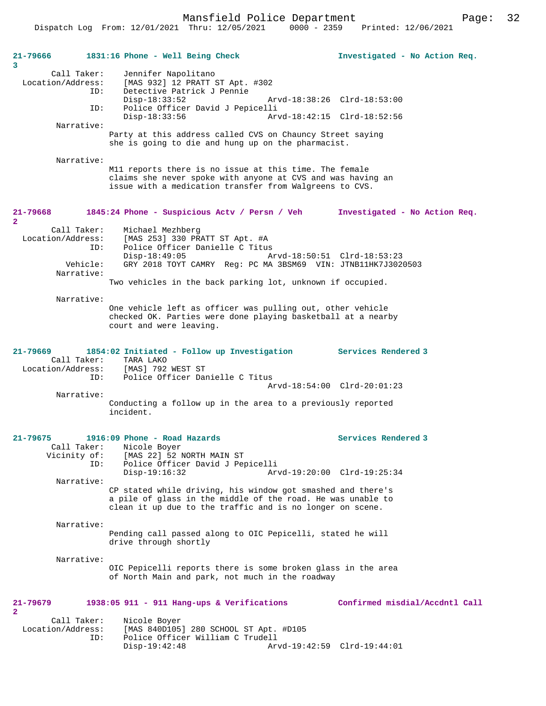Mansfield Police Department Fage: 32

| 21-79666<br>3                  |                                                      | 1831:16 Phone - Well Being Check                                                                                                                                                        | Investigated - No Action Req.  |  |  |
|--------------------------------|------------------------------------------------------|-----------------------------------------------------------------------------------------------------------------------------------------------------------------------------------------|--------------------------------|--|--|
|                                | Call Taker:                                          | Jennifer Napolitano                                                                                                                                                                     |                                |  |  |
|                                | [MAS 932] 12 PRATT ST Apt. #302<br>Location/Address: |                                                                                                                                                                                         |                                |  |  |
|                                | ID:                                                  | Detective Patrick J Pennie<br>$Disp-18:33:52$                                                                                                                                           | Arvd-18:38:26 Clrd-18:53:00    |  |  |
|                                | ID:                                                  | Police Officer David J Pepicelli                                                                                                                                                        |                                |  |  |
|                                | Narrative:                                           | $Disp-18:33:56$                                                                                                                                                                         | Arvd-18:42:15 Clrd-18:52:56    |  |  |
|                                |                                                      | Party at this address called CVS on Chauncy Street saying<br>she is going to die and hung up on the pharmacist.                                                                         |                                |  |  |
|                                | Narrative:                                           |                                                                                                                                                                                         |                                |  |  |
|                                |                                                      | M11 reports there is no issue at this time. The female<br>claims she never spoke with anyone at CVS and was having an<br>issue with a medication transfer from Walgreens to CVS.        |                                |  |  |
| $21 - 79668$<br>$\overline{2}$ |                                                      | 1845:24 Phone - Suspicious Actv / Persn / Veh                                                                                                                                           | Investigated - No Action Req.  |  |  |
| Location/Address:              | Call Taker:                                          | Michael Mezhberg<br>[MAS 253] 330 PRATT ST Apt. #A                                                                                                                                      |                                |  |  |
|                                | ID:                                                  | Police Officer Danielle C Titus<br>$Disp-18:49:05$                                                                                                                                      | Arvd-18:50:51 Clrd-18:53:23    |  |  |
|                                | Vehicle:<br>Narrative:                               | GRY 2018 TOYT CAMRY Reg: PC MA 3BSM69 VIN: JTNB11HK7J3020503                                                                                                                            |                                |  |  |
|                                |                                                      | Two vehicles in the back parking lot, unknown if occupied.                                                                                                                              |                                |  |  |
|                                | Narrative:                                           |                                                                                                                                                                                         |                                |  |  |
|                                |                                                      | One vehicle left as officer was pulling out, other vehicle<br>checked OK. Parties were done playing basketball at a nearby<br>court and were leaving.                                   |                                |  |  |
| $21 - 79669$                   |                                                      | 1854:02 Initiated - Follow up Investigation                                                                                                                                             | Services Rendered 3            |  |  |
| Location/Address:              | Call Taker:                                          | TARA LAKO<br>[MAS] 792 WEST ST                                                                                                                                                          |                                |  |  |
|                                | ID:                                                  | Police Officer Danielle C Titus                                                                                                                                                         | Arvd-18:54:00 Clrd-20:01:23    |  |  |
|                                | Narrative:                                           |                                                                                                                                                                                         |                                |  |  |
|                                |                                                      | Conducting a follow up in the area to a previously reported<br>incident.                                                                                                                |                                |  |  |
| $21 - 79675$                   |                                                      | 1916:09 Phone - Road Hazards                                                                                                                                                            | Services Rendered 3            |  |  |
|                                | Call Taker:<br>Vicinity of:                          | Nicole Boyer<br>[MAS 22] 52 NORTH MAIN ST                                                                                                                                               |                                |  |  |
|                                | ID:                                                  | Police Officer David J Pepicelli<br>$Disp-19:16:32$                                                                                                                                     | Arvd-19:20:00 Clrd-19:25:34    |  |  |
|                                | Narrative:                                           |                                                                                                                                                                                         |                                |  |  |
|                                |                                                      | CP stated while driving, his window got smashed and there's<br>a pile of glass in the middle of the road. He was unable to<br>clean it up due to the traffic and is no longer on scene. |                                |  |  |
|                                | Narrative:                                           |                                                                                                                                                                                         |                                |  |  |
|                                |                                                      | Pending call passed along to OIC Pepicelli, stated he will<br>drive through shortly                                                                                                     |                                |  |  |
|                                | Narrative:                                           |                                                                                                                                                                                         |                                |  |  |
|                                |                                                      | OIC Pepicelli reports there is some broken glass in the area<br>of North Main and park, not much in the roadway                                                                         |                                |  |  |
| $21 - 79679$<br>$\mathbf{2}$   |                                                      | $1938:05$ 911 - 911 Hang-ups & Verifications                                                                                                                                            | Confirmed misdial/Accdntl Call |  |  |
|                                | Call Taker:                                          | Nicole Boyer                                                                                                                                                                            |                                |  |  |
| Location/Address:              | ID:                                                  | [MAS 840D105] 280 SCHOOL ST Apt. #D105<br>Police Officer William C Trudell<br>$Disp-19:42:48$                                                                                           | Arvd-19:42:59 Clrd-19:44:01    |  |  |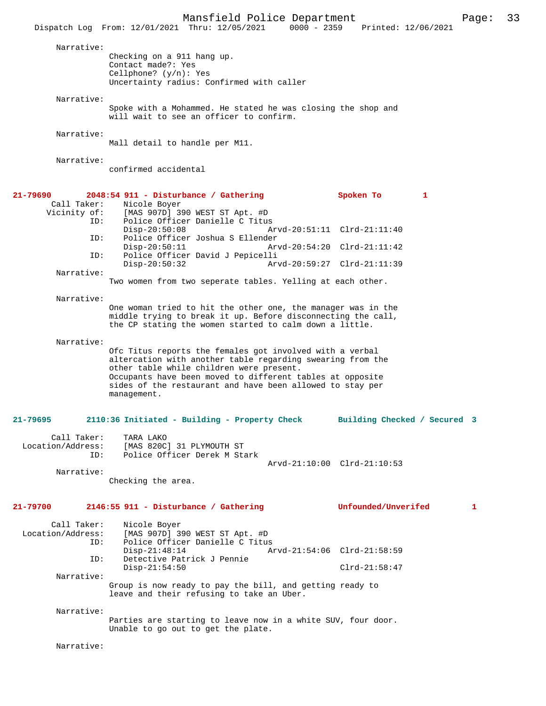Mansfield Police Department Page: 33 Dispatch Log From: 12/01/2021 Thru: 12/05/2021 0000 - 2359 Narrative: Checking on a 911 hang up. Contact made?: Yes Cellphone? (y/n): Yes Uncertainty radius: Confirmed with caller Narrative: Spoke with a Mohammed. He stated he was closing the shop and will wait to see an officer to confirm. Narrative: Mall detail to handle per M11. Narrative: confirmed accidental **21-79690 2048:54 911 - Disturbance / Gathering Spoken To 1**  Call Taker: Nicole Boyer<br>Vicinity of: [MAS 907D] 39 of: [MAS 907D] 390 WEST ST Apt. #D<br>ID: Police Officer Danielle C Titus Police Officer Danielle C Titus Disp-20:50:08 Arvd-20:51:11 Clrd-21:11:40<br>ID: Police Officer Joshua S Ellender ID: Police Officer Joshua S Ellender Disp-20:50:11 Arvd-20:54:20 Clrd-21:11:42 ID: Police Officer David J Pepicelli Disp-20:50:32 Arvd-20:59:27 Clrd-21:11:39 Narrative: Two women from two seperate tables. Yelling at each other. Narrative: One woman tried to hit the other one, the manager was in the middle trying to break it up. Before disconnecting the call, the CP stating the women started to calm down a little. Narrative: Ofc Titus reports the females got involved with a verbal altercation with another table regarding swearing from the other table while children were present. Occupants have been moved to different tables at opposite sides of the restaurant and have been allowed to stay per management. **21-79695 2110:36 Initiated - Building - Property Check Building Checked / Secured 3** Call Taker: TARA LAKO Location/Address: [MAS 820C] 31 PLYMOUTH ST Police Officer Derek M Stark Arvd-21:10:00 Clrd-21:10:53 Narrative: Checking the area. **21-79700 2146:55 911 - Disturbance / Gathering Unfounded/Unverifed 1** Call Taker: Nicole Boyer<br>Location/Address: [MAS 907D] 3 ess: [MAS 907D] 390 WEST ST Apt. #D<br>ID: Police Officer Danielle C Titus Police Officer Danielle C Titus Disp-21:48:14 <br>
Detective Patrick J Pennie<br>
Detective Patrick J Pennie Detective Patrick J Pennie Disp-21:54:50 Clrd-21:58:47 Narrative: Group is now ready to pay the bill, and getting ready to leave and their refusing to take an Uber. Narrative: Parties are starting to leave now in a white SUV, four door. Unable to go out to get the plate. Narrative: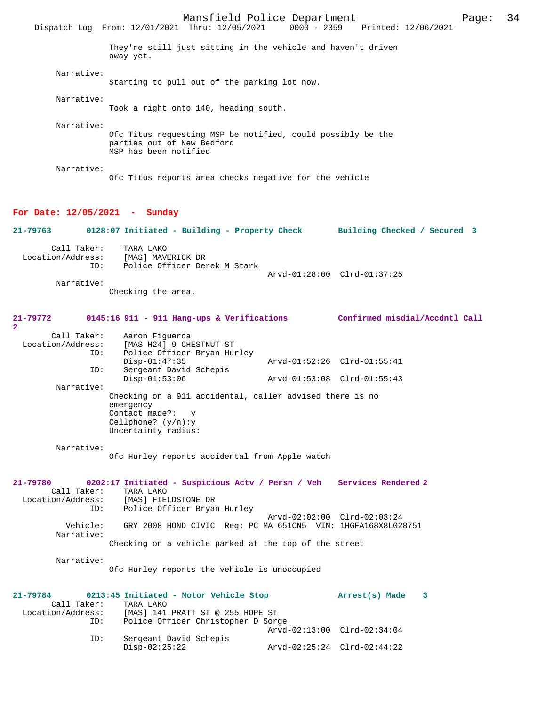Mansfield Police Department Page: 34 Dispatch Log From: 12/01/2021 Thru: 12/05/2021 They're still just sitting in the vehicle and haven't driven away yet. Narrative: Starting to pull out of the parking lot now. Narrative: Took a right onto 140, heading south. Narrative: Ofc Titus requesting MSP be notified, could possibly be the parties out of New Bedford MSP has been notified Narrative: Ofc Titus reports area checks negative for the vehicle **For Date: 12/05/2021 - Sunday 21-79763 0128:07 Initiated - Building - Property Check Building Checked / Secured 3** Call Taker: TARA LAKO<br>.on/Address: [MAS] MAVERICK DR Location/Address: ID: Police Officer Derek M Stark Arvd-01:28:00 Clrd-01:37:25 Narrative: Checking the area. **21-79772 0145:16 911 - 911 Hang-ups & Verifications Confirmed misdial/Accdntl Call** Call Taker: Aaron Figueroa<br>Location/Address: [MAS H24] 9 CHI ess: [MAS H24] 9 CHESTNUT ST<br>ID: Police Officer Bryan Hu Police Officer Bryan Hurley<br>Disp-01:47:35 Disp-01:47:35 Arvd-01:52:26 Clrd-01:55:41<br>TD: Sergeant David Schepis Sergeant David Schepis<br>Disp-01:53:06 Disp-01:53:06 Arvd-01:53:08 Clrd-01:55:43 Narrative: Checking on a 911 accidental, caller advised there is no emergency Contact made?: Cellphone? (y/n):y Uncertainty radius: Narrative: Ofc Hurley reports accidental from Apple watch **21-79780 0202:17 Initiated - Suspicious Actv / Persn / Veh Services Rendered 2**  Call Taker: TARA LAKO Location/Address: [MAS] FIELDSTONE DR Police Officer Bryan Hurley Arvd-02:02:00 Clrd-02:03:24<br>Vehicle: GRY 2008 HOND CIVIC Reg: PC MA 651CN5 VIN: 1HGFA168X8L02 GRY 2008 HOND CIVIC Reg: PC MA 651CN5 VIN: 1HGFA168X8L028751 Narrative: Checking on a vehicle parked at the top of the street Narrative: Ofc Hurley reports the vehicle is unoccupied **21-79784 0213:45 Initiated - Motor Vehicle Stop Arrest(s) Made 3**  Call Taker: TARA LAKO Location/Address: [MAS] 141 PRATT ST @ 255 HOPE ST Police Officer Christopher D Sorge Arvd-02:13:00 Clrd-02:34:04 ID: Sergeant David Schepis<br>Disp-02:25:22 Disp-02:25:22 Arvd-02:25:24 Clrd-02:44:22

**2**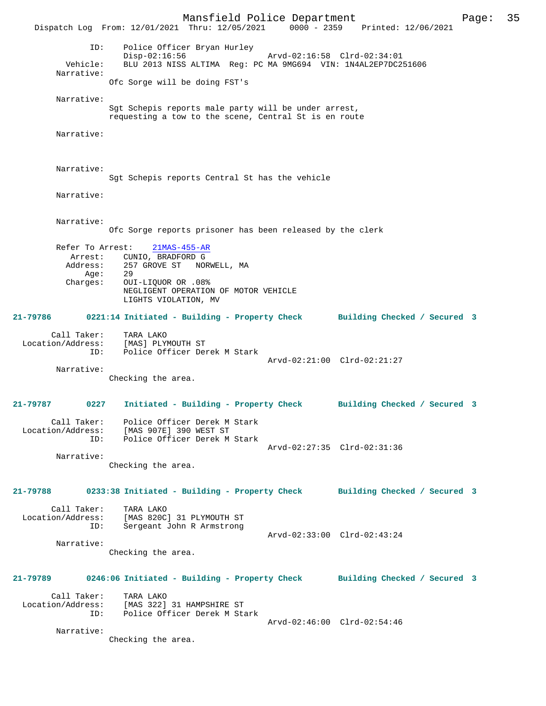Mansfield Police Department Page: 35 Dispatch Log From: 12/01/2021 Thru: 12/05/2021 0000 - 2359 Printed: 12/06/2021 ID: Police Officer Bryan Hurley Disp-02:16:56 Arvd-02:16:58 Clrd-02:34:01<br>Vehicle: BLU 2013 NISS ALTIMA Req: PC MA 9MG694 VIN: 1N4AL2EP7DC2 BLU 2013 NISS ALTIMA Reg: PC MA 9MG694 VIN: 1N4AL2EP7DC251606 Narrative: Ofc Sorge will be doing FST's Narrative: Sgt Schepis reports male party will be under arrest, requesting a tow to the scene, Central St is en route Narrative: Narrative: Sgt Schepis reports Central St has the vehicle Narrative: Narrative: Ofc Sorge reports prisoner has been released by the clerk Refer To Arrest: 21MAS-455-AR Arrest: CUNIO, BRADFORD G Address: 257 GROVE ST NORWELL, MA<br>Age: 29 Age: Charges: OUI-LIQUOR OR .08% NEGLIGENT OPERATION OF MOTOR VEHICLE LIGHTS VIOLATION, MV **21-79786 0221:14 Initiated - Building - Property Check Building Checked / Secured 3** Call Taker: TARA LAKO Location/Address: [MAS] PLYMOUTH ST ID: Police Officer Derek M Stark Arvd-02:21:00 Clrd-02:21:27 Narrative: Checking the area. **21-79787 0227 Initiated - Building - Property Check Building Checked / Secured 3** Call Taker: Police Officer Derek M Stark Location/Address: [MAS 907E] 390 WEST ST ID: Police Officer Derek M Stark Arvd-02:27:35 Clrd-02:31:36 Narrative: Checking the area. **21-79788 0233:38 Initiated - Building - Property Check Building Checked / Secured 3** Call Taker: TARA LAKO<br>Location/Address: [MAS 820C [MAS 820C] 31 PLYMOUTH ST ID: Sergeant John R Armstrong Arvd-02:33:00 Clrd-02:43:24 Narrative: Checking the area. **21-79789 0246:06 Initiated - Building - Property Check Building Checked / Secured 3** Call Taker: TARA LAKO Location/Address: [MAS 322] 31 HAMPSHIRE ST ID: Police Officer Derek M Stark Arvd-02:46:00 Clrd-02:54:46 Narrative: Checking the area.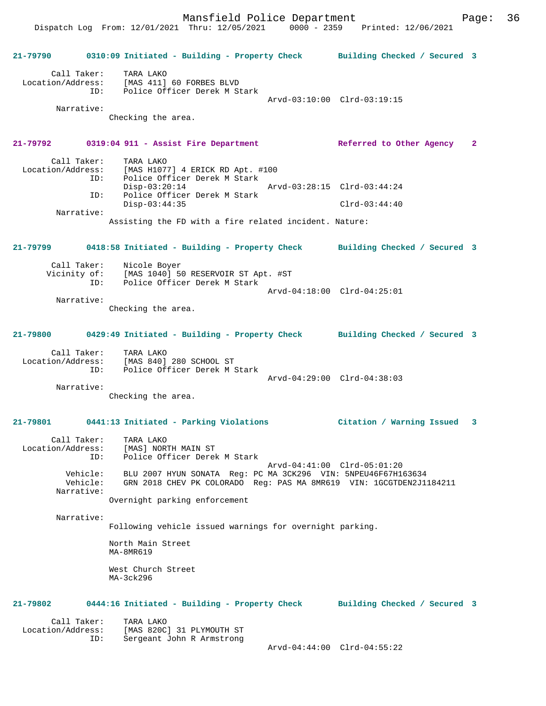Dispatch Log From: 12/01/2021 Thru: 12/05/2021 0000 - 2359 Printed: 12/06/2021

**21-79790 0310:09 Initiated - Building - Property Check Building Checked / Secured 3** Call Taker: TARA LAKO Location/Address: [MAS 411] 60 FORBES BLVD ID: Police Officer Derek M Stark Arvd-03:10:00 Clrd-03:19:15 Narrative: Checking the area. **21-79792 0319:04 911 - Assist Fire Department Referred to Other Agency 2** Call Taker: TARA LAKO<br>Location/Address: [MAS H107] ess: [MAS H1077] 4 ERICK RD Apt. #100<br>ID: Police Officer Derek M Stark Police Officer Derek M Stark Disp-03:20:14 Arvd-03:28:15 Clrd-03:44:24 ID: Police Officer Derek M Stark Disp-03:44:35 Clrd-03:44:40 Narrative: Assisting the FD with a fire related incident. Nature: **21-79799 0418:58 Initiated - Building - Property Check Building Checked / Secured 3** Call Taker: Nicole Boyer<br>Vicinity of: [MAS 1040] 50 of: [MAS 1040] 50 RESERVOIR ST Apt. #ST<br>ID: Police Officer Derek M Stark Police Officer Derek M Stark Arvd-04:18:00 Clrd-04:25:01 Narrative: Checking the area. **21-79800 0429:49 Initiated - Building - Property Check Building Checked / Secured 3** Call Taker: TARA LAKO Location/Address: [MAS 840] 280 SCHOOL ST ID: Police Officer Derek M Stark Arvd-04:29:00 Clrd-04:38:03 Narrative: Checking the area. **21-79801 0441:13 Initiated - Parking Violations Citation / Warning Issued 3** Call Taker: TARA LAKO Location/Address: [MAS] NORTH MAIN ST ID: Police Officer Derek M Stark Arvd-04:41:00 Clrd-05:01:20 Vehicle: BLU 2007 HYUN SONATA Reg: PC MA 3CK296 VIN: 5NPEU46F67H163634 Vehicle: GRN 2018 CHEV PK COLORADO Reg: PAS MA 8MR619 VIN: 1GCGTDEN2J1184211 Narrative: Overnight parking enforcement Narrative: Following vehicle issued warnings for overnight parking. North Main Street MA-8MR619 West Church Street  $MA-3ck296$ **21-79802 0444:16 Initiated - Building - Property Check Building Checked / Secured 3** Call Taker: TARA LAKO<br>Location/Address: [MAS 820C ess: [MAS 820C] 31 PLYMOUTH ST<br>ID: Sergeant John R Armstrong Sergeant John R Armstrong Arvd-04:44:00 Clrd-04:55:22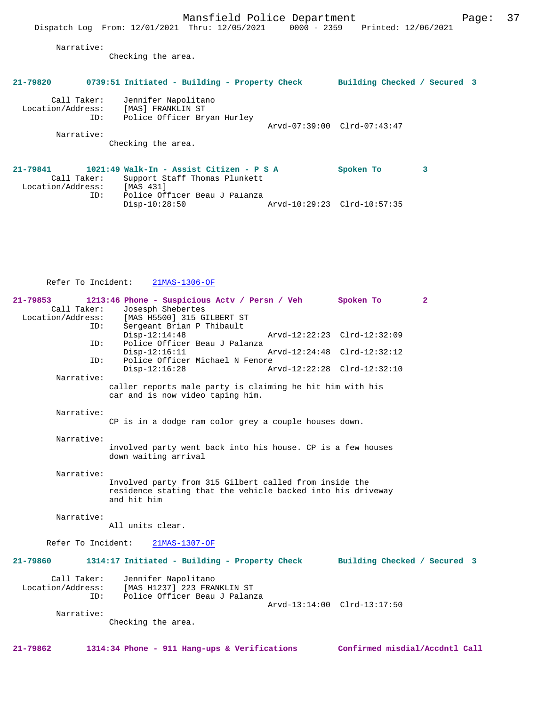Narrative:

Checking the area.

| 21-79820                         |     | 0739:51 Initiated - Building - Property Check                             |  |                             | Building Checked / Secured 3 |   |  |
|----------------------------------|-----|---------------------------------------------------------------------------|--|-----------------------------|------------------------------|---|--|
| Call Taker:<br>Location/Address: | ID: | Jennifer Napolitano<br>[MAS] FRANKLIN ST<br>Police Officer Bryan Hurley   |  |                             |                              |   |  |
|                                  |     |                                                                           |  | Arvd-07:39:00 Clrd-07:43:47 |                              |   |  |
| Narrative:                       |     |                                                                           |  |                             |                              |   |  |
|                                  |     | Checking the area.                                                        |  |                             |                              |   |  |
| 21-79841<br>Call Taker:          |     | 1021:49 Walk-In - Assist Citizen - P S A<br>Support Staff Thomas Plunkett |  |                             | Spoken To                    | з |  |

 Location/Address: [MAS 431] ID: Police Officer Beau J Palanza Disp-10:28:50 Arvd-10:29:23 Clrd-10:57:35

Refer To Incident: 21MAS-1306-OF

| $21 - 79853$       | 1213:46 Phone - Suspicious Acty / Persn / Veh                                       | Spoken To                    | $\mathbf{2}$ |
|--------------------|-------------------------------------------------------------------------------------|------------------------------|--------------|
| Call Taker:        | Josesph Shebertes                                                                   |                              |              |
| Location/Address:  | [MAS H5500] 315 GILBERT ST                                                          |                              |              |
| ID:                | Sergeant Brian P Thibault                                                           |                              |              |
|                    | $Disp-12:14:48$                                                                     | Arvd-12:22:23 Clrd-12:32:09  |              |
| ID:                | Police Officer Beau J Palanza                                                       |                              |              |
|                    | $Disp-12:16:11$                                                                     | Arvd-12:24:48 Clrd-12:32:12  |              |
| ID:                | Police Officer Michael N Fenore                                                     |                              |              |
|                    | $Disp-12:16:28$                                                                     | Arvd-12:22:28 Clrd-12:32:10  |              |
| Narrative:         |                                                                                     |                              |              |
|                    | caller reports male party is claiming he hit him with his                           |                              |              |
|                    | car and is now video taping him.                                                    |                              |              |
|                    |                                                                                     |                              |              |
| Narrative:         |                                                                                     |                              |              |
|                    | CP is in a dodge ram color grey a couple houses down.                               |                              |              |
|                    |                                                                                     |                              |              |
| Narrative:         |                                                                                     |                              |              |
|                    | involved party went back into his house. CP is a few houses<br>down waiting arrival |                              |              |
|                    |                                                                                     |                              |              |
| Narrative:         |                                                                                     |                              |              |
|                    | Involved party from 315 Gilbert called from inside the                              |                              |              |
|                    | residence stating that the vehicle backed into his driveway                         |                              |              |
|                    | and hit him                                                                         |                              |              |
|                    |                                                                                     |                              |              |
| Narrative:         |                                                                                     |                              |              |
|                    | All units clear.                                                                    |                              |              |
|                    |                                                                                     |                              |              |
| Refer To Incident: | 21MAS-1307-OF                                                                       |                              |              |
|                    |                                                                                     |                              |              |
| 21-79860           | 1314:17 Initiated - Building - Property Check                                       | Building Checked / Secured 3 |              |
|                    |                                                                                     |                              |              |
| Call Taker:        | Jennifer Napolitano                                                                 |                              |              |
| Location/Address:  | [MAS H1237] 223 FRANKLIN ST                                                         |                              |              |
| ID:                | Police Officer Beau J Palanza                                                       |                              |              |
|                    |                                                                                     | Arvd-13:14:00 Clrd-13:17:50  |              |
| Narrative:         |                                                                                     |                              |              |
|                    | Checking the area.                                                                  |                              |              |
|                    |                                                                                     |                              |              |
|                    |                                                                                     |                              |              |

**21-79862 1314:34 Phone - 911 Hang-ups & Verifications Confirmed misdial/Accdntl Call**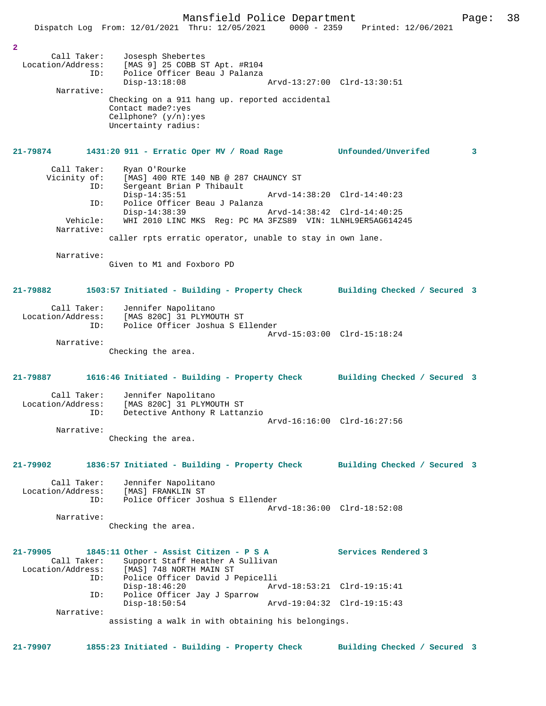| $\overline{a}$<br>Call Taker:<br>Narrative:  | Josesph Shebertes<br>Location/Address: [MAS 9] 25 COBB ST Apt. #R104<br>ID: Police Officer Beau J Palanza<br>Police Officer Beau J Palanza<br>$Disp-13:18:08$<br>Checking on a 911 hang up. reported accidental<br>Contact made?: yes<br>Cellphone? $(y/n):yes$<br>Uncertainty radius: |                             | Arvd-13:27:00 Clrd-13:30:51  |   |
|----------------------------------------------|----------------------------------------------------------------------------------------------------------------------------------------------------------------------------------------------------------------------------------------------------------------------------------------|-----------------------------|------------------------------|---|
| 21-79874                                     | 1431:20 911 - Erratic Oper MV / Road Rage                                                                                                                                                                                                                                              |                             | Unfounded/Unverifed          | 3 |
| Call Taker:<br>Vicinity of:<br>ID:<br>ID:    | Ryan O'Rourke<br>[MAS] 400 RTE 140 NB @ 287 CHAUNCY ST<br>Sergeant Brian P Thibault<br>$Disp-14:35:51$<br>Police Officer Beau J Palanza                                                                                                                                                | Arvd-14:38:20 Clrd-14:40:23 |                              |   |
| Vehicle:                                     | $Disp-14:38:39$<br>WHI 2010 LINC MKS Reg: PC MA 3FZS89 VIN: 1LNHL9ER5AG614245                                                                                                                                                                                                          |                             |                              |   |
| Narrative:                                   | caller rpts erratic operator, unable to stay in own lane.                                                                                                                                                                                                                              |                             |                              |   |
| Narrative:                                   | Given to M1 and Foxboro PD                                                                                                                                                                                                                                                             |                             |                              |   |
| 21-79882                                     | 1503:57 Initiated - Building - Property Check Building Checked / Secured 3                                                                                                                                                                                                             |                             |                              |   |
| Call Taker:<br>Location/Address:<br>ID:      | Jennifer Napolitano<br>[MAS 820C] 31 PLYMOUTH ST<br>Police Officer Joshua S Ellender                                                                                                                                                                                                   |                             |                              |   |
| Narrative:                                   |                                                                                                                                                                                                                                                                                        |                             | Arvd-15:03:00 Clrd-15:18:24  |   |
|                                              | Checking the area.                                                                                                                                                                                                                                                                     |                             |                              |   |
| 21-79887                                     | 1616:46 Initiated - Building - Property Check Building Checked / Secured 3                                                                                                                                                                                                             |                             |                              |   |
| Call Taker:<br>Location/Address:<br>ID:      | Jennifer Napolitano<br>[MAS 820C] 31 PLYMOUTH ST<br>Detective Anthony R Lattanzio                                                                                                                                                                                                      | Arvd-16:16:00 Clrd-16:27:56 |                              |   |
| Narrative:                                   | Checking the area.                                                                                                                                                                                                                                                                     |                             |                              |   |
|                                              |                                                                                                                                                                                                                                                                                        |                             |                              |   |
| 21-79902                                     | 1836:57 Initiated - Building - Property Check                                                                                                                                                                                                                                          |                             | Building Checked / Secured 3 |   |
| Call Taker:<br>Location/Address:<br>ID:      | Jennifer Napolitano<br>[MAS] FRANKLIN ST<br>Police Officer Joshua S Ellender                                                                                                                                                                                                           |                             |                              |   |
| Narrative:                                   |                                                                                                                                                                                                                                                                                        |                             | Arvd-18:36:00 Clrd-18:52:08  |   |
|                                              | Checking the area.                                                                                                                                                                                                                                                                     |                             |                              |   |
| 21-79905<br>Call Taker:<br>Location/Address: | 1845:11 Other - Assist Citizen - P S A<br>Support Staff Heather A Sullivan<br>[MAS] 748 NORTH MAIN ST                                                                                                                                                                                  |                             | Services Rendered 3          |   |
| ID:                                          | Police Officer David J Pepicelli<br>$Disp-18:46:20$                                                                                                                                                                                                                                    |                             | Arvd-18:53:21 Clrd-19:15:41  |   |
| ID:                                          | Police Officer Jay J Sparrow<br>$Disp-18:50:54$                                                                                                                                                                                                                                        |                             | Arvd-19:04:32 Clrd-19:15:43  |   |
| Narrative:                                   | assisting a walk in with obtaining his belongings.                                                                                                                                                                                                                                     |                             |                              |   |

**21-79907 1855:23 Initiated - Building - Property Check Building Checked / Secured 3**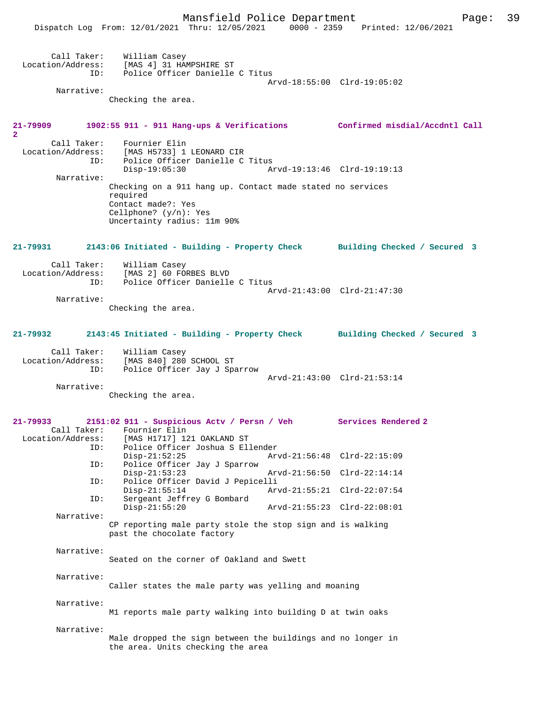Dispatch Log From: 12/01/2021 Thru: 12/05/2021 0000 - 2359 Printed: 12/06/2021

| Location/Address:                       | Call Taker: William Casey<br>[MAS 4] 31 HAMPSHIRE ST                                                                                                    |                             |
|-----------------------------------------|---------------------------------------------------------------------------------------------------------------------------------------------------------|-----------------------------|
| ID:                                     | Police Officer Danielle C Titus                                                                                                                         | Arvd-18:55:00 Clrd-19:05:02 |
| Narrative:                              | Checking the area.                                                                                                                                      |                             |
| 21-79909<br>$\overline{a}$              | 1902:55 911 - 911 Hang-ups & Verifications Confirmed misdial/Accdntl Call                                                                               |                             |
| Call Taker:<br>Location/Address:<br>ID: | Fournier Elin<br>[MAS H5733] 1 LEONARD CIR<br>Police Officer Danielle C Titus                                                                           |                             |
| Narrative:                              | $Disp-19:05:30$                                                                                                                                         | Arvd-19:13:46 Clrd-19:19:13 |
|                                         | Checking on a 911 hang up. Contact made stated no services<br>required<br>Contact made?: Yes<br>Cellphone? $(y/n)$ : Yes<br>Uncertainty radius: 11m 90% |                             |
|                                         | 21-79931 2143:06 Initiated - Building - Property Check Building Checked / Secured 3                                                                     |                             |
|                                         | Call Taker: William Casey<br>Location/Address: [MAS 2] 60 FORBES BLVD                                                                                   |                             |
| ID:                                     | Police Officer Danielle C Titus                                                                                                                         | Arvd-21:43:00 Clrd-21:47:30 |
| Narrative:                              | Checking the area.                                                                                                                                      |                             |
|                                         |                                                                                                                                                         |                             |
| 21-79932                                | 2143:45 Initiated - Building - Property Check Building Checked / Secured 3                                                                              |                             |
| ID:                                     | Call Taker: William Casey<br>Location/Address: [MAS 840] 280 SCHOOL ST<br>Police Officer Jay J Sparrow                                                  |                             |
| Narrative:                              |                                                                                                                                                         | Arvd-21:43:00 Clrd-21:53:14 |
|                                         | Checking the area.                                                                                                                                      |                             |
| 21-79933                                | 2151:02 911 - Suspicious Actv / Persn / Veh Services Rendered 2                                                                                         |                             |
| Location/Address:<br>ID:                | Call Taker: Fournier Elin<br>[MAS H1717] 121 OAKLAND ST<br>Police Officer Joshua S Ellender                                                             |                             |
| ID:                                     | $Disp-21:52:25$<br>Police Officer Jay J Sparrow                                                                                                         | Arvd-21:56:48 Clrd-22:15:09 |
| ID:                                     | $Disp-21:53:23$<br>Police Officer David J Pepicelli                                                                                                     | Arvd-21:56:50 Clrd-22:14:14 |
| ID:                                     | $Disp-21:55:14$<br>Sergeant Jeffrey G Bombard                                                                                                           | Arvd-21:55:21 Clrd-22:07:54 |
| Narrative:                              | $Disp-21:55:20$                                                                                                                                         | Arvd-21:55:23 Clrd-22:08:01 |
|                                         | CP reporting male party stole the stop sign and is walking<br>past the chocolate factory                                                                |                             |
| Narrative:                              |                                                                                                                                                         |                             |
|                                         | Seated on the corner of Oakland and Swett                                                                                                               |                             |
| Narrative:                              | Caller states the male party was yelling and moaning                                                                                                    |                             |
| Narrative:                              |                                                                                                                                                         |                             |
|                                         | M1 reports male party walking into building D at twin oaks                                                                                              |                             |
| Narrative:                              | Male dropped the sign between the buildings and no longer in<br>the area. Units checking the area                                                       |                             |
|                                         |                                                                                                                                                         |                             |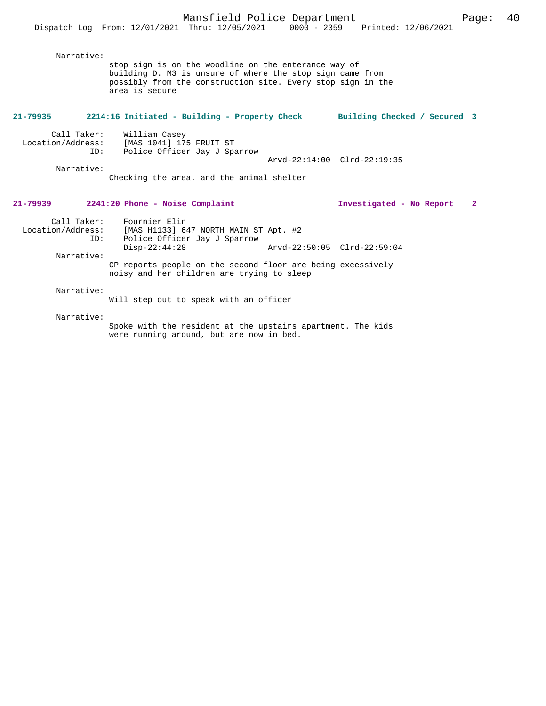| Narrative:                                            | stop sign is on the woodline on the enterance way of<br>building D. M3 is unsure of where the stop sign came from<br>possibly from the construction site. Every stop sign in the<br>area is secure |                             |                              |              |
|-------------------------------------------------------|----------------------------------------------------------------------------------------------------------------------------------------------------------------------------------------------------|-----------------------------|------------------------------|--------------|
| 21-79935                                              | 2214:16 Initiated - Building - Property Check                                                                                                                                                      |                             | Building Checked / Secured 3 |              |
| Call Taker:<br>Location/Address:<br>ID:<br>Narrative: | William Casey<br>[MAS 1041] 175 FRUIT ST<br>Police Officer Jay J Sparrow<br>Checking the area, and the animal shelter                                                                              | Arvd-22:14:00 Clrd-22:19:35 |                              |              |
| 21-79939                                              | 2241:20 Phone - Noise Complaint                                                                                                                                                                    |                             | Investigated - No Report     | $\mathbf{2}$ |
| ID:<br>Narrative:                                     | Call Taker: Fournier Elin<br>Location/Address: [MAS H1133] 647 NORTH MAIN ST Apt. #2<br>Police Officer Jay J Sparrow<br>$Disp-22:44:28$                                                            | Arvd-22:50:05 Clrd-22:59:04 |                              |              |
|                                                       | CP reports people on the second floor are being excessively<br>noisy and her children are trying to sleep                                                                                          |                             |                              |              |
| Narrative:                                            | Will step out to speak with an officer                                                                                                                                                             |                             |                              |              |
| Narrative:                                            | Spoke with the resident at the upstairs apartment. The kids<br>were running around, but are now in bed.                                                                                            |                             |                              |              |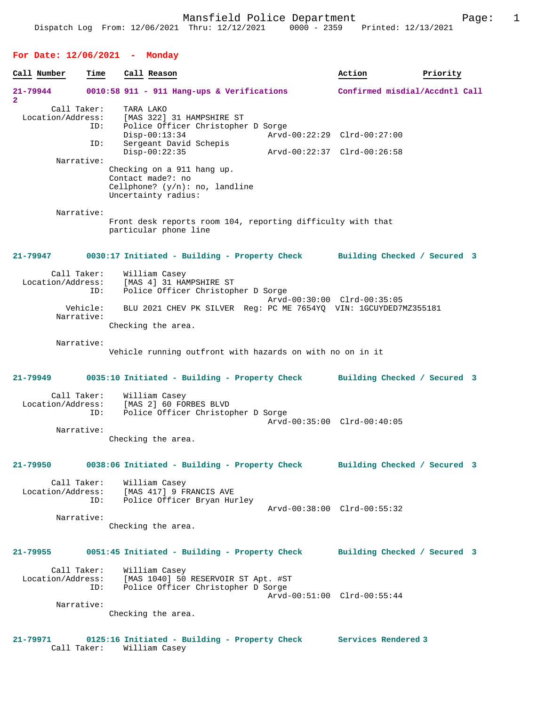### **For Date: 12/06/2021 - Monday**

| Call Number                         | Time               | Call Reason                                                                                                                                            | Action                         | Priority |
|-------------------------------------|--------------------|--------------------------------------------------------------------------------------------------------------------------------------------------------|--------------------------------|----------|
| 21-79944<br>$\overline{\mathbf{2}}$ |                    | 0010:58 911 - 911 Hang-ups & Verifications                                                                                                             | Confirmed misdial/Accdntl Call |          |
| Location/Address:                   | Call Taker:<br>ID: | TARA LAKO<br>[MAS 322] 31 HAMPSHIRE ST<br>Police Officer Christopher D Sorge<br>$Disp-00:13:34$                                                        | Arvd-00:22:29 Clrd-00:27:00    |          |
|                                     | ID:                | Sergeant David Schepis<br>$Disp-00:22:35$                                                                                                              | Arvd-00:22:37 Clrd-00:26:58    |          |
|                                     | Narrative:         |                                                                                                                                                        |                                |          |
|                                     |                    | Checking on a 911 hang up.<br>Contact made?: no<br>Cellphone? $(y/n)$ : no, landline<br>Uncertainty radius:                                            |                                |          |
|                                     | Narrative:         | Front desk reports room 104, reporting difficulty with that<br>particular phone line                                                                   |                                |          |
| 21-79947                            |                    | 0030:17 Initiated - Building - Property Check                                                                                                          | Building Checked / Secured 3   |          |
| Location/Address:                   | Call Taker:<br>ID: | William Casey<br>[MAS 4] 31 HAMPSHIRE ST<br>Police Officer Christopher D Sorge                                                                         | Arvd-00:30:00 Clrd-00:35:05    |          |
|                                     | Vehicle:           | BLU 2021 CHEV PK SILVER Reg: PC ME 7654YQ VIN: 1GCUYDED7MZ355181                                                                                       |                                |          |
|                                     | Narrative:         | Checking the area.                                                                                                                                     |                                |          |
|                                     | Narrative:         | Vehicle running outfront with hazards on with no on in it                                                                                              |                                |          |
| 21-79949                            |                    | 0035:10 Initiated - Building - Property Check                                                                                                          | Building Checked / Secured 3   |          |
| Location/Address:                   | Call Taker:<br>ID: | William Casey<br>[MAS 2] 60 FORBES BLVD<br>Police Officer Christopher D Sorge                                                                          | Arvd-00:35:00 Clrd-00:40:05    |          |
|                                     | Narrative:         | Checking the area.                                                                                                                                     |                                |          |
| 21-79950                            |                    | 0038:06 Initiated - Building - Property Check                                                                                                          | Building Checked / Secured 3   |          |
|                                     | ID:                | Call Taker: William Casey<br>Location/Address: [MAS 417] 9 FRANCIS AVE<br>Police Officer Bryan Hurley                                                  | Arvd-00:38:00 Clrd-00:55:32    |          |
|                                     | Narrative:         | Checking the area.                                                                                                                                     |                                |          |
| 21-79955                            |                    | 0051:45 Initiated - Building - Property Check                                                                                                          | Building Checked / Secured 3   |          |
|                                     | Call Taker:        | William Casey<br>Location/Address: [MAS 1040] 50 RESERVOIR ST Apt. #ST<br>ID: Police Officer Christopher D Sorge<br>Police Officer Christopher D Sorge | Arvd-00:51:00 Clrd-00:55:44    |          |
|                                     | Narrative:         | Checking the area.                                                                                                                                     |                                |          |
| 21-79971                            |                    | 0125:16 Initiated - Building - Property Check                                                                                                          | Services Rendered 3            |          |

Call Taker: William Casey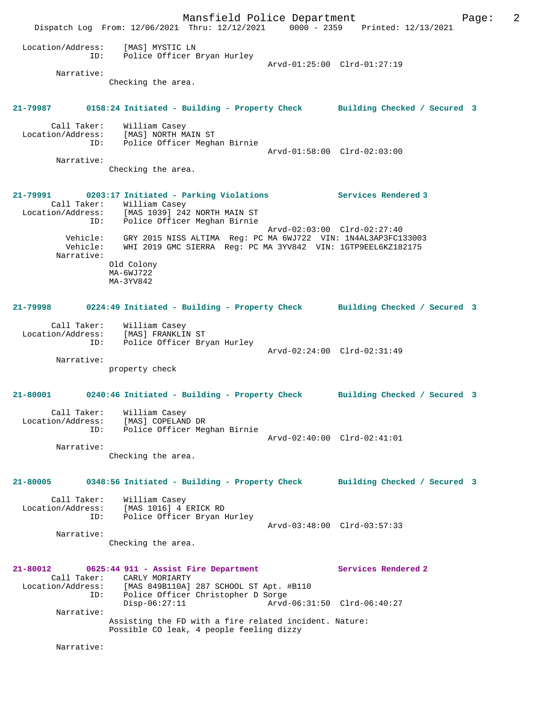Mansfield Police Department Page: 2 Dispatch Log From: 12/06/2021 Thru: 12/12/2021 0000 - 2359 Printed: 12/13/2021 Location/Address: [MAS] MYSTIC LN ID: Police Officer Bryan Hurley MAS] MYSTIC LN<br>Police Officer Bryan Hurley<br>Arvd-01:25:00 Clrd-01:27:19 Narrative: Checking the area. **21-79987 0158:24 Initiated - Building - Property Check Building Checked / Secured 3** Call Taker: William Casey Location/Address: [MAS] NORTH MAIN ST ID: Police Officer Meghan Birnie Arvd-01:58:00 Clrd-02:03:00 Narrative: Checking the area. **21-79991 0203:17 Initiated - Parking Violations Services Rendered 3**  Call Taker: William Casey  $[MAS 1039]$  242 NORTH MAIN ST Police Officer Meghan Birnie Arvd-02:03:00 Clrd-02:27:40 Vehicle: GRY 2015 NISS ALTIMA Reg: PC MA 6WJ722 VIN: 1N4AL3AP3FC133003 Vehicle: WHI 2019 GMC SIERRA Reg: PC MA 3YV842 VIN: 1GTP9EEL6KZ182175 Narrative: Old Colony MA-6WJ722 MA-3YV842 **21-79998 0224:49 Initiated - Building - Property Check Building Checked / Secured 3** Call Taker: William Casey Location/Address: [MAS] FRANKLIN ST ID: Police Officer Bryan Hurley Arvd-02:24:00 Clrd-02:31:49 Narrative: property check **21-80001 0240:46 Initiated - Building - Property Check Building Checked / Secured 3** Call Taker: William Casey Location/Address: [MAS] COPELAND DR ID: Police Officer Meghan Birnie Arvd-02:40:00 Clrd-02:41:01 Narrative: Checking the area. **21-80005 0348:56 Initiated - Building - Property Check Building Checked / Secured 3** Call Taker: William Casey Location/Address: [MAS 1016] 4 ERICK RD ID: Police Officer Bryan Hurley Arvd-03:48:00 Clrd-03:57:33 Narrative: Checking the area. **21-80012 0625:44 911 - Assist Fire Department Services Rendered 2**  Call Taker: CARLY MORIARTY<br>Location/Address: [MAS 849B110A] [MAS 849B110A] 287 SCHOOL ST Apt. #B110 ID: Police Officer Christopher D Sorge Disp-06:27:11 Arvd-06:31:50 Clrd-06:40:27 Narrative: Assisting the FD with a fire related incident. Nature: Possible CO leak, 4 people feeling dizzy Narrative: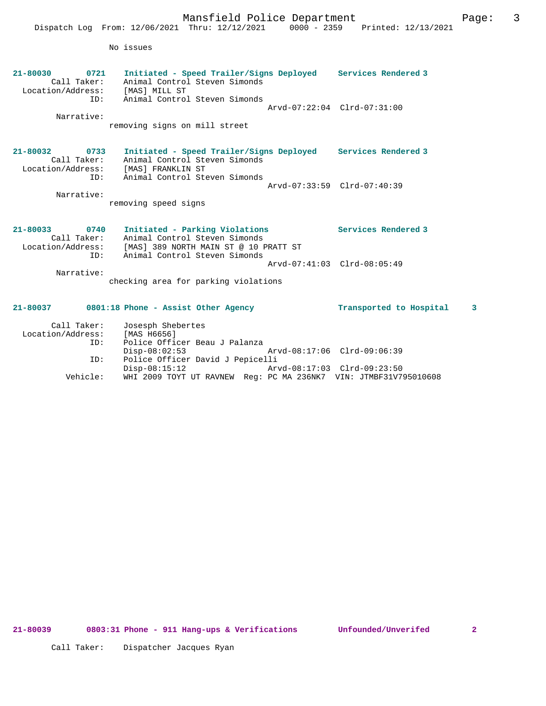|                                                                           | Mansfield Police Department<br>Dispatch Log From: 12/06/2021 Thru: 12/12/2021                                                                                                    |                                                            | 0000 - 2359 Printed: 12/13/2021                    | 3<br>Page: |
|---------------------------------------------------------------------------|----------------------------------------------------------------------------------------------------------------------------------------------------------------------------------|------------------------------------------------------------|----------------------------------------------------|------------|
|                                                                           | No issues                                                                                                                                                                        |                                                            |                                                    |            |
| 21-80030<br>0721<br>Call Taker:<br>Location/Address:<br>ID:<br>Narrative: | Initiated - Speed Trailer/Signs Deployed Services Rendered 3<br>Animal Control Steven Simonds<br>[MAS] MILL ST<br>Animal Control Steven Simonds<br>removing signs on mill street |                                                            | Arvd-07:22:04 Clrd-07:31:00                        |            |
| 21-80032<br>0733<br>Call Taker:<br>Location/Address:<br>ID:               | Initiated - Speed Trailer/Signs Deployed<br>Animal Control Steven Simonds<br>[MAS] FRANKLIN ST<br>Animal Control Steven Simonds                                                  |                                                            | Services Rendered 3<br>Arvd-07:33:59 Clrd-07:40:39 |            |
| Narrative:                                                                | removing speed signs                                                                                                                                                             |                                                            |                                                    |            |
| 21-80033<br>0740<br>Call Taker:<br>Location/Address:<br>ID:               | Initiated - Parking Violations<br>Animal Control Steven Simonds<br>[MAS] 389 NORTH MAIN ST @ 10 PRATT ST<br>Animal Control Steven Simonds                                        |                                                            | Services Rendered 3                                |            |
|                                                                           |                                                                                                                                                                                  |                                                            | Arvd-07:41:03 Clrd-08:05:49                        |            |
| Narrative:                                                                | checking area for parking violations                                                                                                                                             |                                                            |                                                    |            |
| 21-80037                                                                  | 0801:18 Phone - Assist Other Agency                                                                                                                                              |                                                            | Transported to Hospital                            | 3          |
| Call Taker:<br>Location/Address:<br>ID:                                   | Josesph Shebertes<br>[MAS H6656]<br>Police Officer Beau J Palanza                                                                                                                |                                                            |                                                    |            |
| ID:                                                                       | $Disp-08:02:53$<br>Police Officer David J Pepicelli<br>$Disp-08:15:12$                                                                                                           | Arvd-08:17:06 Clrd-09:06:39<br>Arvd-08:17:03 Clrd-09:23:50 |                                                    |            |

Vehicle: WHI 2009 TOYT UT RAVNEW Reg: PC MA 236NK7 VIN: JTMBF31V795010608

Call Taker: Dispatcher Jacques Ryan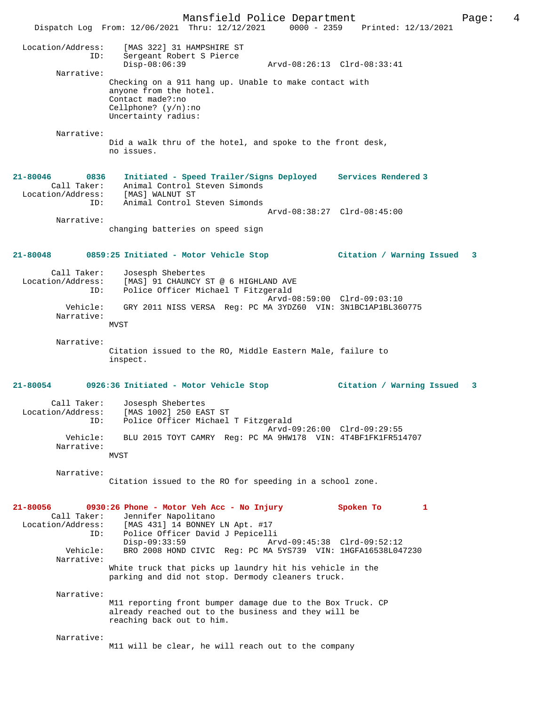Mansfield Police Department Page: 4 Dispatch Log From: 12/06/2021 Thru: 12/12/2021 Location/Address: [MAS 322] 31 HAMPSHIRE ST ID: Sergeant Robert S Pierce Disp-08:06:39 Arvd-08:26:13 Clrd-08:33:41 Narrative: Checking on a 911 hang up. Unable to make contact with anyone from the hotel. Contact made?:no Cellphone? (y/n):no Uncertainty radius: Narrative: Did a walk thru of the hotel, and spoke to the front desk, no issues. **21-80046 0836 Initiated - Speed Trailer/Signs Deployed Services Rendered 3**  Call Taker: Animal Control Steven Simonds Location/Address: [MAS] WALNUT ST ID: Animal Control Steven Simonds Arvd-08:38:27 Clrd-08:45:00 Narrative: changing batteries on speed sign **21-80048 0859:25 Initiated - Motor Vehicle Stop Citation / Warning Issued 3** Call Taker: Josesph Shebertes Location/Address: [MAS] 91 CHAUNCY ST @ 6 HIGHLAND AVE ID: Police Officer Michael T Fitzgerald Arvd-08:59:00 Clrd-09:03:10 Vehicle: GRY 2011 NISS VERSA Reg: PC MA 3YDZ60 VIN: 3N1BC1AP1BL360775 Narrative: MVST Narrative: Citation issued to the RO, Middle Eastern Male, failure to inspect. **21-80054 0926:36 Initiated - Motor Vehicle Stop Citation / Warning Issued 3** Call Taker: Josesph Shebertes Location/Address: [MAS 1002] 250 EAST ST Police Officer Michael T Fitzgerald Arvd-09:26:00 Clrd-09:29:55 Vehicle: BLU 2015 TOYT CAMRY Reg: PC MA 9HW178 VIN: 4T4BF1FK1FR514707 Narrative:  $MVST$  Narrative: Citation issued to the RO for speeding in a school zone. **21-80056 0930:26 Phone - Motor Veh Acc - No Injury Spoken To 1**  Call Taker: Jennifer Napolitano<br>Location/Address: [MAS 431] 14 BONNEY ess: [MAS 431] 14 BONNEY LN Apt. #17<br>ID: Police Officer David J Pepicell ID: Police Officer David J Pepicelli Disp-09:33:59 Arvd-09:45:38 Clrd-09:52:12 Vehicle: BRO 2008 HOND CIVIC Reg: PC MA 5YS739 VIN: 1HGFA16538L047230 Narrative: White truck that picks up laundry hit his vehicle in the parking and did not stop. Dermody cleaners truck. Narrative: M11 reporting front bumper damage due to the Box Truck. CP already reached out to the business and they will be reaching back out to him. Narrative: M11 will be clear, he will reach out to the company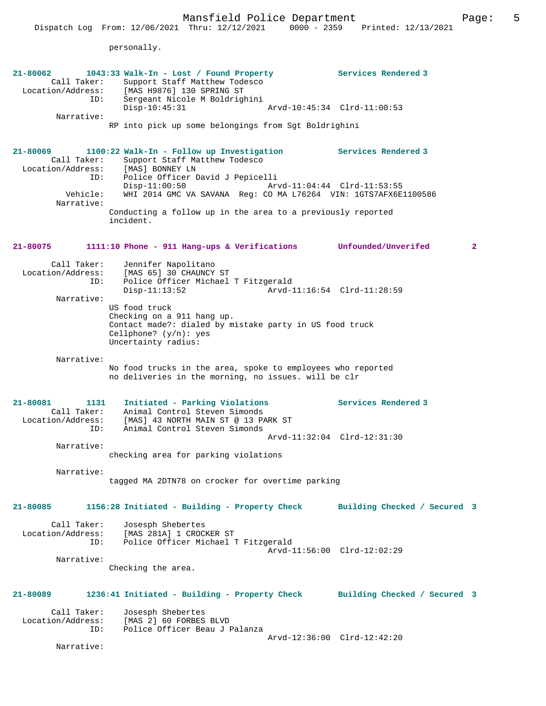|                                                             | Mansfield Police Department<br>Dispatch Log From: 12/06/2021 Thru: 12/12/2021                                                                             | 0000 - 2359 Printed: 12/13/2021 | 5<br>Page:   |
|-------------------------------------------------------------|-----------------------------------------------------------------------------------------------------------------------------------------------------------|---------------------------------|--------------|
|                                                             | personally.                                                                                                                                               |                                 |              |
| 21-80062<br>Call Taker:<br>Location/Address:<br>ID:         | 1043:33 Walk-In - Lost / Found Property<br>Support Staff Matthew Todesco<br>[MAS H9876] 130 SPRING ST<br>Sergeant Nicole M Boldrighini                    | Services Rendered 3             |              |
| Narrative:                                                  | $Disp-10:45:31$                                                                                                                                           | Arvd-10:45:34 Clrd-11:00:53     |              |
|                                                             | RP into pick up some belongings from Sgt Boldrighini                                                                                                      |                                 |              |
| 21-80069<br>Call Taker:<br>ID:                              | 1100:22 Walk-In - Follow up Investigation<br>Support Staff Matthew Todesco<br>Location/Address: [MAS] BONNEY LN<br>Police Officer David J Pepicelli       | Services Rendered 3             |              |
| Vehicle:                                                    | $Disp-11:00:50$<br>WHI 2014 GMC VA SAVANA Req: CO MA L76264 VIN: 1GTS7AFX6E1100586                                                                        | Arvd-11:04:44 Clrd-11:53:55     |              |
| Narrative:                                                  | Conducting a follow up in the area to a previously reported<br>incident.                                                                                  |                                 |              |
| 21-80075                                                    | $1111:10$ Phone - 911 Hang-ups & Verifications                                                                                                            | Unfounded/Unverifed             | $\mathbf{2}$ |
| Call Taker:<br>Location/Address:<br>ID:                     | Jennifer Napolitano<br>[MAS 65] 30 CHAUNCY ST<br>Police Officer Michael T Fitzgerald<br>Disp-11:13:52                                                     | Arvd-11:16:54 Clrd-11:28:59     |              |
| Narrative:                                                  | US food truck<br>Checking on a 911 hang up.<br>Contact made?: dialed by mistake party in US food truck<br>Cellphone? $(y/n)$ : yes<br>Uncertainty radius: |                                 |              |
| Narrative:                                                  | No food trucks in the area, spoke to employees who reported<br>no deliveries in the morning, no issues. will be clr                                       |                                 |              |
| 21-80081<br>1131<br>Call Taker:<br>Location/Address:<br>ID: | Initiated - Parking Violations<br>Animal Control Steven Simonds<br>[MAS] 43 NORTH MAIN ST @ 13 PARK ST<br>Animal Control Steven Simonds                   | Services Rendered 3             |              |
| Narrative:                                                  | checking area for parking violations                                                                                                                      | Arvd-11:32:04 Clrd-12:31:30     |              |
| Narrative:                                                  | tagged MA 2DTN78 on crocker for overtime parking                                                                                                          |                                 |              |
| 21-80085                                                    | 1156:28 Initiated - Building - Property Check                                                                                                             | Building Checked / Secured 3    |              |
| Call Taker:<br>Location/Address:<br>ID:                     | Josesph Shebertes<br>[MAS 281A] 1 CROCKER ST<br>Police Officer Michael T Fitzgerald                                                                       | Arvd-11:56:00 Clrd-12:02:29     |              |
| Narrative:                                                  |                                                                                                                                                           |                                 |              |

Checking the area.

| 21-80089 | 1236:41 Initiated - Building - Property Check | Building Checked / Secured 3 |
|----------|-----------------------------------------------|------------------------------|
|          |                                               |                              |

| Call Taker:<br>Location/Address:<br>TD: | Josesph Shebertes<br>[MAS 2] 60 FORBES BLVD<br>Police Officer Beau J Palanza |                             |  |
|-----------------------------------------|------------------------------------------------------------------------------|-----------------------------|--|
|                                         |                                                                              | Arvd-12:36:00 Clrd-12:42:20 |  |

Narrative: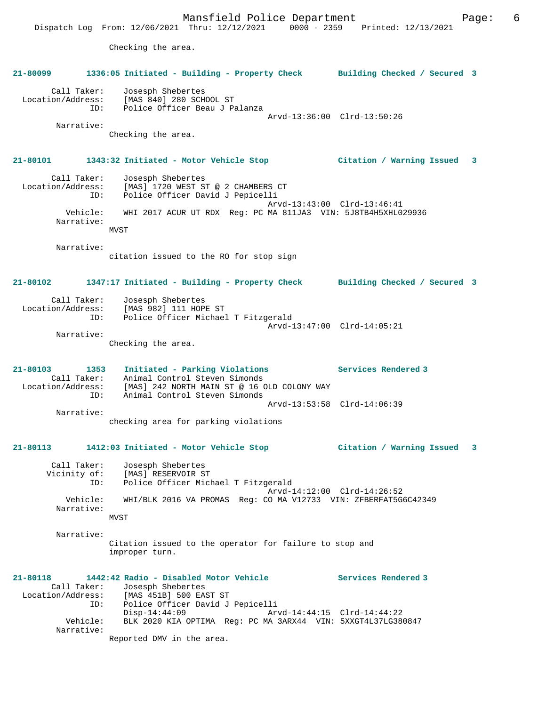Mansfield Police Department Fage: 6 Dispatch Log From: 12/06/2021 Thru: 12/12/2021 0000 - 2359 Printed: 12/13/2021 Checking the area. **21-80099 1336:05 Initiated - Building - Property Check Building Checked / Secured 3** Call Taker: Josesph Shebertes Location/Address: [MAS 840] 280 SCHOOL ST ID: Police Officer Beau J Palanza Arvd-13:36:00 Clrd-13:50:26 Narrative: Checking the area. **21-80101 1343:32 Initiated - Motor Vehicle Stop Citation / Warning Issued 3** Call Taker: Josesph Shebertes Location/Address: [MAS] 1720 WEST ST @ 2 CHAMBERS CT ID: Police Officer David J Pepicelli Arvd-13:43:00 Clrd-13:46:41 Vehicle: WHI 2017 ACUR UT RDX Reg: PC MA 811JA3 VIN: 5J8TB4H5XHL029936 Narrative: **MVST**  Narrative: citation issued to the RO for stop sign **21-80102 1347:17 Initiated - Building - Property Check Building Checked / Secured 3** Call Taker: Josesph Shebertes Location/Address: [MAS 982] 111 HOPE ST ID: Police Officer Michael T Fitzgerald Arvd-13:47:00 Clrd-14:05:21 Narrative: Checking the area. **21-80103 1353 Initiated - Parking Violations Services Rendered 3**  Call Taker: Animal Control Steven Simonds Location/Address: [MAS] 242 NORTH MAIN ST @ 16 OLD COLONY WAY ID: Animal Control Steven Simonds Arvd-13:53:58 Clrd-14:06:39 Narrative: checking area for parking violations **21-80113 1412:03 Initiated - Motor Vehicle Stop Citation / Warning Issued 3** Call Taker: Josesph Shebertes Vicinity of: [MAS] RESERVOIR ST ID: Police Officer Michael T Fitzgerald Arvd-14:12:00 Clrd-14:26:52 Vehicle: WHI/BLK 2016 VA PROMAS Reg: CO MA V12733 VIN: ZFBERFAT5G6C42349 Narrative: MVST Narrative: Citation issued to the operator for failure to stop and improper turn. **21-80118 1442:42 Radio - Disabled Motor Vehicle Services Rendered 3**  Call Taker: Josesph Shebertes Location/Address: [MAS 451B] 500 EAST ST ID: Police Officer David J Pepicelli Disp-14:44:09 Arvd-14:44:15 Clrd-14:44:22 Vehicle: BLK 2020 KIA OPTIMA Reg: PC MA 3ARX44 VIN: 5XXGT4L37LG380847 Narrative: Reported DMV in the area.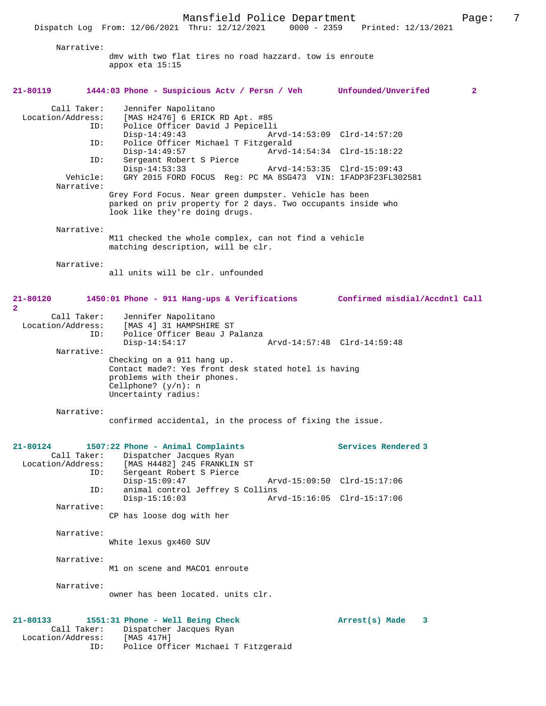Narrative:

dmv with two flat tires no road hazzard. tow is enroute appox eta 15:15

## **21-80119 1444:03 Phone - Suspicious Actv / Persn / Veh Unfounded/Unverifed 2** Call Taker: Jennifer Napolitano Location/Address: [MAS H2476] 6 ERICK RD Apt. #85 ID: Police Officer David J Pepicelli Disp-14:49:43 Arvd-14:53:09 Clrd-14:57:20<br>ID: Police Officer Michael T Fitzgerald Police Officer Michael T Fitzgerald<br>Disp-14:49:57 Arvd-1 Disp-14:49:57 <br>
D: Sergeant Robert S Pierce<br>
D: Sergeant Robert S Pierce Sergeant Robert S Pierce Disp-14:53:33 Arvd-14:53:35 Clrd-15:09:43<br>Vehicle: GRY 2015 FORD FOCUS Reg: PC MA 8SG473 VIN: 1FADP3F23FL30 GRY 2015 FORD FOCUS Reg: PC MA 8SG473 VIN: 1FADP3F23FL302581 Narrative: Grey Ford Focus. Near green dumpster. Vehicle has been parked on priv property for 2 days. Two occupants inside who look like they're doing drugs. Narrative: M11 checked the whole complex, can not find a vehicle matching description, will be clr. Narrative: all units will be clr. unfounded **21-80120 1450:01 Phone - 911 Hang-ups & Verifications Confirmed misdial/Accdntl Call 2**  Call Taker: Jennifer Napolitano<br>Location/Address: [MAS 4] 31 HAMPSHIRI [MAS 4] 31 HAMPSHIRE ST ID: Police Officer Beau J Palanza Disp-14:54:17 Arvd-14:57:48 Clrd-14:59:48 Narrative: Checking on a 911 hang up. Contact made?: Yes front desk stated hotel is having problems with their phones. Cellphone? (y/n): n Uncertainty radius: Narrative: confirmed accidental, in the process of fixing the issue. **21-80124 1507:22 Phone - Animal Complaints Services Rendered 3**  Call Taker: Dispatcher Jacques Ryan<br>Location/Address: [MAS H4482] 245 FRANKLIN [MAS H4482] 245 FRANKLIN ST ID: Sergeant Robert S Pierce Disp-15:09:47 Arvd-15:09:50 Clrd-15:17:06<br>TD: animal control Jeffrey S Collins animal control Jeffrey S Collins<br>Disp-15:16:03 Arv Arvd-15:16:05 Clrd-15:17:06 Narrative: CP has loose dog with her Narrative: White lexus gx460 SUV Narrative: M1 on scene and MACO1 enroute Narrative: owner has been located. units clr. **21-80133 1551:31 Phone - Well Being Check Arrest(s) Made 3**  Call Taker: Dispatcher Jacques Ryan<br>ion/Address: [MAS 417H] Location/Address:<br>ID:

Police Officer Michael T Fitzgerald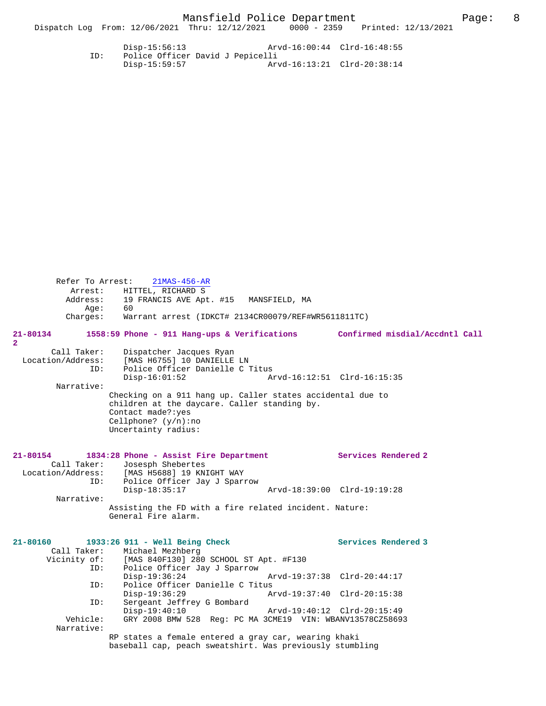Disp-15:56:13 Arvd-16:00:44 Clrd-16:48:55 ID: Police Officer David J Pepicelli Disp-15:59:57 Arvd-16:13:21 Clrd-20:38:14

| Refer To Arrest:                        | $21MAS-456-AR$<br>Arrest: HITTEL, RICHARD S                                                                                                                                               |                             |
|-----------------------------------------|-------------------------------------------------------------------------------------------------------------------------------------------------------------------------------------------|-----------------------------|
| Aqe:                                    | Address: 19 FRANCIS AVE Apt. #15 MANSFIELD, MA<br>60                                                                                                                                      |                             |
| Charges:                                | Warrant arrest (IDKCT# 2134CR00079/REF#WR5611811TC)                                                                                                                                       |                             |
| 21-80134<br>2                           | 1558:59 Phone - 911 Hang-ups & Verifications Confirmed misdial/Accdntl Call                                                                                                               |                             |
| Call Taker:<br>Location/Address:<br>ID: | Dispatcher Jacques Ryan<br>[MAS H6755] 10 DANIELLE LN<br>Police Officer Danielle C Titus<br>$Disp-16:01:52$                                                                               | Arvd-16:12:51 Clrd-16:15:35 |
| Narrative:                              |                                                                                                                                                                                           |                             |
|                                         | Checking on a 911 hang up. Caller states accidental due to<br>children at the daycare. Caller standing by.<br>Contact made?: yes<br>Cellphone? $(y/n)$ : no<br>Uncertainty radius:        |                             |
| 21-80154<br>Call Taker:                 | 1834:28 Phone - Assist Fire Department<br>Josesph Shebertes<br>Location/Address: [MAS H5688] 19 KNIGHT WAY<br>ID: Police Officer Jay J Sparrow                                            | Services Rendered 2         |
|                                         | $Disp-18:35:17$                                                                                                                                                                           | Arvd-18:39:00 Clrd-19:19:28 |
| Narrative:                              | Assisting the FD with a fire related incident. Nature:<br>General Fire alarm.                                                                                                             |                             |
| 21-80160                                | 1933:26 911 - Well Being Check<br>Call Taker: Michael Mezhberg<br>Vicinity of: [MAS 840F130] 280 SCHOOL ST Apt. #F130<br>ID: Police Officer Jay J Sparrow<br>Police Officer Jay J Sparrow | Services Rendered 3         |
|                                         | $Disp-19:36:24$                                                                                                                                                                           | Arvd-19:37:38 Clrd-20:44:17 |
| ID:                                     | Police Officer Danielle C Titus<br>$Disp-19:36:29$                                                                                                                                        | Arvd-19:37:40 Clrd-20:15:38 |
| ID:                                     | Sergeant Jeffrey G Bombard<br>$Disp-19:40:10$                                                                                                                                             | Arvd-19:40:12 Clrd-20:15:49 |
| Vehicle:<br>Narrative:                  | GRY 2008 BMW 528 Req: PC MA 3CME19 VIN: WBANV13578CZ58693                                                                                                                                 |                             |
|                                         | RP states a female entered a gray car, wearing khaki<br>baseball cap, peach sweatshirt. Was previously stumbling                                                                          |                             |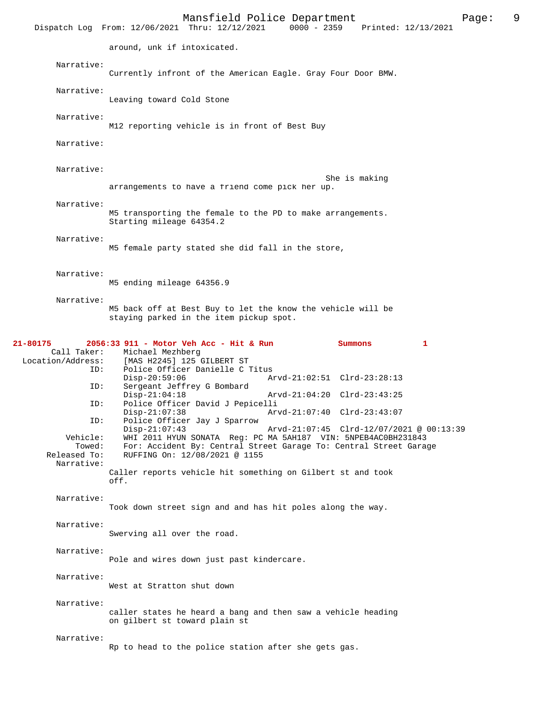|                                                            | Mansfield Police Department<br>9<br>Page:<br>Dispatch Log From: 12/06/2021 Thru: 12/12/2021<br>0000 - 2359 Printed: 12/13/2021                                                                                               |
|------------------------------------------------------------|------------------------------------------------------------------------------------------------------------------------------------------------------------------------------------------------------------------------------|
|                                                            | around, unk if intoxicated.                                                                                                                                                                                                  |
| Narrative:                                                 | Currently infront of the American Eagle. Gray Four Door BMW.                                                                                                                                                                 |
| Narrative:                                                 | Leaving toward Cold Stone                                                                                                                                                                                                    |
| Narrative:                                                 | M12 reporting vehicle is in front of Best Buy                                                                                                                                                                                |
| Narrative:                                                 |                                                                                                                                                                                                                              |
| Narrative:                                                 | She is making<br>arrangements to have a friend come pick her up.                                                                                                                                                             |
| Narrative:                                                 | M5 transporting the female to the PD to make arrangements.<br>Starting mileage 64354.2                                                                                                                                       |
| Narrative:                                                 | M5 female party stated she did fall in the store,                                                                                                                                                                            |
| Narrative:                                                 | M5 ending mileage 64356.9                                                                                                                                                                                                    |
| Narrative:                                                 | M5 back off at Best Buy to let the know the vehicle will be<br>staying parked in the item pickup spot.                                                                                                                       |
| 21-80175<br>Call Taker:<br>Location/Address:<br>ID:<br>ID: | 2056:33 911 - Motor Veh Acc - Hit & Run<br>Summons<br>1<br>Michael Mezhberg<br>[MAS H2245] 125 GILBERT ST<br>Police Officer Danielle C Titus<br>$Disp-20:59:06$<br>Arvd-21:02:51 Clrd-23:28:13<br>Sergeant Jeffrey G Bombard |
| ID:<br>ID:                                                 | $Disp-21:04:18$<br>Arvd-21:04:20 Clrd-23:43:25<br>Police Officer David J Pepicelli<br>$Disp-21:07:38$<br>Arvd-21:07:40 Clrd-23:43:07<br>Police Officer Jay J Sparrow<br>$Disp-21:07:43$                                      |
| Vehicle:<br>Towed:<br>Released To:<br>Narrative:           | Arvd-21:07:45 Clrd-12/07/2021 @ 00:13:39<br>WHI 2011 HYUN SONATA Reg: PC MA 5AH187 VIN: 5NPEB4AC0BH231843<br>For: Accident By: Central Street Garage To: Central Street Garage<br>RUFFING On: 12/08/2021 @ 1155              |
|                                                            | Caller reports vehicle hit something on Gilbert st and took<br>off.                                                                                                                                                          |
| Narrative:                                                 | Took down street sign and and has hit poles along the way.                                                                                                                                                                   |
| Narrative:                                                 | Swerving all over the road.                                                                                                                                                                                                  |
| Narrative:                                                 | Pole and wires down just past kindercare.                                                                                                                                                                                    |
| Narrative:                                                 | West at Stratton shut down                                                                                                                                                                                                   |
| Narrative:                                                 | caller states he heard a bang and then saw a vehicle heading<br>on gilbert st toward plain st                                                                                                                                |
| Narrative:                                                 | Rp to head to the police station after she gets gas.                                                                                                                                                                         |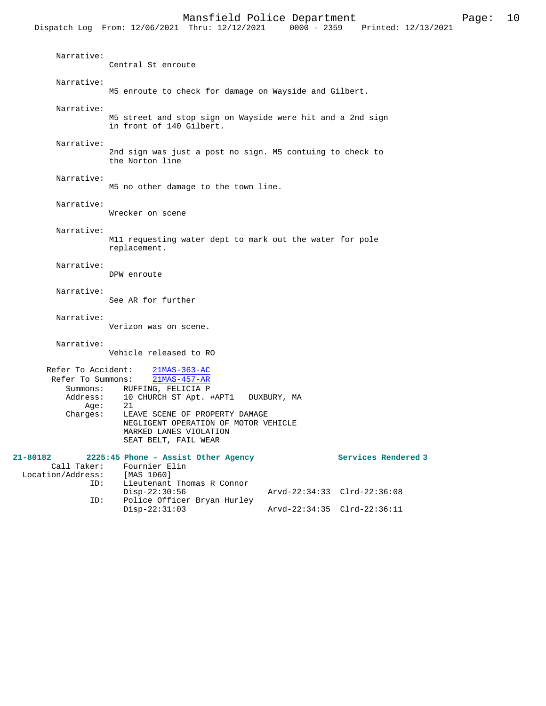|                                                                         | PROTECTO LOTTOC DEPOI CHICHE<br>r age .<br><b>+</b><br>Dispatch Log From: 12/06/2021 Thru: 12/12/2021 0000 - 2359 Printed: 12/13/2021                                                                                                  |
|-------------------------------------------------------------------------|----------------------------------------------------------------------------------------------------------------------------------------------------------------------------------------------------------------------------------------|
| Narrative:                                                              | Central St enroute                                                                                                                                                                                                                     |
| Narrative:                                                              | M5 enroute to check for damage on Wayside and Gilbert.                                                                                                                                                                                 |
| Narrative:                                                              | M5 street and stop sign on Wayside were hit and a 2nd sign<br>in front of 140 Gilbert.                                                                                                                                                 |
| Narrative:                                                              | 2nd sign was just a post no sign. M5 contuing to check to<br>the Norton line                                                                                                                                                           |
| Narrative:                                                              | M5 no other damage to the town line.                                                                                                                                                                                                   |
| Narrative:                                                              | Wrecker on scene                                                                                                                                                                                                                       |
| Narrative:                                                              | M11 requesting water dept to mark out the water for pole<br>replacement.                                                                                                                                                               |
| Narrative:                                                              | DPW enroute                                                                                                                                                                                                                            |
| Narrative:                                                              | See AR for further                                                                                                                                                                                                                     |
| Narrative:                                                              | Verizon was on scene.                                                                                                                                                                                                                  |
| Narrative:                                                              | Vehicle released to RO                                                                                                                                                                                                                 |
| Refer To Accident:<br>Refer To Summons:<br>Address:<br>Age:<br>Charges: | $21MAS-363-AC$<br>21MAS-457-AR<br>Summons: RUFFING, FELICIA P<br>10 CHURCH ST Apt. #APT1 DUXBURY, MA<br>21<br>LEAVE SCENE OF PROPERTY DAMAGE<br>NEGLIGENT OPERATION OF MOTOR VEHICLE<br>MARKED LANES VIOLATION<br>SEAT BELT, FAIL WEAR |

| 21-80182          |             | 2225:45 Phone - Assist Other Agency |                             | Services Rendered 3         |
|-------------------|-------------|-------------------------------------|-----------------------------|-----------------------------|
|                   | Call Taker: | Fournier Elin                       |                             |                             |
| Location/Address: |             | [MAS 1060]                          |                             |                             |
|                   | ID:         | Lieutenant Thomas R Connor          |                             |                             |
|                   |             | $Disp-22:30:56$                     |                             | Arvd-22:34:33 Clrd-22:36:08 |
|                   | ID:         | Police Officer Bryan Hurley         |                             |                             |
|                   |             | $Disp-22:31:03$                     | Arvd-22:34:35 Clrd-22:36:11 |                             |
|                   |             |                                     |                             |                             |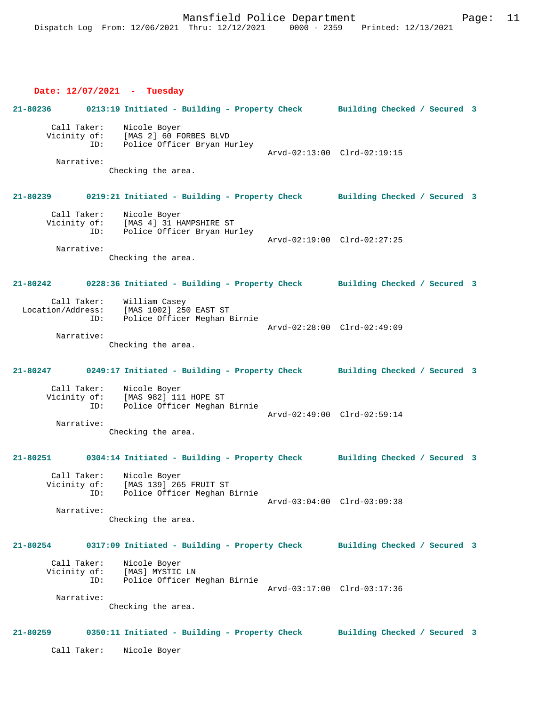### **Date: 12/07/2021 - Tuesday**

|                                                  | 21-80236 0213:19 Initiated - Building - Property Check Building Checked / Secured 3                                 |                              |  |
|--------------------------------------------------|---------------------------------------------------------------------------------------------------------------------|------------------------------|--|
| Call Taker:<br>Narrative:                        | Nicole Boyer<br>Vicinity of: [MAS 2] 60 FORBES BLVD<br>ID: Police Officer Bryan Hurley<br>Checking the area.        | Arvd-02:13:00 Clrd-02:19:15  |  |
|                                                  | 21-80239 0219:21 Initiated - Building - Property Check Building Checked / Secured 3                                 |                              |  |
| Call Taker:<br>Narrative:                        | Nicole Boyer<br>Vicinity of: [MAS 4] 31 HAMPSHIRE ST<br>ID: Police Officer Bryan Hurley<br>Checking the area.       | Arvd-02:19:00 Clrd-02:27:25  |  |
|                                                  | 21-80242 0228:36 Initiated - Building - Property Check Building Checked / Secured 3                                 |                              |  |
| Call Taker:<br>Narrative:                        | William Casey<br>Location/Address: [MAS 1002] 250 EAST ST<br>ID: Police Officer Meghan Birnie<br>Checking the area. | Arvd-02:28:00 Clrd-02:49:09  |  |
| 21-80247                                         | 0249:17 Initiated - Building - Property Check Building Checked / Secured 3                                          |                              |  |
| Call Taker:<br>Narrative:                        | Nicole Boyer<br>Vicinity of: [MAS 982] 111 HOPE ST<br>Police Officer Meghan Birnie<br>ID:<br>Checking the area.     | Arvd-02:49:00 Clrd-02:59:14  |  |
| 21-80251                                         | 0304:14 Initiated - Building - Property Check Building Checked / Secured 3                                          |                              |  |
| Call Taker:<br>Vicinity of:<br>ID:<br>Narrative: | Nicole Boyer<br>[MAS 139] 265 FRUIT ST<br>Police Officer Meghan Birnie<br>Checking the area.                        | Arvd-03:04:00 Clrd-03:09:38  |  |
| 21-80254                                         | 0317:09 Initiated - Building - Property Check                                                                       | Building Checked / Secured 3 |  |
| Call Taker:<br>ID:<br>Narrative:                 | Nicole Boyer<br>Vicinity of: [MAS] MYSTIC LN<br>Police Officer Meghan Birnie<br>Checking the area.                  | Arvd-03:17:00 Clrd-03:17:36  |  |
| 21-80259                                         | 0350:11 Initiated - Building - Property Check                                                                       | Building Checked / Secured 3 |  |
| Call Taker:                                      | Nicole Boyer                                                                                                        |                              |  |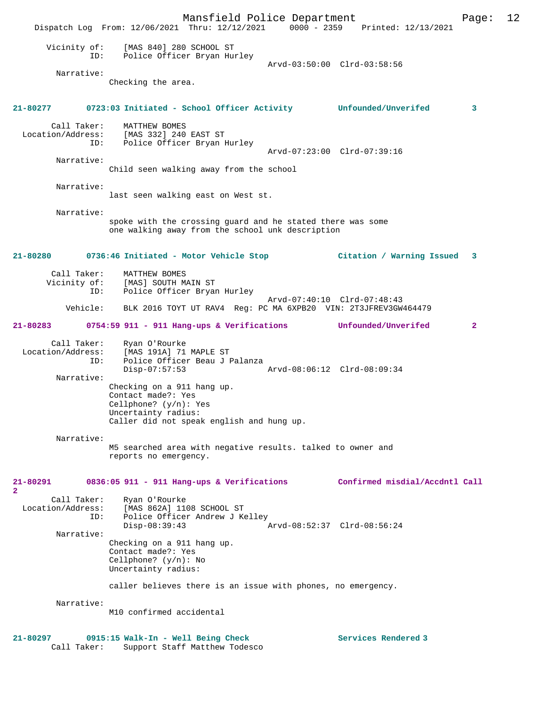Mansfield Police Department Page: 12 Dispatch Log From: 12/06/2021 Thru: 12/12/2021 Vicinity of: [MAS 840] 280 SCHOOL ST ID: Police Officer Bryan Hurley Arvd-03:50:00 Clrd-03:58:56 Narrative: Checking the area. **21-80277 0723:03 Initiated - School Officer Activity Unfounded/Unverifed 3** Call Taker: MATTHEW BOMES Location/Address: [MAS 332] 240 EAST ST ID: Police Officer Bryan Hurley Arvd-07:23:00 Clrd-07:39:16 Narrative: Child seen walking away from the school Narrative: last seen walking east on West st. Narrative: spoke with the crossing guard and he stated there was some one walking away from the school unk description **21-80280 0736:46 Initiated - Motor Vehicle Stop Citation / Warning Issued 3** Call Taker: MATTHEW BOMES<br>Vicinity of: [MAS] SOUTH M [MAS] SOUTH MAIN ST ID: Police Officer Bryan Hurley Arvd-07:40:10 Clrd-07:48:43<br>Vehicle: BLK 2016 TOYT UT RAV4 Req: PC MA 6XPB20 VIN: 2T3JFREV3GW BLK 2016 TOYT UT RAV4 Reg: PC MA 6XPB20 VIN: 2T3JFREV3GW464479 **21-80283 0754:59 911 - 911 Hang-ups & Verifications Unfounded/Unverifed 2** Call Taker: Ryan O'Rourke<br>Location/Address: [MAS 191A] 71 ess: [MAS 191A] 71 MAPLE ST<br>ID: Police Officer Beau J I Police Officer Beau J Palanza<br>Disp-07:57:53 Disp-07:57:53 Arvd-08:06:12 Clrd-08:09:34 Narrative: Checking on a 911 hang up. Contact made?: Yes Cellphone? (y/n): Yes Uncertainty radius: Caller did not speak english and hung up. Narrative: M5 searched area with negative results. talked to owner and reports no emergency. **21-80291 0836:05 911 - 911 Hang-ups & Verifications Confirmed misdial/Accdntl Call 2**  Call Taker: Ryan O'Rourke<br>Location/Address: [MAS 862A] 110 ess: [MAS 862A] 1108 SCHOOL ST<br>ID: Police Officer Andrew J K Police Officer Andrew J Kelley<br>Disp-08:39:43 Disp-08:39:43 Arvd-08:52:37 Clrd-08:56:24 Narrative: Checking on a 911 hang up. Contact made?: Yes Cellphone? (y/n): No Uncertainty radius: caller believes there is an issue with phones, no emergency. Narrative: M10 confirmed accidental 21-80297 0915:15 Walk-In - Well Being Check **Services Rendered 3** Call Taker: Support Staff Matthew Todesco

Support Staff Matthew Todesco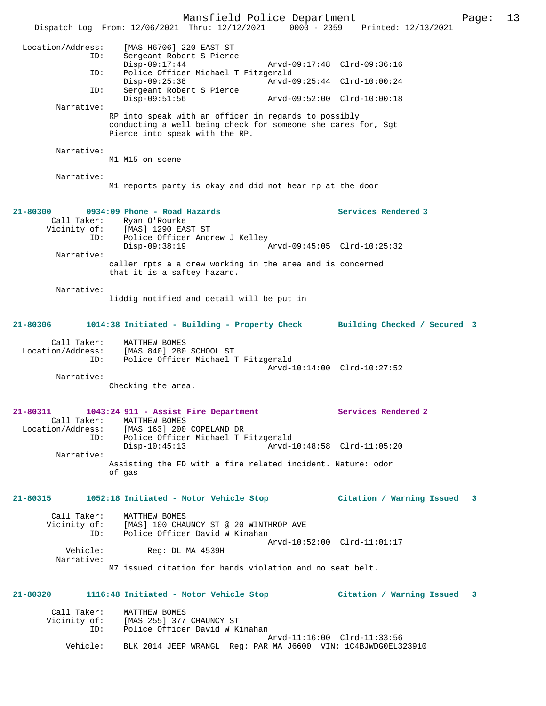Mansfield Police Department Page: 13 Dispatch Log From: 12/06/2021 Thru: 12/12/2021 0000 - 2359 Printed: 12/13/2021 Location/Address: [MAS H6706] 220 EAST ST ID: Sergeant Robert S Pierce Disp-09:17:44 Arvd-09:17:48 Clrd-09:36:16 ID: Police Officer Michael T Fitzgerald<br>Disp-09:25:38 Arvd-0 Disp-09:25:38 Arvd-09:25:44 Clrd-10:00:24<br>ID: Sergeant Robert S Pierce Sergeant Robert S Pierce<br>Disp-09:51:56 Disp-09:51:56 Arvd-09:52:00 Clrd-10:00:18 Narrative: RP into speak with an officer in regards to possibly conducting a well being check for someone she cares for, Sgt Pierce into speak with the RP. Narrative: M1 M15 on scene Narrative: M1 reports party is okay and did not hear rp at the door **21-80300 0934:09 Phone - Road Hazards Services Rendered 3**  Call Taker: Ryan O'Rourke Vicinity of: [MAS] 1290 EAST ST Vicinity of: [MAS] 1290 EAST ST<br>ID: Police Officer Andrew J Kelley Disp-09:38:19 Arvd-09:45:05 Clrd-10:25:32 Narrative: caller rpts a a crew working in the area and is concerned that it is a saftey hazard. Narrative: liddig notified and detail will be put in **21-80306 1014:38 Initiated - Building - Property Check Building Checked / Secured 3** Call Taker: MATTHEW BOMES Location/Address: [MAS 840] 280 SCHOOL ST ID: Police Officer Michael T Fitzgerald Arvd-10:14:00 Clrd-10:27:52 Narrative: Checking the area. **21-80311 1043:24 911 - Assist Fire Department Services Rendered 2**  Call Taker: MATTHEW BOMES<br>Location/Address: [MAS 163] 200 ess: [MAS 163] 200 COPELAND DR<br>ID: Police Officer Michael T B Police Officer Michael T Fitzgerald Disp-10:45:13 Arvd-10:48:58 Clrd-11:05:20 Narrative: Assisting the FD with a fire related incident. Nature: odor of gas **21-80315 1052:18 Initiated - Motor Vehicle Stop Citation / Warning Issued 3** Call Taker: MATTHEW BOMES Vicinity of: [MAS] 100 CHAUNCY ST @ 20 WINTHROP AVE ID: Police Officer David W Kinahan Arvd-10:52:00 Clrd-11:01:17 Vehicle: Reg: DL MA 4539H Narrative: M7 issued citation for hands violation and no seat belt. **21-80320 1116:48 Initiated - Motor Vehicle Stop Citation / Warning Issued 3** Call Taker: MATTHEW BOMES Vicinity of: [MAS 255] 377 CHAUNCY ST<br>ID: Police Officer David W K Police Officer David W Kinahan Arvd-11:16:00 Clrd-11:33:56<br>Vehicle: BLK 2014 JEEP WRANGL Reg: PAR MA J6600 VIN: 1C4BJWDG0EL3 Vehicle: BLK 2014 JEEP WRANGL Reg: PAR MA J6600 VIN: 1C4BJWDG0EL323910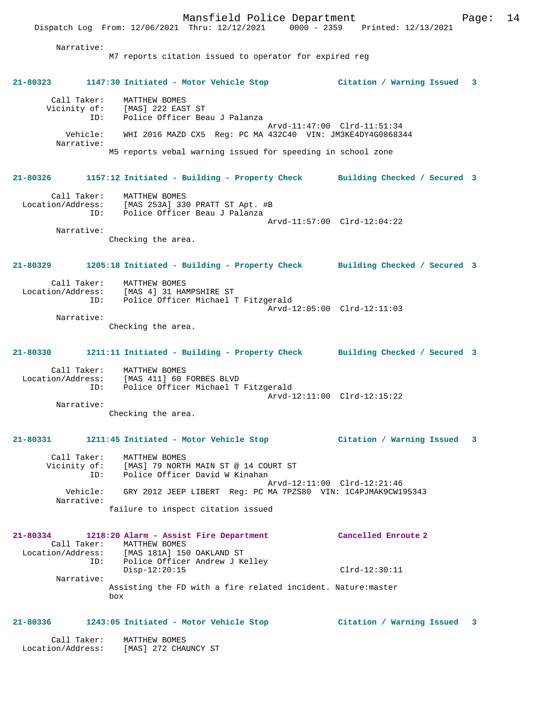Dispatch Log From: 12/06/2021 Thru: 12/12/2021 0000 - 2359 Printed: 12/13/2021 Narrative: M7 reports citation issued to operator for expired reg **21-80323 1147:30 Initiated - Motor Vehicle Stop Citation / Warning Issued 3** Call Taker: MATTHEW BOMES Vicinity of: [MAS] 222 EAST ST ID: Police Officer Beau J Palanza Arvd-11:47:00 Clrd-11:51:34 Vehicle: WHI 2016 MAZD CX5 Reg: PC MA 432C40 VIN: JM3KE4DY4G0868344 Narrative: M5 reports vebal warning issued for speeding in school zone **21-80326 1157:12 Initiated - Building - Property Check Building Checked / Secured 3** Call Taker: MATTHEW BOMES Location/Address: [MAS 253A] 330 PRATT ST Apt. #B ID: Police Officer Beau J Palanza Arvd-11:57:00 Clrd-12:04:22 Narrative: Checking the area. **21-80329 1205:18 Initiated - Building - Property Check Building Checked / Secured 3** Call Taker: MATTHEW BOMES<br>Location/Address: [MAS 4] 31 HAM ess: [MAS 4] 31 HAMPSHIRE ST<br>ID: Police Officer Michael ' Inne I.<br>Police Officer Michael T Fitzgerald Arvd-12:05:00 Clrd-12:11:03 Narrative: Checking the area. **21-80330 1211:11 Initiated - Building - Property Check Building Checked / Secured 3** Call Taker: MATTHEW BOMES Location/Address: [MAS 411] 60 FORBES BLVD ID: Police Officer Michael T Fitzgerald Arvd-12:11:00 Clrd-12:15:22 Narrative: Checking the area. **21-80331 1211:45 Initiated - Motor Vehicle Stop Citation / Warning Issued 3** Call Taker: MATTHEW BOMES Vicinity of: [MAS] 79 NORTH MAIN ST @ 14 COURT ST ID: Police Officer David W Kinahan Arvd-12:11:00 Clrd-12:21:46 Vehicle: GRY 2012 JEEP LIBERT Reg: PC MA 7PZS80 VIN: 1C4PJMAK9CW195343 Narrative: failure to inspect citation issued **21-80334 1218:20 Alarm - Assist Fire Department Cancelled Enroute 2**  Call Taker: MATTHEW BOMES<br>Location/Address: [MAS 181A] 150 [MAS 181A] 150 OAKLAND ST ID: Police Officer Andrew J Kelley Disp-12:20:15 Clrd-12:30:11 Narrative: Assisting the FD with a fire related incident. Nature:master box **21-80336 1243:05 Initiated - Motor Vehicle Stop Citation / Warning Issued 3**

 Call Taker: MATTHEW BOMES Location/Address: [MAS] 272 CHAUNCY ST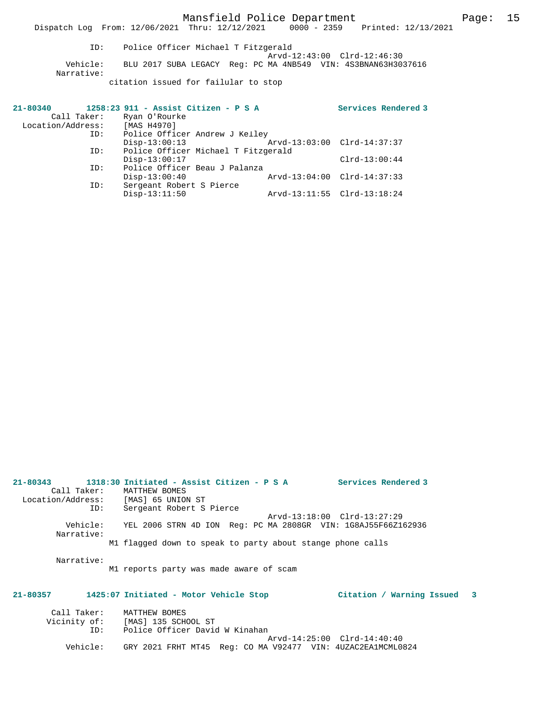Mansfield Police Department Page: 15

Dispatch Log From: 12/06/2021 Thru: 12/12/2021 0000 - 2359 Printed: 12/13/2021

 ID: Police Officer Michael T Fitzgerald Arvd-12:43:00 Clrd-12:46:30 Vehicle: BLU 2017 SUBA LEGACY Reg: PC MA 4NB549 VIN: 4S3BNAN63H3037616 Narrative: citation issued for failular to stop

| 21-80340          | 1258:23 911 - Assist Citizen - P S A | Services Rendered 3         |
|-------------------|--------------------------------------|-----------------------------|
| Call Taker:       | Ryan O'Rourke                        |                             |
| Location/Address: | [MAS H4970]                          |                             |
| ID:               | Police Officer Andrew J Kelley       |                             |
|                   | $Disp-13:00:13$                      | Arvd-13:03:00 Clrd-14:37:37 |
| ID:               | Police Officer Michael T Fitzgerald  |                             |
|                   | $Disp-13:00:17$                      | $Clrd-13:00:44$             |
| ID:               | Police Officer Beau J Palanza        |                             |
|                   | $Disp-13:00:40$                      | Arvd-13:04:00 Clrd-14:37:33 |
| ID:               | Sergeant Robert S Pierce             |                             |
|                   | $Disp-13:11:50$                      | Arvd-13:11:55 Clrd-13:18:24 |

| Call Taker:<br>Location/Address: [MAS] 65 UNION ST<br>ID: | $21-80343$ $1318:30$ Initiated - Assist Citizen - P S A<br><b>Services Rendered 3</b><br>MATTHEW BOMES<br>Sergeant Robert S Pierce |
|-----------------------------------------------------------|------------------------------------------------------------------------------------------------------------------------------------|
| Vehicle:<br>Narrative:                                    | Arvd-13:18:00 Clrd-13:27:29<br>YEL 2006 STRN 4D ION Req: PC MA 2808GR VIN: 1G8AJ55F66Z162936                                       |
|                                                           | M1 flagged down to speak to party about stange phone calls                                                                         |
| Narrative:                                                | M1 reports party was made aware of scam                                                                                            |
| $21 - 80357$                                              | 1425:07 Initiated - Motor Vehicle Stop<br>Citation / Warning Issued 3                                                              |
| Call Taker:<br>ID:                                        | MATTHEW BOMES<br>Vicinity of: [MAS] 135 SCHOOL ST<br>Police Officer David W Kinahan                                                |

Vehicle: GRY 2021 FRHT MT45 Reg: CO MA V92477 VIN: 4UZAC2EA1MCML0824

Arvd-14:25:00 Clrd-14:40:40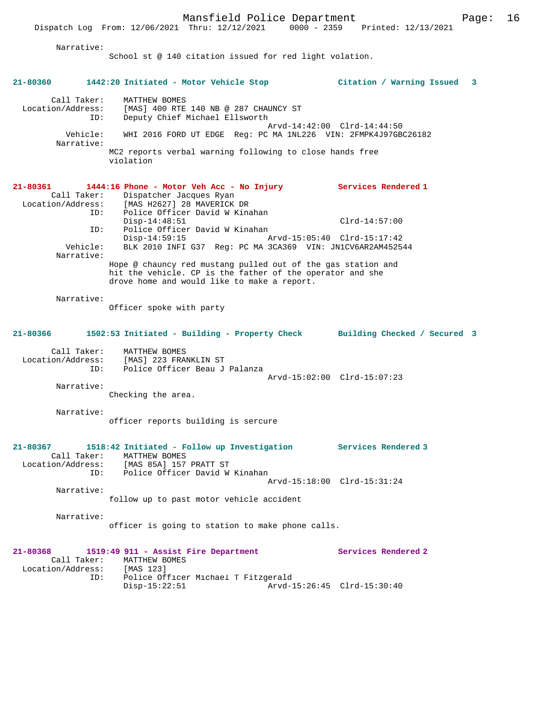Narrative:

School st @ 140 citation issued for red light volation.

|                                                            | 21-80360 1442:20 Initiated - Motor Vehicle Stop                                                                                                                                                                                            | Citation / Warning Issued 3 |
|------------------------------------------------------------|--------------------------------------------------------------------------------------------------------------------------------------------------------------------------------------------------------------------------------------------|-----------------------------|
| Call Taker:<br>Location/Address:<br>Vehicle:<br>Narrative: | MATTHEW BOMES<br>[MAS] 400 RTE 140 NB @ 287 CHAUNCY ST<br>Deputy Chief Michael Ellsworth<br>ID:<br>WHI 2016 FORD UT EDGE Req: PC MA 1NL226 VIN: 2FMPK4J97GBC26182<br>MC2 reports verbal warning following to close hands free<br>violation | Arvd-14:42:00 Clrd-14:44:50 |
|                                                            |                                                                                                                                                                                                                                            |                             |
| 21-80361<br>Call Taker:<br>Location/Address:               | 1444:16 Phone - Motor Veh Acc - No Injury Services Rendered 1<br>Dispatcher Jacques Ryan<br>[MAS H2627] 28 MAVERICK DR<br>Police Officer David W Kinahan<br>ID:                                                                            |                             |
|                                                            | $Disp-14:48:51$<br>Police Officer David W Kinahan<br>ID:                                                                                                                                                                                   | $Clrd-14:57:00$             |
| Vehicle:<br>Narrative:                                     | $Disp-14:59:15$<br>BLK 2010 INFI G37 Req: PC MA 3CA369 VIN: JN1CV6AR2AM452544                                                                                                                                                              | Arvd-15:05:40 Clrd-15:17:42 |
|                                                            | Hope @ chauncy red mustang pulled out of the gas station and<br>hit the vehicle. CP is the father of the operator and she<br>drove home and would like to make a report.                                                                   |                             |
| Narrative:                                                 | Officer spoke with party                                                                                                                                                                                                                   |                             |
| 21-80366                                                   | 1502:53 Initiated - Building - Property Check Building Checked / Secured 3                                                                                                                                                                 |                             |
| Call Taker:                                                | MATTHEW BOMES<br>Location/Address: [MAS] 223 FRANKLIN ST<br>Police Officer Beau J Palanza<br>ID:                                                                                                                                           |                             |
| Narrative:                                                 | Checking the area.                                                                                                                                                                                                                         | Arvd-15:02:00 Clrd-15:07:23 |
| Narrative:                                                 | officer reports building is sercure                                                                                                                                                                                                        |                             |
| 21-80367<br>Call Taker:                                    | 1518:42 Initiated - Follow up Investigation<br>MATTHEW BOMES<br>Location/Address: [MAS 85A] 157 PRATT ST                                                                                                                                   | Services Rendered 3         |
| Narrative:                                                 | Police Officer David W Kinahan<br>ID:                                                                                                                                                                                                      | Arvd-15:18:00 Clrd-15:31:24 |
|                                                            | follow up to past motor vehicle accident                                                                                                                                                                                                   |                             |
| Narrative:                                                 | officer is going to station to make phone calls.                                                                                                                                                                                           |                             |
| $21 - 80368$<br>Call Taker:<br>Location/Address: [MAS 123] | 1519:49 911 - Assist Fire Department<br>MATTHEW BOMES<br>ID:<br>Police Officer Michael T Fitzgerald                                                                                                                                        | Services Rendered 2         |
|                                                            | $Disp-15:22:51$                                                                                                                                                                                                                            | Arvd-15:26:45 Clrd-15:30:40 |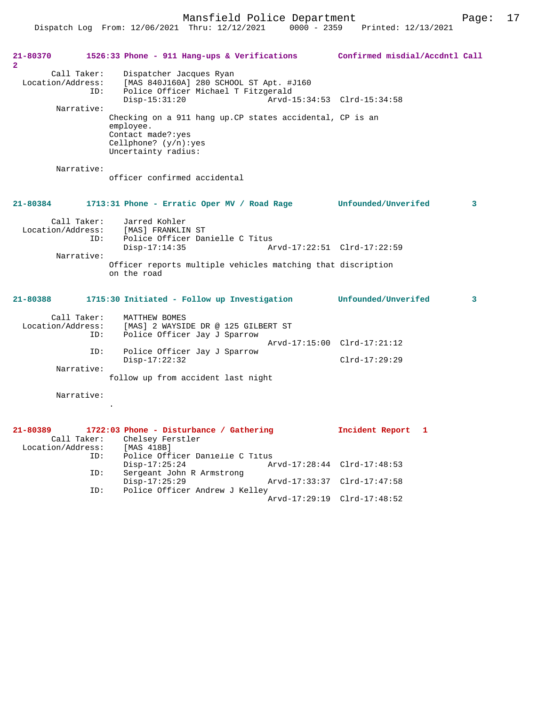Dispatch Log From: 12/06/2021 Thru: 12/12/2021 0000 - 2359 Printed: 12/13/2021

| 21-80370                                 |             | 1526:33 Phone - 911 Hang-ups & Verifications                       | Confirmed misdial/Accdntl Call |                         |
|------------------------------------------|-------------|--------------------------------------------------------------------|--------------------------------|-------------------------|
| $\overline{2}$                           |             |                                                                    |                                |                         |
| Location/Address:                        | Call Taker: | Dispatcher Jacques Ryan<br>[MAS 840J160A] 280 SCHOOL ST Apt. #J160 |                                |                         |
|                                          | ID:         | Police Officer Michael T Fitzgerald                                |                                |                         |
|                                          |             | $Disp-15:31:20$                                                    | Arvd-15:34:53 Clrd-15:34:58    |                         |
|                                          | Narrative:  |                                                                    |                                |                         |
|                                          |             | Checking on a 911 hang up. CP states accidental, CP is an          |                                |                         |
|                                          |             | employee.                                                          |                                |                         |
|                                          |             | Contact made?: yes                                                 |                                |                         |
|                                          |             | Cellphone? $(y/n):yes$                                             |                                |                         |
|                                          |             | Uncertainty radius:                                                |                                |                         |
|                                          | Narrative:  |                                                                    |                                |                         |
|                                          |             | officer confirmed accidental                                       |                                |                         |
|                                          |             |                                                                    |                                |                         |
|                                          |             |                                                                    |                                |                         |
| $21 - 80384$                             |             | 1713:31 Phone - Erratic Oper MV / Road Rage Unfounded/Unverifed    |                                | $\overline{\mathbf{3}}$ |
|                                          | Call Taker: | Jarred Kohler                                                      |                                |                         |
| Location/Address:                        |             | [MAS] FRANKLIN ST                                                  |                                |                         |
|                                          | ID:         | Police Officer Danielle C Titus                                    |                                |                         |
|                                          |             | $Disp-17:14:35$                                                    | Arvd-17:22:51 Clrd-17:22:59    |                         |
|                                          | Narrative:  |                                                                    |                                |                         |
|                                          |             | Officer reports multiple vehicles matching that discription        |                                |                         |
|                                          |             | on the road                                                        |                                |                         |
|                                          |             |                                                                    |                                |                         |
| 21-80388                                 |             | 1715:30 Initiated - Follow up Investigation                        | <b>Unfounded/Unverifed</b>     | 3                       |
|                                          | Call Taker: | MATTHEW BOMES                                                      |                                |                         |
| Location/Address:                        |             | [MAS] 2 WAYSIDE DR @ 125 GILBERT ST                                |                                |                         |
|                                          | ID:         | Police Officer Jay J Sparrow                                       |                                |                         |
|                                          |             |                                                                    | Arvd-17:15:00 Clrd-17:21:12    |                         |
|                                          | ID:         | Police Officer Jay J Sparrow                                       |                                |                         |
|                                          |             | $Disp-17:22:32$                                                    | $Clrd-17:29:29$                |                         |
|                                          | Narrative:  |                                                                    |                                |                         |
|                                          |             | follow up from accident last night                                 |                                |                         |
|                                          | Narrative:  |                                                                    |                                |                         |
|                                          |             |                                                                    |                                |                         |
|                                          |             |                                                                    |                                |                         |
|                                          |             |                                                                    |                                |                         |
| 21-80389                                 |             | 1722:03 Phone - Disturbance / Gathering                            | Incident Report<br>-1          |                         |
| and the state of the state<br>$\sqrt{2}$ |             | Call Taker: Chelsey Ferstler<br>$\Gamma$                           |                                |                         |

| Cail Iancl.       | CHCTSCA LCTSCTCT                |                             |  |
|-------------------|---------------------------------|-----------------------------|--|
| Location/Address: | [MAS 418B]                      |                             |  |
| ID:               | Police Officer Danielle C Titus |                             |  |
|                   | Disp-17:25:24                   | Arvd-17:28:44 Clrd-17:48:53 |  |
| ID:               | Sergeant John R Armstrong       |                             |  |
|                   | Disp-17:25:29                   | Arvd-17:33:37 Clrd-17:47:58 |  |
| ID:               | Police Officer Andrew J Kelley  |                             |  |
|                   |                                 | Arvd-17:29:19 Clrd-17:48:52 |  |
|                   |                                 |                             |  |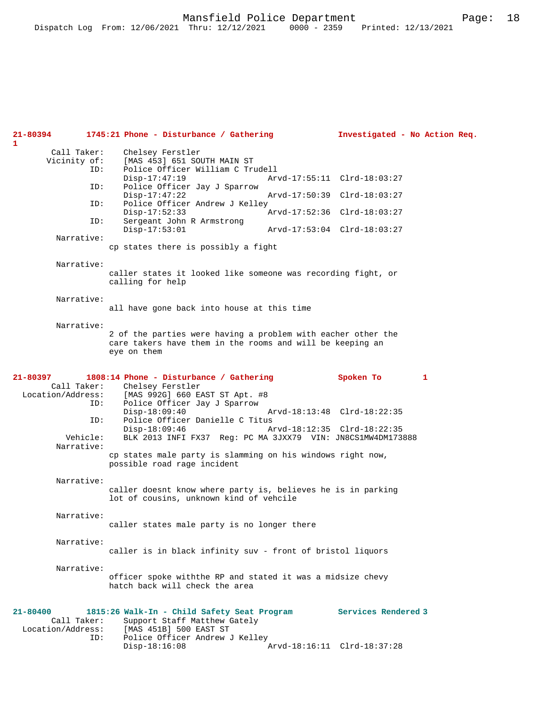| 21-80394<br>1                     |                                    | 1745:21 Phone - Disturbance / Gathering                                                                                                                                                                | Investigated - No Action Req.                                           |   |  |
|-----------------------------------|------------------------------------|--------------------------------------------------------------------------------------------------------------------------------------------------------------------------------------------------------|-------------------------------------------------------------------------|---|--|
|                                   | Call Taker:<br>Vicinity of:<br>ID: | Chelsey Ferstler<br>[MAS 453] 651 SOUTH MAIN ST<br>Police Officer William C Trudell                                                                                                                    |                                                                         |   |  |
|                                   |                                    | $Disp-17:47:19$                                                                                                                                                                                        | Arvd-17:55:11 Clrd-18:03:27                                             |   |  |
|                                   | ID:                                | Police Officer Jay J Sparrow<br>$Disp-17:47:22$                                                                                                                                                        | Arvd-17:50:39 Clrd-18:03:27                                             |   |  |
|                                   | ID:                                | Police Officer Andrew J Kelley<br>$Disp-17:52:33$                                                                                                                                                      | Arvd-17:52:36 Clrd-18:03:27                                             |   |  |
|                                   | ID:                                | Sergeant John R Armstrong<br>$Disp-17:53:01$                                                                                                                                                           | Arvd-17:53:04 Clrd-18:03:27                                             |   |  |
|                                   | Narrative:                         | cp states there is possibly a fight                                                                                                                                                                    |                                                                         |   |  |
|                                   | Narrative:                         | caller states it looked like someone was recording fight, or<br>calling for help                                                                                                                       |                                                                         |   |  |
|                                   | Narrative:                         | all have gone back into house at this time                                                                                                                                                             |                                                                         |   |  |
|                                   | Narrative:                         | 2 of the parties were having a problem with eacher other the<br>care takers have them in the rooms and will be keeping an<br>eye on them                                                               |                                                                         |   |  |
| 21-80397<br>Location/Address:     | Call Taker:<br>ID:<br>ID:          | 1808:14 Phone - Disturbance / Gathering<br>Chelsey Ferstler<br>[MAS 992G] 660 EAST ST Apt. #8<br>Police Officer Jay J Sparrow<br>$Disp-18:09:40$<br>Police Officer Danielle C Titus<br>$Disp-18:09:46$ | Spoken To<br>Arvd-18:13:48 Clrd-18:22:35<br>Arvd-18:12:35 Clrd-18:22:35 | 1 |  |
|                                   | Vehicle:<br>Narrative:             | BLK 2013 INFI FX37 Reg: PC MA 3JXX79 VIN: JN8CS1MW4DM173888<br>cp states male party is slamming on his windows right now,<br>possible road rage incident                                               |                                                                         |   |  |
|                                   | Narrative:                         | caller doesnt know where party is, believes he is in parking<br>lot of cousins, unknown kind of vehcile                                                                                                |                                                                         |   |  |
|                                   | Narrative:                         | caller states male party is no longer there                                                                                                                                                            |                                                                         |   |  |
|                                   | Narrative:                         | caller is in black infinity suv - front of bristol liquors                                                                                                                                             |                                                                         |   |  |
|                                   | Narrative:                         | officer spoke withthe RP and stated it was a midsize chevy<br>hatch back will check the area                                                                                                           |                                                                         |   |  |
| $21 - 80400$<br>Location/Address: | Call Taker:<br>ID:                 | 1815:26 Walk-In - Child Safety Seat Program<br>Support Staff Matthew Gately<br>[MAS 451B] 500 EAST ST<br>Police Officer Andrew J Kelley<br>$Disp-18:16:08$                                             | Services Rendered 3<br>Arvd-18:16:11 Clrd-18:37:28                      |   |  |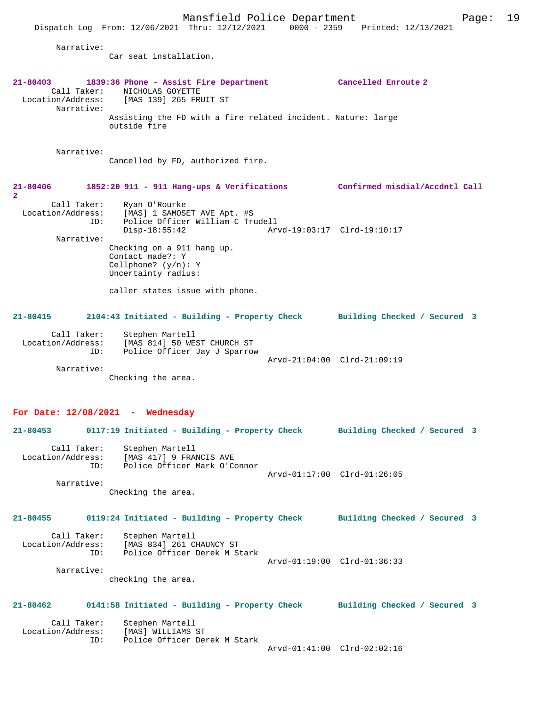Narrative: Car seat installation. **21-80403 1839:36 Phone - Assist Fire Department Cancelled Enroute 2**  Call Taker: NICHOLAS GOYETTE<br>Location/Address: [MAS 139] 265 FRI Location/Address: [MAS 139] 265 FRUIT ST Narrative: Assisting the FD with a fire related incident. Nature: large outside fire Narrative: Cancelled by FD, authorized fire. **21-80406 1852:20 911 - 911 Hang-ups & Verifications Confirmed misdial/Accdntl Call 2**  Call Taker: Ryan O'Rourke Location/Address: [MAS] 1 SAMOSET AVE Apt. #S ID: Police Officer William C Trudell Disp-18:55:42 Arvd-19:03:17 Clrd-19:10:17 Narrative: Checking on a 911 hang up. Contact made?: Y Cellphone? (y/n): Y Uncertainty radius: caller states issue with phone. **21-80415 2104:43 Initiated - Building - Property Check Building Checked / Secured 3** Call Taker: Stephen Martell<br>Location/Address: [MAS 814] 50 WE ess: [MAS 814] 50 WEST CHURCH ST<br>ID: Police Officer Jav J Sparrow Police Officer Jay J Sparrow Arvd-21:04:00 Clrd-21:09:19 Narrative: Checking the area. **For Date: 12/08/2021 - Wednesday 21-80453 0117:19 Initiated - Building - Property Check Building Checked / Secured 3** Call Taker: Stephen Martell<br>Location/Address: [MAS 417] 9 FRAI ess: [MAS 417] 9 FRANCIS AVE<br>ID: Police Officer Mark O'C Police Officer Mark O'Connor Arvd-01:17:00 Clrd-01:26:05 Narrative: Checking the area. **21-80455 0119:24 Initiated - Building - Property Check Building Checked / Secured 3** Call Taker: Stephen Martell<br>Location/Address: [MAS 834] 261 C ess: [MAS 834] 261 CHAUNCY ST<br>TD: Police Officer Derek M St Police Officer Derek M Stark Arvd-01:19:00 Clrd-01:36:33 Narrative: checking the area. **21-80462 0141:58 Initiated - Building - Property Check Building Checked / Secured 3** Call Taker: Stephen Martell<br>Location/Address: [MAS] WILLIAMS [MAS] WILLIAMS ST ID: Police Officer Derek M Stark Arvd-01:41:00 Clrd-02:02:16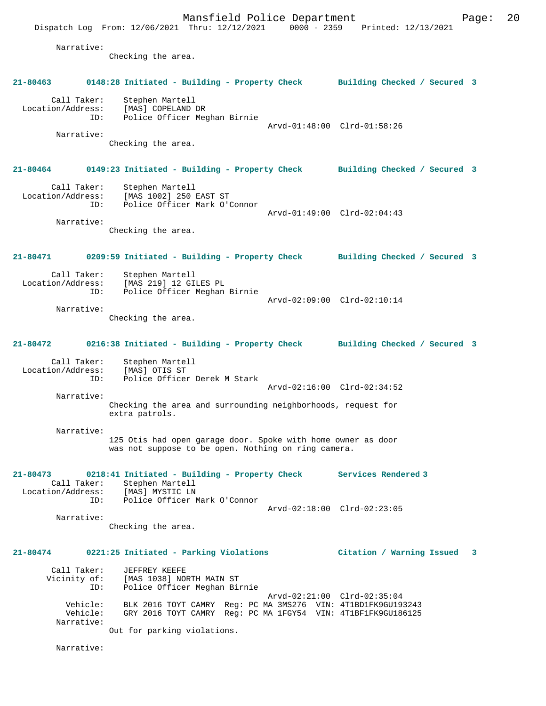Mansfield Police Department Page: 20 Dispatch Log From: 12/06/2021 Thru: 12/12/2021 0000 - 2359 Printed: 12/13/2021 Narrative: Checking the area. **21-80463 0148:28 Initiated - Building - Property Check Building Checked / Secured 3** Call Taker: Stephen Martell Location/Address: [MAS] COPELAND DR ID: Police Officer Meghan Birnie Arvd-01:48:00 Clrd-01:58:26 Narrative: Checking the area. **21-80464 0149:23 Initiated - Building - Property Check Building Checked / Secured 3** Call Taker: Stephen Martell Location/Address: [MAS 1002] 250 EAST ST ID: Police Officer Mark O'Connor Arvd-01:49:00 Clrd-02:04:43 Narrative: Checking the area. **21-80471 0209:59 Initiated - Building - Property Check Building Checked / Secured 3** Call Taker: Stephen Martell Location/Address: [MAS 219] 12 GILES PL ID: Police Officer Meghan Birnie Arvd-02:09:00 Clrd-02:10:14 Narrative: Checking the area. **21-80472 0216:38 Initiated - Building - Property Check Building Checked / Secured 3** Call Taker: Stephen Martell Location/Address: [MAS] OTIS ST ID: Police Officer Derek M Stark Arvd-02:16:00 Clrd-02:34:52 Narrative: Checking the area and surrounding neighborhoods, request for extra patrols. Narrative: 125 Otis had open garage door. Spoke with home owner as door was not suppose to be open. Nothing on ring camera. **21-80473 0218:41 Initiated - Building - Property Check Services Rendered 3**  Call Taker: Stephen Martell<br>ion/Address: [MAS] MYSTIC LN Location/Address:<br>ID: Police Officer Mark O'Connor Arvd-02:18:00 Clrd-02:23:05 Narrative: Checking the area. **21-80474 0221:25 Initiated - Parking Violations Citation / Warning Issued 3** Call Taker: JEFFREY KEEFE<br>Vicinity of: [MAS 1038] NO Vicinity of: [MAS 1038] NORTH MAIN ST ID: Police Officer Meghan Birnie Arvd-02:21:00 Clrd-02:35:04 Vehicle: BLK 2016 TOYT CAMRY Reg: PC MA 3MS276 VIN: 4T1BD1FK9GU193243 Vehicle: GRY 2016 TOYT CAMRY Reg: PC MA 1FGY54 VIN: 4T1BF1FK9GU186125 Narrative: Out for parking violations.

Narrative: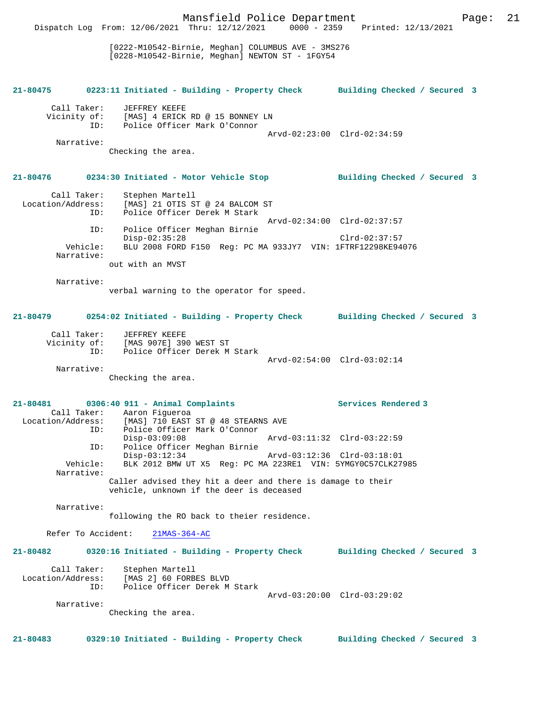Mansfield Police Department Page: 21 Dispatch Log From: 12/06/2021 Thru: 12/12/2021 0000 - 2359 Printed: 12/13/2021 [0222-M10542-Birnie, Meghan] COLUMBUS AVE - 3MS276 [0228-M10542-Birnie, Meghan] NEWTON ST - 1FGY54 **21-80475 0223:11 Initiated - Building - Property Check Building Checked / Secured 3** Call Taker: JEFFREY KEEFE Vicinity of: [MAS] 4 ERICK RD @ 15 BONNEY LN ID: Police Officer Mark O'Connor Arvd-02:23:00 Clrd-02:34:59 Narrative: Checking the area. **21-80476 0234:30 Initiated - Motor Vehicle Stop Building Checked / Secured 3** Call Taker: Stephen Martell Location/Address: [MAS] 21 OTIS ST @ 24 BALCOM ST<br>TD: Police Officer Derek M Stark Police Officer Derek M Stark Arvd-02:34:00 Clrd-02:37:57 ID: Police Officer Meghan Birnie Disp-02:35:28 Clrd-02:37:57 Vehicle: BLU 2008 FORD F150 Reg: PC MA 933JY7 VIN: 1FTRF12298KE94076 Narrative: out with an MVST Narrative: verbal warning to the operator for speed. **21-80479 0254:02 Initiated - Building - Property Check Building Checked / Secured 3** Call Taker: JEFFREY KEEFE Vicinity of: [MAS 907E] 390 WEST ST Vicinity of: [MAS 907E] 390 WEST ST<br>ID: Police Officer Derek M Stark Arvd-02:54:00 Clrd-03:02:14 Narrative: Checking the area. **21-80481 0306:40 911 - Animal Complaints Services Rendered 3**  Call Taker: Aaron Figueroa Location/Address: [MAS] 710 EAST ST @ 48 STEARNS AVE ID: Police Officer Mark O'Connor Disp-03:09:08 Arvd-03:11:32 Clrd-03:22:59 ID: Police Officer Meghan Birnie Disp-03:12:34 Arvd-03:12:36 Clrd-03:18:01 Vehicle: BLK 2012 BMW UT X5 Reg: PC MA 223RE1 VIN: 5YMGY0C57CLK27985 Narrative: Caller advised they hit a deer and there is damage to their vehicle, unknown if the deer is deceased Narrative: following the RO back to theier residence. Refer To Accident: 21MAS-364-AC **21-80482 0320:16 Initiated - Building - Property Check Building Checked / Secured 3** Call Taker: Stephen Martell Location/Address: [MAS 2] 60 FORBES BLVD ID: Police Officer Derek M Stark Arvd-03:20:00 Clrd-03:29:02 Narrative: Checking the area. **21-80483 0329:10 Initiated - Building - Property Check Building Checked / Secured 3**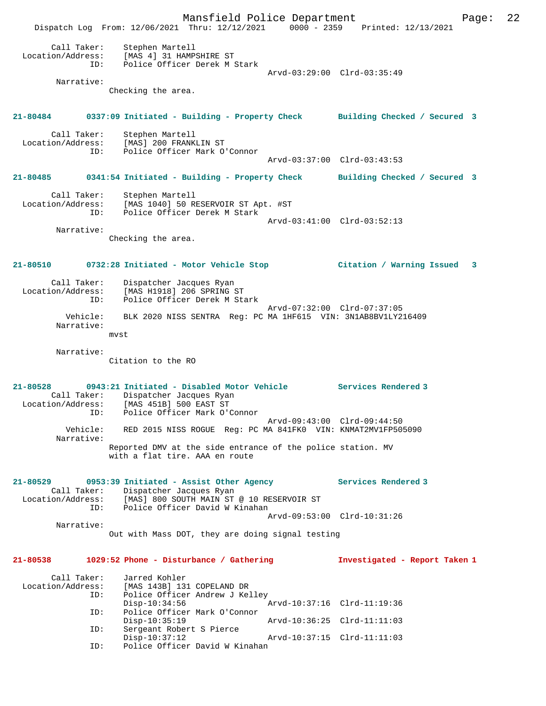Mansfield Police Department Page: 22 Dispatch Log From: 12/06/2021 Thru: 12/12/2021 0000 - 2359 Printed: 12/13/2021 Call Taker: Stephen Martell Location/Address: [MAS 4] 31 HAMPSHIRE ST ID: Police Officer Derek M Stark Arvd-03:29:00 Clrd-03:35:49 Narrative: Checking the area. **21-80484 0337:09 Initiated - Building - Property Check Building Checked / Secured 3** Call Taker: Stephen Martell<br>Location/Address: [MAS] 200 FRANK ess: [MAS] 200 FRANKLIN ST<br>ID: Police Officer Mark O Police Officer Mark O'Connor Arvd-03:37:00 Clrd-03:43:53 **21-80485 0341:54 Initiated - Building - Property Check Building Checked / Secured 3** Call Taker: Stephen Martell Location/Address: [MAS 1040] 50 RESERVOIR ST Apt. #ST ID: Police Officer Derek M Stark Arvd-03:41:00 Clrd-03:52:13 Narrative: Checking the area. **21-80510 0732:28 Initiated - Motor Vehicle Stop Citation / Warning Issued 3** Call Taker: Dispatcher Jacques Ryan Location/Address: [MAS H1918] 206 SPRING ST<br>ID: Police Officer Derek M St Police Officer Derek M Stark Arvd-07:32:00 Clrd-07:37:05 Vehicle: BLK 2020 NISS SENTRA Reg: PC MA 1HF615 VIN: 3N1AB8BV1LY216409 Narrative: mvst Narrative: Citation to the RO **21-80528 0943:21 Initiated - Disabled Motor Vehicle Services Rendered 3**  Call Taker: Dispatcher Jacques Ryan Location/Address: [MAS 451B] 500 EAST ST ID: Police Officer Mark O'Connor Arvd-09:43:00 Clrd-09:44:50 Vehicle: RED 2015 NISS ROGUE Reg: PC MA 841FK0 VIN: KNMAT2MV1FP505090 Narrative: Reported DMV at the side entrance of the police station. MV with a flat tire. AAA en route **21-80529 0953:39 Initiated - Assist Other Agency Services Rendered 3**  Call Taker: Dispatcher Jacques Ryan<br>Location/Address: [MAS] 800 SOUTH MAIN ST  $[MAS]$  800 SOUTH MAIN ST @ 10 RESERVOIR ST ID: Police Officer David W Kinahan Arvd-09:53:00 Clrd-10:31:26 Narrative: Out with Mass DOT, they are doing signal testing **21-80538 1029:52 Phone - Disturbance / Gathering Investigated - Report Taken 1** Call Taker: Jarred Kohler<br>Location/Address: [MAS 143B] 13 [MAS 143B] 131 COPELAND DR ID: Police Officer Andrew J Kelley<br>Disp-10:34:56 7 Disp-10:34:56 Arvd-10:37:16 Clrd-11:19:36 ID: Police Officer Mark O'Connor Disp-10:35:19 Arvd-10:36:25 Clrd-11:11:03<br>
TD: Sergeant Robert S Pierce ----<br>Sergeant Robert S Pierce<br>Disp-10:37:12 Disp-10:37:12 Arvd-10:37:15 Clrd-11:11:03<br>ID: Police Officer David W Kinahan Police Officer David W Kinahan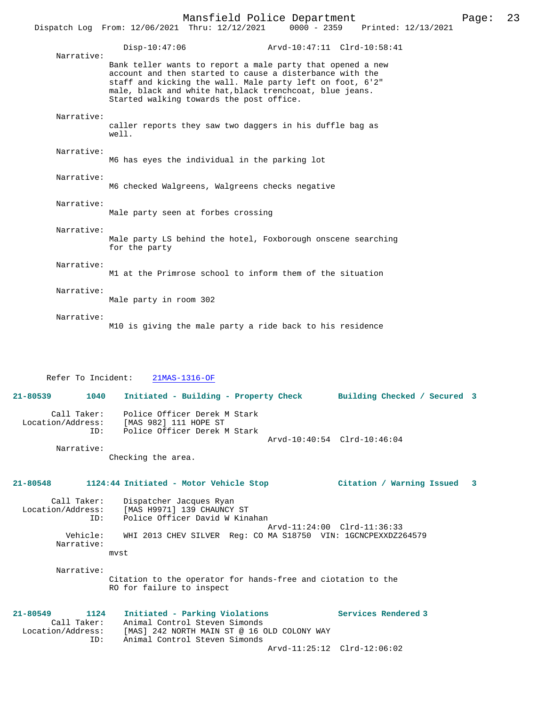|                                         | Mansfield Police Department<br>Page:<br>Dispatch Log From: 12/06/2021 Thru: 12/12/2021<br>$0000 - 2359$<br>Printed: 12/13/2021                                                                                                                                                              | 23 |
|-----------------------------------------|---------------------------------------------------------------------------------------------------------------------------------------------------------------------------------------------------------------------------------------------------------------------------------------------|----|
| Narrative:                              | $Disp-10:47:06$<br>Arvd-10:47:11 Clrd-10:58:41                                                                                                                                                                                                                                              |    |
|                                         | Bank teller wants to report a male party that opened a new<br>account and then started to cause a disterbance with the<br>staff and kicking the wall. Male party left on foot, 6'2"<br>male, black and white hat, black trenchcoat, blue jeans.<br>Started walking towards the post office. |    |
| Narrative:                              | caller reports they saw two daggers in his duffle bag as<br>well.                                                                                                                                                                                                                           |    |
| Narrative:                              | M6 has eyes the individual in the parking lot                                                                                                                                                                                                                                               |    |
| Narrative:                              | M6 checked Walgreens, Walgreens checks negative                                                                                                                                                                                                                                             |    |
| Narrative:                              | Male party seen at forbes crossing                                                                                                                                                                                                                                                          |    |
| Narrative:                              | Male party LS behind the hotel, Foxborough onscene searching<br>for the party                                                                                                                                                                                                               |    |
| Narrative:                              | M1 at the Primrose school to inform them of the situation                                                                                                                                                                                                                                   |    |
| Narrative:                              | Male party in room 302                                                                                                                                                                                                                                                                      |    |
| Narrative:                              | M10 is giving the male party a ride back to his residence                                                                                                                                                                                                                                   |    |
| Refer To Incident:                      | 21MAS-1316-OF                                                                                                                                                                                                                                                                               |    |
| 21-80539<br>1040                        | Initiated - Building - Property Check<br>Building Checked / Secured 3                                                                                                                                                                                                                       |    |
| Location/Address:                       | Call Taker: Police Officer Derek M Stark<br>[MAS 982] 111 HOPE ST<br>Police Officer Derek M Stark<br>ID:<br>Arvd-10:40:54 Clrd-10:46:04                                                                                                                                                     |    |
| Narrative:                              | Checking the area.                                                                                                                                                                                                                                                                          |    |
| 21-80548                                | 1124:44 Initiated - Motor Vehicle Stop<br>Citation / Warning Issued 3                                                                                                                                                                                                                       |    |
| Call Taker:<br>Location/Address:<br>ID: | Dispatcher Jacques Ryan<br>[MAS H9971] 139 CHAUNCY ST<br>Police Officer David W Kinahan                                                                                                                                                                                                     |    |
| Vehicle:<br>Narrative:                  | Arvd-11:24:00 Clrd-11:36:33<br>WHI 2013 CHEV SILVER Req: CO MA S18750 VIN: 1GCNCPEXXDZ264579<br>mvst                                                                                                                                                                                        |    |
| Narrative:                              |                                                                                                                                                                                                                                                                                             |    |

Citation to the operator for hands-free and ciotation to the RO for failure to inspect

**21-80549 1124 Initiated - Parking Violations Services Rendered 3**  Call Taker: Animal Control Steven Simonds<br>Location/Address: [MAS] 242 NORTH MAIN ST @ 16 ( ess: [MAS] 242 NORTH MAIN ST @ 16 OLD COLONY WAY<br>ID: Animal Control Steven Simonds Animal Control Steven Simonds Arvd-11:25:12 Clrd-12:06:02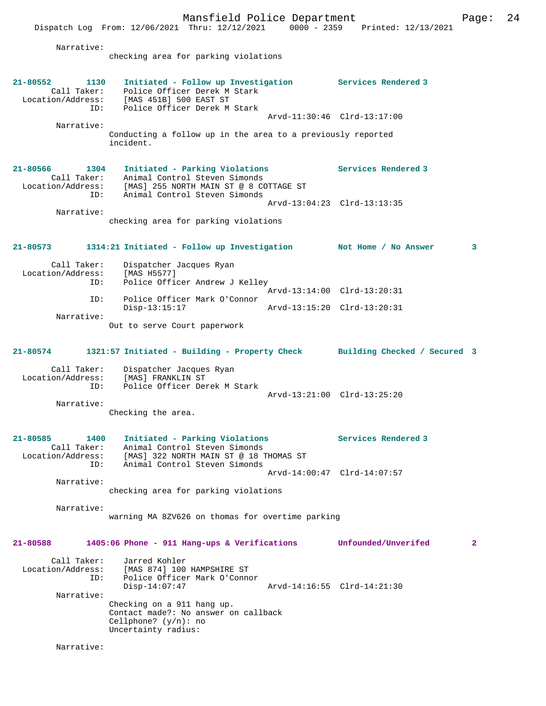Dispatch Log From: 12/06/2021 Thru: 12/12/2021 0000 - 2359 Printed: 12/13/2021 Narrative: checking area for parking violations **21-80552 1130 Initiated - Follow up Investigation Services Rendered 3**  Call Taker: Police Officer Derek M Stark Location/Address: [MAS 451B] 500 EAST ST ID: Police Officer Derek M Stark Arvd-11:30:46 Clrd-13:17:00 Narrative: Conducting a follow up in the area to a previously reported incident. **21-80566 1304 Initiated - Parking Violations Services Rendered 3**  Call Taker: Animal Control Steven Simonds Location/Address: [MAS] 255 NORTH MAIN ST @ 8 COTTAGE ST ID: Animal Control Steven Simonds Arvd-13:04:23 Clrd-13:13:35 Narrative: checking area for parking violations **21-80573 1314:21 Initiated - Follow up Investigation Not Home / No Answer 3** Call Taker: Dispatcher Jacques Ryan<br>ion/Address: [MAS H5577] Location/Address:<br>ID: Police Officer Andrew J Kelley Arvd-13:14:00 Clrd-13:20:31 ID: Police Officer Mark O'Connor Disp-13:15:17 Arvd-13:15:20 Clrd-13:20:31 Narrative: Out to serve Court paperwork **21-80574 1321:57 Initiated - Building - Property Check Building Checked / Secured 3** Call Taker: Dispatcher Jacques Ryan Location/Address: [MAS] FRANKLIN ST Police Officer Derek M Stark Arvd-13:21:00 Clrd-13:25:20 Narrative: Checking the area. **21-80585 1400 Initiated - Parking Violations Services Rendered 3**  Call Taker: Animal Control Steven Simonds Location/Address: [MAS] 322 NORTH MAIN ST @ 18 THOMAS ST ID: Animal Control Steven Simonds Arvd-14:00:47 Clrd-14:07:57 Narrative: checking area for parking violations Narrative: warning MA 8ZV626 on thomas for overtime parking **21-80588 1405:06 Phone - 911 Hang-ups & Verifications Unfounded/Unverifed 2** Call Taker: Jarred Kohler Location/Address: [MAS 874] 100 HAMPSHIRE ST<br>ID: Police Officer Mark Oldon .<br>Police Officer Mark O'Connor<br>Disp-14:07:47 Disp-14:07:47 Arvd-14:16:55 Clrd-14:21:30 Narrative: Checking on a 911 hang up. Contact made?: No answer on callback Cellphone? (y/n): no Uncertainty radius:

Mansfield Police Department Page: 24

Narrative: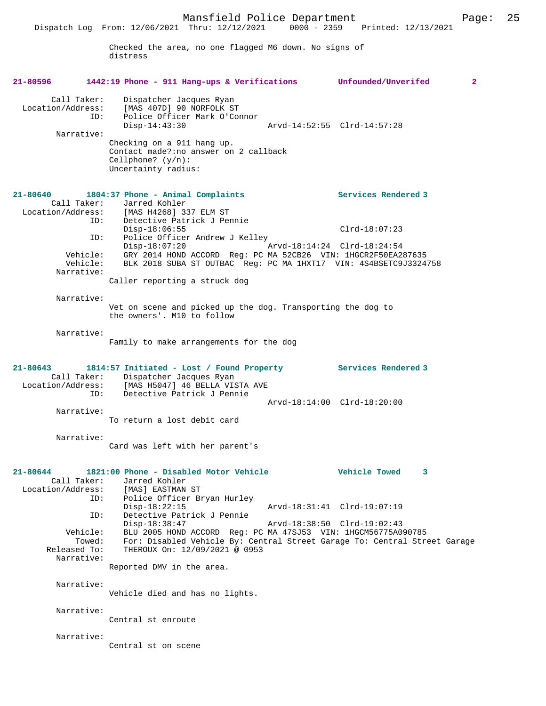Dispatch Log From: 12/06/2021 Thru: 12/12/2021 0000 - 2359 Printed: 12/13/2021

Checked the area, no one flagged M6 down. No signs of distress

| 21-80596                                | 1442:19 Phone - 911 Hang-ups & Verifications Unfounded/Unverifed                                                                                              |                             | $\overline{2}$ |
|-----------------------------------------|---------------------------------------------------------------------------------------------------------------------------------------------------------------|-----------------------------|----------------|
| Call Taker:<br>Location/Address:<br>ID: | Dispatcher Jacques Ryan<br>[MAS 407D] 90 NORFOLK ST<br>Police Officer Mark O'Connor                                                                           |                             |                |
| Narrative:                              | Disp-14:43:30                                                                                                                                                 |                             |                |
|                                         | Checking on a 911 hang up.<br>Contact made?: no answer on 2 callback<br>Cellphone? $(y/n)$ :<br>Uncertainty radius:                                           |                             |                |
| 21-80640                                | 1804:37 Phone - Animal Complaints                                                                                                                             | Services Rendered 3         |                |
| Call Taker:                             | Jarred Kohler<br>Location/Address: [MAS H4268] 337 ELM ST                                                                                                     |                             |                |
|                                         | Detective Patrick J Pennie<br>ID:<br>$Disp-18:06:55$                                                                                                          | $Clrd-18:07:23$             |                |
| ID:                                     | Police Officer Andrew J Kelley                                                                                                                                |                             |                |
| Vehicle:<br>Narrative:                  | $Disp-18:07:20$<br>Vehicle: GRY 2014 HOND ACCORD Reg: PC MA 52CB26 VIN: 1HGCR2F50EA287635<br>BLK 2018 SUBA ST OUTBAC Req: PC MA 1HXT17 VIN: 4S4BSETC9J3324758 | Arvd-18:14:24 Clrd-18:24:54 |                |
|                                         | Caller reporting a struck dog                                                                                                                                 |                             |                |
| Narrative:                              |                                                                                                                                                               |                             |                |
|                                         | Vet on scene and picked up the dog. Transporting the dog to<br>the owners'. M10 to follow                                                                     |                             |                |
| Narrative:                              |                                                                                                                                                               |                             |                |
|                                         | Family to make arrangements for the dog                                                                                                                       |                             |                |
|                                         |                                                                                                                                                               |                             |                |
| $21 - 80643$<br>Location/Address:       | 1814:57 Initiated - Lost / Found Property Services Rendered 3<br>Call Taker: Dispatcher Jacques Ryan<br>[MAS H5047] 46 BELLA VISTA AVE                        |                             |                |
|                                         | ID:<br>Detective Patrick J Pennie                                                                                                                             | Arvd-18:14:00 Clrd-18:20:00 |                |
| Narrative:                              | To return a lost debit card                                                                                                                                   |                             |                |
| Narrative:                              |                                                                                                                                                               |                             |                |
|                                         | Card was left with her parent's                                                                                                                               |                             |                |
| 21-80644                                | 1821:00 Phone - Disabled Motor Vehicle                                                                                                                        | Vehicle Towed               |                |
| Call Taker:<br>Location/Address:        | Jarred Kohler<br>[MAS] EASTMAN ST                                                                                                                             |                             |                |
| ID:                                     | Police Officer Bryan Hurley<br>$Disp-18:22:15$                                                                                                                | Arvd-18:31:41 Clrd-19:07:19 |                |
| ID:                                     | Detective Patrick J Pennie<br>$Disp-18:38:47$                                                                                                                 | Arvd-18:38:50 Clrd-19:02:43 |                |
| Vehicle:                                | BLU 2005 HOND ACCORD Req: PC MA 47SJ53 VIN: 1HGCM56775A090785                                                                                                 |                             |                |
| Towed:<br>Released To:                  | For: Disabled Vehicle By: Central Street Garage To: Central Street Garage<br>THEROUX On: 12/09/2021 @ 0953                                                    |                             |                |
| Narrative:                              | Reported DMV in the area.                                                                                                                                     |                             |                |
| Narrative:                              | Vehicle died and has no lights.                                                                                                                               |                             |                |
| Narrative:                              | Central st enroute                                                                                                                                            |                             |                |
| Narrative:                              |                                                                                                                                                               |                             |                |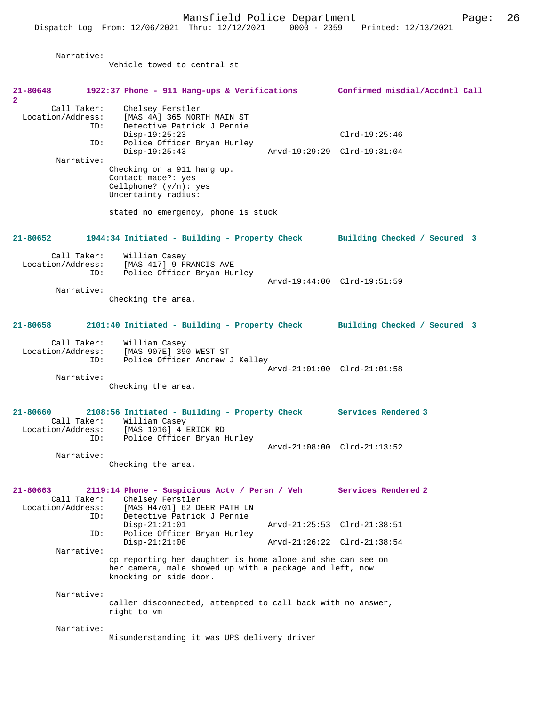**2** 

 Narrative: Vehicle towed to central st **21-80648 1922:37 Phone - 911 Hang-ups & Verifications Confirmed misdial/Accdntl Call** Call Taker: Chelsey Ferstler Location/Address: [MAS 4A] 365 NORTH MAIN ST ID: Detective Patrick J Pennie Disp-19:25:23 Clrd-19:25:46<br>TD: Police Officer Brvan Hurley Police Officer Bryan Hurley<br>Disp-19:25:43 Disp-19:25:43 Arvd-19:29:29 Clrd-19:31:04 Narrative: Checking on a 911 hang up. Contact made?: yes Cellphone? (y/n): yes Uncertainty radius: stated no emergency, phone is stuck **21-80652 1944:34 Initiated - Building - Property Check Building Checked / Secured 3** Call Taker: William Casey Location/Address: [MAS 417] 9 FRANCIS AVE Police Officer Bryan Hurley Arvd-19:44:00 Clrd-19:51:59 Narrative: Checking the area. **21-80658 2101:40 Initiated - Building - Property Check Building Checked / Secured 3** Call Taker: William Casey Location/Address: [MAS 907E] 390 WEST ST ID: Police Officer Andrew J Kelley Arvd-21:01:00 Clrd-21:01:58 Narrative: Checking the area. **21-80660 2108:56 Initiated - Building - Property Check Services Rendered 3**  Call Taker: William Casey Location/Address: [MAS 1016] 4 ERICK RD ID: Police Officer Bryan Hurley Arvd-21:08:00 Clrd-21:13:52 Narrative: Checking the area. **21-80663 2119:14 Phone - Suspicious Actv / Persn / Veh Services Rendered 2**  Call Taker: Chelsey Ferstler Location/Address: [MAS H4701] 62 DEER PATH LN<br>ID: Detective Patrick J Pennie .<br>Detective Patrick J Pennie<br>Disp-21:21:01 Disp-21:21:01 Arvd-21:25:53 Clrd-21:38:51<br>ID: Police Officer Bryan Hurley Police Officer Bryan Hurley<br>Disp-21:21:08 Arvd-21:26:22 Clrd-21:38:54 Narrative: cp reporting her daughter is home alone and she can see on her camera, male showed up with a package and left, now knocking on side door. Narrative: caller disconnected, attempted to call back with no answer, right to vm Narrative: Misunderstanding it was UPS delivery driver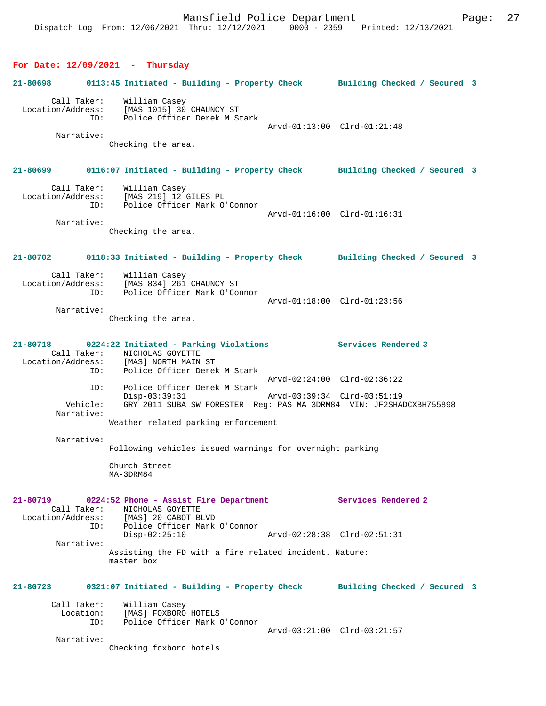#### **For Date: 12/09/2021 - Thursday**

# **21-80698 0113:45 Initiated - Building - Property Check Building Checked / Secured 3** Call Taker: William Casey Location/Address: [MAS 1015] 30 CHAUNCY ST Police Officer Derek M Stark Arvd-01:13:00 Clrd-01:21:48 Narrative: Checking the area. **21-80699 0116:07 Initiated - Building - Property Check Building Checked / Secured 3** Call Taker: William Casey Location/Address: [MAS 219] 12 GILES PL ID: Police Officer Mark O'Connor Arvd-01:16:00 Clrd-01:16:31 Narrative: Checking the area. **21-80702 0118:33 Initiated - Building - Property Check Building Checked / Secured 3** Call Taker: William Casey Location/Address: [MAS 834] 261 CHAUNCY ST Police Officer Mark O'Connor Arvd-01:18:00 Clrd-01:23:56 Narrative: Checking the area. **21-80718 0224:22 Initiated - Parking Violations Services Rendered 3**  Call Taker: <br>
MICHOLAS GOYETTE<br>
Location/Address: [MAS] NORTH MAIN Ess: [MAS] NORTH MAIN ST<br>ID: Police Officer Dere Id: Police Officer Derek M Stark Arvd-02:24:00 Clrd-02:36:22 ID: Police Officer Derek M Stark Disp-03:39:31 Arvd-03:39:34 Clrd-03:51:19 Vehicle: GRY 2011 SUBA SW FORESTER Reg: PAS MA 3DRM84 VIN: JF2SHADCXBH755898 Narrative: Weather related parking enforcement Narrative: Following vehicles issued warnings for overnight parking Church Street MA-3DRM84 **21-80719 0224:52 Phone - Assist Fire Department Services Rendered 2**  Call Taker: NICHOLAS GOYETTE Location/Address: [MAS] 20 CABOT BLVD ID: Police Officer Mark O'Connor Disp-02:25:10 Arvd-02:28:38 Clrd-02:51:31 Narrative: Assisting the FD with a fire related incident. Nature: master box **21-80723 0321:07 Initiated - Building - Property Check Building Checked / Secured 3** Call Taker: William Casey Location: [MAS] FOXBORO HOTELS<br>ID: Police Officer Mark ( Police Officer Mark O'Connor Arvd-03:21:00 Clrd-03:21:57 Narrative: Checking foxboro hotels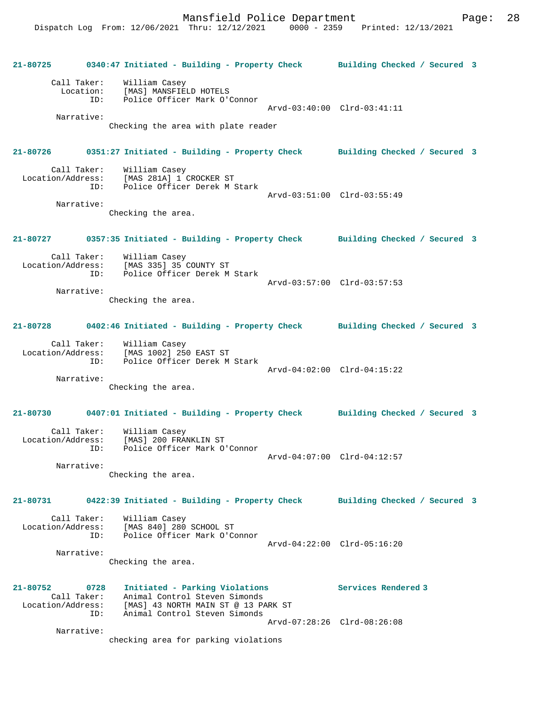**21-80725 0340:47 Initiated - Building - Property Check Building Checked / Secured 3** Call Taker: William Casey Location: [MAS] MANSFIELD HOTELS<br>TD: Police Officer Mark O'O Police Officer Mark O'Connor Arvd-03:40:00 Clrd-03:41:11 Narrative: Checking the area with plate reader **21-80726 0351:27 Initiated - Building - Property Check Building Checked / Secured 3** Call Taker: William Casey Location/Address: [MAS 281A] 1 CROCKER ST ID: Police Officer Derek M Stark Arvd-03:51:00 Clrd-03:55:49 Narrative: Checking the area. **21-80727 0357:35 Initiated - Building - Property Check Building Checked / Secured 3** Call Taker: William Casey Location/Address: [MAS 335] 35 COUNTY ST ID: Police Officer Derek M Stark Arvd-03:57:00 Clrd-03:57:53 Narrative: Checking the area. **21-80728 0402:46 Initiated - Building - Property Check Building Checked / Secured 3** Call Taker: William Casey Location/Address: [MAS 1002] 250 EAST ST ID: Police Officer Derek M Stark Arvd-04:02:00 Clrd-04:15:22 Narrative: Checking the area. **21-80730 0407:01 Initiated - Building - Property Check Building Checked / Secured 3** Call Taker: William Casey Location/Address: [MAS] 200 FRANKLIN ST ID: Police Officer Mark O'Connor Arvd-04:07:00 Clrd-04:12:57 Narrative: Checking the area. **21-80731 0422:39 Initiated - Building - Property Check Building Checked / Secured 3** Call Taker: William Casey Location/Address: [MAS 840] 280 SCHOOL ST ID: Police Officer Mark O'Connor Arvd-04:22:00 Clrd-05:16:20 Narrative: Checking the area. **21-80752 0728 Initiated - Parking Violations Services Rendered 3**  Call Taker: Animal Control Steven Simonds Location/Address: [MAS] 43 NORTH MAIN ST @ 13 PARK ST ID: Animal Control Steven Simonds Arvd-07:28:26 Clrd-08:26:08 Narrative: checking area for parking violations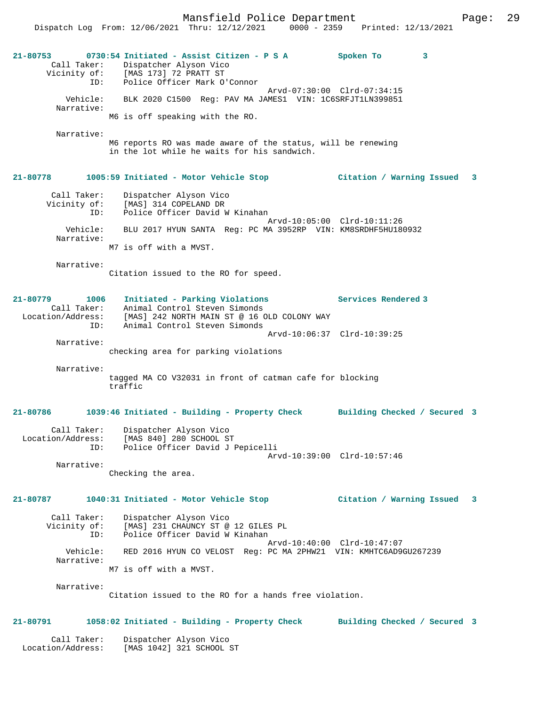| $21 - 80753$<br>Call Taker:<br>Vicinity of:                 | 0730:54 Initiated - Assist Citizen - P S A<br>Dispatcher Alyson Vico<br>[MAS 173] 72 PRATT ST                                                   | Spoken To<br>3               |                         |
|-------------------------------------------------------------|-------------------------------------------------------------------------------------------------------------------------------------------------|------------------------------|-------------------------|
| ID:                                                         | Police Officer Mark O'Connor                                                                                                                    |                              |                         |
| Vehicle:<br>Narrative:                                      | BLK 2020 C1500 Reg: PAV MA JAMES1 VIN: 1C6SRFJT1LN399851                                                                                        | Arvd-07:30:00 Clrd-07:34:15  |                         |
|                                                             | M6 is off speaking with the RO.                                                                                                                 |                              |                         |
| Narrative:                                                  |                                                                                                                                                 |                              |                         |
|                                                             | M6 reports RO was made aware of the status, will be renewing<br>in the lot while he waits for his sandwich.                                     |                              |                         |
| 21-80778                                                    | 1005:59 Initiated - Motor Vehicle Stop                                                                                                          | Citation / Warning Issued    | $\overline{\mathbf{3}}$ |
| Call Taker:<br>Vicinity of:<br>ID:                          | Dispatcher Alyson Vico<br>[MAS] 314 COPELAND DR<br>Police Officer David W Kinahan                                                               |                              |                         |
| Vehicle:                                                    | BLU 2017 HYUN SANTA Req: PC MA 3952RP VIN: KM8SRDHF5HU180932                                                                                    | Arvd-10:05:00 Clrd-10:11:26  |                         |
| Narrative:                                                  | M7 is off with a MVST.                                                                                                                          |                              |                         |
|                                                             |                                                                                                                                                 |                              |                         |
| Narrative:                                                  | Citation issued to the RO for speed.                                                                                                            |                              |                         |
| 21-80779<br>1006<br>Call Taker:<br>Location/Address:<br>ID: | Initiated - Parking Violations<br>Animal Control Steven Simonds<br>[MAS] 242 NORTH MAIN ST @ 16 OLD COLONY WAY<br>Animal Control Steven Simonds | Services Rendered 3          |                         |
|                                                             |                                                                                                                                                 | Arvd-10:06:37 Clrd-10:39:25  |                         |
| Narrative:                                                  | checking area for parking violations                                                                                                            |                              |                         |
|                                                             |                                                                                                                                                 |                              |                         |
| Narrative:                                                  | tagged MA CO V32031 in front of catman cafe for blocking<br>traffic                                                                             |                              |                         |
| 21-80786                                                    | 1039:46 Initiated - Building - Property Check                                                                                                   | Building Checked / Secured 3 |                         |
| Call Taker:<br>Location/Address:<br>ID:                     | Dispatcher Alyson Vico<br>[MAS 840] 280 SCHOOL ST<br>Police Officer David J Pepicelli                                                           |                              |                         |
|                                                             |                                                                                                                                                 | Arvd-10:39:00 Clrd-10:57:46  |                         |
| Narrative:                                                  | Checking the area.                                                                                                                              |                              |                         |
| 21-80787                                                    | 1040:31 Initiated - Motor Vehicle Stop                                                                                                          | Citation / Warning Issued 3  |                         |
| Call Taker:<br>Vicinity of:<br>ID:                          | Dispatcher Alyson Vico<br>[MAS] 231 CHAUNCY ST @ 12 GILES PL<br>Police Officer David W Kinahan                                                  | Arvd-10:40:00 Clrd-10:47:07  |                         |
| Vehicle:                                                    | RED 2016 HYUN CO VELOST Reg: PC MA 2PHW21 VIN: KMHTC6AD9GU267239                                                                                |                              |                         |
| Narrative:                                                  | M7 is off with a MVST.                                                                                                                          |                              |                         |
| Narrative:                                                  |                                                                                                                                                 |                              |                         |
|                                                             | Citation issued to the RO for a hands free violation.                                                                                           |                              |                         |
| 21-80791                                                    | 1058:02 Initiated - Building - Property Check                                                                                                   | Building Checked / Secured 3 |                         |

 Call Taker: Dispatcher Alyson Vico Location/Address: [MAS 1042] 321 SCHOOL ST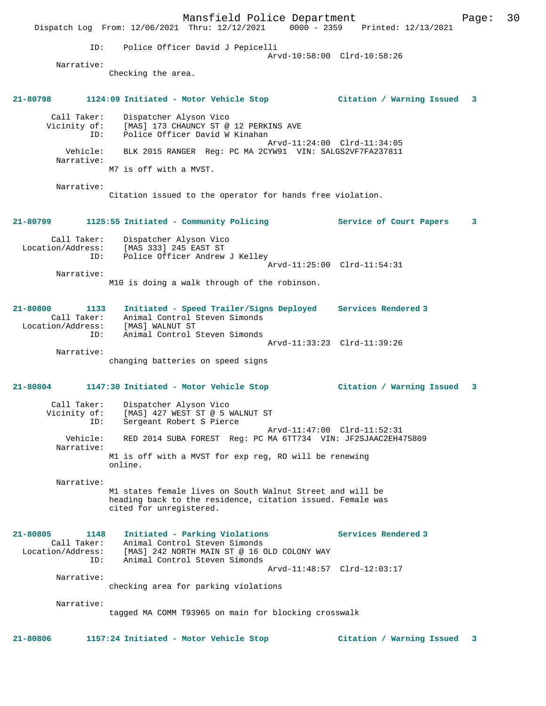Mansfield Police Department Page: 30 Dispatch Log From: 12/06/2021 Thru: 12/12/2021 0000 - 2359 Printed: 12/13/2021 ID: Police Officer David J Pepicelli Arvd-10:58:00 Clrd-10:58:26 Narrative: Checking the area. **21-80798 1124:09 Initiated - Motor Vehicle Stop Citation / Warning Issued 3** Call Taker: Dispatcher Alyson Vico Vicinity of: [MAS] 173 CHAUNCY ST @ 12 PERKINS AVE ID: Police Officer David W Kinahan Arvd-11:24:00 Clrd-11:34:05 Vehicle: BLK 2015 RANGER Reg: PC MA 2CYW91 VIN: SALGS2VF7FA237811 Narrative: M7 is off with a MVST. Narrative: Citation issued to the operator for hands free violation. **21-80799 1125:55 Initiated - Community Policing Service of Court Papers 3** Call Taker: Dispatcher Alyson Vico Location/Address: [MAS 333] 245 EAST ST ID: Police Officer Andrew J Kelley Arvd-11:25:00 Clrd-11:54:31 Narrative: M10 is doing a walk through of the robinson. **21-80800 1133 Initiated - Speed Trailer/Signs Deployed Services Rendered 3**  Call Taker: Animal Control Steven Simonds Location/Address: [MAS] WALNUT ST ID: Animal Control Steven Simonds Arvd-11:33:23 Clrd-11:39:26 Narrative: changing batteries on speed signs **21-80804 1147:30 Initiated - Motor Vehicle Stop Citation / Warning Issued 3** Call Taker: Dispatcher Alyson Vico Vicinity of: [MAS] 427 WEST ST @ 5 WALNUT ST ID: Sergeant Robert S Pierce Arvd-11:47:00 Clrd-11:52:31 Vehicle: RED 2014 SUBA FOREST Reg: PC MA 6TT734 VIN: JF2SJAAC2EH475809 Narrative: M1 is off with a MVST for exp reg, RO will be renewing online. Narrative: M1 states female lives on South Walnut Street and will be heading back to the residence, citation issued. Female was cited for unregistered. **21-80805 1148 Initiated - Parking Violations Services Rendered 3**  Call Taker: Animal Control Steven Simonds Location/Address: [MAS] 242 NORTH MAIN ST @ 16 OLD COLONY WAY ID: Animal Control Steven Simonds Arvd-11:48:57 Clrd-12:03:17 Narrative: checking area for parking violations Narrative: tagged MA COMM T93965 on main for blocking crosswalk **21-80806 1157:24 Initiated - Motor Vehicle Stop Citation / Warning Issued 3**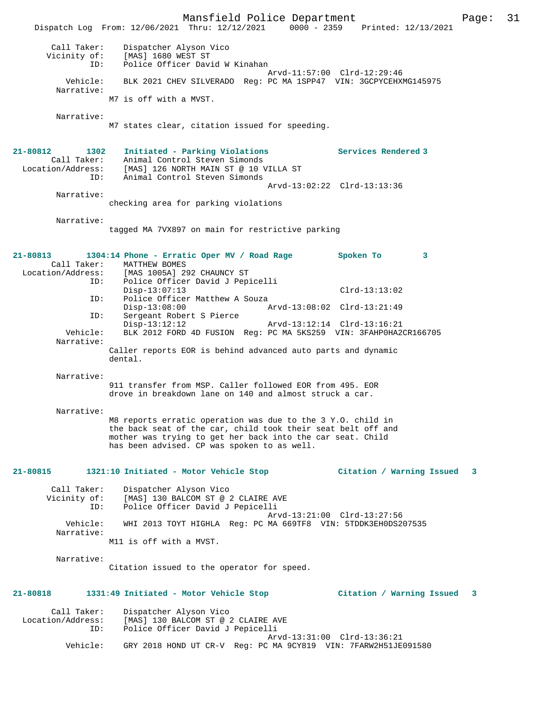Mansfield Police Department Page: 31 Dispatch Log From: 12/06/2021 Thru: 12/12/2021 0000 - 2359 Printed: 12/13/2021 Call Taker: Dispatcher Alyson Vico Vicinity of: [MAS] 1680 WEST ST ID: Police Officer David W Kinahan Arvd-11:57:00 Clrd-12:29:46 Vehicle: BLK 2021 CHEV SILVERADO Reg: PC MA 1SPP47 VIN: 3GCPYCEHXMG145975 Narrative: M7 is off with a MVST. Narrative: M7 states clear, citation issued for speeding. **21-80812 1302 Initiated - Parking Violations Services Rendered 3**  Call Taker: Animal Control Steven Simonds Location/Address: [MAS] 126 NORTH MAIN ST @ 10 VILLA ST ID: Animal Control Steven Simonds Arvd-13:02:22 Clrd-13:13:36 Narrative: checking area for parking violations Narrative: tagged MA 7VX897 on main for restrictive parking **21-80813 1304:14 Phone - Erratic Oper MV / Road Rage Spoken To 3**  Call Taker: MATTHEW BOMES<br>[1005A] Location/Address: [MAS 1005A] 2 Location/Address: [MAS 1005A] 292 CHAUNCY ST ID: Police Officer David J Pepicelli Disp-13:07:13 Clrd-13:13:02 ID: Police Officer Matthew A Souza Disp-13:08:00 Arvd-13:08:02 Clrd-13:21:49 ID: Sergeant Robert S Pierce Disp-13:12:12<br>
Disp-13:12:12<br>
Vehicle: BLK 2012 FORD 4D FUSION Req: PC MA 5KS259 VIN: 3FAHP0HA2 BLK 2012 FORD 4D FUSION Reg: PC MA 5KS259 VIN: 3FAHP0HA2CR166705 Narrative: Caller reports EOR is behind advanced auto parts and dynamic dental. Narrative: 911 transfer from MSP. Caller followed EOR from 495. EOR drove in breakdown lane on 140 and almost struck a car. Narrative: M8 reports erratic operation was due to the 3 Y.O. child in the back seat of the car, child took their seat belt off and mother was trying to get her back into the car seat. Child has been advised. CP was spoken to as well. **21-80815 1321:10 Initiated - Motor Vehicle Stop Citation / Warning Issued 3** Call Taker: Dispatcher Alyson Vico Vicinity of: [MAS] 130 BALCOM ST @ 2 CLAIRE AVE ID: Police Officer David J Pepicelli Arvd-13:21:00 Clrd-13:27:56 Vehicle: WHI 2013 TOYT HIGHLA Reg: PC MA 669TF8 VIN: 5TDDK3EH0DS207535 Narrative: M11 is off with a MVST. Narrative: Citation issued to the operator for speed. **21-80818 1331:49 Initiated - Motor Vehicle Stop Citation / Warning Issued 3** Call Taker: Dispatcher Alyson Vico Location/Address: [MAS] 130 BALCOM ST @ 2 CLAIRE AVE ID: Police Officer David J Pepicelli Arvd-13:31:00 Clrd-13:36:21 Vehicle: GRY 2018 HOND UT CR-V Reg: PC MA 9CY819 VIN: 7FARW2H51JE091580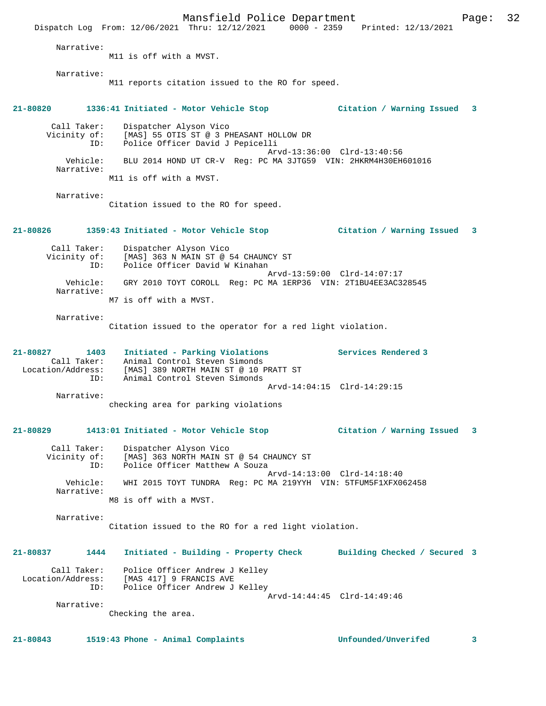Mansfield Police Department Page: 32 Dispatch Log From: 12/06/2021 Thru: 12/12/2021 0000 - 2359 Printed: 12/13/2021 Narrative: M11 is off with a MVST. Narrative: M11 reports citation issued to the RO for speed. **21-80820 1336:41 Initiated - Motor Vehicle Stop Citation / Warning Issued 3** Call Taker: Dispatcher Alyson Vico Vicinity of: [MAS] 55 OTIS ST @ 3 PHEASANT HOLLOW DR ID: Police Officer David J Pepicelli Arvd-13:36:00 Clrd-13:40:56<br>Vehicle: BLU 2014 HOND UT CR-V Req: PC MA 3JTG59 VIN: 2HKRM4H30EH BLU 2014 HOND UT CR-V Reg: PC MA 3JTG59 VIN: 2HKRM4H30EH601016 Narrative: M11 is off with a MVST. Narrative: Citation issued to the RO for speed. **21-80826 1359:43 Initiated - Motor Vehicle Stop Citation / Warning Issued 3** Call Taker: Dispatcher Alyson Vico Vicinity of: [MAS] 363 N MAIN ST @ 54 CHAUNCY ST ID: Police Officer David W Kinahan Arvd-13:59:00 Clrd-14:07:17 Vehicle: GRY 2010 TOYT COROLL Reg: PC MA 1ERP36 VIN: 2T1BU4EE3AC328545 Narrative: M7 is off with a MVST. Narrative: Citation issued to the operator for a red light violation. **21-80827 1403 Initiated - Parking Violations Services Rendered 3**  Call Taker: Animal Control Steven Simonds Location/Address: [MAS] 389 NORTH MAIN ST @ 10 PRATT ST ID: Animal Control Steven Simonds Arvd-14:04:15 Clrd-14:29:15 Narrative: checking area for parking violations **21-80829 1413:01 Initiated - Motor Vehicle Stop Citation / Warning Issued 3** Call Taker: Dispatcher Alyson Vico Vicinity of: [MAS] 363 NORTH MAIN ST @ 54 CHAUNCY ST ID: Police Officer Matthew A Souza Arvd-14:13:00 Clrd-14:18:40 Vehicle: WHI 2015 TOYT TUNDRA Reg: PC MA 219YYH VIN: 5TFUM5F1XFX062458 Narrative: M8 is off with a MVST. Narrative: Citation issued to the RO for a red light violation. **21-80837 1444 Initiated - Building - Property Check Building Checked / Secured 3** Call Taker: Police Officer Andrew J Kelley Location/Address: [MAS 417] 9 FRANCIS AVE ID: Police Officer Andrew J Kelley Arvd-14:44:45 Clrd-14:49:46 Narrative: Checking the area.

**21-80843 1519:43 Phone - Animal Complaints Unfounded/Unverifed 3**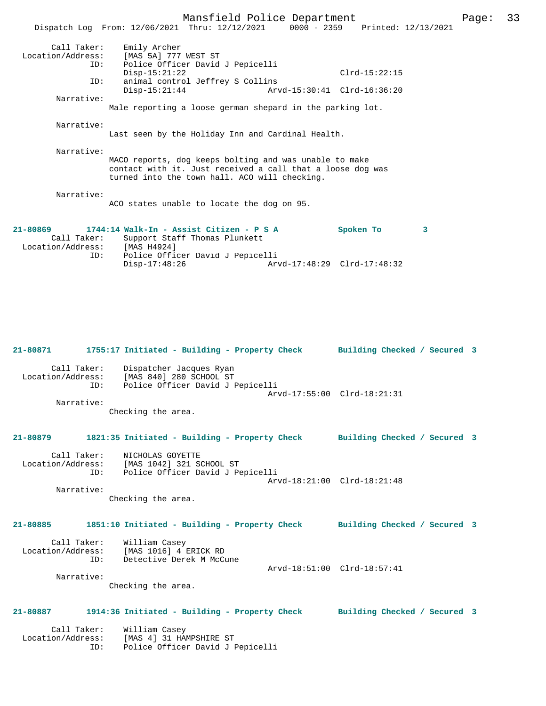Mansfield Police Department Page: 33 Dispatch Log From: 12/06/2021 Thru: 12/12/2021 0000 - 2359 Printed: 12/13/2021 Call Taker: Emily Archer Location/Address: [MAS 5A] 777 WEST ST ESS: THE SIT TO MELLET THE SERVICE OF THE POLICE Of FIRE DAVID J Pepicelli Disp-15:21:22 Clrd-15:22:15 ID: animal control Jeffrey S Collins Disp-15:21:44 Arvd-15:30:41 Clrd-16:36:20 Narrative: Male reporting a loose german shepard in the parking lot. Narrative: Last seen by the Holiday Inn and Cardinal Health. Narrative: MACO reports, dog keeps bolting and was unable to make contact with it. Just received a call that a loose dog was turned into the town hall. ACO will checking. Narrative: ACO states unable to locate the dog on 95. **21-80869 1744:14 Walk-In - Assist Citizen - P S A Spoken To 3**  Call Taker: Support Staff Thomas Plunkett<br>cion/Address: [MAS H4924] Location/Address:<br>ID: Police Officer David J Pepicelli<br>Disp-17:48:26 Art Disp-17:48:26 Arvd-17:48:29 Clrd-17:48:32

**21-80871 1755:17 Initiated - Building - Property Check Building Checked / Secured 3** Call Taker: Dispatcher Jacques Ryan<br>Location/Address: [MAS 840] 280 SCHOOL ST Location/Address: [MAS 840] 280 SCHOOL ST ID: Police Officer David J Pepicelli Arvd-17:55:00 Clrd-18:21:31 Narrative: Checking the area. **21-80879 1821:35 Initiated - Building - Property Check Building Checked / Secured 3** Call Taker: NICHOLAS GOYETTE Location/Address: [MAS 1042] 321 SCHOOL ST ID: Police Officer David J Pepicelli Arvd-18:21:00 Clrd-18:21:48 Narrative: Checking the area. **21-80885 1851:10 Initiated - Building - Property Check Building Checked / Secured 3** Call Taker: William Casey<br>Location/Address: [MAS 1016] 4 1 ess: [MAS 1016] 4 ERICK RD<br>ID: Detective Derek M McCu Detective Derek M McCune Arvd-18:51:00 Clrd-18:57:41 Narrative: Checking the area. **21-80887 1914:36 Initiated - Building - Property Check Building Checked / Secured 3** Call Taker: William Casey Location/Address: [MAS 4] 31 HAMPSHIRE ST ID: Police Officer David J Pepicelli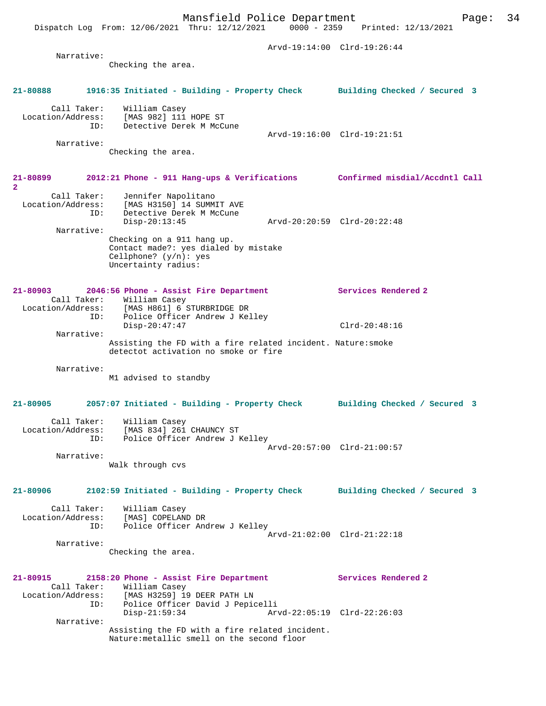Dispatch Log From: 12/06/2021 Thru: 12/12/2021 0000 - 2359 Printed: 12/13/2021

 Arvd-19:14:00 Clrd-19:26:44 Narrative: Checking the area. **21-80888 1916:35 Initiated - Building - Property Check Building Checked / Secured 3** Call Taker: William Casey Location/Address: [MAS 982] 111 HOPE ST ID: Detective Derek M McCune Arvd-19:16:00 Clrd-19:21:51 Narrative: Checking the area. **21-80899 2012:21 Phone - 911 Hang-ups & Verifications Confirmed misdial/Accdntl Call 2**  Call Taker: Jennifer Napolitano Location/Address: [MAS H3150] 14 SUMMIT AVE ID: Detective Derek M McCune Disp-20:13:45 Arvd-20:20:59 Clrd-20:22:48 Narrative: Checking on a 911 hang up. Contact made?: yes dialed by mistake Cellphone? (y/n): yes Uncertainty radius: **21-80903 2046:56 Phone - Assist Fire Department Services Rendered 2**  Call Taker: William Casey Location/Address: [MAS H861] 6 STURBRIDGE DR ID: Police Officer Andrew J Kelley Disp-20:47:47 Clrd-20:48:16 Narrative: Assisting the FD with a fire related incident. Nature:smoke detectot activation no smoke or fire Narrative: M1 advised to standby **21-80905 2057:07 Initiated - Building - Property Check Building Checked / Secured 3** Call Taker: William Casey Location/Address: [MAS 834] 261 CHAUNCY ST ID: Police Officer Andrew J Kelley Arvd-20:57:00 Clrd-21:00:57 Narrative: Walk through cvs **21-80906 2102:59 Initiated - Building - Property Check Building Checked / Secured 3** Call Taker: William Casey Location/Address: [MAS] COPELAND DR ID: Police Officer Andrew J Kelley Arvd-21:02:00 Clrd-21:22:18 Narrative: Checking the area. **21-80915 2158:20 Phone - Assist Fire Department Services Rendered 2**  Call Taker: William Casey<br>Location/Address: [MAS H3259] 19 [MAS H3259] 19 DEER PATH LN ID: Police Officer David J Pepicelli Disp-21:59:34 Arvd-22:05:19 Clrd-22:26:03 Narrative: Assisting the FD with a fire related incident. Nature:metallic smell on the second floor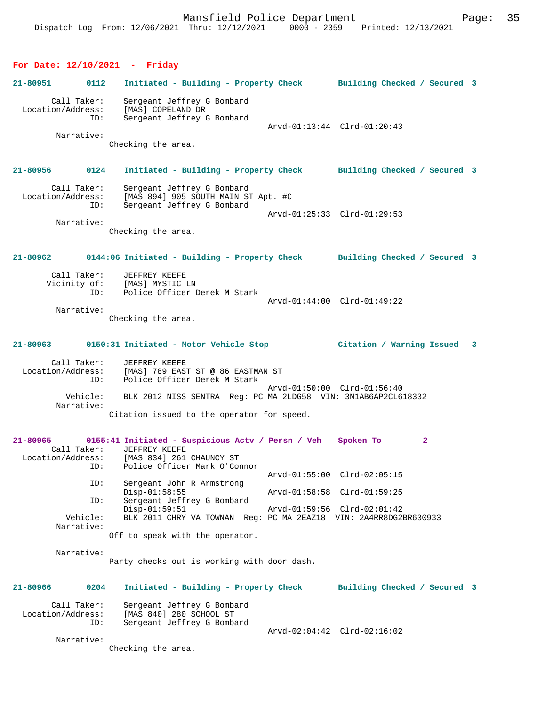## **For Date: 12/10/2021 - Friday**

| 21-80951 | 0112                                    | Initiated - Building - Property Check                                                                                                    | Building Checked / Secured 3 |  |
|----------|-----------------------------------------|------------------------------------------------------------------------------------------------------------------------------------------|------------------------------|--|
|          | Call Taker:<br>Location/Address:<br>ID: | Sergeant Jeffrey G Bombard<br>[MAS] COPELAND DR<br>Sergeant Jeffrey G Bombard                                                            | Arvd-01:13:44 Clrd-01:20:43  |  |
|          | Narrative:                              | Checking the area.                                                                                                                       |                              |  |
| 21-80956 | 0124                                    | Initiated - Building - Property Check Building Checked / Secured 3                                                                       |                              |  |
|          | Call Taker:<br>Location/Address:<br>ID: | Sergeant Jeffrey G Bombard<br>[MAS 894] 905 SOUTH MAIN ST Apt. #C<br>Sergeant Jeffrey G Bombard                                          | Arvd-01:25:33 Clrd-01:29:53  |  |
|          | Narrative:                              |                                                                                                                                          |                              |  |
|          |                                         | Checking the area.                                                                                                                       |                              |  |
| 21-80962 |                                         | 0144:06 Initiated - Building - Property Check Building Checked / Secured 3                                                               |                              |  |
|          | Call Taker:<br>ID:                      | <b>JEFFREY KEEFE</b><br>Vicinity of: [MAS] MYSTIC LN<br>Police Officer Derek M Stark                                                     |                              |  |
|          |                                         |                                                                                                                                          | Arvd-01:44:00 Clrd-01:49:22  |  |
|          | Narrative:                              | Checking the area.                                                                                                                       |                              |  |
|          |                                         | 21-80963 0150:31 Initiated - Motor Vehicle Stop                                                                                          | Citation / Warning Issued 3  |  |
|          | Call Taker:<br>ID:                      | JEFFREY KEEFE<br>Location/Address: [MAS] 789 EAST ST @ 86 EASTMAN ST<br>Police Officer Derek M Stark                                     |                              |  |
|          | Vehicle:<br>Narrative:                  | BLK 2012 NISS SENTRA Reg: PC MA 2LDG58 VIN: 3N1AB6AP2CL618332                                                                            | Arvd-01:50:00 Clrd-01:56:40  |  |
|          |                                         | Citation issued to the operator for speed.                                                                                               |                              |  |
| 21-80965 | Call Taker:<br>Location/Address:<br>ID: | 0155:41 Initiated - Suspicious Actv / Persn / Veh Spoken To<br>JEFFREY KEEFE<br>[MAS 834] 261 CHAUNCY ST<br>Police Officer Mark O'Connor | $\mathbf{2}$                 |  |
|          | ID:                                     | Sergeant John R Armstrong                                                                                                                | Arvd-01:55:00 Clrd-02:05:15  |  |
|          | ID:                                     | $Disp-01:58:55$<br>Sergeant Jeffrey G Bombard                                                                                            | Arvd-01:58:58 Clrd-01:59:25  |  |
|          | Vehicle:                                | $Disp-01:59:51$<br>BLK 2011 CHRY VA TOWNAN Req: PC MA 2EAZ18 VIN: 2A4RR8DG2BR630933                                                      | Arvd-01:59:56 Clrd-02:01:42  |  |
|          | Narrative:                              | Off to speak with the operator.                                                                                                          |                              |  |
|          | Narrative:                              | Party checks out is working with door dash.                                                                                              |                              |  |
| 21-80966 | 0204                                    | Initiated - Building - Property Check                                                                                                    | Building Checked / Secured 3 |  |
|          | Call Taker:<br>Location/Address:<br>ID: | Sergeant Jeffrey G Bombard<br>[MAS 840] 280 SCHOOL ST<br>Sergeant Jeffrey G Bombard                                                      |                              |  |
|          | Narrative:                              | Checking the area.                                                                                                                       | Arvd-02:04:42 Clrd-02:16:02  |  |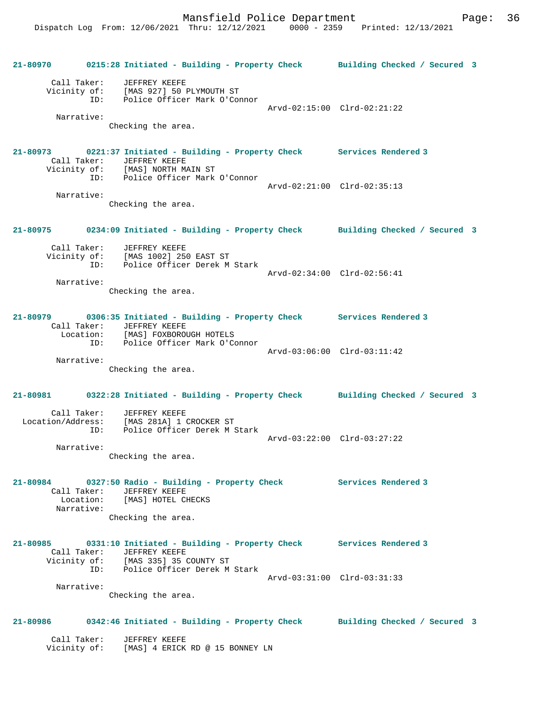**21-80970 0215:28 Initiated - Building - Property Check Building Checked / Secured 3** Call Taker: JEFFREY KEEFE Vicinity of: [MAS 927] 50 PLYMOUTH ST ID: Police Officer Mark O'Connor Arvd-02:15:00 Clrd-02:21:22 Narrative: Checking the area. **21-80973 0221:37 Initiated - Building - Property Check Services Rendered 3**  Call Taker: JEFFREY KEEFE<br>Vicinity of: [MAS] NORTH MAIN ST Vicinity of: [MAS] NORTH MAIN ST ID: Police Officer Mark O'Connor Arvd-02:21:00 Clrd-02:35:13 Narrative: Checking the area. **21-80975 0234:09 Initiated - Building - Property Check Building Checked / Secured 3** Call Taker: JEFFREY KEEFE Vicinity of: [MAS 1002] 250 EAST ST ID: Police Officer Derek M Stark Arvd-02:34:00 Clrd-02:56:41 Narrative: Checking the area. **21-80979 0306:35 Initiated - Building - Property Check Services Rendered 3**  Call Taker: JEFFREY KEEFE Location: [MAS] FOXBOROUGH HOTELS ID: Police Officer Mark O'Connor Arvd-03:06:00 Clrd-03:11:42 Narrative: Checking the area. **21-80981 0322:28 Initiated - Building - Property Check Building Checked / Secured 3** Call Taker: JEFFREY KEEFE Location/Address: [MAS 281A] 1 CROCKER ST ID: Police Officer Derek M Stark Arvd-03:22:00 Clrd-03:27:22 Narrative: Checking the area. **21-80984 0327:50 Radio - Building - Property Check Services Rendered 3**  Call Taker: JEFFREY KEEFE Location: [MAS] HOTEL CHECKS Narrative: Checking the area. **21-80985 0331:10 Initiated - Building - Property Check Services Rendered 3**  Call Taker: JEFFREY KEEFE Vicinity of: [MAS 335] 35 COUNTY ST ID: Police Officer Derek M Stark Arvd-03:31:00 Clrd-03:31:33 Narrative: Checking the area. **21-80986 0342:46 Initiated - Building - Property Check Building Checked / Secured 3** Call Taker: JEFFREY KEEFE Vicinity of: [MAS] 4 ERICK RD @ 15 BONNEY LN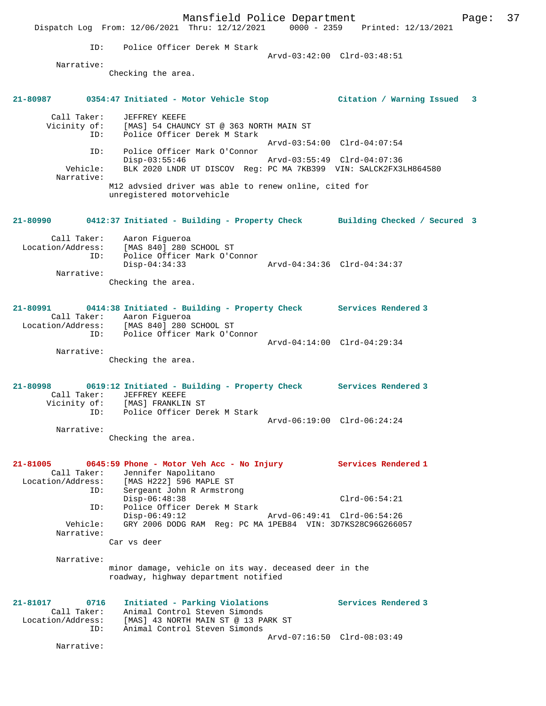Mansfield Police Department Fage: 37 Dispatch Log From: 12/06/2021 Thru: 12/12/2021 0000 - 2359 Printed: 12/13/2021 ID: Police Officer Derek M Stark Arvd-03:42:00 Clrd-03:48:51 Narrative: Checking the area. **21-80987 0354:47 Initiated - Motor Vehicle Stop Citation / Warning Issued 3** Call Taker: JEFFREY KEEFE Vicinity of: [MAS] 54 CHAUNCY ST @ 363 NORTH MAIN ST ID: Police Officer Derek M Stark Arvd-03:54:00 Clrd-04:07:54 ID: Police Officer Mark O'Connor Disp-03:55:46 Arvd-03:55:49 Clrd-04:07:36 Vehicle: BLK 2020 LNDR UT DISCOV Reg: PC MA 7KB399 VIN: SALCK2FX3LH864580 Narrative: M12 advsied driver was able to renew online, cited for unregistered motorvehicle **21-80990 0412:37 Initiated - Building - Property Check Building Checked / Secured 3** Call Taker: Aaron Figueroa Location/Address: [MAS 840] 280 SCHOOL ST ID: Police Officer Mark O'Connor  $Disp-04:34:33$  Narrative: Checking the area. **21-80991 0414:38 Initiated - Building - Property Check Services Rendered 3**  Call Taker: Aaron Figueroa Location/Address: [MAS 840] 280 SCHOOL ST ID: Police Officer Mark O'Connor Arvd-04:14:00 Clrd-04:29:34 Narrative: Checking the area. **21-80998 0619:12 Initiated - Building - Property Check Services Rendered 3**  Call Taker: JEFFREY KEEFE Vicinity of: [MAS] FRANKLIN ST ID: Police Officer Derek M Stark Arvd-06:19:00 Clrd-06:24:24 Narrative: Checking the area. **21-81005 0645:59 Phone - Motor Veh Acc - No Injury Services Rendered 1**  Call Taker: Jennifer Napolitano Location/Address: [MAS H222] 596 MAPLE ST ID: Sergeant John R Armstrong Disp-06:48:38 Clrd-06:54:21 ID: Police Officer Derek M Stark Disp-06:49:12 Arvd-06:49:41 Clrd-06:54:26 Vehicle: GRY 2006 DODG RAM Reg: PC MA 1PEB84 VIN: 3D7KS28C96G266057 Narrative: Car vs deer Narrative: minor damage, vehicle on its way. deceased deer in the roadway, highway department notified **21-81017 0716 Initiated - Parking Violations Services Rendered 3**  Call Taker: Animal Control Steven Simonds Location/Address: [MAS] 43 NORTH MAIN ST @ 13 PARK ST ID: Animal Control Steven Simonds Arvd-07:16:50 Clrd-08:03:49 Narrative: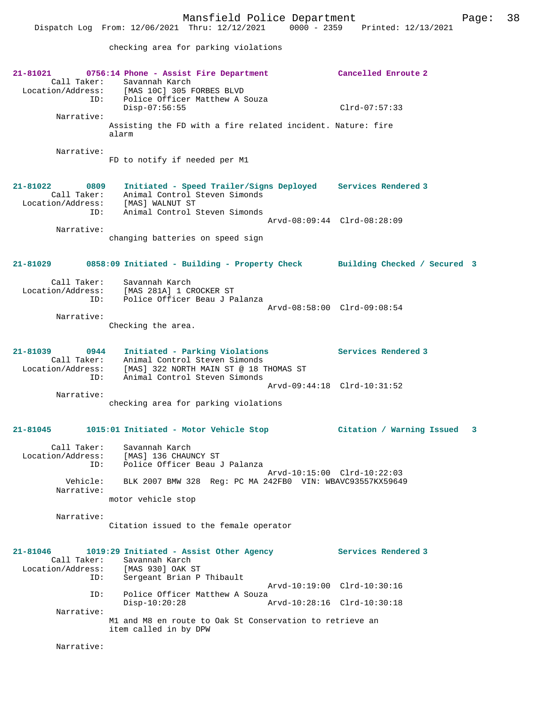checking area for parking violations

**21-81021 0756:14 Phone - Assist Fire Department Cancelled Enroute 2**  Call Taker: Savannah Karch<br>Location/Address: [MAS 10C] 305 B Location/Address: [MAS 10C] 305 FORBES BLVD ID: Police Officer Matthew A Souza Disp-07:56:55 Clrd-07:57:33 Narrative: Assisting the FD with a fire related incident. Nature: fire alarm Narrative: FD to notify if needed per M1 **21-81022 0809 Initiated - Speed Trailer/Signs Deployed Services Rendered 3**  Call Taker: Animal Control Steven Simonds Location/Address: [MAS] WALNUT ST ID: Animal Control Steven Simonds Arvd-08:09:44 Clrd-08:28:09 Narrative: changing batteries on speed sign **21-81029 0858:09 Initiated - Building - Property Check Building Checked / Secured 3** Call Taker: Savannah Karch<br>ion/Address: [MAS 281A] 1 CROCKER ST Location/Address: ID: Police Officer Beau J Palanza Arvd-08:58:00 Clrd-09:08:54 Narrative: Checking the area. **21-81039 0944 Initiated - Parking Violations Services Rendered 3**  Call Taker: Animal Control Steven Simonds Location/Address: [MAS] 322 NORTH MAIN ST @ 18 THOMAS ST ID: Animal Control Steven Simonds Arvd-09:44:18 Clrd-10:31:52 Narrative: checking area for parking violations **21-81045 1015:01 Initiated - Motor Vehicle Stop Citation / Warning Issued 3** Call Taker: Savannah Karch Location/Address: [MAS] 136 CHAUNCY ST ID: Police Officer Beau J Palanza Arvd-10:15:00 Clrd-10:22:03 Vehicle: BLK 2007 BMW 328 Reg: PC MA 242FB0 VIN: WBAVC93557KX59649 Narrative: motor vehicle stop Narrative: Citation issued to the female operator **21-81046 1019:29 Initiated - Assist Other Agency Services Rendered 3**  Call Taker: Savannah Karch<br>ion/Address: [MAS 930] OAK ST Location/Address:<br>ID: Sergeant Brian P Thibault Arvd-10:19:00 Clrd-10:30:16 ID: Police Officer Matthew A Souza<br>Disp-10:20:28 A Disp-10:20:28 Arvd-10:28:16 Clrd-10:30:18 Narrative: M1 and M8 en route to Oak St Conservation to retrieve an item called in by DPW Narrative: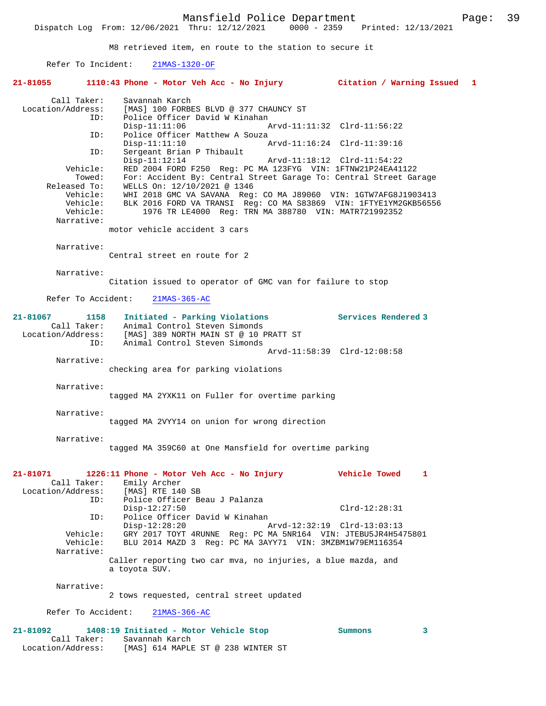M8 retrieved item, en route to the station to secure it

Refer To Incident: 21MAS-1320-OF

| 21-81055                      |                                                                          | 1110:43 Phone - Motor Veh Acc - No Injury Citation / Warning Issued 1                                                                                                                                                                                                                                                            |                     |   |  |
|-------------------------------|--------------------------------------------------------------------------|----------------------------------------------------------------------------------------------------------------------------------------------------------------------------------------------------------------------------------------------------------------------------------------------------------------------------------|---------------------|---|--|
| Location/Address:             | Call Taker:<br>ID:                                                       | Savannah Karch<br>[MAS] 100 FORBES BLVD @ 377 CHAUNCY ST<br>Police Officer David W Kinahan<br>$Disp-11:11:06$<br>Arvd-11:11:32 Clrd-11:56:22                                                                                                                                                                                     |                     |   |  |
|                               | ID:                                                                      | Police Officer Matthew A Souza<br>$Disp-11:11:10$<br>Arvd-11:16:24 Clrd-11:39:16                                                                                                                                                                                                                                                 |                     |   |  |
|                               | ID:<br>Vehicle:                                                          | Sergeant Brian P Thibault<br>$Disp-11:12:14$<br>RED 2004 FORD F250 Req: PC MA 123FYG VIN: 1FTNW21P24EA41122                                                                                                                                                                                                                      |                     |   |  |
|                               | Towed:<br>Released To:<br>Vehicle:<br>Vehicle:<br>Vehicle:<br>Narrative: | For: Accident By: Central Street Garage To: Central Street Garage<br>WELLS On: 12/10/2021 @ 1346<br>WHI 2018 GMC VA SAVANA Req: CO MA J89060 VIN: 1GTW7AFG8J1903413<br>BLK 2016 FORD VA TRANSI Reg: CO MA S83869 VIN: 1FTYE1YM2GKB56556<br>1976 TR LE4000 Req: TRN MA 388780 VIN: MATR721992352<br>motor vehicle accident 3 cars |                     |   |  |
|                               | Narrative:                                                               | Central street en route for 2                                                                                                                                                                                                                                                                                                    |                     |   |  |
|                               | Narrative:                                                               | Citation issued to operator of GMC van for failure to stop                                                                                                                                                                                                                                                                       |                     |   |  |
|                               |                                                                          | Refer To Accident:<br>21MAS-365-AC                                                                                                                                                                                                                                                                                               |                     |   |  |
| 21-81067                      | 1158<br>Call Taker:<br>ID:                                               | Initiated - Parking Violations<br>Animal Control Steven Simonds<br>Location/Address: [MAS] 389 NORTH MAIN ST @ 10 PRATT ST<br>Animal Control Steven Simonds                                                                                                                                                                      | Services Rendered 3 |   |  |
|                               | Narrative:                                                               | Arvd-11:58:39 Clrd-12:08:58<br>checking area for parking violations                                                                                                                                                                                                                                                              |                     |   |  |
|                               | Narrative:                                                               | tagged MA 2YXK11 on Fuller for overtime parking                                                                                                                                                                                                                                                                                  |                     |   |  |
|                               | Narrative:                                                               | tagged MA 2VYY14 on union for wrong direction                                                                                                                                                                                                                                                                                    |                     |   |  |
|                               | Narrative:                                                               | tagged MA 359C60 at One Mansfield for overtime parking                                                                                                                                                                                                                                                                           |                     |   |  |
| 21-81071<br>Location/Address: | Call Taker:                                                              | 1226:11 Phone - Motor Veh Acc - No Injury<br>Emily Archer<br>[MAS] RTE 140 SB                                                                                                                                                                                                                                                    | Vehicle Towed       | ı |  |
|                               | ID:<br>ID:                                                               | Police Officer Beau J Palanza<br>$Disp-12:27:50$<br>Police Officer David W Kinahan                                                                                                                                                                                                                                               | $Clrd-12:28:31$     |   |  |
|                               | Vehicle:<br>Vehicle:<br>Narrative:                                       | $Disp-12:28:20$<br>Arvd-12:32:19 Clrd-13:03:13<br>GRY 2017 TOYT 4RUNNE Req: PC MA 5NR164 VIN: JTEBU5JR4H5475801<br>BLU 2014 MAZD 3 Reg: PC MA 3AYY71 VIN: 3MZBM1W79EM116354                                                                                                                                                      |                     |   |  |
|                               |                                                                          | Caller reporting two car mva, no injuries, a blue mazda, and<br>a toyota SUV.                                                                                                                                                                                                                                                    |                     |   |  |
|                               | Narrative:                                                               | 2 tows requested, central street updated                                                                                                                                                                                                                                                                                         |                     |   |  |
|                               | Refer To Accident:                                                       | $21MAS-366-AC$                                                                                                                                                                                                                                                                                                                   |                     |   |  |
| 21-81092                      |                                                                          | 1408:19 Initiated - Motor Vehicle Stop                                                                                                                                                                                                                                                                                           | Summons             | 3 |  |

 Call Taker: Savannah Karch Location/Address: [MAS] 614 MAPLE ST @ 238 WINTER ST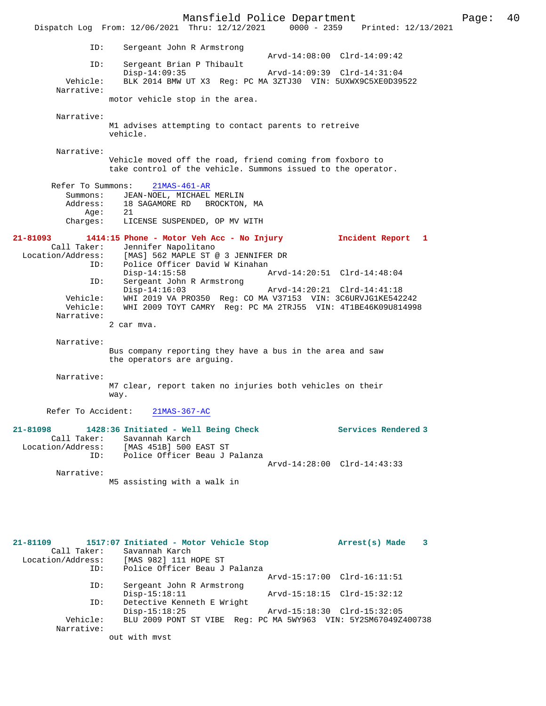Mansfield Police Department Form Page: 40 Dispatch Log From: 12/06/2021 Thru: 12/12/2021 0000 - 2359 Printed: 12/13/2021 ID: Sergeant John R Armstrong  $Arvd-14:08:00$   $Clrd-14:09:42$ <br>TD: Sergeant Brian P Thibault Sergeant Brian P Thibault<br>Disp-14:09:35 Disp-14:09:35 Arvd-14:09:39 Clrd-14:31:04<br>Vehicle: BLK 2014 BMW UT X3 Req: PC MA 3ZTJ30 VIN: 5UXWX9C5XE0D399 Vehicle: BLK 2014 BMW UT X3 Reg: PC MA 3ZTJ30 VIN: 5UXWX9C5XE0D39522 Narrative: motor vehicle stop in the area. Narrative: M1 advises attempting to contact parents to retreive vehicle. Narrative: Vehicle moved off the road, friend coming from foxboro to take control of the vehicle. Summons issued to the operator. Refer To Summons: 21MAS-461-AR Summons: JEAN-NOEL, MICHAEL MERLIN<br>Address: 18 SAGAMORE RD BROCKTON 18 SAGAMORE RD BROCKTON, MA Adures:<br>Age:<br>21 Charges 21<br>LICENSE SUSPENDED, OP MV WITH **21-81093 1414:15 Phone - Motor Veh Acc - No Injury Incident Report 1**  Call Taker: Jennifer Napolitano Location/Address: [MAS] 562 MAPLE ST @ 3 JENNIFER DR ID: Police Officer David W Kinahan<br>Disp-14:15:58 Mrvd-14:20:51 Clrd-14:48:04 Disp-14:15:58 Arvd-14:20:51 Clrd-14:48:04 ID: Sergeant John R Armstrong Disp-14:16:03 Arvd-14:20:21 Clrd-14:41:18 Vehicle: WHI 2019 VA PRO350 Reg: CO MA V37153 VIN: 3C6URVJG1KE542242 Vehicle: WHI 2009 TOYT CAMRY Reg: PC MA 2TRJ55 VIN: 4T1BE46K09U814998 Narrative: 2 car mva. Narrative: Bus company reporting they have a bus in the area and saw the operators are arguing. Narrative: M7 clear, report taken no injuries both vehicles on their way. Refer To Accident: 21MAS-367-AC **21-81098 1428:36 Initiated - Well Being Check Services Rendered 3**  Call Taker: Savannah Karch Location/Address: [MAS 451B] 500 EAST ST ID: Police Officer Beau J Palanza Arvd-14:28:00 Clrd-14:43:33 Narrative: M5 assisting with a walk in **21-81109 1517:07 Initiated - Motor Vehicle Stop Arrest(s) Made 3** 

| Call Taker:       | Savannah Karch                                                 |                             |
|-------------------|----------------------------------------------------------------|-----------------------------|
| Location/Address: | [MAS 982] 111 HOPE ST                                          |                             |
| ID:               | Police Officer Beau J Palanza                                  |                             |
|                   |                                                                | Arvd-15:17:00 Clrd-16:11:51 |
| ID:               | Sergeant John R Armstrong                                      |                             |
|                   | $Disp-15:18:11$                                                | Arvd-15:18:15 Clrd-15:32:12 |
| ID:               | Detective Kenneth E Wright                                     |                             |
|                   | $Disp-15:18:25$                                                | Arvd-15:18:30 Clrd-15:32:05 |
| Vehicle:          | BLU 2009 PONT ST VIBE Req: PC MA 5WY963 VIN: 5Y2SM67049Z400738 |                             |
| Narrative:        |                                                                |                             |
|                   | out with myst                                                  |                             |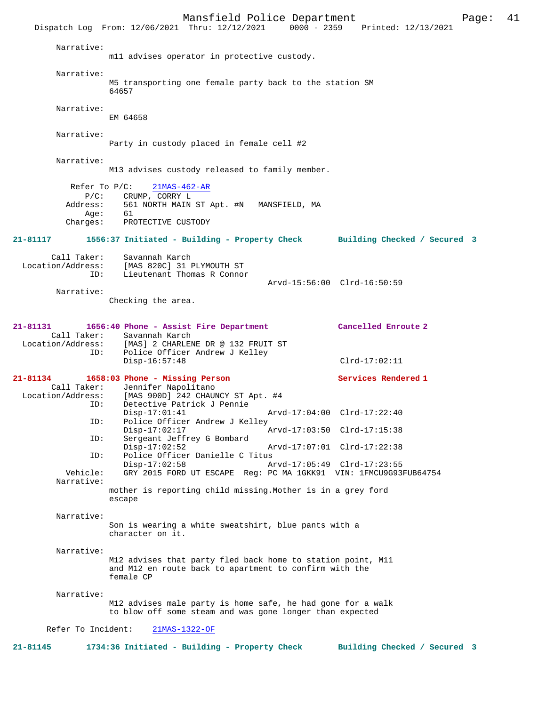Mansfield Police Department<br>Thru: 12/12/2021 0000 - 2359 Printed: 12/13/2021 Dispatch Log From: 12/06/2021 Thru: 12/12/2021 Narrative: m11 advises operator in protective custody. Narrative: M5 transporting one female party back to the station SM 64657 Narrative: EM 64658 Narrative: Party in custody placed in female cell #2 Narrative: M13 advises custody released to family member. Refer To P/C: 21MAS-462-AR P/C: CRUMP, CORRY L<br>Address: 561 NORTH MAIN 561 NORTH MAIN ST Apt. #N MANSFIELD, MA Age: 61 Charges: PROTECTIVE CUSTODY **21-81117 1556:37 Initiated - Building - Property Check Building Checked / Secured 3** Call Taker: Savannah Karch Location/Address: [MAS 820C] 31 PLYMOUTH ST ID: Lieutenant Thomas R Connor Arvd-15:56:00 Clrd-16:50:59 Narrative: Checking the area. **21-81131 1656:40 Phone - Assist Fire Department Cancelled Enroute 2**  Call Taker: Savannah Karch<br>Location/Address: [MAS] 2 CHARLEI ess: [MAS] 2 CHARLENE DR @ 132 FRUIT ST<br>TD: Police Officer Andrew J Kelley Police Officer Andrew J Kelley Disp-16:57:48 Clrd-17:02:11 **21-81134 1658:03 Phone - Missing Person Services Rendered 1**  Call Taker: Jennifer Napolitano<br>Location/Address: [MAS 900D] 242 CHAUI [MAS 900D] 242 CHAUNCY ST Apt. #4 ID: Detective Patrick J Pennie Disp-17:01:41 Arvd-17:04:00 Clrd-17:22:40<br>TD: Police Officer Andrew J Kelley Police Officer Andrew J Kelley<br>Disp-17:02:17 Disp-17:02:17 Arvd-17:03:50 Clrd-17:15:38 ID: Sergeant Jeffrey G Bombard Disp-17:02:52 Arvd-17:07:01 Clrd-17:22:38 ID: Police Officer Danielle C Titus<br>Disp-17:02:58 Disp-17:02:58 Arvd-17:05:49 Clrd-17:23:55<br>Vehicle: GRY 2015 FORD UT ESCAPE Req: PC MA 1GKK91 VIN: 1FMCU9G93 GRY 2015 FORD UT ESCAPE Reg: PC MA 1GKK91 VIN: 1FMCU9G93FUB64754 Narrative: mother is reporting child missing.Mother is in a grey ford escape Narrative: Son is wearing a white sweatshirt, blue pants with a character on it. Narrative: M12 advises that party fled back home to station point, M11 and M12 en route back to apartment to confirm with the female CP Narrative: M12 advises male party is home safe, he had gone for a walk to blow off some steam and was gone longer than expected Refer To Incident: 21MAS-1322-OF **21-81145 1734:36 Initiated - Building - Property Check Building Checked / Secured 3**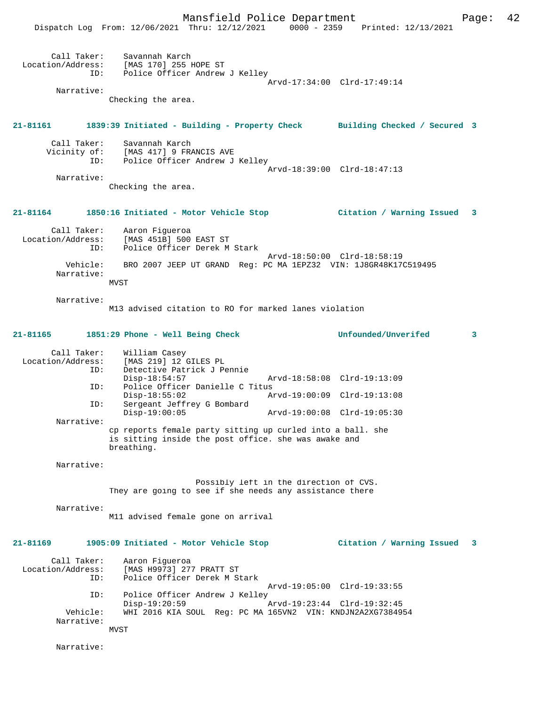|                                         | Mansfield Police Department<br>Dispatch Log From: 12/06/2021 Thru: 12/12/2021 0000 - 2359 Printed: 12/13/2021                     |                                        |                             | Page: | 42 |
|-----------------------------------------|-----------------------------------------------------------------------------------------------------------------------------------|----------------------------------------|-----------------------------|-------|----|
| Narrative:                              | Call Taker: Savannah Karch<br>Location/Address: [MAS 170] 255 HOPE ST<br>ID: Police Officer Andrew J Kelley<br>Checking the area. |                                        | Arvd-17:34:00 Clrd-17:49:14 |       |    |
|                                         |                                                                                                                                   |                                        |                             |       |    |
|                                         | 21-81161 1839:39 Initiated - Building - Property Check Building Checked / Secured 3                                               |                                        |                             |       |    |
| ID:                                     | Call Taker: Savannah Karch<br>Vicinity of: [MAS 417] 9 FRANCIS AVE<br>Police Officer Andrew J Kelley                              |                                        | Arvd-18:39:00 Clrd-18:47:13 |       |    |
| Narrative:                              | Checking the area.                                                                                                                |                                        |                             |       |    |
|                                         | 21-81164 1850:16 Initiated - Motor Vehicle Stop                                                                                   |                                        | Citation / Warning Issued 3 |       |    |
| ID:                                     | Call Taker: Aaron Figueroa<br>Location/Address: [MAS 451B] 500 EAST ST<br>Police Officer Derek M Stark                            |                                        | Arvd-18:50:00 Clrd-18:58:19 |       |    |
| Vehicle:<br>Narrative:                  | BRO 2007 JEEP UT GRAND Req: PC MA 1EPZ32 VIN: 1J8GR48K17C519495<br>MVST                                                           |                                        |                             |       |    |
| Narrative:                              | M13 advised citation to RO for marked lanes violation                                                                             |                                        |                             |       |    |
|                                         | 21-81165 1851:29 Phone - Well Being Check                                                                                         |                                        | Unfounded/Unverifed         | 3     |    |
| Call Taker:<br>Location/Address:<br>ID: | William Casey<br>[MAS 219] 12 GILES PL<br>Detective Patrick J Pennie<br>$Disp-18:54:57$                                           | Arvd-18:58:08 Clrd-19:13:09            |                             |       |    |
| ID:<br>ID:                              | Police Officer Danielle C Titus<br>$Disp-18:55:02$<br>Sergeant Jeffrey G Bombard                                                  | Arvd-19:00:09 Clrd-19:13:08            |                             |       |    |
| Narrative:                              | $Disp-19:00:05$                                                                                                                   |                                        | Arvd-19:00:08 Clrd-19:05:30 |       |    |
|                                         | cp reports female party sitting up curled into a ball. she<br>is sitting inside the post office. she was awake and<br>breathing.  |                                        |                             |       |    |
| Narrative:                              |                                                                                                                                   |                                        |                             |       |    |
|                                         | They are going to see if she needs any assistance there                                                                           | Possibly left in the direction of CVS. |                             |       |    |
| Narrative:                              | M11 advised female gone on arrival                                                                                                |                                        |                             |       |    |
| 21-81169                                | 1905:09 Initiated - Motor Vehicle Stop                                                                                            |                                        | Citation / Warning Issued   | 3     |    |
| Call Taker:<br>Location/Address:<br>ID: | Aaron Figueroa<br>[MAS H9973] 277 PRATT ST<br>Police Officer Derek M Stark                                                        |                                        | Arvd-19:05:00 Clrd-19:33:55 |       |    |
| ID:<br>Vehicle:<br>Narrative:           | Police Officer Andrew J Kelley<br>$Disp-19:20:59$<br>WHI 2016 KIA SOUL Reg: PC MA 165VN2 VIN: KNDJN2A2XG7384954<br>MVST           | Arvd-19:23:44 Clrd-19:32:45            |                             |       |    |
|                                         |                                                                                                                                   |                                        |                             |       |    |

Narrative: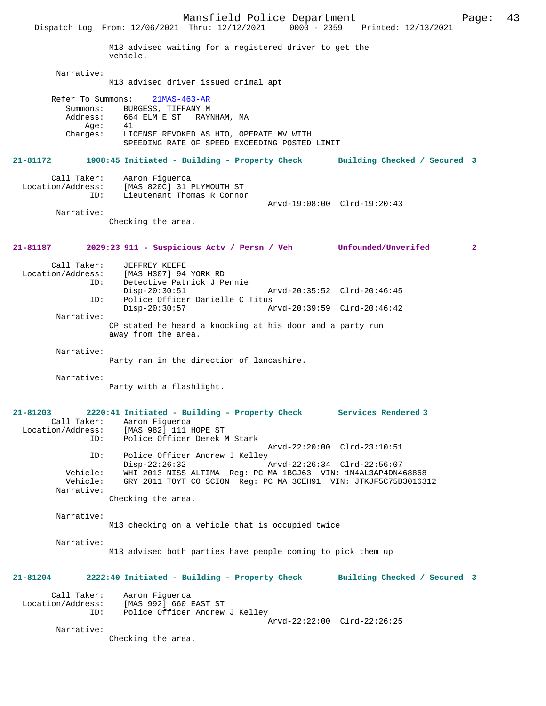Mansfield Police Department<br>Thru:  $12/12/2021$  0000 - 2359 Printed:  $12/13/2021$ Dispatch Log From: 12/06/2021 Thru: 12/12/2021 M13 advised waiting for a registered driver to get the vehicle. Narrative: M13 advised driver issued crimal apt Refer To Summons: 21MAS-463-AR Summons: BURGESS, TIFFANY M<br>Address: 664 ELM E ST RAY 664 ELM E ST RAYNHAM, MA<br>41 Age:<br>:Charges LICENSE REVOKED AS HTO, OPERATE MV WITH SPEEDING RATE OF SPEED EXCEEDING POSTED LIMIT **21-81172 1908:45 Initiated - Building - Property Check Building Checked / Secured 3** Call Taker: Aaron Figueroa Location/Address: [MAS 820C] 31 PLYMOUTH ST ID: Lieutenant Thomas R Connor Arvd-19:08:00 Clrd-19:20:43 Narrative: Checking the area. **21-81187 2029:23 911 - Suspicious Actv / Persn / Veh Unfounded/Unverifed 2** Call Taker: JEFFREY KEEFE Location/Address: [MAS H307] 94 YORK RD ID: Detective Patrick J Pennie Disp-20:30:51 Arvd-20:35:52 Clrd-20:46:45<br>TD: Police Officer Danielle C Titus ID: Police Officer Danielle C Titus Disp-20:30:57 Arvd-20:39:59 Clrd-20:46:42 Narrative: CP stated he heard a knocking at his door and a party run away from the area. Narrative: Party ran in the direction of lancashire. Narrative: Party with a flashlight. **21-81203 2220:41 Initiated - Building - Property Check Services Rendered 3**  Call Taker: Aaron Figueroa<br>Location/Address: [MAS 982] 111 H ess: [MAS 982] 111 HOPE ST<br>ID: Police Officer Derek N Police Officer Derek M Stark Arvd-22:20:00 Clrd-23:10:51 ID: Police Officer Andrew J Kelley<br>Disp-22:26:32 Disp-22:26:32 Arvd-22:26:34 Clrd-22:56:07<br>Vehicle: WHI 2013 NISS ALTIMA Reg: PC MA 1BGJ63 VIN: 1N4AL3AP4DN4 Vehicle: WHI 2013 NISS ALTIMA Reg: PC MA 1BGJ63 VIN: 1N4AL3AP4DN468868 GRY 2011 TOYT CO SCION Reg: PC MA 3CEH91 VIN: JTKJF5C75B3016312 Narrative: Checking the area. Narrative: M13 checking on a vehicle that is occupied twice Narrative: M13 advised both parties have people coming to pick them up **21-81204 2222:40 Initiated - Building - Property Check Building Checked / Secured 3** Call Taker: Aaron Figueroa Location/Address: [MAS 992] 660 EAST ST Police Officer Andrew J Kelley Arvd-22:22:00 Clrd-22:26:25 Narrative: Checking the area.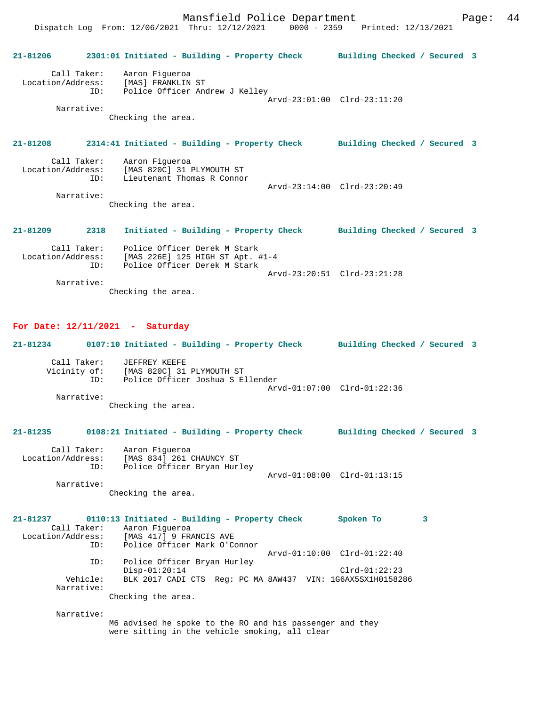Dispatch Log From: 12/06/2021 Thru: 12/12/2021 0000 - 2359 Printed: 12/13/2021

**21-81206 2301:01 Initiated - Building - Property Check Building Checked / Secured 3** Call Taker: Aaron Figueroa Location/Address: [MAS] FRANKLIN ST ID: Police Officer Andrew J Kelley Arvd-23:01:00 Clrd-23:11:20 Narrative: Checking the area. **21-81208 2314:41 Initiated - Building - Property Check Building Checked / Secured 3** Call Taker: Aaron Figueroa Location/Address: [MAS 820C] 31 PLYMOUTH ST ID: Lieutenant Thomas R Connor Arvd-23:14:00 Clrd-23:20:49 Narrative: Checking the area. **21-81209 2318 Initiated - Building - Property Check Building Checked / Secured 3** Call Taker: Police Officer Derek M Stark Location/Address: [MAS 226E] 125 HIGH ST Apt. #1-4 ID: Police Officer Derek M Stark Arvd-23:20:51 Clrd-23:21:28 Narrative: Checking the area.

#### **For Date: 12/11/2021 - Saturday**

| 21-81234     |            | 0107:10 Initiated - Building - Property Check |                             | Building Checked / Secured 3 |  |  |
|--------------|------------|-----------------------------------------------|-----------------------------|------------------------------|--|--|
| Call Taker:  |            | JEFFREY KEEFE                                 |                             |                              |  |  |
| Vicinity of: |            | [MAS 820C] 31 PLYMOUTH ST                     |                             |                              |  |  |
|              | ID:        | Police Officer Joshua S Ellender              |                             |                              |  |  |
|              |            |                                               | Arvd-01:07:00 Clrd-01:22:36 |                              |  |  |
|              | Narrative: |                                               |                             |                              |  |  |

Checking the area.

### **21-81235 0108:21 Initiated - Building - Property Check Building Checked / Secured 3**

| Call Taker:       | Aaron Fiqueroa              |                             |
|-------------------|-----------------------------|-----------------------------|
| Location/Address: | [MAS 834] 261 CHAUNCY ST    |                             |
| ID:               | Police Officer Bryan Hurley |                             |
|                   |                             | Arvd-01:08:00 Clrd-01:13:15 |
| Narrative:        |                             |                             |

Checking the area.

```
21-81237 0110:13 Initiated - Building - Property Check Spoken To 3 
Call Taker: Aaron Figueroa<br>Location/Address: [MAS 417] 9 FR
               ess:    [MAS 417] 9 FRANCIS AVE<br>ID:    Police Officer Mark O'O
                      Police Officer Mark O'Connor
                                                          Arvd-01:10:00 Clrd-01:22:40
                ID: Police Officer Bryan Hurley
          Disp-01:20:14 Clrd-01:22:23<br>Vehicle: BLK 2017 CADI CTS Reg: PC MA 8AW437 VIN: 1G6AX5SX1H01582
                      BLK 2017 CADI CTS Reg: PC MA 8AW437 VIN: 1G6AX5SX1H0158286
         Narrative: 
                    Checking the area.
```
Narrative:

M6 advised he spoke to the RO and his passenger and they were sitting in the vehicle smoking, all clear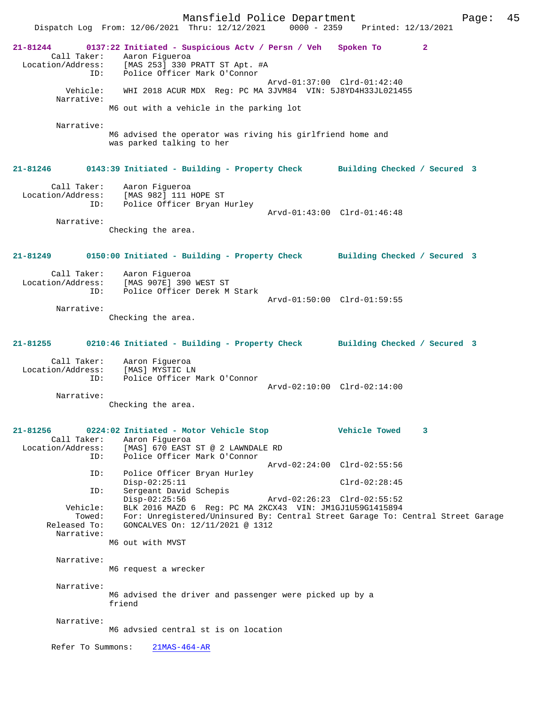Mansfield Police Department Page: 45 Dispatch Log From: 12/06/2021 Thru: 12/12/2021 **21-81244 0137:22 Initiated - Suspicious Actv / Persn / Veh Spoken To 2**  Call Taker: Aaron Figueroa Location/Address: [MAS 253] 330 PRATT ST Apt. #A ID: Police Officer Mark O'Connor Arvd-01:37:00 Clrd-01:42:40 Vehicle: WHI 2018 ACUR MDX Reg: PC MA 3JVM84 VIN: 5J8YD4H33JL021455 Narrative: M6 out with a vehicle in the parking lot Narrative: M6 advised the operator was riving his girlfriend home and was parked talking to her **21-81246 0143:39 Initiated - Building - Property Check Building Checked / Secured 3** Call Taker: Aaron Figueroa Location/Address: [MAS 982] 111 HOPE ST ID: Police Officer Bryan Hurley Arvd-01:43:00 Clrd-01:46:48 Narrative: Checking the area. **21-81249 0150:00 Initiated - Building - Property Check Building Checked / Secured 3** Call Taker: Aaron Figueroa Location/Address: [MAS 907E] 390 WEST ST ID: Police Officer Derek M Stark Arvd-01:50:00 Clrd-01:59:55 Narrative: Checking the area. **21-81255 0210:46 Initiated - Building - Property Check Building Checked / Secured 3** Call Taker: Aaron Figueroa Location/Address: [MAS] MYSTIC LN ID: Police Officer Mark O'Connor Arvd-02:10:00 Clrd-02:14:00 Narrative: Checking the area. **21-81256 0224:02 Initiated - Motor Vehicle Stop Vehicle Towed 3**  Call Taker: Aaron Figueroa<br>Location/Address: [MAS] 670 EAST ess: [MAS] 670 EAST ST @ 2 LAWNDALE RD<br>ID: Police Officer Mark O'Connor Police Officer Mark O'Connor Arvd-02:24:00 Clrd-02:55:56 ID: Police Officer Bryan Hurley Disp-02:25:11 Clrd-02:28:45 ID: Sergeant David Schepis Disp-02:25:56 Arvd-02:26:23 Clrd-02:55:52 Vehicle: BLK 2016 MAZD 6 Reg: PC MA 2KCX43 VIN: JM1GJ1U59G1415894 Towed: For: Unregistered/Uninsured By: Central Street Garage To: Central Street Garage<br>Released To: GONCALVES On: 12/11/2021 @ 1312 GONCALVES On: 12/11/2021 @ 1312 Narrative: M6 out with MVST Narrative: M6 request a wrecker Narrative: M6 advised the driver and passenger were picked up by a friend Narrative: M6 advsied central st is on location Refer To Summons: 21MAS-464-AR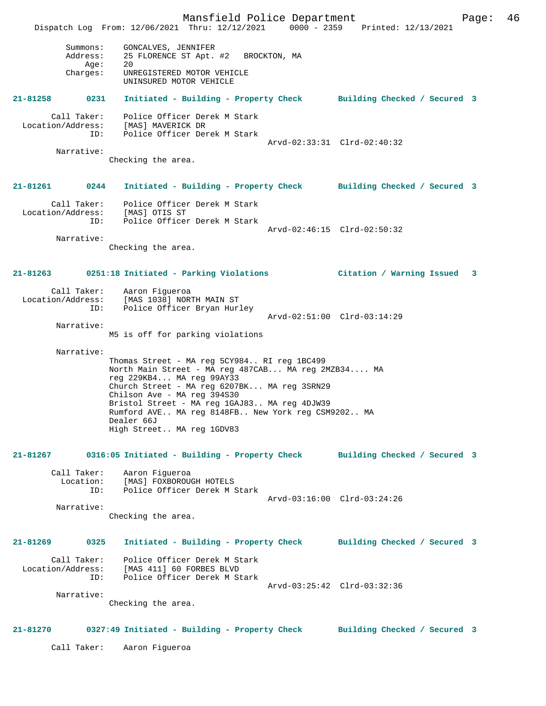Mansfield Police Department Page: 46 Dispatch Log From: 12/06/2021 Thru: 12/12/2021 0000 - 2359 Printed: 12/13/2021 Summons: GONCALVES, JENNIFER Address: 25 FLORENCE ST Apt. #2 BROCKTON, MA دء .مدد ....<br>20 Age: Charges: UNREGISTERED MOTOR VEHICLE UNINSURED MOTOR VEHICLE **21-81258 0231 Initiated - Building - Property Check Building Checked / Secured 3** Call Taker: Police Officer Derek M Stark Location/Address: [MAS] MAVERICK DR ID: Police Officer Derek M Stark Arvd-02:33:31 Clrd-02:40:32 Narrative: Checking the area. **21-81261 0244 Initiated - Building - Property Check Building Checked / Secured 3** Call Taker: Police Officer Derek M Stark Location/Address: [MAS] OTIS ST ID: Police Officer Derek M Stark Arvd-02:46:15 Clrd-02:50:32 Narrative: Checking the area. **21-81263 0251:18 Initiated - Parking Violations Citation / Warning Issued 3** Call Taker: Aaron Figueroa Location/Address: [MAS 1038] NORTH MAIN ST ID: Police Officer Bryan Hurley Arvd-02:51:00 Clrd-03:14:29 Narrative: M5 is off for parking violations Narrative: Thomas Street - MA reg 5CY984.. RI reg 1BC499 North Main Street - MA reg 487CAB... MA reg 2MZB34.... MA reg 229KB4... MA reg 99AY33 Church Street - MA reg 6207BK... MA reg 3SRN29 Chilson Ave - MA reg 394S30 Bristol Street - MA reg 1GAJ83.. MA reg 4DJW39 Rumford AVE.. MA reg 8148FB.. New York reg CSM9202.. MA Dealer 66J High Street.. MA reg 1GDV83 **21-81267 0316:05 Initiated - Building - Property Check Building Checked / Secured 3** Call Taker: Aaron Figueroa<br>Location: [MAS] FOXBOROU ion: [MAS] FOXBOROUGH HOTELS<br>ID: Police Officer Derek M S Police Officer Derek M Stark Arvd-03:16:00 Clrd-03:24:26 Narrative: Checking the area. **21-81269 0325 Initiated - Building - Property Check Building Checked / Secured 3** Call Taker: Police Officer Derek M Stark Location/Address: [MAS 411] 60 FORBES BLVD ID: Police Officer Derek M Stark Arvd-03:25:42 Clrd-03:32:36 Narrative: Checking the area. **21-81270 0327:49 Initiated - Building - Property Check Building Checked / Secured 3** Call Taker: Aaron Figueroa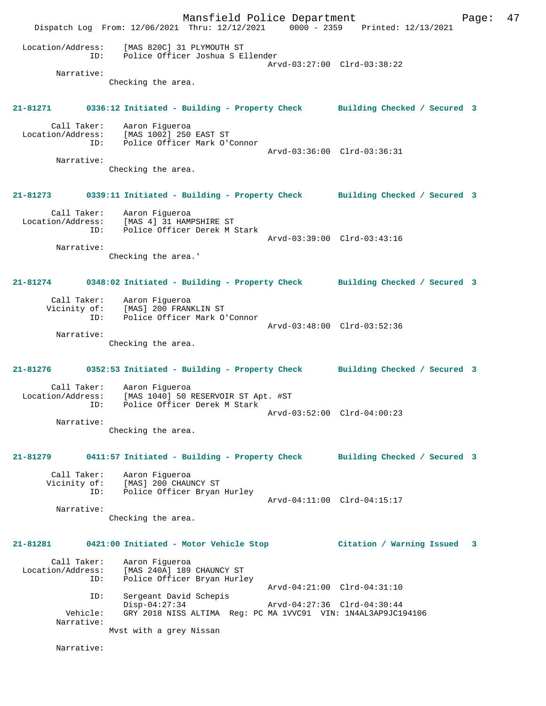Mansfield Police Department Fage: 47 Dispatch Log From: 12/06/2021 Thru: 12/12/2021 0000 - 2359 Printed: 12/13/2021 Location/Address: [MAS 820C] 31 PLYMOUTH ST ID: Police Officer Joshua S Ellender Arvd-03:27:00 Clrd-03:38:22 Narrative: Checking the area. **21-81271 0336:12 Initiated - Building - Property Check Building Checked / Secured 3** Call Taker: Aaron Figueroa Location/Address: [MAS 1002] 250 EAST ST ID: Police Officer Mark O'Connor Arvd-03:36:00 Clrd-03:36:31 Narrative: Checking the area. **21-81273 0339:11 Initiated - Building - Property Check Building Checked / Secured 3** Call Taker: Aaron Figueroa Location/Address: [MAS 4] 31 HAMPSHIRE ST ID: Police Officer Derek M Stark Arvd-03:39:00 Clrd-03:43:16 Narrative: Checking the area.' **21-81274 0348:02 Initiated - Building - Property Check Building Checked / Secured 3** Call Taker: Aaron Figueroa Vicinity of: [MAS] 200 FRANKLIN ST ID: Police Officer Mark O'Connor Arvd-03:48:00 Clrd-03:52:36 Narrative: Checking the area. **21-81276 0352:53 Initiated - Building - Property Check Building Checked / Secured 3** Call Taker: Aaron Figueroa Location/Address: [MAS 1040] 50 RESERVOIR ST Apt. #ST ID: Police Officer Derek M Stark Arvd-03:52:00 Clrd-04:00:23 Narrative: Checking the area. **21-81279 0411:57 Initiated - Building - Property Check Building Checked / Secured 3** Call Taker: Aaron Figueroa Vicinity of: [MAS] 200 CHAUNCY ST ID: Police Officer Bryan Hurley Arvd-04:11:00 Clrd-04:15:17 Narrative: Checking the area. **21-81281 0421:00 Initiated - Motor Vehicle Stop Citation / Warning Issued 3** Call Taker: Aaron Figueroa Location/Address: [MAS 240A] 189 CHAUNCY ST<br>TD: Police Officer Bryan Hurle Police Officer Bryan Hurley Arvd-04:21:00 Clrd-04:31:10 ID: Sergeant David Schepis Disp-04:27:34 Arvd-04:27:36 Clrd-04:30:44 Vehicle: GRY 2018 NISS ALTIMA Reg: PC MA 1VVC91 VIN: 1N4AL3AP9JC194106 Narrative: Mvst with a grey Nissan Narrative: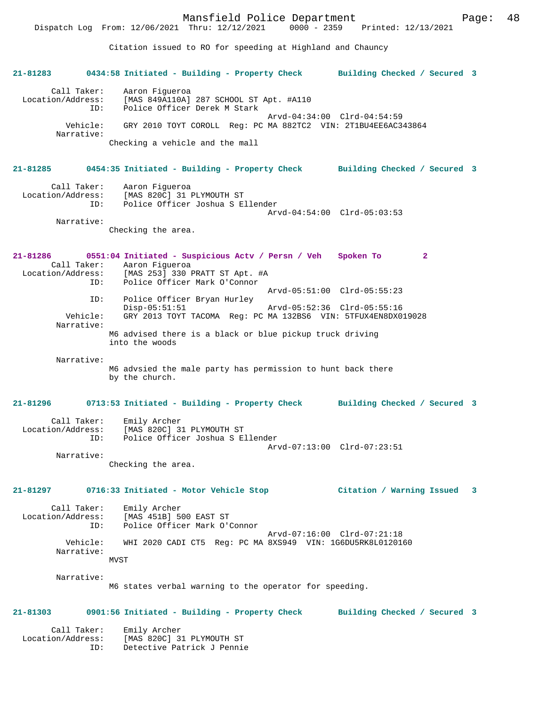Dispatch Log From: 12/06/2021 Thru: 12/12/2021

Citation issued to RO for speeding at Highland and Chauncy

**21-81283 0434:58 Initiated - Building - Property Check Building Checked / Secured 3** Call Taker: Aaron Figueroa<br>Location/Address: [MAS 849A110A] ess: [MAS 849A110A] 287 SCHOOL ST Apt. #A110<br>ID: Police Officer Derek M Stark Police Officer Derek M Stark Arvd-04:34:00 Clrd-04:54:59 Vehicle: GRY 2010 TOYT COROLL Reg: PC MA 882TC2 VIN: 2T1BU4EE6AC343864 Narrative: Checking a vehicle and the mall **21-81285 0454:35 Initiated - Building - Property Check Building Checked / Secured 3** Call Taker: Aaron Figueroa Location/Address: [MAS 820C] 31 PLYMOUTH ST Police Officer Joshua S Ellender Arvd-04:54:00 Clrd-05:03:53 Narrative: Checking the area. **21-81286 0551:04 Initiated - Suspicious Actv / Persn / Veh Spoken To 2**  Call Taker: Aaron Figueroa<br>Location/Address: [MAS 253] 330 :  $[MAS 253] 330 P RTT ST Apt. #A$  ID: Police Officer Mark O'Connor Arvd-05:51:00 Clrd-05:55:23 ID: Police Officer Bryan Hurley Disp-05:51:51 Arvd-05:52:36 Clrd-05:55:16 Vehicle: GRY 2013 TOYT TACOMA Reg: PC MA 132BS6 VIN: 5TFUX4EN8DX019028 Narrative: M6 advised there is a black or blue pickup truck driving into the woods Narrative: M6 advsied the male party has permission to hunt back there by the church. **21-81296 0713:53 Initiated - Building - Property Check Building Checked / Secured 3** Call Taker: Emily Archer Location/Address: [MAS 820C] 31 PLYMOUTH ST ID: Police Officer Joshua S Ellender Arvd-07:13:00 Clrd-07:23:51 Narrative: Checking the area. **21-81297 0716:33 Initiated - Motor Vehicle Stop Citation / Warning Issued 3** Call Taker: Emily Archer Location/Address: [MAS 451B] 500 EAST ST ID: Police Officer Mark O'Connor Arvd-07:16:00 Clrd-07:21:18 Vehicle: WHI 2020 CADI CT5 Reg: PC MA 8XS949 VIN: 1G6DU5RK8L0120160 Narrative: MVST Narrative: M6 states verbal warning to the operator for speeding. **21-81303 0901:56 Initiated - Building - Property Check Building Checked / Secured 3** Call Taker: Emily Archer Location/Address: [MAS 820C] 31 PLYMOUTH ST ID: Detective Patrick J Pennie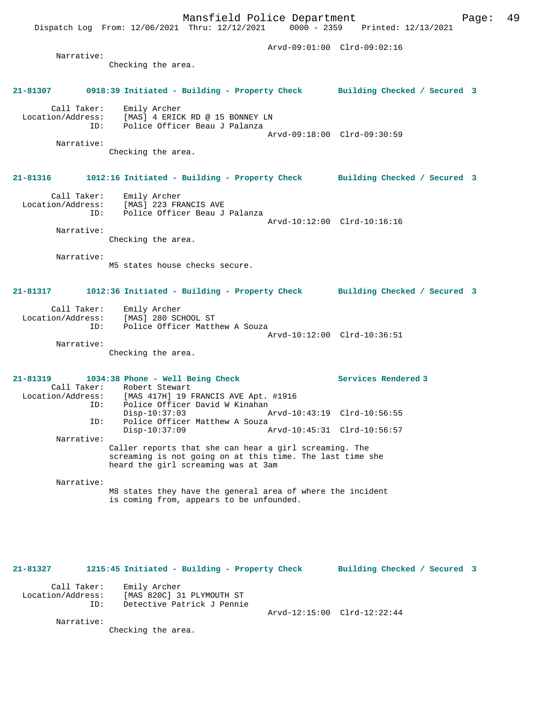Dispatch Log From: 12/06/2021 Thru: 12/12/2021 0000 - 2359 Printed: 12/13/2021 Arvd-09:01:00 Clrd-09:02:16 Narrative: Checking the area. **21-81307 0918:39 Initiated - Building - Property Check Building Checked / Secured 3** Call Taker: Emily Archer Location/Address: [MAS] 4 ERICK RD @ 15 BONNEY LN ID: Police Officer Beau J Palanza Arvd-09:18:00 Clrd-09:30:59 Narrative: Checking the area. **21-81316 1012:16 Initiated - Building - Property Check Building Checked / Secured 3** Call Taker: Emily Archer Location/Address: [MAS] 223 FRANCIS AVE ID: Police Officer Beau J Palanza Arvd-10:12:00 Clrd-10:16:16 Narrative: Checking the area. Narrative: M5 states house checks secure. **21-81317 1012:36 Initiated - Building - Property Check Building Checked / Secured 3** Call Taker: Emily Archer Location/Address: [MAS] 280 SCHOOL ST ID: Police Officer Matthew A Souza Arvd-10:12:00 Clrd-10:36:51 Narrative: Checking the area. **21-81319 1034:38 Phone - Well Being Check Services Rendered 3**  Call Taker: Robert Stewart<br>Location/Address: [MAS 417H] 19 B Address: [MAS 417H] 19 FRANCIS AVE Apt. #1916<br>ID: Police Officer David W Kinahan Police Officer David W Kinahan<br>Disp-10:37:03 Disp-10:37:03 Arvd-10:43:19 Clrd-10:56:55 ID: Police Officer Matthew A Souza<br>Disp-10:37:09 A Arvd-10:45:31 Clrd-10:56:57 Narrative: Caller reports that she can hear a girl screaming. The screaming is not going on at this time. The last time she heard the girl screaming was at 3am Narrative: M8 states they have the general area of where the incident is coming from, appears to be unfounded. **21-81327 1215:45 Initiated - Building - Property Check Building Checked / Secured 3** Call Taker: Emily Archer

 Location/Address: [MAS 820C] 31 PLYMOUTH ST ID: Detective Patrick J Pennie Arvd-12:15:00 Clrd-12:22:44

Narrative:

Checking the area.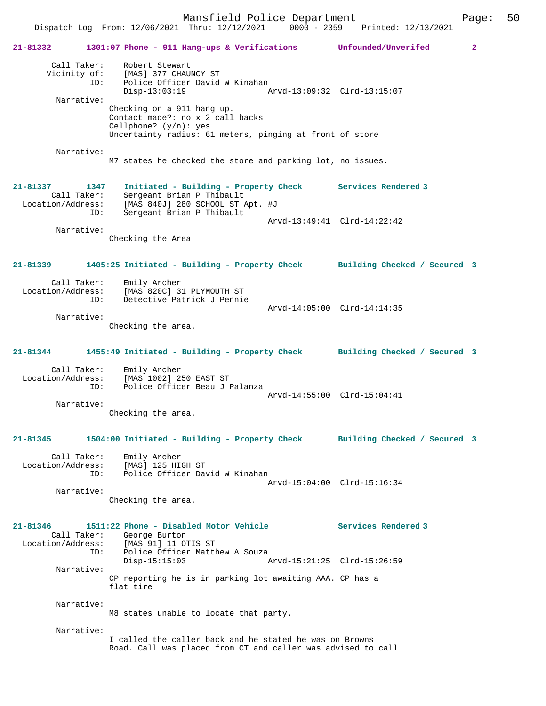Mansfield Police Department Page: 50

 Dispatch Log From: 12/06/2021 Thru: 12/12/2021 0000 - 2359 Printed: 12/13/2021 **21-81332 1301:07 Phone - 911 Hang-ups & Verifications Unfounded/Unverifed 2** Call Taker: Robert Stewart Vicinity of: [MAS] 377 CHAUNCY ST ID: Police Officer David W Kinahan Disp-13:03:19 Arvd-13:09:32 Clrd-13:15:07 Narrative: Checking on a 911 hang up. Contact made?: no x 2 call backs Cellphone? (y/n): yes Uncertainty radius: 61 meters, pinging at front of store Narrative: M7 states he checked the store and parking lot, no issues. **21-81337 1347 Initiated - Building - Property Check Services Rendered 3**  Call Taker: Sergeant Brian P Thibault Location/Address: [MAS 840J] 280 SCHOOL ST Apt. #J ID: Sergeant Brian P Thibault Arvd-13:49:41 Clrd-14:22:42 Narrative: Checking the Area **21-81339 1405:25 Initiated - Building - Property Check Building Checked / Secured 3** Call Taker: Emily Archer<br>ion/Address: Time Location/Address: [MAS 820C] 31 PLYMOUTH ST ID: Detective Patrick J Pennie Arvd-14:05:00 Clrd-14:14:35 Narrative: Checking the area. **21-81344 1455:49 Initiated - Building - Property Check Building Checked / Secured 3** Call Taker: Emily Archer Location/Address: [MAS 1002] 250 EAST ST ID: Police Officer Beau J Palanza Arvd-14:55:00 Clrd-15:04:41 Narrative: Checking the area. **21-81345 1504:00 Initiated - Building - Property Check Building Checked / Secured 3** Call Taker: Emily Archer Location/Address: [MAS] 125 HIGH ST ID: Police Officer David W Kinahan Arvd-15:04:00 Clrd-15:16:34 Narrative: Checking the area. **21-81346 1511:22 Phone - Disabled Motor Vehicle Services Rendered 3**  Call Taker: George Burton Location/Address: [MAS 91] 11 OTIS ST ID: Police Officer Matthew A Souza<br>Disp-15:15:03 Disp-15:15:03 Arvd-15:21:25 Clrd-15:26:59 Narrative: CP reporting he is in parking lot awaiting AAA. CP has a flat tire Narrative: M8 states unable to locate that party. Narrative: I called the caller back and he stated he was on Browns Road. Call was placed from CT and caller was advised to call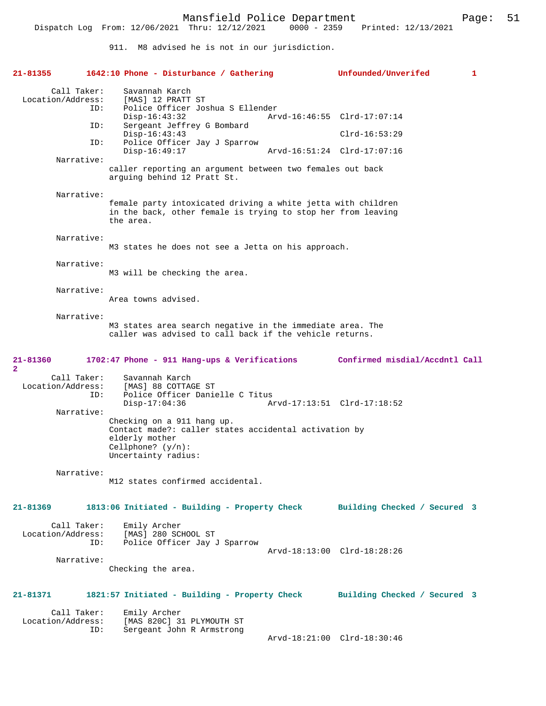911. M8 advised he is not in our jurisdiction.

| 21-81355                                | 1642:10 Phone - Disturbance / Gathering                                                                                                              | Unfounded/Unverifed          | 1 |
|-----------------------------------------|------------------------------------------------------------------------------------------------------------------------------------------------------|------------------------------|---|
| Call Taker:<br>Location/Address:<br>ID: | Savannah Karch<br>[MAS] 12 PRATT ST<br>Police Officer Joshua S Ellender                                                                              |                              |   |
| ID:                                     | $Disp-16:43:32$<br>Sergeant Jeffrey G Bombard                                                                                                        | Arvd-16:46:55 Clrd-17:07:14  |   |
| ID:                                     | $Disp-16:43:43$<br>Police Officer Jay J Sparrow                                                                                                      | $Clrd-16:53:29$              |   |
| Narrative:                              | $Disp-16:49:17$                                                                                                                                      | Arvd-16:51:24 Clrd-17:07:16  |   |
|                                         | caller reporting an argument between two females out back<br>arquing behind 12 Pratt St.                                                             |                              |   |
| Narrative:                              | female party intoxicated driving a white jetta with children<br>in the back, other female is trying to stop her from leaving<br>the area.            |                              |   |
| Narrative:                              | M3 states he does not see a Jetta on his approach.                                                                                                   |                              |   |
| Narrative:                              | M3 will be checking the area.                                                                                                                        |                              |   |
| Narrative:                              | Area towns advised.                                                                                                                                  |                              |   |
| Narrative:                              | M3 states area search negative in the immediate area. The<br>caller was advised to call back if the vehicle returns.                                 |                              |   |
| 21-81360<br>2                           | 1702:47 Phone - 911 Hang-ups & Verifications Confirmed misdial/Accdntl Call                                                                          |                              |   |
| Call Taker:<br>Location/Address:<br>ID: | Savannah Karch<br>[MAS] 88 COTTAGE ST<br>Police Officer Danielle C Titus<br>Disp-17:04:36                                                            |                              |   |
| Narrative:                              | Checking on a 911 hang up.<br>Contact made?: caller states accidental activation by<br>elderly mother<br>Cellphone? $(y/n)$ :<br>Uncertainty radius: |                              |   |
| Narrative:                              | M12 states confirmed accidental.                                                                                                                     |                              |   |
| $21 - 81369$                            | 1813:06 Initiated - Building - Property Check                                                                                                        | Building Checked / Secured 3 |   |
| Call Taker:<br>Location/Address:<br>ID: | Emily Archer<br>[MAS] 280 SCHOOL ST<br>Police Officer Jay J Sparrow                                                                                  | Arvd-18:13:00 Clrd-18:28:26  |   |
| Narrative:                              | Checking the area.                                                                                                                                   |                              |   |
| 21-81371                                | 1821:57 Initiated - Building - Property Check                                                                                                        | Building Checked / Secured 3 |   |
| Call Taker:<br>Location/Address:<br>ID: | Emily Archer<br>[MAS 820C] 31 PLYMOUTH ST<br>Sergeant John R Armstrong                                                                               | Arvd-18:21:00 Clrd-18:30:46  |   |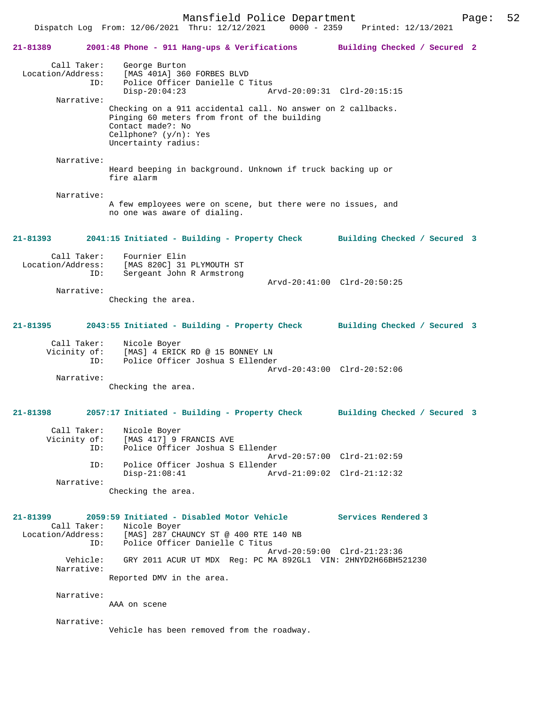Mansfield Police Department Page: 52

 Dispatch Log From: 12/06/2021 Thru: 12/12/2021 0000 - 2359 Printed: 12/13/2021 **21-81389 2001:48 Phone - 911 Hang-ups & Verifications Building Checked / Secured 2** Call Taker: George Burton Location/Address: [MAS 401A] 360 FORBES BLVD ID: Police Officer Danielle C Titus<br>Disp-20:04:23 Am Disp-20:04:23 Arvd-20:09:31 Clrd-20:15:15 Checking on a 911 accidental call. No answer on 2 callbacks.

Pinging 60 meters from front of the building Contact made?: No Cellphone? (y/n): Yes Uncertainty radius:

 Narrative: Heard beeping in background. Unknown if truck backing up or fire alarm

 Narrative: A few employees were on scene, but there were no issues, and no one was aware of dialing.

**21-81393 2041:15 Initiated - Building - Property Check Building Checked / Secured 3**

 Call Taker: Fournier Elin Location/Address: [MAS 820C] 31 PLYMOUTH ST<br>ID: Sergeant John R Armstrong Sergeant John R Armstrong Arvd-20:41:00 Clrd-20:50:25 Narrative:

Checking the area.

### **21-81395 2043:55 Initiated - Building - Property Check Building Checked / Secured 3**

| Call Taker:  | Nicole Boyer                     |  |
|--------------|----------------------------------|--|
| Vicinity of: | [MAS] 4 ERICK RD @ 15 BONNEY LN  |  |
| TD:          | Police Officer Joshua S Ellender |  |
|              | Arvd-20:43:00 Clrd-20:52:06      |  |
| Narrative:   |                                  |  |

Checking the area.

# **21-81398 2057:17 Initiated - Building - Property Check Building Checked / Secured 3**

| Call Taker:<br>Vicinity of: | Nicole Boyer<br>[MAS 417] 9 FRANCIS AVE        |
|-----------------------------|------------------------------------------------|
| ID:                         | Police Officer Joshua S Ellender               |
|                             | Arvd-20:57:00 Clrd-21:02:59                    |
| TD:                         | Police Officer Joshua S Ellender               |
|                             | $Disp-21:08:41$<br>Arvd-21:09:02 Clrd-21:12:32 |
| Narrative:                  |                                                |

Checking the area.

**21-81399 2059:59 Initiated - Disabled Motor Vehicle Services Rendered 3**  Call Taker: Nicole Boyer Location/Address: [MAS] 287 CHAUNCY ST @ 400 RTE 140 NB ID: Police Officer Danielle C Titus Arvd-20:59:00 Clrd-21:23:36 Vehicle: GRY 2011 ACUR UT MDX Reg: PC MA 892GL1 VIN: 2HNYD2H66BH521230 Narrative: Reported DMV in the area.

Narrative:

Narrative:

AAA on scene

Narrative:

Vehicle has been removed from the roadway.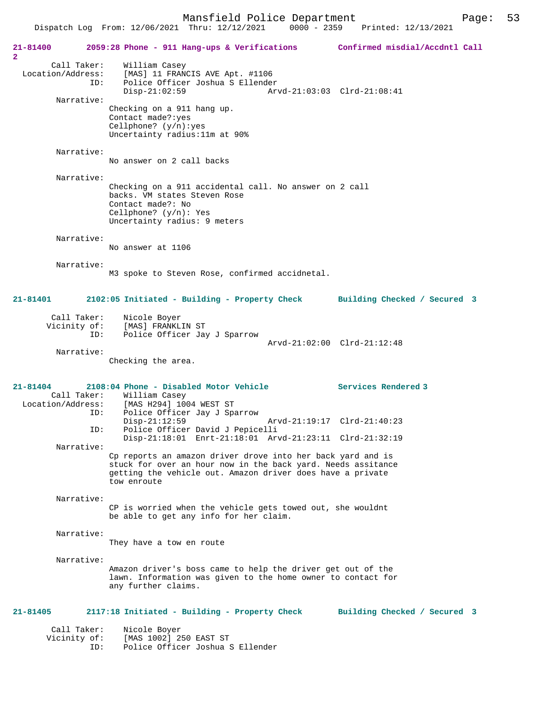Mansfield Police Department<br>  $\frac{12}{12/2221}$  0000 - 2359 Printed: 12/13/2021

Dispatch Log From: 12/06/2021 Thru: 12/12/2021

**21-81400 2059:28 Phone - 911 Hang-ups & Verifications Confirmed misdial/Accdntl Call 2**  Call Taker: William Casey Location/Address: [MAS] 11 FRANCIS AVE Apt. #1106 Police Officer Joshua S Ellender Disp-21:02:59 Arvd-21:03:03 Clrd-21:08:41 Narrative: Checking on a 911 hang up. Contact made?:yes Cellphone? (y/n):yes Uncertainty radius:11m at 90% Narrative: No answer on 2 call backs Narrative: Checking on a 911 accidental call. No answer on 2 call backs. VM states Steven Rose Contact made?: No Cellphone? (y/n): Yes Uncertainty radius: 9 meters Narrative: No answer at 1106 Narrative: M3 spoke to Steven Rose, confirmed accidnetal. **21-81401 2102:05 Initiated - Building - Property Check Building Checked / Secured 3** Call Taker: Nicole Boyer Vicinity of: [MAS] FRANKLIN ST<br>TD: Police Officer Jay Police Officer Jay J Sparrow Arvd-21:02:00 Clrd-21:12:48 Narrative: Checking the area. **21-81404 2108:04 Phone - Disabled Motor Vehicle Services Rendered 3**  Call Taker: William Casey Location/Address: [MAS H294] 1004 WEST ST Police Officer Jay J Sparrow<br>Disp-21:12:59 Disp-21:12:59 Arvd-21:19:17 Clrd-21:40:23<br>ID: Police Officer David J Pepicelli Police Officer David J Pepicelli Disp-21:18:01 Enrt-21:18:01 Arvd-21:23:11 Clrd-21:32:19 Narrative: Cp reports an amazon driver drove into her back yard and is stuck for over an hour now in the back yard. Needs assitance getting the vehicle out. Amazon driver does have a private tow enroute Narrative: CP is worried when the vehicle gets towed out, she wouldnt be able to get any info for her claim. Narrative: They have a tow en route Narrative: Amazon driver's boss came to help the driver get out of the lawn. Information was given to the home owner to contact for any further claims. **21-81405 2117:18 Initiated - Building - Property Check Building Checked / Secured 3** Call Taker: Nicole Boyer Vicinity of: [MAS 1002] 250 EAST ST

ID: Police Officer Joshua S Ellender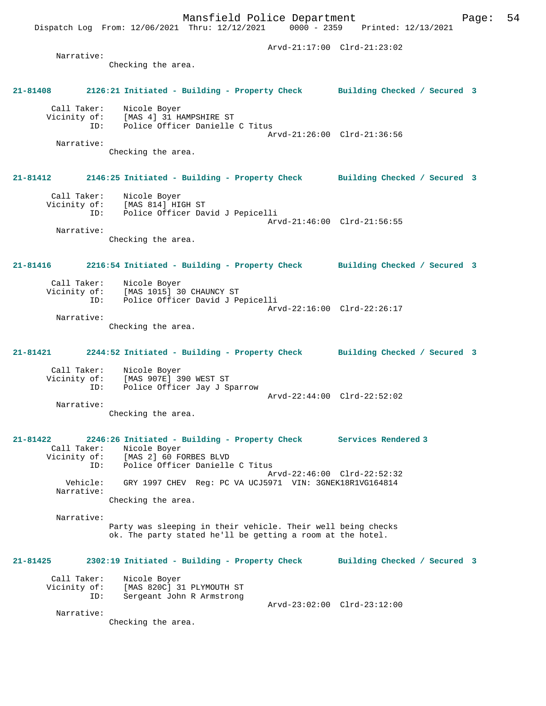Dispatch Log From: 12/06/2021 Thru: 12/12/2021

 Arvd-21:17:00 Clrd-21:23:02 Narrative: Checking the area. **21-81408 2126:21 Initiated - Building - Property Check Building Checked / Secured 3** Call Taker: Nicole Boyer Vicinity of: [MAS 4] 31 HAMPSHIRE ST ID: Police Officer Danielle C Titus Arvd-21:26:00 Clrd-21:36:56 Narrative: Checking the area. **21-81412 2146:25 Initiated - Building - Property Check Building Checked / Secured 3** Call Taker: Nicole Boyer Vicinity of: [MAS 814] HIGH ST ID: Police Officer David J Pepicelli Arvd-21:46:00 Clrd-21:56:55 Narrative: Checking the area. **21-81416 2216:54 Initiated - Building - Property Check Building Checked / Secured 3** Call Taker: Nicole Boyer<br>Vicinity of: [MAS 1015] 30 of: [MAS 1015] 30 CHAUNCY ST<br>TD: Police Officer David J Pe Police Officer David J Pepicelli Arvd-22:16:00 Clrd-22:26:17 Narrative: Checking the area. **21-81421 2244:52 Initiated - Building - Property Check Building Checked / Secured 3** Call Taker: Nicole Boyer Vicinity of: [MAS 907E] 390 WEST ST ID: Police Officer Jay J Sparrow Arvd-22:44:00 Clrd-22:52:02 Narrative: Checking the area. **21-81422 2246:26 Initiated - Building - Property Check Services Rendered 3**  Call Taker: Nicole Boyer<br>Vicinity of: [MAS 2] 60 F<br>ID: Police Office Vicinity of: [MAS 2] 60 FORBES BLVD ID: Police Officer Danielle C Titus Arvd-22:46:00 Clrd-22:52:32 Vehicle: GRY 1997 CHEV Reg: PC VA UCJ5971 VIN: 3GNEK18R1VG164814 Narrative: Checking the area. Narrative: Party was sleeping in their vehicle. Their well being checks ok. The party stated he'll be getting a room at the hotel. **21-81425 2302:19 Initiated - Building - Property Check Building Checked / Secured 3** Call Taker: Nicole Boyer Vicinity of: [MAS 820C] 31 PLYMOUTH ST ID: Sergeant John R Armstrong Arvd-23:02:00 Clrd-23:12:00 Narrative: Checking the area.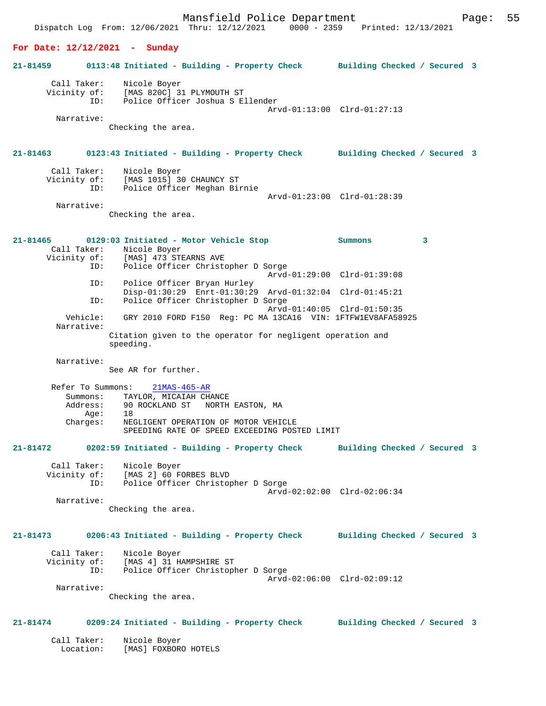Mansfield Police Department Form Page: 55 Dispatch Log From: 12/06/2021 Thru: 12/12/2021 0000 - 2359 Printed: 12/13/2021 **For Date: 12/12/2021 - Sunday 21-81459 0113:48 Initiated - Building - Property Check Building Checked / Secured 3** Call Taker: Nicole Boyer Vicinity of: [MAS 820C] 31 PLYMOUTH ST ID: Police Officer Joshua S Ellender Arvd-01:13:00 Clrd-01:27:13 Narrative: Checking the area. **21-81463 0123:43 Initiated - Building - Property Check Building Checked / Secured 3** Call Taker: Nicole Boyer<br>Vicinity of: [MAS 1015] 3 [MAS 1015] 30 CHAUNCY ST ID: Police Officer Meghan Birnie Arvd-01:23:00 Clrd-01:28:39 Narrative: Checking the area. **21-81465 0129:03 Initiated - Motor Vehicle Stop Summons 3**  Call Taker: Nicole Boyer<br>Vicinity of: [MAS] 473 ST of: [MAS] 473 STEARNS AVE<br>TD: Police Officer Christo Police Officer Christopher D Sorge Arvd-01:29:00 Clrd-01:39:08<br>TD: Police Officer Bryan Hurley Police Officer Bryan Hurley Disp-01:30:29 Enrt-01:30:29 Arvd-01:32:04 Clrd-01:45:21 ID: Police Officer Christopher D Sorge Arvd-01:40:05 Clrd-01:50:35<br>Vehicle: GRY 2010 FORD F150 Reg: PC MA 13CA16 VIN: 1FTFW1EV8AFA58 GRY 2010 FORD F150 Reg: PC MA 13CA16 VIN: 1FTFW1EV8AFA58925 Narrative: Citation given to the operator for negligent operation and speeding. Narrative: See AR for further. Refer To Summons: 21MAS-465-AR Summons: TAYLOR, MICAIAH CHANCE<br>Address: 90 ROCKLAND ST NORTH 90 ROCKLAND ST NORTH EASTON, MA Age: 18<br>Charges: NE NEGLIGENT OPERATION OF MOTOR VEHICLE SPEEDING RATE OF SPEED EXCEEDING POSTED LIMIT **21-81472 0202:59 Initiated - Building - Property Check Building Checked / Secured 3** Call Taker: Nicole Boyer Vicinity of: [MAS 2] 60 FORBES BLVD Vicinity of: [MAS 2] 60 FORBES BLVD<br>ID: Police Officer Christopher D Sorge Arvd-02:02:00 Clrd-02:06:34 Narrative: Checking the area. **21-81473 0206:43 Initiated - Building - Property Check Building Checked / Secured 3** Call Taker: Nicole Boyer Vicinity of: [MAS 4] 31 HAMPSHIRE ST<br>ID: Police Officer Christopl Police Officer Christopher D Sorge Arvd-02:06:00 Clrd-02:09:12 Narrative: Checking the area. **21-81474 0209:24 Initiated - Building - Property Check Building Checked / Secured 3** Call Taker: Nicole Boyer Location: [MAS] FOXBORO HOTELS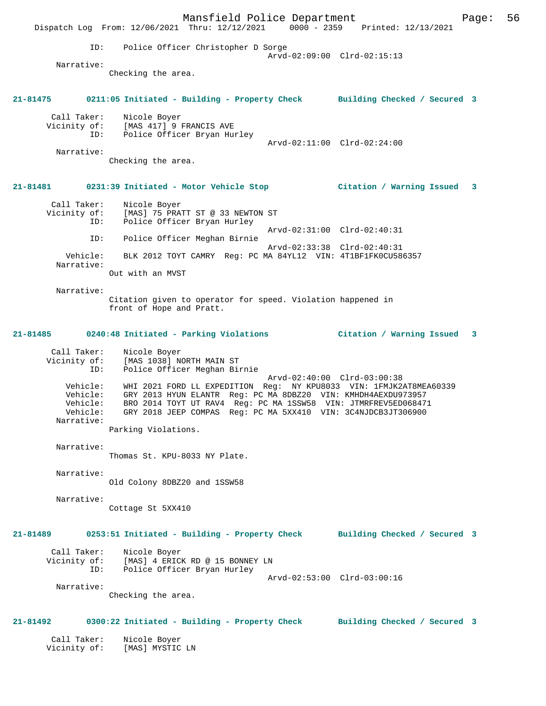Mansfield Police Department Form Page: 56 Dispatch Log From: 12/06/2021 Thru: 12/12/2021 0000 - 2359 Printed: 12/13/2021 ID: Police Officer Christopher D Sorge Arvd-02:09:00 Clrd-02:15:13 Narrative: Checking the area. **21-81475 0211:05 Initiated - Building - Property Check Building Checked / Secured 3** Call Taker: Nicole Boyer Vicinity of: [MAS 417] 9 FRANCIS AVE ID: Police Officer Bryan Hurley Arvd-02:11:00 Clrd-02:24:00 Narrative: Checking the area. **21-81481 0231:39 Initiated - Motor Vehicle Stop Citation / Warning Issued 3** Call Taker: Nicole Boyer Vicinity of: [MAS] 75 PRATT ST @ 33 NEWTON ST ID: Police Officer Bryan Hurley Arvd-02:31:00 Clrd-02:40:31 ID: Police Officer Meghan Birnie Arvd-02:33:38 Clrd-02:40:31 Vehicle: BLK 2012 TOYT CAMRY Reg: PC MA 84YL12 VIN: 4T1BF1FK0CU586357 Narrative: Out with an MVST Narrative: Citation given to operator for speed. Violation happened in front of Hope and Pratt. **21-81485 0240:48 Initiated - Parking Violations Citation / Warning Issued 3** Call Taker: Nicole Boyer Vicinity of: [MAS 1038] NORTH MAIN ST ID: Police Officer Meghan Birnie Arvd-02:40:00 Clrd-03:00:38 Vehicle: WHI 2021 FORD LL EXPEDITION Reg: NY KPU8033 VIN: 1FMJK2AT8MEA60339 Vehicle: GRY 2013 HYUN ELANTR Reg: PC MA 8DBZ20 VIN: KMHDH4AEXDU973957 Vehicle: BRO 2014 TOYT UT RAV4 Reg: PC MA 1SSW58 VIN: JTMRFREV5ED068471 Vehicle: GRY 2018 JEEP COMPAS Reg: PC MA 5XX410 VIN: 3C4NJDCB3JT306900 Narrative: Parking Violations. Narrative: Thomas St. KPU-8033 NY Plate. Narrative: Old Colony 8DBZ20 and 1SSW58 Narrative: Cottage St 5XX410 **21-81489 0253:51 Initiated - Building - Property Check Building Checked / Secured 3** Call Taker: Nicole Boyer Vicinity of: [MAS] 4 ERICK RD @ 15 BONNEY LN ID: Police Officer Bryan Hurley Arvd-02:53:00 Clrd-03:00:16 Narrative: Checking the area. **21-81492 0300:22 Initiated - Building - Property Check Building Checked / Secured 3** Call Taker: Nicole Boyer Vicinity of: [MAS] MYSTIC LN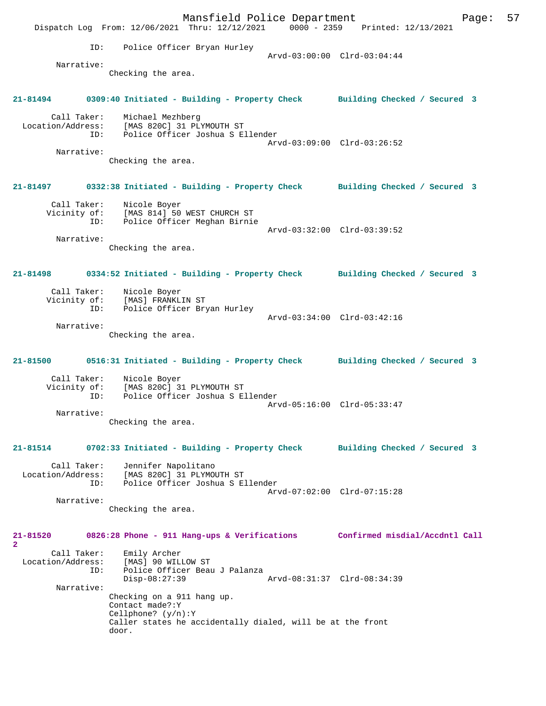Mansfield Police Department Form Page: 57 Dispatch Log From: 12/06/2021 Thru: 12/12/2021 0000 - 2359 Printed: 12/13/2021 ID: Police Officer Bryan Hurley Arvd-03:00:00 Clrd-03:04:44 Narrative: Checking the area. **21-81494 0309:40 Initiated - Building - Property Check Building Checked / Secured 3** Call Taker: Michael Mezhberg Location/Address: [MAS 820C] 31 PLYMOUTH ST ID: Police Officer Joshua S Ellender Arvd-03:09:00 Clrd-03:26:52 Narrative: Checking the area. **21-81497 0332:38 Initiated - Building - Property Check Building Checked / Secured 3** Call Taker: Nicole Boyer Vicinity of: [MAS 814] 50 WEST CHURCH ST ID: Police Officer Meghan Birnie Arvd-03:32:00 Clrd-03:39:52 Narrative: Checking the area. **21-81498 0334:52 Initiated - Building - Property Check Building Checked / Secured 3** Call Taker: Nicole Boyer Vicinity of: [MAS] FRANKLIN ST ID: Police Officer Bryan Hurley Arvd-03:34:00 Clrd-03:42:16 Narrative: Checking the area. **21-81500 0516:31 Initiated - Building - Property Check Building Checked / Secured 3** Call Taker: Nicole Boyer Vicinity of: [MAS 820C] 31 PLYMOUTH ST<br>ID: Police Officer Joshua SE Police Officer Joshua S Ellender Arvd-05:16:00 Clrd-05:33:47 Narrative: Checking the area. **21-81514 0702:33 Initiated - Building - Property Check Building Checked / Secured 3** Call Taker: Jennifer Napolitano Location/Address: [MAS 820C] 31 PLYMOUTH ST ID: Police Officer Joshua S Ellender Arvd-07:02:00 Clrd-07:15:28 Narrative: Checking the area. **21-81520 0826:28 Phone - 911 Hang-ups & Verifications Confirmed misdial/Accdntl Call 2**  Call Taker: Emily Archer Location/Address: [MAS] 90 WILLOW ST Police Officer Beau J Palanza<br>Disp-08:27:39 Disp-08:27:39 Arvd-08:31:37 Clrd-08:34:39 Narrative: Checking on a 911 hang up. Contact made?:Y Cellphone? (y/n):Y Caller states he accidentally dialed, will be at the front door.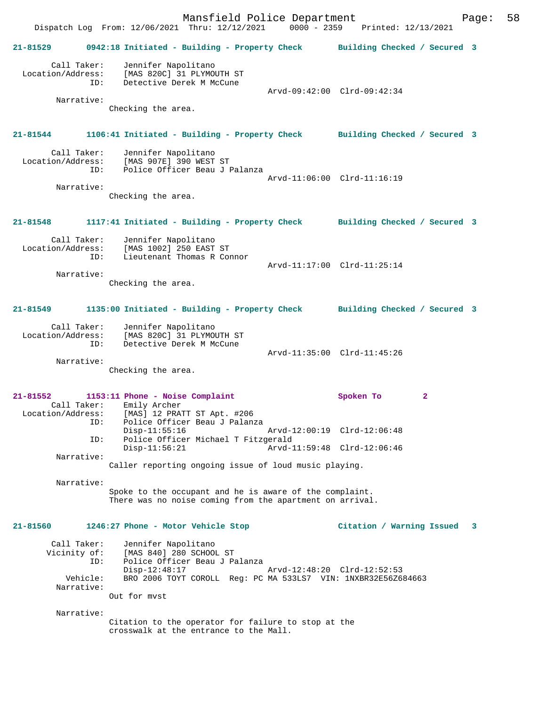Mansfield Police Department Fage: 58 Dispatch Log From: 12/06/2021 Thru: 12/12/2021 0000 - 2359 Printed: 12/13/2021 **21-81529 0942:18 Initiated - Building - Property Check Building Checked / Secured 3** Call Taker: Jennifer Napolitano Location/Address: [MAS 820C] 31 PLYMOUTH ST ID: Detective Derek M McCune Arvd-09:42:00 Clrd-09:42:34 Narrative: Checking the area. **21-81544 1106:41 Initiated - Building - Property Check Building Checked / Secured 3** Call Taker: Jennifer Napolitano<br>Location/Address: [MAS 907E] 390 WEST ess: [MAS 907E] 390 WEST ST<br>ID: Police Officer Beau J I Police Officer Beau J Palanza Arvd-11:06:00 Clrd-11:16:19 Narrative: Checking the area. **21-81548 1117:41 Initiated - Building - Property Check Building Checked / Secured 3** Call Taker: Jennifer Napolitano<br>Location/Address: [MAS 1002] 250 EAST [MAS 1002] 250 EAST ST ID: Lieutenant Thomas R Connor Arvd-11:17:00 Clrd-11:25:14 Narrative: Checking the area. **21-81549 1135:00 Initiated - Building - Property Check Building Checked / Secured 3** Call Taker: Jennifer Napolitano Location/Address: [MAS 820C] 31 PLYMOUTH ST<br>ID: Detective Derek M McCune Detective Derek M McCune Arvd-11:35:00 Clrd-11:45:26 Narrative: Checking the area. **21-81552 1153:11 Phone - Noise Complaint Spoken To 2**  Call Taker: Emily Archer Location/Address: [MAS] 12 PRATT ST Apt. #206 ESS: ITEL ISLE ISLE ISLE IN THE POLICE Officer Beau J Palanza<br>Disp-11:55:16 Disp-11:55:16 Arvd-12:00:19 Clrd-12:06:48 ID: Police Officer Michael T Fitzgerald Disp-11:56:21 Arvd-11:59:48 Clrd-12:06:46 Narrative: Caller reporting ongoing issue of loud music playing. Narrative: Spoke to the occupant and he is aware of the complaint. There was no noise coming from the apartment on arrival. **21-81560 1246:27 Phone - Motor Vehicle Stop Citation / Warning Issued 3** Call Taker: Jennifer Napolitano<br>Vicinity of: [MAS 840] 280 SCHOOI [MAS 840] 280 SCHOOL ST ID: Police Officer Beau J Palanza Disp-12:48:17 Arvd-12:48:20 Clrd-12:52:53 Vehicle: BRO 2006 TOYT COROLL Reg: PC MA 533LS7 VIN: 1NXBR32E56Z684663 Narrative: Out for mvst Narrative: Citation to the operator for failure to stop at the crosswalk at the entrance to the Mall.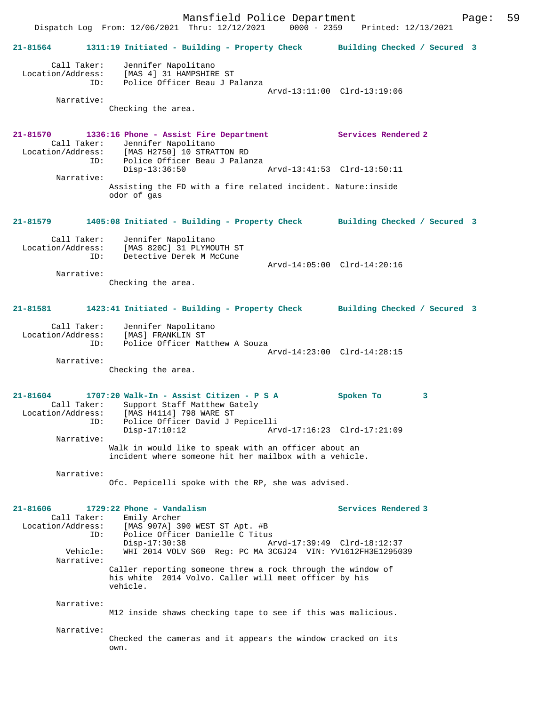Mansfield Police Department Page: 59 Dispatch Log From: 12/06/2021 Thru: 12/12/2021 **21-81564 1311:19 Initiated - Building - Property Check Building Checked / Secured 3** Call Taker: Jennifer Napolitano Location/Address: [MAS 4] 31 HAMPSHIRE ST ID: Police Officer Beau J Palanza Arvd-13:11:00 Clrd-13:19:06 Narrative: Checking the area. **21-81570 1336:16 Phone - Assist Fire Department Services Rendered 2**  Call Taker: Jennifer Napolitano Location/Address: [MAS H2750] 10 STRATTON RD Police Officer Beau J Palanza<br>Disp-13:36:50 Disp-13:36:50 Arvd-13:41:53 Clrd-13:50:11 Narrative: Assisting the FD with a fire related incident. Nature:inside odor of gas **21-81579 1405:08 Initiated - Building - Property Check Building Checked / Secured 3** Call Taker: Jennifer Napolitano<br>Location/Address: [MAS 820C] 31 PLYMOU [MAS 820C] 31 PLYMOUTH ST ID: Detective Derek M McCune Arvd-14:05:00 Clrd-14:20:16 Narrative: Checking the area. **21-81581 1423:41 Initiated - Building - Property Check Building Checked / Secured 3** Call Taker: Jennifer Napolitano Location/Address: [MAS] FRANKLIN ST<br>TD: Police Officer Mat Police Officer Matthew A Souza Arvd-14:23:00 Clrd-14:28:15 Narrative: Checking the area. **21-81604 1707:20 Walk-In - Assist Citizen - P S A Spoken To 3**  Call Taker: Support Staff Matthew Gately<br>Location/Address: [MAS H4114] 798 WARE ST [MAS H4114] 798 WARE ST ID: Police Officer David J Pepicelli Disp-17:10:12 Arvd-17:16:23 Clrd-17:21:09 Narrative: Walk in would like to speak with an officer about an incident where someone hit her mailbox with a vehicle. Narrative: Ofc. Pepicelli spoke with the RP, she was advised. **21-81606 1729:22 Phone - Vandalism Services Rendered 3**  Call Taker: Emily Archer Location/Address: [MAS 907A] 390 WEST ST Apt. #B ID: Police Officer Danielle C Titus<br>Disp-17:30:38 A Disp-17:30:38 Arvd-17:39:49 Clrd-18:12:37<br>Vehicle: WHI 2014 VOLV S60 Req: PC MA 3CGJ24 VIN: YV1612FH3E12950 Vehicle: WHI 2014 VOLV S60 Reg: PC MA 3CGJ24 VIN: YV1612FH3E1295039 Narrative: Caller reporting someone threw a rock through the window of his white 2014 Volvo. Caller will meet officer by his vehicle. Narrative: M12 inside shaws checking tape to see if this was malicious. Narrative: Checked the cameras and it appears the window cracked on its own.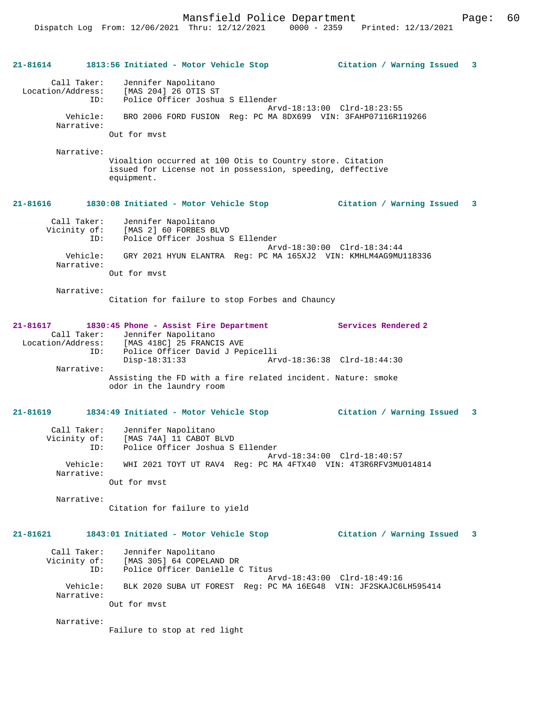Mansfield Police Department Fage: 60

| 21-81614                                                          | 1813:56 Initiated - Motor Vehicle Stop                                                                                                           | Citation / Warning Issued   | 3 |
|-------------------------------------------------------------------|--------------------------------------------------------------------------------------------------------------------------------------------------|-----------------------------|---|
| Call Taker:<br>Location/Address:<br>ID:<br>Vehicle:<br>Narrative: | Jennifer Napolitano<br>[MAS 204] 26 OTIS ST<br>Police Officer Joshua S Ellender<br>BRO 2006 FORD FUSION Reg: PC MA 8DX699 VIN: 3FAHP07116R119266 | Arvd-18:13:00 Clrd-18:23:55 |   |
|                                                                   | Out for myst                                                                                                                                     |                             |   |
| Narrative:                                                        | Vioaltion occurred at 100 Otis to Country store. Citation<br>issued for License not in possession, speeding, deffective<br>equipment.            |                             |   |
| 21-81616                                                          | 1830:08 Initiated - Motor Vehicle Stop                                                                                                           | Citation / Warning Issued   | 3 |
| Call Taker:<br>Vicinity of:<br>ID:                                | Jennifer Napolitano<br>[MAS 2] 60 FORBES BLVD<br>Police Officer Joshua S Ellender                                                                | Arvd-18:30:00 Clrd-18:34:44 |   |
| Vehicle:<br>Narrative:                                            | GRY 2021 HYUN ELANTRA Reg: PC MA 165XJ2 VIN: KMHLM4AG9MU118336<br>Out for myst                                                                   |                             |   |
| Narrative:                                                        | Citation for failure to stop Forbes and Chauncy                                                                                                  |                             |   |
| 21-81617<br>Call Taker:<br>Location/Address:<br>ID:               | 1830:45 Phone - Assist Fire Department<br>Jennifer Napolitano<br>[MAS 418C] 25 FRANCIS AVE<br>Police Officer David J Pepicelli                   | Services Rendered 2         |   |
| Narrative:                                                        | $Disp-18:31:33$<br>Assisting the FD with a fire related incident. Nature: smoke<br>odor in the laundry room                                      | Arvd-18:36:38 Clrd-18:44:30 |   |
| 21-81619                                                          | 1834:49 Initiated - Motor Vehicle Stop                                                                                                           | Citation / Warning Issued 3 |   |
| Call Taker:<br>Vicinity of:<br>ID:                                | Jennifer Napolitano<br>[MAS 74A] 11 CABOT BLVD<br>Police Officer Joshua S Ellender                                                               | Arvd-18:34:00 Clrd-18:40:57 |   |
| Vehicle:<br>Narrative:                                            | WHI 2021 TOYT UT RAV4 Reg: PC MA 4FTX40 VIN: 4T3R6RFV3MU014814                                                                                   |                             |   |
| Narrative:                                                        | Out for myst                                                                                                                                     |                             |   |
|                                                                   | Citation for failure to yield                                                                                                                    |                             |   |
| $21 - 81621$                                                      | 1843:01 Initiated - Motor Vehicle Stop                                                                                                           | Citation / Warning Issued 3 |   |
| Call Taker:<br>Vicinity of:<br>ID:                                | Jennifer Napolitano<br>[MAS 305] 64 COPELAND DR<br>Police Officer Danielle C Titus                                                               | Arvd-18:43:00 Clrd-18:49:16 |   |
| Vehicle:<br>Narrative:                                            | BLK 2020 SUBA UT FOREST Reg: PC MA 16EG48 VIN: JF2SKAJC6LH595414<br>Out for myst                                                                 |                             |   |
| Narrative:                                                        | Failure to stop at red light                                                                                                                     |                             |   |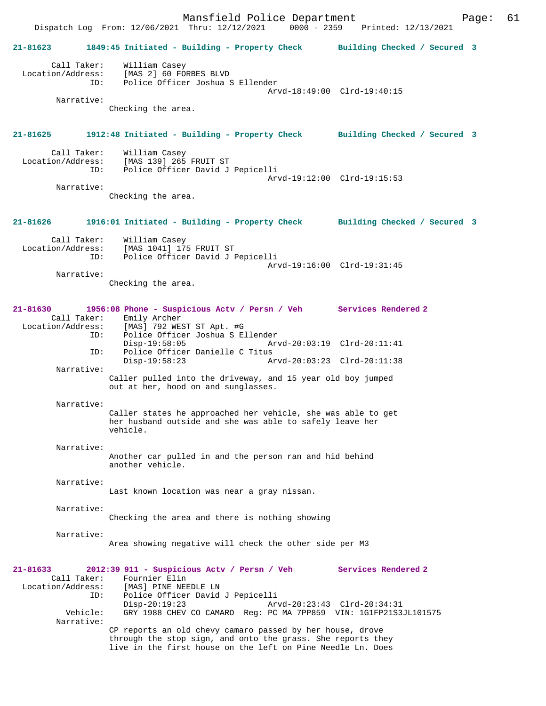Mansfield Police Department<br>Thru: 12/12/2021 0000 - 2359 Printed: 12/13/2021 Dispatch Log From: 12/06/2021 Thru: 12/12/2021 **21-81623 1849:45 Initiated - Building - Property Check Building Checked / Secured 3** Call Taker: William Casey Location/Address: [MAS 2] 60 FORBES BLVD Police Officer Joshua S Ellender Arvd-18:49:00 Clrd-19:40:15 Narrative: Checking the area. **21-81625 1912:48 Initiated - Building - Property Check Building Checked / Secured 3** Call Taker: William Casey<br>Location/Address: [MAS 139] 265 ess: [MAS 139] 265 FRUIT ST<br>ID: Police Officer David J Police Officer David J Pepicelli Arvd-19:12:00 Clrd-19:15:53 Narrative: Checking the area. **21-81626 1916:01 Initiated - Building - Property Check Building Checked / Secured 3** Call Taker: William Casey Location/Address: [MAS 1041] 175 FRUIT ST Police Officer David J Pepicelli Arvd-19:16:00 Clrd-19:31:45 Narrative: Checking the area. **21-81630 1956:08 Phone - Suspicious Actv / Persn / Veh Services Rendered 2**  Call Taker: Emily Archer Location/Address: [MAS] 792 WEST ST Apt. #G Police Officer Joshua S Ellender<br>Disp-19:58:05 Arv Disp-19:58:05 Arvd-20:03:19 Clrd-20:11:41<br>ID: Police Officer Danielle C Titus Police Officer Danielle C Titus Disp-19:58:23 Arvd-20:03:23 Clrd-20:11:38 Narrative: Caller pulled into the driveway, and 15 year old boy jumped out at her, hood on and sunglasses. Narrative: Caller states he approached her vehicle, she was able to get her husband outside and she was able to safely leave her vehicle. Narrative: Another car pulled in and the person ran and hid behind another vehicle. Narrative: Last known location was near a gray nissan. Narrative: Checking the area and there is nothing showing Narrative: Area showing negative will check the other side per M3 **21-81633 2012:39 911 - Suspicious Actv / Persn / Veh Services Rendered 2**  Call Taker: Fournier Elin<br>Location/Address: [MAS] PINE NE ess: [MAS] PINE NEEDLE LN<br>ID: Police Officer David ID: Police Officer David J Pepicelli Disp-20:19:23 **Arvd-20:23:43** Clrd-20:34:31<br>Vehicle: GRY 1988 CHEV CO CAMARO Reg: PC MA 7PP859 VIN: 1G1FP21S3 GRY 1988 CHEV CO CAMARO Reg: PC MA 7PP859 VIN: 1G1FP21S3JL101575 Narrative: CP reports an old chevy camaro passed by her house, drove through the stop sign, and onto the grass. She reports they live in the first house on the left on Pine Needle Ln. Does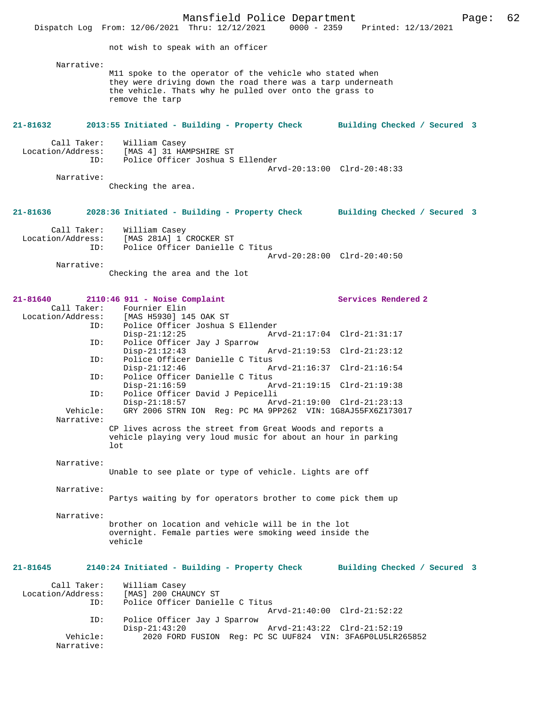Mansfield Police Department<br>Thru:  $12/12/2021$  0000 - 2359 Printed:  $12/13/2021$ Dispatch Log From: 12/06/2021 Thru: 12/12/2021 not wish to speak with an officer Narrative: M11 spoke to the operator of the vehicle who stated when they were driving down the road there was a tarp underneath the vehicle. Thats why he pulled over onto the grass to remove the tarp **21-81632 2013:55 Initiated - Building - Property Check Building Checked / Secured 3** Call Taker: William Casey<br>Location/Address: [MAS 4] 31 HA ess: [MAS 4] 31 HAMPSHIRE ST<br>ID: Police Officer Joshua S Police Officer Joshua S Ellender Arvd-20:13:00 Clrd-20:48:33 Narrative: Checking the area. **21-81636 2028:36 Initiated - Building - Property Check Building Checked / Secured 3** Call Taker: William Casey<br>Location/Address: [MAS 281A] 1 ess: [MAS 281A] 1 CROCKER ST<br>ID: Police Officer Danielle Police Officer Danielle C Titus Arvd-20:28:00 Clrd-20:40:50 Narrative: Checking the area and the lot **21-81640 2110:46 911 - Noise Complaint Services Rendered 2**  Call Taker: Fournier Elin<br>Location/Address: [MAS H5930] 14 ess: [MAS H5930] 145 OAK ST<br>ID: Police Officer Joshua S Police Officer Joshua S Ellender<br>Disp-21:12:25 Arv Disp-21:12:25 Arvd-21:17:04 Clrd-21:31:17<br>TD: Police Officer Jav J Sparrow Police Officer Jay J Sparrow<br>Disp-21:12:43 Arvd-21:19:53 Clrd-21:23:12 ID: Police Officer Danielle C Titus<br>Disp-21:12:46 A Disp-21:12:46 Arvd-21:16:37 Clrd-21:16:54 ID: Police Officer Danielle C Titus Disp-21:16:59 Arvd-21:19:15 Clrd-21:19:38<br>ID: Police Officer David J Pepicelli Police Officer David J Pepicelli<br>Disp-21:18:57 Ar Disp-21:18:57 Arvd-21:19:00 Clrd-21:23:13<br>Vehicle: GRY 2006 STRN ION Reg: PC MA 9PP262 VIN: 1G8AJ55FX6Z1730 GRY 2006 STRN ION Reg: PC MA 9PP262 VIN: 1G8AJ55FX6Z173017 Narrative: CP lives across the street from Great Woods and reports a vehicle playing very loud music for about an hour in parking lot Narrative: Unable to see plate or type of vehicle. Lights are off Narrative: Partys waiting by for operators brother to come pick them up Narrative: brother on location and vehicle will be in the lot overnight. Female parties were smoking weed inside the vehicle **21-81645 2140:24 Initiated - Building - Property Check Building Checked / Secured 3** Call Taker: William Casey<br>Location/Address: [MAS] 200 CHA ess: [MAS] 200 CHAUNCY ST:<br>ID: Police Officer Danie Police Officer Danielle C Titus Arvd-21:40:00 Clrd-21:52:22 ID: Police Officer Jay J Sparrow Disp-21:43:20 Arvd-21:43:22 Clrd-21:52:19<br>Vehicle: 2020 FORD FUSION Reg: PC SC UUF824 VIN: 3FA6P0LU5LE2 2020 FORD FUSION Reg: PC SC UUF824 VIN: 3FA6P0LU5LR265852 Narrative: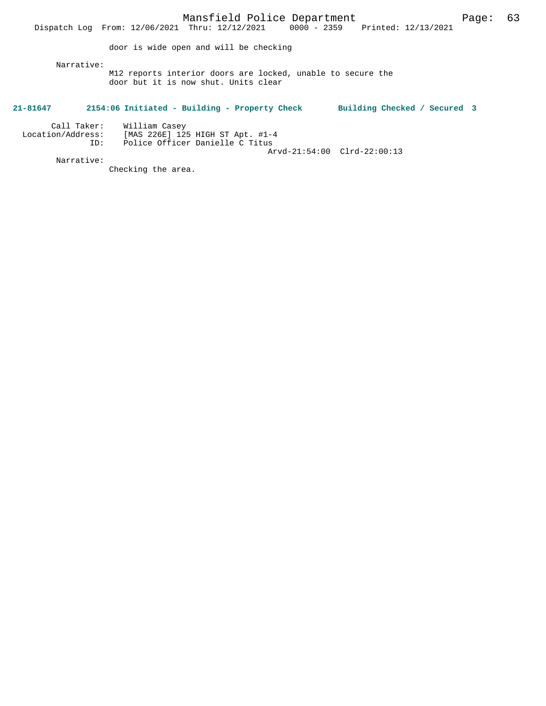Dispatch Log From: 12/06/2021 Thru: 12/12/2021 0000 - 2359 Printed: 12/13/2021 door is wide open and will be checking Narrative: M12 reports interior doors are locked, unable to secure the door but it is now shut. Units clear **21-81647 2154:06 Initiated - Building - Property Check Building Checked / Secured 3** Call Taker: William Casey Location/Address: [MAS 226E] 125 HIGH ST Apt. #1-4 ID: Police Officer Danielle C Titus

Arvd-21:54:00 Clrd-22:00:13

Narrative:

Checking the area.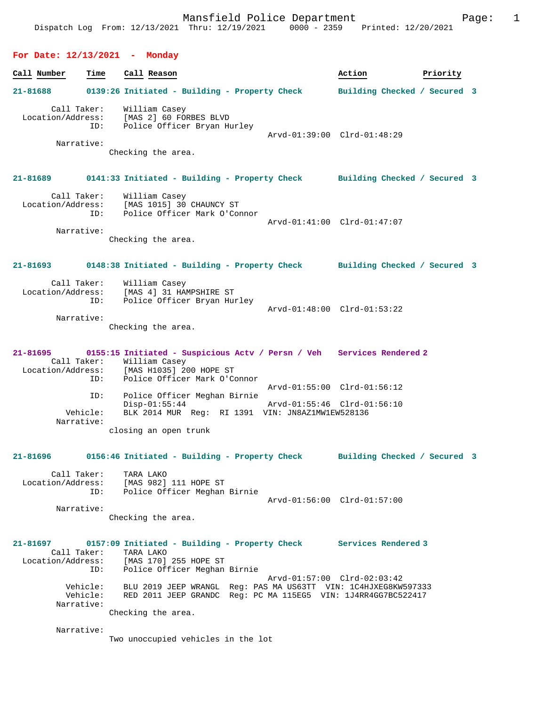#### **For Date: 12/13/2021 - Monday**

**Call Number Time Call Reason 6 and Call Reason Action Action Priority 21-81688 0139:26 Initiated - Building - Property Check Building Checked / Secured 3** Call Taker: William Casey Location/Address: [MAS 2] 60 FORBES BLVD ID: Police Officer Bryan Hurley Arvd-01:39:00 Clrd-01:48:29 Narrative: Checking the area. **21-81689 0141:33 Initiated - Building - Property Check Building Checked / Secured 3** Call Taker: William Casey Location/Address: [MAS 1015] 30 CHAUNCY ST ID: Police Officer Mark O'Connor Arvd-01:41:00 Clrd-01:47:07 Narrative: Checking the area. **21-81693 0148:38 Initiated - Building - Property Check Building Checked / Secured 3** Call Taker: William Casey Location/Address: [MAS 4] 31 HAMPSHIRE ST<br>TD: Police Officer Bryan Hui ID: Police Officer Bryan Hurley Arvd-01:48:00 Clrd-01:53:22 Narrative: Checking the area. **21-81695 0155:15 Initiated - Suspicious Actv / Persn / Veh Services Rendered 2**  Call Taker: William Casey Location/Address: [MAS H1035] 200 HOPE ST ID: Police Officer Mark O'Connor Arvd-01:55:00 Clrd-01:56:12 ID: Police Officer Meghan Birnie Disp-01:55:44 Arvd-01:55:46 Clrd-01:56:10<br>Vehicle: BLK 2014 MUR Reg: RI 1391 VIN: JN8AZ1MW1EW528136 Vehicle: BLK 2014 MUR Reg: RI 1391 VIN: JN8AZ1MW1EW528136 Narrative: closing an open trunk **21-81696 0156:46 Initiated - Building - Property Check Building Checked / Secured 3** Call Taker: TARA LAKO Location/Address: [MAS 982] 111 HOPE ST ID: Police Officer Meghan Birnie Arvd-01:56:00 Clrd-01:57:00 Narrative: Checking the area. **21-81697 0157:09 Initiated - Building - Property Check Services Rendered 3**  Call Taker: TARA LAKO<br>Location/Address: [MAS 170] ess: [MAS 170] 255 HOPE ST<br>ID: Police Officer Meghan Police Officer Meghan Birnie Arvd-01:57:00 Clrd-02:03:42 Vehicle: BLU 2019 JEEP WRANGL Reg: PAS MA US63TT VIN: 1C4HJXEG8KW597333

 Vehicle: RED 2011 JEEP GRANDC Reg: PC MA 115EG5 VIN: 1J4RR4GG7BC522417 Narrative:

Checking the area.

Narrative:

Two unoccupied vehicles in the lot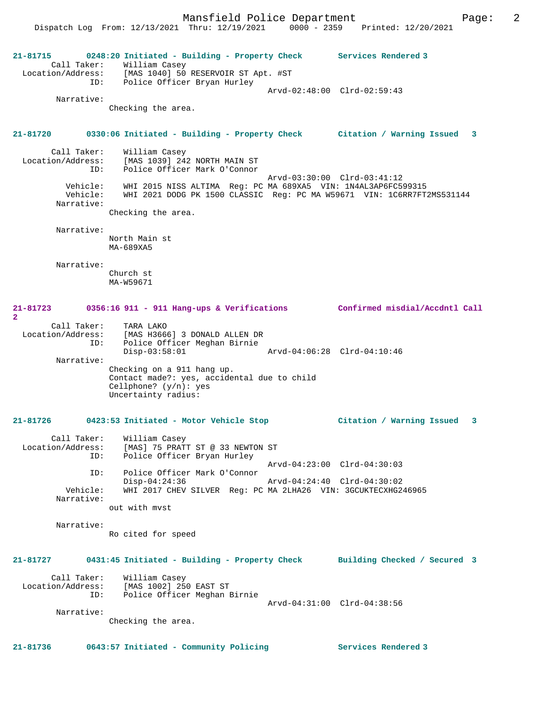**21-81715 0248:20 Initiated - Building - Property Check Services Rendered 3**  Call Taker: William Casey Location/Address: [MAS 1040] 50 RESERVOIR ST Apt. #ST ID: Police Officer Bryan Hurley Arvd-02:48:00 Clrd-02:59:43 Narrative: Checking the area. **21-81720 0330:06 Initiated - Building - Property Check Citation / Warning Issued 3** Call Taker: William Casey Location/Address: [MAS 1039] 242 NORTH MAIN ST ID: Police Officer Mark O'Connor Arvd-03:30:00 Clrd-03:41:12 Vehicle: WHI 2015 NISS ALTIMA Reg: PC MA 689XA5 VIN: 1N4AL3AP6FC599315 Vehicle: WHI 2021 DODG PK 1500 CLASSIC Reg: PC MA W59671 VIN: 1C6RR7FT2MS531144 Narrative: Checking the area. Narrative: North Main st MA-689XA5 Narrative: Church st MA-W59671 **21-81723 0356:16 911 - 911 Hang-ups & Verifications Confirmed misdial/Accdntl Call 2**  Call Taker: TARA LAKO Location/Address: [MAS H3666] 3 DONALD ALLEN DR ID: Police Officer Meghan Birnie Disp-03:58:01 Arvd-04:06:28 Clrd-04:10:46 Narrative: Checking on a 911 hang up. Contact made?: yes, accidental due to child Cellphone? (y/n): yes Uncertainty radius: **21-81726 0423:53 Initiated - Motor Vehicle Stop Citation / Warning Issued 3** Call Taker: William Casey Location/Address: [MAS] 75 PRATT ST @ 33 NEWTON ST ID: Police Officer Bryan Hurley Arvd-04:23:00 Clrd-04:30:03 ID: Police Officer Mark O'Connor Disp-04:24:36 Arvd-04:24:40 Clrd-04:30:02 Vehicle: WHI 2017 CHEV SILVER Reg: PC MA 2LHA26 VIN: 3GCUKTECXHG246965 Narrative: out with mvst Narrative: Ro cited for speed **21-81727 0431:45 Initiated - Building - Property Check Building Checked / Secured 3** Call Taker: William Casey Location/Address: [MAS 1002] 250 EAST ST ID: Police Officer Meghan Birnie Arvd-04:31:00 Clrd-04:38:56 Narrative: Checking the area. **21-81736 0643:57 Initiated - Community Policing Services Rendered 3**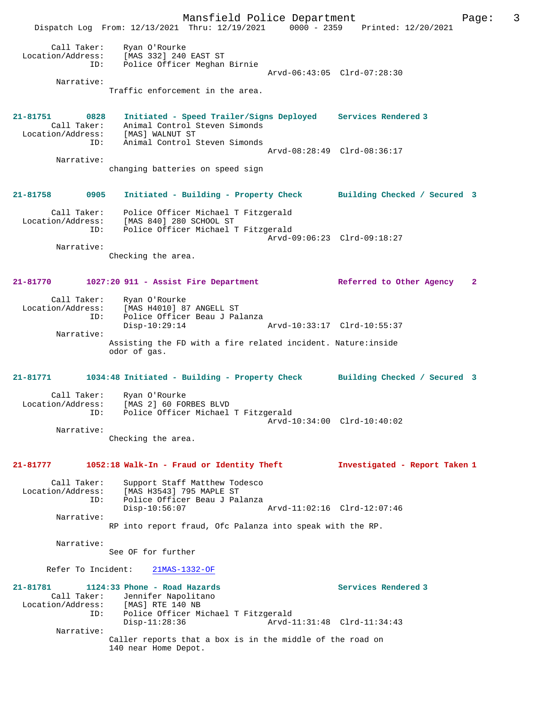Mansfield Police Department Page: 3 Dispatch Log From: 12/13/2021 Thru: 12/19/2021 0000 - 2359 Printed: 12/20/2021 Call Taker: Ryan O'Rourke Location/Address: [MAS 332] 240 EAST ST ID: Police Officer Meghan Birnie Arvd-06:43:05 Clrd-07:28:30 Narrative: Traffic enforcement in the area. **21-81751 0828 Initiated - Speed Trailer/Signs Deployed Services Rendered 3**  Call Taker: Animal Control Steven Simonds Location/Address: [MAS] WALNUT ST ID: Animal Control Steven Simonds Arvd-08:28:49 Clrd-08:36:17 Narrative: changing batteries on speed sign **21-81758 0905 Initiated - Building - Property Check Building Checked / Secured 3** Call Taker: Police Officer Michael T Fitzgerald Location/Address: [MAS 840] 280 SCHOOL ST ID: Police Officer Michael T Fitzgerald Arvd-09:06:23 Clrd-09:18:27 Narrative: Checking the area. **21-81770 1027:20 911 - Assist Fire Department Referred to Other Agency 2** Call Taker: Ryan O'Rourke Location/Address: [MAS H4010] 87 ANGELL ST ID: Police Officer Beau J Palanza Disp-10:29:14 Arvd-10:33:17 Clrd-10:55:37 Narrative: Assisting the FD with a fire related incident. Nature:inside odor of gas. **21-81771 1034:48 Initiated - Building - Property Check Building Checked / Secured 3** Call Taker: Ryan O'Rourke Location/Address: [MAS 2] 60 FORBES BLVD ID: Police Officer Michael T Fitzgerald Arvd-10:34:00 Clrd-10:40:02 Narrative: Checking the area. **21-81777 1052:18 Walk-In - Fraud or Identity Theft Investigated - Report Taken 1** Call Taker: Support Staff Matthew Todesco Location/Address: [MAS H3543] 795 MAPLE ST ID: Police Officer Beau J Palanza  $Disp-10:56:07$  Narrative: RP into report fraud, Ofc Palanza into speak with the RP. Narrative: See OF for further Refer To Incident: 21MAS-1332-OF **21-81781 1124:33 Phone - Road Hazards Services Rendered 3**  Call Taker: Jennifer Napolitano<br>Location/Address: [MAS] RTE 140 NB [MAS] RTE 140 NB ID: Police Officer Michael T Fitzgerald Arvd-11:31:48 Clrd-11:34:43 Narrative: Caller reports that a box is in the middle of the road on 140 near Home Depot.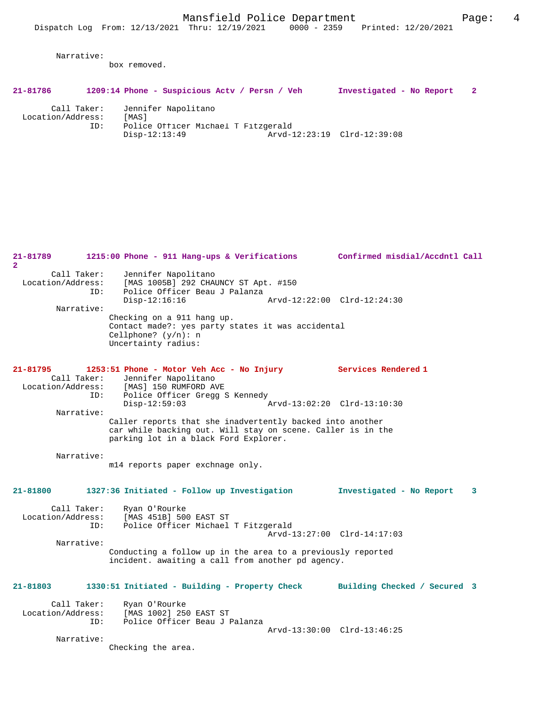Narrative:

box removed.

Call Taker: Jennifer Napolitano

| 21-81786 | 1209:14 Phone - Suspicious Acty / Persn / Veh |  | Investigated - No Report |  |
|----------|-----------------------------------------------|--|--------------------------|--|
|          |                                               |  |                          |  |

| Call Taker.       | neuurrer waporrrano                 |                             |  |
|-------------------|-------------------------------------|-----------------------------|--|
| Location/Address: | 「MAS]                               |                             |  |
| ID:               | Police Officer Michael T Fitzgerald |                             |  |
|                   | Disp-12:13:49                       | Arvd-12:23:19 Clrd-12:39:08 |  |

**21-81789 1215:00 Phone - 911 Hang-ups & Verifications Confirmed misdial/Accdntl Call 2**  Call Taker: Jennifer Napolitano<br>Location/Address: [MAS 1005B] 292 CHAD Location (Address: 1997)<br>Ess: [MAS 1005B] 292 CHAUNCY ST Apt. #150<br>ID: Police Officer Beau J Palanza Police Officer Beau J Palanza<br>Disp-12:16:16 Disp-12:16:16 Arvd-12:22:00 Clrd-12:24:30 Narrative: Checking on a 911 hang up. Contact made?: yes party states it was accidental Cellphone? (y/n): n Uncertainty radius: **21-81795 1253:51 Phone - Motor Veh Acc - No Injury Services Rendered 1**  Call Taker: Jennifer Napolitano<br>Location/Address: [MAS] 150 RUMFORD AV ess: [MAS] 150 RUMFORD AVE<br>ID: Police Officer Gregg S Police Officer Gregg S Kennedy<br>Disp-12:59:03 Disp-12:59:03 Arvd-13:02:20 Clrd-13:10:30 Narrative: Caller reports that she inadvertently backed into another car while backing out. Will stay on scene. Caller is in the parking lot in a black Ford Explorer. Narrative: m14 reports paper exchnage only. **21-81800 1327:36 Initiated - Follow up Investigation Investigated - No Report 3** Call Taker: Ryan O'Rourke<br>Location/Address: [MAS 451B] 500 ess: [MAS 451B] 500 EAST ST<br>ID: Police Officer Michael Police Officer Michael T Fitzgerald Arvd-13:27:00 Clrd-14:17:03 Narrative: Conducting a follow up in the area to a previously reported incident. awaiting a call from another pd agency. **21-81803 1330:51 Initiated - Building - Property Check Building Checked / Secured 3** Call Taker: Ryan O'Rourke<br>Location/Address: [MAS 1002] 25 ess: [MAS 1002] 250 EAST ST<br>ID: Police Officer Beau J I Police Officer Beau J Palanza Arvd-13:30:00 Clrd-13:46:25 Narrative: Checking the area.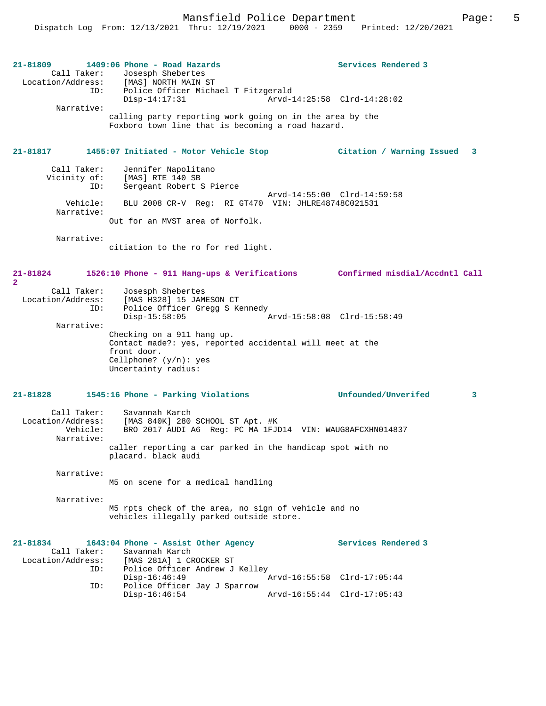Mansfield Police Department Page: 5

| 21-81809<br>Call Taker:<br>ID:<br>Narrative:               | 1409:06 Phone - Road Hazards<br>Josesph Shebertes<br>Location/Address: [MAS] NORTH MAIN ST<br>Police Officer Michael T Fitzgerald<br>Disp-14:17:31<br>calling party reporting work going on in the area by the<br>Foxboro town line that is becoming a road hazard. | Services Rendered 3             |  |
|------------------------------------------------------------|---------------------------------------------------------------------------------------------------------------------------------------------------------------------------------------------------------------------------------------------------------------------|---------------------------------|--|
| 21-81817                                                   | 1455:07 Initiated - Motor Vehicle Stop                                                                                                                                                                                                                              | Citation / Warning Issued<br>3  |  |
| Call Taker:<br>ID:                                         | Jennifer Napolitano<br>Vicinity of: [MAS] RTE 140 SB<br>Sergeant Robert S Pierce                                                                                                                                                                                    | Arvd-14:55:00 Clrd-14:59:58     |  |
| Vehicle:<br>Narrative:                                     | BLU 2008 CR-V Req: RI GT470 VIN: JHLRE48748C021531<br>Out for an MVST area of Norfolk.                                                                                                                                                                              |                                 |  |
| Narrative:                                                 | citiation to the ro for red light.                                                                                                                                                                                                                                  |                                 |  |
| 21-81824<br>$\overline{a}$                                 | 1526:10 Phone - 911 Hang-ups & Verifications Confirmed misdial/Accdntl Call                                                                                                                                                                                         |                                 |  |
| Call Taker:<br>Location/Address:<br>ID:<br>Narrative:      | Josesph Shebertes<br>[MAS H328] 15 JAMESON CT<br>Police Officer Gregg S Kennedy<br>$Disp-15:58:05$                                                                                                                                                                  | Arvd-15:58:08 Clrd-15:58:49     |  |
|                                                            | Checking on a 911 hang up.<br>Contact made?: yes, reported accidental will meet at the<br>front door.<br>Cellphone? $(y/n)$ : yes<br>Uncertainty radius:                                                                                                            |                                 |  |
| 21-81828                                                   | 1545:16 Phone - Parking Violations                                                                                                                                                                                                                                  | <b>Unfounded/Unverifed</b><br>3 |  |
| Call Taker:<br>Location/Address:<br>Vehicle:<br>Narrative: | Savannah Karch<br>[MAS 840K] 280 SCHOOL ST Apt. #K<br>BRO 2017 AUDI A6 Reg: PC MA 1FJD14 VIN: WAUG8AFCXHN014837<br>caller reporting a car parked in the handicap spot with no                                                                                       |                                 |  |
| placard. black audi<br>Narrative:                          |                                                                                                                                                                                                                                                                     |                                 |  |
|                                                            | M5 on scene for a medical handling                                                                                                                                                                                                                                  |                                 |  |
| Narrative:                                                 | M5 rpts check of the area, no sign of vehicle and no<br>vehicles illegally parked outside store.                                                                                                                                                                    |                                 |  |
| 21-81834<br>Call Taker:<br>Location/Address:               | 1643:04 Phone - Assist Other Agency<br>Savannah Karch<br>[MAS 281A] 1 CROCKER ST                                                                                                                                                                                    | Services Rendered 3             |  |
| ID:                                                        | Police Officer Andrew J Kelley<br>$Disp-16:46:49$<br>Police Officer Jay J Sparrow                                                                                                                                                                                   | Arvd-16:55:58 Clrd-17:05:44     |  |
| ID:                                                        | $Disp-16:46:54$                                                                                                                                                                                                                                                     | Arvd-16:55:44 Clrd-17:05:43     |  |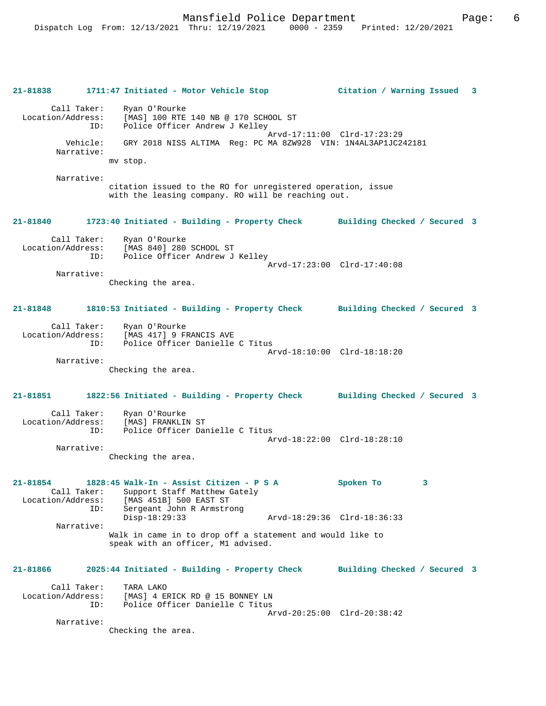|                                                     | 21-81838 1711:47 Initiated - Motor Vehicle Stop                                                                                 | Citation / Warning Issued 3  |
|-----------------------------------------------------|---------------------------------------------------------------------------------------------------------------------------------|------------------------------|
| Call Taker:                                         | Ryan O'Rourke<br>Location/Address: [MAS] 100 RTE 140 NB @ 170 SCHOOL ST<br>ID:<br>Police Officer Andrew J Kelley                |                              |
| Vehicle:<br>Narrative:                              | GRY 2018 NISS ALTIMA Req: PC MA 8ZW928 VIN: 1N4AL3AP1JC242181                                                                   | Arvd-17:11:00 Clrd-17:23:29  |
|                                                     | mv stop.                                                                                                                        |                              |
| Narrative:                                          | citation issued to the RO for unregistered operation, issue<br>with the leasing company. RO will be reaching out.               |                              |
| 21-81840                                            | 1723:40 Initiated - Building - Property Check Building Checked / Secured 3                                                      |                              |
|                                                     | Call Taker: Ryan O'Rourke<br>Location/Address: [MAS 840] 280 SCHOOL ST<br>ID: Police Officer Andrew J Kelley                    |                              |
| Narrative:                                          | Checking the area.                                                                                                              | Arvd-17:23:00 Clrd-17:40:08  |
| 21-81848                                            | 1810:53 Initiated - Building - Property Check Building Checked / Secured 3                                                      |                              |
| ID:                                                 | Call Taker: Ryan O'Rourke<br>Location/Address: [MAS 417] 9 FRANCIS AVE<br>Police Officer Danielle C Titus                       |                              |
| Narrative:                                          |                                                                                                                                 | Arvd-18:10:00 Clrd-18:18:20  |
|                                                     | Checking the area.                                                                                                              |                              |
| 21-81851                                            | 1822:56 Initiated - Building - Property Check Building Checked / Secured 3                                                      |                              |
|                                                     | Call Taker: Ryan O'Rourke<br>Location/Address: [MAS] FRANKLIN ST<br>ID:<br>Police Officer Danielle C Titus                      |                              |
| Narrative:                                          | Checking the area.                                                                                                              | Arvd-18:22:00 Clrd-18:28:10  |
|                                                     |                                                                                                                                 |                              |
| 21-81854<br>Call Taker:<br>Location/Address:<br>ID: | 1828:45 Walk-In - Assist Citizen - P S A<br>Support Staff Matthew Gately<br>[MAS 451B] 500 EAST ST<br>Sergeant John R Armstrong | Spoken To<br>3               |
| Narrative:                                          | $Disp-18:29:33$                                                                                                                 | Arvd-18:29:36 Clrd-18:36:33  |
|                                                     | Walk in came in to drop off a statement and would like to<br>speak with an officer, M1 advised.                                 |                              |
| $21 - 81866$                                        | 2025:44 Initiated - Building - Property Check                                                                                   | Building Checked / Secured 3 |
| Call Taker:<br>Location/Address:<br>ID:             | TARA LAKO<br>[MAS] 4 ERICK RD @ 15 BONNEY LN<br>Police Officer Danielle C Titus                                                 |                              |
| Narrative:                                          | Checking the area.                                                                                                              | Arvd-20:25:00 Clrd-20:38:42  |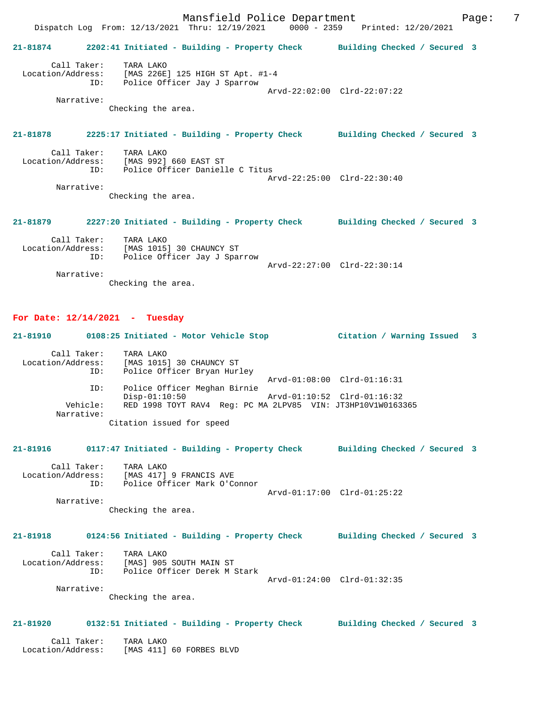Mansfield Police Department Fage: 7 Dispatch Log From: 12/13/2021 Thru: 12/19/2021 0000 - 2359 Printed: 12/20/2021 **21-81874 2202:41 Initiated - Building - Property Check Building Checked / Secured 3** Call Taker: TARA LAKO Location/Address: [MAS 226E] 125 HIGH ST Apt. #1-4 ID: Police Officer Jay J Sparrow Arvd-22:02:00 Clrd-22:07:22 Narrative: Checking the area. **21-81878 2225:17 Initiated - Building - Property Check Building Checked / Secured 3** Call Taker: TARA LAKO Location/Address: [MAS 992] 660 EAST ST Police Officer Danielle C Titus Arvd-22:25:00 Clrd-22:30:40 Narrative: Checking the area. **21-81879 2227:20 Initiated - Building - Property Check Building Checked / Secured 3** Call Taker: TARA LAKO Location/Address: [MAS 1015] 30 CHAUNCY ST

 ID: Police Officer Jay J Sparrow Arvd-22:27:00 Clrd-22:30:14 Narrative: Checking the area.

#### **For Date: 12/14/2021 - Tuesday**

**21-81910 0108:25 Initiated - Motor Vehicle Stop Citation / Warning Issued 3** Call Taker: TARA LAKO<br>[MAS 1015] Location/Address: [MAS 1015] Location/Address: [MAS 1015] 30 CHAUNCY ST ID: Police Officer Bryan Hurley Arvd-01:08:00 Clrd-01:16:31 ID: Police Officer Meghan Birnie Disp-01:10:50 Arvd-01:10:52 Clrd-01:16:32 Vehicle: RED 1998 TOYT RAV4 Reg: PC MA 2LPV85 VIN: JT3HP10V1W0163365 Narrative: Citation issued for speed **21-81916 0117:47 Initiated - Building - Property Check Building Checked / Secured 3** Call Taker: TARA LAKO Location/Address: [MAS 417] 9 FRANCIS AVE ID: Police Officer Mark O'Connor Arvd-01:17:00 Clrd-01:25:22 Narrative: Checking the area. **21-81918 0124:56 Initiated - Building - Property Check Building Checked / Secured 3**

## Call Taker: TARA LAKO Location/Address: [MAS] 905 SOUTH MAIN ST

 ID: Police Officer Derek M Stark Arvd-01:24:00 Clrd-01:32:35 Narrative:

Checking the area.

#### **21-81920 0132:51 Initiated - Building - Property Check Building Checked / Secured 3**

 Call Taker: TARA LAKO Location/Address: [MAS 411] 60 FORBES BLVD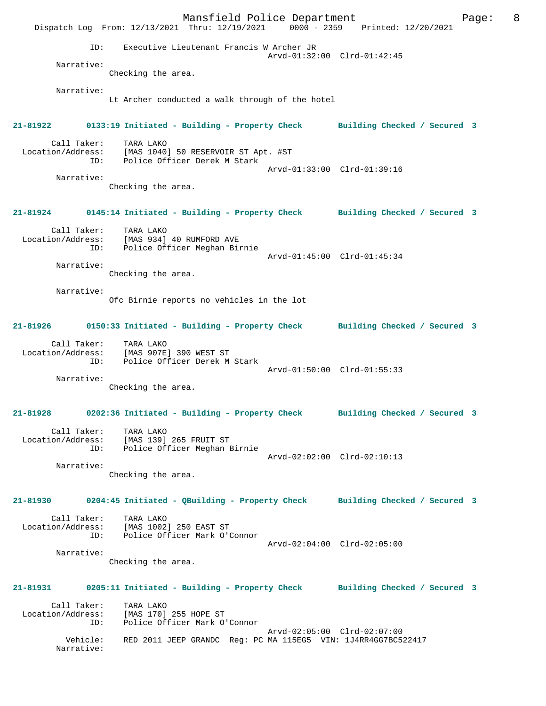Mansfield Police Department Form Page: 8 Dispatch Log From: 12/13/2021 Thru: 12/19/2021 0000 - 2359 Printed: 12/20/2021 ID: Executive Lieutenant Francis W Archer JR Arvd-01:32:00 Clrd-01:42:45 Narrative: Checking the area. Narrative: Lt Archer conducted a walk through of the hotel **21-81922 0133:19 Initiated - Building - Property Check Building Checked / Secured 3** Call Taker: TARA LAKO Location/Address: [MAS 1040] 50 RESERVOIR ST Apt. #ST Police Officer Derek M Stark Arvd-01:33:00 Clrd-01:39:16 Narrative: Checking the area. **21-81924 0145:14 Initiated - Building - Property Check Building Checked / Secured 3** Call Taker: TARA LAKO Location/Address: [MAS 934] 40 RUMFORD AVE ID: Police Officer Meghan Birnie Arvd-01:45:00 Clrd-01:45:34 Narrative: Checking the area. Narrative: Ofc Birnie reports no vehicles in the lot **21-81926 0150:33 Initiated - Building - Property Check Building Checked / Secured 3** Call Taker: TARA LAKO Location/Address: [MAS 907E] 390 WEST ST ID: Police Officer Derek M Stark Arvd-01:50:00 Clrd-01:55:33 Narrative: Checking the area. **21-81928 0202:36 Initiated - Building - Property Check Building Checked / Secured 3** Call Taker: TARA LAKO Location/Address: [MAS 139] 265 FRUIT ST ID: Police Officer Meghan Birnie Arvd-02:02:00 Clrd-02:10:13 Narrative: Checking the area. **21-81930 0204:45 Initiated - QBuilding - Property Check Building Checked / Secured 3** Call Taker: TARA LAKO Location/Address: [MAS 1002] 250 EAST ST ID: Police Officer Mark O'Connor Arvd-02:04:00 Clrd-02:05:00 Narrative: Checking the area. **21-81931 0205:11 Initiated - Building - Property Check Building Checked / Secured 3** Call Taker: TARA LAKO Location/Address: [MAS 170] 255 HOPE ST ID: Police Officer Mark O'Connor Arvd-02:05:00 Clrd-02:07:00 Vehicle: RED 2011 JEEP GRANDC Reg: PC MA 115EG5 VIN: 1J4RR4GG7BC522417 Narrative: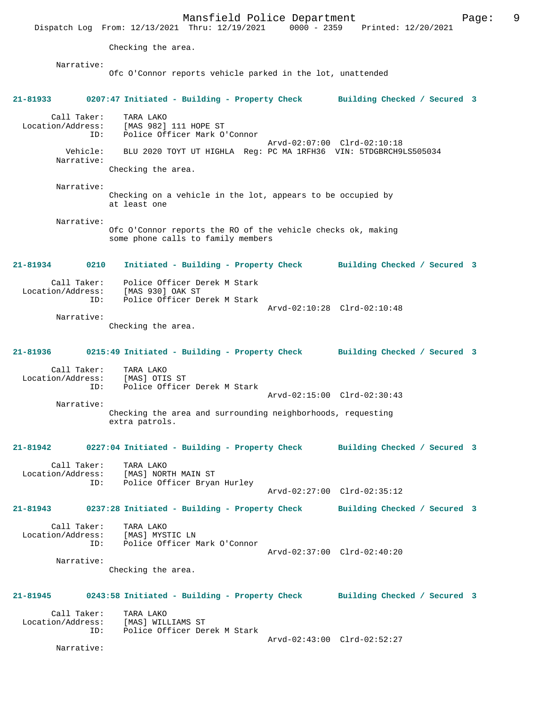Mansfield Police Department Page: 9 Dispatch Log From: 12/13/2021 Thru: 12/19/2021 0000 - 2359 Printed: 12/20/2021 Checking the area. Narrative: Ofc O'Connor reports vehicle parked in the lot, unattended **21-81933 0207:47 Initiated - Building - Property Check Building Checked / Secured 3** Call Taker: TARA LAKO Location/Address: [MAS 982] 111 HOPE ST ID: Police Officer Mark O'Connor Arvd-02:07:00 Clrd-02:10:18<br>Vehicle: BLU 2020 TOYT UT HIGHLA Reg: PC MA 1RFH36 VIN: 5TDGBRCH9 BLU 2020 TOYT UT HIGHLA Reg: PC MA 1RFH36 VIN: 5TDGBRCH9LS505034 Narrative: Checking the area. Narrative: Checking on a vehicle in the lot, appears to be occupied by at least one Narrative: Ofc O'Connor reports the RO of the vehicle checks ok, making some phone calls to family members **21-81934 0210 Initiated - Building - Property Check Building Checked / Secured 3** Call Taker: Police Officer Derek M Stark Location/Address: [MAS 930] OAK ST ID: Police Officer Derek M Stark Arvd-02:10:28 Clrd-02:10:48 Narrative: Checking the area. **21-81936 0215:49 Initiated - Building - Property Check Building Checked / Secured 3** Call Taker: TARA LAKO Location/Address: [MAS] OTIS ST ID: Police Officer Derek M Stark Arvd-02:15:00 Clrd-02:30:43 Narrative: Checking the area and surrounding neighborhoods, requesting extra patrols. **21-81942 0227:04 Initiated - Building - Property Check Building Checked / Secured 3** Call Taker: TARA LAKO Location/Address: [MAS] NORTH MAIN ST ID: Police Officer Bryan Hurley Arvd-02:27:00 Clrd-02:35:12 **21-81943 0237:28 Initiated - Building - Property Check Building Checked / Secured 3** Call Taker: TARA LAKO Location/Address: [MAS] MYSTIC LN ID: Police Officer Mark O'Connor Arvd-02:37:00 Clrd-02:40:20 Narrative: Checking the area. **21-81945 0243:58 Initiated - Building - Property Check Building Checked / Secured 3** Call Taker: TARA LAKO<br>.on/Address: [MAS] WILLIAMS ST Location/Address:<br>ID: Police Officer Derek M Stark Arvd-02:43:00 Clrd-02:52:27 Narrative: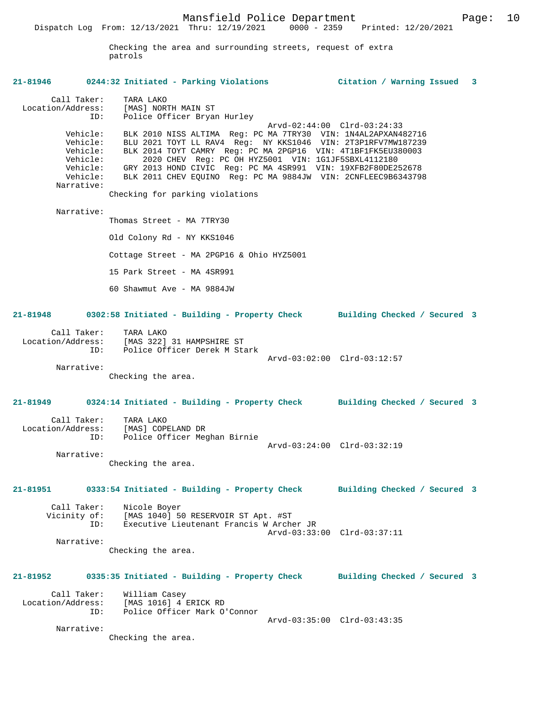Mansfield Police Department Form Page: 10 Dispatch Log From: 12/13/2021 Thru: 12/19/2021 0000 - 2359 Printed: 12/20/2021 Checking the area and surrounding streets, request of extra patrols **21-81946 0244:32 Initiated - Parking Violations Citation / Warning Issued 3** Call Taker: TARA LAKO<br>Location/Address: [MAS] NOR Location/Address: [MAS] NORTH MAIN ST ID: Police Officer Bryan Hurley Arvd-02:44:00 Clrd-03:24:33<br>ID: Police Officer Bryan Hurley<br>Arvd-02:44:00 Clrd-03:24:33 Vehicle: BLK 2010 NISS ALTIMA Reg: PC MA 7TRY30 VIN: 1N4AL2APXAN482716 Vehicle: BLU 2021 TOYT LL RAV4 Reg: NY KKS1046 VIN: 2T3P1RFV7MW187239 Vehicle: BLK 2014 TOYT CAMRY Reg: PC MA 2PGP16 VIN: 4T1BF1FK5EU380003 Vehicle: 2020 CHEV Reg: PC OH HYZ5001 VIN: 1G1JF5SBXL4112180 Vehicle: GRY 2013 HOND CIVIC Reg: PC MA 4SR991 VIN: 19XFB2F80DE252678 Vehicle: BLK 2011 CHEV EQUINO Reg: PC MA 9884JW VIN: 2CNFLEEC9B6343798 Narrative: Checking for parking violations Narrative: Thomas Street - MA 7TRY30 Old Colony Rd - NY KKS1046 Cottage Street - MA 2PGP16 & Ohio HYZ5001 15 Park Street - MA 4SR991 60 Shawmut Ave - MA 9884JW **21-81948 0302:58 Initiated - Building - Property Check Building Checked / Secured 3** Call Taker: TARA LAKO Location/Address: [MAS 322] 31 HAMPSHIRE ST ID: Police Officer Derek M Stark Arvd-03:02:00 Clrd-03:12:57 Narrative: Checking the area. **21-81949 0324:14 Initiated - Building - Property Check Building Checked / Secured 3** Call Taker: TARA LAKO Location/Address: [MAS] COPELAND DR

Checking the area.

ID: Police Officer Meghan Birnie

Narrative:

**21-81951 0333:54 Initiated - Building - Property Check Building Checked / Secured 3** Call Taker: Nicole Boyer

Arvd-03:24:00 Clrd-03:32:19

 Vicinity of: [MAS 1040] 50 RESERVOIR ST Apt. #ST ID: Executive Lieutenant Francis W Archer JR Arvd-03:33:00 Clrd-03:37:11 Narrative:

Checking the area.

# **21-81952 0335:35 Initiated - Building - Property Check Building Checked / Secured 3**

 Call Taker: William Casey Location/Address: [MAS 1016] 4 ERICK RD Police Officer Mark O'Connor Arvd-03:35:00 Clrd-03:43:35 Narrative:

Checking the area.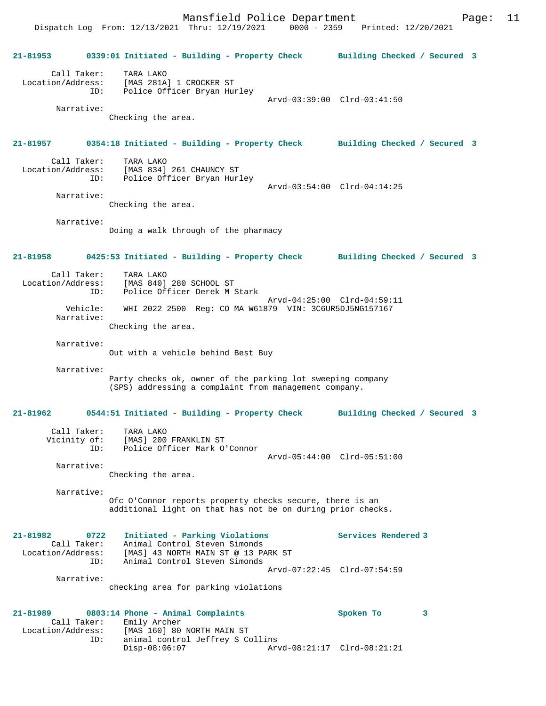Mansfield Police Department Page: 11 Dispatch Log From: 12/13/2021 Thru: 12/19/2021 0000 - 2359 Printed: 12/20/2021

**21-81953 0339:01 Initiated - Building - Property Check Building Checked / Secured 3** Call Taker: TARA LAKO Location/Address: [MAS 281A] 1 CROCKER ST ID: Police Officer Bryan Hurley Arvd-03:39:00 Clrd-03:41:50 Narrative: Checking the area. **21-81957 0354:18 Initiated - Building - Property Check Building Checked / Secured 3** Call Taker: TARA LAKO Location/Address: [MAS 834] 261 CHAUNCY ST ID: Police Officer Bryan Hurley Arvd-03:54:00 Clrd-04:14:25 Narrative: Checking the area. Narrative: Doing a walk through of the pharmacy **21-81958 0425:53 Initiated - Building - Property Check Building Checked / Secured 3** Call Taker: TARA LAKO Location/Address: [MAS 840] 280 SCHOOL ST ID: Police Officer Derek M Stark Arvd-04:25:00 Clrd-04:59:11<br>Vehicle: WHI 2022 2500 Reg: CO MA W61879 VIN: 3C6UR5DJ5NG157167 Vehicle: WHI 2022 2500 Reg: CO MA W61879 VIN: 3C6UR5DJ5NG157167 Narrative: Checking the area. Narrative: Out with a vehicle behind Best Buy Narrative: Party checks ok, owner of the parking lot sweeping company (SPS) addressing a complaint from management company. **21-81962 0544:51 Initiated - Building - Property Check Building Checked / Secured 3** Call Taker: TARA LAKO Vicinity of: [MAS] 200 FRANKLIN ST ID: Police Officer Mark O'Connor Arvd-05:44:00 Clrd-05:51:00 Narrative: Checking the area. Narrative: Ofc O'Connor reports property checks secure, there is an additional light on that has not be on during prior checks. **21-81982 0722 Initiated - Parking Violations Services Rendered 3**  Call Taker: Animal Control Steven Simonds Location/Address: [MAS] 43 NORTH MAIN ST @ 13 PARK ST ID: Animal Control Steven Simonds Arvd-07:22:45 Clrd-07:54:59 Narrative: checking area for parking violations **21-81989 0803:14 Phone - Animal Complaints Spoken To 3**  Call Taker: Emily Archer<br>Location/Address: [MAS 160] 80 ess: [MAS 160] 80 NORTH MAIN ST<br>ID: animal control Jeffrey S Co ID: animal control Jeffrey S Collins Disp-08:06:07 Arvd-08:21:17 Clrd-08:21:21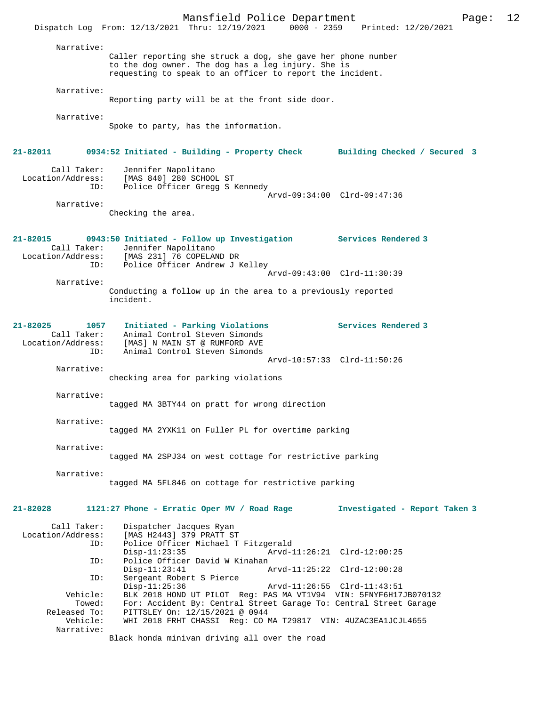|                                                             | Mansfield Police Department<br>Dispatch Log From: 12/13/2021 Thru: 12/19/2021 0000 - 2359 Printed: 12/20/2021                                                                   | 12<br>Page:                                                |
|-------------------------------------------------------------|---------------------------------------------------------------------------------------------------------------------------------------------------------------------------------|------------------------------------------------------------|
| Narrative:                                                  | Caller reporting she struck a dog, she gave her phone number<br>to the dog owner. The dog has a leg injury. She is<br>requesting to speak to an officer to report the incident. |                                                            |
| Narrative:                                                  | Reporting party will be at the front side door.                                                                                                                                 |                                                            |
| Narrative:                                                  | Spoke to party, has the information.                                                                                                                                            |                                                            |
| 21-82011                                                    | 0934:52 Initiated - Building - Property Check Building Checked / Secured 3                                                                                                      |                                                            |
| Call Taker:<br>Location/Address:<br>ID:                     | Jennifer Napolitano<br>[MAS 840] 280 SCHOOL ST<br>Police Officer Gregg S Kennedy                                                                                                |                                                            |
| Narrative:                                                  | Checking the area.                                                                                                                                                              | Arvd-09:34:00 Clrd-09:47:36                                |
| 21-82015<br>Call Taker:<br>ID:                              | 0943:50 Initiated - Follow up Investigation Services Rendered 3<br>Jennifer Napolitano<br>Location/Address: [MAS 231] 76 COPELAND DR<br>Police Officer Andrew J Kelley          |                                                            |
| Narrative:                                                  |                                                                                                                                                                                 | Arvd-09:43:00 Clrd-11:30:39                                |
|                                                             | Conducting a follow up in the area to a previously reported<br>incident.                                                                                                        |                                                            |
| 21-82025<br>1057<br>Call Taker:<br>Location/Address:<br>ID: | Initiated - Parking Violations<br>Animal Control Steven Simonds<br>[MAS] N MAIN ST @ RUMFORD AVE<br>Animal Control Steven Simonds                                               | Services Rendered 3                                        |
| Narrative:                                                  | checking area for parking violations                                                                                                                                            | Arvd-10:57:33 Clrd-11:50:26                                |
| Narrative:                                                  | tagged MA 3BTY44 on pratt for wrong direction                                                                                                                                   |                                                            |
| Narrative:                                                  | tagged MA 2YXK11 on Fuller PL for overtime parking                                                                                                                              |                                                            |
| Narrative:                                                  | tagged MA 2SPJ34 on west cottage for restrictive parking                                                                                                                        |                                                            |
| Narrative:                                                  | tagged MA 5FL846 on cottage for restrictive parking                                                                                                                             |                                                            |
| 21-82028                                                    | 1121:27 Phone - Erratic Oper MV / Road Rage                                                                                                                                     | Investigated - Report Taken 3                              |
| Call Taker:<br>Location/Address:<br>ID:                     | Dispatcher Jacques Ryan<br>[MAS H2443] 379 PRATT ST<br>Police Officer Michael T Fitzgerald<br>$Disp-11:23:35$                                                                   | Arvd-11:26:21 Clrd-12:00:25                                |
| ID:<br>ID:                                                  | Police Officer David W Kinahan<br>$Disp-11:23:41$<br>Sergeant Robert S Pierce<br>$Disp-11:25:36$                                                                                | Arvd-11:25:22 Clrd-12:00:28<br>Arvd-11:26:55 Clrd-11:43:51 |
| Vehicle:<br>Towed:<br>Released To:                          | BLK 2018 HOND UT PILOT Req: PAS MA VT1V94 VIN: 5FNYF6H17JB070132<br>For: Accident By: Central Street Garage To: Central Street Garage<br>PITTSLEY On: 12/15/2021 @ 0944         |                                                            |
| Vehicle:<br>Narrative:                                      | WHI 2018 FRHT CHASSI Req: CO MA T29817 VIN: 4UZAC3EA1JCJL4655<br>Black honda minivan driving all over the road                                                                  |                                                            |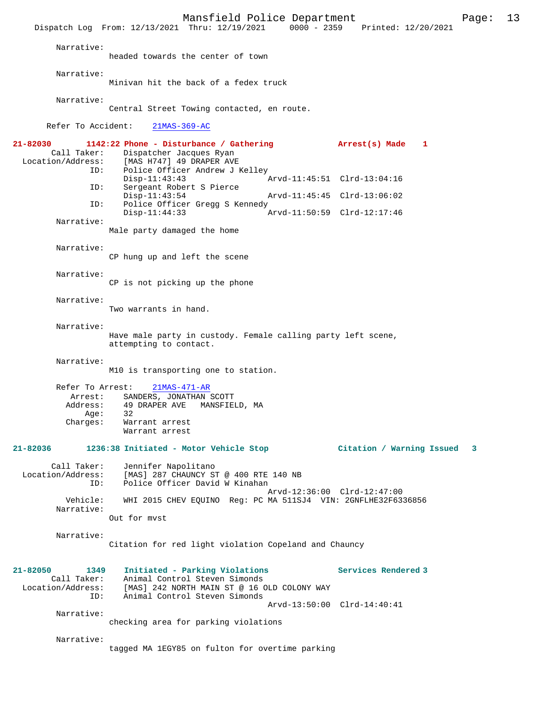Mansfield Police Department<br>Thru: 12/19/2021 0000 - 2359 Printed: 12/20/2021 Dispatch Log From: 12/13/2021 Thru: 12/19/2021 0000 - 2359 Narrative: headed towards the center of town Narrative: Minivan hit the back of a fedex truck Narrative: Central Street Towing contacted, en route. Refer To Accident: 21MAS-369-AC **21-82030 1142:22 Phone - Disturbance / Gathering Arrest(s) Made 1**  Call Taker: Dispatcher Jacques Ryan Location/Address: [MAS H747] 49 DRAPER AVE Police Officer Andrew J Kelley<br>Disp-11:43:43 Disp-11:43:43 Arvd-11:45:51 Clrd-13:04:16<br>ID: Sergeant Robert S Pierce Sergeant Robert S Pierce<br>Disp-11:43:54 Disp-11:43:54 Arvd-11:45:45 Clrd-13:06:02 ID: Police Officer Gregg S Kennedy Disp-11:44:33 Arvd-11:50:59 Clrd-12:17:46 Narrative: Male party damaged the home Narrative: CP hung up and left the scene Narrative: CP is not picking up the phone Narrative: Two warrants in hand. Narrative: Have male party in custody. Female calling party left scene, attempting to contact. Narrative: M10 is transporting one to station. Refer To Arrest: 21MAS-471-AR Arrest: SANDERS, JONATHAN SCOTT<br>Address: 49 DRAPER AVE MANSFIEL 49 DRAPER AVE MANSFIELD, MA Age: Charges: Warrant arrest Warrant arrest **21-82036 1236:38 Initiated - Motor Vehicle Stop Citation / Warning Issued 3** Call Taker: Jennifer Napolitano<br>Location/Address: [MAS] 287 CHAUNCY ST ess: [MAS] 287 CHAUNCY ST @ 400 RTE 140 NB<br>ID: Police Officer David W Kinahan Police Officer David W Kinahan Arvd-12:36:00 Clrd-12:47:00<br>Vehicle: WHI 2015 CHEV EOUINO Reg: PC MA 511SJ4 VIN: 2GNFLHE32F63 WHI 2015 CHEV EQUINO Reg: PC MA 511SJ4 VIN: 2GNFLHE32F6336856 Narrative: Out for mvst Narrative: Citation for red light violation Copeland and Chauncy **21-82050 1349 Initiated - Parking Violations Services Rendered 3**  Call Taker: Animal Control Steven Simonds<br>Location/Address: [MAS] 242 NORTH MAIN ST @ 16 O ess: [MAS] 242 NORTH MAIN ST @ 16 OLD COLONY WAY<br>ID: Animal Control Steven Simonds Animal Control Steven Simonds Arvd-13:50:00 Clrd-14:40:41 Narrative: checking area for parking violations Narrative: tagged MA 1EGY85 on fulton for overtime parking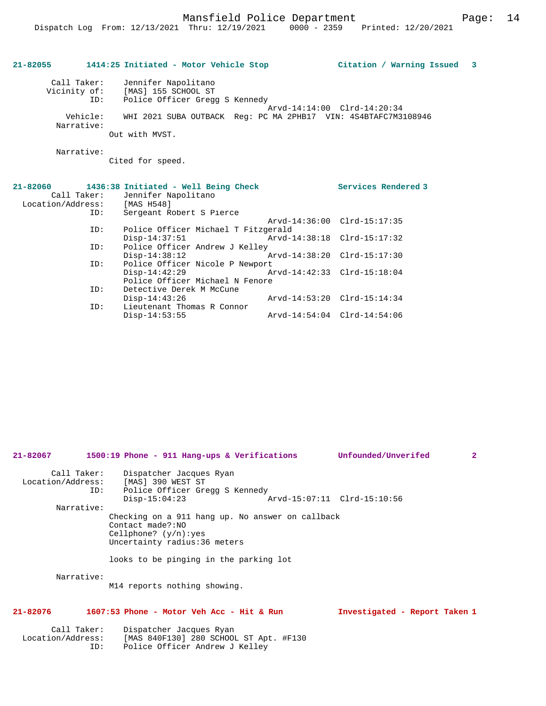Mansfield Police Department Page: 14

## **21-82055 1414:25 Initiated - Motor Vehicle Stop Citation / Warning Issued 3**

| Call Taker:<br>Vicinity of: | Jennifer Napolitano<br>[MAS] 155 SCHOOL ST                     |
|-----------------------------|----------------------------------------------------------------|
| ID:                         | Police Officer Gregg S Kennedy                                 |
|                             | Arvd-14:14:00 Clrd-14:20:34                                    |
| Vehicle:                    | WHI 2021 SUBA OUTBACK Req: PC MA 2PHB17 VIN: 4S4BTAFC7M3108946 |
| Narrative:                  |                                                                |
|                             | Out with MVST.                                                 |

Narrative:

Cited for speed.

| Call Taker:<br>Location/Address:<br>ID: | $21-82060$ 1436:38 Initiated - Well Being Check<br>Jennifer Napolitano<br>[MAS H548]<br>Sergeant Robert S Pierce |                             | Services Rendered 3         |
|-----------------------------------------|------------------------------------------------------------------------------------------------------------------|-----------------------------|-----------------------------|
|                                         |                                                                                                                  |                             | Arvd-14:36:00 Clrd-15:17:35 |
| ID:                                     | Police Officer Michael T Fitzgerald                                                                              |                             |                             |
|                                         | $Disp-14:37:51$                                                                                                  | Arvd-14:38:18 Clrd-15:17:32 |                             |
| ID:                                     | Police Officer Andrew J Kelley                                                                                   |                             |                             |
|                                         | $Disp-14:38:12$                                                                                                  | Arvd-14:38:20 Clrd-15:17:30 |                             |
| ID:                                     | Police Officer Nicole P Newport                                                                                  |                             |                             |
|                                         | $Disp-14:42:29$                                                                                                  | Arvd-14:42:33 Clrd-15:18:04 |                             |
|                                         | Police Officer Michael N Fenore                                                                                  |                             |                             |
| ID:                                     | Detective Derek M McCune                                                                                         |                             |                             |
|                                         | $Disp-14:43:26$                                                                                                  |                             | Arvd-14:53:20 Clrd-15:14:34 |
| ID:                                     | Lieutenant Thomas R Connor                                                                                       |                             |                             |
|                                         | $Disp-14:53:55$                                                                                                  |                             | Arvd-14:54:04 Clrd-14:54:06 |

| 21-82067    | 1500:19 Phone - 911 Hang-ups & Verifications                                                                                                                              | Unfounded/Unverifed<br>$\overline{2}$ |
|-------------|---------------------------------------------------------------------------------------------------------------------------------------------------------------------------|---------------------------------------|
| ID:         | Call Taker: Dispatcher Jacques Ryan<br>Location/Address: [MAS] 390 WEST ST<br>Police Officer Gregg S Kennedy<br>$Disp-15:04:23$                                           | Arvd-15:07:11 Clrd-15:10:56           |
| Narrative:  |                                                                                                                                                                           |                                       |
|             | Checking on a 911 hang up. No answer on callback<br>Contact made?:NO<br>Cellphone? $(y/n):yes$<br>Uncertainty radius: 36 meters<br>looks to be pinging in the parking lot |                                       |
| Narrative:  | M14 reports nothing showing.                                                                                                                                              |                                       |
| 21-82076    | $1607:53$ Phone - Motor Veh Acc - Hit & Run                                                                                                                               | Investigated - Report Taken 1         |
| Call Taker: | Dispatcher Jacques Ryan                                                                                                                                                   |                                       |

Location/Address: [MAS 840F130] 280 SCHOOL ST Apt. #F130

ID: Police Officer Andrew J Kelley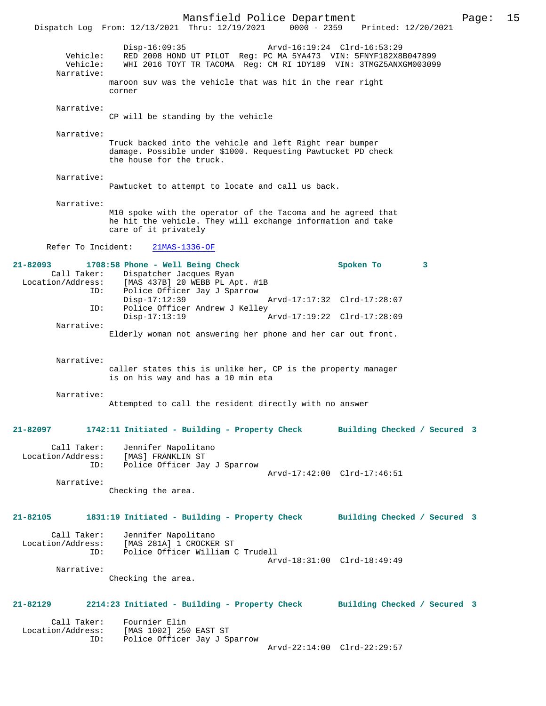Mansfield Police Department Page: 15 Dispatch Log From: 12/13/2021 Thru: 12/19/2021 Disp-16:09:35 Arvd-16:19:24 Clrd-16:53:29 Vehicle: RED 2008 HOND UT PILOT Reg: PC MA 5YA473 VIN: 5FNYF182X8B047899 Vehicle: WHI 2016 TOYT TR TACOMA Reg: CM RI 1DY189 VIN: 3TMGZ5ANXGM003099 Narrative: maroon suv was the vehicle that was hit in the rear right corner Narrative: CP will be standing by the vehicle Narrative: Truck backed into the vehicle and left Right rear bumper damage. Possible under \$1000. Requesting Pawtucket PD check the house for the truck. Narrative: Pawtucket to attempt to locate and call us back. Narrative: M10 spoke with the operator of the Tacoma and he agreed that he hit the vehicle. They will exchange information and take care of it privately Refer To Incident: 21MAS-1336-OF **21-82093 1708:58 Phone - Well Being Check Spoken To 3**  Call Taker: Dispatcher Jacques Ryan<br>Location/Address: [MAS 437B] 20 WEBB PL Ap ess: [MAS 437B] 20 WEBB PL Apt. #1B<br>ID: Police Officer Jav J Sparrow IMAS 3375, 2007-22<br>Police Officer Jay J Sparrow<br>Disp-17:12:39 Disp-17:12:39 Arvd-17:17:32 Clrd-17:28:07 ID: Police Officer Andrew J Kelley Disp-17:13:19 Arvd-17:19:22 Clrd-17:28:09 Narrative: Elderly woman not answering her phone and her car out front. Narrative: caller states this is unlike her, CP is the property manager is on his way and has a 10 min eta Narrative: Attempted to call the resident directly with no answer **21-82097 1742:11 Initiated - Building - Property Check Building Checked / Secured 3** Call Taker: Jennifer Napolitano<br>Location/Address: [MAS] FRANKLIN ST ess: [MAS] FRANKLIN ST<br>ID: Police Officer Ja Police Officer Jay J Sparrow Arvd-17:42:00 Clrd-17:46:51 Narrative: Checking the area. **21-82105 1831:19 Initiated - Building - Property Check Building Checked / Secured 3** Call Taker: Jennifer Napolitano Location/Address: [MAS 281A] 1 CROCKER ST Police Officer William C Trudell Arvd-18:31:00 Clrd-18:49:49 Narrative: Checking the area. **21-82129 2214:23 Initiated - Building - Property Check Building Checked / Secured 3** Call Taker: Fournier Elin<br>Location/Address: [MAS 1002] 256 [MAS 1002] 250 EAST ST ID: Police Officer Jay J Sparrow Arvd-22:14:00 Clrd-22:29:57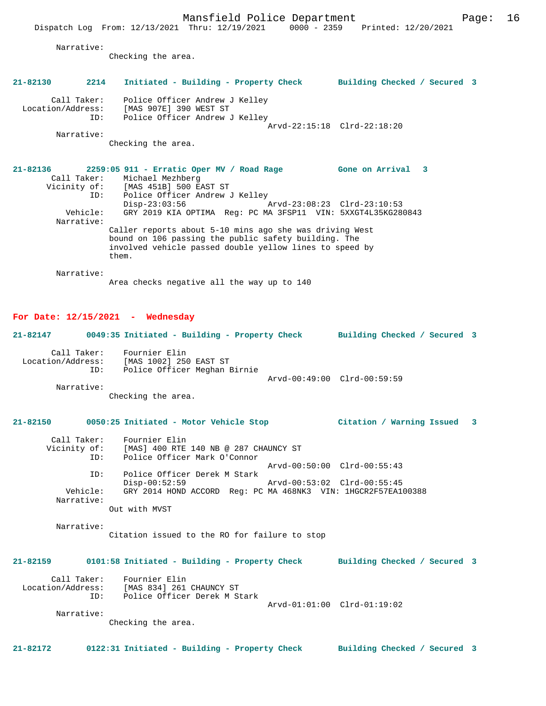Narrative:

Checking the area.

# **21-82130 2214 Initiated - Building - Property Check Building Checked / Secured 3**

 Call Taker: Police Officer Andrew J Kelley Location/Address: [MAS 907E] 390 WEST ST ID: Police Officer Andrew J Kelley Arvd-22:15:18 Clrd-22:18:20

Narrative:

Checking the area.

#### **21-82136 2259:05 911 - Erratic Oper MV / Road Rage Gone on Arrival 3**  Call Taker: Michael Mezhberg Vicinity of: [MAS 451B] 500 EAST ST ID: Police Officer Andrew J Kelley<br>Disp-23:03:56 Disp-23:03:56 Arvd-23:08:23 Clrd-23:10:53<br>Vehicle: GRY 2019 KIA OPTIMA Req: PC MA 3FSP11 VIN: 5XXGT4L35KG28 GRY 2019 KIA OPTIMA Reg: PC MA 3FSP11 VIN: 5XXGT4L35KG280843 Narrative: Caller reports about 5-10 mins ago she was driving West bound on 106 passing the public safety building. The involved vehicle passed double yellow lines to speed by them.

Narrative:

Area checks negative all the way up to 140

#### **For Date: 12/15/2021 - Wednesday**

## **21-82147 0049:35 Initiated - Building - Property Check Building Checked / Secured 3** Call Taker: Fournier Elin<br>Location/Address: [MAS 1002] 250 ess: [MAS 1002] 250 EAST ST<br>ID: Police Officer Meghan P Police Officer Meghan Birnie Arvd-00:49:00 Clrd-00:59:59 Narrative: Checking the area.

#### **21-82150 0050:25 Initiated - Motor Vehicle Stop Citation / Warning Issued 3**

| Call Taker:<br>Vicinity of: | Fournier Elin<br>[MAS] 400 RTE 140 NB @ 287 CHAUNCY ST        |
|-----------------------------|---------------------------------------------------------------|
| ID:                         | Police Officer Mark O'Connor                                  |
|                             | Arvd-00:50:00 Clrd-00:55:43                                   |
| ID:                         | Police Officer Derek M Stark                                  |
|                             | Arvd-00:53:02 Clrd-00:55:45<br>$Disp-00:52:59$                |
| Vehicle:                    | GRY 2014 HOND ACCORD Req: PC MA 468NK3 VIN: 1HGCR2F57EA100388 |
| Narrative:                  |                                                               |
|                             | Out with MVST                                                 |

 Narrative: Citation issued to the RO for failure to stop

#### **21-82159 0101:58 Initiated - Building - Property Check Building Checked / Secured 3**

| Call Taker:<br>Location/Address:<br>TD: | Fournier Elin<br>[MAS 834] 261 CHAUNCY ST<br>Police Officer Derek M Stark | Arvd-01:01:00 Clrd-01:19:02 |  |
|-----------------------------------------|---------------------------------------------------------------------------|-----------------------------|--|
| Narrative:                              |                                                                           |                             |  |

Checking the area.

**21-82172 0122:31 Initiated - Building - Property Check Building Checked / Secured 3**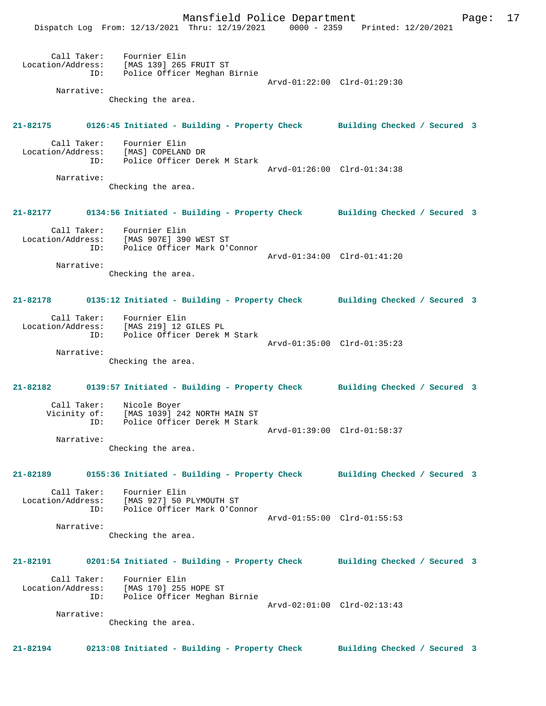Mansfield Police Department Fage: 17

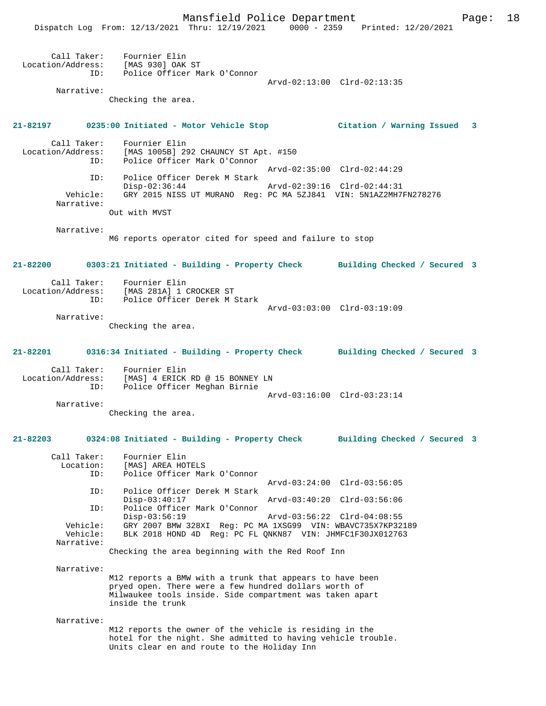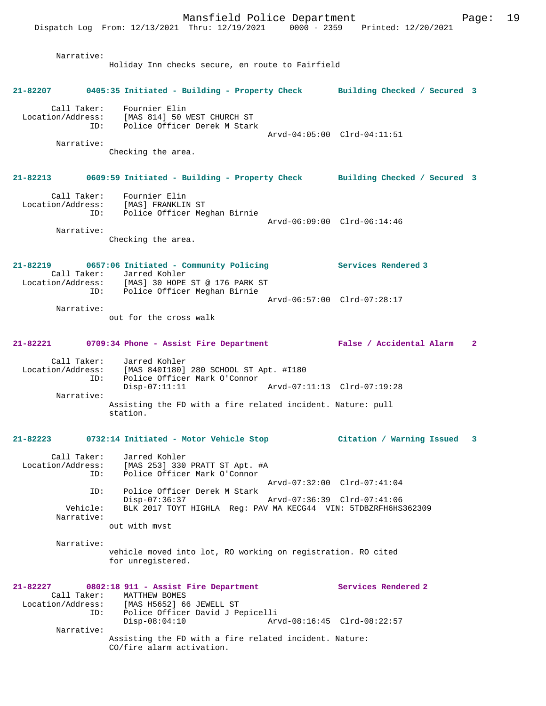|                               | nandricia roire deparement<br>Dispatch Log From: 12/13/2021 Thru: 12/19/2021 0000 - 2359 Printed: 12/20/2021                                                         |                             |              |
|-------------------------------|----------------------------------------------------------------------------------------------------------------------------------------------------------------------|-----------------------------|--------------|
| Narrative:                    | Holiday Inn checks secure, en route to Fairfield                                                                                                                     |                             |              |
|                               | 21-82207 0405:35 Initiated - Building - Property Check Building Checked / Secured 3                                                                                  |                             |              |
|                               | Call Taker: Fournier Elin<br>Location/Address: [MAS 814] 50 WEST CHURCH ST<br>ID: Police Officer Derek M Stark                                                       |                             |              |
| Narrative:                    | Checking the area.                                                                                                                                                   | Arvd-04:05:00 Clrd-04:11:51 |              |
|                               | 21-82213 0609:59 Initiated - Building - Property Check Building Checked / Secured 3                                                                                  |                             |              |
|                               | Call Taker: Fournier Elin<br>Location/Address: [MAS] FRANKLIN ST<br>ID: Police Officer Meghan Birnie                                                                 | Arvd-06:09:00 Clrd-06:14:46 |              |
| Narrative:                    | Checking the area.                                                                                                                                                   |                             |              |
|                               | 21-82219 0657:06 Initiated - Community Policing<br>Call Taker: Jarred Kohler<br>Location/Address: [MAS] 30 HOPE ST @ 176 PARK ST<br>ID: Police Officer Meghan Birnie | Services Rendered 3         |              |
| Narrative:                    | out for the cross walk                                                                                                                                               | Arvd-06:57:00 Clrd-07:28:17 |              |
|                               | 21-82221 0709:34 Phone - Assist Fire Department False / Accidental Alarm                                                                                             |                             | $\mathbf{2}$ |
| ID:                           | Call Taker: Jarred Kohler<br>Location/Address: [MAS 840I180] 280 SCHOOL ST Apt. #I180<br>Police Officer Mark O'Connor<br>$Disp-07:11:11$                             |                             |              |
| Narrative:                    | Assisting the FD with a fire related incident. Nature: pull<br>station.                                                                                              |                             |              |
|                               | 21-82223 0732:14 Initiated - Motor Vehicle Stop                                                                                                                      | Citation / Warning Issued   | 3            |
| Location/Address:<br>ID:      | Call Taker: Jarred Kohler<br>[MAS 253] 330 PRATT ST Apt. #A<br>Police Officer Mark O'Connor                                                                          | Arvd-07:32:00 Clrd-07:41:04 |              |
| ID:<br>Vehicle:<br>Narrative: | Police Officer Derek M Stark<br>Disp-07:36:37<br>BLK 2017 TOYT HIGHLA Req: PAV MA KECG44 VIN: 5TDBZRFH6HS362309                                                      | Arvd-07:36:39 Clrd-07:41:06 |              |
| Narrative:                    | out with myst<br>vehicle moved into lot, RO working on registration. RO cited<br>for unregistered.                                                                   |                             |              |
| Call Taker:<br>ID:            | 21-82227 0802:18 911 - Assist Fire Department<br>MATTHEW BOMES<br>Location/Address: [MAS H5652] 66 JEWELL ST<br>Police Officer David J Pepicelli                     | Services Rendered 2         |              |
| Narrative:                    | $Disp-08:04:10$<br>Assisting the FD with a fire related incident. Nature:                                                                                            | Arvd-08:16:45 Clrd-08:22:57 |              |

CO/fire alarm activation.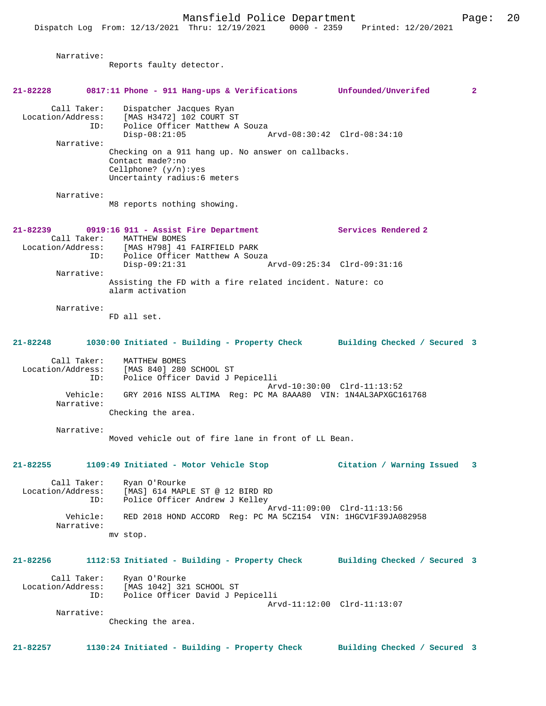Narrative: Reports faulty detector. **21-82228 0817:11 Phone - 911 Hang-ups & Verifications Unfounded/Unverifed 2** Call Taker: Dispatcher Jacques Ryan Location/Address: [MAS H3472] 102 COURT ST<br>ID: Police Officer Matthew A ISSEE TO STRICK THE CONSIDENT POLICE Officer Matthew A Souza<br>Disp-08:21:05 Disp-08:21:05 Arvd-08:30:42 Clrd-08:34:10 Narrative: Checking on a 911 hang up. No answer on callbacks. Contact made?:no Cellphone? (y/n):yes Uncertainty radius:6 meters Narrative: M8 reports nothing showing. **21-82239 0919:16 911 - Assist Fire Department Services Rendered 2**  Call Taker: MATTHEW BOMES<br>Location/Address: [MAS H798] 41 Location/Address: [MAS H798] 41 FAIRFIELD PARK ID: Police Officer Matthew A Souza Disp-09:21:31 Arvd-09:25:34 Clrd-09:31:16 Narrative: Assisting the FD with a fire related incident. Nature: co alarm activation Narrative: FD all set. **21-82248 1030:00 Initiated - Building - Property Check Building Checked / Secured 3** Call Taker: MATTHEW BOMES Location/Address: [MAS 840] 280 SCHOOL ST ID: Police Officer David J Pepicelli Arvd-10:30:00 Clrd-11:13:52<br>Vehicle: GRY 2016 NISS ALTIMA Reg: PC MA 8AAA80 VIN: 1N4AL3APXGC16 GRY 2016 NISS ALTIMA Reg: PC MA 8AAA80 VIN: 1N4AL3APXGC161768 Narrative: Checking the area. Narrative: Moved vehicle out of fire lane in front of LL Bean. **21-82255 1109:49 Initiated - Motor Vehicle Stop Citation / Warning Issued 3** Call Taker: Ryan O'Rourke Location/Address: [MAS] 614 MAPLE ST @ 12 BIRD RD ID: Police Officer Andrew J Kelley Arvd-11:09:00 Clrd-11:13:56 Vehicle: RED 2018 HOND ACCORD Reg: PC MA 5CZ154 VIN: 1HGCV1F39JA082958 Narrative: mv stop. **21-82256 1112:53 Initiated - Building - Property Check Building Checked / Secured 3** Call Taker: Ryan O'Rourke Location/Address: [MAS 1042] 321 SCHOOL ST ID: Police Officer David J Pepicelli Arvd-11:12:00 Clrd-11:13:07 Narrative: Checking the area. **21-82257 1130:24 Initiated - Building - Property Check Building Checked / Secured 3**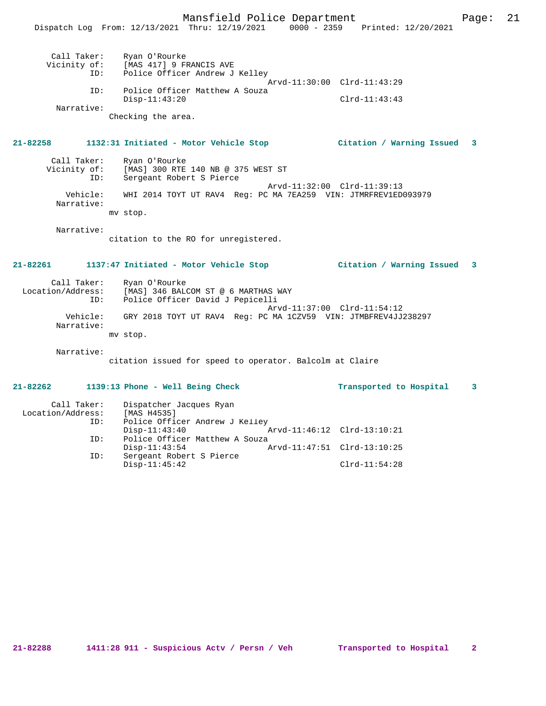Mansfield Police Department Page: 21 Dispatch Log From: 12/13/2021 Thru: 12/19/2021 0000 - 2359 Printed: 12/20/2021 Call Taker: Ryan O'Rourke<br>Vicinity of: [MAS 417] 9 FI [MAS 417] 9 FRANCIS AVE ID: Police Officer Andrew J Kelley Arvd-11:30:00 Clrd-11:43:29 ID: Police Officer Matthew A Souza Disp-11:43:20 Clrd-11:43:43 Narrative: Checking the area. **21-82258 1132:31 Initiated - Motor Vehicle Stop Citation / Warning Issued 3** Call Taker: Ryan O'Rourke Vicinity of: [MAS] 300 RTE 140 NB @ 375 WEST ST ID: Sergeant Robert S Pierce Arvd-11:32:00 Clrd-11:39:13 Vehicle: WHI 2014 TOYT UT RAV4 Reg: PC MA 7EA259 VIN: JTMRFREV1ED093979 Narrative: mv stop. Narrative: citation to the RO for unregistered. **21-82261 1137:47 Initiated - Motor Vehicle Stop Citation / Warning Issued 3** Call Taker: Ryan O'Rourke Location/Address: [MAS] 346 BALCOM ST @ 6 MARTHAS WAY ID: Police Officer David J Pepicelli Arvd-11:37:00 Clrd-11:54:12 Vehicle: GRY 2018 TOYT UT RAV4 Reg: PC MA 1CZV59 VIN: JTMBFREV4JJ238297 Narrative: mv stop. Narrative: citation issued for speed to operator. Balcolm at Claire **21-82262 1139:13 Phone - Well Being Check Transported to Hospital 3** Call Taker: Dispatcher Jacques Ryan Location/Address: [MAS H4535] ID: Police Officer Andrew J Kelley<br>Disp-11:43:40 Disp-11:43:40 Arvd-11:46:12 Clrd-13:10:21 ID: Police Officer Matthew A Souza<br>Disp-11:43:54

Disp-11:43:54 Arvd-11:47:51 Clrd-13:10:25<br>ID: Sergeant Robert S Pierce

Disp-11:45:42 Clrd-11:54:28

Sergeant Robert S Pierce

**21-82288 1411:28 911 - Suspicious Actv / Persn / Veh Transported to Hospital 2**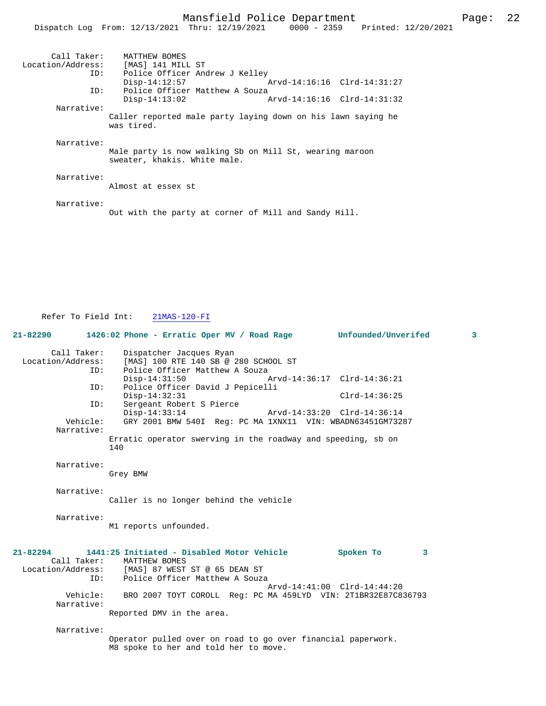# Mansfield Police Department Page: 22

|                                  | Dispatch Log From: 12/13/2021 Thru: 12/19/2021<br>0000 - 2359 Printed: 12/20/2021       |
|----------------------------------|-----------------------------------------------------------------------------------------|
| Call Taker:<br>Location/Address: | MATTHEW BOMES<br>[MAS] 141 MILL ST                                                      |
| ID:                              | Police Officer Andrew J Kelley                                                          |
|                                  | Arvd-14:16:16 Clrd-14:31:27<br>$Disp-14:12:57$                                          |
| ID:                              | Police Officer Matthew A Souza                                                          |
|                                  | $Disp-14:13:02$<br>Arvd-14:16:16 Clrd-14:31:32                                          |
| Narrative:                       |                                                                                         |
|                                  | Caller reported male party laying down on his lawn saying he<br>was tired.              |
| Narrative:                       |                                                                                         |
|                                  | Male party is now walking Sb on Mill St, wearing maroon<br>sweater, khakis. White male. |
| Narrative:                       |                                                                                         |
|                                  | Almost at essex st                                                                      |
| Narrative:                       |                                                                                         |
|                                  | Out with the party at corner of Mill and Sandy Hill.                                    |

Refer To Field Int: 21MAS-120-FI

| $21 - 82290$                     | 1426:02 Phone - Erratic Oper MV / Road Rage Unfounded/Unverifed                                                                                                     |                                               | $\overline{\mathbf{3}}$ |
|----------------------------------|---------------------------------------------------------------------------------------------------------------------------------------------------------------------|-----------------------------------------------|-------------------------|
| Call Taker:<br>Location/Address: | Dispatcher Jacques Ryan<br>[MAS] 100 RTE 140 SB @ 280 SCHOOL ST<br>Police Officer Matthew A Souza<br>ID:                                                            |                                               |                         |
|                                  | $Disp-14:31:50$                                                                                                                                                     | Arvd-14:36:17 Clrd-14:36:21                   |                         |
|                                  | Police Officer David J Pepicelli<br>ID:<br>$Disp-14:32:31$                                                                                                          | $Clrd-14:36:25$                               |                         |
|                                  | ID:<br>Sergeant Robert S Pierce<br>$Disp-14:33:14$                                                                                                                  | Arvd-14:33:20 Clrd-14:36:14                   |                         |
| Vehicle:<br>Narrative:           | GRY 2001 BMW 540I Req: PC MA 1XNX11 VIN: WBADN63451GM73287                                                                                                          |                                               |                         |
|                                  | Erratic operator swerving in the roadway and speeding, sb on<br>140                                                                                                 |                                               |                         |
| Narrative:                       | Grey BMW                                                                                                                                                            |                                               |                         |
| Narrative:                       | Caller is no longer behind the vehicle                                                                                                                              |                                               |                         |
| Narrative:                       | M1 reports unfounded.                                                                                                                                               |                                               |                         |
| $21 - 82294$                     | 1441:25 Initiated - Disabled Motor Vehicle<br>Call Taker: MATTHEW BOMES<br>Location/Address: [MAS] 87 WEST ST @ 65 DEAN ST<br>Police Officer Matthew A Souza<br>ID: | Spoken To<br>3<br>Arvd-14:41:00 Clrd-14:44:20 |                         |
| Vehicle:<br>Narrative:           | BRO 2007 TOYT COROLL Req: PC MA 459LYD VIN: 2T1BR32E87C836793                                                                                                       |                                               |                         |
|                                  | Reported DMV in the area.                                                                                                                                           |                                               |                         |
| Narrative:                       | Operator pulled over on road to go over financial paperwork.                                                                                                        |                                               |                         |
|                                  | M8 spoke to her and told her to move.                                                                                                                               |                                               |                         |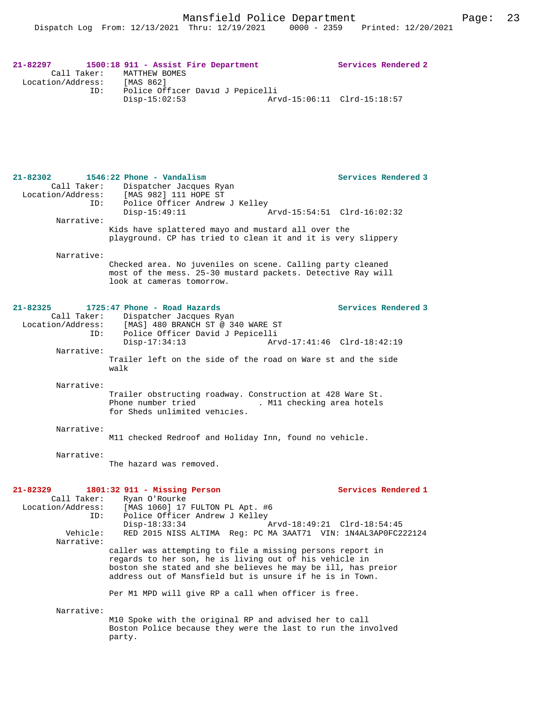#### **21-82297 1500:18 911 - Assist Fire Department Services Rendered 2**  Call Taker: MATTHEW BOMES<br>ion/Address: [MAS 862] Location/Address: ID: Police Officer David J Pepicelli Disp-15:02:53 Arvd-15:06:11 Clrd-15:18:57

# **21-82302 1546:22 Phone - Vandalism Services Rendered 3**  Call Taker: Dispatcher Jacques Ryan Location/Address: [MAS 982] 111 HOPE ST ID: Police Officer Andrew J Kelley<br>Disp-15:49:11 Arvd-15:54:51 Clrd-16:02:32 Narrative: Kids have splattered mayo and mustard all over the playground. CP has tried to clean it and it is very slippery Narrative: Checked area. No juveniles on scene. Calling party cleaned most of the mess. 25-30 mustard packets. Detective Ray will look at cameras tomorrow. **21-82325 1725:47 Phone - Road Hazards Services Rendered 3**  Call Taker: Dispatcher Jacques Ryan<br>Location/Address: [MAS] 480 BRANCH ST @ 34 Location/Address: [MAS] 480 BRANCH ST @ 340 WARE ST ID: Police Officer David J Pepicelli Disp-17:34:13 Arvd-17:41:46 Clrd-18:42:19 Narrative: Trailer left on the side of the road on Ware st and the side walk Narrative: Trailer obstructing roadway. Construction at 428 Ware St. Phone number tried . M11 checking area hotels for Sheds unlimited vehicles. Narrative: M11 checked Redroof and Holiday Inn, found no vehicle. Narrative: The hazard was removed. **21-82329 1801:32 911 - Missing Person Services Rendered 1**  Call Taker: Ryan O'Rourke Location/Address: [MAS 1060] 17 FULTON PL Apt. #6 ID: Police Officer Andrew J Kelley<br>Disp-18:33:34 Disp-18:33:34 <br>
Disp-18:33:34 Arvd-18:49:21 Clrd-18:54:45 Arvenicle: RED 2015 NISS ALTIMA Reg: PC MA 3AAT71 VIN: 1N4AL3AP0FC2 RED 2015 NISS ALTIMA Reg: PC MA 3AAT71 VIN: 1N4AL3AP0FC222124 Narrative: caller was attempting to file a missing persons report in regards to her son, he is living out of his vehicle in boston she stated and she believes he may be ill, has preior address out of Mansfield but is unsure if he is in Town. Per M1 MPD will give RP a call when officer is free. Narrative: M10 Spoke with the original RP and advised her to call Boston Police because they were the last to run the involved party.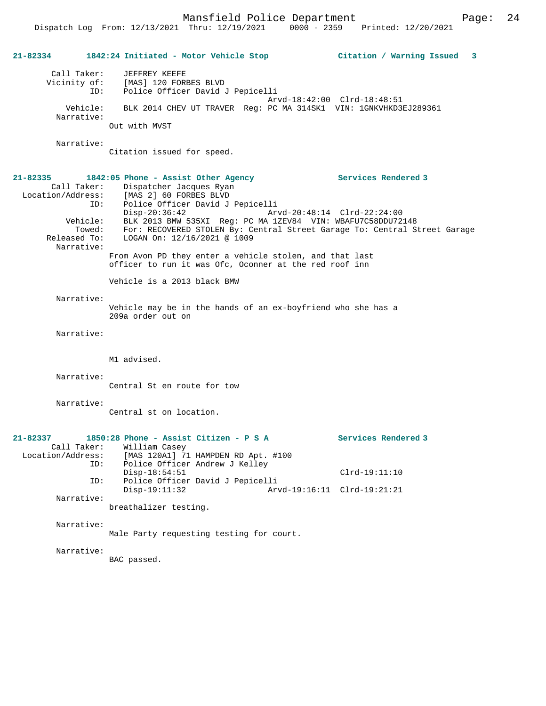Mansfield Police Department Page: 24

**21-82334 1842:24 Initiated - Motor Vehicle Stop Citation / Warning Issued 3** Call Taker: JEFFREY KEEFE Vicinity of: [MAS] 120 FORBES BLVD ID: Police Officer David J Pepicelli Arvd-18:42:00 Clrd-18:48:51 Vehicle: BLK 2014 CHEV UT TRAVER Reg: PC MA 314SK1 VIN: 1GNKVHKD3EJ289361 Narrative: Out with MVST Narrative: Citation issued for speed. **21-82335 1842:05 Phone - Assist Other Agency Services Rendered 3**  Call Taker: Dispatcher Jacques Ryan Location/Address: [MAS 2] 60 FORBES BLVD ID: Police Officer David J Pepicelli Disp-20:36:42 Arvd-20:48:14 Clrd-22:24:00 Vehicle: BLK 2013 BMW 535XI Reg: PC MA 1ZEV84 VIN: WBAFU7C58DDU72148 Towed: For: RECOVERED STOLEN By: Central Street Garage To: Central Street Garage Released To: LOGAN On: 12/16/2021 @ 1009 Narrative: From Avon PD they enter a vehicle stolen, and that last officer to run it was Ofc, Oconner at the red roof inn Vehicle is a 2013 black BMW Narrative: Vehicle may be in the hands of an ex-boyfriend who she has a 209a order out on Narrative: M1 advised. Narrative: Central St en route for tow Narrative: Central st on location. **21-82337 1850:28 Phone - Assist Citizen - P S A Services Rendered 3**  Call Taker: William Casey<br>Location/Address: [MAS 120A1] 71 ess: [MAS 120A1] 71 HAMPDEN RD Apt. #100<br>ID: Police Officer Andrew J Kelley Police Officer Andrew J Kelley Disp-18:54:51 Clrd-19:11:10 ID: Police Officer David J Pepicelli Disp-19:11:32 Arvd-19:16:11 Clrd-19:21:21 Narrative: breathalizer testing. Narrative: Male Party requesting testing for court. Narrative: BAC passed.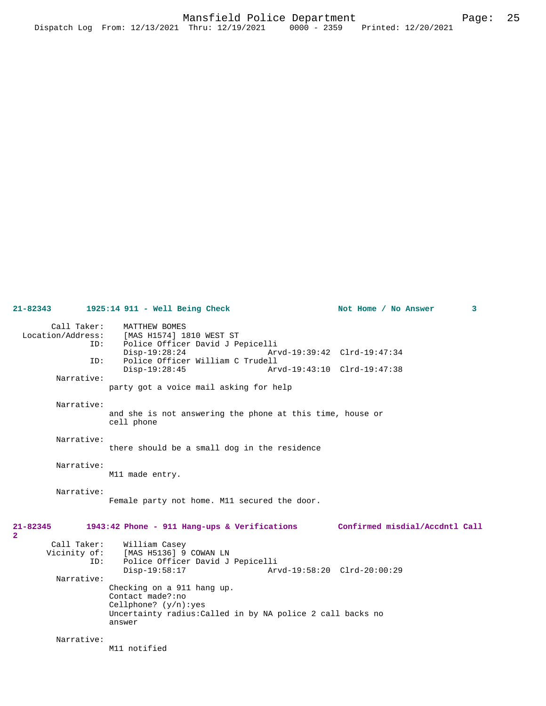**21-82343 1925:14 911 - Well Being Check Not Home / No Answer 3** Call Taker: MATTHEW BOMES Location/Address: [MAS H1574] 1810 WEST ST Police Officer David J Pepicelli<br>Disp-19:28:24 Arv Disp-19:28:24 Arvd-19:39:42 Clrd-19:47:34<br>TD: Police Officer William C Trudell ID: Police Officer William C Trudell Disp-19:28:45 Arvd-19:43:10 Clrd-19:47:38 Narrative: party got a voice mail asking for help Narrative: and she is not answering the phone at this time, house or cell phone Narrative: there should be a small dog in the residence Narrative: M11 made entry. Narrative: Female party not home. M11 secured the door. **21-82345 1943:42 Phone - 911 Hang-ups & Verifications Confirmed misdial/Accdntl Call 2**  Call Taker: William Casey<br>Vicinity of: [MAS H5136] 9 [MAS H5136] 9 COWAN LN ID: Police Officer David J Pepicelli Disp-19:58:17 Arvd-19:58:20 Clrd-20:00:29 Narrative: Checking on a 911 hang up. Contact made?:no Cellphone? (y/n):yes Uncertainty radius:Called in by NA police 2 call backs no answer Narrative: M11 notified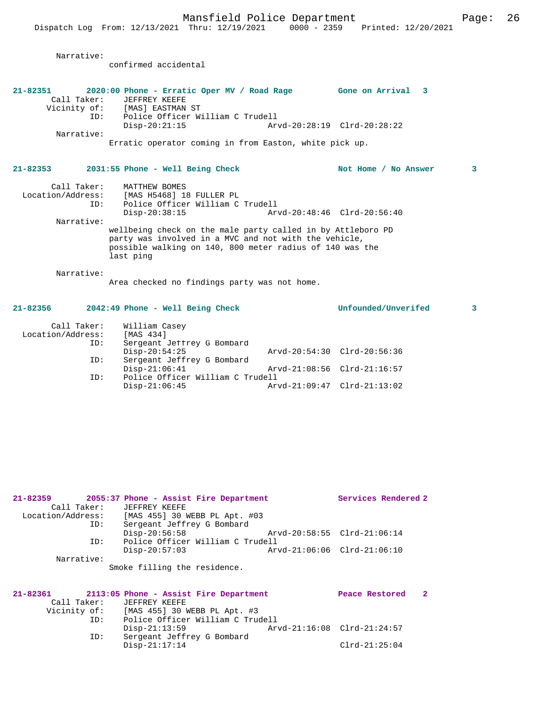Narrative:

|                                         | confirmed accidental                                                                                                                                                                          |                             |   |
|-----------------------------------------|-----------------------------------------------------------------------------------------------------------------------------------------------------------------------------------------------|-----------------------------|---|
| 21-82351<br>Call Taker:                 | 2020:00 Phone - Erratic Oper MV / Road Rage Gone on Arrival 3<br>JEFFREY KEEFE<br>Vicinity of: [MAS] EASTMAN ST                                                                               |                             |   |
| ID:<br>Narrative:                       | Police Officer William C Trudell<br>$Disp-20:21:15$                                                                                                                                           | Arvd-20:28:19 Clrd-20:28:22 |   |
|                                         | Erratic operator coming in from Easton, white pick up.                                                                                                                                        |                             |   |
|                                         | 21-82353 2031:55 Phone - Well Being Check                                                                                                                                                     | Not Home / No Answer        | 3 |
| Call Taker:<br>ID:                      | MATTHEW BOMES<br>Location/Address: [MAS H5468] 18 FULLER PL<br>Police Officer William C Trudell<br>$Disp-20:38:15$                                                                            |                             |   |
| Narrative:                              | wellbeing check on the male party called in by Attleboro PD<br>party was involved in a MVC and not with the vehicle,<br>possible walking on 140, 800 meter radius of 140 was the<br>last ping |                             |   |
| Narrative:                              | Area checked no findings party was not home.                                                                                                                                                  |                             |   |
| 21-82356                                | 2042:49 Phone - Well Being Check                                                                                                                                                              | Unfounded/Unverifed         | 3 |
| Call Taker:<br>Location/Address:<br>ID: | William Casey<br>[MAS 434]<br>Sergeant Jeffrey G Bombard                                                                                                                                      |                             |   |

| TD: | Sergeant Jeffrey G Bombard<br>Disp-20:54:25 | Arvd-20:54:30 Clrd-20:56:36 |  |
|-----|---------------------------------------------|-----------------------------|--|
| ID: | Sergeant Jeffrey G Bombard                  |                             |  |
|     | Disp-21:06:41                               | Arvd-21:08:56 Clrd-21:16:57 |  |
| TD: | Police Officer William C Trudell            |                             |  |
|     | Disp-21:06:45                               | Arvd-21:09:47 Clrd-21:13:02 |  |
|     |                                             |                             |  |

| $21 - 82359$ |             | 2055:37 Phone - Assist Fire Department          |                             | Services Rendered 2         |  |
|--------------|-------------|-------------------------------------------------|-----------------------------|-----------------------------|--|
|              | Call Taker: | JEFFREY KEEFE                                   |                             |                             |  |
|              |             | Location/Address: [MAS 455] 30 WEBB PL Apt. #03 |                             |                             |  |
|              | ID:         | Sergeant Jeffrey G Bombard                      |                             |                             |  |
|              |             | $Disp-20:56:58$                                 | Arvd-20:58:55 Clrd-21:06:14 |                             |  |
|              | ID:         | Police Officer William C Trudell                |                             |                             |  |
|              |             | $Disp-20:57:03$                                 |                             | Arvd-21:06:06 Clrd-21:06:10 |  |
|              | Narrative:  |                                                 |                             |                             |  |
|              |             | Smoke filling the residence.                    |                             |                             |  |
|              |             |                                                 |                             |                             |  |
|              |             |                                                 |                             |                             |  |
| 21-82361     |             | 2113:05 Phone - Assist Fire Department          |                             | Peace Restored<br>-2        |  |
|              | Call Taker: | JEFFREY KEEFE                                   |                             |                             |  |
|              |             | Vicinity of: [MAS 455] 30 WEBB PL Apt. #3       |                             |                             |  |
|              | ID:         | Police Officer William C Trudell                |                             |                             |  |
|              |             | $Disp-21:13:59$                                 | Arvd-21:16:08 Clrd-21:24:57 |                             |  |
|              | ID:         | Sergeant Jeffrey G Bombard                      |                             |                             |  |

Disp-21:17:14 Clrd-21:25:04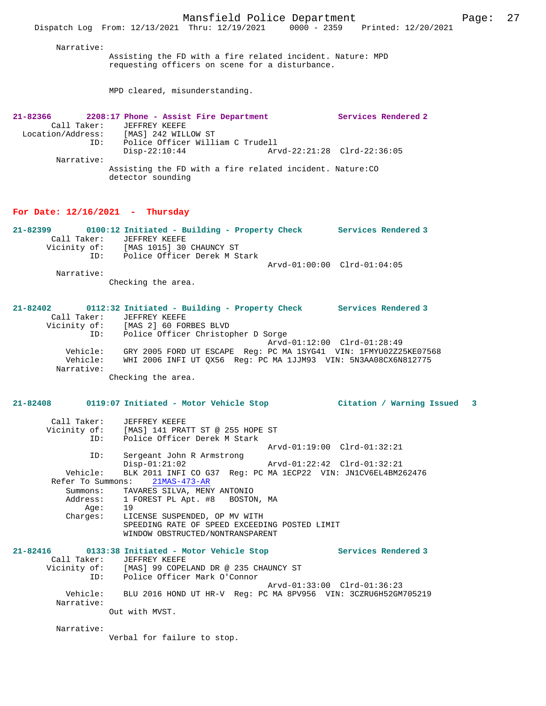MPD cleared, misunderstanding.

| 21-82366                              |                           |                   |  | 2208:17 Phone - Assist Fire Department |                                                           | Services Rendered 2 |
|---------------------------------------|---------------------------|-------------------|--|----------------------------------------|-----------------------------------------------------------|---------------------|
|                                       | Call Taker: JEFFREY KEEFE |                   |  |                                        |                                                           |                     |
| Location/Address: [MAS] 242 WILLOW ST |                           |                   |  |                                        |                                                           |                     |
|                                       | ID:                       |                   |  | Police Officer William C Trudell       |                                                           |                     |
|                                       |                           | $Disp-22:10:44$   |  |                                        | Arvd-22:21:28 Clrd-22:36:05                               |                     |
| Narrative:                            |                           |                   |  |                                        |                                                           |                     |
|                                       |                           | detector sounding |  |                                        | Assisting the FD with a fire related incident. Nature: CO |                     |

#### **For Date: 12/16/2021 - Thursday**

| 21-82399     |     | 0100:12 Initiated - Building - Property Check | Services Rendered 3         |
|--------------|-----|-----------------------------------------------|-----------------------------|
| Call Taker:  |     | JEFFREY KEEFE                                 |                             |
| Vicinity of: |     | [MAS 1015] 30 CHAUNCY ST                      |                             |
|              | TD: | Police Officer Derek M Stark                  |                             |
|              |     |                                               | Arvd-01:00:00 Clrd-01:04:05 |
| Narrative:   |     |                                               |                             |

Checking the area.

#### **21-82402 0112:32 Initiated - Building - Property Check Services Rendered 3**  Call Taker: JEFFREY KEEFE<br>Vicinity of: [MAS 2] 60 FOR<br>ID: Police Officer Vicinity of: [MAS 2] 60 FORBES BLVD ID: Police Officer Christopher D Sorge Arvd-01:12:00 Clrd-01:28:49 Vehicle: GRY 2005 FORD UT ESCAPE Reg: PC MA 1SYG41 VIN: 1FMYU02Z25KE07568 Vehicle: WHI 2006 INFI UT QX56 Reg: PC MA 1JJM93 VIN: 5N3AA08CX6N812775 Narrative:

Checking the area.

## **21-82408 0119:07 Initiated - Motor Vehicle Stop Citation / Warning Issued 3**

| Call Taker: JEFFREY KEEFE |                                                                         |                            |
|---------------------------|-------------------------------------------------------------------------|----------------------------|
|                           | Vicinity of: [MAS] 141 PRATT ST @ 255 HOPE ST                           |                            |
|                           | ID: Police Officer Derek M Stark                                        |                            |
|                           | Arvd-01:19:00 Clrd-01:32:21                                             |                            |
| ID:                       | Sergeant John R Armstrong                                               |                            |
|                           | $Disp-01:21:02$                                                         |                            |
|                           | Vehicle: BLK 2011 INFI CO G37 Req: PC MA 1ECP22 VIN: JN1CV6EL4BM262476  |                            |
|                           | Refer To Summons: 21MAS-473-AR                                          |                            |
|                           | Summons: TAVARES SILVA, MENY ANTONIO                                    |                            |
|                           | Address: 1 FOREST PL Apt. #8 BOSTON, MA                                 |                            |
| Age: 19                   |                                                                         |                            |
|                           | Charges: LICENSE SUSPENDED, OP MV WITH                                  |                            |
|                           | SPEEDING RATE OF SPEED EXCEEDING POSTED LIMIT                           |                            |
|                           | WINDOW OBSTRUCTED/NONTRANSPARENT                                        |                            |
|                           |                                                                         | <b>Services Rendered 3</b> |
| Call Taker: JEFFREY KEEFE |                                                                         |                            |
|                           | Vicinity of: [MAS] 99 COPELAND DR @ 235 CHAUNCY ST                      |                            |
|                           | ID: Police Officer Mark O'Connor                                        |                            |
|                           | Arvd-01:33:00 Clrd-01:36:23                                             |                            |
|                           | Vehicle: BLU 2016 HOND UT HR-V Req: PC MA 8PV956 VIN: 3CZRU6H52GM705219 |                            |
| Narrative:                |                                                                         |                            |
|                           | Out with MVST.                                                          |                            |

Narrative:

Verbal for failure to stop.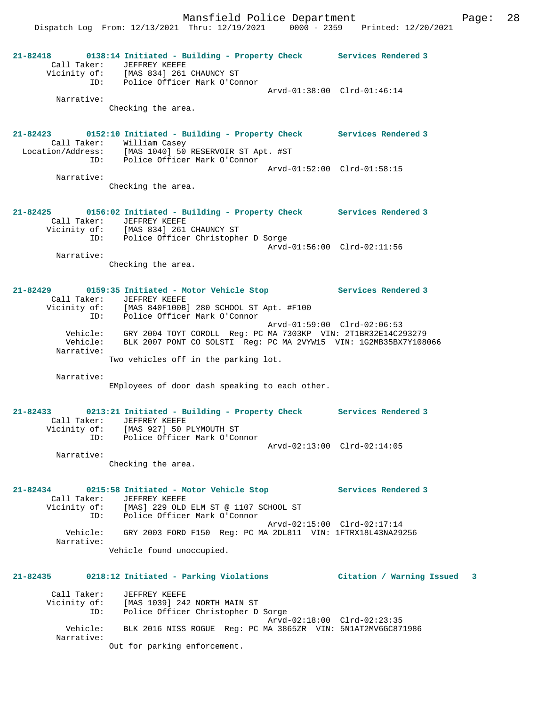**21-82418 0138:14 Initiated - Building - Property Check Services Rendered 3**  Call Taker: JEFFREY KEEFE Vicinity of: [MAS 834] 261 CHAUNCY ST ID: Police Officer Mark O'Connor Arvd-01:38:00 Clrd-01:46:14 Narrative: Checking the area. **21-82423 0152:10 Initiated - Building - Property Check Services Rendered 3**  Call Taker: William Casey Location/Address: [MAS 1040] 50 RESERVOIR ST Apt. #ST ID: Police Officer Mark O'Connor Arvd-01:52:00 Clrd-01:58:15 Narrative: Checking the area. **21-82425 0156:02 Initiated - Building - Property Check Services Rendered 3**  Call Taker: JEFFREY KEEFE Vicinity of: [MAS 834] 261 CHAUNCY ST ID: Police Officer Christopher D Sorge Arvd-01:56:00 Clrd-02:11:56 Narrative: Checking the area. **21-82429 0159:35 Initiated - Motor Vehicle Stop Services Rendered 3**  Call Taker: JEFFREY KEEFE<br>Vicinity of: [MAS 840F100B] 280 SCHOOL ST Apt. #F100 Vicinity of: [MAS 840F100B] 280 SCHOOL ST Apt. #F100 ID: Police Officer Mark O'Connor Arvd-01:59:00 Clrd-02:06:53 Vehicle: GRY 2004 TOYT COROLL Reg: PC MA 7303KP VIN: 2T1BR32E14C293279 Vehicle: BLK 2007 PONT CO SOLSTI Reg: PC MA 2VYW15 VIN: 1G2MB35BX7Y108066 Narrative: Two vehicles off in the parking lot. Narrative: EMployees of door dash speaking to each other. **21-82433 0213:21 Initiated - Building - Property Check Services Rendered 3**  Call Taker: JEFFREY KEEFE Vicinity of: [MAS 927] 50 PLYMOUTH ST ID: Police Officer Mark O'Connor Arvd-02:13:00 Clrd-02:14:05 Narrative: Checking the area. **21-82434 0215:58 Initiated - Motor Vehicle Stop Services Rendered 3**  Call Taker: JEFFREY KEEFE<br>Vicinity of: [MAS] 229 OLD [MAS] 229 OLD ELM ST @ 1107 SCHOOL ST ID: Police Officer Mark O'Connor Arvd-02:15:00 Clrd-02:17:14 Vehicle: GRY 2003 FORD F150 Reg: PC MA 2DL811 VIN: 1FTRX18L43NA29256 Narrative: Vehicle found unoccupied. **21-82435 0218:12 Initiated - Parking Violations Citation / Warning Issued 3** Call Taker: JEFFREY KEEFE Vicinity of: [MAS 1039] 242 NORTH MAIN ST ID: Police Officer Christopher D Sorge Arvd-02:18:00 Clrd-02:23:35 Vehicle: BLK 2016 NISS ROGUE Reg: PC MA 3865ZR VIN: 5N1AT2MV6GC871986 Narrative: Out for parking enforcement.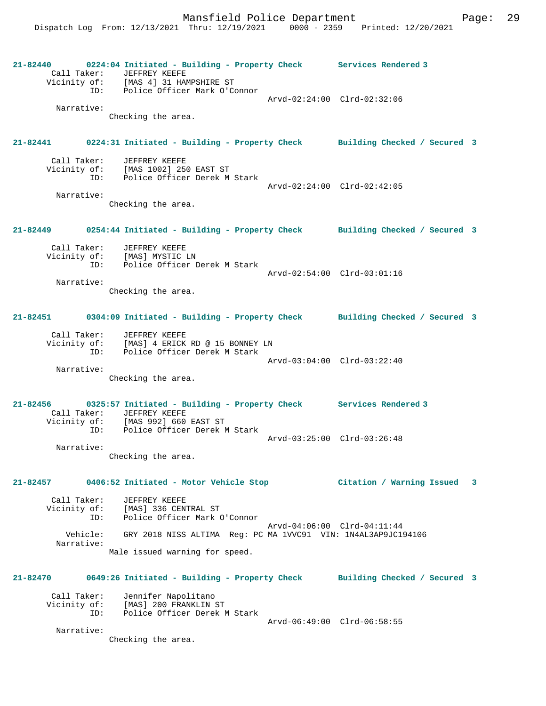**21-82440 0224:04 Initiated - Building - Property Check Services Rendered 3**  Call Taker: JEFFREY KEEFE Vicinity of: [MAS 4] 31 HAMPSHIRE ST ID: Police Officer Mark O'Connor Arvd-02:24:00 Clrd-02:32:06 Narrative: Checking the area. **21-82441 0224:31 Initiated - Building - Property Check Building Checked / Secured 3** Call Taker: JEFFREY KEEFE Vicinity of: [MAS 1002] 250 EAST ST ID: Police Officer Derek M Stark Arvd-02:24:00 Clrd-02:42:05 Narrative: Checking the area. **21-82449 0254:44 Initiated - Building - Property Check Building Checked / Secured 3** Call Taker: JEFFREY KEEFE Vicinity of: [MAS] MYSTIC LN ID: Police Officer Derek M Stark Arvd-02:54:00 Clrd-03:01:16 Narrative: Checking the area. **21-82451 0304:09 Initiated - Building - Property Check Building Checked / Secured 3** Call Taker: JEFFREY KEEFE Vicinity of: [MAS] 4 ERICK RD @ 15 BONNEY LN ID: Police Officer Derek M Stark Arvd-03:04:00 Clrd-03:22:40 Narrative: Checking the area. **21-82456 0325:57 Initiated - Building - Property Check Services Rendered 3**  Call Taker: JEFFREY KEEFE Vicinity of: [MAS 992] 660 EAST ST ID: Police Officer Derek M Stark Arvd-03:25:00 Clrd-03:26:48 Narrative: Checking the area. **21-82457 0406:52 Initiated - Motor Vehicle Stop Citation / Warning Issued 3** Call Taker: JEFFREY KEEFE Vicinity of: [MAS] 336 CENTRAL ST<br>ID: Police Officer Mark ( Police Officer Mark O'Connor Arvd-04:06:00 Clrd-04:11:44 Vehicle: GRY 2018 NISS ALTIMA Reg: PC MA 1VVC91 VIN: 1N4AL3AP9JC194106 Narrative: Male issued warning for speed. **21-82470 0649:26 Initiated - Building - Property Check Building Checked / Secured 3** Call Taker: Jennifer Napolitano Vicinity of: [MAS] 200 FRANKLIN ST ID: Police Officer Derek M Stark Arvd-06:49:00 Clrd-06:58:55 Narrative: Checking the area.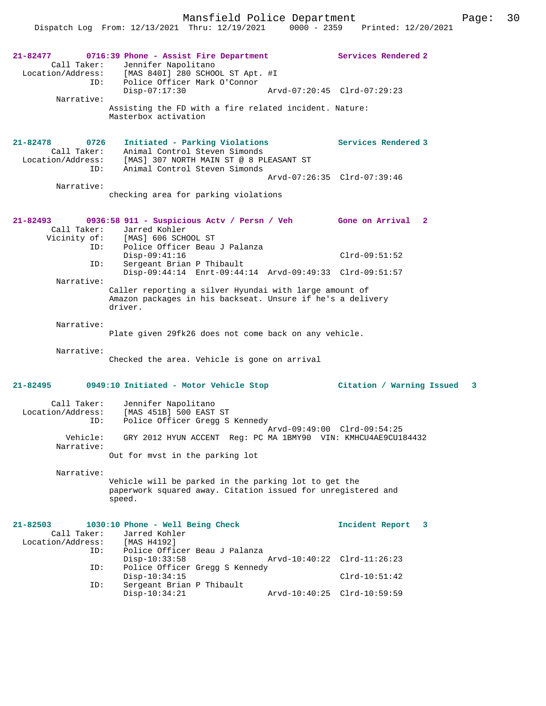Mansfield Police Department Page: 30

Dispatch Log From: 12/13/2021 Thru: 12/19/2021 0000 - 2359 Printed: 12/20/2021

| 21-82477<br>Call Taker:<br>ID:<br>Narrative:                              | 0716:39 Phone - Assist Fire Department<br>Jennifer Napolitano<br>Location/Address: [MAS 840I] 280 SCHOOL ST Apt. #I<br>Police Officer Mark O'Connor<br>$Disp-07:17:30$<br>Assisting the FD with a fire related incident. Nature:<br>Masterbox activation | Services Rendered 2<br>Arvd-07:20:45 Clrd-07:29:23                     |
|---------------------------------------------------------------------------|----------------------------------------------------------------------------------------------------------------------------------------------------------------------------------------------------------------------------------------------------------|------------------------------------------------------------------------|
| 21-82478<br>0726<br>Call Taker:<br>Location/Address:<br>ID:<br>Narrative: | Initiated - Parking Violations<br>Animal Control Steven Simonds<br>[MAS] 307 NORTH MAIN ST @ 8 PLEASANT ST<br>Animal Control Steven Simonds<br>checking area for parking violations                                                                      | Services Rendered 3<br>Arvd-07:26:35 Clrd-07:39:46                     |
| 21-82493<br>Call Taker:<br>Vicinity of:<br>ID:<br>ID:<br>Narrative:       | 0936:58 911 - Suspicious Actv / Persn / Veh Gone on Arrival 2<br>Jarred Kohler<br>[MAS] 606 SCHOOL ST<br>Police Officer Beau J Palanza<br>$Disp-09:41:16$<br>Sergeant Brian P Thibault<br>Disp-09:44:14 Enrt-09:44:14 Arvd-09:49:33 Clrd-09:51:57        | $Clrd-09:51:52$                                                        |
| Narrative:                                                                | Caller reporting a silver Hyundai with large amount of<br>Amazon packages in his backseat. Unsure if he's a delivery<br>driver.<br>Plate given 29fk26 does not come back on any vehicle.                                                                 |                                                                        |
| Narrative:                                                                | Checked the area. Vehicle is gone on arrival                                                                                                                                                                                                             |                                                                        |
| 21-82495                                                                  | 0949:10 Initiated - Motor Vehicle Stop                                                                                                                                                                                                                   | Citation / Warning Issued<br>3                                         |
| Call Taker:<br>Location/Address:<br>ID:<br>Vehicle:                       | Jennifer Napolitano<br>[MAS 451B] 500 EAST ST<br>Police Officer Gregg S Kennedy<br>GRY 2012 HYUN ACCENT Reg: PC MA 1BMY90 VIN: KMHCU4AE9CU184432                                                                                                         | Arvd-09:49:00 Clrd-09:54:25                                            |
| Narrative:                                                                | Out for myst in the parking lot                                                                                                                                                                                                                          |                                                                        |
| Narrative:                                                                | Vehicle will be parked in the parking lot to get the<br>paperwork squared away. Citation issued for unregistered and<br>speed.                                                                                                                           |                                                                        |
| $21 - 82503$<br>Call Taker:<br>Location/Address:<br>ID:<br>ID:<br>ID:     | 1030:10 Phone - Well Being Check<br>Jarred Kohler<br>[MAS H4192]<br>Police Officer Beau J Palanza<br>$Disp-10:33:58$<br>Police Officer Gregg S Kennedy<br>$Disp-10:34:15$<br>Sergeant Brian P Thibault                                                   | Incident Report<br>3<br>Arvd-10:40:22 Clrd-11:26:23<br>$Clrd-10:51:42$ |
|                                                                           | $Disp-10:34:21$                                                                                                                                                                                                                                          | Arvd-10:40:25 Clrd-10:59:59                                            |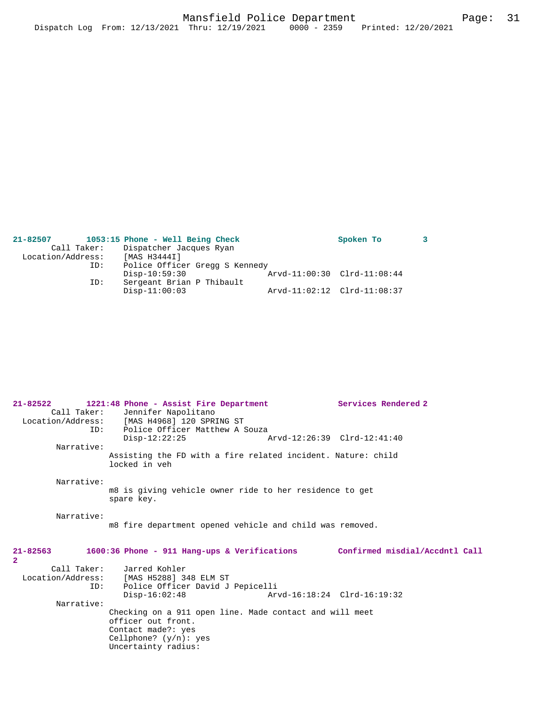| 21-82507          | 1053:15 Phone - Well Being Check | Spoken To                   |  |
|-------------------|----------------------------------|-----------------------------|--|
| Call Taker:       | Dispatcher Jacques Ryan          |                             |  |
| Location/Address: | [MAS H3444I]                     |                             |  |
| ID:               | Police Officer Gregg S Kennedy   |                             |  |
|                   | $Disp-10:59:30$                  | Arvd-11:00:30 Clrd-11:08:44 |  |
| ID:               | Sergeant Brian P Thibault        |                             |  |
|                   | $Disp-11:00:03$                  | Arvd-11:02:12 Clrd-11:08:37 |  |
|                   |                                  |                             |  |

**21-82522 1221:48 Phone - Assist Fire Department Services Rendered 2** 

| Call Taker:                    | Jennifer Napolitano<br>Location/Address: [MAS H4968] 120 SPRING ST                                                                                     |                                |
|--------------------------------|--------------------------------------------------------------------------------------------------------------------------------------------------------|--------------------------------|
| ID:                            | Police Officer Matthew A Souza<br>$Disp-12:22:25$                                                                                                      | Arvd-12:26:39 Clrd-12:41:40    |
| Narrative:                     |                                                                                                                                                        |                                |
|                                | Assisting the FD with a fire related incident. Nature: child<br>locked in veh                                                                          |                                |
| Narrative:                     | m8 is giving vehicle owner ride to her residence to get<br>spare key.                                                                                  |                                |
| Narrative:                     | m8 fire department opened vehicle and child was removed.                                                                                               |                                |
| $21 - 82563$<br>$\overline{2}$ | $1600:36$ Phone - 911 Hang-ups & Verifications                                                                                                         | Confirmed misdial/Accdntl Call |
| ID:                            | Call Taker: Jarred Kohler<br>Location/Address: [MAS H5288] 348 ELM ST<br>Police Officer David J Pepicelli<br>$Disp-16:02:48$                           | Arvd-16:18:24 Clrd-16:19:32    |
| Narrative:                     | Checking on a 911 open line. Made contact and will meet<br>officer out front.<br>Contact made?: yes<br>Cellphone? $(y/n)$ : yes<br>Uncertainty radius: |                                |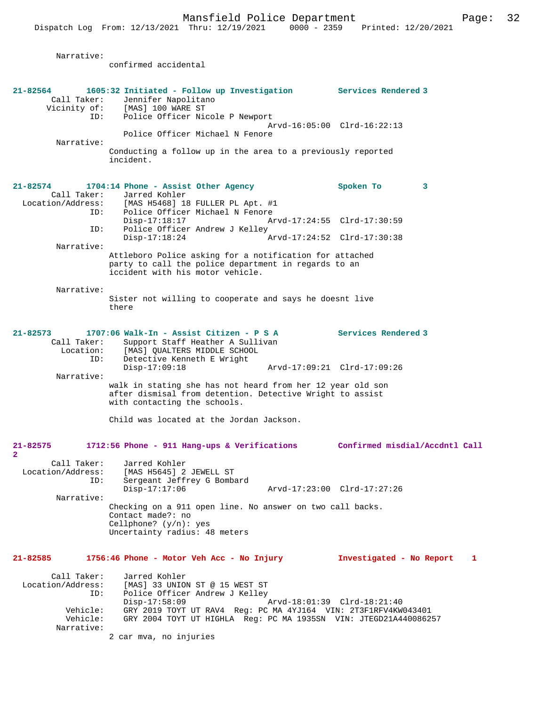Narrative:

|                                        | confirmed accidental                                                                                                                                                                         |                             |   |
|----------------------------------------|----------------------------------------------------------------------------------------------------------------------------------------------------------------------------------------------|-----------------------------|---|
|                                        |                                                                                                                                                                                              |                             |   |
| 21-82564<br>ID:                        | 1605:32 Initiated - Follow up Investigation Services Rendered 3<br>Call Taker: Jennifer Napolita<br>Vicinity of: [MAS] 100 WARE ST<br>Jennifer Napolitano<br>Police Officer Nicole P Newport |                             |   |
|                                        |                                                                                                                                                                                              | Arvd-16:05:00 Clrd-16:22:13 |   |
|                                        | Police Officer Michael N Fenore                                                                                                                                                              |                             |   |
| Narrative:                             | Conducting a follow up in the area to a previously reported                                                                                                                                  |                             |   |
|                                        | incident.                                                                                                                                                                                    |                             |   |
| $21 - 82574$                           | 1704:14 Phone - Assist Other Agency                                                                                                                                                          | Spoken To                   | 3 |
|                                        | Call Taker: Jarred Kohler                                                                                                                                                                    |                             |   |
| ID:                                    | Location/Address: [MAS H5468] 18 FULLER PL Apt. #1<br>Police Officer Michael N Fenore                                                                                                        |                             |   |
|                                        | $Disp-17:18:17$                                                                                                                                                                              | Arvd-17:24:55 Clrd-17:30:59 |   |
| ID:                                    | Police Officer Andrew J Kelley                                                                                                                                                               |                             |   |
| Narrative:                             | $Disp-17:18:24$                                                                                                                                                                              | Arvd-17:24:52 Clrd-17:30:38 |   |
|                                        | Attleboro Police asking for a notification for attached                                                                                                                                      |                             |   |
|                                        | party to call the police department in regards to an<br>iccident with his motor vehicle.                                                                                                     |                             |   |
| Narrative:                             |                                                                                                                                                                                              |                             |   |
|                                        | Sister not willing to cooperate and says he doesnt live<br>there                                                                                                                             |                             |   |
| $21 - 82573$                           | 1707:06 Walk-In - Assist Citizen - P S A                                                                                                                                                     | <b>Services Rendered 3</b>  |   |
| Call Taker:<br>ID:                     | Support Staff Heather A Sullivan<br>Location: [MAS] QUALTERS MIDDLE SCHOOL<br>TD: Detective Kenneth E Wright<br>Detective Kenneth E Wright                                                   |                             |   |
|                                        | $Disp-17:09:18$                                                                                                                                                                              | Arvd-17:09:21 Clrd-17:09:26 |   |
| Narrative:                             | walk in stating she has not heard from her 12 year old son                                                                                                                                   |                             |   |
|                                        | after dismisal from detention. Detective Wright to assist<br>with contacting the schools.                                                                                                    |                             |   |
|                                        | Child was located at the Jordan Jackson.                                                                                                                                                     |                             |   |
|                                        |                                                                                                                                                                                              |                             |   |
| 21-82575                               | 1712:56 Phone - 911 Hang-ups & Verifications Confirmed misdial/Accdntl Call                                                                                                                  |                             |   |
| $\overline{\mathbf{2}}$<br>Call Taker: | Jarred Kohler                                                                                                                                                                                |                             |   |
| Location/Address:                      | [MAS H5645] 2 JEWELL ST                                                                                                                                                                      |                             |   |
| ID:                                    | Sergeant Jeffrey G Bombard                                                                                                                                                                   |                             |   |
| Narrative:                             | $Disp-17:17:06$                                                                                                                                                                              | Arvd-17:23:00 Clrd-17:27:26 |   |
|                                        | Checking on a 911 open line. No answer on two call backs.<br>Contact made?: no                                                                                                               |                             |   |
|                                        | Cellphone? $(y/n)$ : yes<br>Uncertainty radius: 48 meters                                                                                                                                    |                             |   |
| 21-82585                               | 1756:46 Phone - Motor Veh Acc - No Injury                                                                                                                                                    | Investigated - No Report    | 1 |
| Call Taker:                            | Jarred Kohler                                                                                                                                                                                |                             |   |
| Location/Address:                      | [MAS] 33 UNION ST @ 15 WEST ST                                                                                                                                                               |                             |   |
| ID:                                    | Police Officer Andrew J Kelley<br>$Disp-17:58:09$                                                                                                                                            | Arvd-18:01:39 Clrd-18:21:40 |   |
| Vehicle:<br>Vehicle:                   | GRY 2019 TOYT UT RAV4 Req: PC MA 4YJ164 VIN: 2T3F1RFV4KW043401<br>GRY 2004 TOYT UT HIGHLA Req: PC MA 1935SN VIN: JTEGD21A440086257                                                           |                             |   |
| Narrative:                             | 2 car mva, no injuries                                                                                                                                                                       |                             |   |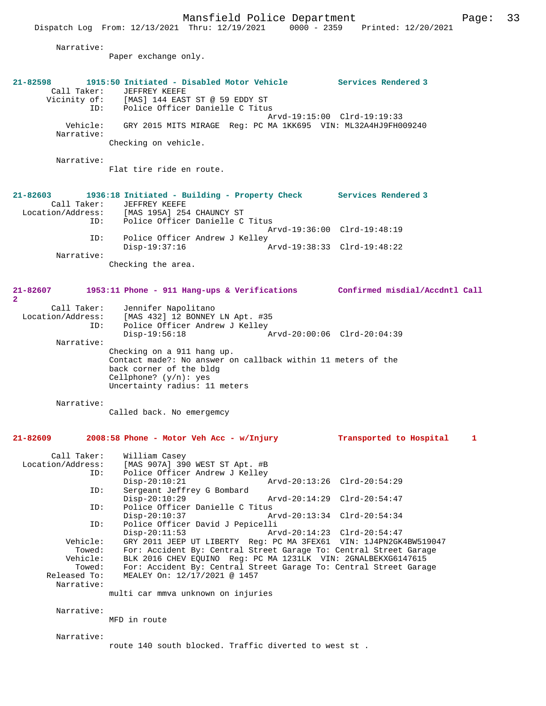|                             | Mansfield Police Department                                                                                                        |                             | Page: | 33 |
|-----------------------------|------------------------------------------------------------------------------------------------------------------------------------|-----------------------------|-------|----|
|                             | Dispatch Log From: 12/13/2021 Thru: 12/19/2021 0000 - 2359 Printed: 12/20/2021                                                     |                             |       |    |
| Narrative:                  |                                                                                                                                    |                             |       |    |
|                             | Paper exchange only.                                                                                                               |                             |       |    |
|                             |                                                                                                                                    |                             |       |    |
| 21-82598                    | 1915:50 Initiated - Disabled Motor Vehicle Services Rendered 3                                                                     |                             |       |    |
| Call Taker:                 | JEFFREY KEEFE<br>Vicinity of: [MAS] 144 EAST ST @ 59 EDDY ST                                                                       |                             |       |    |
|                             | ID: Police Officer Danielle C Titus                                                                                                |                             |       |    |
| Vehicle:                    | GRY 2015 MITS MIRAGE Req: PC MA 1KK695 VIN: ML32A4HJ9FH009240                                                                      | Arvd-19:15:00 Clrd-19:19:33 |       |    |
| Narrative:                  |                                                                                                                                    |                             |       |    |
|                             | Checking on vehicle.                                                                                                               |                             |       |    |
| Narrative:                  |                                                                                                                                    |                             |       |    |
|                             | Flat tire ride en route.                                                                                                           |                             |       |    |
|                             |                                                                                                                                    |                             |       |    |
| $21 - 82603$<br>Call Taker: | 1936:18 Initiated - Building - Property Check Services Rendered 3<br>JEFFREY KEEFE                                                 |                             |       |    |
|                             | Location/Address: [MAS 195A] 254 CHAUNCY ST                                                                                        |                             |       |    |
|                             | ID: Police Officer Danielle C Titus                                                                                                |                             |       |    |
| ID:                         | Police Officer Andrew J Kelley                                                                                                     | Arvd-19:36:00 Clrd-19:48:19 |       |    |
|                             | $Disp-19:37:16$                                                                                                                    | Arvd-19:38:33 Clrd-19:48:22 |       |    |
| Narrative:                  |                                                                                                                                    |                             |       |    |
|                             | Checking the area.                                                                                                                 |                             |       |    |
|                             |                                                                                                                                    |                             |       |    |
| 21-82607<br>$\overline{2}$  | 1953:11 Phone - 911 Hang-ups & Verifications Confirmed misdial/Accdntl Call                                                        |                             |       |    |
| Call Taker:                 | Jennifer Napolitano                                                                                                                |                             |       |    |
|                             | Location/Address: [MAS 432] 12 BONNEY LN Apt. #35                                                                                  |                             |       |    |
| ID:                         | Police Officer Andrew J Kelley<br>Disp-19:56:18                                                                                    |                             |       |    |
| Narrative:                  |                                                                                                                                    |                             |       |    |
|                             | Checking on a 911 hang up.                                                                                                         |                             |       |    |
|                             | Contact made?: No answer on callback within 11 meters of the<br>back corner of the bldg                                            |                             |       |    |
|                             | Cellphone? $(y/n): yes$                                                                                                            |                             |       |    |
|                             | Uncertainty radius: 11 meters                                                                                                      |                             |       |    |
| Narrative:                  |                                                                                                                                    |                             |       |    |
|                             | Called back. No emergemcy                                                                                                          |                             |       |    |
|                             |                                                                                                                                    |                             |       |    |
| 21-82609                    | 2008:58 Phone - Motor Veh Acc - w/Injury                                                                                           | Transported to Hospital     | 1     |    |
| Call Taker:                 | William Casey                                                                                                                      |                             |       |    |
| Location/Address:           | [MAS 907A] 390 WEST ST Apt. #B                                                                                                     |                             |       |    |
| ID:                         | Police Officer Andrew J Kelley                                                                                                     |                             |       |    |
| ID:                         | $Disp-20:10:21$<br>Sergeant Jeffrey G Bombard                                                                                      | Arvd-20:13:26 Clrd-20:54:29 |       |    |
|                             | $Disp-20:10:29$                                                                                                                    | Arvd-20:14:29 Clrd-20:54:47 |       |    |
| ID:                         | Police Officer Danielle C Titus                                                                                                    |                             |       |    |
| ID:                         | $Disp-20:10:37$<br>Police Officer David J Pepicelli                                                                                | Arvd-20:13:34 Clrd-20:54:34 |       |    |
|                             | $Disp-20:11:53$                                                                                                                    | Arvd-20:14:23 Clrd-20:54:47 |       |    |
| Vehicle:                    | GRY 2011 JEEP UT LIBERTY Req: PC MA 3FEX61 VIN: 1J4PN2GK4BW519047                                                                  |                             |       |    |
| Towed:<br>Vehicle:          | For: Accident By: Central Street Garage To: Central Street Garage<br>BLK 2016 CHEV EQUINO Reg: PC MA 1231LK VIN: 2GNALBEKXG6147615 |                             |       |    |
| Towed:                      | For: Accident By: Central Street Garage To: Central Street Garage                                                                  |                             |       |    |
| Released To:                | MEALEY On: 12/17/2021 @ 1457                                                                                                       |                             |       |    |
| Narrative:                  |                                                                                                                                    |                             |       |    |

multi car mmva unknown on injuries

Narrative:

MFD in route

Narrative:

route 140 south blocked. Traffic diverted to west st .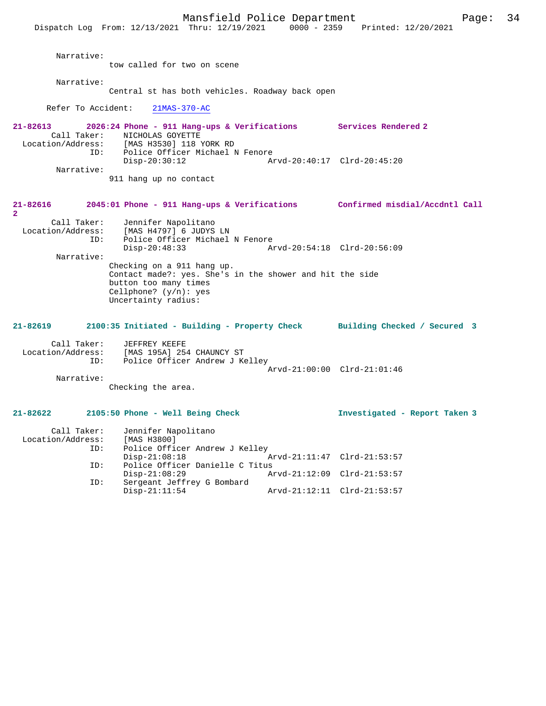Mansfield Police Department Form Page: 34 Dispatch Log From: 12/13/2021 Thru: 12/19/2021 0000 - 2359 Printed: 12/20/2021 Narrative: tow called for two on scene Narrative: Central st has both vehicles. Roadway back open Refer To Accident: 21MAS-370-AC **21-82613 2026:24 Phone - 911 Hang-ups & Verifications Services Rendered 2**  Call Taker: NICHOLAS GOYETTE<br>Location/Address: [MAS H3530] 118 ess: [MAS H3530] 118 YORK RD<br>ID: Police Officer Michael N ID: Police Officer Michael N Fenore Disp-20:30:12 Arvd-20:40:17 Clrd-20:45:20 Narrative: 911 hang up no contact **21-82616 2045:01 Phone - 911 Hang-ups & Verifications Confirmed misdial/Accdntl Call 2**  Call Taker: Jennifer Napolitano Location/Address: [MAS H4797] 6 JUDYS LN ID: Police Officer Michael N Fenore Disp-20:48:33 Arvd-20:54:18 Clrd-20:56:09 Narrative: Checking on a 911 hang up. Contact made?: yes. She's in the shower and hit the side button too many times Cellphone? (y/n): yes Uncertainty radius: **21-82619 2100:35 Initiated - Building - Property Check Building Checked / Secured 3** Call Taker: JEFFREY KEEFE<br>Location/Address: [MAS 195A] 25 [MAS 195A] 254 CHAUNCY ST ID: Police Officer Andrew J Kelley Arvd-21:00:00 Clrd-21:01:46 Narrative: Checking the area. **21-82622 2105:50 Phone - Well Being Check Investigated - Report Taken 3** Call Taker: Jennifer Napolitano<br>ion/Address: [MAS H3800] Location/Address: ID: Police Officer Andrew J Kelley Disp-21:08:18 Arvd-21:11:47 Clrd-21:53:57<br>TD: Police Officer Danielle C Titus

Police Officer Danielle C Titus<br>Disp-21:08:29 A

Sergeant Jeffrey G Bombard<br>Disp-21:11:54

Disp-21:08:29 Arvd-21:12:09 Clrd-21:53:57<br>ID: Sergeant Jeffrey G Bombard

Arvd-21:12:11 Clrd-21:53:57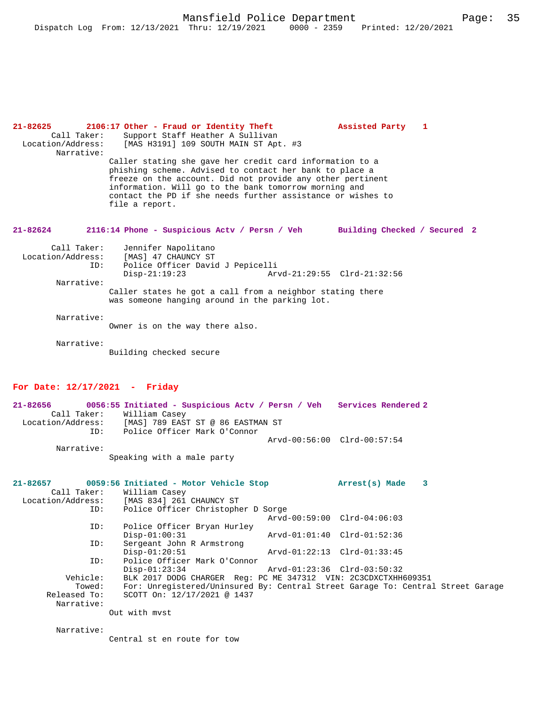| $21 - 82625$      | 2106:17 Other - Fraud or Identity Theft                                                                                                                                                                                                                                                                                     |                             | Assisted Party | 1                            |  |
|-------------------|-----------------------------------------------------------------------------------------------------------------------------------------------------------------------------------------------------------------------------------------------------------------------------------------------------------------------------|-----------------------------|----------------|------------------------------|--|
| Call Taker:       | Support Staff Heather A Sullivan                                                                                                                                                                                                                                                                                            |                             |                |                              |  |
|                   | Location/Address: [MAS H3191] 109 SOUTH MAIN ST Apt. #3                                                                                                                                                                                                                                                                     |                             |                |                              |  |
| Narrative:        |                                                                                                                                                                                                                                                                                                                             |                             |                |                              |  |
|                   | Caller stating she gave her credit card information to a<br>phishing scheme. Advised to contact her bank to place a<br>freeze on the account. Did not provide any other pertinent<br>information. Will go to the bank tomorrow morning and<br>contact the PD if she needs further assistance or wishes to<br>file a report. |                             |                |                              |  |
| 21-82624          | 2116:14 Phone - Suspicious Actv / Persn / Veh                                                                                                                                                                                                                                                                               |                             |                | Building Checked / Secured 2 |  |
| Call Taker:       | Jennifer Napolitano                                                                                                                                                                                                                                                                                                         |                             |                |                              |  |
| Location/Address: | [MAS] 47 CHAUNCY ST                                                                                                                                                                                                                                                                                                         |                             |                |                              |  |
| ID:               | Police Officer David J Pepicelli                                                                                                                                                                                                                                                                                            |                             |                |                              |  |
|                   | Disp-21:19:23                                                                                                                                                                                                                                                                                                               | Arvd-21:29:55 Clrd-21:32:56 |                |                              |  |
| Narrative:        |                                                                                                                                                                                                                                                                                                                             |                             |                |                              |  |
|                   | Caller states he got a call from a neighbor stating there<br>was someone hanging around in the parking lot.                                                                                                                                                                                                                 |                             |                |                              |  |
| Narrative:        |                                                                                                                                                                                                                                                                                                                             |                             |                |                              |  |
|                   | Owner is on the way there also.                                                                                                                                                                                                                                                                                             |                             |                |                              |  |
|                   |                                                                                                                                                                                                                                                                                                                             |                             |                |                              |  |
| Narrative:        |                                                                                                                                                                                                                                                                                                                             |                             |                |                              |  |
|                   | Building checked secure                                                                                                                                                                                                                                                                                                     |                             |                |                              |  |

# **For Date: 12/17/2021 - Friday**

| 21-82656          |            |                                   |  | 0056:55 Initiated - Suspicious Acty / Persn / Veh Services Rendered 2 |  |
|-------------------|------------|-----------------------------------|--|-----------------------------------------------------------------------|--|
|                   |            | Call Taker: William Casey         |  |                                                                       |  |
| Location/Address: |            | [MAS] 789 EAST ST @ 86 EASTMAN ST |  |                                                                       |  |
|                   | TD:        | Police Officer Mark O'Connor      |  |                                                                       |  |
|                   |            |                                   |  | Arvd-00:56:00 Clrd-00:57:54                                           |  |
|                   | Narrative: |                                   |  |                                                                       |  |

Speaking with a male party

| $21 - 82657$<br>Call Taker:<br>Location/Address: | 0059:56 Initiated - Motor Vehicle Stop<br>William Casey<br>[MAS 834] 261 CHAUNCY ST |                             | Arrest(s) Made 3 |  |
|--------------------------------------------------|-------------------------------------------------------------------------------------|-----------------------------|------------------|--|
| ID:                                              | Police Officer Christopher D Sorge                                                  |                             |                  |  |
|                                                  |                                                                                     | Arvd-00:59:00 Clrd-04:06:03 |                  |  |
| ID:                                              | Police Officer Bryan Hurley                                                         |                             |                  |  |
|                                                  | $Disp-01:00:31$                                                                     | Arvd-01:01:40 Clrd-01:52:36 |                  |  |
| ID:                                              | Sergeant John R Armstrong                                                           |                             |                  |  |
|                                                  | $Disp-01:20:51$                                                                     | Arvd-01:22:13 Clrd-01:33:45 |                  |  |
| ID:                                              | Police Officer Mark O'Connor                                                        |                             |                  |  |
|                                                  | $Disp-01:23:34$                                                                     | Arvd-01:23:36 Clrd-03:50:32 |                  |  |
| Vehicle:                                         | BLK 2017 DODG CHARGER Req: PC ME 347312 VIN: 2C3CDXCTXHH609351                      |                             |                  |  |
| Towed:                                           | For: Unregistered/Uninsured By: Central Street Garage To: Central Street Garage     |                             |                  |  |
| Released To:                                     | SCOTT On: 12/17/2021 @ 1437                                                         |                             |                  |  |
| Narrative:                                       |                                                                                     |                             |                  |  |
|                                                  | Out with myst                                                                       |                             |                  |  |

Narrative:

Central st en route for tow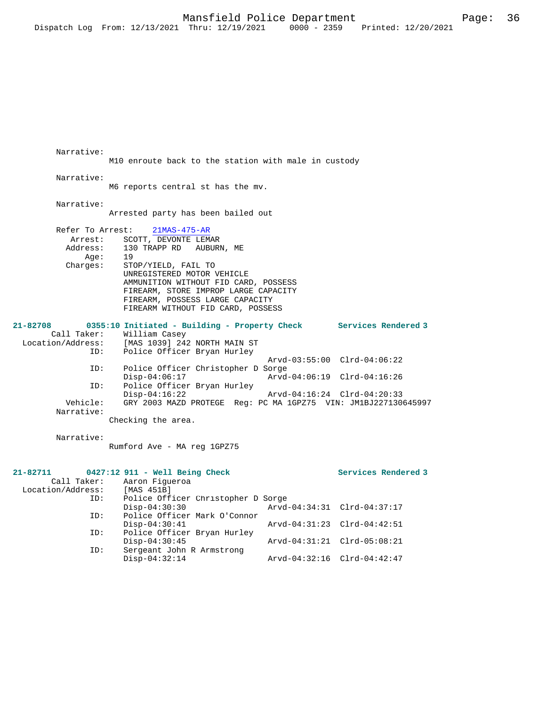M10 enroute back to the station with male in custody Narrative: M6 reports central st has the mv. Narrative: Arrested party has been bailed out Refer To Arrest: 21MAS-475-AR Arrest: SCOTT, DEVONTE LEMAR<br>Address: 130 TRAPP RD AUBURI 130 TRAPP RD AUBURN, ME<br>19 Age:<br>:Charges STOP/YIELD, FAIL TO UNREGISTERED MOTOR VEHICLE AMMUNITION WITHOUT FID CARD, POSSESS FIREARM, STORE IMPROP LARGE CAPACITY FIREARM, POSSESS LARGE CAPACITY FIREARM WITHOUT FID CARD, POSSESS **21-82708 0355:10 Initiated - Building - Property Check Services Rendered 3**  Call Taker: William Casey<br>Location/Address: [MAS 1039] 24: ess: [MAS 1039] 242 NORTH MAIN ST<br>ID: Police Officer Bryan Hurley Police Officer Bryan Hurley Arvd-03:55:00 Clrd-04:06:22<br>TD: Police Officer Christopher D Sorge Police Officer Christopher D Sorge<br>Disp-04:06:17 Arvd Disp-04:06:17 Arvd-04:06:19 Clrd-04:16:26<br>ID: Police Officer Brvan Hurley Police Officer Bryan Hurley Disp-04:16:22 Arvd-04:16:24 Clrd-04:20:33<br>Vehicle: GRY 2003 MAZD PROTEGE Req: PC MA 1GPZ75 VIN: JM1BJ227130 GRY 2003 MAZD PROTEGE Reg: PC MA 1GPZ75 VIN: JM1BJ227130645997 Narrative: Checking the area. Narrative: Rumford Ave - MA reg 1GPZ75 **21-82711 0427:12 911 - Well Being Check Services Rendered 3**  Call Taker: Aaron Figueroa<br>ion/Address: [MAS 451B] Location/Address:<br>ID: Police Officer Christopher D Sorge<br>Disp-04:30:30 Arvd Disp-04:30:30 Arvd-04:34:31 Clrd-04:37:17<br>ID: Police Officer Mark O'Connor Police Officer Mark O'Connor<br>Disp-04:30:41 Disp-04:30:41 Arvd-04:31:23 Clrd-04:42:51<br>ID: Police Officer Brvan Hurley Police Officer Bryan Hurley<br>Disp-04:30:45 Disp-04:30:45 Arvd-04:31:21 Clrd-05:08:21

Disp-04:32:14 Arvd-04:32:16 Clrd-04:42:47

ID: Sergeant John R Armstrong

Narrative: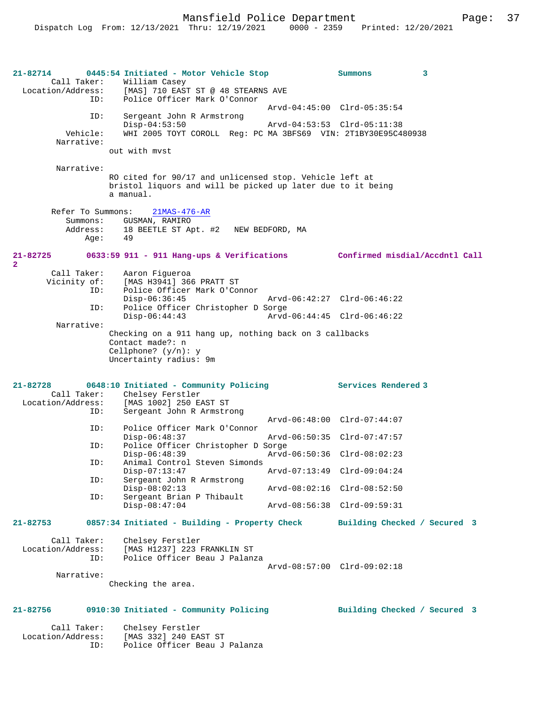**21-82714 0445:54 Initiated - Motor Vehicle Stop Summons 3**  Call Taker: William Casey Location/Address: [MAS] 710 EAST ST @ 48 STEARNS AVE Police Officer Mark O'Connor Arvd-04:45:00 Clrd-05:35:54 ID: Sergeant John R Armstrong Disp-04:53:50 Arvd-04:53:53 Clrd-05:11:38 Vehicle: WHI 2005 TOYT COROLL Reg: PC MA 3BFS69 VIN: 2T1BY30E95C480938 Narrative: out with mvst Narrative: RO cited for 90/17 and unlicensed stop. Vehicle left at bristol liquors and will be picked up later due to it being a manual. Refer To Summons: 21MAS-476-AR Summons: GUSMAN, RAMIRO<br>Address: 18 BEETLE ST Ar 18 BEETLE ST Apt. #2 NEW BEDFORD, MA<br>49 Age: **21-82725 0633:59 911 - 911 Hang-ups & Verifications Confirmed misdial/Accdntl Call 2**  Call Taker: Aaron Figueroa<br>Vicinity of: [MAS H3941] 366 of: [MAS H3941] 366 PRATT ST<br>ID: Police Officer Mark O'Com Police Officer Mark O'Connor<br>Disp-06:36:45 Disp-06:36:45 Arvd-06:42:27 Clrd-06:46:22<br>TD: Police Officer Christopher D Sorge Police Officer Christopher D Sorge<br>Disp-06:44:43 Arvd Disp-06:44:43 Arvd-06:44:45 Clrd-06:46:22 Narrative: Checking on a 911 hang up, nothing back on 3 callbacks Contact made?: n Cellphone? (y/n): y Uncertainty radius: 9m **21-82728 0648:10 Initiated - Community Policing Services Rendered 3**  Call Taker: Chelsey Ferstler<br>Location/Address: [MAS 1002] 250 E ess: [MAS 1002] 250 EAST ST<br>ID: Sergeant John R Armstro Sergeant John R Armstrong Arvd-06:48:00 Clrd-07:44:07<br>ID: Police Officer Mark O'Connor Police Officer Mark O'Connor<br>Disp-06:48:37 Disp-06:48:37 Arvd-06:50:35 Clrd-07:47:57<br>ID: Police Officer Christopher D Sorge Police Officer Christopher D Sorge<br>Disp-06:48:39 Arvd Disp-06:48:39 Arvd-06:50:36 Clrd-08:02:23 ID: Animal Control Steven Simonds<br>Disp-07:13:47 Disp-07:13:47 Arvd-07:13:49 Clrd-09:04:24<br>ID: Sergeant John R Armstrong Sergeant John R Armstrong<br>Disp-08:02:13 Disp-08:02:13 Arvd-08:02:16 Clrd-08:52:50<br>ID: Sergeant Brian P Thibault Sergeant Brian P Thibault<br>Disp-08:47:04 Arvd-08:56:38 Clrd-09:59:31 **21-82753 0857:34 Initiated - Building - Property Check Building Checked / Secured 3** Call Taker: Chelsey Ferstler Location/Address: [MAS H1237] 223 FRANKLIN ST Police Officer Beau J Palanza Arvd-08:57:00 Clrd-09:02:18 Narrative: Checking the area. **21-82756 0910:30 Initiated - Community Policing Building Checked / Secured 3**

Call Taker: Chelsey Ferstler<br>Location/Address: [MAS 332] 240 EA: ess: [MAS 332] 240 EAST ST<br>ID: Police Officer Beau J Police Officer Beau J Palanza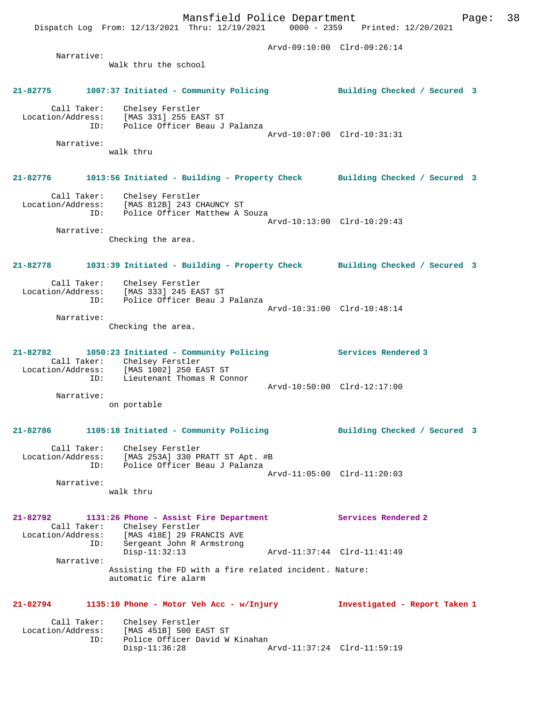Dispatch Log From: 12/13/2021 Thru: 12/19/2021 0000 - 2359 Printed: 12/20/2021 Arvd-09:10:00 Clrd-09:26:14 Narrative: Walk thru the school **21-82775 1007:37 Initiated - Community Policing Building Checked / Secured 3** Call Taker: Chelsey Ferstler Location/Address: [MAS 331] 255 EAST ST ID: Police Officer Beau J Palanza Arvd-10:07:00 Clrd-10:31:31 Narrative: walk thru **21-82776 1013:56 Initiated - Building - Property Check Building Checked / Secured 3** Call Taker: Chelsey Ferstler Location/Address: [MAS 812B] 243 CHAUNCY ST ID: Police Officer Matthew A Souza Arvd-10:13:00 Clrd-10:29:43 Narrative: Checking the area. **21-82778 1031:39 Initiated - Building - Property Check Building Checked / Secured 3** Call Taker: Chelsey Ferstler<br>Location/Address: [MAS 333] 245 EA: [MAS 333] 245 EAST ST ID: Police Officer Beau J Palanza Arvd-10:31:00 Clrd-10:48:14 Narrative: Checking the area. **21-82782 1050:23 Initiated - Community Policing Services Rendered 3**  Call Taker: Chelsey Ferstler Location/Address: [MAS 1002] 250 EAST ST ID: Lieutenant Thomas R Connor Arvd-10:50:00 Clrd-12:17:00 Narrative: on portable **21-82786 1105:18 Initiated - Community Policing Building Checked / Secured 3** Call Taker: Chelsey Ferstler Location/Address: [MAS 253A] 330 PRATT ST Apt. #B ID: Police Officer Beau J Palanza Arvd-11:05:00 Clrd-11:20:03 Narrative: walk thru **21-82792 1131:26 Phone - Assist Fire Department Services Rendered 2**  Call Taker: Chelsey Ferstler Location/Address: [MAS 418E] 29 FRANCIS AVE ID: Sergeant John R Armstrong Disp-11:32:13 Arvd-11:37:44 Clrd-11:41:49 Narrative: Assisting the FD with a fire related incident. Nature: automatic fire alarm **21-82794 1135:10 Phone - Motor Veh Acc - w/Injury Investigated - Report Taken 1** Call Taker: Chelsey Ferstler<br>Location/Address: [MAS 451B] 500 E. [MAS 451B] 500 EAST ST ID: Police Officer David W Kinahan<br>Disp-11:36:28 A

Disp-11:36:28 Arvd-11:37:24 Clrd-11:59:19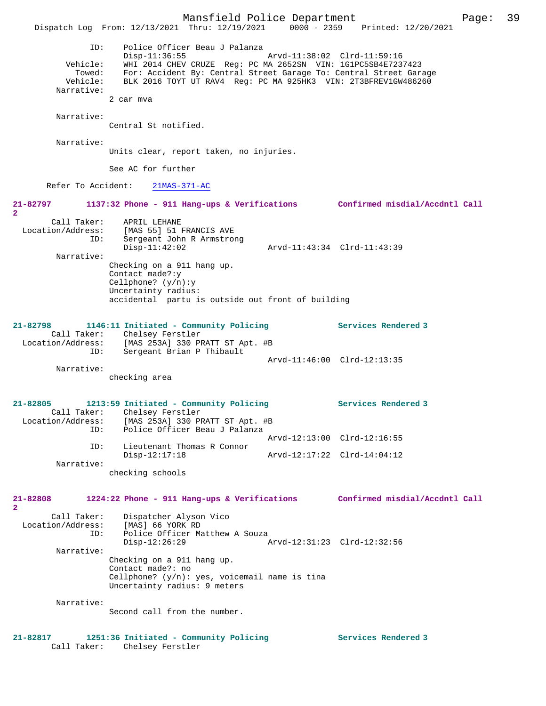Mansfield Police Department Page: 39 Dispatch Log From: 12/13/2021 Thru: 12/19/2021 ID: Police Officer Beau J Palanza Disp-11:36:55 Arvd-11:38:02 Clrd-11:59:16 Vehicle: WHI 2014 CHEV CRUZE Reg: PC MA 2652SN VIN: 1G1PC5SB4E7237423 Towed: For: Accident By: Central Street Garage To: Central Street Garage Vehicle: BLK 2016 TOYT UT RAV4 Reg: PC MA 925HK3 VIN: 2T3BFREV1GW486260 Narrative: 2 car mva Narrative: Central St notified. Narrative: Units clear, report taken, no injuries. See AC for further Refer To Accident: 21MAS-371-AC **21-82797 1137:32 Phone - 911 Hang-ups & Verifications Confirmed misdial/Accdntl Call 2**  Call Taker: APRIL LEHANE<br>Location/Address: [MAS 55] 51 1 Location/Address: [MAS 55] 51 FRANCIS AVE ID: Sergeant John R Armstrong Disp-11:42:02 Arvd-11:43:34 Clrd-11:43:39 Narrative: Checking on a 911 hang up. Contact made?:y Cellphone? (y/n):y Uncertainty radius: accidental partu is outside out front of building **21-82798 1146:11 Initiated - Community Policing Services Rendered 3**  Call Taker: Chelsey Ferstler Location/Address: [MAS 253A] 330 PRATT ST Apt. #B ID: Sergeant Brian P Thibault Arvd-11:46:00 Clrd-12:13:35 Narrative: checking area **21-82805 1213:59 Initiated - Community Policing Services Rendered 3**  Call Taker: Chelsey Ferstler<br>Location/Address: [MAS 253A] 330 PF [MAS 253A] 330 PRATT ST Apt. #B ID: Police Officer Beau J Palanza Arvd-12:13:00 Clrd-12:16:55 ID: Lieutenant Thomas R Connor<br>Disp-12:17:18 Disp-12:17:18 Arvd-12:17:22 Clrd-14:04:12 Narrative: checking schools **21-82808 1224:22 Phone - 911 Hang-ups & Verifications Confirmed misdial/Accdntl Call 2**  Call Taker: Dispatcher Alyson Vico Location/Address: [MAS] 66 YORK RD<br>ID: Police Officer Ma Police Officer Matthew A Souza<br>Disp-12:26:29 Disp-12:26:29 Arvd-12:31:23 Clrd-12:32:56 Narrative: Checking on a 911 hang up. Contact made?: no Cellphone? (y/n): yes, voicemail name is tina Uncertainty radius: 9 meters Narrative: Second call from the number. **21-82817 1251:36 Initiated - Community Policing Services Rendered 3** 

Call Taker: Chelsey Ferstler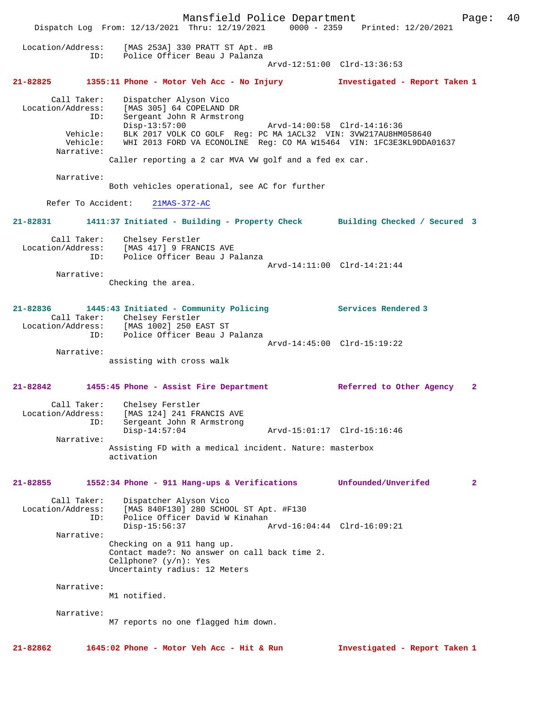Mansfield Police Department Form Page: 40 Dispatch Log From: 12/13/2021 Thru: 12/19/2021 0000 - 2359 Printed: 12/20/2021 Location/Address: [MAS 253A] 330 PRATT ST Apt. #B ID: Police Officer Beau J Palanza Arvd-12:51:00 Clrd-13:36:53 **21-82825 1355:11 Phone - Motor Veh Acc - No Injury Investigated - Report Taken 1** Call Taker: Dispatcher Alyson Vico<br>Location/Address: [MAS 305] 64 COPELAND I Location/Address: [MAS 305] 64 COPELAND DR ID: Sergeant John R Armstrong ID: Sergeant John R Armstrong<br>Disp-13:57:00 Arvd-14:00:58 Clrd-14:16:36 Vehicle: BLK 2017 VOLK CO GOLF Reg: PC MA 1ACL32 VIN: 3VW217AU8HM058640<br>Vehicle: WHI 2013 FORD VA ECONOLINE Reg: CO MA W15464 VIN: 1FC3E3KL9DDA WHI 2013 FORD VA ECONOLINE Reg: CO MA W15464 VIN: 1FC3E3KL9DDA01637 Narrative: Caller reporting a 2 car MVA VW golf and a fed ex car. Narrative: Both vehicles operational, see AC for further Refer To Accident: 21MAS-372-AC **21-82831 1411:37 Initiated - Building - Property Check Building Checked / Secured 3** Call Taker: Chelsey Ferstler Location/Address: [MAS 417] 9 FRANCIS AVE ID: Police Officer Beau J Palanza Arvd-14:11:00 Clrd-14:21:44 Narrative: Checking the area. **21-82836 1445:43 Initiated - Community Policing Services Rendered 3**  Call Taker: Chelsey Ferstler Location/Address: [MAS 1002] 250 EAST ST ID: Police Officer Beau J Palanza Arvd-14:45:00 Clrd-15:19:22 Narrative: assisting with cross walk **21-82842 1455:45 Phone - Assist Fire Department Referred to Other Agency 2** Call Taker: Chelsey Ferstler Location/Address: [MAS 124] 241 FRANCIS AVE ID: Sergeant John R Armstrong Disp-14:57:04 Arvd-15:01:17 Clrd-15:16:46 Narrative: Assisting FD with a medical incident. Nature: masterbox activation **21-82855 1552:34 Phone - 911 Hang-ups & Verifications Unfounded/Unverifed 2** Call Taker: Dispatcher Alyson Vico<br>Location/Address: [MAS 840F130] 280 SCHO  $[MAS 840F130]$  280 SCHOOL ST Apt. #F130 ID: Police Officer David W Kinahan<br>Disp-15:56:37 Disp-15:56:37 Arvd-16:04:44 Clrd-16:09:21 Narrative: Checking on a 911 hang up. Contact made?: No answer on call back time 2. Cellphone? (y/n): Yes Uncertainty radius: 12 Meters Narrative: M1 notified. Narrative: M7 reports no one flagged him down. **21-82862 1645:02 Phone - Motor Veh Acc - Hit & Run Investigated - Report Taken 1**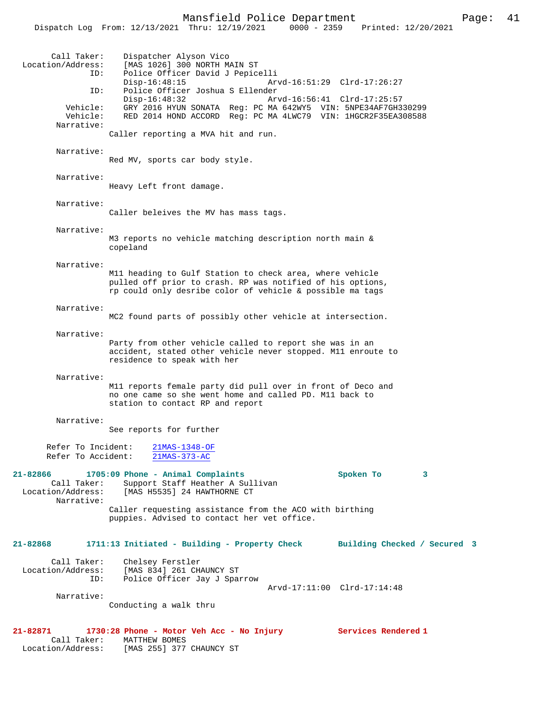Dispatch Log From: 12/13/2021 Thru: 12/19/2021 0000 - 2359 Printed: 12/20/2021

| Call Taker:                              | Dispatcher Alyson Vico                                                                                                 |                             |
|------------------------------------------|------------------------------------------------------------------------------------------------------------------------|-----------------------------|
| Location/Address:<br>ID:                 | [MAS 1026] 300 NORTH MAIN ST<br>Police Officer David J Pepicelli                                                       |                             |
|                                          | $Disp-16:48:15$                                                                                                        | Arvd-16:51:29 Clrd-17:26:27 |
| ID:                                      | Police Officer Joshua S Ellender                                                                                       |                             |
| Vehicle:                                 | $Disp-16:48:32$<br>GRY 2016 HYUN SONATA Req: PC MA 642WY5 VIN: 5NPE34AF7GH330299                                       | Arvd-16:56:41 Clrd-17:25:57 |
| Vehicle:                                 | RED 2014 HOND ACCORD Req: PC MA 4LWC79 VIN: 1HGCR2F35EA308588                                                          |                             |
| Narrative:                               |                                                                                                                        |                             |
|                                          | Caller reporting a MVA hit and run.                                                                                    |                             |
| Narrative:                               |                                                                                                                        |                             |
|                                          | Red MV, sports car body style.                                                                                         |                             |
| Narrative:                               |                                                                                                                        |                             |
|                                          | Heavy Left front damage.                                                                                               |                             |
|                                          |                                                                                                                        |                             |
| Narrative:                               | Caller beleives the MV has mass tags.                                                                                  |                             |
|                                          |                                                                                                                        |                             |
| Narrative:                               |                                                                                                                        |                             |
|                                          | M3 reports no vehicle matching description north main &<br>copeland                                                    |                             |
|                                          |                                                                                                                        |                             |
| Narrative:                               |                                                                                                                        |                             |
|                                          | M11 heading to Gulf Station to check area, where vehicle<br>pulled off prior to crash. RP was notified of his options, |                             |
|                                          | rp could only desribe color of vehicle & possible ma tags                                                              |                             |
|                                          |                                                                                                                        |                             |
| Narrative:                               |                                                                                                                        |                             |
|                                          | MC2 found parts of possibly other vehicle at intersection.                                                             |                             |
| Narrative:                               |                                                                                                                        |                             |
|                                          | Party from other vehicle called to report she was in an                                                                |                             |
|                                          | accident, stated other vehicle never stopped. M11 enroute to<br>residence to speak with her                            |                             |
|                                          |                                                                                                                        |                             |
| Narrative:                               |                                                                                                                        |                             |
|                                          | M11 reports female party did pull over in front of Deco and<br>no one came so she went home and called PD. M11 back to |                             |
|                                          | station to contact RP and report                                                                                       |                             |
| Narrative:                               |                                                                                                                        |                             |
|                                          | See reports for further                                                                                                |                             |
|                                          |                                                                                                                        |                             |
| Refer To Incident:<br>Refer To Accident: | 21MAS-1348-OF                                                                                                          |                             |
|                                          | $21MAS-373-AC$                                                                                                         |                             |
| 21-82866                                 | 1705:09 Phone - Animal Complaints                                                                                      | Spoken To<br>3              |
| Call Taker:                              | Support Staff Heather A Sullivan                                                                                       |                             |
| Narrative:                               | Location/Address: [MAS H5535] 24 HAWTHORNE CT                                                                          |                             |
|                                          | Caller requesting assistance from the ACO with birthing                                                                |                             |
|                                          | puppies. Advised to contact her vet office.                                                                            |                             |
|                                          |                                                                                                                        |                             |
| 21-82868                                 | 1711:13 Initiated - Building - Property Check Building Checked / Secured 3                                             |                             |
|                                          |                                                                                                                        |                             |
| Call Taker:<br>Location/Address:         | Chelsey Ferstler<br>[MAS 834] 261 CHAUNCY ST                                                                           |                             |
| ID:                                      | Police Officer Jay J Sparrow                                                                                           |                             |
|                                          |                                                                                                                        | Arvd-17:11:00 Clrd-17:14:48 |
| Narrative:                               | Conducting a walk thru                                                                                                 |                             |
|                                          |                                                                                                                        |                             |
|                                          | 21-82871 1730:28 Phone - Motor Veh Acc - No Injury                                                                     | Services Rendered 1         |
| Call Taker:                              | MATTHEW BOMES                                                                                                          |                             |

Location/Address: [MAS 255] 377 CHAUNCY ST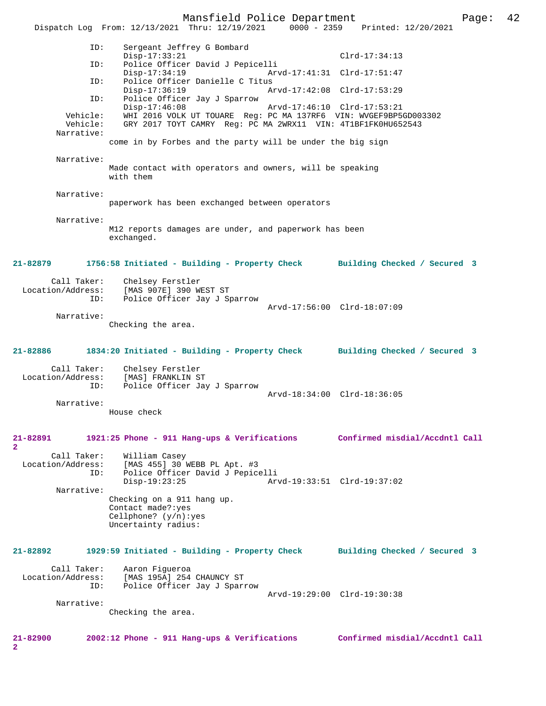Mansfield Police Department Page: 42 Dispatch Log From: 12/13/2021 Thru: 12/19/2021 0000 - 2359 Printed: 12/20/2021 ID: Sergeant Jeffrey G Bombard Disp-17:33:21 Clrd-17:34:13<br>TD: Police Officer David J Pepicelli ID: Police Officer David J Pepicelli Disp-17:34:19 Arvd-17:41:31 Clrd-17:51:47 ID: Police Officer Danielle C Titus Disp-17:36:19 Arvd-17:42:08 Clrd-17:53:29 ID: Police Officer Jay J Sparrow Disp-17:46:08 Arvd-17:46:10 Clrd-17:53:21 Vehicle: WHI 2016 VOLK UT TOUARE Reg: PC MA 137RF6 VIN: WVGEF9BP5GD003302 Vehicle: GRY 2017 TOYT CAMRY Reg: PC MA 2WRX11 VIN: 4T1BF1FK0HU652543 come in by Forbes and the party will be under the big sign Made contact with operators and owners, will be speaking with them paperwork has been exchanged between operators M12 reports damages are under, and paperwork has been exchanged. **21-82879 1756:58 Initiated - Building - Property Check Building Checked / Secured 3** Call Taker: Chelsey Ferstler Location/Address: [MAS 907E] 390 WEST ST ID: Police Officer Jay J Sparrow Arvd-17:56:00 Clrd-18:07:09

 Narrative: Checking the area.

**21-82886 1834:20 Initiated - Building - Property Check Building Checked / Secured 3**

Call Taker: Chelsey Ferstler<br>.on/Address: [MAS] FRANKLIN ST Location/Address:<br>ID: Police Officer Jay J Sparrow Arvd-18:34:00 Clrd-18:36:05

Narrative:

Narrative:

Narrative:

Narrative:

Narrative:

House check

#### **21-82891 1921:25 Phone - 911 Hang-ups & Verifications Confirmed misdial/Accdntl Call 2**  Call Taker: William Casey<br>Location/Address: [MAS 455] 30 [MAS 455] 30 WEBB PL Apt. #3 ID: Police Officer David J Pepicelli Disp-19:23:25 Arvd-19:33:51 Clrd-19:37:02 Narrative: Checking on a 911 hang up. Contact made?:yes Cellphone? (y/n):yes Uncertainty radius:

## **21-82892 1929:59 Initiated - Building - Property Check Building Checked / Secured 3** Call Taker: Aaron Figueroa Location/Address: [MAS 195A] 254 CHAUNCY ST

 ID: Police Officer Jay J Sparrow Arvd-19:29:00 Clrd-19:30:38

Narrative:

Checking the area.

**2**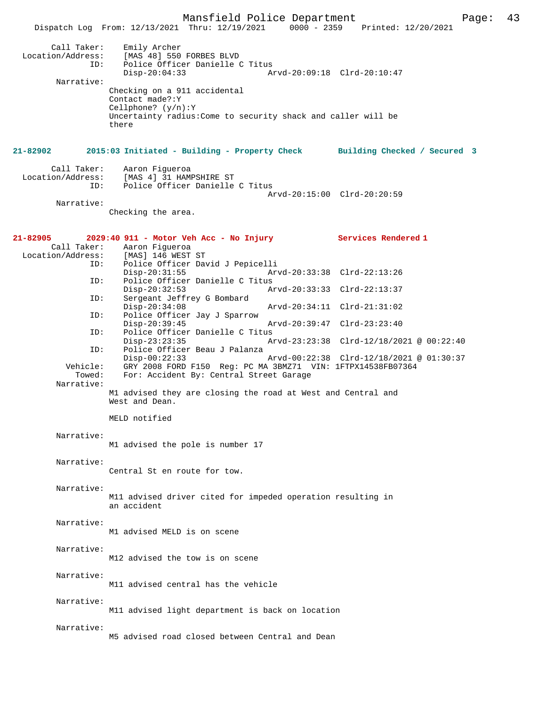Mansfield Police Department Page: 43 Dispatch Log From: 12/13/2021 Thru: 12/19/2021 Call Taker: Emily Archer Location/Address: [MAS 48] 550 FORBES BLVD ID: Police Officer Danielle C Titus Disp-20:04:33 Arvd-20:09:18 Clrd-20:10:47 Narrative: Checking on a 911 accidental Contact made?:Y Cellphone? (y/n):Y Uncertainty radius:Come to security shack and caller will be there **21-82902 2015:03 Initiated - Building - Property Check Building Checked / Secured 3** Call Taker: Aaron Figueroa<br>Location/Address: [MAS 4] 31 HAM ess: [MAS 4] 31 HAMPSHIRE ST<br>TD: Police Officer Danielle Police Officer Danielle C Titus Arvd-20:15:00 Clrd-20:20:59 Narrative: Checking the area. **21-82905 2029:40 911 - Motor Veh Acc - No Injury Services Rendered 1**  Call Taker: Aaron Figueroa Location/Address: [MAS] 146 WEST ST<br>ID: Police Officer Day Police Officer David J Pepicelli Disp-20:31:55 Arvd-20:33:38 Clrd-22:13:26<br>TD: Police Officer Danielle C Titus Police Officer Danielle C Titus<br>Disp-20:32:53 A Disp-20:32:53 Arvd-20:33:33 Clrd-22:13:37<br>ID: Sergeant Jeffrey G Bombard Sergeant Jeffrey G Bombard<br>Disp-20:34:08 Disp-20:34:08 Arvd-20:34:11 Clrd-21:31:02 ID: Police Officer Jay J Sparrow Disp-20:39:45 Arvd-20:39:47 Clrd-23:23:40<br>TD: Police Officer Danielle C Titus Police Officer Danielle C Titus<br>Disp-23:23:35 Ar Disp-23:23:35 Arvd-23:23:38 Clrd-12/18/2021 @ 00:22:40 ID: Police Officer Beau J Palanza Disp-00:22:33 Arvd-00:22:38 Clrd-12/18/2021 @ 01:30:37 Vehicle: GRY 2008 FORD F150 Reg: PC MA 3BMZ71 VIN: 1FTPX14538FB07364 Towed: For: Accident By: Central Street Garage Narrative: M1 advised they are closing the road at West and Central and West and Dean. MELD notified Narrative: M1 advised the pole is number 17 Narrative: Central St en route for tow. Narrative: M11 advised driver cited for impeded operation resulting in an accident Narrative: M1 advised MELD is on scene Narrative: M12 advised the tow is on scene Narrative: M11 advised central has the vehicle Narrative: M11 advised light department is back on location Narrative: M5 advised road closed between Central and Dean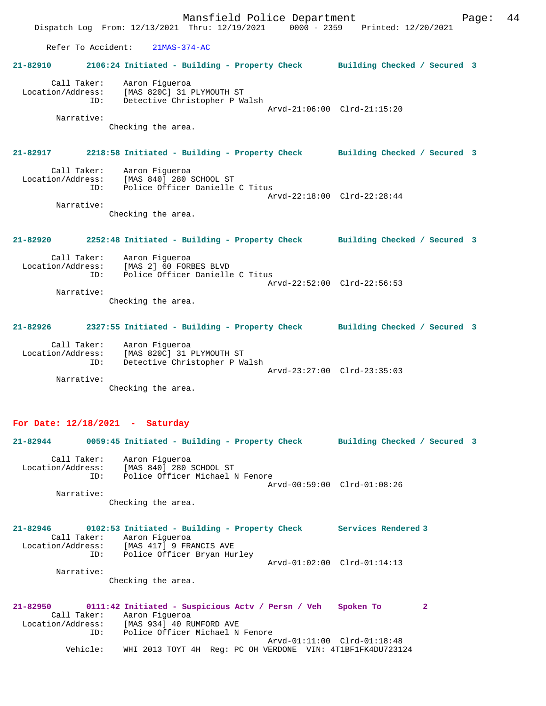Mansfield Police Department Fage: 44 Dispatch Log From: 12/13/2021 Thru: 12/19/2021 0000 - 2359 Printed: 12/20/2021 Refer To Accident: 21MAS-374-AC **21-82910 2106:24 Initiated - Building - Property Check Building Checked / Secured 3** Call Taker: Aaron Figueroa Location/Address: [MAS 820C] 31 PLYMOUTH ST ID: Detective Christopher P Walsh Arvd-21:06:00 Clrd-21:15:20 Narrative: Checking the area. **21-82917 2218:58 Initiated - Building - Property Check Building Checked / Secured 3** Call Taker: Aaron Figueroa<br>Location/Address: [MAS 840] 280 9 للاحتين بين المسوود .....<br>Ess: [MAS 840] 280 SCHOOL ST<br>TD: Police Officer Danielle Police Officer Danielle C Titus Arvd-22:18:00 Clrd-22:28:44 Narrative: Checking the area. **21-82920 2252:48 Initiated - Building - Property Check Building Checked / Secured 3** Call Taker: Aaron Figueroa Location/Address: [MAS 2] 60 FORBES BLVD ID: Police Officer Danielle C Titus Arvd-22:52:00 Clrd-22:56:53 Narrative: Checking the area. **21-82926 2327:55 Initiated - Building - Property Check Building Checked / Secured 3** Call Taker: Aaron Figueroa Location/Address: [MAS 820C] 31 PLYMOUTH ST ID: Detective Christopher P Walsh Arvd-23:27:00 Clrd-23:35:03 Narrative: Checking the area. **For Date: 12/18/2021 - Saturday 21-82944 0059:45 Initiated - Building - Property Check Building Checked / Secured 3**

 Call Taker: Aaron Figueroa Location/Address: [MAS 840] 280 SCHOOL ST ID: Police Officer Michael N Fenore Arvd-00:59:00 Clrd-01:08:26 Narrative:

Checking the area.

**21-82946 0102:53 Initiated - Building - Property Check Services Rendered 3**  Call Taker: Aaron Figueroa<br>Location/Address: [MAS 417] 9 FRI [MAS 417] 9 FRANCIS AVE ESS: ITHE ALL STATE OF THE HURLEY ID: Police Officer Bryan Hurley Arvd-01:02:00 Clrd-01:14:13 Narrative: Checking the area.

**21-82950 0111:42 Initiated - Suspicious Actv / Persn / Veh Spoken To 2**  Call Taker: Aaron Figueroa<br>Location/Address: [MAS 934] 40 RI [MAS 934] 40 RUMFORD AVE ID: Police Officer Michael N Fenore Arvd-01:11:00 Clrd-01:18:48 Vehicle: WHI 2013 TOYT 4H Reg: PC OH VERDONE VIN: 4T1BF1FK4DU723124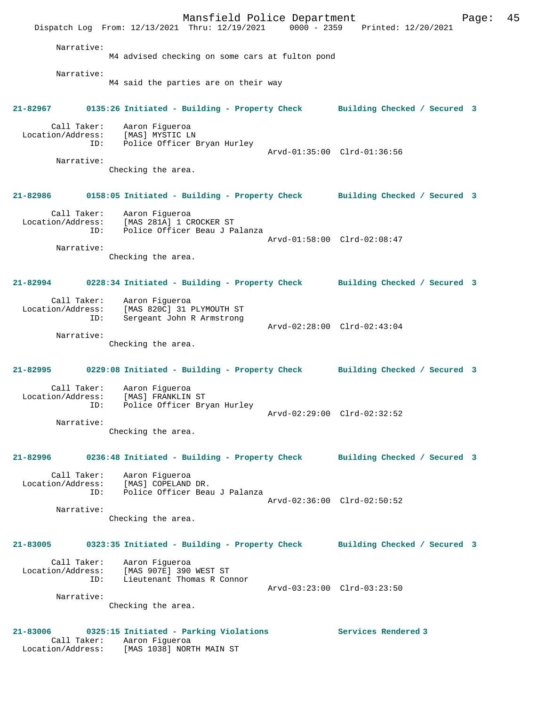Mansfield Police Department Fage: 45 Dispatch Log From: 12/13/2021 Thru: 12/19/2021 0000 - 2359 Printed: 12/20/2021 Narrative: M4 advised checking on some cars at fulton pond Narrative: M4 said the parties are on their way **21-82967 0135:26 Initiated - Building - Property Check Building Checked / Secured 3** Call Taker: Aaron Figueroa Location/Address: [MAS] MYSTIC LN ID: Police Officer Bryan Hurley Arvd-01:35:00 Clrd-01:36:56 Narrative: Checking the area. **21-82986 0158:05 Initiated - Building - Property Check Building Checked / Secured 3** Call Taker: Aaron Figueroa Location/Address: [MAS 281A] 1 CROCKER ST ID: Police Officer Beau J Palanza Arvd-01:58:00 Clrd-02:08:47 Narrative: Checking the area. **21-82994 0228:34 Initiated - Building - Property Check Building Checked / Secured 3** Call Taker: Aaron Figueroa Location/Address: [MAS 820C] 31 PLYMOUTH ST ID: Sergeant John R Armstrong Arvd-02:28:00 Clrd-02:43:04 Narrative: Checking the area. **21-82995 0229:08 Initiated - Building - Property Check Building Checked / Secured 3** Call Taker: Aaron Figueroa Location/Address: [MAS] FRANKLIN ST<br>ID: Police Officer Bry Police Officer Bryan Hurley Arvd-02:29:00 Clrd-02:32:52 Narrative: Checking the area. **21-82996 0236:48 Initiated - Building - Property Check Building Checked / Secured 3** Call Taker: Aaron Figueroa Location/Address: [MAS] COPELAND DR. ID: Police Officer Beau J Palanza Arvd-02:36:00 Clrd-02:50:52 Narrative: Checking the area. **21-83005 0323:35 Initiated - Building - Property Check Building Checked / Secured 3** Call Taker: Aaron Figueroa Location/Address: [MAS 907E] 390 WEST ST ID: Lieutenant Thomas R Connor Arvd-03:23:00 Clrd-03:23:50 Narrative: Checking the area. **21-83006 0325:15 Initiated - Parking Violations Services Rendered 3**  Call Taker: Aaron Figueroa Location/Address: [MAS 1038] NORTH MAIN ST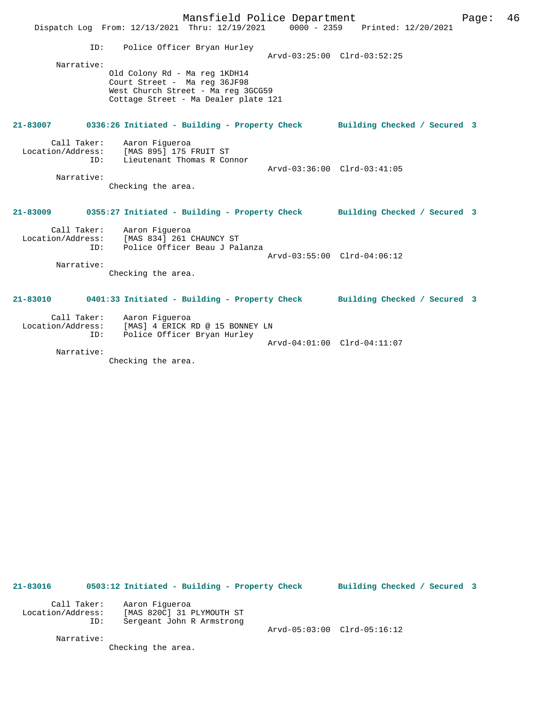|                                        | Mansfield Police Department<br>Dispatch Log From: 12/13/2021 Thru: 12/19/2021 0000 - 2359 Printed: 12/20/2021                               | Page:                       | 46 |
|----------------------------------------|---------------------------------------------------------------------------------------------------------------------------------------------|-----------------------------|----|
| ID:<br>Narrative:                      | Police Officer Bryan Hurley                                                                                                                 | Arvd-03:25:00 Clrd-03:52:25 |    |
|                                        | Old Colony Rd - Ma reg 1KDH14<br>Court Street - Ma reg 36JF98<br>West Church Street - Ma reg 3GCG59<br>Cottage Street - Ma Dealer plate 121 |                             |    |
|                                        | 21-83007 0336:26 Initiated - Building - Property Check Building Checked / Secured 3                                                         |                             |    |
| Call Taker:<br>ID:                     | Aaron Figueroa<br>Location/Address: [MAS 895] 175 FRUIT ST<br>Lieutenant Thomas R Connor                                                    | Arvd-03:36:00 Clrd-03:41:05 |    |
| Narrative:                             | Checking the area.                                                                                                                          |                             |    |
|                                        | 21-83009 0355:27 Initiated - Building - Property Check Building Checked / Secured 3                                                         |                             |    |
| Location/Address:<br>TD:<br>Narrative: | Call Taker: Aaron Figueroa<br>[MAS 834] 261 CHAUNCY ST<br>Police Officer Beau J Palanza                                                     | Arvd-03:55:00 Clrd-04:06:12 |    |
|                                        | Checking the area.                                                                                                                          |                             |    |
| 21-83010                               | 0401:33 Initiated - Building - Property Check Building Checked / Secured 3                                                                  |                             |    |
| ID:                                    | Call Taker: Aaron Figueroa<br>Location/Address: [MAS] 4 ERICK RD @ 15 BONNEY LN<br>Police Officer Bryan Hurley                              |                             |    |
| Narrative:                             |                                                                                                                                             | Arvd-04:01:00 Clrd-04:11:07 |    |

Checking the area.

**21-83016 0503:12 Initiated - Building - Property Check Building Checked / Secured 3** Call Taker: Aaron Figueroa Location/Address: [MAS 820C] 31 PLYMOUTH ST ID: Sergeant John R Armstrong

Arvd-05:03:00 Clrd-05:16:12

 Narrative: Checking the area.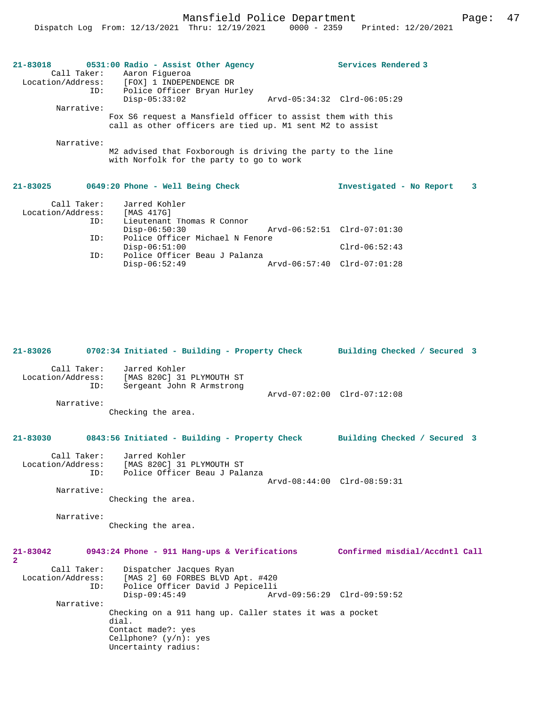|                   | 21-83018 0531:00 Radio - Assist Other Agency                | Services Rendered 3      |              |
|-------------------|-------------------------------------------------------------|--------------------------|--------------|
|                   | Call Taker: Aaron Fiqueroa                                  |                          |              |
|                   | Location/Address: [FOX] 1 INDEPENDENCE DR                   |                          |              |
| ID:               | Police Officer Bryan Hurley                                 |                          |              |
|                   | $Disp-05:33:02$                                             |                          |              |
| Narrative:        |                                                             |                          |              |
|                   | Fox S6 request a Mansfield officer to assist them with this |                          |              |
|                   | call as other officers are tied up. M1 sent M2 to assist    |                          |              |
|                   |                                                             |                          |              |
| Narrative:        |                                                             |                          |              |
|                   | M2 advised that Foxborough is driving the party to the line |                          |              |
|                   | with Norfolk for the party to go to work                    |                          |              |
|                   |                                                             |                          |              |
|                   |                                                             |                          |              |
| $21 - 83025$      | 0649:20 Phone - Well Being Check                            | Investigated - No Report | $\mathbf{3}$ |
|                   |                                                             |                          |              |
|                   | Call Taker: Jarred Kohler                                   |                          |              |
| Location/Address: | [MAS 417G]                                                  |                          |              |
| ID:               | Lieutenant Thomas R Connor                                  |                          |              |
|                   | $Disp-06:50:30$                                             |                          |              |
| ID:               | Police Officer Michael N Fenore                             |                          |              |

| ID: | Disp-06:51:00<br>Police Officer Beau J Palanza |  |                             | $Clrd-06:52:43$ |  |
|-----|------------------------------------------------|--|-----------------------------|-----------------|--|
|     | Disp-06:52:49                                  |  | Arvd-06:57:40 Clrd-07:01:28 |                 |  |
|     |                                                |  |                             |                 |  |

| $21 - 83026$                     | 0702:34 Initiated - Building - Property Check Building Checked / Secured 3                                                                 |                             |
|----------------------------------|--------------------------------------------------------------------------------------------------------------------------------------------|-----------------------------|
| Call Taker:<br>ID:<br>Narrative: | Jarred Kohler<br>Location/Address: [MAS 820C] 31 PLYMOUTH ST<br>Sergeant John R Armstrong<br>Checking the area.                            | Arvd-07:02:00 Clrd-07:12:08 |
| 21-83030                         | 0843:56 Initiated - Building - Property Check Building Checked / Secured 3                                                                 |                             |
| Call Taker:<br>ID:               | Jarred Kohler<br>Location/Address: [MAS 820C] 31 PLYMOUTH ST<br>Police Officer Beau J Palanza                                              | Arvd-08:44:00 Clrd-08:59:31 |
| Narrative:                       | Checking the area.                                                                                                                         |                             |
| Narrative:                       | Checking the area.                                                                                                                         |                             |
| $21 - 83042$<br>$\mathbf{2}$     | 0943:24 Phone - 911 Hang-ups & Verifications Confirmed misdial/Accdntl Call                                                                |                             |
| Call Taker:<br>ID:               | Dispatcher Jacques Ryan<br>Location/Address: [MAS 2] 60 FORBES BLVD Apt. #420<br>Police Officer David J Pepicelli<br>$Disp-09:45:49$       | Arvd-09:56:29 Clrd-09:59:52 |
| Narrative:                       | Checking on a 911 hang up. Caller states it was a pocket<br>dial.<br>Contact made?: yes<br>Cellphone? $(y/n)$ : yes<br>Uncertainty radius: |                             |
|                                  |                                                                                                                                            |                             |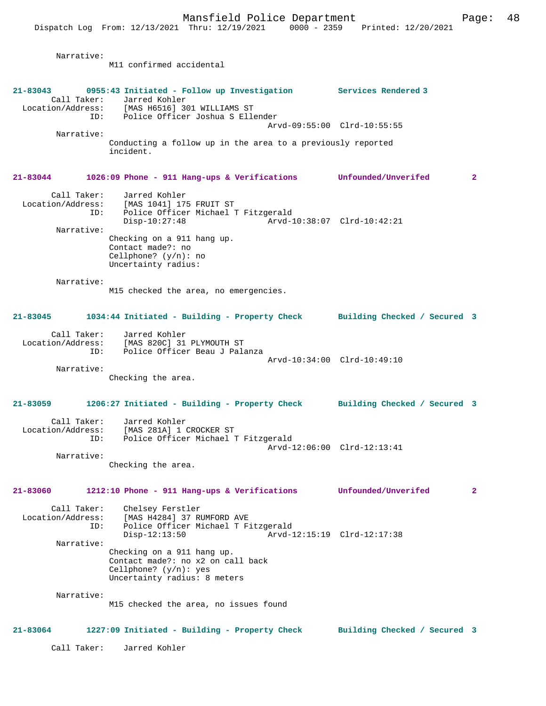Narrative: M11 confirmed accidental **21-83043 0955:43 Initiated - Follow up Investigation Services Rendered 3**  Call Taker: Jarred Kohler<br>Location/Address: [MAS H6516] 3 [MAS H6516] 301 WILLIAMS ST ID: Police Officer Joshua S Ellender Arvd-09:55:00 Clrd-10:55:55 Narrative: Conducting a follow up in the area to a previously reported incident. **21-83044 1026:09 Phone - 911 Hang-ups & Verifications Unfounded/Unverifed 2** Call Taker: Jarred Kohler Location/Address: [MAS 1041] 175 FRUIT ST ID: Police Officer Michael T Fitzgerald Disp-10:27:48 Arvd-10:38:07 Clrd-10:42:21 Narrative: Checking on a 911 hang up. Contact made?: no Cellphone? (y/n): no Uncertainty radius: Narrative: M15 checked the area, no emergencies. **21-83045 1034:44 Initiated - Building - Property Check Building Checked / Secured 3** Call Taker: Jarred Kohler Location/Address: [MAS 820C] 31 PLYMOUTH ST ID: Police Officer Beau J Palanza Arvd-10:34:00 Clrd-10:49:10 Narrative: Checking the area. **21-83059 1206:27 Initiated - Building - Property Check Building Checked / Secured 3** Call Taker: Jarred Kohler Location/Address: [MAS 281A] 1 CROCKER ST<br>TD: Police Officer Michael T Police Officer Michael T Fitzgerald Arvd-12:06:00 Clrd-12:13:41 Narrative: Checking the area. **21-83060 1212:10 Phone - 911 Hang-ups & Verifications Unfounded/Unverifed 2** Call Taker: Chelsey Ferstler<br>Location/Address: [MAS H4284] 37 RI [MAS H4284] 37 RUMFORD AVE ID: Police Officer Michael T Fitzgerald<br>Disp-12:13:50 Arvd-1 Disp-12:13:50 Arvd-12:15:19 Clrd-12:17:38 Narrative: Checking on a 911 hang up. Contact made?: no x2 on call back Cellphone? (y/n): yes Uncertainty radius: 8 meters Narrative: M15 checked the area, no issues found **21-83064 1227:09 Initiated - Building - Property Check Building Checked / Secured 3** Call Taker: Jarred Kohler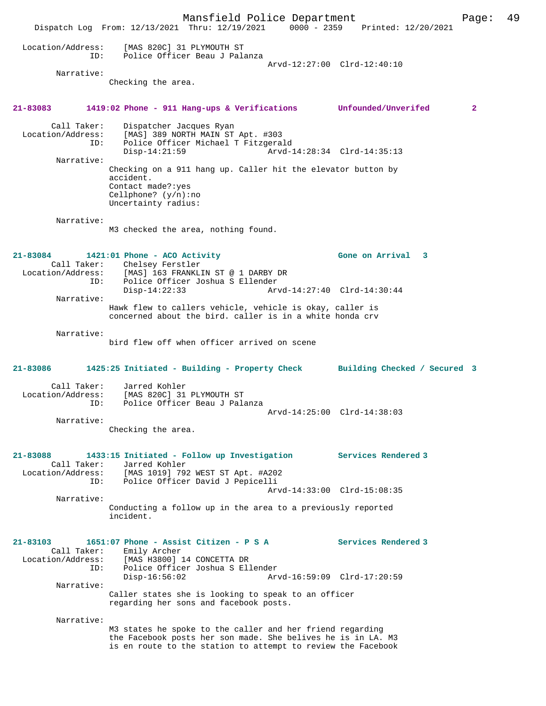Mansfield Police Department Page: 49 Dispatch Log From: 12/13/2021 Thru: 12/19/2021 0000 - 2359 Printed: 12/20/2021 Location/Address: [MAS 820C] 31 PLYMOUTH ST ID: Police Officer Beau J Palanza Arvd-12:27:00 Clrd-12:40:10 Narrative: Checking the area. **21-83083 1419:02 Phone - 911 Hang-ups & Verifications Unfounded/Unverifed 2** Call Taker: Dispatcher Jacques Ryan Location/Address: [MAS] 389 NORTH MAIN ST Apt. #303 ID: Police Officer Michael T Fitzgerald Arvd-14:28:34 Clrd-14:35:13 Narrative: Checking on a 911 hang up. Caller hit the elevator button by accident. Contact made?:yes Cellphone? (y/n):no Uncertainty radius: Narrative: M3 checked the area, nothing found. **21-83084 1421:01 Phone - ACO Activity Gone on Arrival 3**  Call Taker: Chelsey Ferstler<br>Location/Address: [MAS] 163 FRANKLIN ST @ 1 DARBY DR Location/Address: [MAS] 163 FRANKLIN ST @ 1 DARBY DR ID: Police Officer Joshua S Ellender Disp-14:22:33 Arvd-14:27:40 Clrd-14:30:44 Narrative: Hawk flew to callers vehicle, vehicle is okay, caller is concerned about the bird. caller is in a white honda crv Narrative: bird flew off when officer arrived on scene **21-83086 1425:25 Initiated - Building - Property Check Building Checked / Secured 3** Call Taker: Jarred Kohler Location/Address: [MAS 820C] 31 PLYMOUTH ST ID: Police Officer Beau J Palanza Arvd-14:25:00 Clrd-14:38:03 Narrative: Checking the area. **21-83088 1433:15 Initiated - Follow up Investigation Services Rendered 3**  Call Taker: Jarred Kohler Location/Address: [MAS 1019] 792 WEST ST Apt. #A202 ID: Police Officer David J Pepicelli Arvd-14:33:00 Clrd-15:08:35 Narrative: Conducting a follow up in the area to a previously reported incident. **21-83103 1651:07 Phone - Assist Citizen - P S A Services Rendered 3**  Call Taker: Emily Archer<br>Location/Address: [MAS H3800] ess: [MAS H3800] 14 CONCETTA DR<br>ID: Police Officer Joshua S Ell ID: Police Officer Joshua S Ellender Disp-16:56:02 Arvd-16:59:09 Clrd-17:20:59 Narrative: Caller states she is looking to speak to an officer regarding her sons and facebook posts. Narrative: M3 states he spoke to the caller and her friend regarding the Facebook posts her son made. She belives he is in LA. M3 is en route to the station to attempt to review the Facebook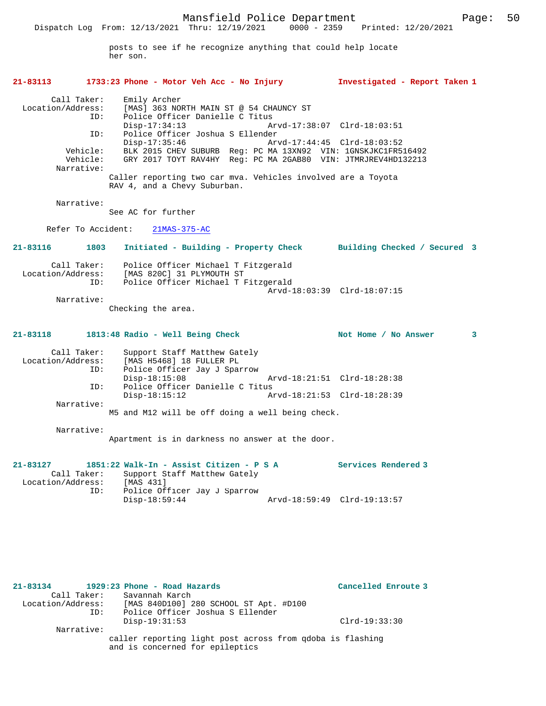posts to see if he recognize anything that could help locate her son.

## **21-83113 1733:23 Phone - Motor Veh Acc - No Injury Investigated - Report Taken 1**

 Call Taker: Emily Archer Location/Address: [MAS] 363 NORTH MAIN ST @ 54 CHAUNCY ST ID: Police Officer Danielle C Titus Disp-17:34:13 Arvd-17:38:07 Clrd-18:03:51 ID: Police Officer Joshua S Ellender  $Disp-17:35:46$  Vehicle: BLK 2015 CHEV SUBURB Reg: PC MA 13XN92 VIN: 1GNSKJKC1FR516492 Vehicle: GRY 2017 TOYT RAV4HY Reg: PC MA 2GAB80 VIN: JTMRJREV4HD132213 Narrative: Caller reporting two car mva. Vehicles involved are a Toyota

RAV 4, and a Chevy Suburban.

Narrative:

See AC for further

Refer To Accident: 21MAS-375-AC

**21-83116 1803 Initiated - Building - Property Check Building Checked / Secured 3**

| Call Taker:       | Police Officer Michael T Fitzgerald |  |
|-------------------|-------------------------------------|--|
| Location/Address: | [MAS 820C] 31 PLYMOUTH ST           |  |
| TD:               | Police Officer Michael T Fitzgerald |  |
|                   | Arvd-18:03:39 Clrd-18:07:15         |  |
| Narrative:        |                                     |  |

Checking the area.

#### **21-83118 1813:48 Radio - Well Being Check Not Home / No Answer 3**

| Call Taker:       | Support Staff Matthew Gately                     |                             |  |
|-------------------|--------------------------------------------------|-----------------------------|--|
| Location/Address: | [MAS H5468] 18 FULLER PL                         |                             |  |
| ID:               | Police Officer Jay J Sparrow                     |                             |  |
|                   | $Disp-18:15:08$                                  | Arvd-18:21:51 Clrd-18:28:38 |  |
| ID:               | Police Officer Danielle C Titus                  |                             |  |
|                   | $Disp-18:15:12$                                  | Arvd-18:21:53 Clrd-18:28:39 |  |
| Narrative:        |                                                  |                             |  |
|                   | M5 and M12 will be off doing a well being check. |                             |  |

Narrative:

Apartment is in darkness no answer at the door.

#### **21-83127 1851:22 Walk-In - Assist Citizen - P S A Services Rendered 3**  Call Taker: Support Staff Matthew Gately Location/Address: [MAS 431] ID: Police Officer Jay J Sparrow Disp-18:59:44 Arvd-18:59:49 Clrd-19:13:57

**21-83134 1929:23 Phone - Road Hazards Cancelled Enroute 3**  Call Taker: Savannah Karch Location/Address: [MAS 840D100] 280 SCHOOL ST Apt. #D100 ID: Police Officer Joshua S Ellender Disp-19:31:53 Clrd-19:33:30 Narrative: caller reporting light post across from qdoba is flashing and is concerned for epileptics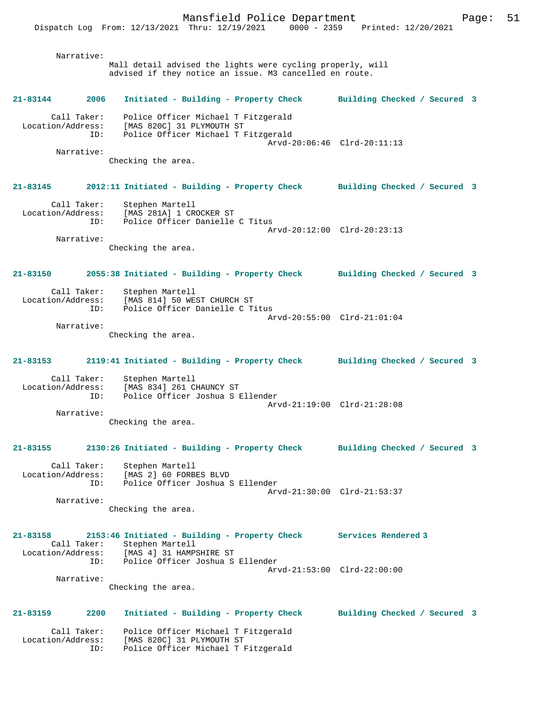Mansfield Police Department Form Page: 51 Dispatch Log From: 12/13/2021 Thru: 12/19/2021 0000 - 2359 Printed: 12/20/2021 Narrative: Mall detail advised the lights were cycling properly, will advised if they notice an issue. M3 cancelled en route. **21-83144 2006 Initiated - Building - Property Check Building Checked / Secured 3** Call Taker: Police Officer Michael T Fitzgerald Location/Address: [MAS 820C] 31 PLYMOUTH ST ID: Police Officer Michael T Fitzgerald Arvd-20:06:46 Clrd-20:11:13 Narrative: Checking the area. **21-83145 2012:11 Initiated - Building - Property Check Building Checked / Secured 3** Call Taker: Stephen Martell Location/Address: [MAS 281A] 1 CROCKER ST ID: Police Officer Danielle C Titus Arvd-20:12:00 Clrd-20:23:13 Narrative: Checking the area. **21-83150 2055:38 Initiated - Building - Property Check Building Checked / Secured 3** Call Taker: Stephen Martell Location/Address: [MAS 814] 50 WEST CHURCH ST ID: Police Officer Danielle C Titus Arvd-20:55:00 Clrd-21:01:04 Narrative:

Checking the area.

# **21-83153 2119:41 Initiated - Building - Property Check Building Checked / Secured 3**

 Call Taker: Stephen Martell Location/Address: [MAS 834] 261 CHAUNCY ST Police Officer Joshua S Ellender Arvd-21:19:00 Clrd-21:28:08 Narrative:

Checking the area.

#### **21-83155 2130:26 Initiated - Building - Property Check Building Checked / Secured 3**

 Call Taker: Stephen Martell Location/Address: [MAS 2] 60 FORBES BLVD ID: Police Officer Joshua S Ellender Arvd-21:30:00 Clrd-21:53:37 Narrative:

Checking the area.

| $21 - 83158$      |             | 2153:46 Initiated - Building - Property Check | Services Rendered 3         |
|-------------------|-------------|-----------------------------------------------|-----------------------------|
|                   | Call Taker: | Stephen Martell                               |                             |
| Location/Address: |             | [MAS 4] 31 HAMPSHIRE ST                       |                             |
|                   | ID:         | Police Officer Joshua S Ellender              |                             |
|                   |             |                                               | Arvd-21:53:00 Clrd-22:00:00 |
|                   | Narrative:  |                                               |                             |

Checking the area.

## **21-83159 2200 Initiated - Building - Property Check Building Checked / Secured 3** Call Taker: Police Officer Michael T Fitzgerald Location/Address: [MAS 820C] 31 PLYMOUTH ST ID: Police Officer Michael T Fitzgerald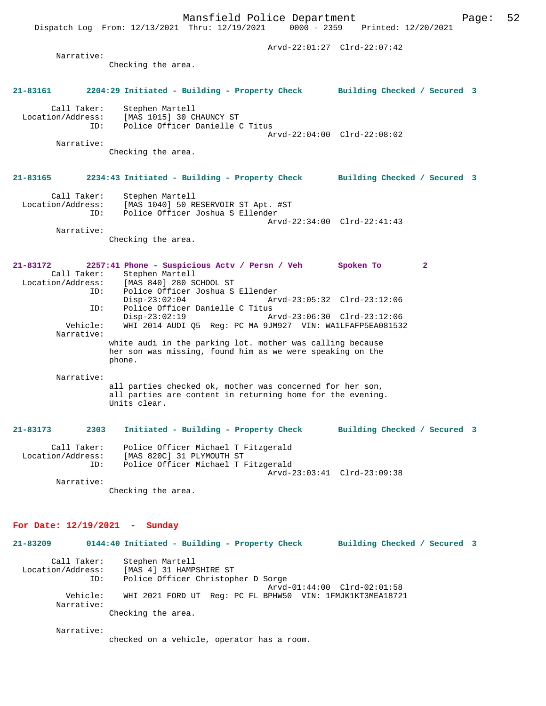Dispatch Log From: 12/13/2021 Thru: 12/19/2021

 Arvd-22:01:27 Clrd-22:07:42 Narrative: Checking the area. **21-83161 2204:29 Initiated - Building - Property Check Building Checked / Secured 3** Call Taker: Stephen Martell Location/Address: [MAS 1015] 30 CHAUNCY ST Police Officer Danielle C Titus Arvd-22:04:00 Clrd-22:08:02 Narrative: Checking the area. **21-83165 2234:43 Initiated - Building - Property Check Building Checked / Secured 3** Call Taker: Stephen Martell Location/Address: [MAS 1040] 50 RESERVOIR ST Apt. #ST ID: Police Officer Joshua S Ellender Arvd-22:34:00 Clrd-22:41:43 Narrative: Checking the area. **21-83172 2257:41 Phone - Suspicious Actv / Persn / Veh Spoken To 2**  Call Taker: Stephen Martell<br>Location/Address: [MAS 840] 280 S [MAS 840] 280 SCHOOL ST ID: Police Officer Joshua S Ellender Disp-23:02:04 Arvd-23:05:32 Clrd-23:12:06<br>TD: Police Officer Danielle C Titus Police Officer Danielle C Titus<br>Disp-23:02:19 Ar Disp-23:02:19 Arvd-23:06:30 Clrd-23:12:06<br>Vehicle: WHI 2014 AUDI 05 Reg: PC MA 9JM927 VIN: WA1LFAFP5EA081532 Vehicle: WHI 2014 AUDI Q5 Reg: PC MA 9JM927 VIN: WA1LFAFP5EA081532 Narrative: white audi in the parking lot. mother was calling because her son was missing, found him as we were speaking on the phone. Narrative: all parties checked ok, mother was concerned for her son, all parties are content in returning home for the evening. Units clear. **21-83173 2303 Initiated - Building - Property Check Building Checked / Secured 3** Call Taker: Police Officer Michael T Fitzgerald Location/Address: [MAS 820C] 31 PLYMOUTH ST ID: Police Officer Michael T Fitzgerald Arvd-23:03:41 Clrd-23:09:38 Narrative: Checking the area. **For Date: 12/19/2021 - Sunday 21-83209 0144:40 Initiated - Building - Property Check Building Checked / Secured 3** Call Taker: Stephen Martell<br>Location/Address: [MAS 4] 31 HAMP ess: [MAS 4] 31 HAMPSHIRE ST<br>ID: Police Officer Christopl Police Officer Christopher D Sorge

Arvd-01:44:00 Clrd-02:01:58<br>Vehicle: WHI 2021 FORD UT Reg: PC FL BPHW50 VIN: 1FMJK1KT3MEA1872 WHI 2021 FORD UT Reg: PC FL BPHW50 VIN: 1FMJK1KT3MEA18721

 Narrative: Checking the area.

Narrative:

checked on a vehicle, operator has a room.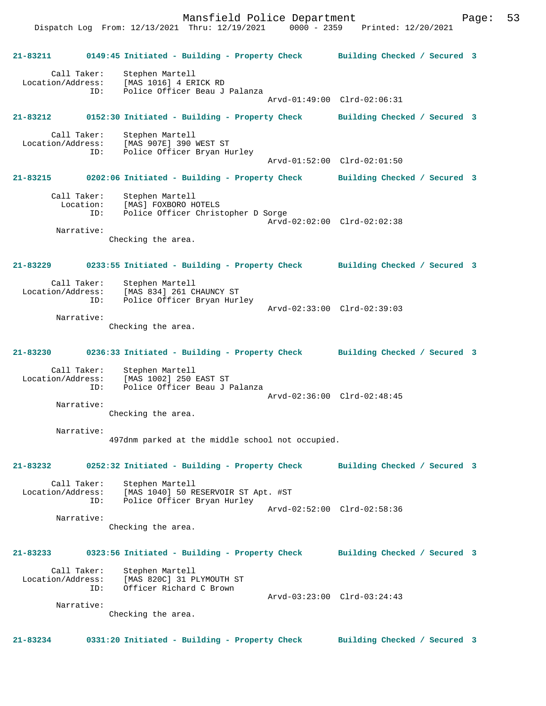Mansfield Police Department Form Page: 53

Dispatch Log From: 12/13/2021 Thru: 12/19/2021 0000 - 2359 Printed: 12/20/2021

**21-83211 0149:45 Initiated - Building - Property Check Building Checked / Secured 3** Call Taker: Stephen Martell Location/Address: [MAS 1016] 4 ERICK RD ID: Police Officer Beau J Palanza Arvd-01:49:00 Clrd-02:06:31 **21-83212 0152:30 Initiated - Building - Property Check Building Checked / Secured 3** Call Taker: Stephen Martell Location/Address: [MAS 907E] 390 WEST ST ID: Police Officer Bryan Hurley Arvd-01:52:00 Clrd-02:01:50 **21-83215 0202:06 Initiated - Building - Property Check Building Checked / Secured 3** Call Taker: Stephen Martell Location: [MAS] FOXBORO HOTELS ID: Police Officer Christopher D Sorge Arvd-02:02:00 Clrd-02:02:38 Narrative: Checking the area. **21-83229 0233:55 Initiated - Building - Property Check Building Checked / Secured 3** Call Taker: Stephen Martell<br>Location/Address: [MAS 834] 261 C [MAS 834] 261 CHAUNCY ST ID: Police Officer Bryan Hurley Arvd-02:33:00 Clrd-02:39:03 Narrative: Checking the area. **21-83230 0236:33 Initiated - Building - Property Check Building Checked / Secured 3** Call Taker: Stephen Martell Location/Address: [MAS 1002] 250 EAST ST ID: Police Officer Beau J Palanza Arvd-02:36:00 Clrd-02:48:45 Narrative: Checking the area. Narrative: 497dnm parked at the middle school not occupied. **21-83232 0252:32 Initiated - Building - Property Check Building Checked / Secured 3** Call Taker: Stephen Martell<br>Location/Address: [MAS 1040] 50 R [MAS 1040] 50 RESERVOIR ST Apt. #ST ID: Police Officer Bryan Hurley Arvd-02:52:00 Clrd-02:58:36 Narrative: Checking the area. **21-83233 0323:56 Initiated - Building - Property Check Building Checked / Secured 3** Call Taker: Stephen Martell Location/Address: [MAS 820C] 31 PLYMOUTH ST ID: Officer Richard C Brown Arvd-03:23:00 Clrd-03:24:43 Narrative: Checking the area. **21-83234 0331:20 Initiated - Building - Property Check Building Checked / Secured 3**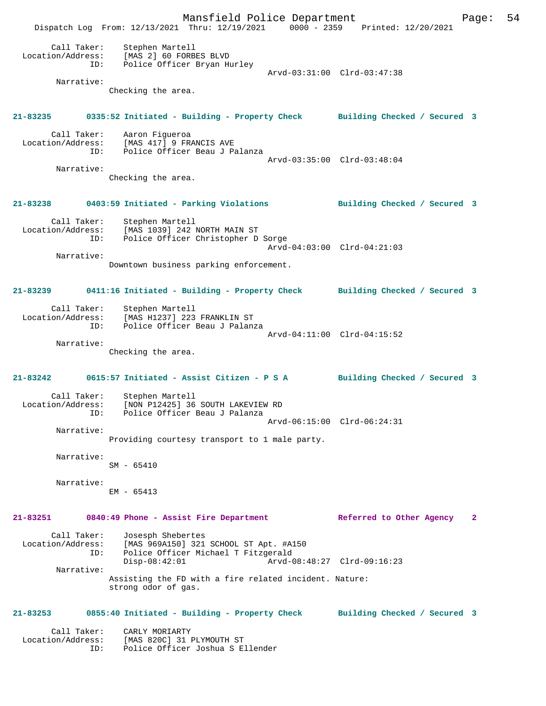Mansfield Police Department Fage: 54 Dispatch Log From: 12/13/2021 Thru: 12/19/2021 0000 - 2359 Printed: 12/20/2021 Call Taker: Stephen Martell Location/Address: [MAS 2] 60 FORBES BLVD ID: Police Officer Bryan Hurley Arvd-03:31:00 Clrd-03:47:38 Narrative: Checking the area. **21-83235 0335:52 Initiated - Building - Property Check Building Checked / Secured 3** Call Taker: Aaron Figueroa Location/Address: [MAS 417] 9 FRANCIS AVE ID: Police Officer Beau J Palanza Arvd-03:35:00 Clrd-03:48:04 Narrative: Checking the area. **21-83238 0403:59 Initiated - Parking Violations Building Checked / Secured 3** Call Taker:<br>Location/Address: Stephen Martell<br>[MAS 1039] 242 NORTH MAIN ST ID: Police Officer Christopher D Sorge Arvd-04:03:00 Clrd-04:21:03 Narrative: Downtown business parking enforcement. **21-83239 0411:16 Initiated - Building - Property Check Building Checked / Secured 3** Call Taker: Stephen Martell Location/Address: [MAS H1237] 223 FRANKLIN ST ID: Police Officer Beau J Palanza Arvd-04:11:00 Clrd-04:15:52 Narrative: Checking the area. **21-83242 0615:57 Initiated - Assist Citizen - P S A Building Checked / Secured 3** Call Taker: Stephen Martell<br>Location/Address: [NON P12425] 36 [NON P12425] 36 SOUTH LAKEVIEW RD ID: Police Officer Beau J Palanza Arvd-06:15:00 Clrd-06:24:31 Narrative: Providing courtesy transport to 1 male party. Narrative: SM - 65410 Narrative: EM - 65413 **21-83251 0840:49 Phone - Assist Fire Department Referred to Other Agency 2** Call Taker: Josesph Shebertes Location/Address: [MAS 969A150] 321 SCHOOL ST Apt. #A150 ID: Police Officer Michael T Fitzgerald Disp-08:42:01 Arvd-08:48:27 Clrd-09:16:23 Narrative: Assisting the FD with a fire related incident. Nature: strong odor of gas. **21-83253 0855:40 Initiated - Building - Property Check Building Checked / Secured 3** Call Taker: CARLY MORIARTY<br>Location/Address: [MAS 820C] 31 E [MAS 820C] 31 PLYMOUTH ST ID: Police Officer Joshua S Ellender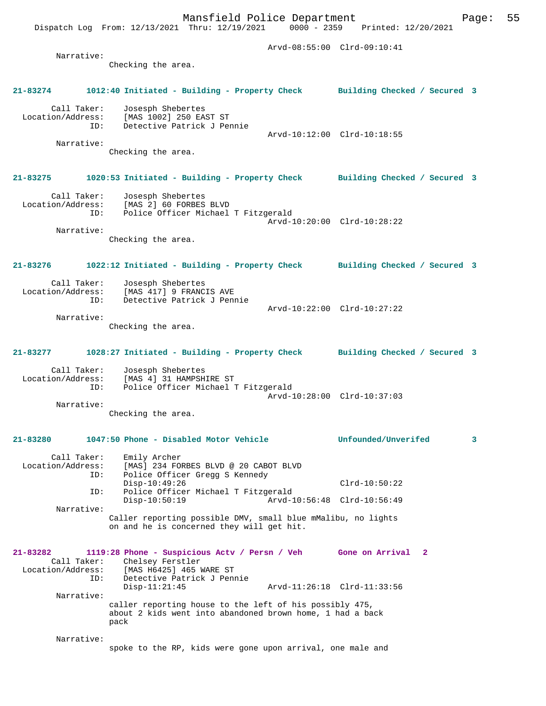Checking the area.

### **21-83274 1012:40 Initiated - Building - Property Check Building Checked / Secured 3**

 Call Taker: Josesph Shebertes Location/Address: [MAS 1002] 250 EAST ST ID: Detective Patrick J Pennie Arvd-10:12:00 Clrd-10:18:55 Narrative:

Checking the area.

## **21-83275 1020:53 Initiated - Building - Property Check Building Checked / Secured 3**

 Call Taker: Josesph Shebertes Location/Address: [MAS 2] 60 FORBES BLVD ID: Police Officer Michael T Fitzgerald Arvd-10:20:00 Clrd-10:28:22 Narrative:

Checking the area.

## **21-83276 1022:12 Initiated - Building - Property Check Building Checked / Secured 3**

Call Taker: Josesph Shebertes<br>Location/Address: [MAS 417] 9 FRANC [MAS 417] 9 FRANCIS AVE ID: Detective Patrick J Pennie Arvd-10:22:00 Clrd-10:27:22 Narrative:

Checking the area.

## **21-83277 1028:27 Initiated - Building - Property Check Building Checked / Secured 3**

 Call Taker: Josesph Shebertes Location/Address: [MAS 4] 31 HAMPSHIRE ST ID: Police Officer Michael T Fitzgerald Arvd-10:28:00 Clrd-10:37:03

Narrative:

Checking the area.

## **21-83280 1047:50 Phone - Disabled Motor Vehicle Unfounded/Unverifed 3**

Call Taker: Emily Archer<br>Location/Address: [MAS] 234 FOI Location<br>Location: [MAS] 234 FORBES BLVD @ 20 CABOT BLVD<br>TD: Police Officer Gregg S Kennedy Police Officer Gregg S Kennedy Disp-10:49:26 Clrd-10:50:22 ID: Police Officer Michael T Fitzgerald Disp-10:50:19 Arvd-10:56:48 Clrd-10:56:49 Narrative: Caller reporting possible DMV, small blue mMalibu, no lights on and he is concerned they will get hit.

### **21-83282 1119:28 Phone - Suspicious Actv / Persn / Veh Gone on Arrival 2**  Call Taker: Chelsey Ferstler<br>Location/Address: [MAS H6425] 465 1 ess: [MAS H6425] 465 WARE ST<br>ID: Detective Patrick J Pen Detective Patrick J Pennie<br>Disp-11:21:45 Arvd-11:26:18 Clrd-11:33:56 Narrative: caller reporting house to the left of his possibly 475, about 2 kids went into abandoned brown home, 1 had a back pack

#### Narrative: spoke to the RP, kids were gone upon arrival, one male and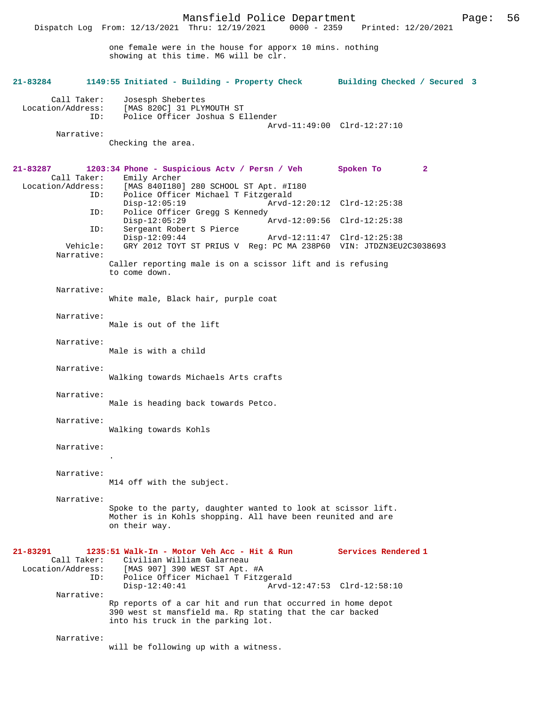Dispatch Log From: 12/13/2021 Thru: 12/19/2021 0000 - 2359 Printed: 12/20/2021

one female were in the house for apporx 10 mins. nothing showing at this time. M6 will be clr.

| 21-83284                                            | 1149:55 Initiated - Building - Property Check Building Checked / Secured 3                                                                                           |                                                    |
|-----------------------------------------------------|----------------------------------------------------------------------------------------------------------------------------------------------------------------------|----------------------------------------------------|
| Call Taker:<br>Location/Address:<br>ID:             | Josesph Shebertes<br>[MAS 820C] 31 PLYMOUTH ST<br>Police Officer Joshua S Ellender                                                                                   | Arvd-11:49:00 Clrd-12:27:10                        |
| Narrative:                                          | Checking the area.                                                                                                                                                   |                                                    |
| 21-83287<br>Call Taker:<br>Location/Address:        | 1203:34 Phone - Suspicious Actv / Persn / Veh<br>Emily Archer<br>[MAS 840I180] 280 SCHOOL ST Apt. #I180                                                              | Spoken To<br>$\mathbf{2}$                          |
| ID:                                                 | Police Officer Michael T Fitzgerald<br>$Disp-12:05:19$                                                                                                               | Arvd-12:20:12 Clrd-12:25:38                        |
| ID:<br>ID:                                          | Police Officer Gregg S Kennedy<br>$Disp-12:05:29$<br>Sergeant Robert S Pierce                                                                                        | Arvd-12:09:56 Clrd-12:25:38                        |
| Vehicle:<br>Narrative:                              | $Disp-12:09:44$<br>GRY 2012 TOYT ST PRIUS V Req: PC MA 238P60 VIN: JTDZN3EU2C3038693                                                                                 | Arvd-12:11:47 Clrd-12:25:38                        |
|                                                     | Caller reporting male is on a scissor lift and is refusing<br>to come down.                                                                                          |                                                    |
| Narrative:                                          | White male, Black hair, purple coat                                                                                                                                  |                                                    |
| Narrative:                                          | Male is out of the lift                                                                                                                                              |                                                    |
| Narrative:                                          | Male is with a child                                                                                                                                                 |                                                    |
| Narrative:                                          | Walking towards Michaels Arts crafts                                                                                                                                 |                                                    |
| Narrative:                                          | Male is heading back towards Petco.                                                                                                                                  |                                                    |
| Narrative:                                          | Walking towards Kohls                                                                                                                                                |                                                    |
| Narrative:                                          |                                                                                                                                                                      |                                                    |
| Narrative:                                          | M14 off with the subject.                                                                                                                                            |                                                    |
| Narrative:                                          | Spoke to the party, daughter wanted to look at scissor lift.<br>Mother is in Kohls shopping. All have been reunited and are<br>on their way.                         |                                                    |
| 21-83291<br>Call Taker:<br>Location/Address:<br>ID: | 1235:51 Walk-In - Motor Veh Acc - Hit & Run<br>Civilian William Galarneau<br>[MAS 907] 390 WEST ST Apt. #A<br>Police Officer Michael T Fitzgerald<br>$Disp-12:40:41$ | Services Rendered 1<br>Arvd-12:47:53 Clrd-12:58:10 |
| Narrative:                                          | Rp reports of a car hit and run that occurred in home depot<br>390 west st mansfield ma. Rp stating that the car backed<br>into his truck in the parking lot.        |                                                    |
| Narrative:                                          | will be following up with a witness.                                                                                                                                 |                                                    |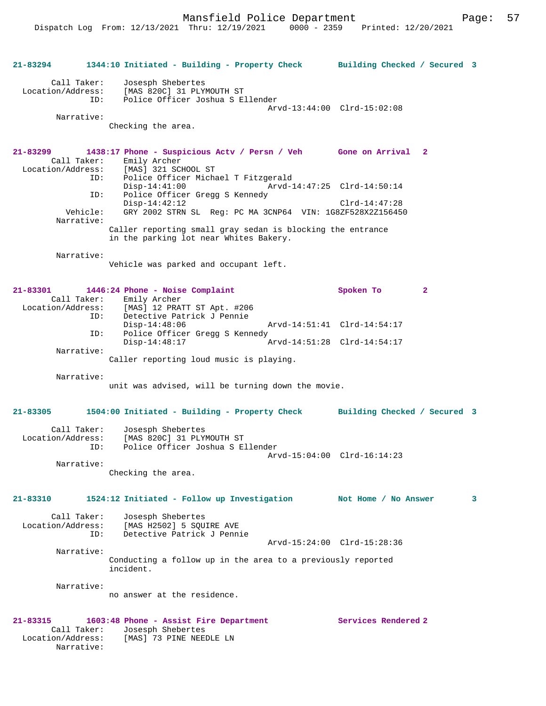Mansfield Police Department Fage: 57

| 21-83294                                                   | 1344:10 Initiated - Building - Property Check Building Checked / Secured 3                                                                 |                             |
|------------------------------------------------------------|--------------------------------------------------------------------------------------------------------------------------------------------|-----------------------------|
| Call Taker:<br>Location/Address:<br>ID:                    | Josesph Shebertes<br>[MAS 820C] 31 PLYMOUTH ST<br>Police Officer Joshua S Ellender                                                         | Arvd-13:44:00 Clrd-15:02:08 |
| Narrative:                                                 | Checking the area.                                                                                                                         |                             |
| 21-83299<br>Call Taker:                                    | 1438:17 Phone - Suspicious Actv / Persn / Veh Gone on Arrival 2<br>Emily Archer<br>Location/Address: [MAS] 321 SCHOOL ST                   |                             |
| ID:                                                        | Police Officer Michael T Fitzgerald<br>ID:<br>$Disp-14:41:00$<br>Police Officer Gregg S Kennedy                                            | Arvd-14:47:25 Clrd-14:50:14 |
| Vehicle:<br>Narrative:                                     | $Disp-14:42:12$<br>GRY 2002 STRN SL Reg: PC MA 3CNP64 VIN: 1G8ZF528X2Z156450                                                               | $Clrd-14:47:28$             |
|                                                            | Caller reporting small gray sedan is blocking the entrance<br>in the parking lot near Whites Bakery.                                       |                             |
| Narrative:                                                 |                                                                                                                                            |                             |
|                                                            | Vehicle was parked and occupant left.                                                                                                      |                             |
| 21-83301<br>ID:                                            | 1446:24 Phone - Noise Complaint<br>Call Taker: Emily Archer<br>Location/Address: [MAS] 12 PRATT ST Apt. #206<br>Detective Patrick J Pennie | Spoken To<br>$\mathbf{2}$   |
| ID:                                                        | $Disp-14:48:06$<br>Police Officer Gregg S Kennedy                                                                                          | Arvd-14:51:41 Clrd-14:54:17 |
| Narrative:                                                 | $Disp-14:48:17$                                                                                                                            | Arvd-14:51:28 Clrd-14:54:17 |
|                                                            | Caller reporting loud music is playing.                                                                                                    |                             |
| Narrative:                                                 | unit was advised, will be turning down the movie.                                                                                          |                             |
| 21-83305                                                   | 1504:00 Initiated - Building - Property Check Building Checked / Secured 3                                                                 |                             |
| Call Taker:<br>Location/Address:<br>ID:                    | Josesph Shebertes<br>[MAS 820C] 31 PLYMOUTH ST<br>Police Officer Joshua S Ellender                                                         | Arvd-15:04:00 Clrd-16:14:23 |
| Narrative:                                                 | Checking the area.                                                                                                                         |                             |
| 21-83310                                                   | 1524:12 Initiated - Follow up Investigation Mot Home / No Answer                                                                           | 3                           |
| Call Taker:<br>Location/Address:<br>ID:                    | Josesph Shebertes<br>[MAS H2502] 5 SOUIRE AVE<br>Detective Patrick J Pennie                                                                |                             |
| Narrative:                                                 |                                                                                                                                            | Arvd-15:24:00 Clrd-15:28:36 |
|                                                            | Conducting a follow up in the area to a previously reported<br>incident.                                                                   |                             |
| Narrative:                                                 | no answer at the residence.                                                                                                                |                             |
| 21-83315<br>Call Taker:<br>Location/Address:<br>Narrative: | 1603:48 Phone - Assist Fire Department<br>Josesph Shebertes<br>[MAS] 73 PINE NEEDLE LN                                                     | Services Rendered 2         |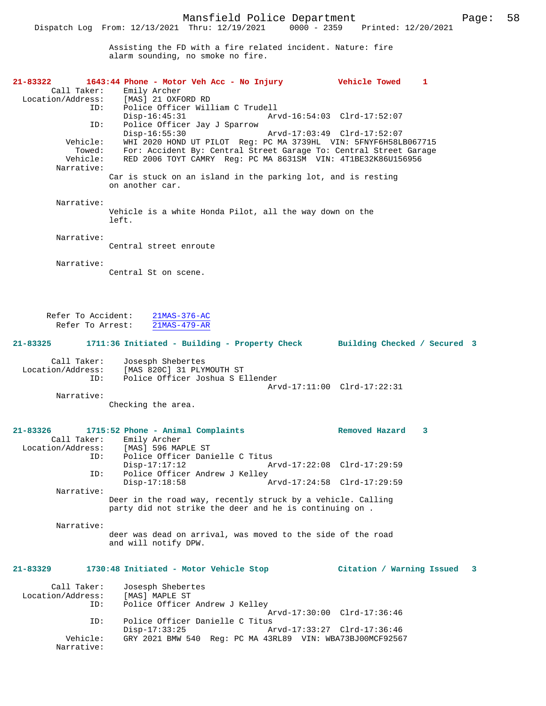Assisting the FD with a fire related incident. Nature: fire alarm sounding, no smoke no fire.

| 21-83322<br>Call Taker:                      | 1643:44 Phone - Motor Veh Acc - No Injury<br>Emily Archer<br>Location/Address: [MAS] 21 OXFORD RD                                                                                                                                                      | <b>Vehicle Towed</b>                                       | 1                       |
|----------------------------------------------|--------------------------------------------------------------------------------------------------------------------------------------------------------------------------------------------------------------------------------------------------------|------------------------------------------------------------|-------------------------|
| ID:<br>ID:                                   | Police Officer William C Trudell<br>$Disp-16:45:31$<br>Police Officer Jay J Sparrow                                                                                                                                                                    | Arvd-16:54:03 Clrd-17:52:07                                |                         |
| Vehicle:<br>Towed:<br>Vehicle:<br>Narrative: | $Disp-16:55:30$<br>Arvd-17:03:49 Clrd-17:52:07<br>WHI 2020 HOND UT PILOT Reg: PC MA 3739HL VIN: 5FNYF6H58LB067715<br>For: Accident By: Central Street Garage To: Central Street Garage<br>RED 2006 TOYT CAMRY Reg: PC MA 8631SM VIN: 4T1BE32K86U156956 |                                                            |                         |
|                                              | Car is stuck on an island in the parking lot, and is resting<br>on another car.                                                                                                                                                                        |                                                            |                         |
| Narrative:                                   | Vehicle is a white Honda Pilot, all the way down on the<br>left.                                                                                                                                                                                       |                                                            |                         |
| Narrative:                                   | Central street enroute                                                                                                                                                                                                                                 |                                                            |                         |
| Narrative:                                   | Central St on scene.                                                                                                                                                                                                                                   |                                                            |                         |
| Refer To Accident:<br>Refer To Arrest:       | $21MAS-376-AC$<br>$21MAS-479-AR$                                                                                                                                                                                                                       |                                                            |                         |
| 21-83325                                     | 1711:36 Initiated - Building - Property Check Building Checked / Secured 3                                                                                                                                                                             |                                                            |                         |
| Call Taker:<br>Location/Address:<br>ID:      | Josesph Shebertes<br>[MAS 820C] 31 PLYMOUTH ST<br>Police Office: -<br>Police Officer Joshua S Ellender                                                                                                                                                 |                                                            |                         |
| Narrative:                                   | Checking the area.                                                                                                                                                                                                                                     | Arvd-17:11:00 Clrd-17:22:31                                |                         |
| 21-83326<br>ID:                              | 1715:52 Phone - Animal Complaints<br>Call Taker: Emily Archer<br>Location/Address: [MAS] 596 MAPLE ST<br>Police Officer Danielle C Titus                                                                                                               | Removed Hazard                                             | 3                       |
| ID:                                          | $Disp-17:17:12$<br>Police Officer Andrew J Kelley<br>$Disp-17:18:58$                                                                                                                                                                                   | Arvd-17:22:08 Clrd-17:29:59<br>Arvd-17:24:58 Clrd-17:29:59 |                         |
| Narrative:                                   | Deer in the road way, recently struck by a vehicle. Calling<br>party did not strike the deer and he is continuing on.                                                                                                                                  |                                                            |                         |
| Narrative:                                   | deer was dead on arrival, was moved to the side of the road<br>and will notify DPW.                                                                                                                                                                    |                                                            |                         |
| 21-83329                                     | 1730:48 Initiated - Motor Vehicle Stop                                                                                                                                                                                                                 | Citation / Warning Issued                                  | $\overline{\mathbf{3}}$ |
| Call Taker:<br>Location/Address:<br>ID:      | Josesph Shebertes<br>[MAS] MAPLE ST<br>Police Officer Andrew J Kelley                                                                                                                                                                                  | Arvd-17:30:00 Clrd-17:36:46                                |                         |
| ID:                                          | Police Officer Danielle C Titus<br>$Disp-17:33:25$                                                                                                                                                                                                     | Arvd-17:33:27 Clrd-17:36:46                                |                         |
| Vehicle:<br>Narrative:                       | GRY 2021 BMW 540 Reg: PC MA 43RL89 VIN: WBA73BJ00MCF92567                                                                                                                                                                                              |                                                            |                         |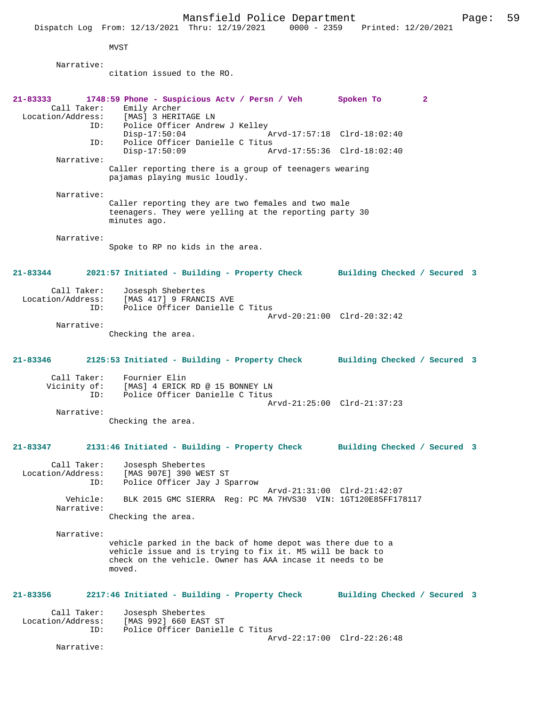Mansfield Police Department Page: 59 Dispatch Log From: 12/13/2021 Thru: 12/19/2021 0000 - 2359 Printed: 12/20/2021 MVST Narrative: citation issued to the RO. **21-83333 1748:59 Phone - Suspicious Actv / Persn / Veh Spoken To 2**  Call Taker: Emily Archer<br>Location/Address: [MAS] 3 HERI ess: [MAS] 3 HERITAGE LN<br>ID: Police Officer Andre Police Officer Andrew J Kelley<br>Disp-17:50:04 Disp-17:50:04 Arvd-17:57:18 Clrd-18:02:40<br>ID: Police Officer Danielle C Titus Police Officer Danielle C Titus<br>Disp-17:50:09 Ar Disp-17:50:09 Arvd-17:55:36 Clrd-18:02:40 Narrative: Caller reporting there is a group of teenagers wearing pajamas playing music loudly. Narrative: Caller reporting they are two females and two male teenagers. They were yelling at the reporting party 30 minutes ago. Narrative: Spoke to RP no kids in the area. **21-83344 2021:57 Initiated - Building - Property Check Building Checked / Secured 3** Call Taker: Josesph Shebertes Location/Address: [MAS 417] 9 FRANCIS AVE ID: Police Officer Danielle C Titus Arvd-20:21:00 Clrd-20:32:42 Narrative: Checking the area. **21-83346 2125:53 Initiated - Building - Property Check Building Checked / Secured 3** Call Taker: Fournier Elin<br>Vicinity of: [MAS] 4 ERICK of: [MAS] 4 ERICK RD @ 15 BONNEY LN<br>ID: Police Officer Danielle C Titus Police Officer Danielle C Titus Arvd-21:25:00 Clrd-21:37:23 Narrative: Checking the area. **21-83347 2131:46 Initiated - Building - Property Check Building Checked / Secured 3** Call Taker: Josesph Shebertes Location/Address: [MAS 907E] 390 WEST ST ID: Police Officer Jay J Sparrow Arvd-21:31:00 Clrd-21:42:07<br>Vehicle: BLK 2015 GMC SIERRA Reg: PC MA 7HVS30 VIN: 1GT120E85FF178 BLK 2015 GMC SIERRA Reg: PC MA 7HVS30 VIN: 1GT120E85FF178117 Narrative: Checking the area. Narrative: vehicle parked in the back of home depot was there due to a vehicle issue and is trying to fix it. M5 will be back to check on the vehicle. Owner has AAA incase it needs to be moved. **21-83356 2217:46 Initiated - Building - Property Check Building Checked / Secured 3** Call Taker: Josesph Shebertes<br>Location/Address: [MAS 992] 660 EAS ess: [MAS 992] 660 EAST ST<br>ID: Police Officer Daniel Police Officer Danielle C Titus Arvd-22:17:00 Clrd-22:26:48 Narrative: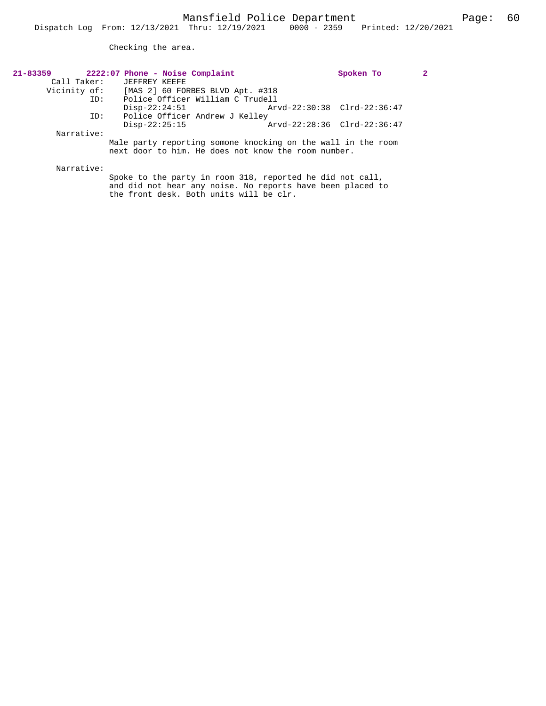Checking the area.

| 21-83359    | 2222:07 Phone - Noise Complaint                              |                             | Spoken To |  |
|-------------|--------------------------------------------------------------|-----------------------------|-----------|--|
| Call Taker: | JEFFREY KEEFE                                                |                             |           |  |
|             | Vicinity of: [MAS 2] 60 FORBES BLVD Apt. #318                |                             |           |  |
| ID:         | Police Officer William C Trudell                             |                             |           |  |
|             | $Disp-22:24:51$                                              | Arvd-22:30:38 Clrd-22:36:47 |           |  |
| ID:         | Police Officer Andrew J Kelley                               |                             |           |  |
|             | $Disp-22:25:15$                                              | Arvd-22:28:36 Clrd-22:36:47 |           |  |
| Narrative:  |                                                              |                             |           |  |
|             | Male party reporting somone knocking on the wall in the room |                             |           |  |
|             | next door to him. He does not know the room number.          |                             |           |  |
|             |                                                              |                             |           |  |
| Narrative:  |                                                              |                             |           |  |

Spoke to the party in room 318, reported he did not call, and did not hear any noise. No reports have been placed to the front desk. Both units will be clr.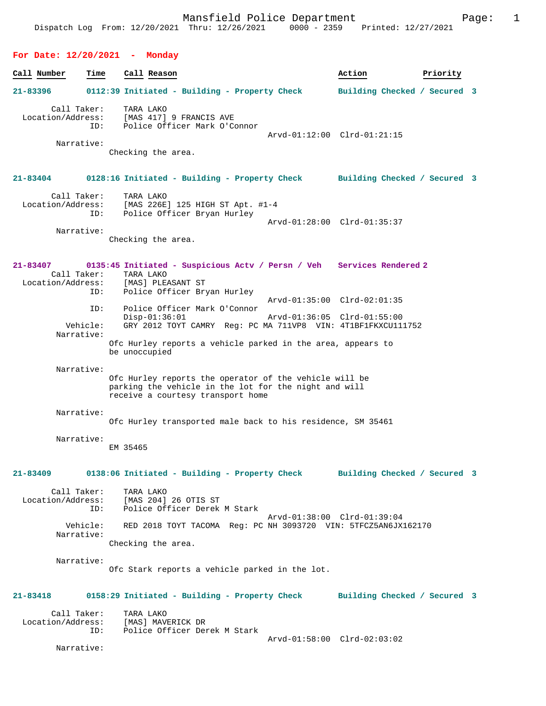**For Date: 12/20/2021 - Monday Call Number Time Call Reason Action Priority 21-83396 0112:39 Initiated - Building - Property Check Building Checked / Secured 3** Call Taker: TARA LAKO Location/Address: [MAS 417] 9 FRANCIS AVE ID: Police Officer Mark O'Connor Arvd-01:12:00 Clrd-01:21:15 Narrative: Checking the area. **21-83404 0128:16 Initiated - Building - Property Check Building Checked / Secured 3** Call Taker: TARA LAKO Location/Address: [MAS 226E] 125 HIGH ST Apt. #1-4 ID: Police Officer Bryan Hurley Arvd-01:28:00 Clrd-01:35:37 Narrative: Checking the area. **21-83407 0135:45 Initiated - Suspicious Actv / Persn / Veh Services Rendered 2**  Call Taker: TARA LAKO<br>ion/Address: [MAS] PLEASANT ST Location/Address:<br>ID: Police Officer Bryan Hurley Arvd-01:35:00 Clrd-02:01:35 ID: Police Officer Mark O'Connor Disp-01:36:01 Arvd-01:36:05 Clrd-01:55:00<br>Vehicle: GRY 2012 TOYT CAMRY Reg: PC MA 711VP8 VIN: 4T1BF1FKXCU111 GRY 2012 TOYT CAMRY Reg: PC MA 711VP8 VIN: 4T1BF1FKXCU111752 Narrative: Ofc Hurley reports a vehicle parked in the area, appears to be unoccupied Narrative: Ofc Hurley reports the operator of the vehicle will be parking the vehicle in the lot for the night and will receive a courtesy transport home Narrative: Ofc Hurley transported male back to his residence, SM 35461 Narrative: EM 35465 **21-83409 0138:06 Initiated - Building - Property Check Building Checked / Secured 3** Call Taker: TARA LAKO Location/Address: [MAS 204] 26 OTIS ST Police Officer Derek M Stark Arvd-01:38:00 Clrd-01:39:04<br>Vebicle: RED 2018 TOYT TACOMA Reg: PC NH 3093720 VIN: 5TECZ5AN6JX RED 2018 TOYT TACOMA Reg: PC NH 3093720 VIN: 5TFCZ5AN6JX162170 Narrative: Checking the area. Narrative: Ofc Stark reports a vehicle parked in the lot. **21-83418 0158:29 Initiated - Building - Property Check Building Checked / Secured 3** Call Taker: TARA LAKO<br>Location/Address: [MAS] MAV ess: [MAS] MAVERICK DR<br>ID: Police Officer Dem Police Officer Derek M Stark Arvd-01:58:00 Clrd-02:03:02

Narrative: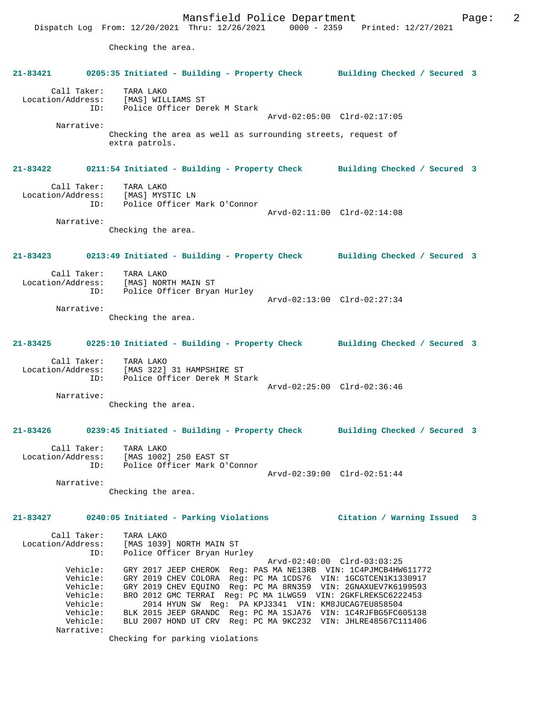Checking the area.

|                                                                                                | 21-83421 0205:35 Initiated - Building - Property Check Building Checked / Secured 3                                                                                                                                                                                                                                                                                                                                                                                                          |                             |  |
|------------------------------------------------------------------------------------------------|----------------------------------------------------------------------------------------------------------------------------------------------------------------------------------------------------------------------------------------------------------------------------------------------------------------------------------------------------------------------------------------------------------------------------------------------------------------------------------------------|-----------------------------|--|
|                                                                                                | Call Taker: TARA LAKO<br>Location/Address: [MAS] WILLIAMS ST<br>ID: Police Officer Derek M Stark                                                                                                                                                                                                                                                                                                                                                                                             | Arvd-02:05:00 Clrd-02:17:05 |  |
| Narrative:                                                                                     | Checking the area as well as surrounding streets, request of<br>extra patrols.                                                                                                                                                                                                                                                                                                                                                                                                               |                             |  |
|                                                                                                | 21-83422 0211:54 Initiated - Building - Property Check Building Checked / Secured 3                                                                                                                                                                                                                                                                                                                                                                                                          |                             |  |
| Narrative:                                                                                     | Call Taker: TARA LAKO<br>Location/Address: [MAS] MYSTIC LN<br>ID: Police Officer Mark O'Connor                                                                                                                                                                                                                                                                                                                                                                                               | Arvd-02:11:00 Clrd-02:14:08 |  |
|                                                                                                | Checking the area.                                                                                                                                                                                                                                                                                                                                                                                                                                                                           |                             |  |
|                                                                                                | 21-83423 0213:49 Initiated - Building - Property Check Building Checked / Secured 3                                                                                                                                                                                                                                                                                                                                                                                                          |                             |  |
|                                                                                                | Call Taker: TARA LAKO<br>Location/Address: [MAS] NORTH MAIN ST<br>ID: Police Officer Bryan Hurley<br>Arvd-02:13:00 Clrd-02:27:34                                                                                                                                                                                                                                                                                                                                                             |                             |  |
| Narrative:                                                                                     | Checking the area.                                                                                                                                                                                                                                                                                                                                                                                                                                                                           |                             |  |
|                                                                                                | 21-83425 0225:10 Initiated - Building - Property Check Building Checked / Secured 3                                                                                                                                                                                                                                                                                                                                                                                                          |                             |  |
|                                                                                                | Call Taker: TARA LAKO<br>Location/Address: [MAS 322] 31 HAMPSHIRE ST<br>ID: Police Officer Derek M Stark                                                                                                                                                                                                                                                                                                                                                                                     | Arvd-02:25:00 Clrd-02:36:46 |  |
| Narrative:                                                                                     | Checking the area.                                                                                                                                                                                                                                                                                                                                                                                                                                                                           |                             |  |
|                                                                                                | 21-83426 0239:45 Initiated - Building - Property Check Building Checked / Secured 3                                                                                                                                                                                                                                                                                                                                                                                                          |                             |  |
| ID:                                                                                            | Call Taker: TARA LAKO<br>Location/Address: [MAS 1002] 250 EAST ST<br>Police Officer Mark O'Connor                                                                                                                                                                                                                                                                                                                                                                                            |                             |  |
| Narrative:                                                                                     | Checking the area.                                                                                                                                                                                                                                                                                                                                                                                                                                                                           | Arvd-02:39:00 Clrd-02:51:44 |  |
| $21 - 83427$                                                                                   | 0240:05 Initiated - Parking Violations                                                                                                                                                                                                                                                                                                                                                                                                                                                       | Citation / Warning Issued 3 |  |
| Call Taker:<br>Location/Address:<br>ID:                                                        | TARA LAKO<br>[MAS 1039] NORTH MAIN ST<br>Police Officer Bryan Hurley                                                                                                                                                                                                                                                                                                                                                                                                                         | Arvd-02:40:00 Clrd-03:03:25 |  |
| Vehicle:<br>Vehicle:<br>Vehicle:<br>Vehicle:<br>Vehicle:<br>Vehicle:<br>Vehicle:<br>Narrative: | GRY 2017 JEEP CHEROK Req: PAS MA NE13RB VIN: 1C4PJMCB4HW611772<br>GRY 2019 CHEV COLORA Reg: PC MA 1CDS76 VIN: 1GCGTCEN1K1330917<br>GRY 2019 CHEV EQUINO Req: PC MA 8RN359 VIN: 2GNAXUEV7K6199593<br>BRO 2012 GMC TERRAI Req: PC MA 1LWG59 VIN: 2GKFLREK5C6222453<br>2014 HYUN SW Req: PA KPJ3341 VIN: KM8JUCAG7EU858504<br>BLK 2015 JEEP GRANDC Req: PC MA 1SJA76 VIN: 1C4RJFBG5FC605138<br>BLU 2007 HOND UT CRV Reg: PC MA 9KC232 VIN: JHLRE48567C111406<br>Checking for parking violations |                             |  |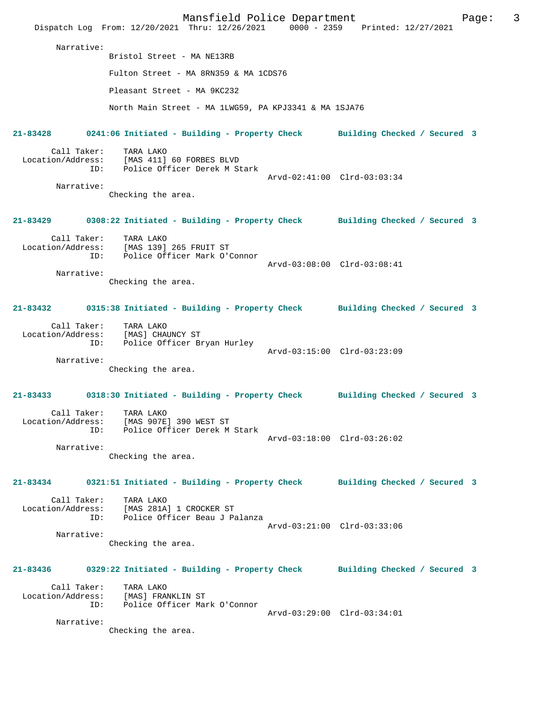|                                         |                                                                                     | Mansfield Police Department                           | Dispatch Log From: 12/20/2021 Thru: 12/26/2021 0000 - 2359 Printed: 12/27/2021      | 3<br>Page: |
|-----------------------------------------|-------------------------------------------------------------------------------------|-------------------------------------------------------|-------------------------------------------------------------------------------------|------------|
| Narrative:                              | Bristol Street - MA NE13RB                                                          |                                                       |                                                                                     |            |
|                                         |                                                                                     | Fulton Street - MA 8RN359 & MA 1CDS76                 |                                                                                     |            |
|                                         | Pleasant Street - MA 9KC232                                                         |                                                       |                                                                                     |            |
|                                         |                                                                                     | North Main Street - MA 1LWG59, PA KPJ3341 & MA 1SJA76 |                                                                                     |            |
|                                         |                                                                                     |                                                       |                                                                                     |            |
| $21 - 83428$                            |                                                                                     |                                                       | 0241:06 Initiated - Building - Property Check Building Checked / Secured 3          |            |
| Call Taker:<br>Location/Address:<br>ID: | TARA LAKO<br>[MAS 411] 60 FORBES BLVD<br>Police Officer Derek M Stark               |                                                       |                                                                                     |            |
| Narrative:                              |                                                                                     |                                                       | Arvd-02:41:00 Clrd-03:03:34                                                         |            |
|                                         | Checking the area.                                                                  |                                                       |                                                                                     |            |
|                                         |                                                                                     |                                                       | 21-83429 0308:22 Initiated - Building - Property Check Building Checked / Secured 3 |            |
| Call Taker:                             | TARA LAKO<br>Location/Address: [MAS 139] 265 FRUIT ST                               |                                                       |                                                                                     |            |
| ID:                                     | Police Officer Mark O'Connor                                                        |                                                       | Arvd-03:08:00 Clrd-03:08:41                                                         |            |
| Narrative:                              |                                                                                     |                                                       |                                                                                     |            |
|                                         | Checking the area.                                                                  |                                                       |                                                                                     |            |
|                                         |                                                                                     |                                                       | 21-83432 0315:38 Initiated - Building - Property Check Building Checked / Secured 3 |            |
| Call Taker:<br>Location/Address:<br>ID: | TARA LAKO<br>[MAS] CHAUNCY ST<br>Police Officer Bryan Hurley                        |                                                       |                                                                                     |            |
| Narrative:                              |                                                                                     |                                                       | Arvd-03:15:00 Clrd-03:23:09                                                         |            |
|                                         | Checking the area.                                                                  |                                                       |                                                                                     |            |
|                                         |                                                                                     |                                                       | 21-83433 0318:30 Initiated - Building - Property Check Building Checked / Secured 3 |            |
| Location/Address:<br>ID:                | Call Taker:     TARA LAKO<br>[MAS 907E] 390 WEST ST<br>Police Officer Derek M Stark |                                                       |                                                                                     |            |
| Narrative:                              |                                                                                     |                                                       | Arvd-03:18:00 Clrd-03:26:02                                                         |            |
|                                         | Checking the area.                                                                  |                                                       |                                                                                     |            |
| 21-83434                                |                                                                                     |                                                       | 0321:51 Initiated - Building - Property Check Building Checked / Secured 3          |            |
| Call Taker:<br>Location/Address:        | TARA LAKO<br>[MAS 281A] 1 CROCKER ST                                                |                                                       |                                                                                     |            |
| ID:                                     |                                                                                     | Police Officer Beau J Palanza                         | Arvd-03:21:00 Clrd-03:33:06                                                         |            |
| Narrative:                              |                                                                                     |                                                       |                                                                                     |            |
|                                         | Checking the area.                                                                  |                                                       |                                                                                     |            |
|                                         | 21-83436   0329:22 Initiated - Building - Property Check                            |                                                       | Building Checked / Secured 3                                                        |            |
| Call Taker:<br>Location/Address:<br>ID: | TARA LAKO<br>[MAS] FRANKLIN ST                                                      | Police Officer Mark O'Connor                          |                                                                                     |            |
| Narrative:                              | Checking the area.                                                                  |                                                       | Arvd-03:29:00 Clrd-03:34:01                                                         |            |
|                                         |                                                                                     |                                                       |                                                                                     |            |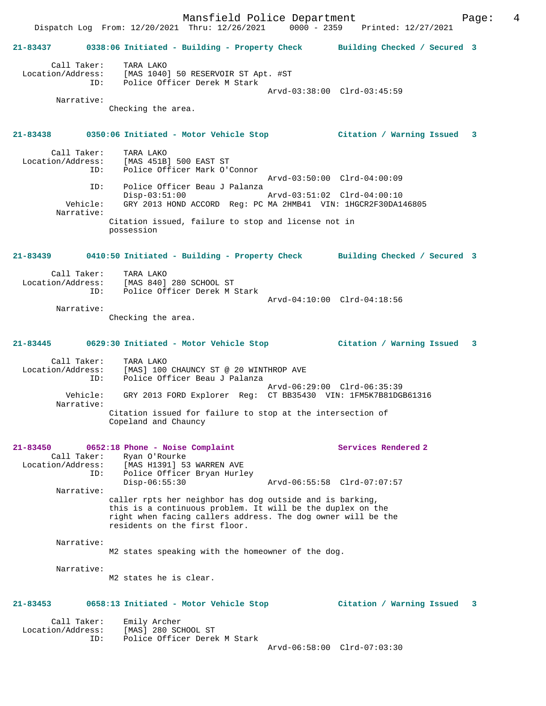Mansfield Police Department Fage: 4 Dispatch Log From: 12/20/2021 Thru: 12/26/2021 0000 - 2359 Printed: 12/27/2021 **21-83437 0338:06 Initiated - Building - Property Check Building Checked / Secured 3** Call Taker: TARA LAKO Location/Address: [MAS 1040] 50 RESERVOIR ST Apt. #ST ID: Police Officer Derek M Stark Arvd-03:38:00 Clrd-03:45:59 Narrative: Checking the area. **21-83438 0350:06 Initiated - Motor Vehicle Stop Citation / Warning Issued 3** Call Taker: TARA LAKO Location/Address: [MAS 451B] 500 EAST ST Police Officer Mark O'Connor Arvd-03:50:00 Clrd-04:00:09 ID: Police Officer Beau J Palanza Disp-03:51:00 Arvd-03:51:02 Clrd-04:00:10 Vehicle: GRY 2013 HOND ACCORD Reg: PC MA 2HMB41 VIN: 1HGCR2F30DA146805 Narrative: Citation issued, failure to stop and license not in possession **21-83439 0410:50 Initiated - Building - Property Check Building Checked / Secured 3** Call Taker: TARA LAKO Location/Address: [MAS 840] 280 SCHOOL ST ID: Police Officer Derek M Stark Arvd-04:10:00 Clrd-04:18:56 Narrative: Checking the area. **21-83445 0629:30 Initiated - Motor Vehicle Stop Citation / Warning Issued 3** Call Taker: TARA LAKO Location/Address: [MAS] 100 CHAUNCY ST @ 20 WINTHROP AVE ID: Police Officer Beau J Palanza Arvd-06:29:00 Clrd-06:35:39 Vehicle: GRY 2013 FORD Explorer Reg: CT BB35430 VIN: 1FM5K7B81DGB61316 Narrative: Citation issued for failure to stop at the intersection of Copeland and Chauncy **21-83450 0652:18 Phone - Noise Complaint Services Rendered 2**  Call Taker: Ryan O'Rourke Location/Address: [MAS H1391] 53 WARREN AVE ID: Police Officer Bryan Hurley<br>Disp-06:55:30 Disp-06:55:30 Arvd-06:55:58 Clrd-07:07:57 Narrative: caller rpts her neighbor has dog outside and is barking, this is a continuous problem. It will be the duplex on the right when facing callers address. The dog owner will be the residents on the first floor. Narrative: M2 states speaking with the homeowner of the dog. Narrative: M2 states he is clear. **21-83453 0658:13 Initiated - Motor Vehicle Stop Citation / Warning Issued 3** Call Taker: Emily Archer Location/Address: [MAS] 280 SCHOOL ST ID: Police Officer Derek M Stark Arvd-06:58:00 Clrd-07:03:30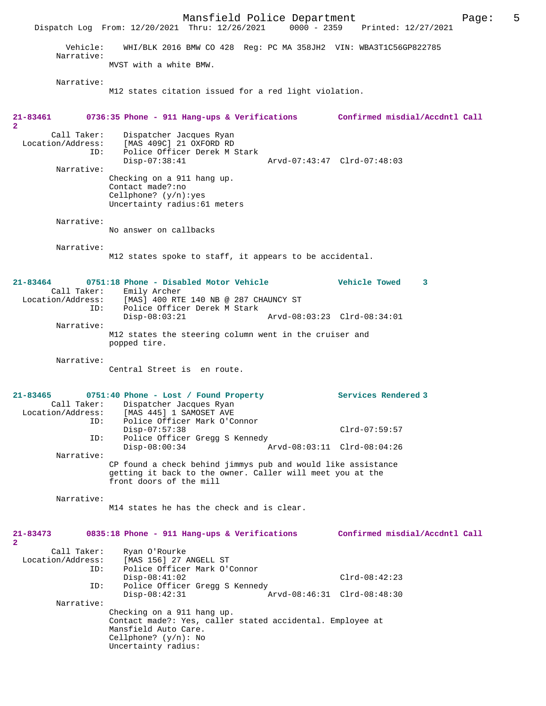Mansfield Police Department<br>Thru:  $12/26/2021$  0000 - 2359 Printed:  $12/27/2021$ Dispatch Log From: 12/20/2021 Thru: 12/26/2021 Vehicle: WHI/BLK 2016 BMW CO 428 Reg: PC MA 358JH2 VIN: WBA3T1C56GP822785 Narrative: MVST with a white BMW. Narrative: M12 states citation issued for a red light violation. **21-83461 0736:35 Phone - 911 Hang-ups & Verifications Confirmed misdial/Accdntl Call 2**  Call Taker: Dispatcher Jacques Ryan<br>Location/Address: [MAS 409C] 21 OXFORD RD [MAS 409C] 21 OXFORD RD ID: Police Officer Derek M Stark Disp-07:38:41 Arvd-07:43:47 Clrd-07:48:03 Narrative: Checking on a 911 hang up. Contact made?:no Cellphone? (y/n):yes Uncertainty radius:61 meters Narrative: No answer on callbacks Narrative: M12 states spoke to staff, it appears to be accidental. **21-83464 0751:18 Phone - Disabled Motor Vehicle Vehicle Towed 3**  Call Taker: Emily Archer<br>Location/Address: [MAS] 400 RTI ess: [MAS] 400 RTE 140 NB @ 287 CHAUNCY ST<br>TD: Police Officer Derek M Stark Police Officer Derek M Stark<br>Disp-08:03:21 Disp-08:03:21 Arvd-08:03:23 Clrd-08:34:01 Narrative: M12 states the steering column went in the cruiser and popped tire. Narrative: Central Street is en route. **21-83465 0751:40 Phone - Lost / Found Property Services Rendered 3**  Call Taker: Dispatcher Jacques Ryan<br>Location/Address: [MAS 445] 1 SAMOSET AVE ess: [MAS 445] 1 SAMOSET AVE<br>TD: Police Officer Mark O'C Police Officer Mark O'Connor Disp-07:57:38 Clrd-07:59:57 ID: Police Officer Gregg S Kennedy Disp-08:00:34 Arvd-08:03:11 Clrd-08:04:26 Narrative: CP found a check behind jimmys pub and would like assistance getting it back to the owner. Caller will meet you at the front doors of the mill Narrative: M14 states he has the check and is clear. **21-83473 0835:18 Phone - 911 Hang-ups & Verifications Confirmed misdial/Accdntl Call 2**  Call Taker: Ryan O'Rourke<br>Location/Address: [MAS 156] 27 2 ess: [MAS 156] 27 ANGELL ST<br>ID: Police Officer Mark O'O Police Officer Mark O'Connor Disp-08:41:02 Clrd-08:42:23 ID: Police Officer Gregg S Kennedy Disp-08:42:31 Arvd-08:46:31 Clrd-08:48:30 Narrative: Checking on a 911 hang up. Contact made?: Yes, caller stated accidental. Employee at Mansfield Auto Care. Cellphone? (y/n): No Uncertainty radius: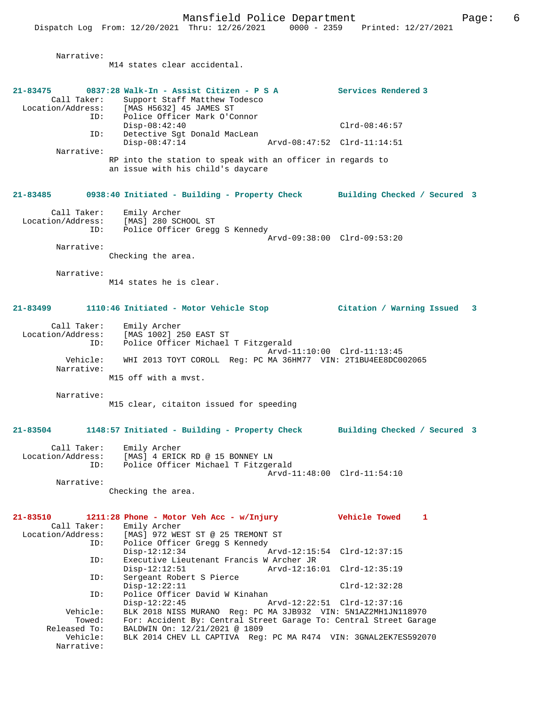Narrative:

M14 states clear accidental. **21-83475 0837:28 Walk-In - Assist Citizen - P S A Services Rendered 3**  Call Taker: Support Staff Matthew Todesco<br>Location/Address: [MAS H5632] 45 JAMES ST ess: [MAS H5632] 45 JAMES ST<br>ID: Police Officer Mark O'Co Police Officer Mark O'Connor Disp-08:42:40 Clrd-08:46:57 ID: Detective Sgt Donald MacLean Arvd-08:47:52 Clrd-11:14:51 Narrative: RP into the station to speak with an officer in regards to an issue with his child's daycare **21-83485 0938:40 Initiated - Building - Property Check Building Checked / Secured 3** Call Taker: Emily Archer<br>Location/Address: [MAS] 280 SC Location/Address: [MAS] 280 SCHOOL ST ID: Police Officer Gregg S Kennedy Arvd-09:38:00 Clrd-09:53:20 Narrative: Checking the area. Narrative: M14 states he is clear. **21-83499 1110:46 Initiated - Motor Vehicle Stop Citation / Warning Issued 3** Call Taker: Emily Archer Location/Address: [MAS 1002] 250 EAST ST ID: Police Officer Michael T Fitzgerald Arvd-11:10:00 Clrd-11:13:45 Vehicle: WHI 2013 TOYT COROLL Reg: PC MA 36HM77 VIN: 2T1BU4EE8DC002065 Narrative: M15 off with a mvst. Narrative: M15 clear, citaiton issued for speeding **21-83504 1148:57 Initiated - Building - Property Check Building Checked / Secured 3** Call Taker: Emily Archer<br>Location/Address: [MAS] 4 ERICH Location/Address: [MAS] 4 ERICK RD @ 15 BONNEY LN ID: Police Officer Michael T Fitzgerald Arvd-11:48:00 Clrd-11:54:10 Narrative: Checking the area. **21-83510 1211:28 Phone - Motor Veh Acc - w/Injury Vehicle Towed 1**  Call Taker: Emily Archer Location/Address: [MAS] 972 WEST ST @ 25 TREMONT ST<br>ID: Police Officer Gregg S Kennedy Police Officer Gregg S Kennedy<br>Disp-12:12:34 Disp-12:12:34 Arvd-12:15:54 Clrd-12:37:15<br>TD: Executive Lieutenant Francis W Archer JR Executive Lieutenant Francis W Archer JR<br>Disp-12:12:51 Arvd-12:16: Disp-12:12:51 Arvd-12:16:01 Clrd-12:35:19<br>TD: Sergeant Robert S Pierce Sergeant Robert S Pierce Disp-12:22:11 Clrd-12:32:28 ID: Police Officer David W Kinahan Disp-12:22:45 Arvd-12:22:51 Clrd-12:37:16<br>Vehicle: BLK 2018 NISS MURANO Reg: PC MA 3JB932 VIN: 5N1AZ2MH1JN1 BLK 2018 NISS MURANO Reg: PC MA 3JB932 VIN: 5N1AZ2MH1JN118970 Towed: For: Accident By: Central Street Garage To: Central Street Garage Released To: BALDWIN On: 12/21/2021 @ 1809<br>Vehicle: BLK 2014 CHEV LL CAPTIVA Regs

BLK 2014 CHEV LL CAPTIVA Reg: PC MA R474 VIN: 3GNAL2EK7ES592070 Narrative: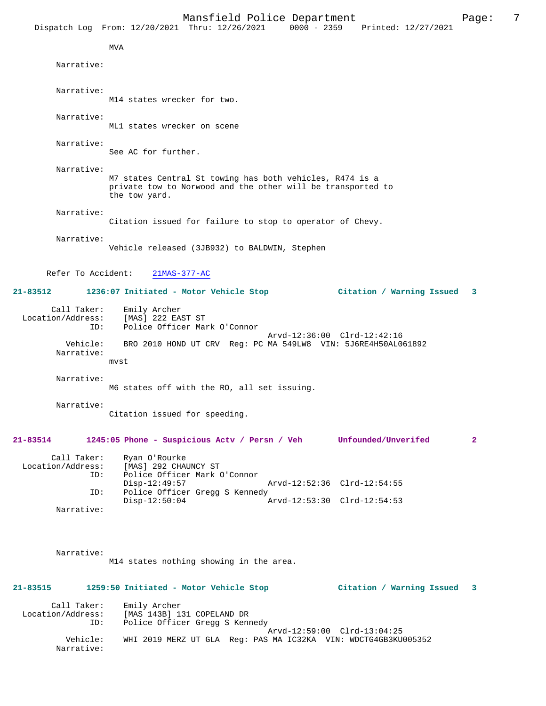|                                         |                                       | Mansfield Police Department                                                                                             |                             | Dispatch Log From: 12/20/2021 Thru: 12/26/2021 0000 - 2359 Printed: 12/27/2021 | 7<br>Page:   |
|-----------------------------------------|---------------------------------------|-------------------------------------------------------------------------------------------------------------------------|-----------------------------|--------------------------------------------------------------------------------|--------------|
|                                         | <b>MVA</b>                            |                                                                                                                         |                             |                                                                                |              |
| Narrative:                              |                                       |                                                                                                                         |                             |                                                                                |              |
| Narrative:                              |                                       |                                                                                                                         |                             |                                                                                |              |
|                                         | M14 states wrecker for two.           |                                                                                                                         |                             |                                                                                |              |
| Narrative:                              | ML1 states wrecker on scene           |                                                                                                                         |                             |                                                                                |              |
| Narrative:                              | See AC for further.                   |                                                                                                                         |                             |                                                                                |              |
| Narrative:                              | the tow yard.                         | M7 states Central St towing has both vehicles, R474 is a<br>private tow to Norwood and the other will be transported to |                             |                                                                                |              |
| Narrative:                              |                                       | Citation issued for failure to stop to operator of Chevy.                                                               |                             |                                                                                |              |
| Narrative:                              |                                       | Vehicle released (3JB932) to BALDWIN, Stephen                                                                           |                             |                                                                                |              |
| Refer To Accident:                      | $21MAS-377-AC$                        |                                                                                                                         |                             |                                                                                |              |
| 21-83512                                |                                       | 1236:07 Initiated - Motor Vehicle Stop                                                                                  |                             | Citation / Warning Issued                                                      | 3            |
| Call Taker:<br>Location/Address:<br>ID: | Emily Archer<br>[MAS] 222 EAST ST     | Police Officer Mark O'Connor                                                                                            |                             |                                                                                |              |
| Vehicle:<br>Narrative:                  | mvst                                  | BRO 2010 HOND UT CRV Reg: PC MA 549LW8 VIN: 5J6RE4H50AL061892                                                           | Arvd-12:36:00 Clrd-12:42:16 |                                                                                |              |
| Narrative:                              |                                       | M6 states off with the RO, all set issuing.                                                                             |                             |                                                                                |              |
| Narrative:                              | Citation issued for speeding.         |                                                                                                                         |                             |                                                                                |              |
| 21-83514                                |                                       | 1245:05 Phone - Suspicious Actv / Persn / Veh                                                                           |                             | Unfounded/Unverifed                                                            | $\mathbf{2}$ |
| Call Taker:<br>Location/Address:<br>ID: | Ryan O'Rourke<br>[MAS] 292 CHAUNCY ST | Police Officer Mark O'Connor                                                                                            |                             |                                                                                |              |
| ID:                                     | $Disp-12:49:57$                       | Police Officer Gregg S Kennedy                                                                                          | Arvd-12:52:36 Clrd-12:54:55 |                                                                                |              |
| Narrative:                              | $Disp-12:50:04$                       |                                                                                                                         | Arvd-12:53:30 Clrd-12:54:53 |                                                                                |              |

 Narrative: M14 states nothing showing in the area.

| $21 - 83515$                     |          | 1259:50 Initiated - Motor Vehicle Stop                                                        | Citation / Warning Issued 3 |  |
|----------------------------------|----------|-----------------------------------------------------------------------------------------------|-----------------------------|--|
| Call Taker:<br>Location/Address: | ID:      | Emily Archer<br>[MAS 143B] 131 COPELAND DR<br>Police Officer Gregg S Kennedy                  |                             |  |
|                                  | Vehicle: | Arvd-12:59:00 Clrd-13:04:25<br>WHI 2019 MERZ UT GLA Reg: PAS MA IC32KA VIN: WDCTG4GB3KU005352 |                             |  |

Narrative: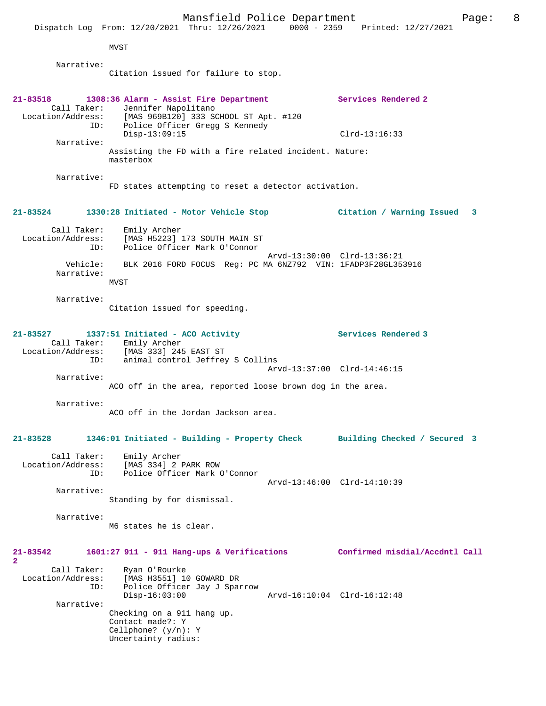|                                         | Mansfield Police Department<br>Dispatch Log From: 12/20/2021 Thru: 12/26/2021 0000 - 2359 Printed: 12/27/2021                                              | Page:                          | 8 |
|-----------------------------------------|------------------------------------------------------------------------------------------------------------------------------------------------------------|--------------------------------|---|
|                                         | <b>MVST</b>                                                                                                                                                |                                |   |
| Narrative:                              |                                                                                                                                                            |                                |   |
|                                         | Citation issued for failure to stop.                                                                                                                       |                                |   |
| $21 - 83518$<br>Call Taker:<br>ID:      | 1308:36 Alarm - Assist Fire Department<br>Jennifer Napolitano<br>Location/Address: [MAS 969B120] 333 SCHOOL ST Apt. #120<br>Police Officer Gregg S Kennedy | Services Rendered 2            |   |
| Narrative:                              | $Disp-13:09:15$                                                                                                                                            | $Clrd-13:16:33$                |   |
|                                         | Assisting the FD with a fire related incident. Nature:<br>masterbox                                                                                        |                                |   |
| Narrative:                              |                                                                                                                                                            |                                |   |
|                                         | FD states attempting to reset a detector activation.                                                                                                       |                                |   |
| 21-83524                                | 1330:28 Initiated - Motor Vehicle Stop                                                                                                                     | Citation / Warning Issued<br>3 |   |
| Call Taker:<br>Location/Address:<br>ID: | Emily Archer<br>[MAS H5223] 173 SOUTH MAIN ST<br>Police Officer Mark O'Connor                                                                              | Arvd-13:30:00 Clrd-13:36:21    |   |
| Vehicle:<br>Narrative:                  | BLK 2016 FORD FOCUS Reg: PC MA 6NZ792 VIN: 1FADP3F28GL353916<br>MVST                                                                                       |                                |   |
|                                         |                                                                                                                                                            |                                |   |
| Narrative:                              | Citation issued for speeding.                                                                                                                              |                                |   |
| 21-83527<br>Location/Address:<br>ID:    | 1337:51 Initiated - ACO Activity<br>Call Taker: Emily Archer<br>[MAS 333] 245 EAST ST<br>animal control Jeffrey S Collins                                  | Services Rendered 3            |   |
|                                         |                                                                                                                                                            | Arvd-13:37:00 Clrd-14:46:15    |   |
| Narrative:                              | ACO off in the area, reported loose brown dog in the area.                                                                                                 |                                |   |
| Narrative:                              | ACO off in the Jordan Jackson area                                                                                                                         |                                |   |
| $21 - 83528$                            | 1346:01 Initiated - Building - Property Check                                                                                                              | Building Checked / Secured 3   |   |
| Call Taker:<br>Location/Address:<br>ID: | Emily Archer<br>[MAS 334] 2 PARK ROW<br>Police Officer Mark O'Connor                                                                                       |                                |   |
|                                         |                                                                                                                                                            | Arvd-13:46:00 Clrd-14:10:39    |   |
| Narrative:                              | Standing by for dismissal.                                                                                                                                 |                                |   |
| Narrative:                              | M6 states he is clear.                                                                                                                                     |                                |   |
| 21-83542<br>$\overline{2}$              | $1601:27$ 911 - 911 Hang-ups & Verifications                                                                                                               | Confirmed misdial/Accdntl Call |   |
| Call Taker:<br>Location/Address:<br>ID: | Ryan O'Rourke<br>[MAS H3551] 10 GOWARD DR<br>Police Officer Jay J Sparrow<br>$Disp-16:03:00$                                                               | Arvd-16:10:04 Clrd-16:12:48    |   |
| Narrative:                              | Checking on a 911 hang up.<br>Contact made?: Y<br>Cellphone? $(y/n): Y$<br>Uncertainty radius:                                                             |                                |   |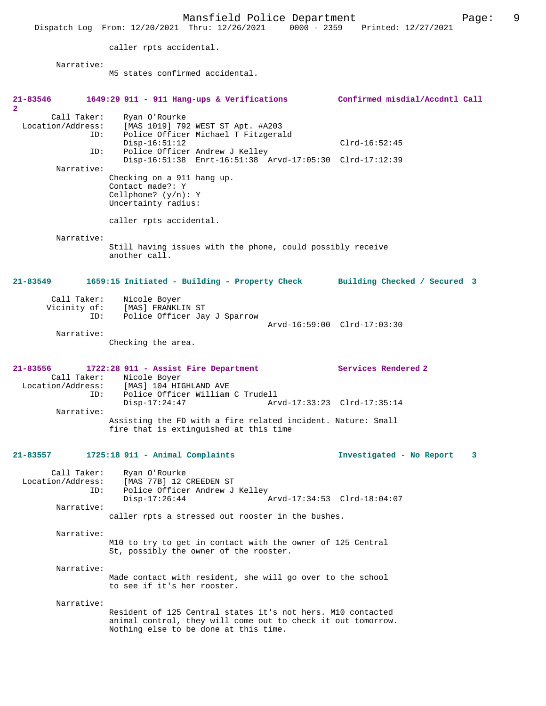Mansfield Police Department Fage: 9 Dispatch Log From: 12/20/2021 Thru: 12/26/2021 0000 - 2359 Printed: 12/27/2021 caller rpts accidental. Narrative: M5 states confirmed accidental. **21-83546 1649:29 911 - 911 Hang-ups & Verifications Confirmed misdial/Accdntl Call 2**  Call Taker: Ryan O'Rourke Location/Address: [MAS 1019] 792 WEST ST Apt. #A203 ID: Police Officer Michael T Fitzgerald Disp-16:51:12 Clrd-16:52:45<br>ID: Police Officer Andrew J Kelley Police Officer Andrew J Kelley Disp-16:51:38 Enrt-16:51:38 Arvd-17:05:30 Clrd-17:12:39 Narrative: Checking on a 911 hang up. Contact made?: Y Cellphone? (y/n): Y Uncertainty radius: caller rpts accidental. Narrative: Still having issues with the phone, could possibly receive another call. **21-83549 1659:15 Initiated - Building - Property Check Building Checked / Secured 3** Call Taker: Nicole Boyer Vicinity of: [MAS] FRANKLIN ST<br>TD: Police Officer Jay Police Officer Jay J Sparrow Arvd-16:59:00 Clrd-17:03:30 Narrative: Checking the area. **21-83556 1722:28 911 - Assist Fire Department Services Rendered 2**  Call Taker: Nicole Boyer<br>Location/Address: [MAS] 104 HI ess: [MAS] 104 HIGHLAND AVE<br>ID: Police Officer William ID: Police Officer William C Trudell Disp-17:24:47 Arvd-17:33:23 Clrd-17:35:14 Narrative: Assisting the FD with a fire related incident. Nature: Small fire that is extinguished at this time **21-83557 1725:18 911 - Animal Complaints Investigated - No Report 3** Call Taker: Ryan O'Rourke Location/Address: [MAS 77B] 12 CREEDEN ST<br>ID: Police Officer Andrew J Police Officer Andrew J Kelley<br>Disp-17:26:44 Disp-17:26:44 Arvd-17:34:53 Clrd-18:04:07 Narrative: caller rpts a stressed out rooster in the bushes. Narrative: M10 to try to get in contact with the owner of 125 Central St, possibly the owner of the rooster. Narrative: Made contact with resident, she will go over to the school to see if it's her rooster. Narrative: Resident of 125 Central states it's not hers. M10 contacted animal control, they will come out to check it out tomorrow. Nothing else to be done at this time.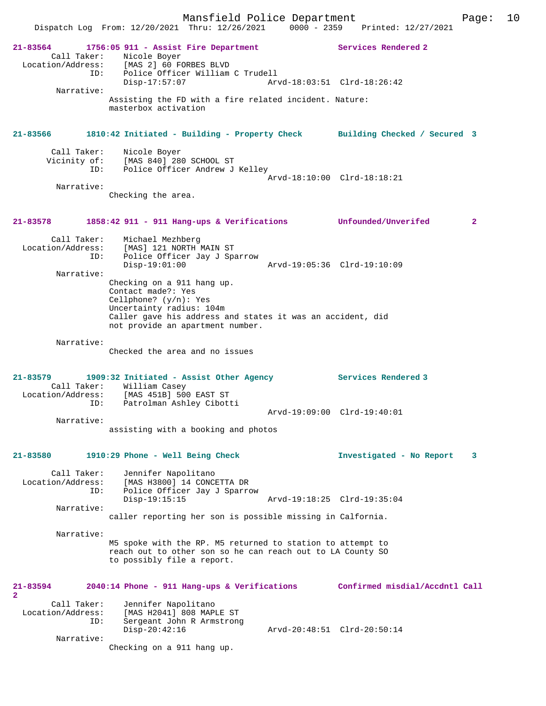Dispatch Log From: 12/20/2021 Thru: 12/26/2021 0000 - 2359 Printed: 12/27/2021 **21-83564 1756:05 911 - Assist Fire Department Services Rendered 2**  Call Taker: Nicole Boyer<br>ion/Address: [MAS 3] 60 EC Location/Address: [MAS 2] 60 FORBES BLVD ID: Police Officer William C Trudell<br>Disp-17:57:07 Arv Disp-17:57:07 Arvd-18:03:51 Clrd-18:26:42 Narrative: Assisting the FD with a fire related incident. Nature: masterbox activation **21-83566 1810:42 Initiated - Building - Property Check Building Checked / Secured 3** Call Taker: Nicole Boyer<br>Vicinity of: [MAS 840] 28 of: [MAS 840] 280 SCHOOL ST<br>ID: [Police Officer Andrew J Police Officer Andrew J Kelley Arvd-18:10:00 Clrd-18:18:21 Narrative: Checking the area. **21-83578 1858:42 911 - 911 Hang-ups & Verifications Unfounded/Unverifed 2** Call Taker: Michael Mezhberg Location/Address: [MAS] 121 NORTH MAIN ST ID: Police Officer Jay J Sparrow Disp-19:01:00 Arvd-19:05:36 Clrd-19:10:09 Narrative: Checking on a 911 hang up. Contact made?: Yes Cellphone? (y/n): Yes Uncertainty radius: 104m Caller gave his address and states it was an accident, did not provide an apartment number. Narrative: Checked the area and no issues **21-83579 1909:32 Initiated - Assist Other Agency Services Rendered 3**  Call Taker: William Casey<br>Location/Address: [MAS 451B] 500 EAST ST Location/Address: [MAS 451B] 500 EAST ST ID: Patrolman Ashley Cibotti Arvd-19:09:00 Clrd-19:40:01 Narrative: assisting with a booking and photos **21-83580 1910:29 Phone - Well Being Check Investigated - No Report 3** Call Taker: Jennifer Napolitano Location/Address: [MAS H3800] 14 CONCETTA DR ID: Police Officer Jay J Sparrow Disp-19:15:15 Arvd-19:18:25 Clrd-19:35:04 Narrative: caller reporting her son is possible missing in Calfornia. Narrative: M5 spoke with the RP. M5 returned to station to attempt to reach out to other son so he can reach out to LA County SO to possibly file a report. **21-83594 2040:14 Phone - 911 Hang-ups & Verifications Confirmed misdial/Accdntl Call 2**  Call Taker: Jennifer Napolitano<br>Location/Address: [MAS H2041] 808 MAP Location/Address: [MAS H2041] 808 MAPLE ST ID: Sergeant John R Armstrong Disp-20:42:16 Arvd-20:48:51 Clrd-20:50:14 Narrative:

Checking on a 911 hang up.

Mansfield Police Department Form Page: 10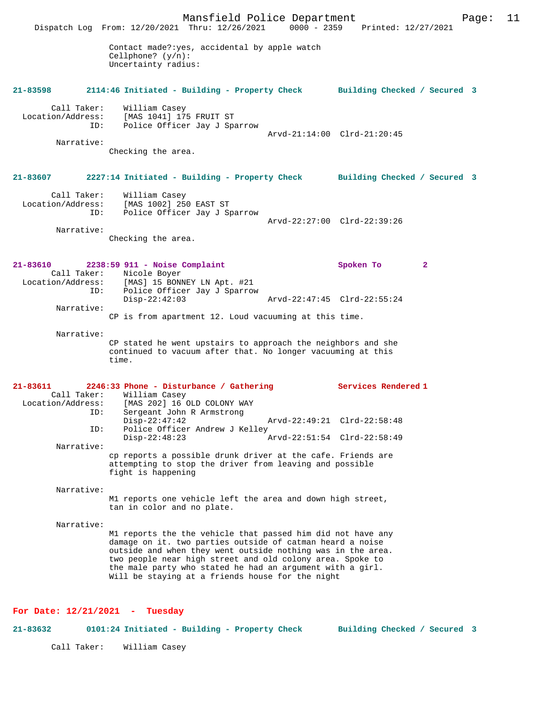Mansfield Police Department Page: 11 Dispatch Log From: 12/20/2021 Thru: 12/26/2021 Contact made?:yes, accidental by apple watch Cellphone? (y/n): Uncertainty radius: **21-83598 2114:46 Initiated - Building - Property Check Building Checked / Secured 3** Call Taker: William Casey<br>Location/Address: [MAS 1041] 17 ess: [MAS 1041] 175 FRUIT ST<br>ID: Police Officer Jay J Spa Police Officer Jay J Sparrow Arvd-21:14:00 Clrd-21:20:45 Narrative: Checking the area. **21-83607 2227:14 Initiated - Building - Property Check Building Checked / Secured 3** Call Taker: William Casey Location/Address: [MAS 1002] 250 EAST ST Police Officer Jay J Sparrow Arvd-22:27:00 Clrd-22:39:26 Narrative: Checking the area. **21-83610 2238:59 911 - Noise Complaint Spoken To 2**  Call Taker: Nicole Boyer<br>Location/Address: [MAS] 15 BONI [MAS] 15 BONNEY LN Apt. #21 ID: Police Officer Jay J Sparrow Disp-22:42:03 Arvd-22:47:45 Clrd-22:55:24 Narrative: CP is from apartment 12. Loud vacuuming at this time. Narrative: CP stated he went upstairs to approach the neighbors and she continued to vacuum after that. No longer vacuuming at this time. **21-83611 2246:33 Phone - Disturbance / Gathering Services Rendered 1**  Call Taker: William Casey Location/Address: [MAS 202] 16 OLD COLONY WAY Sergeant John R Armstrong<br>Disp-22:47:42 Disp-22:47:42 Arvd-22:49:21 Clrd-22:58:48<br>ID: Police Officer Andrew J Kelley Police Officer Andrew J Kelley<br>Disp-22:48:23 A Arvd-22:51:54 Clrd-22:58:49 Narrative: cp reports a possible drunk driver at the cafe. Friends are attempting to stop the driver from leaving and possible fight is happening Narrative: M1 reports one vehicle left the area and down high street, tan in color and no plate. Narrative: M1 reports the the vehicle that passed him did not have any damage on it. two parties outside of catman heard a noise outside and when they went outside nothing was in the area. two people near high street and old colony area. Spoke to the male party who stated he had an argument with a girl. Will be staying at a friends house for the night

#### **For Date: 12/21/2021 - Tuesday**

**21-83632 0101:24 Initiated - Building - Property Check Building Checked / Secured 3**

Call Taker: William Casey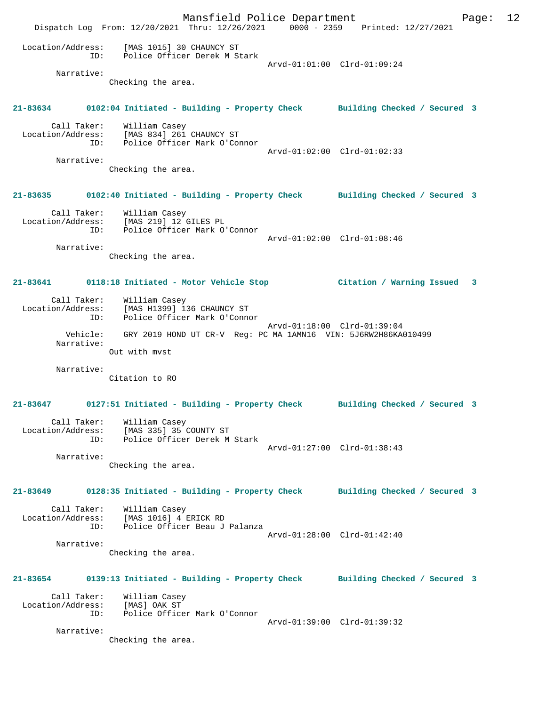Mansfield Police Department Page: 12 Dispatch Log From: 12/20/2021 Thru: 12/26/2021 0000 - 2359 Printed: 12/27/2021 Location/Address: [MAS 1015] 30 CHAUNCY ST ID: Police Officer Derek M Stark [MAS 1015] 30 CHAONOL 2-<br>Police Officer Derek M Stark<br>Arvd-01:01:00 Clrd-01:09:24 Narrative: Checking the area. **21-83634 0102:04 Initiated - Building - Property Check Building Checked / Secured 3** Call Taker: William Casey Location/Address: [MAS 834] 261 CHAUNCY ST ID: Police Officer Mark O'Connor Arvd-01:02:00 Clrd-01:02:33 Narrative: Checking the area. **21-83635 0102:40 Initiated - Building - Property Check Building Checked / Secured 3** Call Taker: William Casey Location/Address: [MAS 219] 12 GILES PL ID: Police Officer Mark O'Connor Arvd-01:02:00 Clrd-01:08:46 Narrative: Checking the area. **21-83641 0118:18 Initiated - Motor Vehicle Stop Citation / Warning Issued 3** Call Taker: William Casey Location/Address: [MAS H1399] 136 CHAUNCY ST ID: Police Officer Mark O'Connor Arvd-01:18:00 Clrd-01:39:04 Vehicle: GRY 2019 HOND UT CR-V Reg: PC MA 1AMN16 VIN: 5J6RW2H86KA010499 Narrative: Out with mvst Narrative: Citation to RO **21-83647 0127:51 Initiated - Building - Property Check Building Checked / Secured 3** Call Taker: William Casey Location/Address: MAS 335] 35 COUNTY ST<br>Location/Address: [MAS 335] 35 COUNTY ST Police Officer Derek M Stark Arvd-01:27:00 Clrd-01:38:43 Narrative: Checking the area. **21-83649 0128:35 Initiated - Building - Property Check Building Checked / Secured 3** Call Taker: William Casey Location/Address: [MAS 1016] 4 ERICK RD ID: Police Officer Beau J Palanza Arvd-01:28:00 Clrd-01:42:40 Narrative: Checking the area. **21-83654 0139:13 Initiated - Building - Property Check Building Checked / Secured 3** Call Taker: William Casey Location/Address: [MAS] OAK ST ID: Police Officer Mark O'Connor Arvd-01:39:00 Clrd-01:39:32 Narrative: Checking the area.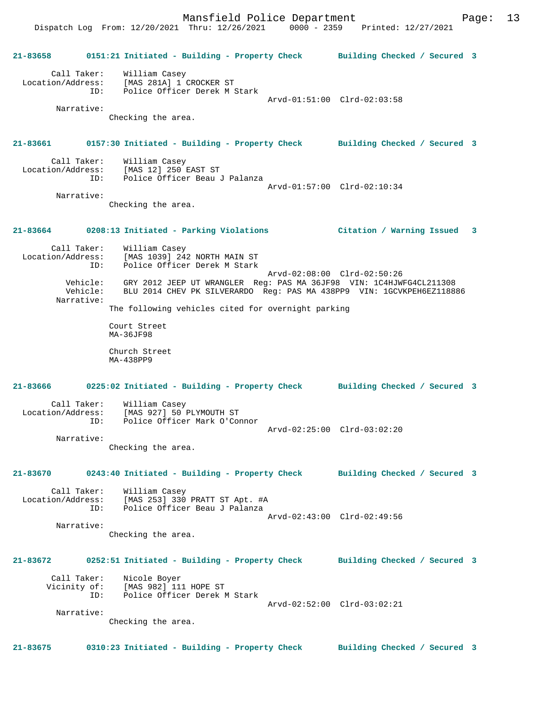Dispatch Log From: 12/20/2021 Thru: 12/26/2021 0000 - 2359 Printed: 12/27/2021

**21-83658 0151:21 Initiated - Building - Property Check Building Checked / Secured 3** Call Taker: William Casey Location/Address: [MAS 281A] 1 CROCKER ST ID: Police Officer Derek M Stark Arvd-01:51:00 Clrd-02:03:58 Narrative: Checking the area. **21-83661 0157:30 Initiated - Building - Property Check Building Checked / Secured 3** Call Taker: William Casey Location/Address: [MAS 12] 250 EAST ST<br>ID: Police Officer Beau Police Officer Beau J Palanza Arvd-01:57:00 Clrd-02:10:34 Narrative: Checking the area. **21-83664 0208:13 Initiated - Parking Violations Citation / Warning Issued 3** Call Taker: William Casey Location/Address: [MAS 1039] 242 NORTH MAIN ST ID: Police Officer Derek M Stark Arvd-02:08:00 Clrd-02:50:26 Vehicle: GRY 2012 JEEP UT WRANGLER Reg: PAS MA 36JF98 VIN: 1C4HJWFG4CL211308 Vehicle: BLU 2014 CHEV PK SILVERARDO Reg: PAS MA 438PP9 VIN: 1GCVKPEH6EZ118886 Narrative: The following vehicles cited for overnight parking Court Street MA-36JF98 Church Street MA-438PP9 **21-83666 0225:02 Initiated - Building - Property Check Building Checked / Secured 3** Call Taker: William Casey Location/Address: [MAS 927] 50 PLYMOUTH ST ID: Police Officer Mark O'Connor Arvd-02:25:00 Clrd-03:02:20 Narrative: Checking the area. **21-83670 0243:40 Initiated - Building - Property Check Building Checked / Secured 3** Call Taker: William Casey Location/Address: [MAS 253] 330 PRATT ST Apt. #A ID: Police Officer Beau J Palanza Arvd-02:43:00 Clrd-02:49:56 Narrative: Checking the area. **21-83672 0252:51 Initiated - Building - Property Check Building Checked / Secured 3** Call Taker: Nicole Boyer Vicinity of: [MAS 982] 111 HOPE ST ID: Police Officer Derek M Stark Arvd-02:52:00 Clrd-03:02:21 Narrative: Checking the area. **21-83675 0310:23 Initiated - Building - Property Check Building Checked / Secured 3**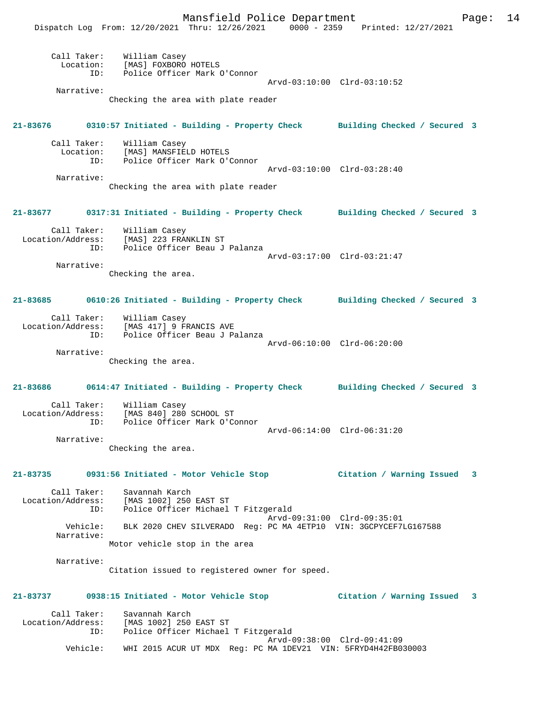Mansfield Police Department Page: 14

|             | $1.0118 + 1.0118 + 1.0118 + 1.0118$<br>Dispatch Log From: 12/20/2021 Thru: 12/26/2021 0000 - 2359 Printed: 12/27/2021 |                             |                             |   |
|-------------|-----------------------------------------------------------------------------------------------------------------------|-----------------------------|-----------------------------|---|
|             | Call Taker: William Casey<br>Location: [MAS] FOXBORO HOTELS<br>ID: Police Officer Mark O'Connor                       |                             |                             |   |
|             |                                                                                                                       |                             | Arvd-03:10:00 Clrd-03:10:52 |   |
| Narrative:  | Checking the area with plate reader                                                                                   |                             |                             |   |
|             | 21-83676 0310:57 Initiated - Building - Property Check Building Checked / Secured 3                                   |                             |                             |   |
|             | Call Taker: William Casey<br>Location: [MAS] MANSFIELD HOTELS                                                         |                             |                             |   |
|             | ID: Police Officer Mark O'Connor                                                                                      |                             |                             |   |
|             |                                                                                                                       |                             | Arvd-03:10:00 Clrd-03:28:40 |   |
| Narrative:  |                                                                                                                       |                             |                             |   |
|             | Checking the area with plate reader                                                                                   |                             |                             |   |
|             | 21-83677 0317:31 Initiated - Building - Property Check Building Checked / Secured 3                                   |                             |                             |   |
|             | Call Taker: William Casey<br>Location/Address: [MAS] 223 FRANKLIN ST<br>ID: Police Officer Beau J Palanza             |                             |                             |   |
|             |                                                                                                                       | Arvd-03:17:00 Clrd-03:21:47 |                             |   |
| Narrative:  |                                                                                                                       |                             |                             |   |
|             | Checking the area.                                                                                                    |                             |                             |   |
|             | 21-83685 0610:26 Initiated - Building - Property Check Building Checked / Secured 3                                   |                             |                             |   |
|             | Call Taker: William Casey<br>Location/Address: [MAS 417] 9 FRANCIS AVE<br>ID: Police Officer Beau J Palanza           |                             |                             |   |
|             |                                                                                                                       |                             | Arvd-06:10:00 Clrd-06:20:00 |   |
| Narrative:  | Checking the area.                                                                                                    |                             |                             |   |
|             | 21-83686 0614:47 Initiated - Building - Property Check Building Checked / Secured 3                                   |                             |                             |   |
| ID:         | Call Taker: William Casey<br>Location/Address: [MAS 840] 280 SCHOOL ST<br>Police Officer Mark O'Connor                |                             |                             |   |
|             |                                                                                                                       |                             | Arvd-06:14:00 Clrd-06:31:20 |   |
| Narrative:  | Checking the area.                                                                                                    |                             |                             |   |
|             | 21-83735 0931:56 Initiated - Motor Vehicle Stop                                                                       |                             | Citation / Warning Issued 3 |   |
|             | Call Taker: Savannah Karch                                                                                            |                             |                             |   |
|             | Location/Address: [MAS 1002] 250 EAST ST<br>ID: Police Officer Michael T Fitzgerald                                   |                             |                             |   |
|             |                                                                                                                       |                             | Arvd-09:31:00 Clrd-09:35:01 |   |
|             | Vehicle: BLK 2020 CHEV SILVERADO Reg: PC MA 4ETP10 VIN: 3GCPYCEF7LG167588                                             |                             |                             |   |
| Narrative:  | Motor vehicle stop in the area                                                                                        |                             |                             |   |
|             |                                                                                                                       |                             |                             |   |
| Narrative:  | Citation issued to registered owner for speed.                                                                        |                             |                             |   |
|             | 21-83737 0938:15 Initiated - Motor Vehicle Stop                                                                       |                             | Citation / Warning Issued   | 3 |
| Call Taker: | Savannah Karch                                                                                                        |                             |                             |   |
|             | Location/Address: [MAS 1002] 250 EAST ST                                                                              |                             |                             |   |
|             | ID: Police Officer Michael T Fitzgerald                                                                               |                             | Arvd-09:38:00 Clrd-09:41:09 |   |
| Vehicle:    | WHI 2015 ACUR UT MDX Reg: PC MA 1DEV21 VIN: 5FRYD4H42FB030003                                                         |                             |                             |   |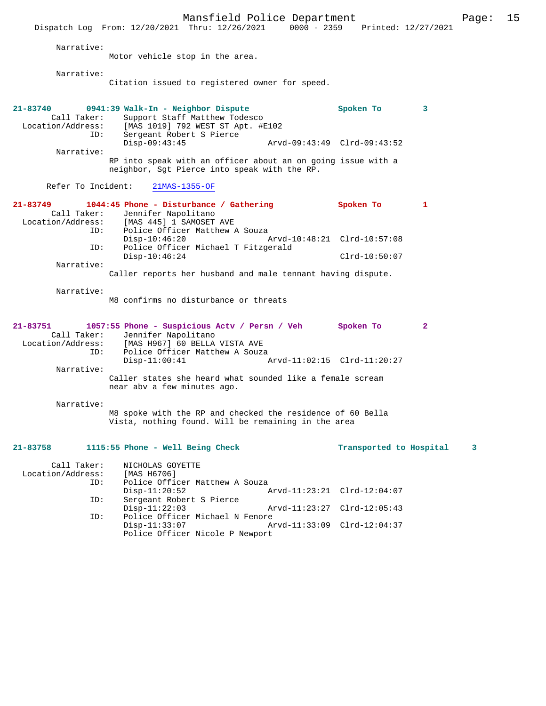Mansfield Police Department Page: 15 Dispatch Log From: 12/20/2021 Thru: 12/26/2021 0000 - 2359 Printed: 12/27/2021 Narrative: Motor vehicle stop in the area. Narrative: Citation issued to registered owner for speed. **21-83740 0941:39 Walk-In - Neighbor Dispute Spoken To 3**  Call Taker: Support Staff Matthew Todesco<br>Location/Address: [MAS 1019] 792 WEST ST Apt. #E ess: [MAS 1019] 792 WEST ST Apt. #E102<br>ID: Sergeant Robert S Pierce Sergeant Robert S Pierce<br>Disp-09:43:45 Disp-09:43:45 Arvd-09:43:49 Clrd-09:43:52 Narrative: RP into speak with an officer about an on going issue with a neighbor, Sgt Pierce into speak with the RP. Refer To Incident: 21MAS-1355-OF **21-83749 1044:45 Phone - Disturbance / Gathering Spoken To 1**  Call Taker: Jennifer Napolitano<br>Location/Address: [MAS 445] 1 SAMOSET ess: [MAS 445] 1 SAMOSET AVE<br>TD: Police Officer Matthew 2 Police Officer Matthew A Souza<br>Disp-10:46:20 Disp-10:46:20 Arvd-10:48:21 Clrd-10:57:08 ID: Police Officer Michael T Fitzgerald Disp-10:46:24 Clrd-10:50:07 Narrative: Caller reports her husband and male tennant having dispute. Narrative: M8 confirms no disturbance or threats **21-83751 1057:55 Phone - Suspicious Actv / Persn / Veh Spoken To 2**  Call Taker: Jennifer Napolitano<br>Location/Address: [MAS H967] 60 BELLA ess: [MAS H967] 60 BELLA VISTA AVE Police Officer Matthew A Souza<br>Disp-11:00:41 Disp-11:00:41 Arvd-11:02:15 Clrd-11:20:27 Narrative: Caller states she heard what sounded like a female scream near abv a few minutes ago. Narrative: M8 spoke with the RP and checked the residence of 60 Bella Vista, nothing found. Will be remaining in the area **21-83758 1115:55 Phone - Well Being Check Transported to Hospital 3** Call Taker: NICHOLAS GOYETTE<br>.on/Address: [MAS H6706] Location/Address:<br>ID: Police Officer Matthew A Souza Disp-11:20:52 Arvd-11:23:21 Clrd-12:04:07<br>ID: Sergeant Robert S Pierce Sergeant Robert S Pierce<br>Disp-11:22:03 Disp-11:22:03 Arvd-11:23:27 Clrd-12:05:43 ID: Police Officer Michael N Fenore<br>Disp-11:33:07 A

Police Officer Nicole P Newport

Disp-11:33:07 Arvd-11:33:09 Clrd-12:04:37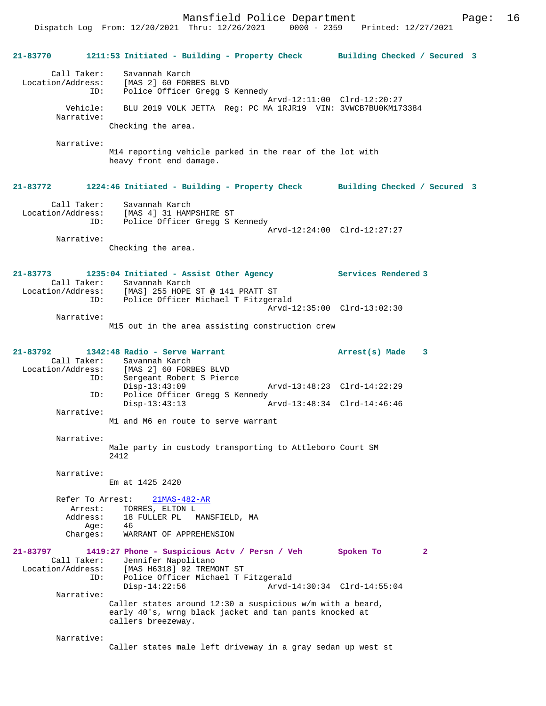Dispatch Log From: 12/20/2021 Thru: 12/26/2021 0000 - 2359 Printed: 12/27/2021

**21-83770 1211:53 Initiated - Building - Property Check Building Checked / Secured 3** Call Taker: Savannah Karch Location/Address: [MAS 2] 60 FORBES BLVD ID: Police Officer Gregg S Kennedy Arvd-12:11:00 Clrd-12:20:27 Vehicle: BLU 2019 VOLK JETTA Reg: PC MA 1RJR19 VIN: 3VWCB7BU0KM173384 Narrative: Checking the area. Narrative: M14 reporting vehicle parked in the rear of the lot with heavy front end damage. **21-83772 1224:46 Initiated - Building - Property Check Building Checked / Secured 3** Call Taker: Savannah Karch Location/Address: [MAS 4] 31 HAMPSHIRE ST ID: Police Officer Gregg S Kennedy Arvd-12:24:00 Clrd-12:27:27 Narrative: Checking the area. **21-83773 1235:04 Initiated - Assist Other Agency Services Rendered 3**  Call Taker: Savannah Karch Location/Address: [MAS] 255 HOPE ST @ 141 PRATT ST ID: Police Officer Michael T Fitzgerald Arvd-12:35:00 Clrd-13:02:30 Narrative: M15 out in the area assisting construction crew **21-83792 1342:48 Radio - Serve Warrant Arrest(s) Made 3**  Call Taker: Savannah Karch<br>Location/Address: [MAS 2] 60 FORE [MAS 2] 60 FORBES BLVD ID: Sergeant Robert S Pierce<br>Disp-13:43:09 Disp-13:43:09 Arvd-13:48:23 Clrd-14:22:29<br>ID: Police Officer Gregg S Kennedy Police Officer Gregg S Kennedy<br>Disp-13:43:13 Disp-13:43:13 Arvd-13:48:34 Clrd-14:46:46 Narrative: M1 and M6 en route to serve warrant Narrative: Male party in custody transporting to Attleboro Court SM 2412 Narrative: Em at 1425 2420 Refer To Arrest: 21MAS-482-AR Arrest: TORRES, ELTON L Address: 18 FULLER PL MANSFIELD, MA  $Age:$  Charges: WARRANT OF APPREHENSION **21-83797 1419:27 Phone - Suspicious Actv / Persn / Veh Spoken To 2**  Call Taker: Jennifer Napolitano<br>Location/Address: [MAS H6318] 92 TREM ess: [MAS H6318] 92 TREMONT ST<br>TD: Police Officer Michael T Police Officer Michael T Fitzgerald<br>Disp-14:22:56 Arvd-1 Disp-14:22:56 Arvd-14:30:34 Clrd-14:55:04 Narrative: Caller states around 12:30 a suspicious w/m with a beard, early 40's, wrng black jacket and tan pants knocked at callers breezeway. Narrative: Caller states male left driveway in a gray sedan up west st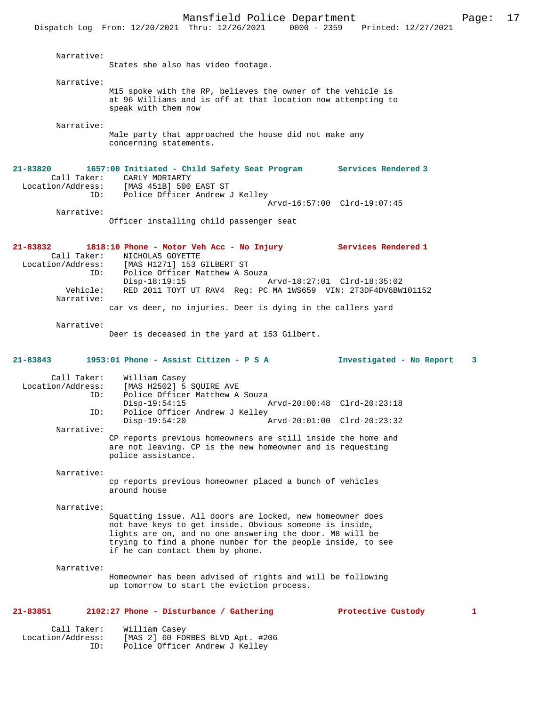States she also has video footage.

 Narrative: M15 spoke with the RP, believes the owner of the vehicle is at 96 Williams and is off at that location now attempting to speak with them now

Narrative:

Narrative:

Male party that approached the house did not make any concerning statements.

**21-83820 1657:00 Initiated - Child Safety Seat Program Services Rendered 3**  Call Taker: CARLY MORIARTY<br>Location/Address: [MAS 451B] 500 [MAS 451B] 500 EAST ST ID: Police Officer Andrew J Kelley Arvd-16:57:00 Clrd-19:07:45

 Narrative: Officer installing child passenger seat

**21-83832 1818:10 Phone - Motor Veh Acc - No Injury Services Rendered 1**  Call Taker: NICHOLAS GOYETTE Location/Address: [MAS H1271] 153 GILBERT ST Police Officer Matthew A Souza Disp-18:19:15 Arvd-18:27:01 Clrd-18:35:02<br>Vehicle: RED 2011 TOYT UT RAV4 Req: PC MA 1WS659 VIN: 2T3DF4DV6BW RED 2011 TOYT UT RAV4 Reg: PC MA 1WS659 VIN: 2T3DF4DV6BW101152 Narrative: car vs deer, no injuries. Deer is dying in the callers yard

Narrative:

Deer is deceased in the yard at 153 Gilbert.

**21-83843 1953:01 Phone - Assist Citizen - P S A Investigated - No Report 3**

Call Taker: William Casey<br>Location/Address: [MAS H2502] 5 ess: [MAS H2502] 5 SQUIRE AVE<br>ID: Police Officer Matthew A Police Officer Matthew A Souza Disp-19:54:15 Arvd-20:00:48 Clrd-20:23:18<br>ID: Police Officer Andrew J Kelley Police Officer Andrew J Kelley<br>Disp-19:54:20 P Disp-19:54:20 Arvd-20:01:00 Clrd-20:23:32 Narrative: CP reports previous homeowners are still inside the home and are not leaving. CP is the new homeowner and is requesting police assistance.

Narrative:

cp reports previous homeowner placed a bunch of vehicles around house

Narrative:

Squatting issue. All doors are locked, new homeowner does not have keys to get inside. Obvious someone is inside, lights are on, and no one answering the door. M8 will be trying to find a phone number for the people inside, to see if he can contact them by phone.

Narrative:

Homeowner has been advised of rights and will be following up tomorrow to start the eviction process.

#### **21-83851 2102:27 Phone - Disturbance / Gathering Protective Custody 1**

 Call Taker: William Casey Location/Address: [MAS 2] 60 FORBES BLVD Apt. #206 Police Officer Andrew J Kelley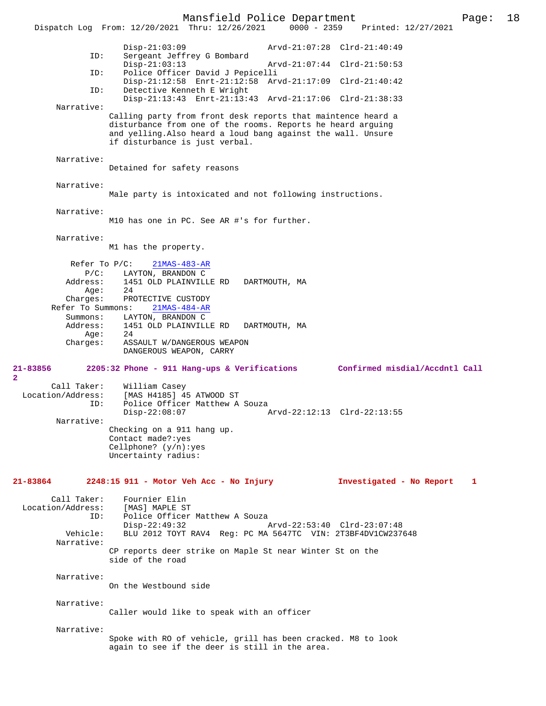Mansfield Police Department Page: 18 Dispatch Log From: 12/20/2021 Thru: 12/26/2021 Disp-21:03:09 Arvd-21:07:28 Clrd-21:40:49 ID: Sergeant Jeffrey G Bombard Disp-21:03:13 Arvd-21:07:44 Clrd-21:50:53<br>TD: Police Officer David J Pepicelli Police Officer David J Pepicelli Disp-21:12:58 Enrt-21:12:58 Arvd-21:17:09 Clrd-21:40:42 ID: Detective Kenneth E Wright Disp-21:13:43 Enrt-21:13:43 Arvd-21:17:06 Clrd-21:38:33 Narrative: Calling party from front desk reports that maintence heard a disturbance from one of the rooms. Reports he heard arguing and yelling.Also heard a loud bang against the wall. Unsure if disturbance is just verbal. Narrative: Detained for safety reasons Narrative: Male party is intoxicated and not following instructions. Narrative: M10 has one in PC. See AR #'s for further. Narrative: M1 has the property. Refer To P/C:  $21MAS-483-AR$  P/C: LAYTON, BRANDON C Address: 1451 OLD PLAINVILLE RD DARTMOUTH, MA Age:<br>:Charges PROTECTIVE CUSTODY Refer To Summons: 21MAS-484-AR Summons: LAYTON, BRANDON C<br>Address: 1451 OLD PLAINVILL ress: 1451 OLD PLAINVILLE RD DARTMOUTH, MA<br>Age: 24 .<br>: Charges 24<br>ASSAULT W/DANGEROUS WEAPON DANGEROUS WEAPON, CARRY **21-83856 2205:32 Phone - 911 Hang-ups & Verifications Confirmed misdial/Accdntl Call** Call Taker: William Casey<br>Location/Address: [MAS H4185] 4! [MAS H4185] 45 ATWOOD ST ID: Police Officer Matthew A Souza<br>Disp-22:08:07 Disp-22:08:07 Arvd-22:12:13 Clrd-22:13:55 Narrative: Checking on a 911 hang up. Contact made?:yes Cellphone? (y/n):yes Uncertainty radius: **21-83864 2248:15 911 - Motor Veh Acc - No Injury Investigated - No Report 1** Call Taker: Fournier Elin<br>.on/Address: [MAS] MAPLE ST Location/Address: ID: Police Officer Matthew A Souza<br>Disp-22:49:32 Disp-22:49:32 Arvd-22:53:40 Clrd-23:07:48<br>Vehicle: BLU 2012 TOYT RAV4 Req: PC MA 5647TC VIN: 2T3BF4DV1CW237 BLU 2012 TOYT RAV4 Reg: PC MA 5647TC VIN: 2T3BF4DV1CW237648 Narrative: CP reports deer strike on Maple St near Winter St on the side of the road Narrative: On the Westbound side Narrative: Caller would like to speak with an officer Narrative: Spoke with RO of vehicle, grill has been cracked. M8 to look again to see if the deer is still in the area.

**2**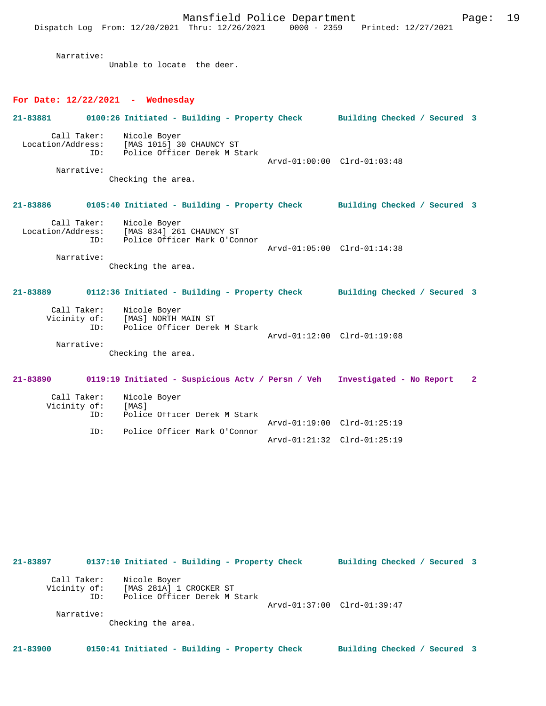Mansfield Police Department Page: 19

Narrative:

Unable to locate the deer.

### **For Date: 12/22/2021 - Wednesday**

| 21-83881                         | 0100:26 Initiated - Building - Property Check Building Checked / Secured 3                 |                             |              |
|----------------------------------|--------------------------------------------------------------------------------------------|-----------------------------|--------------|
| Call Taker:<br>ID:<br>Narrative: | Nicole Boyer<br>Location/Address: [MAS 1015] 30 CHAUNCY ST<br>Police Officer Derek M Stark | Arvd-01:00:00 Clrd-01:03:48 |              |
|                                  | Checking the area.                                                                         |                             |              |
| 21-83886                         | 0105:40 Initiated - Building - Property Check Building Checked / Secured 3                 |                             |              |
| Call Taker:<br>ID:               | Nicole Boyer<br>Location/Address: [MAS 834] 261 CHAUNCY ST<br>Police Officer Mark O'Connor | Arvd-01:05:00 Clrd-01:14:38 |              |
| Narrative:                       | Checking the area.                                                                         |                             |              |
|                                  |                                                                                            |                             |              |
| 21-83889                         | 0112:36 Initiated - Building - Property Check Building Checked / Secured 3                 |                             |              |
| Call Taker:<br>TD:               | Nicole Boyer<br>Vicinity of: [MAS] NORTH MAIN ST<br>Police Officer Derek M Stark           | Arvd-01:12:00 Clrd-01:19:08 |              |
| Narrative:                       | Checking the area.                                                                         |                             |              |
| 21-83890                         | 0119:19 Initiated - Suspicious Actv / Persn / Veh Investigated - No Report                 |                             | $\mathbf{2}$ |
| Call Taker:<br>Vicinity of:      | Nicole Boyer<br>[MAS]                                                                      |                             |              |
| ID:<br>ID:                       | Police Officer Derek M Stark<br>Police Officer Mark O'Connor                               | Arvd-01:19:00 Clrd-01:25:19 |              |

| 21-83897                    |     | 0137:10 Initiated - Building - Property Check                           |                             | Building Checked / Secured 3 |  |
|-----------------------------|-----|-------------------------------------------------------------------------|-----------------------------|------------------------------|--|
| Call Taker:<br>Vicinity of: | ID: | Nicole Boyer<br>[MAS 281A] 1 CROCKER ST<br>Police Officer Derek M Stark | Arvd-01:37:00 Clrd-01:39:47 |                              |  |
| Narrative:                  |     | Checking the area.                                                      |                             |                              |  |

**21-83900 0150:41 Initiated - Building - Property Check Building Checked / Secured 3**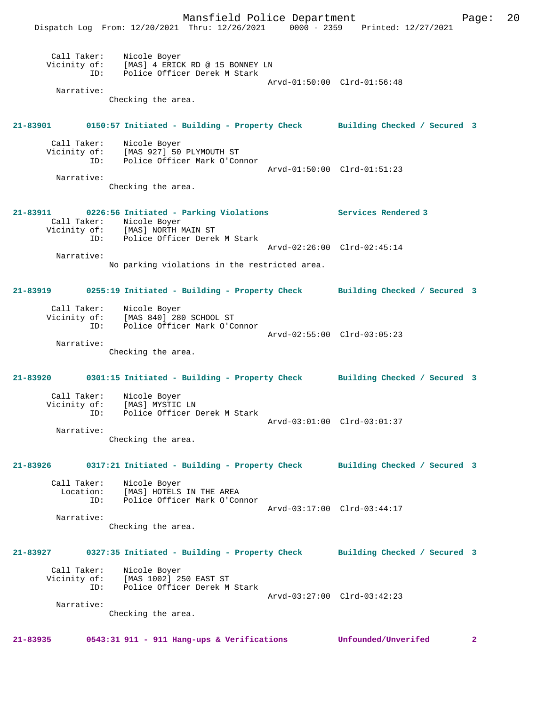Mansfield Police Department Page: 20 Dispatch Log From: 12/20/2021 Thru: 12/26/2021 0000 - 2359 Printed: 12/27/2021 Call Taker: Nicole Boyer Vicinity of: [MAS] 4 ERICK RD @ 15 BONNEY LN ID: Police Officer Derek M Stark Arvd-01:50:00 Clrd-01:56:48 Narrative: Checking the area. **21-83901 0150:57 Initiated - Building - Property Check Building Checked / Secured 3** Call Taker: Nicole Boyer Vicinity of: [MAS 927] 50 PLYMOUTH ST<br>ID: Police Officer Mark O'Com Police Officer Mark O'Connor Arvd-01:50:00 Clrd-01:51:23 Narrative: Checking the area. **21-83911 0226:56 Initiated - Parking Violations Services Rendered 3**  Call Taker: Nicole Boyer Vicinity of: [MAS] NORTH MAIN ST ID: Police Officer Derek M Stark Arvd-02:26:00 Clrd-02:45:14 Narrative: No parking violations in the restricted area. **21-83919 0255:19 Initiated - Building - Property Check Building Checked / Secured 3** Call Taker: Nicole Boyer Vicinity of: [MAS 840] 280 SCHOOL ST ID: Police Officer Mark O'Connor Arvd-02:55:00 Clrd-03:05:23 Narrative: Checking the area. **21-83920 0301:15 Initiated - Building - Property Check Building Checked / Secured 3** Call Taker: Nicole Boyer<br>Vicinity of: [MAS] MYSTIC Vicinity of: [MAS] MYSTIC LN ID: Police Officer Derek M Stark Arvd-03:01:00 Clrd-03:01:37 Narrative: Checking the area. **21-83926 0317:21 Initiated - Building - Property Check Building Checked / Secured 3** Call Taker: Nicole Boyer Location: [MAS] HOTELS IN THE AREA ID: Police Officer Mark O'Connor Arvd-03:17:00 Clrd-03:44:17 Narrative: Checking the area. **21-83927 0327:35 Initiated - Building - Property Check Building Checked / Secured 3** Call Taker: Nicole Boyer<br>Vicinity of: [MAS 1002] 29 Vicinity of: [MAS 1002] 250 EAST ST ID: Police Officer Derek M Stark Arvd-03:27:00 Clrd-03:42:23 Narrative: Checking the area. **21-83935 0543:31 911 - 911 Hang-ups & Verifications Unfounded/Unverifed 2**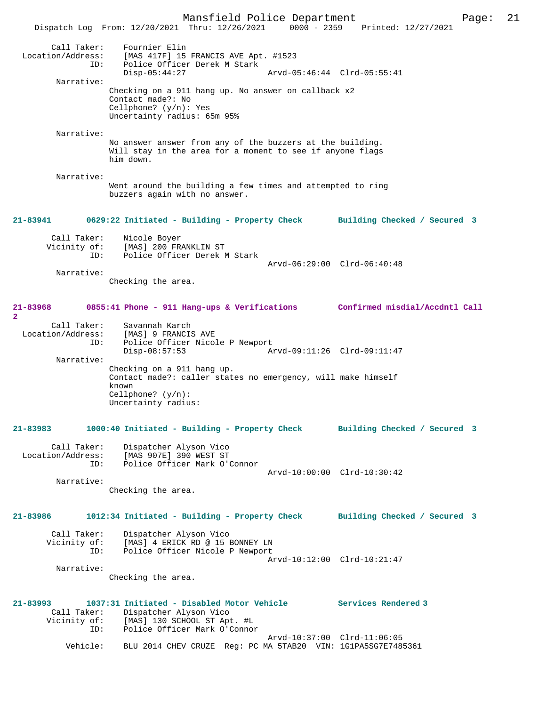Mansfield Police Department Page: 21 Dispatch Log From: 12/20/2021 Thru: 12/26/2021 0000 - 2359 Printed: 12/27/2021 Call Taker: Fournier Elin<br>ion/Address: [MAS 417F] 15 Location/Address: [MAS 417F] 15 FRANCIS AVE Apt. #1523 ID: THE POLICE Officer Derek M Stark<br>Disp-05:44:27 Arvd-05:46:44 Clrd-05:55:41 Narrative: Checking on a 911 hang up. No answer on callback x2 Contact made?: No Cellphone? (y/n): Yes Uncertainty radius: 65m 95% Narrative: No answer answer from any of the buzzers at the building. Will stay in the area for a moment to see if anyone flags him down. Narrative: Went around the building a few times and attempted to ring buzzers again with no answer. **21-83941 0629:22 Initiated - Building - Property Check Building Checked / Secured 3** Call Taker: Nicole Boyer Vicinity of: [MAS] 200 FRANKLIN ST ID: Police Officer Derek M Stark Arvd-06:29:00 Clrd-06:40:48 Narrative: Checking the area. **21-83968 0855:41 Phone - 911 Hang-ups & Verifications Confirmed misdial/Accdntl Call 2**  Call Taker: Savannah Karch Location/Address: [MAS] 9 FRANCIS AVE ID: Police Officer Nicole P Newport ID: Police Officer Nicole P Newport<br>Disp-08:57:53 Arvd-09:11:26 Clrd-09:11:47 Narrative: Checking on a 911 hang up. Contact made?: caller states no emergency, will make himself known Cellphone? (y/n): Uncertainty radius: **21-83983 1000:40 Initiated - Building - Property Check Building Checked / Secured 3** Call Taker: Dispatcher Alyson Vico Location/Address: [MAS 907E] 390 WEST ST ID: Police Officer Mark O'Connor Arvd-10:00:00 Clrd-10:30:42 Narrative: Checking the area. **21-83986 1012:34 Initiated - Building - Property Check Building Checked / Secured 3** Call Taker: Dispatcher Alyson Vico Vicinity of: [MAS] 4 ERICK RD @ 15 BONNEY LN ID: Police Officer Nicole P Newport Arvd-10:12:00 Clrd-10:21:47 Narrative: Checking the area. **21-83993 1037:31 Initiated - Disabled Motor Vehicle Services Rendered 3**  Call Taker: Dispatcher Alyson Vico Vicinity of: [MAS] 130 SCHOOL ST Apt. #L ID: Police Officer Mark O'Connor Arvd-10:37:00 Clrd-11:06:05 Vehicle: BLU 2014 CHEV CRUZE Reg: PC MA 5TAB20 VIN: 1G1PA5SG7E7485361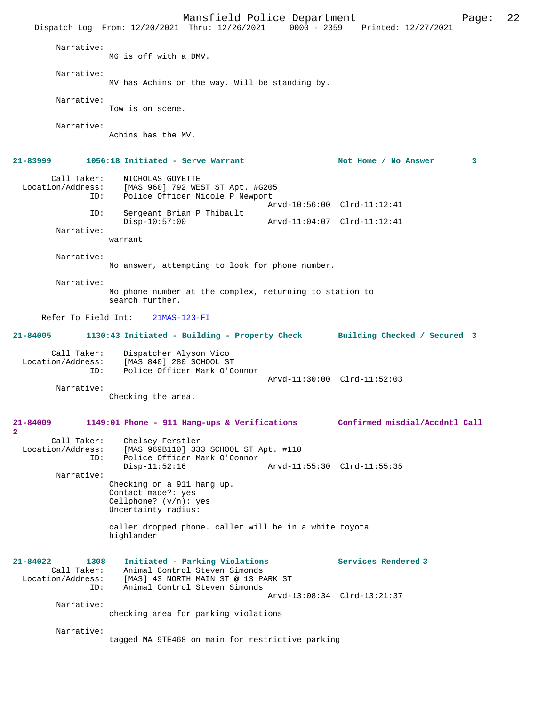Mansfield Police Department Page: 22 Dispatch Log From: 12/20/2021 Thru: 12/26/2021 Narrative: M6 is off with a DMV. Narrative: MV has Achins on the way. Will be standing by. Narrative: Tow is on scene. Narrative: Achins has the MV. 21-83999 1056:18 Initiated - Serve Warrant Not Home / No Answer 3 Call Taker: NICHOLAS GOYETTE Location/Address: [MAS 960] 792 WEST ST Apt. #G205 Police Officer Nicole P Newport Arvd-10:56:00 Clrd-11:12:41 ID: Sergeant Brian P Thibault Disp-10:57:00 Arvd-11:04:07 Clrd-11:12:41 Narrative: warrant Narrative: No answer, attempting to look for phone number. Narrative: No phone number at the complex, returning to station to search further. Refer To Field Int: 21MAS-123-FI **21-84005 1130:43 Initiated - Building - Property Check Building Checked / Secured 3** Call Taker: Dispatcher Alyson Vico<br>Location/Address: [MAS 840] 280 SCHOOL ST [MAS 840] 280 SCHOOL ST ID: Police Officer Mark O'Connor Arvd-11:30:00 Clrd-11:52:03 Narrative: Checking the area. **21-84009 1149:01 Phone - 911 Hang-ups & Verifications Confirmed misdial/Accdntl Call 2**  Call Taker: Chelsey Ferstler<br>Location/Address: [MAS 969B110] 333 [MAS 969B110] 333 SCHOOL ST Apt. #110 ID: Police Officer Mark O'Connor Disp-11:52:16 Arvd-11:55:30 Clrd-11:55:35 Narrative: Checking on a 911 hang up. Contact made?: yes Cellphone? (y/n): yes Uncertainty radius: caller dropped phone. caller will be in a white toyota highlander **21-84022 1308 Initiated - Parking Violations Services Rendered 3**  Call Taker: Animal Control Steven Simonds<br>Location/Address: [MAS] 43 NORTH MAIN ST @ 13 PA Location/Address: [MAS] 43 NORTH MAIN ST @ 13 PARK ST ID: Animal Control Steven Simonds Arvd-13:08:34 Clrd-13:21:37 Narrative: checking area for parking violations Narrative: tagged MA 9TE468 on main for restrictive parking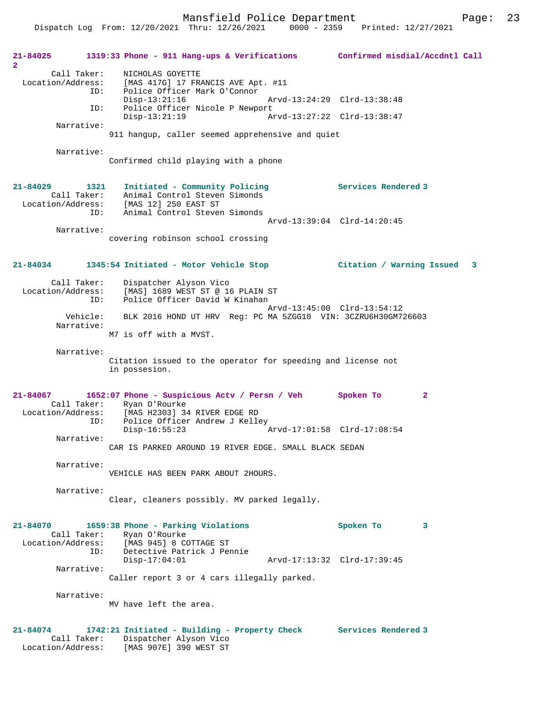| 21-84025<br>$\mathbf{2}$ |                        | 1319:33 Phone - 911 Hang-ups & Verifications Confirmed misdial/Accdntl Call                                    |                                |
|--------------------------|------------------------|----------------------------------------------------------------------------------------------------------------|--------------------------------|
| Location/Address:        | Call Taker:<br>ID:     | NICHOLAS GOYETTE<br>[MAS 417G] 17 FRANCIS AVE Apt. #11<br>Police Officer Mark O'Connor                         |                                |
|                          | ID:                    | $Disp-13:21:16$                                                                                                | Arvd-13:24:29 Clrd-13:38:48    |
|                          |                        | Police Officer Nicole P Newport<br>$Disp-13:21:19$                                                             | Arvd-13:27:22 Clrd-13:38:47    |
|                          | Narrative:             | 911 hangup, caller seemed apprehensive and quiet                                                               |                                |
|                          | Narrative:             |                                                                                                                |                                |
|                          |                        | Confirmed child playing with a phone                                                                           |                                |
| 21-84029                 | 1321                   | Initiated - Community Policing                                                                                 | Services Rendered 3            |
|                          | Call Taker:            | Animal Control Steven Simonds<br>Location/Address: [MAS 12] 250 EAST ST                                        |                                |
|                          | ID:                    | Animal Control Steven Simonds                                                                                  | Arvd-13:39:04 Clrd-14:20:45    |
|                          | Narrative:             |                                                                                                                |                                |
|                          |                        | covering robinson school crossing                                                                              |                                |
| 21-84034                 |                        | 1345:54 Initiated - Motor Vehicle Stop                                                                         | Citation / Warning Issued<br>3 |
|                          | Call Taker:<br>ID:     | Dispatcher Alyson Vico<br>Location/Address: [MAS] 1689 WEST ST @ 16 PLAIN ST<br>Police Officer David W Kinahan |                                |
|                          | Vehicle:<br>Narrative: | BLK 2016 HOND UT HRV Reg: PC MA 5ZGG10 VIN: 3CZRU6H30GM726603                                                  | Arvd-13:45:00 Clrd-13:54:12    |
|                          |                        | M7 is off with a MVST.                                                                                         |                                |
|                          | Narrative:             | Citation issued to the operator for speeding and license not<br>in possesion.                                  |                                |
| 21-84067                 |                        | 1652:07 Phone - Suspicious Actv / Persn / Veh                                                                  | Spoken To<br>$\mathbf{2}$      |
| Location/Address:        | Call Taker:            | Ryan O'Rourke<br>[MAS H2303] 34 RIVER EDGE RD                                                                  |                                |
|                          | ID:                    | Police Officer Andrew J Kelley                                                                                 |                                |
|                          | Narrative:             | $Disp-16:55:23$                                                                                                | Arvd-17:01:58 Clrd-17:08:54    |
|                          |                        | CAR IS PARKED AROUND 19 RIVER EDGE. SMALL BLACK SEDAN                                                          |                                |
|                          | Narrative:             |                                                                                                                |                                |
|                          |                        | VEHICLE HAS BEEN PARK ABOUT 2HOURS.                                                                            |                                |
|                          | Narrative:             | Clear, cleaners possibly. MV parked legally.                                                                   |                                |
| 21-84070                 |                        | 1659:38 Phone - Parking Violations                                                                             | Spoken To<br>3                 |
|                          |                        | Call Taker: Ryan O'Rourke<br>Location/Address: [MAS 945] 8 COTTAGE ST                                          |                                |
|                          | ID:                    | Detective Patrick J Pennie<br>$Disp-17:04:01$                                                                  | Arvd-17:13:32 Clrd-17:39:45    |
|                          | Narrative:             |                                                                                                                |                                |
|                          |                        | Caller report 3 or 4 cars illegally parked.                                                                    |                                |
|                          | Narrative:             | MV have left the area.                                                                                         |                                |
|                          |                        |                                                                                                                |                                |
| 21-84074                 | Call Taker:            | 1742:21 Initiated - Building - Property Check Services Rendered 3<br>Dispatcher Alyson Vico                    |                                |
|                          |                        | Location/Address: [MAS 907E] 390 WEST ST                                                                       |                                |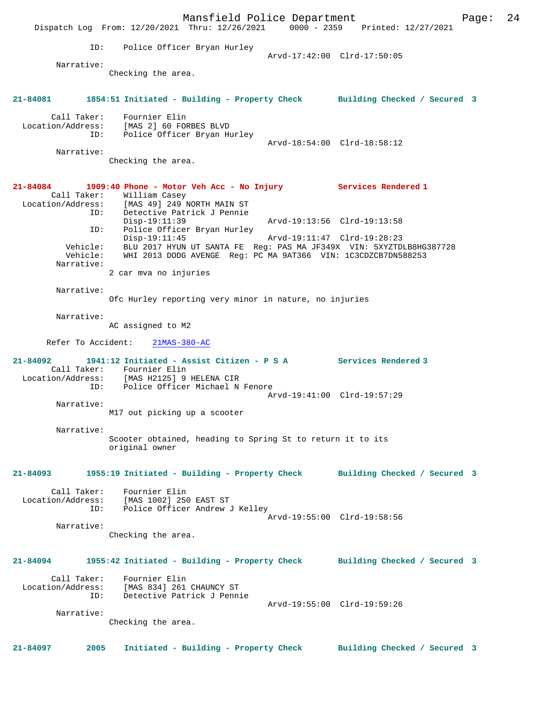Mansfield Police Department Form Page: 24 Dispatch Log From: 12/20/2021 Thru: 12/26/2021 0000 - 2359 Printed: 12/27/2021 ID: Police Officer Bryan Hurley Arvd-17:42:00 Clrd-17:50:05 Narrative: Checking the area. **21-84081 1854:51 Initiated - Building - Property Check Building Checked / Secured 3** Call Taker: Fournier Elin Location/Address: [MAS 2] 60 FORBES BLVD ID: Police Officer Bryan Hurley Arvd-18:54:00 Clrd-18:58:12 Narrative: Checking the area. **21-84084 1909:40 Phone - Motor Veh Acc - No Injury Services Rendered 1**  Call Taker: William Casey Location/Address: [MAS 49] 249 NORTH MAIN ST ID: Detective Patrick J Pennie Disp-19:11:39 Arvd-19:13:56 Clrd-19:13:58 ID: Police Officer Bryan Hurley Disp-19:11:45 Arvd-19:11:47 Clrd-19:28:23 Vehicle: BLU 2017 HYUN UT SANTA FE Reg: PAS MA JF349X VIN: 5XYZTDLB8HG387728 Vehicle: WHI 2013 DODG AVENGE Reg: PC MA 9AT366 VIN: 1C3CDZCB7DN588253 Narrative: 2 car mva no injuries Narrative: Ofc Hurley reporting very minor in nature, no injuries Narrative: AC assigned to M2 Refer To Accident: 21MAS-380-AC **21-84092 1941:12 Initiated - Assist Citizen - P S A Services Rendered 3**  Call Taker: Fournier Elin Location/Address: [MAS H2125] 9 HELENA CIR Police Officer Michael N Fenore Arvd-19:41:00 Clrd-19:57:29 Narrative: M17 out picking up a scooter Narrative: Scooter obtained, heading to Spring St to return it to its original owner **21-84093 1955:19 Initiated - Building - Property Check Building Checked / Secured 3** Call Taker: Fournier Elin Location/Address: [MAS 1002] 250 EAST ST Police Officer Andrew J Kelley Arvd-19:55:00 Clrd-19:58:56 Narrative: Checking the area. **21-84094 1955:42 Initiated - Building - Property Check Building Checked / Secured 3** Call Taker: Fournier Elin Location/Address: [MAS 834] 261 CHAUNCY ST ID: Detective Patrick J Pennie Arvd-19:55:00 Clrd-19:59:26 Narrative: Checking the area. **21-84097 2005 Initiated - Building - Property Check Building Checked / Secured 3**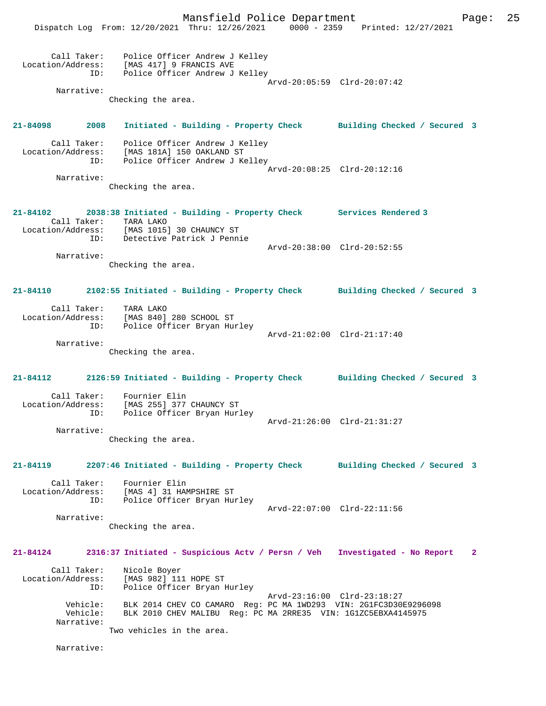Mansfield Police Department Page: 25 Dispatch Log From: 12/20/2021 Thru: 12/26/2021 0000 - 2359 Printed: 12/27/2021 Call Taker: Police Officer Andrew J Kelley Location/Address: [MAS 417] 9 FRANCIS AVE ID: Police Officer Andrew J Kelley Arvd-20:05:59 Clrd-20:07:42 Narrative: Checking the area. **21-84098 2008 Initiated - Building - Property Check Building Checked / Secured 3** Call Taker: Police Officer Andrew J Kelley Location/Address: [MAS 181A] 150 OAKLAND ST ID: Police Officer Andrew J Kelley Arvd-20:08:25 Clrd-20:12:16 Narrative: Checking the area. **21-84102 2038:38 Initiated - Building - Property Check Services Rendered 3**  Call Taker: TARA LAKO Location/Address: [MAS 1015] 30 CHAUNCY ST ID: Detective Patrick J Pennie Arvd-20:38:00 Clrd-20:52:55 Narrative: Checking the area. **21-84110 2102:55 Initiated - Building - Property Check Building Checked / Secured 3** Call Taker: TARA LAKO Location/Address: [MAS 840] 280 SCHOOL ST ID: Police Officer Bryan Hurley Arvd-21:02:00 Clrd-21:17:40 Narrative: Checking the area. **21-84112 2126:59 Initiated - Building - Property Check Building Checked / Secured 3** Call Taker: Fournier Elin Location/Address: [MAS 255] 377 CHAUNCY ST ess. The 2001 -<br>ID: Police Officer Bryan Hurley Arvd-21:26:00 Clrd-21:31:27 Narrative: Checking the area. **21-84119 2207:46 Initiated - Building - Property Check Building Checked / Secured 3** Call Taker: Fournier Elin Location/Address: [MAS 4] 31 HAMPSHIRE ST ID: Police Officer Bryan Hurley Arvd-22:07:00 Clrd-22:11:56 Narrative: Checking the area. **21-84124 2316:37 Initiated - Suspicious Actv / Persn / Veh Investigated - No Report 2** Call Taker: Nicole Boyer<br>Location/Address: [MAS 982] 111 Location/Address: [MAS 982] 111 HOPE ST ID: Police Officer Bryan Hurley Arvd-23:16:00 Clrd-23:18:27 Vehicle: BLK 2014 CHEV CO CAMARO Reg: PC MA 1WD293 VIN: 2G1FC3D30E9296098 Vehicle: BLK 2010 CHEV MALIBU Reg: PC MA 2RRE35 VIN: 1G1ZC5EBXA4145975 Narrative: Two vehicles in the area. Narrative: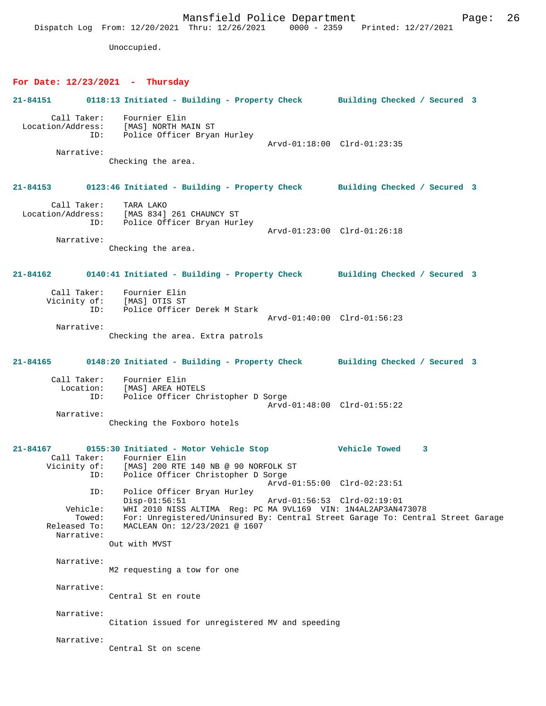Dispatch Log From: 12/20/2021 Thru: 12/26/2021 0000 - 2359 Printed: 12/27/2021 Unoccupied. **For Date: 12/23/2021 - Thursday 21-84151 0118:13 Initiated - Building - Property Check Building Checked / Secured 3** Call Taker: Fournier Elin Location/Address: [MAS] NORTH MAIN ST ess: المصبر العمل المصبر<br>ID: Police Officer Bryan Hurley Arvd-01:18:00 Clrd-01:23:35 Narrative: Checking the area. **21-84153 0123:46 Initiated - Building - Property Check Building Checked / Secured 3** Call Taker: TARA LAKO Location/Address: [MAS 834] 261 CHAUNCY ST ID: Police Officer Bryan Hurley Arvd-01:23:00 Clrd-01:26:18 Narrative: Checking the area. **21-84162 0140:41 Initiated - Building - Property Check Building Checked / Secured 3** Call Taker: Fournier Elin Vicinity of: [MAS] OTIS ST ID: Police Officer Derek M Stark Arvd-01:40:00 Clrd-01:56:23 Narrative: Checking the area. Extra patrols **21-84165 0148:20 Initiated - Building - Property Check Building Checked / Secured 3** Call Taker: Fournier Elin<br>Location: [MAS] AREA HO' [MAS] AREA HOTELS ID: Police Officer Christopher D Sorge Arvd-01:48:00 Clrd-01:55:22 Narrative: Checking the Foxboro hotels **21-84167 0155:30 Initiated - Motor Vehicle Stop Vehicle Towed 3**  Call Taker: Fournier Elin<br>Vicinity of: [MAS] 200 RTE Vicinity of: [MAS] 200 RTE 140 NB @ 90 NORFOLK ST ID: Police Officer Christopher D Sorge Arvd-01:55:00 Clrd-02:23:51 ID: Police Officer Bryan Hurley Disp-01:56:51 Arvd-01:56:53 Clrd-02:19:01 Vehicle: WHI 2010 NISS ALTIMA Reg: PC MA 9VL169 VIN: 1N4AL2AP3AN473078 Towed: For: Unregistered/Uninsured By: Central Street Garage To: Central Street Garage Released To: MACLEAN On: 12/23/2021 @ 1607 Narrative: Out with MVST Narrative: M2 requesting a tow for one Narrative: Central St en route Narrative: Citation issued for unregistered MV and speeding Narrative: Central St on scene

Mansfield Police Department Page: 26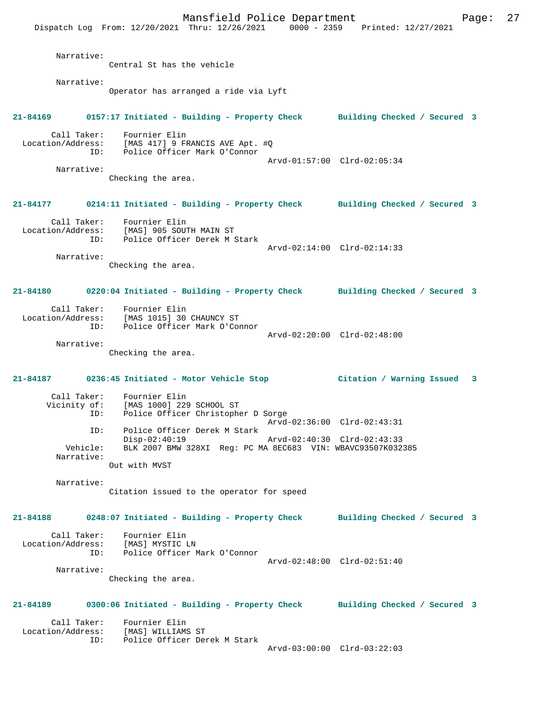Mansfield Police Department Fage: 27 Dispatch Log From: 12/20/2021 Thru: 12/26/2021 0000 - 2359 Printed: 12/27/2021 Narrative: Central St has the vehicle Narrative: Operator has arranged a ride via Lyft **21-84169 0157:17 Initiated - Building - Property Check Building Checked / Secured 3** Call Taker: Fournier Elin Location/Address: [MAS 417] 9 FRANCIS AVE Apt. #Q ID: Police Officer Mark O'Connor Arvd-01:57:00 Clrd-02:05:34 Narrative: Checking the area. **21-84177 0214:11 Initiated - Building - Property Check Building Checked / Secured 3** Call Taker: Fournier Elin Location/Address: [MAS] 905 SOUTH MAIN ST ID: Police Officer Derek M Stark Arvd-02:14:00 Clrd-02:14:33 Narrative: Checking the area. **21-84180 0220:04 Initiated - Building - Property Check Building Checked / Secured 3** Call Taker: Fournier Elin Location/Address: [MAS 1015] 30 CHAUNCY ST ID: Police Officer Mark O'Connor Arvd-02:20:00 Clrd-02:48:00 Narrative: Checking the area. **21-84187 0236:45 Initiated - Motor Vehicle Stop Citation / Warning Issued 3** Call Taker: Fournier Elin<br>Vicinity of: [MAS 1000] 229 of: [MAS 1000] 229 SCHOOL ST<br>ID: Police Officer Christophe Police Officer Christopher D Sorge Arvd-02:36:00 Clrd-02:43:31 ID: Police Officer Derek M Stark Disp-02:40:19 Arvd-02:40:30 Clrd-02:43:33<br>Vehicle: BLK 2007 BMW 328XT Req: PC MA 8EC683 VIN: WBAVC93507K032 BLK 2007 BMW 328XI Reg: PC MA 8EC683 VIN: WBAVC93507K032385 Narrative: Out with MVST Narrative: Citation issued to the operator for speed **21-84188 0248:07 Initiated - Building - Property Check Building Checked / Secured 3** Call Taker: Fournier Elin Location/Address: [MAS] MYSTIC LN ID: Police Officer Mark O'Connor Arvd-02:48:00 Clrd-02:51:40 Narrative: Checking the area. **21-84189 0300:06 Initiated - Building - Property Check Building Checked / Secured 3** Call Taker: Fournier Elin<br>Location/Address: [MAS] WILLIAM Louinter Elln<br>Ess: [MAS] WILLIAMS ST<br>ID: Police Officer Dem Police Officer Derek M Stark Arvd-03:00:00 Clrd-03:22:03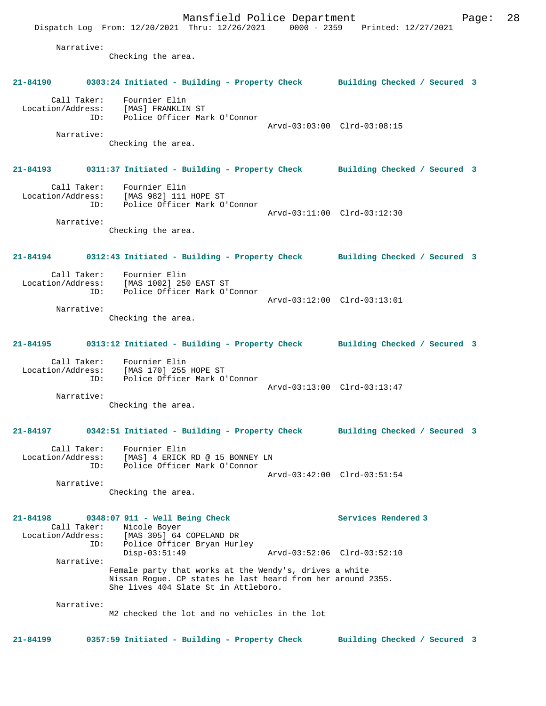Mansfield Police Department Page: 28 Dispatch Log From: 12/20/2021 Thru: 12/26/2021 0000 - 2359 Printed: 12/27/2021 Narrative: Checking the area. **21-84190 0303:24 Initiated - Building - Property Check Building Checked / Secured 3** Call Taker: Fournier Elin Location/Address: [MAS] FRANKLIN ST ID: Police Officer Mark O'Connor Arvd-03:03:00 Clrd-03:08:15 Narrative: Checking the area. **21-84193 0311:37 Initiated - Building - Property Check Building Checked / Secured 3** Call Taker: Fournier Elin Location/Address: [MAS 982] 111 HOPE ST ID: Police Officer Mark O'Connor Arvd-03:11:00 Clrd-03:12:30 Narrative: Checking the area. **21-84194 0312:43 Initiated - Building - Property Check Building Checked / Secured 3** Call Taker: Fournier Elin Location/Address: [MAS 1002] 250 EAST ST<br>ID: Police Officer Mark O'O Police Officer Mark O'Connor Arvd-03:12:00 Clrd-03:13:01 Narrative: Checking the area. **21-84195 0313:12 Initiated - Building - Property Check Building Checked / Secured 3** Call Taker: Fournier Elin Location/Address: [MAS 170] 255 HOPE ST ID: Police Officer Mark O'Connor Arvd-03:13:00 Clrd-03:13:47 Narrative: Checking the area. **21-84197 0342:51 Initiated - Building - Property Check Building Checked / Secured 3** Call Taker: Fournier Elin Location/Address: [MAS] 4 ERICK RD @ 15 BONNEY LN ID: Police Officer Mark O'Connor Arvd-03:42:00 Clrd-03:51:54 Narrative: Checking the area. **21-84198 0348:07 911 - Well Being Check Services Rendered 3**  Call Taker: Nicole Boyer Location/Address: [MAS 305] 64 COPELAND DR ID: Police Officer Bryan Hurley Disp-03:51:49 Arvd-03:52:06 Clrd-03:52:10 Narrative: Female party that works at the Wendy's, drives a white Nissan Rogue. CP states he last heard from her around 2355. She lives 404 Slate St in Attleboro. Narrative: M2 checked the lot and no vehicles in the lot **21-84199 0357:59 Initiated - Building - Property Check Building Checked / Secured 3**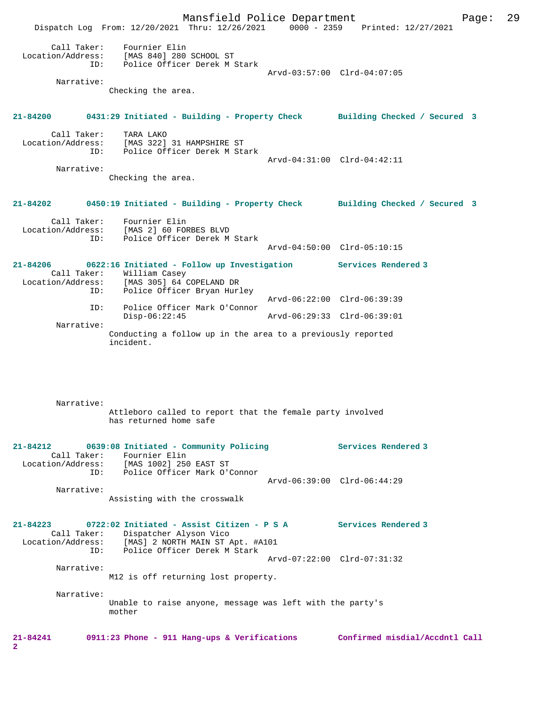Mansfield Police Department Fage: 29 Dispatch Log From: 12/20/2021 Thru: 12/26/2021 0000 - 2359 Printed: 12/27/2021 Call Taker: Fournier Elin Location/Address: [MAS 840] 280 SCHOOL ST ID: Police Officer Derek M Stark Arvd-03:57:00 Clrd-04:07:05 Narrative: Checking the area. **21-84200 0431:29 Initiated - Building - Property Check Building Checked / Secured 3** Call Taker: TARA LAKO Location/Address: [MAS 322] 31 HAMPSHIRE ST ID: Police Officer Derek M Stark Arvd-04:31:00 Clrd-04:42:11 Narrative: Checking the area. **21-84202 0450:19 Initiated - Building - Property Check Building Checked / Secured 3** Call Taker: Fournier Elin<br>Location/Address: [MAS 2] 60 FOR [MAS 2] 60 FORBES BLVD ID: Police Officer Derek M Stark Arvd-04:50:00 Clrd-05:10:15 **21-84206 0622:16 Initiated - Follow up Investigation Services Rendered 3**  Call Taker: William Casey<br>Location/Address: [MAS 305] 64 ( [MAS 305] 64 COPELAND DR ess. The Soot I.<br>ID: Police Officer Bryan Hurley Arvd-06:22:00 Clrd-06:39:39 ID: Police Officer Mark O'Connor Disp-06:22:45 Arvd-06:29:33 Clrd-06:39:01 Narrative: Conducting a follow up in the area to a previously reported incident. Narrative: Attleboro called to report that the female party involved has returned home safe **21-84212 0639:08 Initiated - Community Policing Services Rendered 3**  Call Taker: Fournier Elin Location/Address: [MAS 1002] 250 EAST ST ID: Police Officer Mark O'Connor Arvd-06:39:00 Clrd-06:44:29 Narrative: Assisting with the crosswalk **21-84223 0722:02 Initiated - Assist Citizen - P S A Services Rendered 3**  Call Taker: Dispatcher Alyson Vico Location/Address: [MAS] 2 NORTH MAIN ST Apt. #A101 ID: Police Officer Derek M Stark Arvd-07:22:00 Clrd-07:31:32 Narrative: M12 is off returning lost property. Narrative: Unable to raise anyone, message was left with the party's mother **21-84241 0911:23 Phone - 911 Hang-ups & Verifications Confirmed misdial/Accdntl Call 2**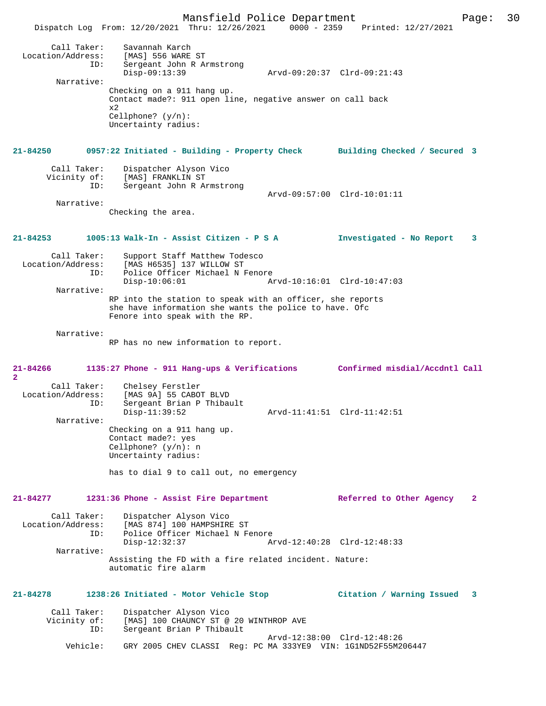Mansfield Police Department Page: 30 Dispatch Log From: 12/20/2021 Thru: 12/26/2021 0000 - 2359 Printed: 12/27/2021 Call Taker: Savannah Karch Location/Address: [MAS] 556 WARE ST<br>ID: Sergeant John R Ar Sergeant John R Armstrong<br>Disp-09:13:39 Disp-09:13:39 Arvd-09:20:37 Clrd-09:21:43 Narrative: Checking on a 911 hang up. Contact made?: 911 open line, negative answer on call back x2 Cellphone? (y/n): Uncertainty radius: **21-84250 0957:22 Initiated - Building - Property Check Building Checked / Secured 3** Call Taker: Dispatcher Alyson Vico Vicinity of: [MAS] FRANKLIN ST<br>TD: Sergeant John R AT Sergeant John R Armstrong Arvd-09:57:00 Clrd-10:01:11 Narrative: Checking the area. **21-84253 1005:13 Walk-In - Assist Citizen - P S A Investigated - No Report 3** Call Taker: Support Staff Matthew Todesco Location/Address: [MAS H6535] 137 WILLOW ST<br>TD: Police Officer Michael N I Police Officer Michael N Fenore<br>Disp-10:06:01 Ar Disp-10:06:01 Arvd-10:16:01 Clrd-10:47:03 Narrative: RP into the station to speak with an officer, she reports she have information she wants the police to have. Ofc Fenore into speak with the RP. Narrative: RP has no new information to report. **21-84266 1135:27 Phone - 911 Hang-ups & Verifications Confirmed misdial/Accdntl Call 2**  Call Taker: Chelsey Ferstler<br>Location/Address: [MAS 9A] 55 CABOT ess: [MAS 9A] 55 CABOT BLVD<br>ID: Sergeant Brian P Thiba Sergeant Brian P Thibault<br>Disp-11:39:52 Disp-11:39:52 Arvd-11:41:51 Clrd-11:42:51 Narrative: Checking on a 911 hang up. Contact made?: yes Cellphone? (y/n): n Uncertainty radius: has to dial 9 to call out, no emergency **21-84277 1231:36 Phone - Assist Fire Department Referred to Other Agency 2** Call Taker: Dispatcher Alyson Vico<br>Location/Address: [MAS 874] 100 HAMPSHIRI ess: [MAS 874] 100 HAMPSHIRE ST<br>TD: Police Officer Michael N Fe ID: Police Officer Michael N Fenore Disp-12:32:37 Arvd-12:40:28 Clrd-12:48:33 Narrative: Assisting the FD with a fire related incident. Nature: automatic fire alarm **21-84278 1238:26 Initiated - Motor Vehicle Stop Citation / Warning Issued 3** Call Taker: Dispatcher Alyson Vico Vicinity of: [MAS] 100 CHAUNCY ST @ 20 WINTHROP AVE<br>ID: Sergeant Brian P Thibault Sergeant Brian P Thibault Arvd-12:38:00 Clrd-12:48:26<br>Vehicle: GRY 2005 CHEV CLASSI Reg: PC MA 333YE9 VIN: 1G1ND52F55M2 GRY 2005 CHEV CLASSI Reg: PC MA 333YE9 VIN: 1G1ND52F55M206447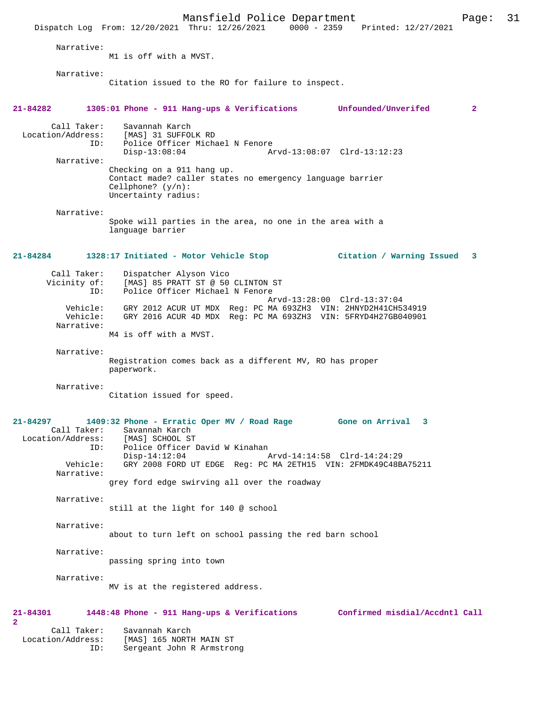Mansfield Police Department Page: 31 Dispatch Log From: 12/20/2021 Thru: 12/26/2021 Narrative: M1 is off with a MVST. Narrative: Citation issued to the RO for failure to inspect. **21-84282 1305:01 Phone - 911 Hang-ups & Verifications Unfounded/Unverifed 2** Call Taker: Savannah Karch<br>Location/Address: [MAS] 31 SUFFO ess: [MAS] 31 SUFFOLK RD<br>ID: Police Officer Micha Police Officer Michael N Fenore Disp-13:08:04 Arvd-13:08:07 Clrd-13:12:23 Narrative: Checking on a 911 hang up. Contact made? caller states no emergency language barrier Cellphone? (y/n): Uncertainty radius: Narrative: Spoke will parties in the area, no one in the area with a language barrier **21-84284 1328:17 Initiated - Motor Vehicle Stop Citation / Warning Issued 3** Call Taker: Dispatcher Alyson Vico<br>Vicinity of: [MAS] 85 PRATT ST @ 50 [MAS] 85 PRATT ST @ 50 CLINTON ST ID: Police Officer Michael N Fenore Arvd-13:28:00 Clrd-13:37:04 Vehicle: GRY 2012 ACUR UT MDX Reg: PC MA 693ZH3 VIN: 2HNYD2H41CH534919 GRY 2016 ACUR 4D MDX Reg: PC MA 693ZH3 VIN: 5FRYD4H27GB040901 Narrative: M4 is off with a MVST. Narrative: Registration comes back as a different MV, RO has proper paperwork. Narrative: Citation issued for speed. **21-84297 1409:32 Phone - Erratic Oper MV / Road Rage Gone on Arrival 3**  Call Taker: Savannah Karch<br>.on/Address: [MAS] SCHOOL ST Location/Address:<br>TD: Police Officer David W Kinahan<br>Disp-14:12:04  $\frac{1}{2}$ Disp-14:12:04 Arvd-14:14:58 Clrd-14:24:29<br>Vehicle: GRY 2008 FORD UT EDGE Req: PC MA 2ETH15 VIN: 2FMDK49C48B GRY 2008 FORD UT EDGE Reg: PC MA 2ETH15 VIN: 2FMDK49C48BA75211 Narrative: grey ford edge swirving all over the roadway Narrative: still at the light for 140 @ school Narrative: about to turn left on school passing the red barn school Narrative: passing spring into town Narrative: MV is at the registered address. **21-84301 1448:48 Phone - 911 Hang-ups & Verifications Confirmed misdial/Accdntl Call 2**  Call Taker: Savannah Karch Location/Address: [MAS] 165 NORTH MAIN ST Sergeant John R Armstrong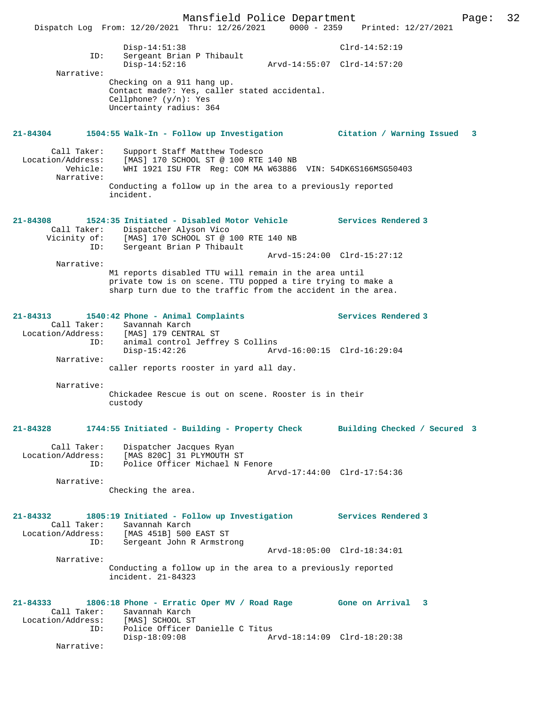Mansfield Police Department Page: 32 Dispatch Log From: 12/20/2021 Thru: 12/26/2021 0000 - 2359 Printed: 12/27/2021 Disp-14:51:38 Clrd-14:52:19 Disp-14:51:38<br>Sergeant Brian P Thibault Disp-14:52:16 Arvd-14:55:07 Clrd-14:57:20 Narrative: Checking on a 911 hang up. Contact made?: Yes, caller stated accidental. Cellphone? (y/n): Yes Uncertainty radius: 364 **21-84304 1504:55 Walk-In - Follow up Investigation Citation / Warning Issued 3** Call Taker: Support Staff Matthew Todesco Location/Address: [MAS] 170 SCHOOL ST @ 100 RTE 140 NB Vehicle: WHI 1921 ISU FTR Reg: COM MA W63886 VIN: 54DK6S166MSG50403 Narrative: Conducting a follow up in the area to a previously reported incident. **21-84308 1524:35 Initiated - Disabled Motor Vehicle Services Rendered 3**  Call Taker: Dispatcher Alyson Vico Vicinity of: [MAS] 170 SCHOOL ST @ 100 RTE 140 NB ID: Sergeant Brian P Thibault Arvd-15:24:00 Clrd-15:27:12 Narrative: M1 reports disabled TTU will remain in the area until private tow is on scene. TTU popped a tire trying to make a sharp turn due to the traffic from the accident in the area. **21-84313 1540:42 Phone - Animal Complaints Services Rendered 3**  Call Taker: Savannah Karch Location/Address: [MAS] 179 CENTRAL ST ID: animal control Jeffrey S Collins Disp-15:42:26 Arvd-16:00:15 Clrd-16:29:04 Narrative: caller reports rooster in yard all day. Narrative: Chickadee Rescue is out on scene. Rooster is in their custody **21-84328 1744:55 Initiated - Building - Property Check Building Checked / Secured 3** Call Taker: Dispatcher Jacques Ryan Location/Address: [MAS 820C] 31 PLYMOUTH ST ID: Police Officer Michael N Fenore Arvd-17:44:00 Clrd-17:54:36 Narrative: Checking the area. **21-84332 1805:19 Initiated - Follow up Investigation Services Rendered 3**  Call Taker: Savannah Karch Location/Address: [MAS 451B] 500 EAST ST ID: Sergeant John R Armstrong Arvd-18:05:00 Clrd-18:34:01 Narrative: Conducting a follow up in the area to a previously reported incident. 21-84323 **21-84333 1806:18 Phone - Erratic Oper MV / Road Rage Gone on Arrival 3**  Call Taker: Savannah Karch Location/Address: [MAS] SCHOOL ST ID: Police Officer Danielle C Titus Arvd-18:14:09 Clrd-18:20:38 Narrative: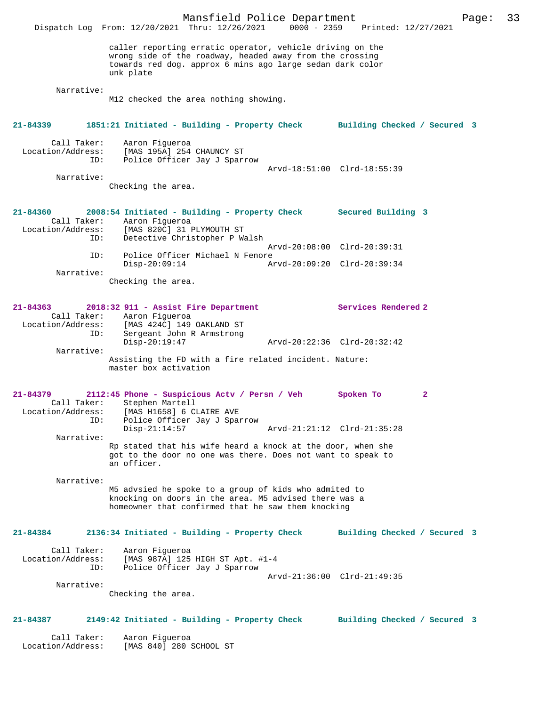Mansfield Police Department Page: 33 Dispatch Log From: 12/20/2021 Thru: 12/26/2021 caller reporting erratic operator, vehicle driving on the wrong side of the roadway, headed away from the crossing towards red dog. approx 6 mins ago large sedan dark color unk plate Narrative: M12 checked the area nothing showing. **21-84339 1851:21 Initiated - Building - Property Check Building Checked / Secured 3** Call Taker: Aaron Figueroa Location/Address: [MAS 195A] 254 CHAUNCY ST Police Officer Jay J Sparrow Arvd-18:51:00 Clrd-18:55:39 Narrative: Checking the area. **21-84360 2008:54 Initiated - Building - Property Check Secured Building 3**  Call Taker: Aaron Figueroa Location/Address: [MAS 820C] 31 PLYMOUTH ST<br>TD: Detective Christopher P.W. Detective Christopher P Walsh Arvd-20:08:00 Clrd-20:39:31 ID: Police Officer Michael N Fenore<br>Disp-20:09:14 Ar Disp-20:09:14 Arvd-20:09:20 Clrd-20:39:34 Narrative: Checking the area. **21-84363 2018:32 911 - Assist Fire Department Services Rendered 2**  Call Taker: Aaron Figueroa<br>Location/Address: [MAS 424C] 149 Location/Address: [MAS 424C] 149 OAKLAND ST Sergeant John R Armstrong<br>Disp-20:19:47 Disp-20:19:47 Arvd-20:22:36 Clrd-20:32:42 Narrative: Assisting the FD with a fire related incident. Nature: master box activation **21-84379 2112:45 Phone - Suspicious Actv / Persn / Veh Spoken To 2**  Call Taker: Stephen Martell Location/Address: [MAS H1658] 6 CLAIRE AVE<br>TD: Police Officer Jay J Span Police Officer Jay J Sparrow<br>Disp-21:14:57 Disp-21:14:57 Arvd-21:21:12 Clrd-21:35:28 Narrative: Rp stated that his wife heard a knock at the door, when she got to the door no one was there. Does not want to speak to an officer. Narrative: M5 advsied he spoke to a group of kids who admited to knocking on doors in the area. M5 advised there was a homeowner that confirmed that he saw them knocking **21-84384 2136:34 Initiated - Building - Property Check Building Checked / Secured 3** Call Taker: Aaron Figueroa Location/Address: [MAS 987A] 125 HIGH ST Apt. #1-4 ID: Police Officer Jay J Sparrow Arvd-21:36:00 Clrd-21:49:35 Narrative: Checking the area. **21-84387 2149:42 Initiated - Building - Property Check Building Checked / Secured 3** Call Taker: Aaron Figueroa<br>: Location/Address: [MAS 840] 280 [MAS 840] 280 SCHOOL ST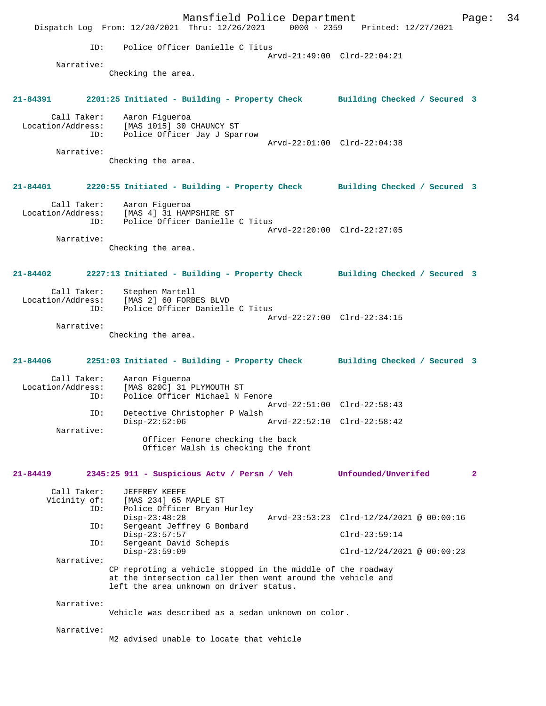Mansfield Police Department Page: 34 Dispatch Log From:  $12/20/2021$  Thru:  $12/26/2021$  ID: Police Officer Danielle C Titus Arvd-21:49:00 Clrd-22:04:21 Narrative: Checking the area. **21-84391 2201:25 Initiated - Building - Property Check Building Checked / Secured 3** Call Taker: Aaron Figueroa<br>Location/Address: [MAS 1015] 30 ess: [MAS 1015] 30 CHAUNCY ST<br>ID: Police Officer Jay J Spa Police Officer Jay J Sparrow Arvd-22:01:00 Clrd-22:04:38 Narrative: Checking the area. **21-84401 2220:55 Initiated - Building - Property Check Building Checked / Secured 3** Call Taker: Aaron Figueroa Location/Address: [MAS 4] 31 HAMPSHIRE ST ID: Police Officer Danielle C Titus Arvd-22:20:00 Clrd-22:27:05 Narrative: Checking the area. **21-84402 2227:13 Initiated - Building - Property Check Building Checked / Secured 3** Call Taker: Stephen Martell<br>Location/Address: [MAS 2] 60 FORB ess: [MAS 2] 60 FORBES BLVD<br>ID: Police Officer Danielle Police Officer Danielle C Titus Arvd-22:27:00 Clrd-22:34:15 Narrative: Checking the area. **21-84406 2251:03 Initiated - Building - Property Check Building Checked / Secured 3** Call Taker: Aaron Figueroa Location/Address: [MAS 820C] 31 PLYMOUTH ST Police Officer Michael N Fenore Arvd-22:51:00 Clrd-22:58:43 ID: Detective Christopher P Walsh Disp-22:52:06 Arvd-22:52:10 Clrd-22:58:42 Narrative: Officer Fenore checking the back Officer Walsh is checking the front **21-84419 2345:25 911 - Suspicious Actv / Persn / Veh Unfounded/Unverifed 2** Call Taker: JEFFREY KEEFE Vicinity of: [MAS 234] 65 MAPLE ST<br>ID: Police Officer Bryan B Police Officer Bryan Hurley<br>Disp-23:48:28 Arvd-23:53:23 Clrd-12/24/2021 @ 00:00:16 ID: Sergeant Jeffrey G Bombard Disp-23:57:57 <br>
Th: Sergeant David Schepis Sergeant David Schepis<br>Disp-23:59:09  $Clrd-12/24/2021$  @ 00:00:23 Narrative: CP reproting a vehicle stopped in the middle of the roadway at the intersection caller then went around the vehicle and left the area unknown on driver status. Narrative: Vehicle was described as a sedan unknown on color. Narrative: M2 advised unable to locate that vehicle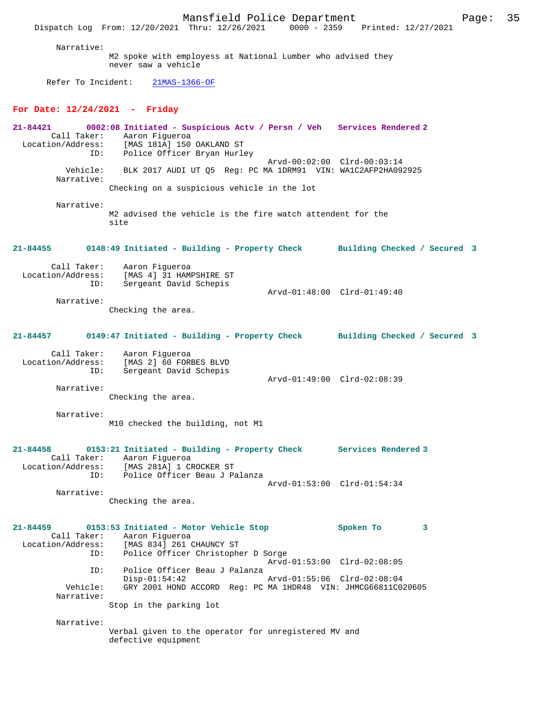Mansfield Police Department Page: 35 Dispatch Log From: 12/20/2021 Thru: 12/26/2021 Narrative: M2 spoke with employess at National Lumber who advised they never saw a vehicle Refer To Incident: 21MAS-1366-OF **For Date: 12/24/2021 - Friday 21-84421 0002:08 Initiated - Suspicious Actv / Persn / Veh Services Rendered 2**  Call Taker: Aaron Figueroa Location/Address: [MAS 181A] 150 OAKLAND ST ID: Police Officer Bryan Hurley Arvd-00:02:00 Clrd-00:03:14<br>Vehicle: BLK 2017 AUDI UT 05 Reg: PC MA 1DRM91 VIN: WA1C2AFP2HA09 BLK 2017 AUDI UT Q5 Reg: PC MA 1DRM91 VIN: WA1C2AFP2HA092925 Narrative: Checking on a suspicious vehicle in the lot Narrative: M2 advised the vehicle is the fire watch attendent for the site **21-84455 0148:49 Initiated - Building - Property Check Building Checked / Secured 3** Call Taker: Aaron Figueroa Location/Address: [MAS 4] 31 HAMPSHIRE ST Sergeant David Schepis Arvd-01:48:00 Clrd-01:49:40 Narrative: Checking the area. **21-84457 0149:47 Initiated - Building - Property Check Building Checked / Secured 3** Call Taker: Aaron Figueroa<br>Location/Address: [MAS 2] 60 FORI ess: [MAS 2] 60 FORBES BLVD<br>ID: Sergeant David Schepis Sergeant David Schepis Arvd-01:49:00 Clrd-02:08:39 Narrative: Checking the area. Narrative: M10 checked the building, not M1 **21-84458 0153:21 Initiated - Building - Property Check Services Rendered 3**  Call Taker: Aaron Figueroa<br>Location/Address: [MAS 281A] 1 CI ess: [MAS 281A] 1 CROCKER ST<br>ID: Police Officer Beau J Pa Police Officer Beau J Palanza Arvd-01:53:00 Clrd-01:54:34 Narrative: Checking the area. **21-84459 0153:53 Initiated - Motor Vehicle Stop Spoken To 3**  Call Taker: Aaron Figueroa<br>Location/Address: [MAS 834] 261 ( [MAS 834] 261 CHAUNCY ST ID: Police Officer Christopher D Sorge Arvd-01:53:00 Clrd-02:08:05 ID: Police Officer Beau J Palanza Disp-01:54:42 Arvd-01:55:06 Clrd-02:08:04<br>Vehicle: GRY 2001 HOND ACCORD Reg: PC MA 1HDR48 VIN: JHMCG66811C02 GRY 2001 HOND ACCORD Reg: PC MA 1HDR48 VIN: JHMCG66811C020605 Narrative: Stop in the parking lot Narrative: Verbal given to the operator for unregistered MV and defective equipment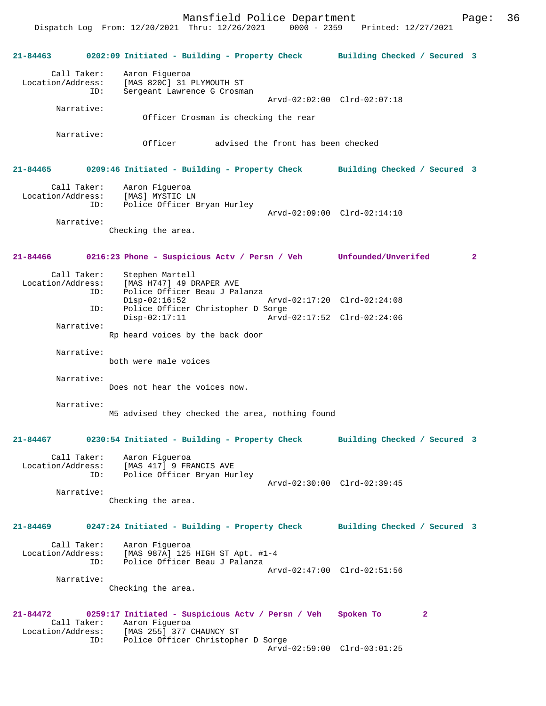Dispatch Log From: 12/20/2021 Thru: 12/26/2021 0000 - 2359 Printed: 12/27/2021

**21-84463 0202:09 Initiated - Building - Property Check Building Checked / Secured 3** Call Taker: Aaron Figueroa<br>Location/Address: [MAS 820C] 31 1 [MAS 820C] 31 PLYMOUTH ST ID: Sergeant Lawrence G Crosman Arvd-02:02:00 Clrd-02:07:18 Narrative: Officer Crosman is checking the rear Narrative: Officer advised the front has been checked **21-84465 0209:46 Initiated - Building - Property Check Building Checked / Secured 3** Call Taker: Aaron Figueroa Location/Address: [MAS] MYSTIC LN ID: Police Officer Bryan Hurley Arvd-02:09:00 Clrd-02:14:10 Narrative: Checking the area. **21-84466 0216:23 Phone - Suspicious Actv / Persn / Veh Unfounded/Unverifed 2** Call Taker: Stephen Martell Location/Address: [MAS H747] 49 DRAPER AVE Police Officer Beau J Palanza Disp-02:16:52 Arvd-02:17:20 Clrd-02:24:08<br>ID: Police Officer Christopher D Sorge Police Officer Christopher D Sorge<br>Disp-02:17:11 Arvd Arvd-02:17:52 Clrd-02:24:06 Narrative: Rp heard voices by the back door Narrative: both were male voices Narrative: Does not hear the voices now. Narrative: M5 advised they checked the area, nothing found **21-84467 0230:54 Initiated - Building - Property Check Building Checked / Secured 3** Call Taker: Aaron Figueroa<br>Location/Address: [MAS 417] 9 FR Location/Address: [MAS 417] 9 FRANCIS AVE ID: Police Officer Bryan Hurley Arvd-02:30:00 Clrd-02:39:45 Narrative: Checking the area. **21-84469 0247:24 Initiated - Building - Property Check Building Checked / Secured 3** Call Taker: Aaron Figueroa Location/Address: [MAS 987A] 125 HIGH ST Apt. #1-4 ID: Police Officer Beau J Palanza Arvd-02:47:00 Clrd-02:51:56 Narrative: Checking the area. **21-84472 0259:17 Initiated - Suspicious Actv / Persn / Veh Spoken To 2**  Call Taker: Aaron Figueroa<br>Location/Address: [MAS 255] 377 ess: [MAS 255] 377 CHAUNCY ST<br>ID: Police Officer Christophe Police Officer Christopher D Sorge Arvd-02:59:00 Clrd-03:01:25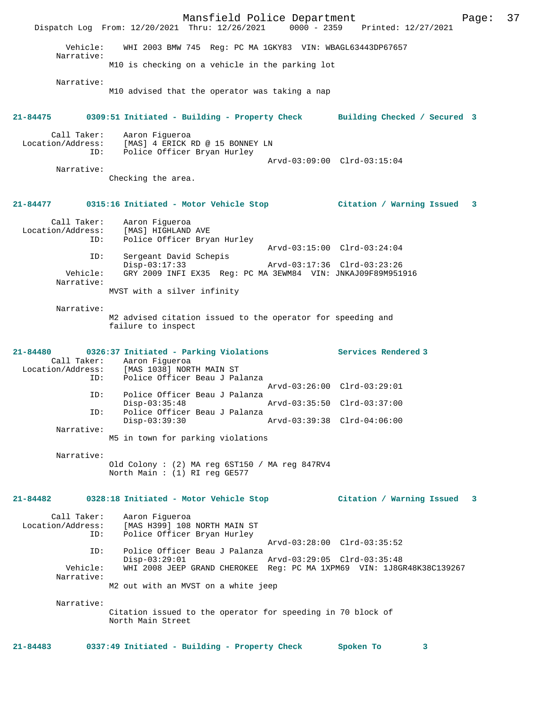Mansfield Police Department Page: 37 Dispatch Log From: 12/20/2021 Thru: 12/26/2021 Vehicle: WHI 2003 BMW 745 Reg: PC MA 1GKY83 VIN: WBAGL63443DP67657 Narrative: M10 is checking on a vehicle in the parking lot Narrative: M10 advised that the operator was taking a nap **21-84475 0309:51 Initiated - Building - Property Check Building Checked / Secured 3** Call Taker: Aaron Figueroa Location/Address: [MAS] 4 ERICK RD @ 15 BONNEY LN ID: Police Officer Bryan Hurley Arvd-03:09:00 Clrd-03:15:04 Narrative: Checking the area. **21-84477 0315:16 Initiated - Motor Vehicle Stop Citation / Warning Issued 3** Call Taker: Aaron Figueroa<br>Location/Address: [MAS] HIGHLAND Location/Address: [MAS] HIGHLAND AVE ID: Police Officer Bryan Hurley ID: Police Officer Bryan Hurley<br>Arvd-03:15:00 Clrd-03:24:04 ID: Sergeant David Schepis Disp-03:17:33 Arvd-03:17:36 Clrd-03:23:26 Vehicle: GRY 2009 INFI EX35 Reg: PC MA 3EWM84 VIN: JNKAJ09F89M951916 Narrative: MVST with a silver infinity Narrative: M2 advised citation issued to the operator for speeding and failure to inspect **21-84480 0326:37 Initiated - Parking Violations Services Rendered 3**  Call Taker: Aaron Figueroa<br>Location/Address: [MAS 1038] NOR: ess: [MAS 1038] NORTH MAIN ST<br>TD: Police Officer Beau J Pa Police Officer Beau J Palanza Arvd-03:26:00 Clrd-03:29:01<br>ID: Police Officer Beau J Palanza Police Officer Beau J Palanza Disp-03:35:48 Arvd-03:35:50 Clrd-03:37:00<br>TD: Police Officer Beau J Palanza Police Officer Beau J Palanza<br>Disp-03:39:30 Disp-03:39:30 Arvd-03:39:38 Clrd-04:06:00 Narrative: M5 in town for parking violations Narrative: Old Colony : (2) MA reg 6ST150 / MA reg 847RV4 North Main : (1) RI reg GE577 **21-84482 0328:18 Initiated - Motor Vehicle Stop Citation / Warning Issued 3** Call Taker: Aaron Figueroa Location/Address: [MAS H399] 108 NORTH MAIN ST ID: Police Officer Bryan Hurley Arvd-03:28:00 Clrd-03:35:52 ID: Police Officer Beau J Palanza Disp-03:29:01 Arvd-03:29:05 Clrd-03:35:48 Vehicle: WHI 2008 JEEP GRAND CHEROKEE Reg: PC MA 1XPM69 VIN: 1J8GR48K38C139267 Narrative: M2 out with an MVST on a white jeep Narrative: Citation issued to the operator for speeding in 70 block of North Main Street **21-84483 0337:49 Initiated - Building - Property Check Spoken To 3**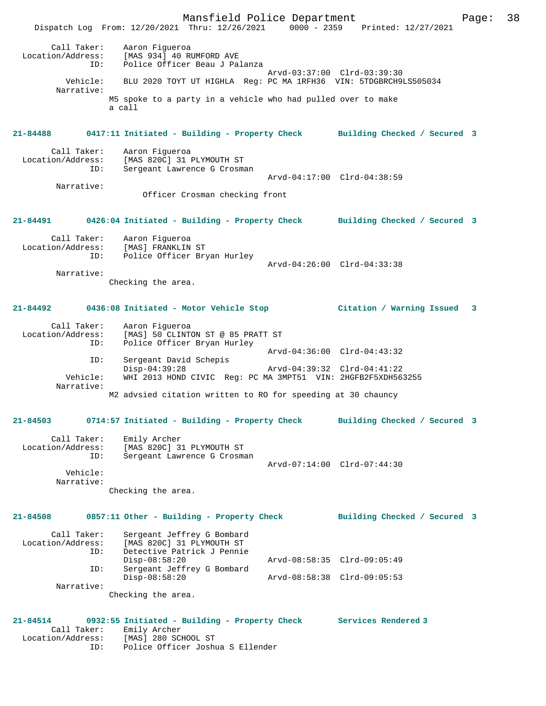Mansfield Police Department Page: 38 Dispatch Log From: 12/20/2021 Thru: 12/26/2021 0000 - 2359 Printed: 12/27/2021 Call Taker: Aaron Figueroa<br>Location/Address: [MAS 934] 40 RI [MAS 934] 40 RUMFORD AVE ID: Police Officer Beau J Palanza Arvd-03:37:00 Clrd-03:39:30 Vehicle: BLU 2020 TOYT UT HIGHLA Reg: PC MA 1RFH36 VIN: 5TDGBRCH9LS505034 Narrative: M5 spoke to a party in a vehicle who had pulled over to make a call **21-84488 0417:11 Initiated - Building - Property Check Building Checked / Secured 3** Call Taker: Aaron Figueroa<br>Location/Address: [MAS 820C] 31 I Location/Address: [MAS 820C] 31 PLYMOUTH ST ID: Sergeant Lawrence G Crosman Arvd-04:17:00 Clrd-04:38:59 Narrative: Officer Crosman checking front **21-84491 0426:04 Initiated - Building - Property Check Building Checked / Secured 3** Call Taker: Aaron Figueroa Location/Address: [MAS] FRANKLIN ST ID: Police Officer Bryan Hurley Arvd-04:26:00 Clrd-04:33:38 Narrative: Checking the area. **21-84492 0436:08 Initiated - Motor Vehicle Stop Citation / Warning Issued 3** Call Taker: Aaron Figueroa<br>Location/Address: [MAS] 50 CLINTO Location/Address: [MAS] 50 CLINTON ST @ 85 PRATT ST ID: Police Officer Bryan Hurley Arvd-04:36:00 Clrd-04:43:32 ID: Sergeant David Schepis Disp-04:39:28 Arvd-04:39:32 Clrd-04:41:22 Vehicle: WHI 2013 HOND CIVIC Reg: PC MA 3MPT51 VIN: 2HGFB2F5XDH563255 Narrative: M2 advsied citation written to RO for speeding at 30 chauncy **21-84503 0714:57 Initiated - Building - Property Check Building Checked / Secured 3** Call Taker: Emily Archer<br>Location/Address: [MAS 820C] 31 Location/Address: [MAS 820C] 31 PLYMOUTH ST ID: Sergeant Lawrence G Crosman ID: Sergeant Lawrence G Crosman<br>Arvd-07:14:00 Clrd-07:44:30 Vehicle: Narrative: Checking the area. **21-84508 0857:11 Other - Building - Property Check Building Checked / Secured 3** Call Taker: Sergeant Jeffrey G Bombard<br>Location/Address: [MAS 820C] 31 PLYMOUTH ST ess: [MAS 820C] 31 PLYMOUTH ST<br>TD: Detective Patrick J Pennie Detective Patrick J Pennie<br>Disp-08:58:20 Disp-08:58:20 Arvd-08:58:35 Clrd-09:05:49<br>ID: Sergeant Jeffrey G Bombard Sergeant Jeffrey G Bombard<br>Disp-08:58:20 Disp-08:58:20 Arvd-08:58:38 Clrd-09:05:53 Narrative: Checking the area. **21-84514 0932:55 Initiated - Building - Property Check Services Rendered 3**  Call Taker: Emily Archer Location/Address: [MAS] 280 SCHOOL ST

ID: Police Officer Joshua S Ellender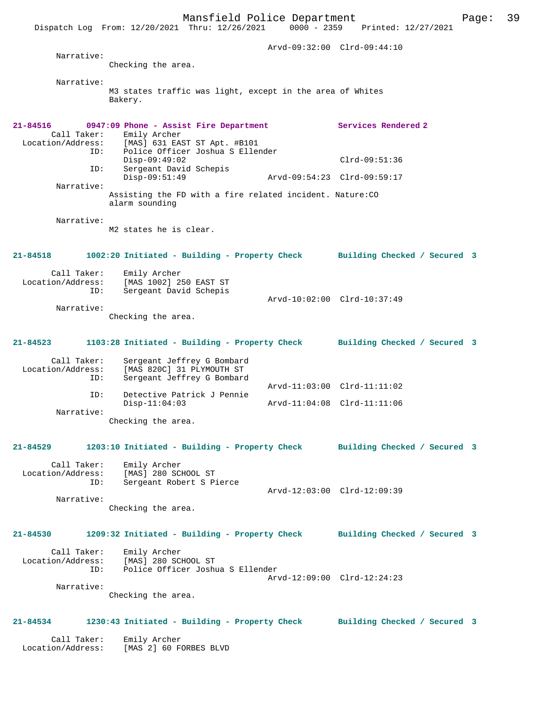Mansfield Police Department Page: 39 Dispatch Log From: 12/20/2021 Thru: 12/26/2021 0000 - 2359 Printed: 12/27/2021 Arvd-09:32:00 Clrd-09:44:10 Narrative: Checking the area. Narrative: M3 states traffic was light, except in the area of Whites Bakery. **21-84516 0947:09 Phone - Assist Fire Department Services Rendered 2**  Call Taker: Emily Archer<br>Location/Address: [MAS] 631 EA: Location/Address: [MAS] 631 EAST ST Apt. #B101 ID: Police Officer Joshua S Ellender Disp-09:49:02 Clrd-09:51:36 ID: Sergeant David Schepis Disp-09:51:49 Arvd-09:54:23 Clrd-09:59:17 Narrative:

Assisting the FD with a fire related incident. Nature:CO alarm sounding

Narrative:

M2 states he is clear.

**21-84518 1002:20 Initiated - Building - Property Check Building Checked / Secured 3** Call Taker: Emily Archer Location/Address: [MAS 1002] 250 EAST ST

Arvd-10:02:00 Clrd-10:37:49

 ID: Sergeant David Schepis Narrative:

Checking the area.

# **21-84523 1103:28 Initiated - Building - Property Check Building Checked / Secured 3**

| Call Taker:       | Sergeant Jeffrey G Bombard |                             |  |
|-------------------|----------------------------|-----------------------------|--|
| Location/Address: | [MAS 820C] 31 PLYMOUTH ST  |                             |  |
| ID:               | Sergeant Jeffrey G Bombard |                             |  |
|                   |                            | Arvd-11:03:00 Clrd-11:11:02 |  |
| ID:               | Detective Patrick J Pennie |                             |  |
|                   | $Disp-11:04:03$            | Arvd-11:04:08 Clrd-11:11:06 |  |
| Narrative:        |                            |                             |  |
|                   | Checking the area.         |                             |  |

#### **21-84529 1203:10 Initiated - Building - Property Check Building Checked / Secured 3**

 Call Taker: Emily Archer Location/Address: [MAS] 280 SCHOOL ST ID: Sergeant Robert S Pierce Arvd-12:03:00 Clrd-12:09:39 Narrative:

Checking the area.

#### **21-84530 1209:32 Initiated - Building - Property Check Building Checked / Secured 3**

| Call Taker:<br>Location/Address: | Emily Archer<br>[MAS] 280 SCHOOL ST |  |
|----------------------------------|-------------------------------------|--|
| TD:                              | Police Officer Joshua S Ellender    |  |
|                                  | Arvd-12:09:00 Clrd-12:24:23         |  |
| Narrative:                       |                                     |  |

Checking the area.

## **21-84534 1230:43 Initiated - Building - Property Check Building Checked / Secured 3**

 Call Taker: Emily Archer Location/Address: [MAS 2] 60 FORBES BLVD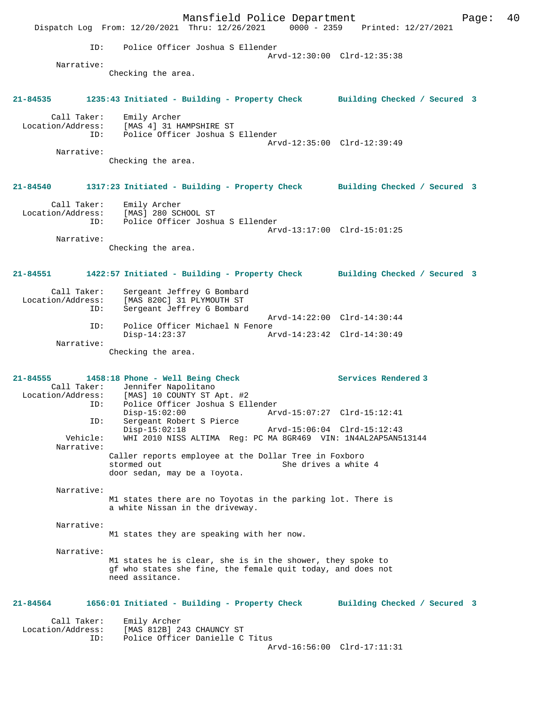Mansfield Police Department Page: 40 Dispatch Log From: 12/20/2021 Thru: 12/26/2021 ID: Police Officer Joshua S Ellender Arvd-12:30:00 Clrd-12:35:38 Narrative: Checking the area. **21-84535 1235:43 Initiated - Building - Property Check Building Checked / Secured 3** Call Taker: Emily Archer Location/Address: [MAS 4] 31 HAMPSHIRE ST ID: Police Officer Joshua S Ellender Arvd-12:35:00 Clrd-12:39:49 Narrative: Checking the area. **21-84540 1317:23 Initiated - Building - Property Check Building Checked / Secured 3** Call Taker: Emily Archer Location/Address: [MAS] 280 SCHOOL ST ID: Police Officer Joshua S Ellender Arvd-13:17:00 Clrd-15:01:25 Narrative: Checking the area. **21-84551 1422:57 Initiated - Building - Property Check Building Checked / Secured 3** Call Taker: Sergeant Jeffrey G Bombard Location/Address: [MAS 820C] 31 PLYMOUTH ST Sergeant Jeffrey G Bombard Arvd-14:22:00 Clrd-14:30:44 ID: Police Officer Michael N Fenore<br>Disp-14:23:37 A Disp-14:23:37 Arvd-14:23:42 Clrd-14:30:49 Narrative: Checking the area. **21-84555 1458:18 Phone - Well Being Check Services Rendered 3**  Call Taker: Jennifer Napolitano<br>Location/Address: [MAS] 10 COUNTY ST *I* [MAS] 10 COUNTY ST Apt. #2 ID: Police Officer Joshua S Ellender Disp-15:02:00 Arvd-15:07:27 Clrd-15:12:41<br>TD: Sergeant Robert S Pierce Sergeant Robert S Pierce<br>Disp-15:02:18 Disp-15:02:18 Arvd-15:06:04 Clrd-15:12:43 Vehicle: WHI 2010 NISS ALTIMA Reg: PC MA 8GR469 VIN: 1N4AL2AP5AN513144 Narrative: Caller reports employee at the Dollar Tree in Foxboro stormed out 800 She drives a white She drives a white 4 door sedan, may be a Toyota. Narrative: M1 states there are no Toyotas in the parking lot. There is a white Nissan in the driveway. Narrative: M1 states they are speaking with her now. Narrative: M1 states he is clear, she is in the shower, they spoke to gf who states she fine, the female quit today, and does not need assitance. **21-84564 1656:01 Initiated - Building - Property Check Building Checked / Secured 3** Call Taker: Emily Archer Location/Address: [MAS 812B] 243 CHAUNCY ST ID: Police Officer Danielle C Titus Arvd-16:56:00 Clrd-17:11:31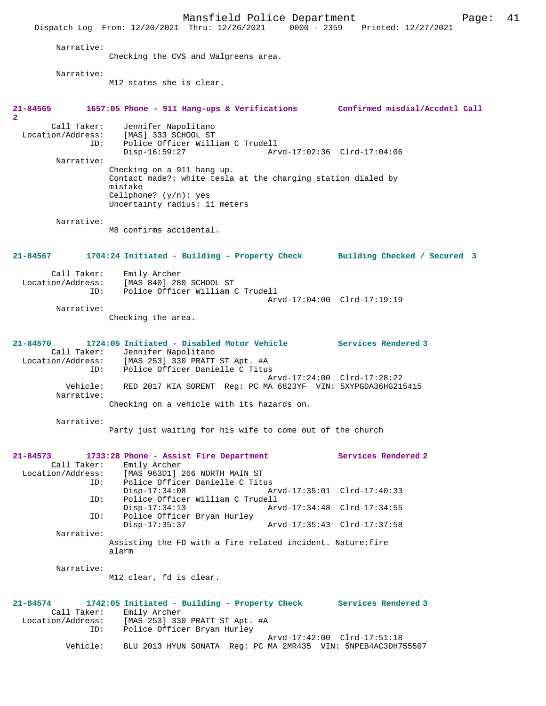Mansfield Police Department Page: 41 Dispatch Log From: 12/20/2021 Thru: 12/26/2021 Narrative: Checking the CVS and Walgreens area. Narrative: M12 states she is clear. **21-84565 1657:05 Phone - 911 Hang-ups & Verifications Confirmed misdial/Accdntl Call 2**  Call Taker: Jennifer Napolitano<br>Location/Address: [MAS] 333 SCHOOL ST ess: [MAS] 333 SCHOOL ST<br>ID: Police Officer Will: Police Officer William C Trudell Disp-16:59:27 Arvd-17:02:36 Clrd-17:04:06 Narrative: Checking on a 911 hang up. Contact made?: white tesla at the charging station dialed by mistake Cellphone? (y/n): yes Uncertainty radius: 11 meters Narrative: M8 confirms accidental. **21-84567 1704:24 Initiated - Building - Property Check Building Checked / Secured 3** Call Taker: Emily Archer<br>Location/Address: [MAS 840] 280 [MAS 840] 280 SCHOOL ST ID: Police Officer William C Trudell Arvd-17:04:00 Clrd-17:19:19 Narrative: Checking the area. **21-84570 1724:05 Initiated - Disabled Motor Vehicle Services Rendered 3**  Call Taker: Jennifer Napolitano Location/Address: [MAS 253] 330 PRATT ST Apt. #A ID: Police Officer Danielle C Titus Arvd-17:24:00 Clrd-17:28:22<br>Vehicle: RED 2017 KIA SORENT Reg: PC MA 6823YF VIN: 5XYPGDA36HG215 RED 2017 KIA SORENT Reg: PC MA 6823YF VIN: 5XYPGDA36HG215415 Narrative: Checking on a vehicle with its hazards on. Narrative: Party just waiting for his wife to come out of the church **21-84573 1733:28 Phone - Assist Fire Department Services Rendered 2**  Call Taker: Emily Archer<br>Location/Address: [MAS 963D1] [MAS 963D1] 266 NORTH MAIN ST ID: Police Officer Danielle C Titus Disp-17:34:08 Arvd-17:35:01 Clrd-17:40:33<br>ID: Police Officer William C Trudell Police Officer William C Trudell Disp-17:34:13 Arvd-17:34:48 Clrd-17:34:55<br>ID: Police Officer Brvan Hurley Police Officer Bryan Hurley<br>Disp-17:35:37 Disp-17:35:37 Arvd-17:35:43 Clrd-17:37:58 Narrative: Assisting the FD with a fire related incident. Nature:fire alarm Narrative: M12 clear, fd is clear. **21-84574 1742:05 Initiated - Building - Property Check Services Rendered 3**  Call Taker: Emily Archer Location/Address: [MAS 253] 330 PRATT ST Apt. #A ID: Police Officer Bryan Hurley Arvd-17:42:00 Clrd-17:51:18<br>Vehicle: BLU 2013 HYUN SONATA Reg: PC MA 2MR435 VIN: 5NPEB4AC3DH7 BLU 2013 HYUN SONATA Reg: PC MA 2MR435 VIN: 5NPEB4AC3DH755507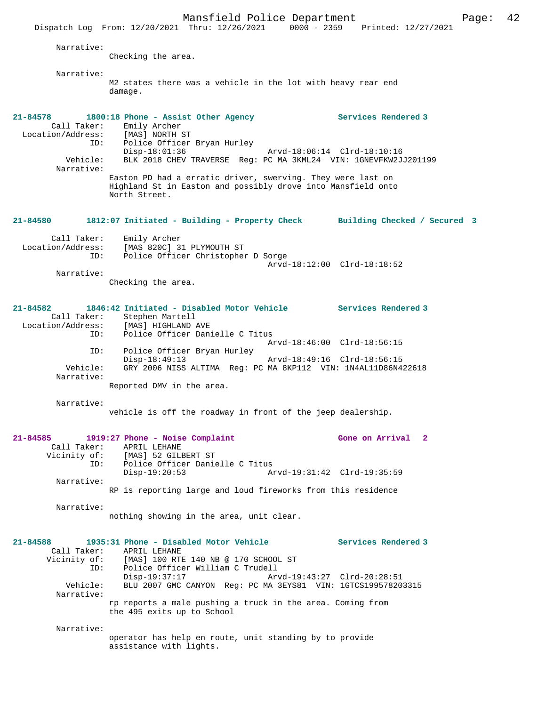Dispatch Log From: 12/20/2021 Thru: 12/26/2021 0000 - 2359 Printed: 12/27/2021 Narrative: Checking the area. Narrative: M2 states there was a vehicle in the lot with heavy rear end damage. **21-84578 1800:18 Phone - Assist Other Agency Services Rendered 3**  Call Taker: Emily Archer Location/Address: [MAS] NORTH ST ID: Police Officer Bryan Hurley Disp-18:01:36 Arvd-18:06:14 Clrd-18:10:16<br>Vehicle: BLK 2018 CHEV TRAVERSE Req: PC MA 3KML24 VIN: 1GNEVFKW2J BLK 2018 CHEV TRAVERSE Reg: PC MA 3KML24 VIN: 1GNEVFKW2JJ201199 Narrative: Easton PD had a erratic driver, swerving. They were last on Highland St in Easton and possibly drove into Mansfield onto North Street. **21-84580 1812:07 Initiated - Building - Property Check Building Checked / Secured 3** Call Taker: Emily Archer Location/Address: [MAS 820C] 31 PLYMOUTH ST ID: Police Officer Christopher D Sorge Arvd-18:12:00 Clrd-18:18:52 Narrative: Checking the area. **21-84582 1846:42 Initiated - Disabled Motor Vehicle Services Rendered 3**  Call Taker: Stephen Martell<br>Location/Address: [MAS] HIGHLAND *1* [MAS] HIGHLAND AVE ID: Police Officer Danielle C Titus Arvd-18:46:00 Clrd-18:56:15 ID: Police Officer Bryan Hurley<br>Disp-18:49:13 Disp-18:49:13 Arvd-18:49:16 Clrd-18:56:15 Vehicle: GRY 2006 NISS ALTIMA Reg: PC MA 8KP112 VIN: 1N4AL11D86N422618 Narrative: Reported DMV in the area. Narrative: vehicle is off the roadway in front of the jeep dealership. **21-84585 1919:27 Phone - Noise Complaint Gone on Arrival 2**  Call Taker: APRIL LEHANE Vicinity of: [MAS] 52 GILBERT ST ID: Police Officer Danielle C Titus<br>Disp-19:20:53 A Arvd-19:31:42 Clrd-19:35:59 Narrative: RP is reporting large and loud fireworks from this residence Narrative: nothing showing in the area, unit clear. **21-84588 1935:31 Phone - Disabled Motor Vehicle Services Rendered 3**  Call Taker: APRIL LEHANE<br>Vicinity of: [MAS] 100 RTI of: [MAS] 100 RTE 140 NB @ 170 SCHOOL ST<br>ID: Police Officer William C Trudell ID: Police Officer William C Trudell Disp-19:37:17 Arvd-19:43:27 Clrd-20:28:51 Vehicle: BLU 2007 GMC CANYON Reg: PC MA 3EYS81 VIN: 1GTCS199578203315 Narrative: rp reports a male pushing a truck in the area. Coming from the 495 exits up to School Narrative: operator has help en route, unit standing by to provide assistance with lights.

Mansfield Police Department Form Page: 42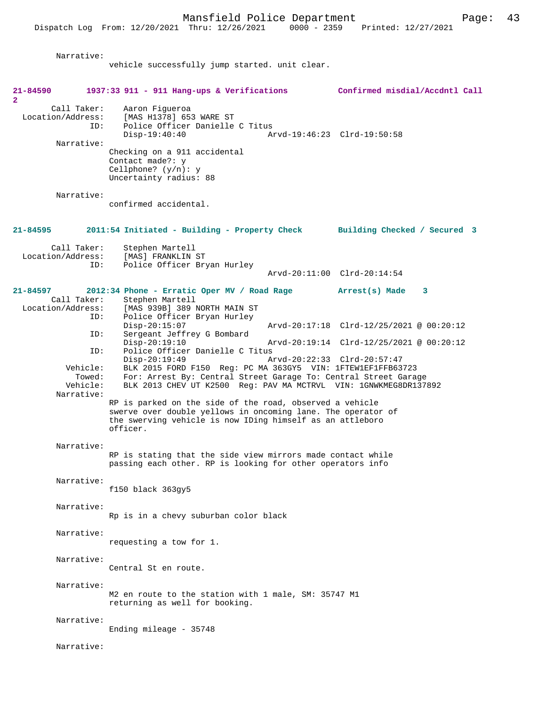| Narrative:                              | vehicle successfully jump started. unit clear.                                                                                                                                                     |                                                                         |
|-----------------------------------------|----------------------------------------------------------------------------------------------------------------------------------------------------------------------------------------------------|-------------------------------------------------------------------------|
|                                         |                                                                                                                                                                                                    |                                                                         |
| 21-84590<br>$\overline{2}$              | 1937:33 911 - 911 Hang-ups & Verifications                                                                                                                                                         | Confirmed misdial/Accdntl Call                                          |
| Call Taker:<br>ID:                      | Aaron Figueroa<br>Location/Address: [MAS H1378] 653 WARE ST<br>Police Officer Danielle C Titus<br>$Disp-19:40:40$                                                                                  | Arvd-19:46:23 Clrd-19:50:58                                             |
| Narrative:                              | Checking on a 911 accidental<br>Contact made?: y<br>Cellphone? $(y/n): y$<br>Uncertainty radius: 88                                                                                                |                                                                         |
| Narrative:                              | confirmed accidental.                                                                                                                                                                              |                                                                         |
| 21-84595                                | 2011:54 Initiated - Building - Property Check Building Checked / Secured 3                                                                                                                         |                                                                         |
| Call Taker:<br>Location/Address:<br>ID: | Stephen Martell<br>[MAS] FRANKLIN ST<br>Police Officer Bryan Hurley                                                                                                                                |                                                                         |
|                                         |                                                                                                                                                                                                    | Arvd-20:11:00 Clrd-20:14:54                                             |
| $21 - 84597$<br>Call Taker:             | 2012:34 Phone - Erratic Oper MV / Road Rage Arrest(s) Made<br>Stephen Martell                                                                                                                      | 3                                                                       |
| ID:<br>ID:                              | Location/Address: [MAS 939B] 389 NORTH MAIN ST<br>Police Officer Bryan Hurley<br>$Disp-20:15:07$<br>Sergeant Jeffrey G Bombard                                                                     | Arvd-20:17:18 Clrd-12/25/2021 @ 00:20:12                                |
| ID:                                     | $Disp-20:19:10$<br>Police Officer Danielle C Titus<br>$Disp-20:19:49$                                                                                                                              | Arvd-20:19:14 Clrd-12/25/2021 @ 00:20:12<br>Arvd-20:22:33 Clrd-20:57:47 |
| Vehicle:<br>Towed:<br>Vehicle:          | BLK 2015 FORD F150 Req: PC MA 363GY5 VIN: 1FTEW1EF1FFB63723<br>For: Arrest By: Central Street Garage To: Central Street Garage<br>BLK 2013 CHEV UT K2500 Reg: PAV MA MCTRVL VIN: 1GNWKMEG8DR137892 |                                                                         |
| Narrative:                              | RP is parked on the side of the road, observed a vehicle<br>swerve over double yellows in oncoming lane. The operator of<br>the swerving vehicle is now IDing himself as an attleboro<br>officer.  |                                                                         |
| Narrative:                              | RP is stating that the side view mirrors made contact while<br>passing each other. RP is looking for other operators info                                                                          |                                                                         |
| Narrative:                              | $f150$ black $363gy5$                                                                                                                                                                              |                                                                         |
| Narrative:                              | Rp is in a chevy suburban color black                                                                                                                                                              |                                                                         |
| Narrative:                              | requesting a tow for 1.                                                                                                                                                                            |                                                                         |
| Narrative:                              | Central St en route.                                                                                                                                                                               |                                                                         |
| Narrative:                              | M2 en route to the station with 1 male, SM: 35747 M1<br>returning as well for booking.                                                                                                             |                                                                         |
| Narrative:                              | Ending mileage $-35748$                                                                                                                                                                            |                                                                         |
| Narrative:                              |                                                                                                                                                                                                    |                                                                         |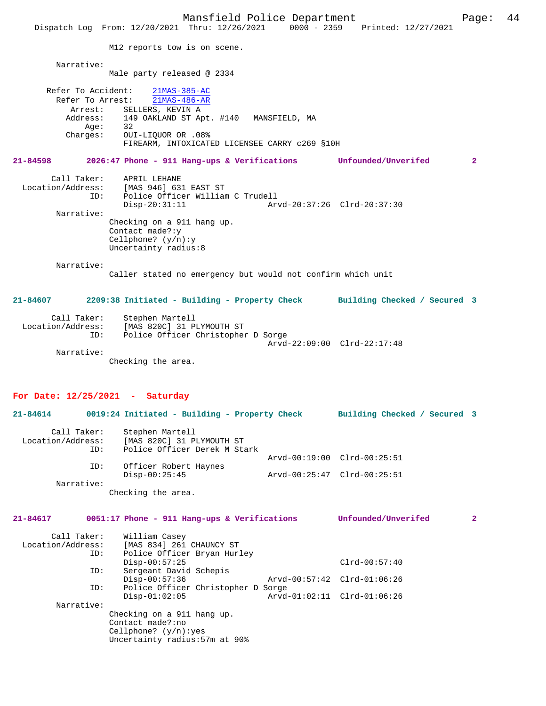Mansfield Police Department<br>Thru:  $12/26/2021$  0000 - 2359 Printed:  $12/27/2021$ Dispatch Log From: 12/20/2021 Thru: 12/26/2021 M12 reports tow is on scene. Narrative: Male party released @ 2334 Refer To Accident: 21MAS-385-AC Refer To Arrest: 21MAS-486-AR Arrest: SELLERS, KEVIN A<br>Address: 149 OAKLAND ST Ap 149 OAKLAND ST Apt. #140 MANSFIELD, MA<br>32 Age:<br>:Charges Charges: OUI-LIQUOR OR .08% FIREARM, INTOXICATED LICENSEE CARRY c269 §10H **21-84598 2026:47 Phone - 911 Hang-ups & Verifications Unfounded/Unverifed 2** Call Taker: APRIL LEHANE Location/Address: [MAS 946] 631 EAST ST Police Officer William C Trudell<br>Disp-20:31:11 Ar Disp-20:31:11 Arvd-20:37:26 Clrd-20:37:30 Narrative: Checking on a 911 hang up. Contact made?:y Cellphone? (y/n):y Uncertainty radius:8 Narrative: Caller stated no emergency but would not confirm which unit **21-84607 2209:38 Initiated - Building - Property Check Building Checked / Secured 3** Call Taker: Stephen Martell Location/Address: [MAS 820C] 31 PLYMOUTH ST Police Officer Christopher D Sorge Arvd-22:09:00 Clrd-22:17:48 Narrative: Checking the area. **For Date: 12/25/2021 - Saturday 21-84614 0019:24 Initiated - Building - Property Check Building Checked / Secured 3** Call Taker: Stephen Martell<br>Location/Address: [MAS 820C] 31 P ess: [MAS 820C] 31 PLYMOUTH ST<br>ID: Police Officer Derek M Sta Police Officer Derek M Stark Arvd-00:19:00 Clrd-00:25:51 ID: Officer Robert Haynes Disp-00:25:45 Arvd-00:25:47 Clrd-00:25:51 Narrative: Checking the area. **21-84617 0051:17 Phone - 911 Hang-ups & Verifications Unfounded/Unverifed 2** Call Taker: William Casey Location/Address: [MAS 834] 261 CHAUNCY ST Police Officer Bryan Hurley Disp-00:57:25 Clrd-00:57:40 ID: Sergeant David Schepis Disp-00:57:36 Arvd-00:57:42 Clrd-01:06:26<br>ID: Police Officer Christopher D Sorge Police Officer Christopher D Sorge<br>Disp-01:02:05 Arvd Disp-01:02:05 Arvd-01:02:11 Clrd-01:06:26 Narrative: Checking on a 911 hang up. Contact made?:no Cellphone? (y/n):yes Uncertainty radius:57m at 90%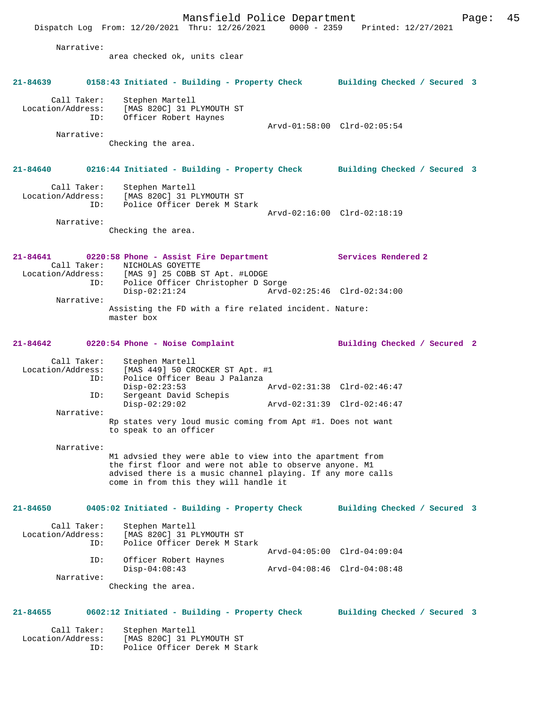Mansfield Police Department Page: 45 Dispatch Log From: 12/20/2021 Thru: 12/26/2021 0000 - 2359 Printed: 12/27/2021 Narrative: area checked ok, units clear **21-84639 0158:43 Initiated - Building - Property Check Building Checked / Secured 3** Call Taker: Stephen Martell Location/Address: [MAS 820C] 31 PLYMOUTH ST<br>ID: Officer Robert Haynes Officer Robert Haynes Arvd-01:58:00 Clrd-02:05:54 Narrative: Checking the area. **21-84640 0216:44 Initiated - Building - Property Check Building Checked / Secured 3** Call Taker: Stephen Martell Location/Address: [MAS 820C] 31 PLYMOUTH ST ID: Police Officer Derek M Stark Arvd-02:16:00 Clrd-02:18:19 Narrative: Checking the area. **21-84641 0220:58 Phone - Assist Fire Department Services Rendered 2**  Call Taker: NICHOLAS GOYETTE<br>Location/Address: [MAS 9] 25 COBB [MAS 9] 25 COBB ST Apt. #LODGE ID: Police Officer Christopher D Sorge Disp-02:21:24 Arvd-02:25:46 Clrd-02:34:00 Narrative: Assisting the FD with a fire related incident. Nature: master box **21-84642 0220:54 Phone - Noise Complaint Building Checked / Secured 2** Call Taker: Stephen Martell Location/Address: [MAS 449] 50 CROCKER ST Apt. #1 ID: Police Officer Beau J Palanza Disp-02:23:53 Arvd-02:31:38 Clrd-02:46:47 ID: Sergeant David Schepis Disp-02:29:02 Arvd-02:31:39 Clrd-02:46:47 Narrative: Rp states very loud music coming from Apt #1. Does not want to speak to an officer Narrative: M1 advsied they were able to view into the apartment from the first floor and were not able to observe anyone. M1 advised there is a music channel playing. If any more calls come in from this they will handle it **21-84650 0405:02 Initiated - Building - Property Check Building Checked / Secured 3** Call Taker: Stephen Martell<br>Location/Address: [MAS 820C] 31 P ess: [MAS 820C] 31 PLYMOUTH ST<br>ID: Police Officer Derek M Sta Police Officer Derek M Stark Arvd-04:05:00 Clrd-04:09:04 ID: Officer Robert Haynes Disp-04:08:43 Arvd-04:08:46 Clrd-04:08:48 Narrative: Checking the area. **21-84655 0602:12 Initiated - Building - Property Check Building Checked / Secured 3** Call Taker: Stephen Martell Location/Address: [MAS 820C] 31 PLYMOUTH ST ID: Police Officer Derek M Stark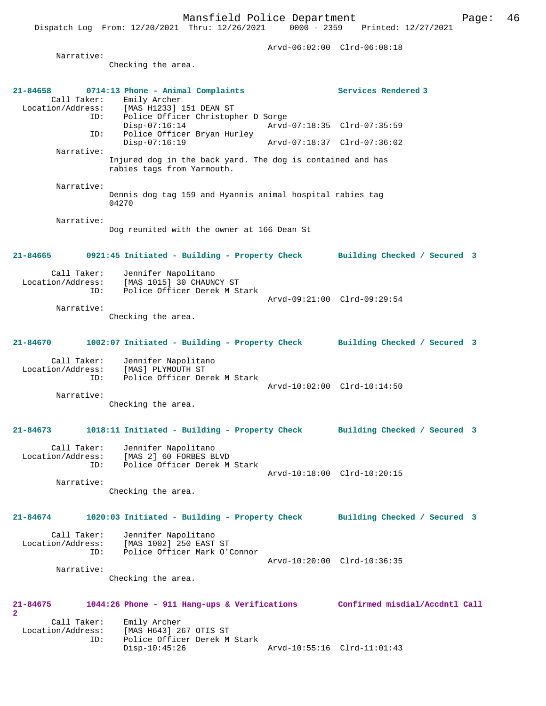Dispatch Log From: 12/20/2021 Thru: 12/26/2021

 Arvd-06:02:00 Clrd-06:08:18 Narrative: Checking the area. **21-84658 0714:13 Phone - Animal Complaints Services Rendered 3**  Call Taker: Emily Archer<br>Location/Address: [MAS H1233] Location/Address: [MAS H1233] 151 DEAN ST ID: Police Officer Christopher D Sorge Disp-07:16:14 Arvd-07:18:35 Clrd-07:35:59<br>TD: Police Officer Bryan Hurley Police Officer Bryan Hurley<br>Disp-07:16:19 Disp-07:16:19 Arvd-07:18:37 Clrd-07:36:02 Narrative: Injured dog in the back yard. The dog is contained and has rabies tags from Yarmouth. Narrative: Dennis dog tag 159 and Hyannis animal hospital rabies tag 04270 Narrative: Dog reunited with the owner at 166 Dean St **21-84665 0921:45 Initiated - Building - Property Check Building Checked / Secured 3** Call Taker: Jennifer Napolitano<br>Location/Address: [MAS 1015] 30 CHAUNO [MAS 1015] 30 CHAUNCY ST ID: Police Officer Derek M Stark Arvd-09:21:00 Clrd-09:29:54 Narrative: Checking the area. **21-84670 1002:07 Initiated - Building - Property Check Building Checked / Secured 3** Call Taker: Jennifer Napolitano<br>Location/Address: [MAS] PLYMOUTH ST ess: [MAS] PLYMOUTH ST<br>ID: Police Officer Der Police Officer Derek M Stark Arvd-10:02:00 Clrd-10:14:50 Narrative: Checking the area. **21-84673 1018:11 Initiated - Building - Property Check Building Checked / Secured 3** Call Taker: Jennifer Napolitano<br>Location/Address: [MAS 2] 60 FORBES BI ess: [MAS 2] 60 FORBES BLVD<br>ID: Police Officer Derek M Police Officer Derek M Stark Arvd-10:18:00 Clrd-10:20:15 Narrative: Checking the area. **21-84674 1020:03 Initiated - Building - Property Check Building Checked / Secured 3** Call Taker: Jennifer Napolitano Location/Address: [MAS 1002] 250 EAST ST<br>TD: Police Officer Mark O'O Police Officer Mark O'Connor Arvd-10:20:00 Clrd-10:36:35 Narrative: Checking the area. **21-84675 1044:26 Phone - 911 Hang-ups & Verifications Confirmed misdial/Accdntl Call 2**  Call Taker: Emily Archer<br>Location/Address: [MAS H643] 2 [MAS H643] 267 OTIS ST ID: Police Officer Derek M Stark Disp-10:45:26 Arvd-10:55:16 Clrd-11:01:43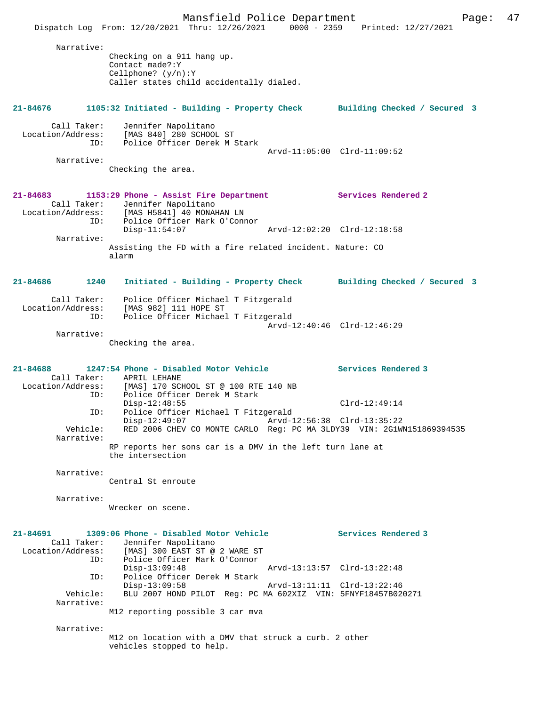Mansfield Police Department Page: 47 Dispatch Log From: 12/20/2021 Thru: 12/26/2021 0000 - 2359 Printed: 12/27/2021 Narrative: Checking on a 911 hang up. Contact made?:Y Cellphone? (y/n):Y Caller states child accidentally dialed. **21-84676 1105:32 Initiated - Building - Property Check Building Checked / Secured 3** Call Taker: Jennifer Napolitano Location/Address: [MAS 840] 280 SCHOOL ST ID: Police Officer Derek M Stark Arvd-11:05:00 Clrd-11:09:52 Narrative: Checking the area. **21-84683 1153:29 Phone - Assist Fire Department Services Rendered 2**  Call Taker: Jennifer Napolitano<br>Location/Address: [MAS H5841] 40 MONAR ess: [MAS H5841] 40 MONAHAN LN<br>ID: Police Officer Mark O'Com Police Officer Mark O'Connor Disp-11:54:07 Arvd-12:02:20 Clrd-12:18:58 Narrative: Assisting the FD with a fire related incident. Nature: CO alarm **21-84686 1240 Initiated - Building - Property Check Building Checked / Secured 3** Call Taker: Police Officer Michael T Fitzgerald Location/Address: [MAS 982] 111 HOPE ST ID: Police Officer Michael T Fitzgerald Arvd-12:40:46 Clrd-12:46:29 Narrative: Checking the area. **21-84688 1247:54 Phone - Disabled Motor Vehicle Services Rendered 3**  Call Taker: APRIL LEHANE<br>Location/Address: [MAS] 170 SCI ess: [MAS] 170 SCHOOL ST @ 100 RTE 140 NB<br>ID: Police Officer Derek M Stark Police Officer Derek M Stark Disp-12:48:55 Clrd-12:49:14<br>TD: Police Officer Michael T Fitzgerald ID: Police Officer Michael T Fitzgerald Arvd-12:56:38 Clrd-13:35:22 Vehicle: RED 2006 CHEV CO MONTE CARLO Reg: PC MA 3LDY39 VIN: 2G1WN151869394535 Narrative: RP reports her sons car is a DMV in the left turn lane at the intersection Narrative: Central St enroute Narrative: Wrecker on scene. **21-84691 1309:06 Phone - Disabled Motor Vehicle Services Rendered 3**  Call Taker: Jennifer Napolitano<br>Location/Address: [MAS] 300 EAST ST @ ess: [MAS] 300 EAST ST @ 2 WARE ST<br>TD: Police Officer Mark O'Connor Police Officer Mark O'Connor<br>Disp-13:09:48 Disp-13:09:48 Arvd-13:13:57 Clrd-13:22:48<br>ID: Police Officer Derek M Stark Police Officer Derek M Stark Disp-13:09:58 Arvd-13:11:11 Clrd-13:22:46<br>Vehicle: BLU 2007 HOND PILOT Req: PC MA 602XIZ VIN: 5ENVE18457B02 BLU 2007 HOND PILOT Reg: PC MA 602XIZ VIN: 5FNYF18457B020271 Narrative: M12 reporting possible 3 car mva Narrative: M12 on location with a DMV that struck a curb. 2 other vehicles stopped to help.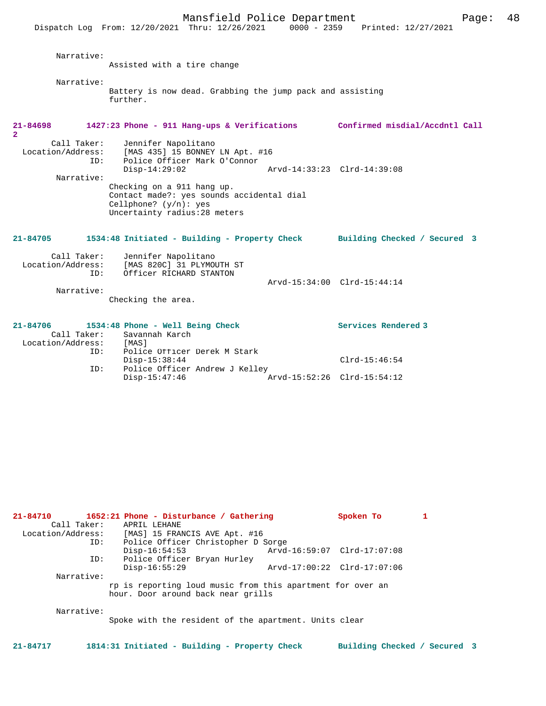Mansfield Police Department Form Page: 48 Dispatch Log From: 12/20/2021 Thru: 12/26/2021 0000 - 2359 Printed: 12/27/2021 Narrative: Assisted with a tire change Narrative: Battery is now dead. Grabbing the jump pack and assisting further. **21-84698 1427:23 Phone - 911 Hang-ups & Verifications Confirmed misdial/Accdntl Call 2**  Call Taker: Jennifer Napolitano Location/Address: [MAS 435] 15 BONNEY LN Apt. #16<br>ID: Police Officer Mark O'Connor Police Officer Mark O'Connor<br>Disp-14:29:02 Disp-14:29:02 Arvd-14:33:23 Clrd-14:39:08 Narrative: Checking on a 911 hang up. Contact made?: yes sounds accidental dial Cellphone? (y/n): yes Uncertainty radius:28 meters **21-84705 1534:48 Initiated - Building - Property Check Building Checked / Secured 3** Call Taker: Jennifer Napolitano Location/Address: [MAS 820C] 31 PLYMOUTH ST Officer RICHARD STANTON Arvd-15:34:00 Clrd-15:44:14 Narrative: Checking the area. **21-84706 1534:48 Phone - Well Being Check Services Rendered 3** 

Disp-15:38:44 Clrd-15:46:54

 $Arvd-15:52:26$  Clrd-15:54:12

| 21-84710          | 1652:21 Phone - Disturbance / Gathering                                                          | Spoken To                   |  |
|-------------------|--------------------------------------------------------------------------------------------------|-----------------------------|--|
| Call Taker:       | APRIL LEHANE                                                                                     |                             |  |
| Location/Address: | [MAS] 15 FRANCIS AVE Apt. #16                                                                    |                             |  |
| ID:               | Police Officer Christopher D Sorge                                                               |                             |  |
|                   | $Disp-16:54:53$                                                                                  | Arvd-16:59:07 Clrd-17:07:08 |  |
| ID:               | Police Officer Bryan Hurley                                                                      |                             |  |
|                   | $Disp-16:55:29$                                                                                  | Arvd-17:00:22 Clrd-17:07:06 |  |
| Narrative:        |                                                                                                  |                             |  |
|                   | rp is reporting loud music from this apartment for over an<br>hour. Door around back near grills |                             |  |
| Narrative:        | Spoke with the resident of the apartment. Units clear                                            |                             |  |

Call Taker: Savannah Karch<br>ion/Address: [MAS]

Police Officer Derek M Stark<br>Disp-15:38:44

ID: Police Officer Andrew J Kelley<br>Disp-15:47:46

Location/Address:<br>
ID:

**21-84717 1814:31 Initiated - Building - Property Check Building Checked / Secured 3**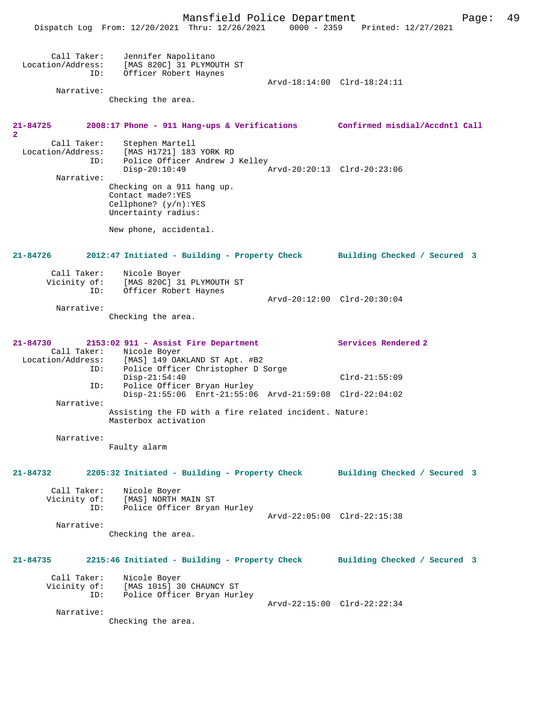Mansfield Police Department Fage: 49 Dispatch Log From: 12/20/2021 Thru: 12/26/2021 0000 - 2359 Printed: 12/27/2021 Call Taker: Jennifer Napolitano Location/Address: [MAS 820C] 31 PLYMOUTH ST ID: Officer Robert Haynes Arvd-18:14:00 Clrd-18:24:11 Narrative: Checking the area. **21-84725 2008:17 Phone - 911 Hang-ups & Verifications Confirmed misdial/Accdntl Call 2**  Call Taker: Stephen Martell Location/Address: [MAS H1721] 183 YORK RD ID: Police Officer Andrew J Kelley<br>Disp-20:10:49 Disp-20:10:49 Arvd-20:20:13 Clrd-20:23:06 Narrative: Checking on a 911 hang up. Contact made?:YES Cellphone? (y/n):YES Uncertainty radius: New phone, accidental. **21-84726 2012:47 Initiated - Building - Property Check Building Checked / Secured 3** Call Taker: Nicole Boyer Vicinity of: [MAS 820C] 31 PLYMOUTH ST ID: Officer Robert Haynes Arvd-20:12:00 Clrd-20:30:04 Narrative: Checking the area. **21-84730 2153:02 911 - Assist Fire Department Services Rendered 2**  Call Taker: Nicole Boyer<br>Location/Address: [MAS] 149 OA [MAS] 149 OAKLAND ST Apt. #B2 ID: Police Officer Christopher D Sorge Disp-21:54:40 Clrd-21:55:09<br>ID: Police Officer Bryan Hurley Police Officer Bryan Hurley Disp-21:55:06 Enrt-21:55:06 Arvd-21:59:08 Clrd-22:04:02 Narrative: Assisting the FD with a fire related incident. Nature: Masterbox activation Narrative: Faulty alarm **21-84732 2205:32 Initiated - Building - Property Check Building Checked / Secured 3** Call Taker: Nicole Boyer<br>Vicinity of: [MAS] NORTH I [MAS] NORTH MAIN ST ID: Police Officer Bryan Hurley Arvd-22:05:00 Clrd-22:15:38 Narrative: Checking the area. **21-84735 2215:46 Initiated - Building - Property Check Building Checked / Secured 3** Call Taker: Nicole Boyer Vicinity of: [MAS 1015] 30 CHAUNCY ST ID: Police Officer Bryan Hurley Arvd-22:15:00 Clrd-22:22:34 Narrative: Checking the area.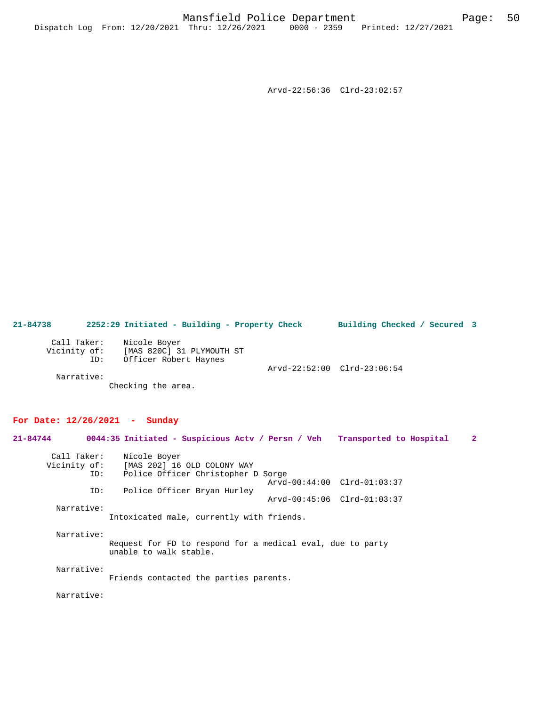Arvd-22:56:36 Clrd-23:02:57

**21-84738 2252:29 Initiated - Building - Property Check Building Checked / Secured 3** Call Taker: Nicole Boyer Vicinity of: [MAS 820C] 31 PLYMOUTH ST ID: Officer Robert Haynes Arvd-22:52:00 Clrd-23:06:54 Narrative: Checking the area.

# **For Date: 12/26/2021 - Sunday**

**21-84744 0044:35 Initiated - Suspicious Actv / Persn / Veh Transported to Hospital 2** Call Taker: Nicole Boyer<br>Vicinity of: [MAS 202] 16 of: [MAS 202] 16 OLD COLONY WAY<br>ID: Police Officer Christopher I Police Officer Christopher D Sorge Arvd-00:44:00 Clrd-01:03:37<br>ID: Police Officer Bryan Hurley Police Officer Bryan Hurley Arvd-00:45:06 Clrd-01:03:37 Narrative: Intoxicated male, currently with friends. Narrative: Request for FD to respond for a medical eval, due to party unable to walk stable. Narrative: Friends contacted the parties parents.

Narrative: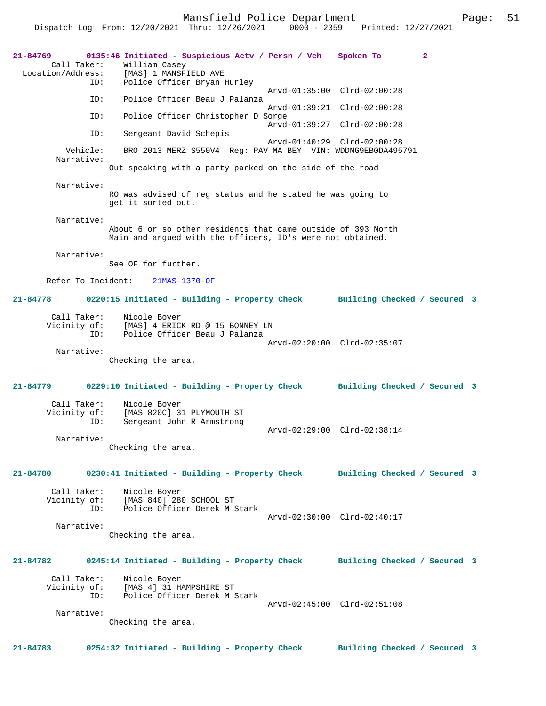Mansfield Police Department Page: 51 Dispatch Log From: 12/20/2021 Thru: 12/26/2021

**21-84769 0135:46 Initiated - Suspicious Actv / Persn / Veh Spoken To 2**  Call Taker: William Casey<br>Location/Address: [MAS] 1 MANSF ess: [MAS] 1 MANSFIELD AVE<br>ID: Police Officer Bryan Police Officer Bryan Hurley Arvd-01:35:00 Clrd-02:00:28<br>TD: Police Officer Beau J Palanza Police Officer Beau J Palanza Arvd-01:39:21 Clrd-02:00:28<br>TD: Police Officer Christopher D Sorge Police Officer Christopher D Sorge Arvd-01:39:27 Clrd-02:00:28 ID: Sergeant David Schepis Arvd-01:40:29 Clrd-02:00:28<br>Vehicle: BRO 2013 MERZ S550V4 Reg: PAV MA BEY VIN: WDDNG9EB0DA495 BRO 2013 MERZ S550V4 Reg: PAV MA BEY VIN: WDDNG9EB0DA495791 Narrative: Out speaking with a party parked on the side of the road Narrative: RO was advised of reg status and he stated he was going to get it sorted out. Narrative: About 6 or so other residents that came outside of 393 North Main and argued with the officers, ID's were not obtained. Narrative: See OF for further. Refer To Incident: 21MAS-1370-OF **21-84778 0220:15 Initiated - Building - Property Check Building Checked / Secured 3** Call Taker: Nicole Boyer Vicinity of: [MAS] 4 ERICK RD @ 15 BONNEY LN ID: Police Officer Beau J Palanza Arvd-02:20:00 Clrd-02:35:07 Narrative: Checking the area. **21-84779 0229:10 Initiated - Building - Property Check Building Checked / Secured 3** Call Taker: Nicole Boyer Vicinity of: [MAS 820C] 31 PLYMOUTH ST<br>TD: Sergeant John R Armstrong Sergeant John R Armstrong Arvd-02:29:00 Clrd-02:38:14 Narrative: Checking the area. **21-84780 0230:41 Initiated - Building - Property Check Building Checked / Secured 3** Call Taker: Nicole Boyer<br>Vicinity of: [MAS 840] 28 of: [MAS 840] 280 SCHOOL ST<br>ID: Police Officer Derek M 3 Police Officer Derek M Stark Arvd-02:30:00 Clrd-02:40:17 Narrative: Checking the area. **21-84782 0245:14 Initiated - Building - Property Check Building Checked / Secured 3** Call Taker: Nicole Boyer<br>Vicinity of: [MAS 4] 31 H. of: [MAS 4] 31 HAMPSHIRE ST<br>TD: Police Officer Derek M : Police Officer Derek M Stark Arvd-02:45:00 Clrd-02:51:08 Narrative: Checking the area. **21-84783 0254:32 Initiated - Building - Property Check Building Checked / Secured 3**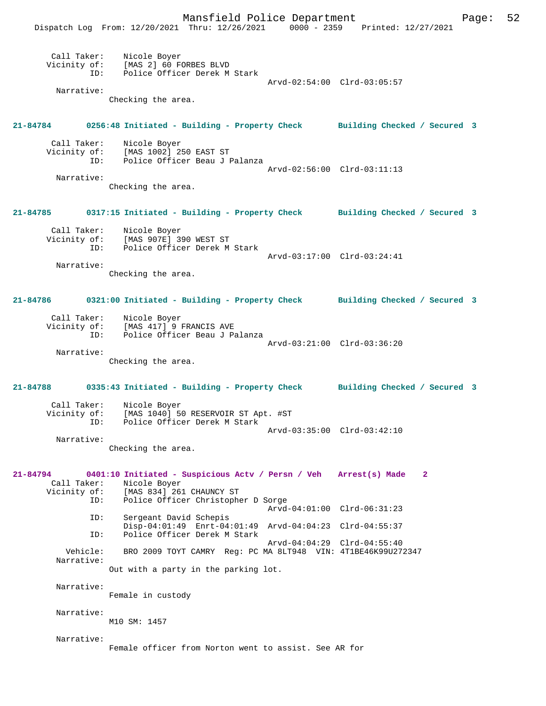Mansfield Police Department Form Page: 52 Dispatch Log From: 12/20/2021 Thru: 12/26/2021 0000 - 2359 Printed: 12/27/2021 Call Taker: Nicole Boyer Vicinity of: [MAS 2] 60 FORBES BLVD ID: Police Officer Derek M Stark Arvd-02:54:00 Clrd-03:05:57 Narrative: Checking the area. **21-84784 0256:48 Initiated - Building - Property Check Building Checked / Secured 3** Call Taker: Nicole Boyer Vicinity of: [MAS 1002] 250 EAST ST<br>ID: Police Officer Beau J I Police Officer Beau J Palanza Arvd-02:56:00 Clrd-03:11:13 Narrative: Checking the area. **21-84785 0317:15 Initiated - Building - Property Check Building Checked / Secured 3** Call Taker: Nicole Boyer Vicinity of: [MAS 907E] 390 WEST ST ID: Police Officer Derek M Stark Arvd-03:17:00 Clrd-03:24:41 Narrative: Checking the area. **21-84786 0321:00 Initiated - Building - Property Check Building Checked / Secured 3** Call Taker: Nicole Boyer Vicinity of: [MAS 417] 9 FRANCIS AVE<br>ID: Police Officer Beau J Pa Police Officer Beau J Palanza Arvd-03:21:00 Clrd-03:36:20 Narrative: Checking the area. **21-84788 0335:43 Initiated - Building - Property Check Building Checked / Secured 3** Call Taker: Nicole Boyer<br>Vicinity of: [MAS 1040] 50 of: [MAS 1040] 50 RESERVOIR ST Apt. #ST<br>ID: Police Officer Derek M Stark Police Officer Derek M Stark Arvd-03:35:00 Clrd-03:42:10 Narrative: Checking the area. **21-84794 0401:10 Initiated - Suspicious Actv / Persn / Veh Arrest(s) Made 2**  Call Taker: Nicole Boyer Vicinity of: [MAS 834] 261 CHAUNCY ST ID: Police Officer Christopher D Sorge Arvd-04:01:00 Clrd-06:31:23 ID: Sergeant David Schepis Disp-04:01:49 Enrt-04:01:49 Arvd-04:04:23 Clrd-04:55:37 ID: Police Officer Derek M Stark Arvd-04:04:29 Clrd-04:55:40<br>Vehicle: BRO 2009 TOYT CAMRY Reg: PC MA 8LT948 VIN: 4T1BE46K99U27 BRO 2009 TOYT CAMRY Reg: PC MA 8LT948 VIN: 4T1BE46K99U272347 Narrative: Out with a party in the parking lot. Narrative: Female in custody Narrative: M10 SM: 1457 Narrative: Female officer from Norton went to assist. See AR for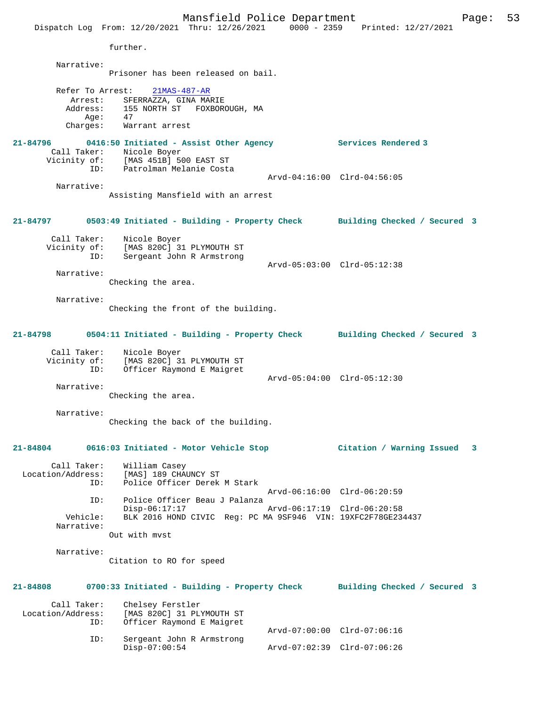Mansfield Police Department Page: 53 Dispatch Log From: 12/20/2021 Thru: 12/26/2021 0000 - 2359 Printed: 12/27/2021 further. Narrative: Prisoner has been released on bail. Refer To Arrest: 21MAS-487-AR Arrest: SFERRAZZA, GINA MARIE<br>Address: 155 NORTH ST FOXBORO 155 NORTH ST FOXBOROUGH, MA<br>47 Age: Charges: Warrant arrest **21-84796 0416:50 Initiated - Assist Other Agency Services Rendered 3**  Call Taker: Nicole Boyer<br>Vicinity of: [MAS 451B] 50 CHEROLE DUYER<br>Of: [MAS 451B] 500 EAST ST<br>ID: Patrolman Melanie Costa Patrolman Melanie Costa Arvd-04:16:00 Clrd-04:56:05 Narrative: Assisting Mansfield with an arrest **21-84797 0503:49 Initiated - Building - Property Check Building Checked / Secured 3** Call Taker: Nicole Boyer Vicinity of: [MAS 820C] 31 PLYMOUTH ST ID: Sergeant John R Armstrong Arvd-05:03:00 Clrd-05:12:38 Narrative: Checking the area. Narrative: Checking the front of the building. **21-84798 0504:11 Initiated - Building - Property Check Building Checked / Secured 3** Call Taker: Nicole Boyer Vicinity of: [MAS 820C] 31 PLYMOUTH ST ID: Officer Raymond E Maigret Arvd-05:04:00 Clrd-05:12:30 Narrative: Checking the area. Narrative: Checking the back of the building. **21-84804 0616:03 Initiated - Motor Vehicle Stop Citation / Warning Issued 3** Call Taker: William Casey Location/Address: [MAS] 189 CHAUNCY ST<br>TD: Police Officer Derek Police Officer Derek M Stark Arvd-06:16:00 Clrd-06:20:59<br>TD: Police Officer Beau J Palanza Police Officer Beau J Palanza<br>Disp-06:17:17 Disp-06:17:17 Arvd-06:17:19 Clrd-06:20:58 Vehicle: BLK 2016 HOND CIVIC Reg: PC MA 9SF946 VIN: 19XFC2F78GE234437 Narrative: Out with mvst Narrative: Citation to RO for speed **21-84808 0700:33 Initiated - Building - Property Check Building Checked / Secured 3** Call Taker: Chelsey Ferstler Location/Address: [MAS 820C] 31 PLYMOUTH ST Officer Raymond E Maigret Arvd-07:00:00 Clrd-07:06:16 ID: Sergeant John R Armstrong Disp-07:00:54 Arvd-07:02:39 Clrd-07:06:26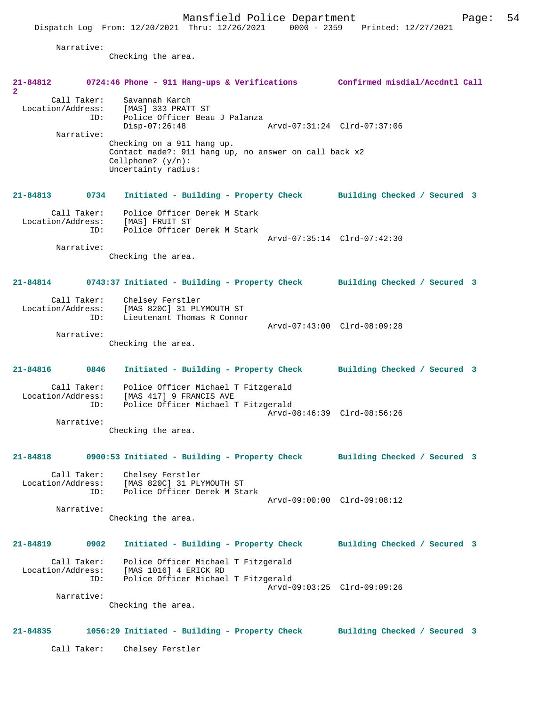Dispatch Log From: 12/20/2021 Thru: 12/26/2021 0000 - 2359 Printed: 12/27/2021

Narrative:

Checking the area.

| 21-84812<br>$\mathbf{2}$      |                                  |                                                                                                                                                                                                                                | 0724:46 Phone - 911 Hang-ups & Verifications Confirmed misdial/Accdntl Call |
|-------------------------------|----------------------------------|--------------------------------------------------------------------------------------------------------------------------------------------------------------------------------------------------------------------------------|-----------------------------------------------------------------------------|
| Location/Address:             | Call Taker:<br>ID:<br>Narrative: | Savannah Karch<br>[MAS] 333 PRATT ST<br>Police Officer Beau J Palanza<br>$Disp-07:26:48$<br>Checking on a 911 hang up.<br>Contact made?: 911 hang up, no answer on call back x2<br>Cellphone? $(y/n)$ :<br>Uncertainty radius: | Arvd-07:31:24 Clrd-07:37:06                                                 |
| $21 - 84813$                  | 0734                             |                                                                                                                                                                                                                                | Initiated - Building - Property Check Building Checked / Secured 3          |
| Location/Address:             | Call Taker:<br>ID:               | Police Officer Derek M Stark<br>[MAS] FRUIT ST<br>Police Officer Derek M Stark                                                                                                                                                 | Arvd-07:35:14 Clrd-07:42:30                                                 |
|                               | Narrative:                       | Checking the area.                                                                                                                                                                                                             |                                                                             |
| 21-84814<br>Location/Address: | Call Taker:                      | Chelsey Ferstler<br>[MAS 820C] 31 PLYMOUTH ST                                                                                                                                                                                  | 0743:37 Initiated - Building - Property Check Building Checked / Secured 3  |
|                               | ID:<br>Narrative:                | Lieutenant Thomas R Connor<br>Checking the area.                                                                                                                                                                               | Arvd-07:43:00 Clrd-08:09:28                                                 |
| 21-84816                      | 0846                             | Initiated - Building - Property Check                                                                                                                                                                                          | Building Checked / Secured 3                                                |
| Location/Address:             | ID:<br>Narrative:                | Call Taker: Police Officer Michael T Fitzgerald<br>[MAS 417] 9 FRANCIS AVE<br>Police Officer Michael T Fitzgerald<br>Checking the area.                                                                                        | Arvd-08:46:39 Clrd-08:56:26                                                 |
| 21-84818                      |                                  | 0900:53 Initiated - Building - Property Check                                                                                                                                                                                  | Building Checked / Secured 3                                                |
| Location/Address:             | Call Taker:<br>ID:<br>Narrative: | Chelsey Ferstler<br>[MAS 820C] 31 PLYMOUTH ST<br>Police Officer Derek M Stark<br>Checking the area.                                                                                                                            | Arvd-09:00:00 Clrd-09:08:12                                                 |
| $21 - 84819$                  | 0902<br>Call Taker:              | Initiated - Building - Property Check<br>Police Officer Michael T Fitzgerald                                                                                                                                                   | Building Checked / Secured 3                                                |
| Location/Address:             | ID:<br>Narrative:                | [MAS 1016] 4 ERICK RD<br>Police Officer Michael T Fitzgerald                                                                                                                                                                   | Arvd-09:03:25 Clrd-09:09:26                                                 |
|                               |                                  | Checking the area.                                                                                                                                                                                                             |                                                                             |
| 21-84835                      |                                  | 1056:29 Initiated - Building - Property Check                                                                                                                                                                                  | Building Checked / Secured 3                                                |

Call Taker: Chelsey Ferstler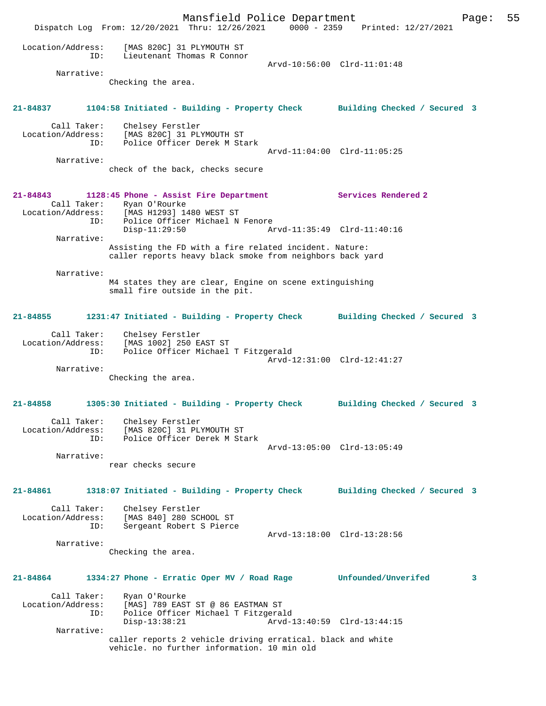Mansfield Police Department Page: 55 Dispatch Log From: 12/20/2021 Thru: 12/26/2021 0000 - 2359 Printed: 12/27/2021 Location/Address: [MAS 820C] 31 PLYMOUTH ST ID: Lieutenant Thomas R Connor Arvd-10:56:00 Clrd-11:01:48 Narrative: Checking the area. **21-84837 1104:58 Initiated - Building - Property Check Building Checked / Secured 3** Call Taker: Chelsey Ferstler Location/Address: [MAS 820C] 31 PLYMOUTH ST ID: Police Officer Derek M Stark Arvd-11:04:00 Clrd-11:05:25 Narrative: check of the back, checks secure **21-84843 1128:45 Phone - Assist Fire Department Services Rendered 2**  Call Taker: Ryan O'Rourke<br>Location/Address: [MAS H1293] 14 ess: [MAS H1293] 1480 WEST ST<br>ID: Police Officer Michael N Police Officer Michael N Fenore Disp-11:29:50 Arvd-11:35:49 Clrd-11:40:16 Narrative: Assisting the FD with a fire related incident. Nature: caller reports heavy black smoke from neighbors back yard Narrative: M4 states they are clear, Engine on scene extinguishing small fire outside in the pit. **21-84855 1231:47 Initiated - Building - Property Check Building Checked / Secured 3** Call Taker: Chelsey Ferstler Location/Address: [MAS 1002] 250 EAST ST ID: Police Officer Michael T Fitzgerald Arvd-12:31:00 Clrd-12:41:27 Narrative: Checking the area. **21-84858 1305:30 Initiated - Building - Property Check Building Checked / Secured 3** Call Taker: Chelsey Ferstler Location/Address: [MAS 820C] 31 PLYMOUTH ST ID: Police Officer Derek M Stark Arvd-13:05:00 Clrd-13:05:49 Narrative: rear checks secure **21-84861 1318:07 Initiated - Building - Property Check Building Checked / Secured 3** Call Taker: Chelsey Ferstler<br>Location/Address: [MAS 840] 280 SCI [MAS 840] 280 SCHOOL ST ID: Sergeant Robert S Pierce Arvd-13:18:00 Clrd-13:28:56 Narrative: Checking the area. **21-84864 1334:27 Phone - Erratic Oper MV / Road Rage Unfounded/Unverifed 3** Call Taker: Ryan O'Rourke<br>Location/Address: [MAS] 789 EAS [MAS] 789 EAST ST @ 86 EASTMAN ST ID: Police Officer Michael T Fitzgerald Disp-13:38:21 Arvd-13:40:59 Clrd-13:44:15 Narrative: caller reports 2 vehicle driving erratical. black and white vehicle. no further information. 10 min old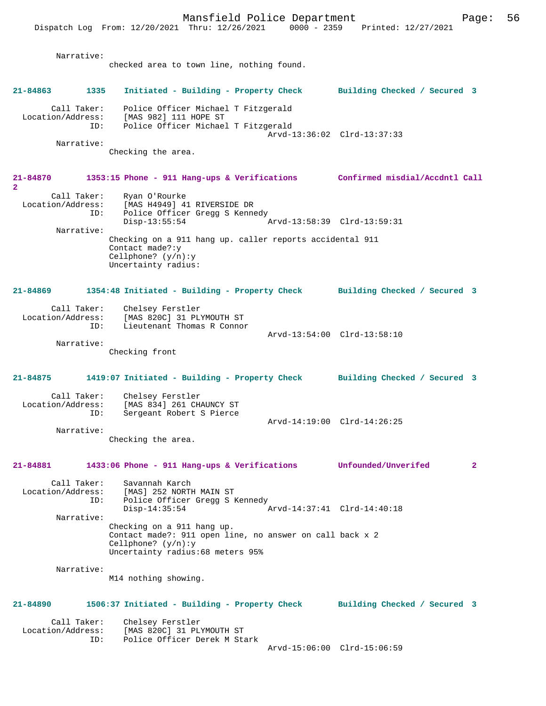Mansfield Police Department Form Page: 56 Dispatch Log From: 12/20/2021 Thru: 12/26/2021 0000 - 2359 Printed: 12/27/2021 Narrative: checked area to town line, nothing found. **21-84863 1335 Initiated - Building - Property Check Building Checked / Secured 3** Call Taker: Police Officer Michael T Fitzgerald Location/Address: [MAS 982] 111 HOPE ST ID: Police Officer Michael T Fitzgerald Arvd-13:36:02 Clrd-13:37:33 Narrative: Checking the area. **21-84870 1353:15 Phone - 911 Hang-ups & Verifications Confirmed misdial/Accdntl Call 2**  Call Taker: Ryan O'Rourke Location/Address: [MAS H4949] 41 RIVERSIDE DR ID: Police Officer Gregg S Kennedy Disp-13:55:54 Arvd-13:58:39 Clrd-13:59:31 Narrative: Checking on a 911 hang up. caller reports accidental 911 Contact made?:y Cellphone? (y/n):y Uncertainty radius: **21-84869 1354:48 Initiated - Building - Property Check Building Checked / Secured 3** Call Taker: Chelsey Ferstler Location/Address: [MAS 820C] 31 PLYMOUTH ST ID: Lieutenant Thomas R Connor Arvd-13:54:00 Clrd-13:58:10 Narrative: Checking front **21-84875 1419:07 Initiated - Building - Property Check Building Checked / Secured 3** Call Taker: Chelsey Ferstler<br>Location/Address: [MAS 834] 261 CH [MAS 834] 261 CHAUNCY ST ID: Sergeant Robert S Pierce Arvd-14:19:00 Clrd-14:26:25 Narrative: Checking the area. **21-84881 1433:06 Phone - 911 Hang-ups & Verifications Unfounded/Unverifed 2** Call Taker: Savannah Karch Location/Address: [MAS] 252 NORTH MAIN ST ID: Police Officer Gregg S Kennedy<br>Disp-14:35:54 Disp-14:35:54 Arvd-14:37:41 Clrd-14:40:18 Narrative: Checking on a 911 hang up. Contact made?: 911 open line, no answer on call back x 2 Cellphone? (y/n):y Uncertainty radius:68 meters 95% Narrative: M14 nothing showing. **21-84890 1506:37 Initiated - Building - Property Check Building Checked / Secured 3** Call Taker: Chelsey Ferstler<br>Location/Address: [MAS 820C] 31 PL [MAS 820C] 31 PLYMOUTH ST ID: Police Officer Derek M Stark Arvd-15:06:00 Clrd-15:06:59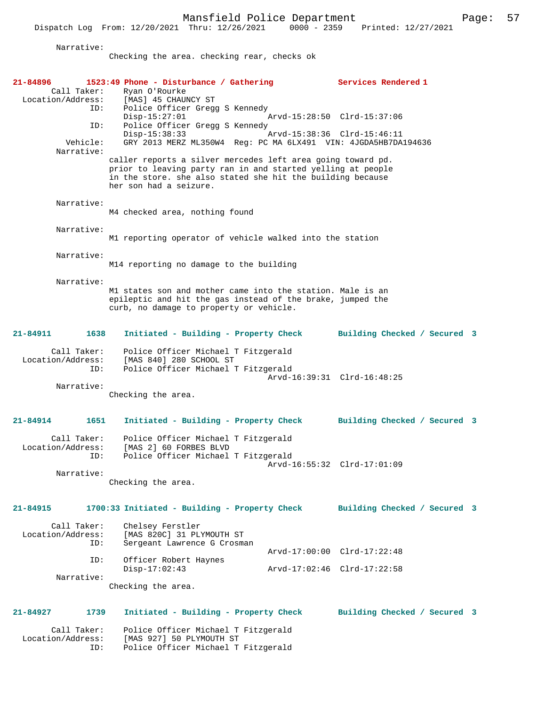Dispatch Log From: 12/20/2021 Thru: 12/26/2021 0000 - 2359 Printed: 12/27/2021

Narrative:

Checking the area. checking rear, checks ok

| 21-84896<br>Call Taker:<br>Location/Address: | 1523:49 Phone - Disturbance / Gathering<br>Ryan O'Rourke<br>[MAS] 45 CHAUNCY ST                                                                                                                                    | Services Rendered 1                                        |
|----------------------------------------------|--------------------------------------------------------------------------------------------------------------------------------------------------------------------------------------------------------------------|------------------------------------------------------------|
| ID:<br>ID:<br>Vehicle:<br>Narrative:         | Police Officer Gregg S Kennedy<br>$Disp-15:27:01$<br>Police Officer Gregg S Kennedy<br>$Disp-15:38:33$<br>GRY 2013 MERZ ML350W4 Reg: PC MA 6LX491 VIN: 4JGDA5HB7DA194636                                           | Arvd-15:28:50 Clrd-15:37:06<br>Arvd-15:38:36 Clrd-15:46:11 |
|                                              | caller reports a silver mercedes left area going toward pd.<br>prior to leaving party ran in and started yelling at people<br>in the store. she also stated she hit the building because<br>her son had a seizure. |                                                            |
| Narrative:                                   | M4 checked area, nothing found                                                                                                                                                                                     |                                                            |
| Narrative:                                   | M1 reporting operator of vehicle walked into the station                                                                                                                                                           |                                                            |
| Narrative:                                   | M14 reporting no damage to the building                                                                                                                                                                            |                                                            |
| Narrative:                                   | M1 states son and mother came into the station. Male is an<br>epileptic and hit the gas instead of the brake, jumped the<br>curb, no damage to property or vehicle.                                                |                                                            |
| 21-84911<br>1638                             | Initiated - Building - Property Check                                                                                                                                                                              | Building Checked / Secured 3                               |
| Call Taker:<br>Location/Address:<br>ID:      | Police Officer Michael T Fitzgerald<br>[MAS 840] 280 SCHOOL ST<br>Police Officer Michael T Fitzgerald                                                                                                              |                                                            |
| Narrative:                                   |                                                                                                                                                                                                                    | Arvd-16:39:31 Clrd-16:48:25                                |
|                                              | Checking the area.                                                                                                                                                                                                 |                                                            |
| 21-84914<br>1651                             | Initiated - Building - Property Check                                                                                                                                                                              | Building Checked / Secured 3                               |
| Call Taker:<br>Location/Address:<br>ID:      | Police Officer Michael T Fitzgerald<br>[MAS 2] 60 FORBES BLVD<br>Police Officer Michael T Fitzgerald                                                                                                               | Arvd-16:55:32 Clrd-17:01:09                                |
| Narrative:                                   | Checking the area.                                                                                                                                                                                                 |                                                            |
| 21-84915                                     | 1700:33 Initiated - Building - Property Check                                                                                                                                                                      | Building Checked / Secured 3                               |
| Call Taker:<br>Location/Address:<br>ID:      | Chelsey Ferstler<br>[MAS 820C] 31 PLYMOUTH ST<br>Sergeant Lawrence G Crosman                                                                                                                                       |                                                            |
| ID:                                          | Officer Robert Haynes                                                                                                                                                                                              | Arvd-17:00:00 Clrd-17:22:48                                |
| Narrative:                                   | $Disp-17:02:43$                                                                                                                                                                                                    | Arvd-17:02:46 Clrd-17:22:58                                |
|                                              | Checking the area.                                                                                                                                                                                                 |                                                            |
| 21-84927<br>1739                             | Initiated - Building - Property Check                                                                                                                                                                              | Building Checked / Secured 3                               |
| Call Taker:<br>Location/Address:<br>ID:      | Police Officer Michael T Fitzgerald<br>[MAS 927] 50 PLYMOUTH ST<br>Police Officer Michael T Fitzgerald                                                                                                             |                                                            |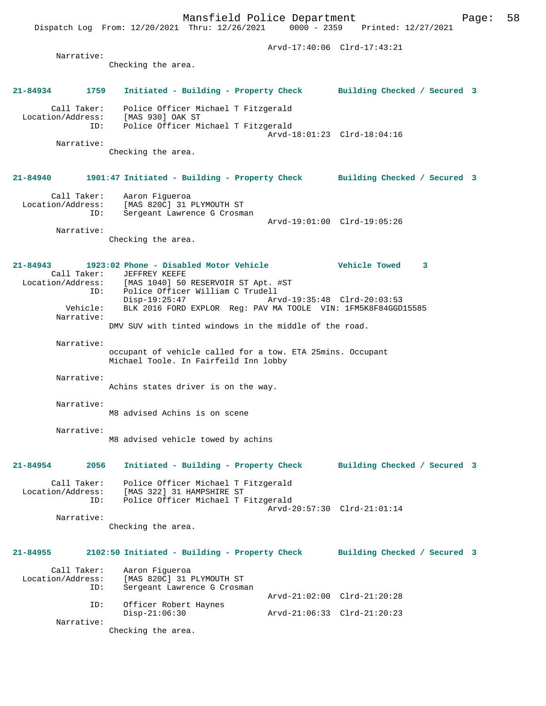Dispatch Log From: 12/20/2021 Thru: 12/26/2021 0000 - 2359 Printed: 12/27/2021 Arvd-17:40:06 Clrd-17:43:21 Narrative: Checking the area. **21-84934 1759 Initiated - Building - Property Check Building Checked / Secured 3** Call Taker: Police Officer Michael T Fitzgerald Location/Address: [MAS 930] OAK ST ID: Police Officer Michael T Fitzgerald Arvd-18:01:23 Clrd-18:04:16 Narrative: Checking the area. **21-84940 1901:47 Initiated - Building - Property Check Building Checked / Secured 3** Call Taker: Aaron Figueroa Location/Address: [MAS 820C] 31 PLYMOUTH ST ID: Sergeant Lawrence G Crosman Arvd-19:01:00 Clrd-19:05:26 Narrative: Checking the area. **21-84943 1923:02 Phone - Disabled Motor Vehicle Vehicle Towed 3**  Call Taker: JEFFREY KEEFE<br>Location/Address: [MAS 1040] 50 Location/Address: [MAS 1040] 50 RESERVOIR ST Apt. #ST ID: Police Officer William C Trudell Disp-19:25:47 Arvd-19:35:48 Clrd-20:03:53<br>Vehicle: BLK 2016 FORD EXPLOR Reg: PAV MA TOOLE VIN: 1FM5K8F84GGD BLK 2016 FORD EXPLOR Reg: PAV MA TOOLE VIN: 1FM5K8F84GGD15585 Narrative: DMV SUV with tinted windows in the middle of the road. Narrative: occupant of vehicle called for a tow. ETA 25mins. Occupant Michael Toole. In Fairfeild Inn lobby Narrative: Achins states driver is on the way. Narrative: M8 advised Achins is on scene Narrative: M8 advised vehicle towed by achins **21-84954 2056 Initiated - Building - Property Check Building Checked / Secured 3** Call Taker: Police Officer Michael T Fitzgerald Location/Address: [MAS 322] 31 HAMPSHIRE ST ID: Police Officer Michael T Fitzgerald Arvd-20:57:30 Clrd-21:01:14 Narrative: Checking the area. **21-84955 2102:50 Initiated - Building - Property Check Building Checked / Secured 3** Call Taker: Aaron Figueroa<br>Location/Address: [MAS 820C] 31 I Location/Address: [MAS 820C] 31 PLYMOUTH ST ID: Sergeant Lawrence G Crosman Arvd-21:02:00 Clrd-21:20:28 ID: Officer Robert Haynes Disp-21:06:30 Arvd-21:06:33 Clrd-21:20:23

Mansfield Police Department Page: 58

Narrative:

Checking the area.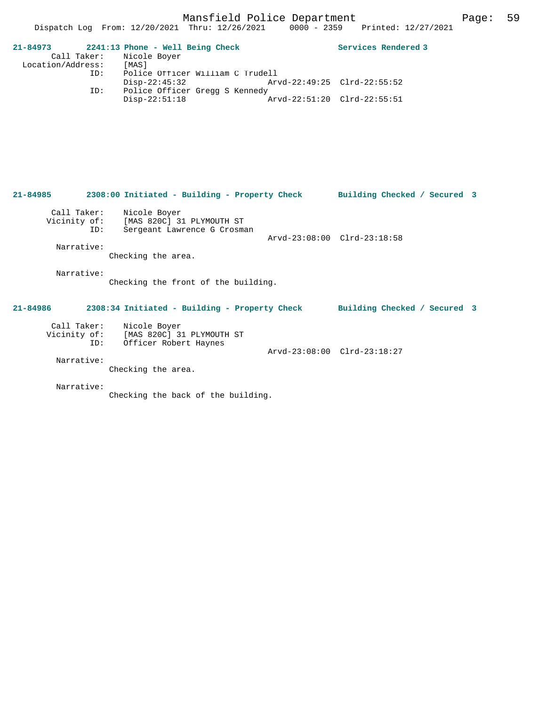| 21-84973          | 2241:13 Phone - Well Being Check |                             | Services Rendered 3 |
|-------------------|----------------------------------|-----------------------------|---------------------|
|                   | Call Taker: Nicole Boyer         |                             |                     |
| Location/Address: | [MAS]                            |                             |                     |
| ID:               | Police Officer William C Trudell |                             |                     |
|                   | Disp-22:45:32                    | Arvd-22:49:25 Clrd-22:55:52 |                     |
| ID:               | Police Officer Gregg S Kennedy   |                             |                     |
|                   | $Disp-22:51:18$                  | Arvd-22:51:20 Clrd-22:55:51 |                     |

**21-84985 2308:00 Initiated - Building - Property Check Building Checked / Secured 3** Call Taker: Nicole Boyer Vicinity of: [MAS 820C] 31 PLYMOUTH ST ID: Sergeant Lawrence G Crosman Arvd-23:08:00 Clrd-23:18:58 Narrative: Checking the area. Narrative: Checking the front of the building. **21-84986 2308:34 Initiated - Building - Property Check Building Checked / Secured 3** Call Taker: Nicole Boyer Vicinity of: [MAS 820C] 31 PLYMOUTH ST ID: Officer Robert Haynes Arvd-23:08:00 Clrd-23:18:27 Narrative: Checking the area. Narrative: Checking the back of the building.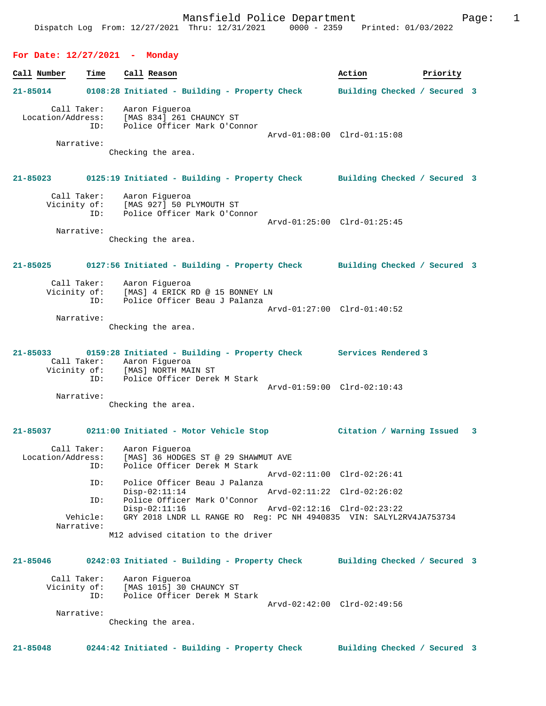#### **For Date: 12/27/2021 - Monday**

**Call Number Time Call Reason Action Action Priority 21-85014 0108:28 Initiated - Building - Property Check Building Checked / Secured 3** Call Taker: Aaron Figueroa Location/Address: [MAS 834] 261 CHAUNCY ST ID: Police Officer Mark O'Connor Arvd-01:08:00 Clrd-01:15:08 Narrative: Checking the area. **21-85023 0125:19 Initiated - Building - Property Check Building Checked / Secured 3** Call Taker: Aaron Figueroa Vicinity of: [MAS 927] 50 PLYMOUTH ST ID: Police Officer Mark O'Connor Arvd-01:25:00 Clrd-01:25:45 Narrative: Checking the area. **21-85025 0127:56 Initiated - Building - Property Check Building Checked / Secured 3** Call Taker: Aaron Figueroa<br>Vicinity of: [MAS] 4 ERICK I [MAS] 4 ERICK RD @ 15 BONNEY LN ID: Police Officer Beau J Palanza Arvd-01:27:00 Clrd-01:40:52 Narrative: Checking the area. **21-85033 0159:28 Initiated - Building - Property Check Services Rendered 3**  Call Taker: Aaron Figueroa Vicinity of: [MAS] NORTH MAIN ST Vicinity of: [MAS] NORTH MAIN ST<br>ID: Police Officer Derek M Stark Arvd-01:59:00 Clrd-02:10:43 Narrative: Checking the area. **21-85037 0211:00 Initiated - Motor Vehicle Stop Citation / Warning Issued 3** Call Taker: Aaron Figueroa<br>Location/Address: [MAS] 36 HODGES ess: [MAS] 36 HODGES ST @ 29 SHAWMUT AVE<br>ID: Police Officer Derek M Stark Police Officer Derek M Stark Arvd-02:11:00 Clrd-02:26:41 ID: Police Officer Beau J Palanza Disp-02:11:14 Arvd-02:11:22 Clrd-02:26:02<br>TD: Police Officer Mark O'Connor Police Officer Mark O'Connor<br>Disp-02:11:16 Disp-02:11:16 Arvd-02:12:16 Clrd-02:23:22 Vehicle: GRY 2018 LNDR LL RANGE RO Reg: PC NH 4940835 VIN: SALYL2RV4JA753734 Narrative: M12 advised citation to the driver **21-85046 0242:03 Initiated - Building - Property Check Building Checked / Secured 3** Call Taker: Aaron Figueroa Vicinity of: [MAS 1015] 30 CHAUNCY ST ID: Police Officer Derek M Stark Arvd-02:42:00 Clrd-02:49:56 Narrative:

Checking the area.

**21-85048 0244:42 Initiated - Building - Property Check Building Checked / Secured 3**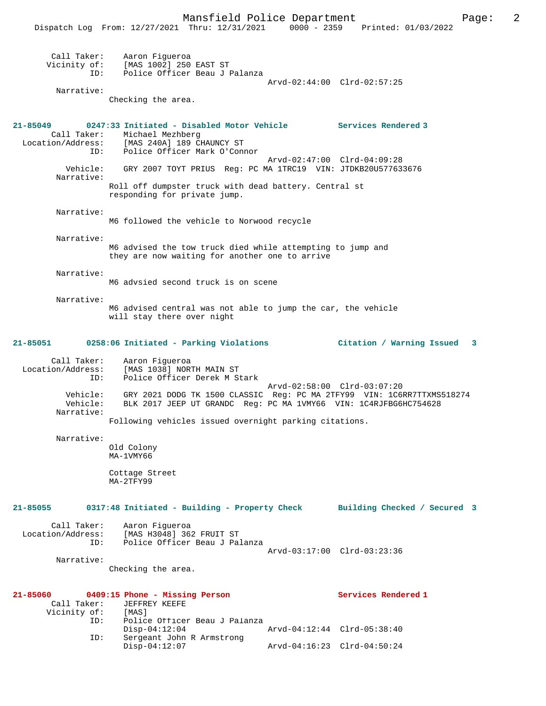|                                         | Dispatch Log From: 12/27/2021 Thru: 12/31/2021 0000 - 2359 Printed: 01/03/2022                                                             |                             |  |
|-----------------------------------------|--------------------------------------------------------------------------------------------------------------------------------------------|-----------------------------|--|
|                                         | Call Taker: Aaron Figueroa<br>Vicinity of: [MAS 1002] 250 EAST ST<br>ID: Police Officer Beau J Palanza                                     |                             |  |
| Narrative:                              | Checking the area.                                                                                                                         | Arvd-02:44:00 Clrd-02:57:25 |  |
| 21-85049                                | 0247:33 Initiated - Disabled Motor Vehicle Services Rendered 3<br>Call Taker: Michael Mezhberg                                             |                             |  |
|                                         | Location/Address: [MAS 240A] 189 CHAUNCY ST<br>ID: Police Officer Mark O'Connor                                                            |                             |  |
| Narrative:                              | Vehicle: GRY 2007 TOYT PRIUS Reg: PC MA 1TRC19 VIN: JTDKB20U577633676                                                                      | Arvd-02:47:00 Clrd-04:09:28 |  |
|                                         | Roll off dumpster truck with dead battery. Central st<br>responding for private jump.                                                      |                             |  |
| Narrative:                              | M6 followed the vehicle to Norwood recycle                                                                                                 |                             |  |
| Narrative:                              | M6 advised the tow truck died while attempting to jump and<br>they are now waiting for another one to arrive                               |                             |  |
| Narrative:                              | M6 advsied second truck is on scene                                                                                                        |                             |  |
| Narrative:                              |                                                                                                                                            |                             |  |
|                                         | M6 advised central was not able to jump the car, the vehicle<br>will stay there over night                                                 |                             |  |
|                                         | 21-85051 0258:06 Initiated - Parking Violations                                                                                            | Citation / Warning Issued 3 |  |
| Location/Address:<br>ID:                | Call Taker: Aaron Figueroa<br>[MAS 1038] NORTH MAIN ST<br>Police Officer Derek M Stark                                                     |                             |  |
| Vehicle:<br>Vehicle:<br>Narrative:      | GRY 2021 DODG TK 1500 CLASSIC Reg: PC MA 2TFY99 VIN: 1C6RR7TTXMS518274<br>BLK 2017 JEEP UT GRANDC Reg: PC MA 1VMY66 VIN: 1C4RJFBG6HC754628 | Arvd-02:58:00 Clrd-03:07:20 |  |
|                                         | Following vehicles issued overnight parking citations.                                                                                     |                             |  |
| Narrative:                              | Old Colony<br>MA-1VMY66                                                                                                                    |                             |  |
|                                         | Cottage Street<br>MA-2TFY99                                                                                                                |                             |  |
| 21-85055                                | 0317:48 Initiated - Building - Property Check Building Checked / Secured 3                                                                 |                             |  |
| Call Taker:                             | Aaron Figueroa<br>Location/Address: [MAS H3048] 362 FRUIT ST<br>ID: Police Officer Beau J Palanza                                          | Arvd-03:17:00 Clrd-03:23:36 |  |
| Narrative:                              | Checking the area.                                                                                                                         |                             |  |
|                                         |                                                                                                                                            |                             |  |
| 21-85060<br>Call Taker:<br>Vicinity of: | 0409:15 Phone - Missing Person<br>JEFFREY KEEFE<br>[ MAS ]                                                                                 | Services Rendered 1         |  |
| ID:<br>ID:                              | Police Officer Beau J Palanza<br>$Disp-04:12:04$<br>Sergeant John R Armstrong                                                              | Arvd-04:12:44 Clrd-05:38:40 |  |
|                                         | $Disp-04:12:07$                                                                                                                            | Arvd-04:16:23 Clrd-04:50:24 |  |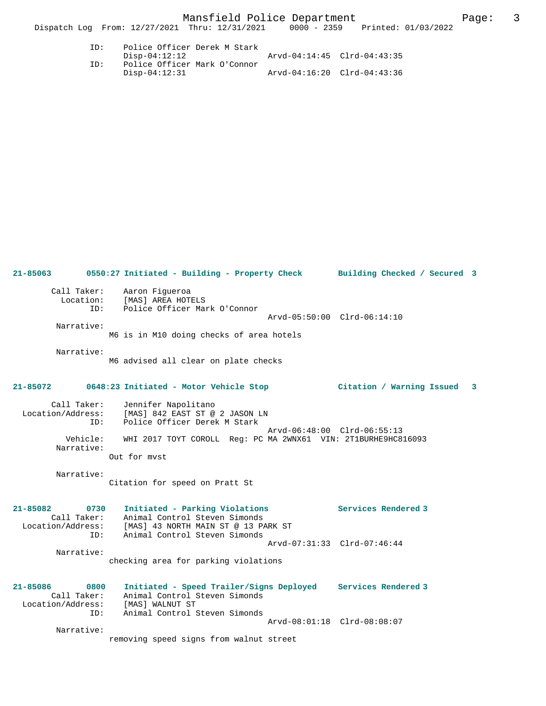| TD: | Police Officer Derek M Stark |                             |  |
|-----|------------------------------|-----------------------------|--|
|     | Disp-04:12:12                | Arvd-04:14:45 Clrd-04:43:35 |  |
| TD: | Police Officer Mark O'Connor |                             |  |
|     | Disp-04:12:31                | Arvd-04:16:20 Clrd-04:43:36 |  |

| $21 - 85063$                                                    | 0550:27 Initiated - Building - Property Check Building Checked / Secured 3                                                                        |                             |                           |   |
|-----------------------------------------------------------------|---------------------------------------------------------------------------------------------------------------------------------------------------|-----------------------------|---------------------------|---|
| Call Taker:<br>Location:<br>TD:<br>Narrative:                   | Aaron Fiqueroa<br>[MAS] AREA HOTELS<br>Police Officer Mark O'Connor                                                                               | Arvd-05:50:00 Clrd-06:14:10 |                           |   |
|                                                                 | M6 is in M10 doing checks of area hotels                                                                                                          |                             |                           |   |
| Narrative:                                                      | M6 advised all clear on plate checks                                                                                                              |                             |                           |   |
| 21-85072                                                        | 0648:23 Initiated - Motor Vehicle Stop                                                                                                            |                             | Citation / Warning Issued | 3 |
| Call Taker:<br>Location/Address:<br>ID:                         | Jennifer Napolitano<br>[MAS] 842 EAST ST @ 2 JASON LN<br>Police Officer Derek M Stark                                                             | Arvd-06:48:00 Clrd-06:55:13 |                           |   |
| Vehicle:<br>Narrative:                                          | WHI 2017 TOYT COROLL Req: PC MA 2WNX61 VIN: 2T1BURHE9HC816093<br>Out for myst                                                                     |                             |                           |   |
| Narrative:                                                      | Citation for speed on Pratt St                                                                                                                    |                             |                           |   |
| $21 - 85082$<br>0730<br>Call Taker:<br>Location/Address:<br>ID: | Initiated - Parking Violations<br>Animal Control Steven Simonds<br>[MAS] 43 NORTH MAIN ST @ 13 PARK ST<br>Animal Control Steven Simonds           |                             | Services Rendered 3       |   |
| Narrative:                                                      | checking area for parking violations                                                                                                              | Arvd-07:31:33 Clrd-07:46:44 |                           |   |
| 21-85086<br>0800<br>Call Taker:<br>Location/Address:<br>ID:     | Initiated - Speed Trailer/Signs Deployed Services Rendered 3<br>Animal Control Steven Simonds<br>[MAS] WALNUT ST<br>Animal Control Steven Simonds |                             |                           |   |
| Narrative:                                                      | removing speed signs from walnut street                                                                                                           | Arvd-08:01:18 Clrd-08:08:07 |                           |   |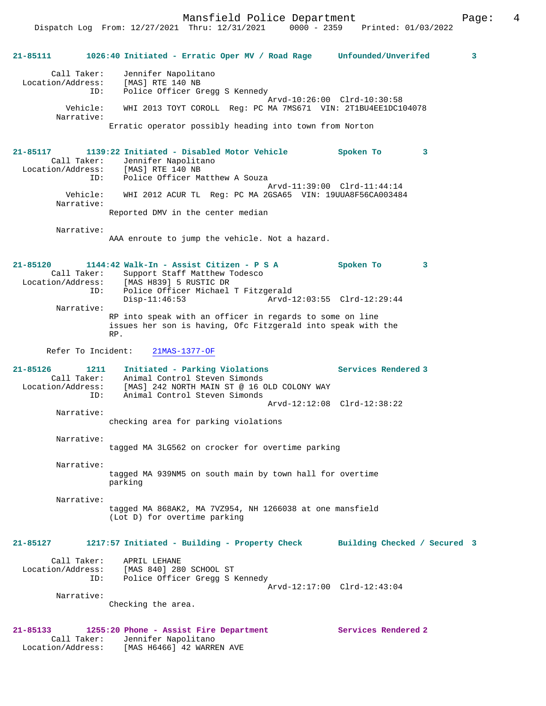Mansfield Police Department Page: 4

Dispatch Log From: 12/27/2021 Thru: 12/31/2021 0000 - 2359 Printed: 01/03/2022

**21-85111 1026:40 Initiated - Erratic Oper MV / Road Rage Unfounded/Unverifed 3** Call Taker: Jennifer Napolitano Location/Address: [MAS] RTE 140 NB ID: Police Officer Gregg S Kennedy Arvd-10:26:00 Clrd-10:30:58<br>Vehicle: WHI 2013 TOYT COROLL, Reg: PC MA 7MS671 VIN: 2T1BU4EE1DC1 WHI 2013 TOYT COROLL Reg: PC MA 7MS671 VIN: 2T1BU4EE1DC104078 Narrative: Erratic operator possibly heading into town from Norton **21-85117 1139:22 Initiated - Disabled Motor Vehicle Spoken To 3**  Call Taker: Jennifer Napolitano<br>:ion/Address: [MAS] RTE 140 NB Location/Address: ID: Police Officer Matthew A Souza Arvd-11:39:00 Clrd-11:44:14 Vehicle: WHI 2012 ACUR TL Reg: PC MA 2GSA65 VIN: 19UUA8F56CA003484 Narrative: Reported DMV in the center median Narrative: AAA enroute to jump the vehicle. Not a hazard. **21-85120 1144:42 Walk-In - Assist Citizen - P S A Spoken To 3**  Call Taker: Support Staff Matthew Todesco<br>Location/Address: [MAS H839] 5 RUSTIC DR ess: [MAS H839] 5 RUSTIC DR<br>ID: Police Officer Michael Police Officer Michael T Fitzgerald<br>Disp-11:46:53 Arvd-1 Disp-11:46:53 Arvd-12:03:55 Clrd-12:29:44 Narrative: RP into speak with an officer in regards to some on line issues her son is having, Ofc Fitzgerald into speak with the RP. Refer To Incident: 21MAS-1377-OF **21-85126 1211 Initiated - Parking Violations Services Rendered 3**  Call Taker: Animal Control Steven Simonds<br>Location/Address: [MAS] 242 NORTH MAIN ST @ 16 C ess: [MAS] 242 NORTH MAIN ST @ 16 OLD COLONY WAY<br>ID: Animal Control Steven Simonds Animal Control Steven Simonds Arvd-12:12:08 Clrd-12:38:22 Narrative: checking area for parking violations Narrative: tagged MA 3LG562 on crocker for overtime parking Narrative: tagged MA 939NM5 on south main by town hall for overtime parking Narrative: tagged MA 868AK2, MA 7VZ954, NH 1266038 at one mansfield (Lot D) for overtime parking **21-85127 1217:57 Initiated - Building - Property Check Building Checked / Secured 3** Call Taker: APRIL LEHANE Location/Address: [MAS 840] 280 SCHOOL ST ID: Police Officer Gregg S Kennedy Arvd-12:17:00 Clrd-12:43:04 Narrative: Checking the area. **21-85133 1255:20 Phone - Assist Fire Department Services Rendered 2**  Call Taker: Jennifer Napolitano Location/Address: [MAS H6466] 42 WARREN AVE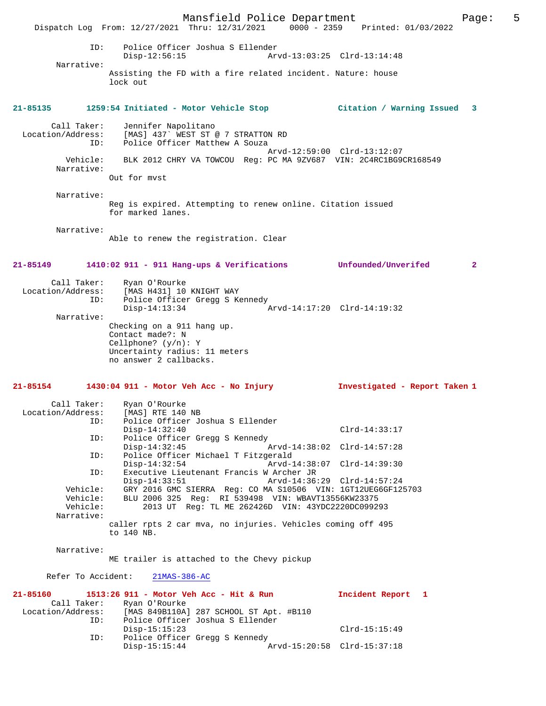Mansfield Police Department Page: 5 Dispatch Log From: 12/27/2021 Thru: 12/31/2021 0000 - 2359 Printed: 01/03/2022 ID: Police Officer Joshua S Ellender Disp-12:56:15 Arvd-13:03:25 Clrd-13:14:48 Narrative: Assisting the FD with a fire related incident. Nature: house lock out **21-85135 1259:54 Initiated - Motor Vehicle Stop Citation / Warning Issued 3** Call Taker: Jennifer Napolitano Location/Address: [MAS] 437` WEST ST @ 7 STRATTON RD ID: Police Officer Matthew A Souza Arvd-12:59:00 Clrd-13:12:07 Vehicle: BLK 2012 CHRY VA TOWCOU Reg: PC MA 9ZV687 VIN: 2C4RC1BG9CR168549 Narrative: Out for mvst Narrative: Reg is expired. Attempting to renew online. Citation issued for marked lanes. Narrative: Able to renew the registration. Clear **21-85149 1410:02 911 - 911 Hang-ups & Verifications Unfounded/Unverifed 2** Call Taker: Ryan O'Rourke Location/Address: [MAS H431] 10 KNIGHT WAY<br>ID: Police Officer Gread S K Police Officer Gregg S Kennedy<br>Disp-14:13:34 Disp-14:13:34 Arvd-14:17:20 Clrd-14:19:32 Narrative: Checking on a 911 hang up. Contact made?: N Cellphone? (y/n): Y Uncertainty radius: 11 meters no answer 2 callbacks. **21-85154 1430:04 911 - Motor Veh Acc - No Injury Investigated - Report Taken 1** Call Taker: Ryan O'Rourke<br>.on/Address: [MAS] RTE 140 NB Location/Address:<br>TD: Police Officer Joshua S Ellender Disp-14:32:40 Clrd-14:33:17 ID: Police Officer Gregg S Kennedy<br>Disp-14:32:45 Disp-14:32:45 Arvd-14:38:02 Clrd-14:57:28<br>ID: Police Officer Michael T Fitzgerald Police Officer Michael T Fitzgerald<br>Disp-14:32:54 Arvd-1 Disp-14:32:54 Arvd-14:38:07 Clrd-14:39:30 ID: Executive Lieutenant Francis W Archer JR Disp-14:33:51 Arvd-14:36:29 Clrd-14:57:24<br>Vehicle: GRY 2016 GMC SIERRA Req: CO MA S10506 VIN: 1GT12UEG6GF12 Vehicle: GRY 2016 GMC SIERRA Reg: CO MA S10506 VIN: 1GT12UEG6GF125703 Vehicle: BLU 2006 325 Reg: RI 539498 VIN: WBAVT13556KW23375 Vehicle: 2013 UT Reg: TL ME 262426D VIN: 43YDC2220DC099293 Narrative: caller rpts 2 car mva, no injuries. Vehicles coming off 495 to 140 NB. Narrative: ME trailer is attached to the Chevy pickup Refer To Accident: 21MAS-386-AC **21-85160 1513:26 911 - Motor Veh Acc - Hit & Run Incident Report 1**  Call Taker: Ryan O'Rourke<br>Location/Address: [MAS 849B110A] [MAS 849B110A] 287 SCHOOL ST Apt. #B110 ID: Police Officer Joshua S Ellender Disp-15:15:23 Clrd-15:15:49 ID: Police Officer Gregg S Kennedy Disp-15:15:44 Arvd-15:20:58 Clrd-15:37:18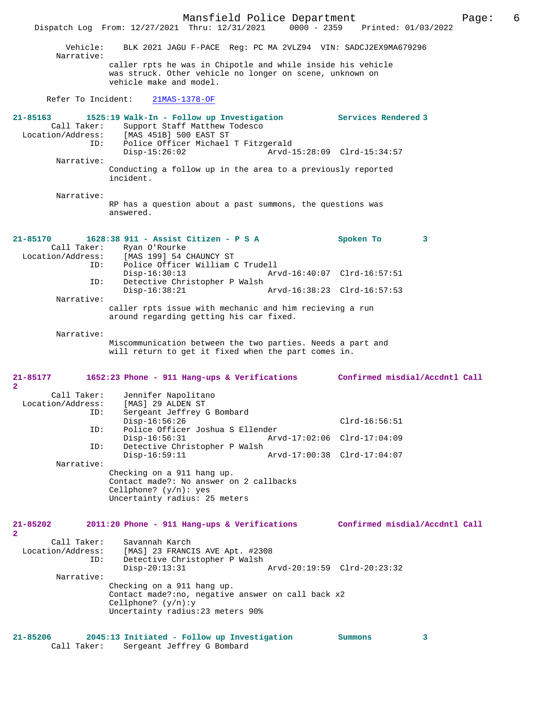Mansfield Police Department Page: 6 Dispatch Log From: 12/27/2021 Thru: 12/31/2021 Vehicle: BLK 2021 JAGU F-PACE Reg: PC MA 2VLZ94 VIN: SADCJ2EX9MA679296 Narrative: caller rpts he was in Chipotle and while inside his vehicle was struck. Other vehicle no longer on scene, unknown on vehicle make and model. Refer To Incident: 21MAS-1378-OF **21-85163 1525:19 Walk-In - Follow up Investigation Services Rendered 3**  Call Taker: Support Staff Matthew Todesco Location/Address: [MAS 451B] 500 EAST ST ID: Police Officer Michael T Fitzgerald Disp-15:26:02 Arvd-15:28:09 Clrd-15:34:57 Narrative: Conducting a follow up in the area to a previously reported incident. Narrative: RP has a question about a past summons, the questions was answered. **21-85170 1628:38 911 - Assist Citizen - P S A Spoken To 3**  Call Taker: Ryan O'Rourke<br>Location/Address: [MAS 199] 54 [MAS 199] 54 CHAUNCY ST ID: Police Officer William C Trudell Disp-16:30:13 Arvd-16:40:07 Clrd-16:57:51 ID: Detective Christopher P Walsh Disp-16:38:21 Arvd-16:38:23 Clrd-16:57:53 Narrative: caller rpts issue with mechanic and him recieving a run around regarding getting his car fixed. Narrative: Miscommunication between the two parties. Needs a part and will return to get it fixed when the part comes in. **21-85177 1652:23 Phone - 911 Hang-ups & Verifications Confirmed misdial/Accdntl Call 2**  Call Taker: Jennifer Napolitano<br>ion/Address: [MAS] 29 ALDEN ST Location/Address:<br>ID: Sergeant Jeffrey G Bombard<br>Disp-16:56:26 Disp-16:56:26 Clrd-16:56:51<br>TD: Police Officer Joshua S Ellender Police Officer Joshua S Ellender<br>Disp-16:56:31 Arv Disp-16:56:31 Arvd-17:02:06 Clrd-17:04:09<br>ID: Detective Christopher P Walsh Detective Christopher P Walsh Disp-16:59:11 Arvd-17:00:38 Clrd-17:04:07 Narrative: Checking on a 911 hang up. Contact made?: No answer on 2 callbacks Cellphone? (y/n): yes Uncertainty radius: 25 meters **21-85202 2011:20 Phone - 911 Hang-ups & Verifications Confirmed misdial/Accdntl Call 2**  Call Taker: Savannah Karch<br>Location/Address: [MAS] 23 FRANCI ess: [MAS] 23 FRANCIS AVE Apt. #2308<br>ID: Detective Christopher P Walsh Detective Christopher P Walsh Disp-20:13:31 Arvd-20:19:59 Clrd-20:23:32 Narrative: Checking on a 911 hang up. Contact made?:no, negative answer on call back x2 Cellphone? (y/n):y Uncertainty radius:23 meters 90% **21-85206 2045:13 Initiated - Follow up Investigation Summons 3**  Call Taker: Sergeant Jeffrey G Bombard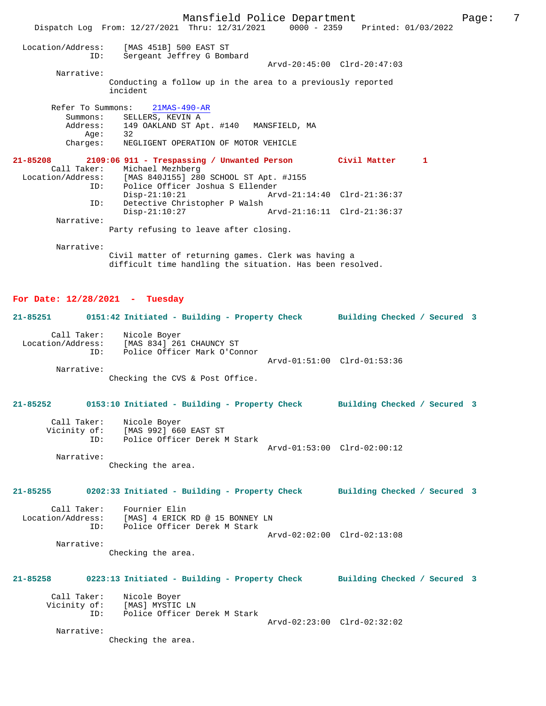Mansfield Police Department Fage: 7 Dispatch Log From: 12/27/2021 Thru: 12/31/2021 0000 - 2359 Printed: 01/03/2022 Location/Address: [MAS 451B] 500 EAST ST ID: Sergeant Jeffrey G Bombard Arvd-20:45:00 Clrd-20:47:03 Narrative: Conducting a follow up in the area to a previously reported incident Refer To Summons: 21MAS-490-AR Summons: SELLERS, KEVIN A<br>Address: 149 OAKLAND ST Ap 149 OAKLAND ST Apt. #140 MANSFIELD, MA<br>32  $Age:$  Charges: NEGLIGENT OPERATION OF MOTOR VEHICLE **21-85208 2109:06 911 - Trespassing / Unwanted Person Civil Matter 1**  Call Taker: Michael Mezhberg Location/Address: [MAS 840J155] 280 SCHOOL ST Apt. #J155 ID: Police Officer Joshua S Ellender Disp-21:10:21 Arvd-21:14:40 Clrd-21:36:37<br>ID: Detective Christopher P Walsh Detective Christopher P Walsh<br>Disp-21:10:27 Arvd-21:16:11 Clrd-21:36:37 Narrative: Party refusing to leave after closing. Narrative: Civil matter of returning games. Clerk was having a difficult time handling the situation. Has been resolved. **For Date: 12/28/2021 - Tuesday 21-85251 0151:42 Initiated - Building - Property Check Building Checked / Secured 3** Call Taker: Nicole Boyer Location/Address: [MAS 834] 261 CHAUNCY ST ID: Police Officer Mark O'Connor Arvd-01:51:00 Clrd-01:53:36 Narrative: Checking the CVS & Post Office. **21-85252 0153:10 Initiated - Building - Property Check Building Checked / Secured 3** Call Taker: Nicole Boyer Vicinity of: [MAS 992] 660 EAST ST<br>TD: Police Officer Derek M Police Officer Derek M Stark Arvd-01:53:00 Clrd-02:00:12 Narrative: Checking the area. **21-85255 0202:33 Initiated - Building - Property Check Building Checked / Secured 3** Call Taker: Fournier Elin<br>Location/Address: [MAS] 4 ERICK [MAS] 4 ERICK RD @ 15 BONNEY LN ID: Police Officer Derek M Stark Arvd-02:02:00 Clrd-02:13:08 Narrative: Checking the area. **21-85258 0223:13 Initiated - Building - Property Check Building Checked / Secured 3** Call Taker: Nicole Boyer<br>Vicinity of: [MAS] MYSTIC of: [MAS] MYSTIC LN<br>ID: Police Officer I Police Officer Derek M Stark Arvd-02:23:00 Clrd-02:32:02 Narrative: Checking the area.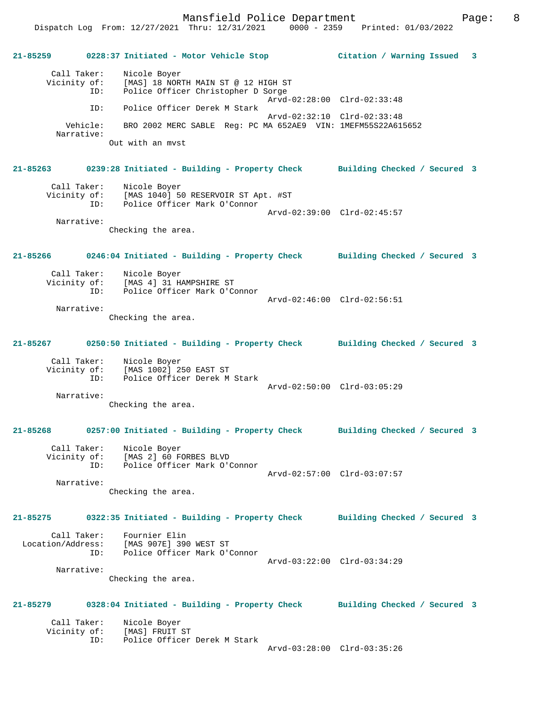Mansfield Police Department Fage: 8

# **21-85259 0228:37 Initiated - Motor Vehicle Stop Citation / Warning Issued 3** Call Taker: Nicole Boyer<br>Vicinity of: [MAS] 18 NOR: [MAS] 18 NORTH MAIN ST @ 12 HIGH ST ID: Police Officer Christopher D Sorge Arvd-02:28:00 Clrd-02:33:48<br>TD: Police Officer Derek M Stark Police Officer Derek M Stark Arvd-02:32:10 Clrd-02:33:48 Vehicle: BRO 2002 MERC SABLE Reg: PC MA 652AE9 VIN: 1MEFM55S22A615652 Narrative: Out with an mvst **21-85263 0239:28 Initiated - Building - Property Check Building Checked / Secured 3** Call Taker: Nicole Boyer Vicinity of: [MAS 1040] 50 RESERVOIR ST Apt. #ST<br>TD: Police Officer Mark O'Connor Police Officer Mark O'Connor Arvd-02:39:00 Clrd-02:45:57 Narrative: Checking the area. **21-85266 0246:04 Initiated - Building - Property Check Building Checked / Secured 3** Call Taker: Nicole Boyer<br>Vicinity of: [MAS 4] 31 H [MAS 4] 31 HAMPSHIRE ST ID: Police Officer Mark O'Connor Arvd-02:46:00 Clrd-02:56:51 Narrative: Checking the area. **21-85267 0250:50 Initiated - Building - Property Check Building Checked / Secured 3** Call Taker: Nicole Boyer Vicinity of: [MAS 1002] 250 EAST ST ID: Police Officer Derek M Stark Arvd-02:50:00 Clrd-03:05:29 Narrative: Checking the area. **21-85268 0257:00 Initiated - Building - Property Check Building Checked / Secured 3** Call Taker: Nicole Boyer Vicinity of: [MAS 2] 60 FORBES BLVD ID: Police Officer Mark O'Connor Arvd-02:57:00 Clrd-03:07:57 Narrative: Checking the area. **21-85275 0322:35 Initiated - Building - Property Check Building Checked / Secured 3** Call Taker: Fournier Elin Location/Address: [MAS 907E] 390 WEST ST ID: Police Officer Mark O'Connor Arvd-03:22:00 Clrd-03:34:29 Narrative: Checking the area. **21-85279 0328:04 Initiated - Building - Property Check Building Checked / Secured 3** Call Taker: Nicole Boyer<br>Vicinity of: [MAS] FRUIT of: [MAS] FRUIT ST<br>ID: Police Officer Police Officer Derek M Stark Arvd-03:28:00 Clrd-03:35:26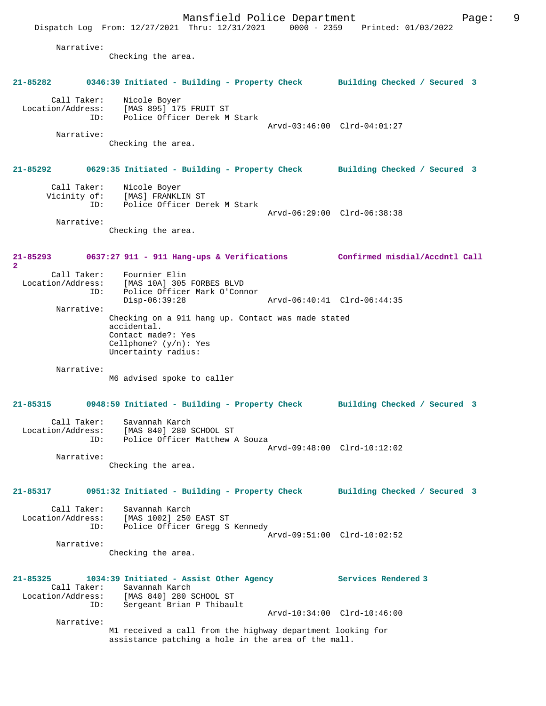Mansfield Police Department Fage: 9 Dispatch Log From: 12/27/2021 Thru: 12/31/2021 0000 - 2359 Printed: 01/03/2022 Narrative: Checking the area. **21-85282 0346:39 Initiated - Building - Property Check Building Checked / Secured 3** Call Taker: Nicole Boyer Location/Address: [MAS 895] 175 FRUIT ST ID: Police Officer Derek M Stark Arvd-03:46:00 Clrd-04:01:27 Narrative: Checking the area. **21-85292 0629:35 Initiated - Building - Property Check Building Checked / Secured 3** Call Taker: Nicole Boyer Vicinity of: [MAS] FRANKLIN ST ID: Police Officer Derek M Stark Arvd-06:29:00 Clrd-06:38:38 Narrative: Checking the area. **21-85293 0637:27 911 - 911 Hang-ups & Verifications Confirmed misdial/Accdntl Call 2**  Call Taker: Fournier Elin Location/Address: [MAS 10A] 305 FORBES BLVD<br>ID: Police Officer Mark O'Conn Police Officer Mark O'Connor<br>Disp-06:39:28 Arvd-06:40:41 Clrd-06:44:35 Narrative: Checking on a 911 hang up. Contact was made stated accidental. Contact made?: Yes Cellphone? (y/n): Yes Uncertainty radius: Narrative: M6 advised spoke to caller **21-85315 0948:59 Initiated - Building - Property Check Building Checked / Secured 3** Call Taker: Savannah Karch Location/Address: [MAS 840] 280 SCHOOL ST ID: Police Officer Matthew A Souza Arvd-09:48:00 Clrd-10:12:02 Narrative: Checking the area. **21-85317 0951:32 Initiated - Building - Property Check Building Checked / Secured 3** Call Taker: Savannah Karch<br>Location/Address: [MAS 1002] 250 [MAS 1002] 250 EAST ST ID: Police Officer Gregg S Kennedy Arvd-09:51:00 Clrd-10:02:52 Narrative: Checking the area. **21-85325 1034:39 Initiated - Assist Other Agency Services Rendered 3**  Call Taker: Savannah Karch Location/Address: [MAS 840] 280 SCHOOL ST ID: Sergeant Brian P Thibault Arvd-10:34:00 Clrd-10:46:00 Narrative: M1 received a call from the highway department looking for assistance patching a hole in the area of the mall.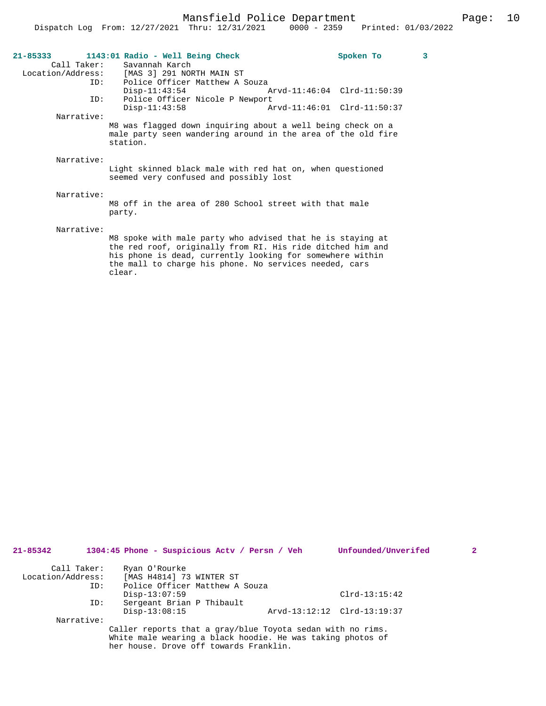| Call Taker:<br>ID: | 21-85333 1143:01 Radio - Well Being Check<br>Savannah Karch<br>Location/Address: [MAS 3] 291 NORTH MAIN ST<br>Police Officer Matthew A Souza                                                                                                                                                    |                             | Spoken To | 3 |
|--------------------|-------------------------------------------------------------------------------------------------------------------------------------------------------------------------------------------------------------------------------------------------------------------------------------------------|-----------------------------|-----------|---|
|                    | $Disp-11:43:54$                                                                                                                                                                                                                                                                                 | Arvd-11:46:04 Clrd-11:50:39 |           |   |
| ID:                | Police Officer Nicole P Newport                                                                                                                                                                                                                                                                 |                             |           |   |
|                    | $Disp-11:43:58$                                                                                                                                                                                                                                                                                 | Arvd-11:46:01 Clrd-11:50:37 |           |   |
| Narrative:         |                                                                                                                                                                                                                                                                                                 |                             |           |   |
|                    | M8 was flagged down inquiring about a well being check on a<br>male party seen wandering around in the area of the old fire<br>station.                                                                                                                                                         |                             |           |   |
| Narrative:         |                                                                                                                                                                                                                                                                                                 |                             |           |   |
|                    | Light skinned black male with red hat on, when questioned<br>seemed very confused and possibly lost                                                                                                                                                                                             |                             |           |   |
| Narrative:         |                                                                                                                                                                                                                                                                                                 |                             |           |   |
|                    | M8 off in the area of 280 School street with that male<br>party.                                                                                                                                                                                                                                |                             |           |   |
| Narrative:         |                                                                                                                                                                                                                                                                                                 |                             |           |   |
|                    | M8 spoke with male party who advised that he is staying at<br>$\mathbf{r}$ , and the contract of the contract of the contract of the contract of the contract of the contract of the contract of the contract of the contract of the contract of the contract of the contract of the contract o |                             |           |   |

the red roof, originally from RI. His ride ditched him and his phone is dead, currently looking for somewhere within the mall to charge his phone. No services needed, cars clear.

| $21 - 85342$      |     | 1304:45 Phone - Suspicious Actv / Persn / Veh              | Unfounded/Unverifed         | 2 |
|-------------------|-----|------------------------------------------------------------|-----------------------------|---|
| Call Taker:       |     | Ryan O'Rourke                                              |                             |   |
| Location/Address: |     | [MAS H4814] 73 WINTER ST                                   |                             |   |
|                   | ID: | Police Officer Matthew A Souza                             |                             |   |
|                   |     | $Disp-13:07:59$                                            | $Clrd-13:15:42$             |   |
|                   | ID: | Sergeant Brian P Thibault                                  |                             |   |
|                   |     | $Disp-13:08:15$                                            | Arvd-13:12:12 Clrd-13:19:37 |   |
| Narrative:        |     |                                                            |                             |   |
|                   |     | Caller reports that a gray/blue Toyota sedan with no rims. |                             |   |
|                   |     | White male wearing a black hoodie. He was taking photos of |                             |   |
|                   |     | her house. Drove off towards Franklin.                     |                             |   |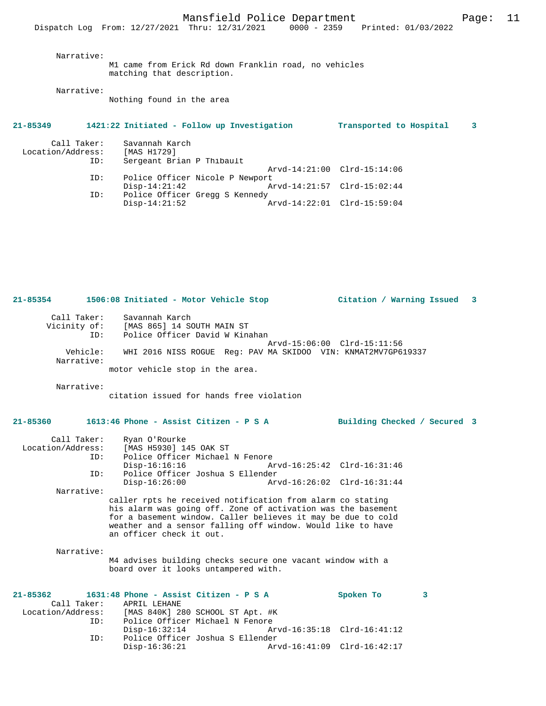Narrative:

M1 came from Erick Rd down Franklin road, no vehicles matching that description.

Narrative:

Nothing found in the area

## **21-85349 1421:22 Initiated - Follow up Investigation Transported to Hospital 3**

| Call Taker:<br>Location/Address: | Savannah Karch<br>[MAS H1729]   |                             |  |
|----------------------------------|---------------------------------|-----------------------------|--|
| ID:                              | Sergeant Brian P Thibault       |                             |  |
|                                  |                                 | Arvd-14:21:00 Clrd-15:14:06 |  |
| ID:                              | Police Officer Nicole P Newport |                             |  |
|                                  | $Disp-14:21:42$                 | Arvd-14:21:57 Clrd-15:02:44 |  |
| ID:                              | Police Officer Gregg S Kennedy  |                             |  |
|                                  | $Disp-14:21:52$                 | Arvd-14:22:01 Clrd-15:59:04 |  |

| Call Taker:            | Savannah Karch                                                |
|------------------------|---------------------------------------------------------------|
| Vicinity of:           | [MAS 865] 14 SOUTH MAIN ST                                    |
| ID:                    | Police Officer David W Kinahan                                |
|                        | Arvd-15:06:00 Clrd-15:11:56                                   |
| Vehicle:<br>Narrative: | WHI 2016 NISS ROGUE Req: PAV MA SKIDOO VIN: KNMAT2MV7GP619337 |

**21-85354 1506:08 Initiated - Motor Vehicle Stop Citation / Warning Issued 3**

motor vehicle stop in the area.

Narrative:

citation issued for hands free violation

## **21-85360 1613:46 Phone - Assist Citizen - P S A Building Checked / Secured 3**

| Call Taker:       | Ryan O'Rourke                                                                                                                                                                                                                                                                         |                             |  |
|-------------------|---------------------------------------------------------------------------------------------------------------------------------------------------------------------------------------------------------------------------------------------------------------------------------------|-----------------------------|--|
| Location/Address: | [MAS H5930] 145 OAK ST                                                                                                                                                                                                                                                                |                             |  |
| ID:               | Police Officer Michael N Fenore                                                                                                                                                                                                                                                       |                             |  |
|                   | $Disp-16:16:16$                                                                                                                                                                                                                                                                       | Arvd-16:25:42 Clrd-16:31:46 |  |
| ID:               | Police Officer Joshua S Ellender                                                                                                                                                                                                                                                      |                             |  |
|                   | $Disp-16:26:00$                                                                                                                                                                                                                                                                       | Arvd-16:26:02 Clrd-16:31:44 |  |
| Narrative:        |                                                                                                                                                                                                                                                                                       |                             |  |
|                   | caller rpts he received notification from alarm co stating<br>his alarm was going off. Zone of activation was the basement<br>for a basement window. Caller believes it may be due to cold<br>weather and a sensor falling off window. Would like to have<br>an officer check it out. |                             |  |
| Narrative:        |                                                                                                                                                                                                                                                                                       |                             |  |

M4 advises building checks secure one vacant window with a board over it looks untampered with.

|                   |             |               | $21-85362$ 1631:48 Phone - Assist Citizen - P S A | Spoken To                   |  |
|-------------------|-------------|---------------|---------------------------------------------------|-----------------------------|--|
|                   | Call Taker: | APRIL LEHANE  |                                                   |                             |  |
| Location/Address: |             |               | [MAS 840K] 280 SCHOOL ST Apt. #K                  |                             |  |
|                   | ID:         |               | Police Officer Michael N Fenore                   |                             |  |
|                   |             | Disp-16:32:14 |                                                   |                             |  |
|                   | ID:         |               | Police Officer Joshua S Ellender                  |                             |  |
|                   |             | Disp-16:36:21 |                                                   | Arvd-16:41:09 Clrd-16:42:17 |  |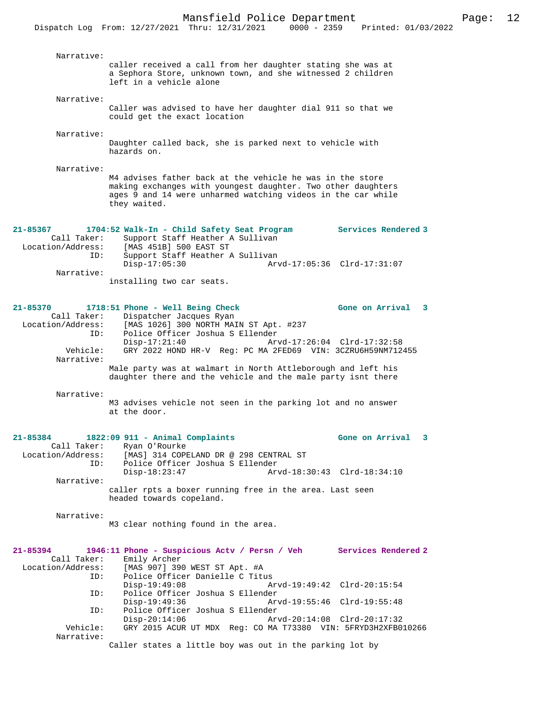|                          | DISPACCH DOG TIOM. IZ/Z7/Z0ZI INIU. IZ/JI/Z0ZI<br>UUUU - 4333                                                                                                                                             | FLIILCU VI/VJ/              |
|--------------------------|-----------------------------------------------------------------------------------------------------------------------------------------------------------------------------------------------------------|-----------------------------|
| Narrative:               |                                                                                                                                                                                                           |                             |
|                          | caller received a call from her daughter stating she was at<br>a Sephora Store, unknown town, and she witnessed 2 children<br>left in a vehicle alone                                                     |                             |
| Narrative:               |                                                                                                                                                                                                           |                             |
|                          | Caller was advised to have her daughter dial 911 so that we<br>could get the exact location                                                                                                               |                             |
| Narrative:               |                                                                                                                                                                                                           |                             |
|                          | Daughter called back, she is parked next to vehicle with<br>hazards on.                                                                                                                                   |                             |
| Narrative:               |                                                                                                                                                                                                           |                             |
|                          | M4 advises father back at the vehicle he was in the store<br>making exchanges with youngest daughter. Two other daughters<br>ages 9 and 14 were unharmed watching videos in the car while<br>they waited. |                             |
| $21 - 85367$             | 1704:52 Walk-In - Child Safety Seat Program                                                                                                                                                               | Services Rendered 3         |
| Call Taker:              | Support Staff Heather A Sullivan                                                                                                                                                                          |                             |
| Location/Address:        | [MAS 451B] 500 EAST ST                                                                                                                                                                                    |                             |
| ID:                      | Support Staff Heather A Sullivan<br>$Disp-17:05:30$                                                                                                                                                       | Arvd-17:05:36 Clrd-17:31:07 |
| Narrative:               |                                                                                                                                                                                                           |                             |
|                          | installing two car seats.                                                                                                                                                                                 |                             |
| 21-85370                 | 1718:51 Phone - Well Being Check                                                                                                                                                                          | Gone on Arrival 3           |
| Call Taker:              | Dispatcher Jacques Ryan                                                                                                                                                                                   |                             |
| Location/Address:        | [MAS 1026] 300 NORTH MAIN ST Apt. #237                                                                                                                                                                    |                             |
| ID:                      | Police Officer Joshua S Ellender<br>$Disp-17:21:40$                                                                                                                                                       | Arvd-17:26:04 Clrd-17:32:58 |
| Vehicle:<br>Narrative:   | GRY 2022 HOND HR-V Req: PC MA 2FED69 VIN: 3CZRU6H59NM712455                                                                                                                                               |                             |
|                          | Male party was at walmart in North Attleborough and left his                                                                                                                                              |                             |
|                          | daughter there and the vehicle and the male party isnt there                                                                                                                                              |                             |
| Narrative:               |                                                                                                                                                                                                           |                             |
|                          | M3 advises vehicle not seen in the parking lot and no answer<br>at the door.                                                                                                                              |                             |
| 21-85384                 | 1822:09 911 - Animal Complaints                                                                                                                                                                           | Gone on Arrival<br>3        |
| Call Taker:              | Ryan O'Rourke                                                                                                                                                                                             |                             |
| Location/Address:<br>ID: | [MAS] 314 COPELAND DR @ 298 CENTRAL ST<br>Police Officer Joshua S Ellender                                                                                                                                |                             |
|                          | $Disp-18:23:47$                                                                                                                                                                                           | Arvd-18:30:43 Clrd-18:34:10 |
| Narrative:               |                                                                                                                                                                                                           |                             |
|                          | caller rpts a boxer running free in the area. Last seen<br>headed towards copeland.                                                                                                                       |                             |
| Narrative:               |                                                                                                                                                                                                           |                             |
|                          | M3 clear nothing found in the area.                                                                                                                                                                       |                             |
|                          |                                                                                                                                                                                                           |                             |
| 21-85394<br>Call Taker:  | 1946:11 Phone - Suspicious Actv / Persn / Veh Services Rendered 2<br>Emily Archer                                                                                                                         |                             |
| Location/Address:        | [MAS 907] 390 WEST ST Apt. #A                                                                                                                                                                             |                             |
| ID:                      | Police Officer Danielle C Titus                                                                                                                                                                           |                             |
| ID:                      | $Disp-19:49:08$<br>Police Officer Joshua S Ellender                                                                                                                                                       | Arvd-19:49:42 Clrd-20:15:54 |
|                          | Disp-19:49:36                                                                                                                                                                                             | Arvd-19:55:46 Clrd-19:55:48 |
| ID:                      | Police Officer Joshua S Ellender                                                                                                                                                                          |                             |
| Vehicle:                 | $Disp-20:14:06$<br>GRY 2015 ACUR UT MDX Reg: CO MA T73380 VIN: 5FRYD3H2XFB010266                                                                                                                          | Arvd-20:14:08 Clrd-20:17:32 |
| Narrative:               |                                                                                                                                                                                                           |                             |
|                          | Caller states a little boy was out in the parking lot by                                                                                                                                                  |                             |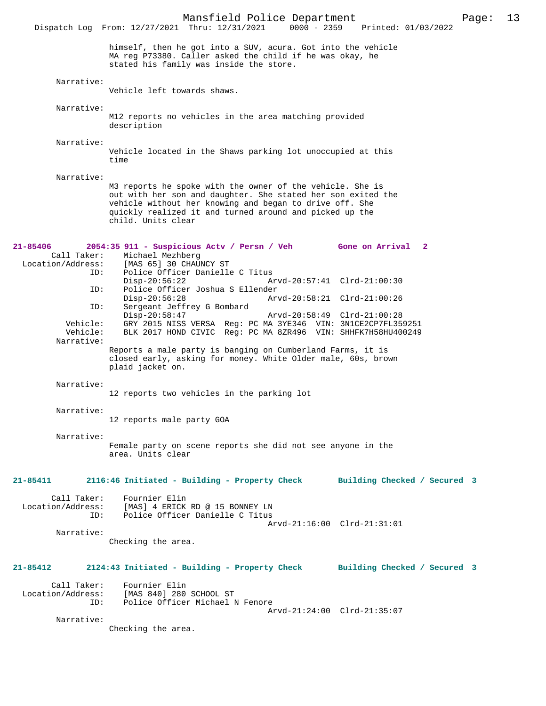Mansfield Police Department Page: 13 Dispatch Log From: 12/27/2021 Thru: 12/31/2021 himself, then he got into a SUV, acura. Got into the vehicle MA reg P73380. Caller asked the child if he was okay, he stated his family was inside the store. Narrative: Vehicle left towards shaws. Narrative: M12 reports no vehicles in the area matching provided description Narrative: Vehicle located in the Shaws parking lot unoccupied at this time Narrative: M3 reports he spoke with the owner of the vehicle. She is out with her son and daughter. She stated her son exited the vehicle without her knowing and began to drive off. She quickly realized it and turned around and picked up the child. Units clear **21-85406 2054:35 911 - Suspicious Actv / Persn / Veh Gone on Arrival 2**  Call Taker: Michael Mezhberg<br>Location/Address: [MAS 65] 30 CHAU [MAS 65] 30 CHAUNCY ST ID: Police Officer Danielle C Titus<br>Disp-20:56:22 Disp-20:56:22 Arvd-20:57:41 Clrd-21:00:30<br>TD: Police Officer Joshua S Ellender Police Officer Joshua S Ellender<br>Disp-20:56:28 Ar Disp-20:56:28 Arvd-20:58:21 Clrd-21:00:26 Sergeant Jeffrey G Bombard Disp-20:58:47 Arvd-20:58:49 Clrd-21:00:28 Vehicle: GRY 2015 NISS VERSA Reg: PC MA 3YE346 VIN: 3N1CE2CP7FL359251 Vehicle: BLK 2017 HOND CIVIC Reg: PC MA 8ZR496 VIN: SHHFK7H58HU400249 Narrative: Reports a male party is banging on Cumberland Farms, it is closed early, asking for money. White Older male, 60s, brown plaid jacket on. Narrative: 12 reports two vehicles in the parking lot Narrative: 12 reports male party GOA Narrative: Female party on scene reports she did not see anyone in the area. Units clear **21-85411 2116:46 Initiated - Building - Property Check Building Checked / Secured 3** Call Taker: Fournier Elin<br>Location/Address: [MAS] 4 ERICK ess: [MAS] 4 ERICK RD @ 15 BONNEY LN<br>ID: Police Officer Danielle C Titus Police Officer Danielle C Titus Arvd-21:16:00 Clrd-21:31:01 Narrative: Checking the area. **21-85412 2124:43 Initiated - Building - Property Check Building Checked / Secured 3** Call Taker: Fournier Elin<br>Location/Address: [MAS 840] 280 ess: [MAS 840] 280 SCHOOL ST<br>ID: Police Officer Michael D Police Officer Michael N Fenore Arvd-21:24:00 Clrd-21:35:07 Narrative: Checking the area.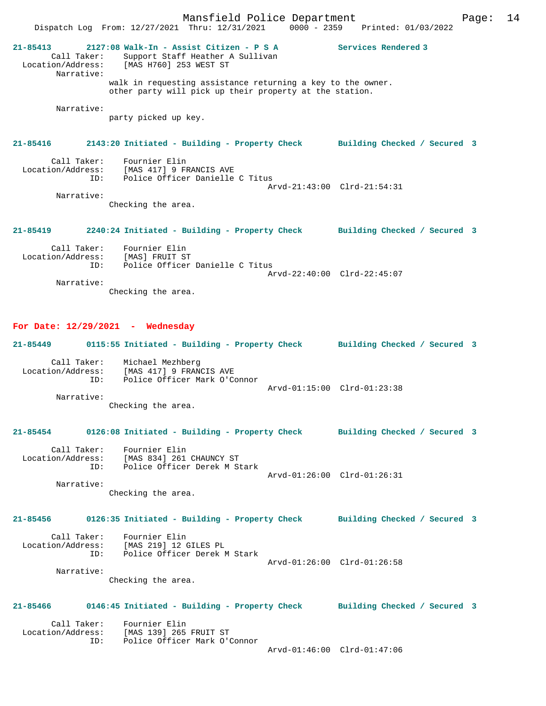Mansfield Police Department Page: 14 Dispatch Log From: 12/27/2021 Thru: 12/31/2021 0000 - 2359 Printed: 01/03/2022 **21-85413 2127:08 Walk-In - Assist Citizen - P S A Services Rendered 3**  Call Taker: Support Staff Heather A Sullivan Location/Address: [MAS H760] 253 WEST ST Narrative: walk in requesting assistance returning a key to the owner. other party will pick up their property at the station. Narrative: party picked up key. **21-85416 2143:20 Initiated - Building - Property Check Building Checked / Secured 3** Call Taker: Fournier Elin Location/Address: [MAS 417] 9 FRANCIS AVE ID: Police Officer Danielle C Titus Arvd-21:43:00 Clrd-21:54:31 Narrative: Checking the area. **21-85419 2240:24 Initiated - Building - Property Check Building Checked / Secured 3** Call Taker: Fournier Elin Location/Address: [MAS] FRUIT ST ID: Police Officer Danielle C Titus

Arvd-22:40:00 Clrd-22:45:07

Narrative:

Checking the area.

#### **For Date: 12/29/2021 - Wednesday**

| 21-85449          | 0115:55 Initiated - Building - Property Check |  | Building Checked / Secured 3 |  |  |
|-------------------|-----------------------------------------------|--|------------------------------|--|--|
| Call Taker:       | Michael Mezhberg                              |  |                              |  |  |
| Location/Address: | [MAS 417] 9 FRANCIS AVE                       |  |                              |  |  |

 ID: Police Officer Mark O'Connor Arvd-01:15:00 Clrd-01:23:38 Narrative:

Checking the area.

## **21-85454 0126:08 Initiated - Building - Property Check Building Checked / Secured 3**

| Call Taker:       | Fournier Elin                |                             |  |
|-------------------|------------------------------|-----------------------------|--|
| Location/Address: | [MAS 834] 261 CHAUNCY ST     |                             |  |
| TD:               | Police Officer Derek M Stark |                             |  |
|                   |                              | Arvd-01:26:00 Clrd-01:26:31 |  |
| Narrative:        |                              |                             |  |

Checking the area.

## **21-85456 0126:35 Initiated - Building - Property Check Building Checked / Secured 3**

| Call Taker:<br>Location/Address:<br>TD: | Fournier Elin<br>[MAS 219] 12 GILES PL<br>Police Officer Derek M Stark |                             |  |
|-----------------------------------------|------------------------------------------------------------------------|-----------------------------|--|
|                                         |                                                                        |                             |  |
|                                         |                                                                        | Arvd-01:26:00 Clrd-01:26:58 |  |
| Narrative:                              |                                                                        |                             |  |

Checking the area.

### **21-85466 0146:45 Initiated - Building - Property Check Building Checked / Secured 3**

| Call Taker:       | Fournier Elin                |                             |
|-------------------|------------------------------|-----------------------------|
| Location/Address: | [MAS 139] 265 FRUIT ST       |                             |
| TD:               | Police Officer Mark O'Connor |                             |
|                   |                              | $\sim$ $\sim$ $\sim$ $\sim$ |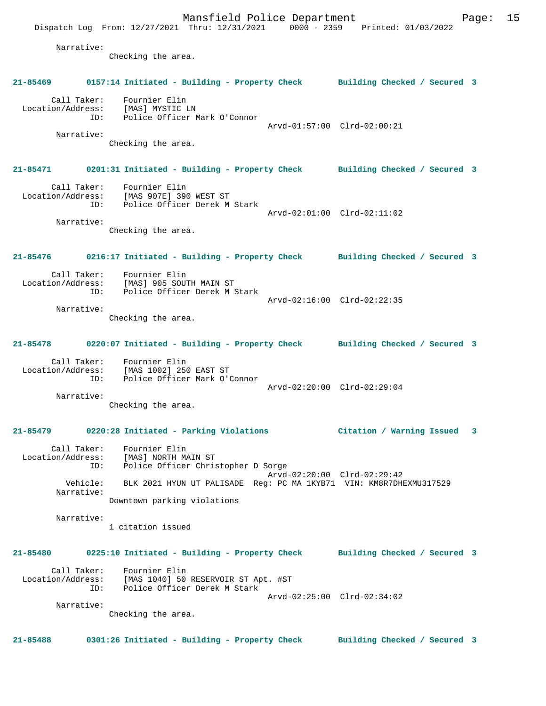Mansfield Police Department Page: 15 Dispatch Log From: 12/27/2021 Thru: 12/31/2021 0000 - 2359 Printed: 01/03/2022 Narrative: Checking the area. **21-85469 0157:14 Initiated - Building - Property Check Building Checked / Secured 3** Call Taker: Fournier Elin Location/Address: [MAS] MYSTIC LN ID: Police Officer Mark O'Connor Arvd-01:57:00 Clrd-02:00:21 Narrative: Checking the area. **21-85471 0201:31 Initiated - Building - Property Check Building Checked / Secured 3** Call Taker: Fournier Elin Location/Address: [MAS 907E] 390 WEST ST ID: Police Officer Derek M Stark Arvd-02:01:00 Clrd-02:11:02 Narrative: Checking the area. **21-85476 0216:17 Initiated - Building - Property Check Building Checked / Secured 3** Call Taker: Fournier Elin Location/Address: [MAS] 905 SOUTH MAIN ST ID: Police Officer Derek M Stark Arvd-02:16:00 Clrd-02:22:35 Narrative: Checking the area. **21-85478 0220:07 Initiated - Building - Property Check Building Checked / Secured 3** Call Taker: Fournier Elin Location/Address: [MAS 1002] 250 EAST ST ID: Police Officer Mark O'Connor Arvd-02:20:00 Clrd-02:29:04 Narrative: Checking the area. **21-85479 0220:28 Initiated - Parking Violations Citation / Warning Issued 3** Call Taker: Fournier Elin Location/Address: [MAS] NORTH MAIN ST ID: Police Officer Christopher D Sorge Arvd-02:20:00 Clrd-02:29:42 Vehicle: BLK 2021 HYUN UT PALISADE Reg: PC MA 1KYB71 VIN: KM8R7DHEXMU317529 Narrative: Downtown parking violations Narrative: 1 citation issued **21-85480 0225:10 Initiated - Building - Property Check Building Checked / Secured 3** Call Taker: Fournier Elin Location/Address: [MAS 1040] 50 RESERVOIR ST Apt. #ST ID: Police Officer Derek M Stark Arvd-02:25:00 Clrd-02:34:02 Narrative: Checking the area.

**21-85488 0301:26 Initiated - Building - Property Check Building Checked / Secured 3**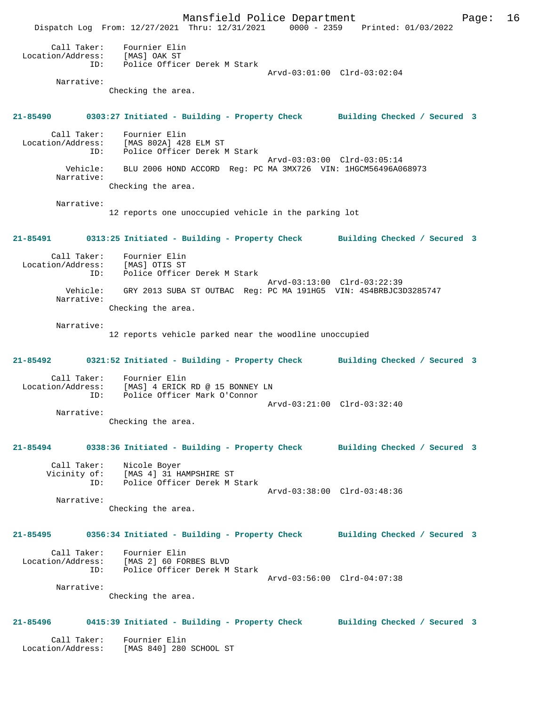Mansfield Police Department Page: 16 Dispatch Log From: 12/27/2021 Thru: 12/31/2021 0000 - 2359 Printed: 01/03/2022 Call Taker: Fournier Elin Location/Address: [MAS] OAK ST ID: Police Officer Derek M Stark Arvd-03:01:00 Clrd-03:02:04 Narrative: Checking the area. **21-85490 0303:27 Initiated - Building - Property Check Building Checked / Secured 3** Call Taker: Fournier Elin Location/Address: [MAS 802A] 428 ELM ST ID: Police Officer Derek M Stark Arvd-03:03:00 Clrd-03:05:14<br>Vehicle: BLU 2006 HOND ACCORD Reg: PC MA 3MX726 VIN: 1HGCM56496A00 BLU 2006 HOND ACCORD Reg: PC MA 3MX726 VIN: 1HGCM56496A068973 Narrative: Checking the area. Narrative: 12 reports one unoccupied vehicle in the parking lot **21-85491 0313:25 Initiated - Building - Property Check Building Checked / Secured 3** Call Taker: Fournier Elin Location/Address: [MAS] OTIS ST Police Officer Derek M Stark Arvd-03:13:00 Clrd-03:22:39<br>Vehicle: GRY 2013 SUBA ST OUTBAC Reg: PC MA 191HG5 VIN: 4S4BRBJC31 GRY 2013 SUBA ST OUTBAC Reg: PC MA 191HG5 VIN: 4S4BRBJC3D3285747 Narrative: Checking the area. Narrative: 12 reports vehicle parked near the woodline unoccupied **21-85492 0321:52 Initiated - Building - Property Check Building Checked / Secured 3** Call Taker: Fournier Elin Location/Address: [MAS] 4 ERICK RD @ 15 BONNEY LN ID: Police Officer Mark O'Connor Arvd-03:21:00 Clrd-03:32:40 Narrative: Checking the area. **21-85494 0338:36 Initiated - Building - Property Check Building Checked / Secured 3** Call Taker: Nicole Boyer Vicinity of: [MAS 4] 31 HAMPSHIRE ST ID: Police Officer Derek M Stark Arvd-03:38:00 Clrd-03:48:36 Narrative: Checking the area. **21-85495 0356:34 Initiated - Building - Property Check Building Checked / Secured 3** Call Taker: Fournier Elin Location/Address: [MAS 2] 60 FORBES BLVD ID: Police Officer Derek M Stark Arvd-03:56:00 Clrd-04:07:38 Narrative: Checking the area. **21-85496 0415:39 Initiated - Building - Property Check Building Checked / Secured 3** Call Taker: Fournier Elin Location/Address: [MAS 840] 280 SCHOOL ST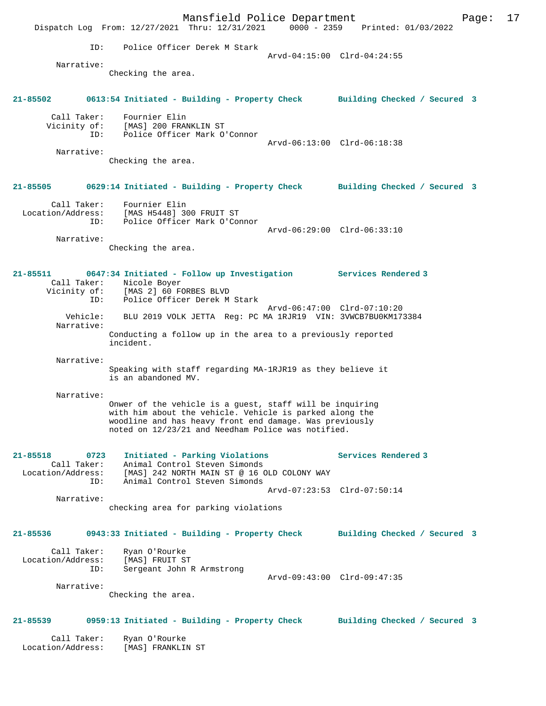Mansfield Police Department Page: 17 Dispatch Log From: 12/27/2021 Thru: 12/31/2021 0000 - 2359 Printed: 01/03/2022 ID: Police Officer Derek M Stark Arvd-04:15:00 Clrd-04:24:55 Narrative: Checking the area. **21-85502 0613:54 Initiated - Building - Property Check Building Checked / Secured 3** Call Taker: Fournier Elin Vicinity of: [MAS] 200 FRANKLIN ST ID: Police Officer Mark O'Connor Arvd-06:13:00 Clrd-06:18:38 Narrative: Checking the area. **21-85505 0629:14 Initiated - Building - Property Check Building Checked / Secured 3** Call Taker: Fournier Elin Location/Address: [MAS H5448] 300 FRUIT ST ID: Police Officer Mark O'Connor Arvd-06:29:00 Clrd-06:33:10 Narrative: Checking the area. **21-85511 0647:34 Initiated - Follow up Investigation Services Rendered 3**  Call Taker: Nicole Boyer Vicinity of: [MAS 2] 60 FORBES BLVD ID: Police Officer Derek M Stark Arvd-06:47:00 Clrd-07:10:20 Vehicle: BLU 2019 VOLK JETTA Reg: PC MA 1RJR19 VIN: 3VWCB7BU0KM173384 Narrative: Conducting a follow up in the area to a previously reported incident. Narrative: Speaking with staff regarding MA-1RJR19 as they believe it is an abandoned MV. Narrative: Onwer of the vehicle is a guest, staff will be inquiring with him about the vehicle. Vehicle is parked along the woodline and has heavy front end damage. Was previously noted on 12/23/21 and Needham Police was notified. **21-85518 0723 Initiated - Parking Violations Services Rendered 3**  Call Taker: Animal Control Steven Simonds Location/Address: [MAS] 242 NORTH MAIN ST @ 16 OLD COLONY WAY ID: Animal Control Steven Simonds Arvd-07:23:53 Clrd-07:50:14 Narrative: checking area for parking violations **21-85536 0943:33 Initiated - Building - Property Check Building Checked / Secured 3** Call Taker: Ryan O'Rourke Location/Address: [MAS] FRUIT ST ID: Sergeant John R Armstrong Arvd-09:43:00 Clrd-09:47:35 Narrative: Checking the area. **21-85539 0959:13 Initiated - Building - Property Check Building Checked / Secured 3** Call Taker: Ryan O'Rourke Location/Address: [MAS] FRANKLIN ST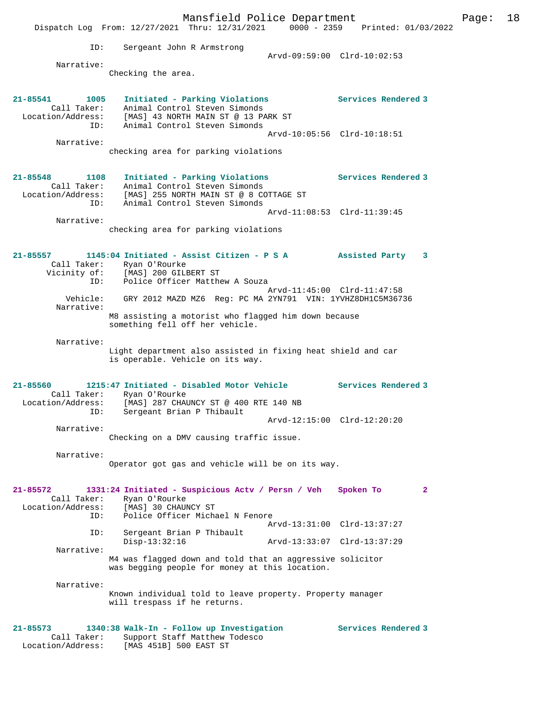Mansfield Police Department Fage: 18 Dispatch Log From: 12/27/2021 Thru: 12/31/2021 0000 - 2359 Printed: 01/03/2022 ID: Sergeant John R Armstrong Arvd-09:59:00 Clrd-10:02:53 Narrative: Checking the area. **21-85541 1005 Initiated - Parking Violations Services Rendered 3**  Call Taker: Animal Control Steven Simonds Location/Address: [MAS] 43 NORTH MAIN ST @ 13 PARK ST ID: Animal Control Steven Simonds Arvd-10:05:56 Clrd-10:18:51 Narrative: checking area for parking violations **21-85548 1108 Initiated - Parking Violations Services Rendered 3**  Call Taker: Animal Control Steven Simonds Location/Address: [MAS] 255 NORTH MAIN ST @ 8 COTTAGE ST ID: Animal Control Steven Simonds Arvd-11:08:53 Clrd-11:39:45 Narrative: checking area for parking violations **21-85557 1145:04 Initiated - Assist Citizen - P S A Assisted Party 3**  Call Taker: Ryan O'Rourke<br>Vicinity of: [MAS] 200 GILI of: [MAS] 200 GILBERT ST<br>ID: Police Officer Matth Police Officer Matthew A Souza Arvd-11:45:00 Clrd-11:47:58<br>Vehicle: GRY 2012 MAZD MZ6 Reg: PC MA 2YN791 VIN: 1YVHZ8DH1C5M367 GRY 2012 MAZD MZ6 Reg: PC MA 2YN791 VIN: 1YVHZ8DH1C5M36736 Narrative: M8 assisting a motorist who flagged him down because something fell off her vehicle. Narrative: Light department also assisted in fixing heat shield and car is operable. Vehicle on its way. **21-85560 1215:47 Initiated - Disabled Motor Vehicle Services Rendered 3**  Call Taker: Ryan O'Rourke Location/Address: [MAS] 287 CHAUNCY ST @ 400 RTE 140 NB ID: Sergeant Brian P Thibault Arvd-12:15:00 Clrd-12:20:20 Narrative: Checking on a DMV causing traffic issue. Narrative: Operator got gas and vehicle will be on its way. **21-85572 1331:24 Initiated - Suspicious Actv / Persn / Veh Spoken To 2**  Call Taker: Ryan O'Rourke Location/Address: [MAS] 30 CHAUNCY ST ID: Police Officer Michael N Fenore Arvd-13:31:00 Clrd-13:37:27<br>TD: Sergeant Brian P Thibault Sergeant Brian P Thibault<br>Disp-13:32:16 Disp-13:32:16 Arvd-13:33:07 Clrd-13:37:29 Narrative: M4 was flagged down and told that an aggressive solicitor was begging people for money at this location. Narrative: Known individual told to leave property. Property manager will trespass if he returns. **21-85573 1340:38 Walk-In - Follow up Investigation Services Rendered 3**  Call Taker: Support Staff Matthew Todesco<br>Location/Address: [MAS 451B] 500 EAST ST [MAS 451B] 500 EAST ST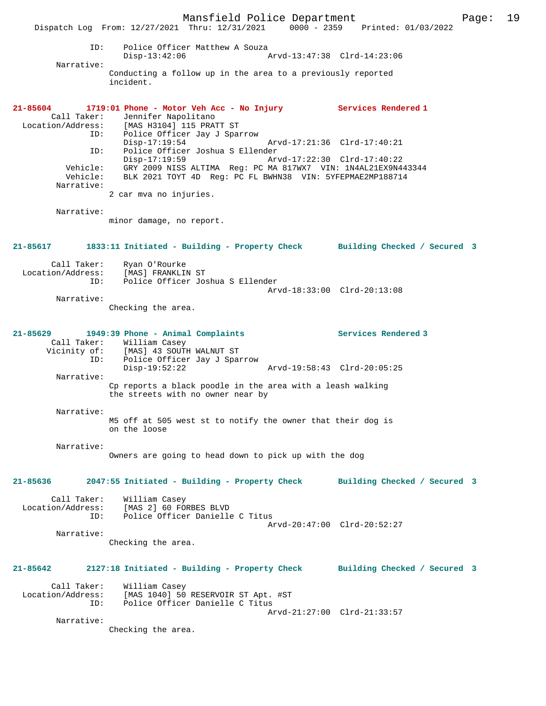Mansfield Police Department Page: 19 Dispatch Log From: 12/27/2021 Thru: 12/31/2021 0000 - 2359 Printed: 01/03/2022 ID: Police Officer Matthew A Souza Disp-13:42:06 Arvd-13:47:38 Clrd-14:23:06 Narrative: Conducting a follow up in the area to a previously reported incident. **21-85604 1719:01 Phone - Motor Veh Acc - No Injury Services Rendered 1**  Call Taker: Jennifer Napolitano Location/Address: [MAS H3104] 115 PRATT ST ID: Police Officer Jay J Sparrow Disp-17:19:54 Arvd-17:21:36 Clrd-17:40:21 ID: Police Officer Joshua S Ellender Disp-17:19:59 Arvd-17:22:30 Clrd-17:40:22 Vehicle: GRY 2009 NISS ALTIMA Reg: PC MA 817WX7 VIN: 1N4AL21EX9N443344 Vehicle: BLK 2021 TOYT 4D Reg: PC FL BWHN38 VIN: 5YFEPMAE2MP188714 Narrative: 2 car mva no injuries. Narrative: minor damage, no report. **21-85617 1833:11 Initiated - Building - Property Check Building Checked / Secured 3** Call Taker: Ryan O'Rourke<br>Location/Address: [MAS] FRANKLII Location/Address: [MAS] FRANKLIN ST ID: Police Officer Joshua S Ellender Arvd-18:33:00 Clrd-20:13:08 Narrative: Checking the area. **21-85629 1949:39 Phone - Animal Complaints Services Rendered 3**  Call Taker: William Casey Vicinity of: [MAS] 43 SOUTH WALNUT ST ID: Police Officer Jay J Sparrow Disp-19:52:22 Arvd-19:58:43 Clrd-20:05:25 Narrative: Cp reports a black poodle in the area with a leash walking the streets with no owner near by Narrative: M5 off at 505 west st to notify the owner that their dog is on the loose Narrative: Owners are going to head down to pick up with the dog **21-85636 2047:55 Initiated - Building - Property Check Building Checked / Secured 3** Call Taker: William Casey Location/Address: [MAS 2] 60 FORBES BLVD ID: Police Officer Danielle C Titus Arvd-20:47:00 Clrd-20:52:27 Narrative: Checking the area. **21-85642 2127:18 Initiated - Building - Property Check Building Checked / Secured 3** Call Taker: William Casey Location/Address: [MAS 1040] 50 RESERVOIR ST Apt. #ST ID: Police Officer Danielle C Titus Arvd-21:27:00 Clrd-21:33:57 Narrative: Checking the area.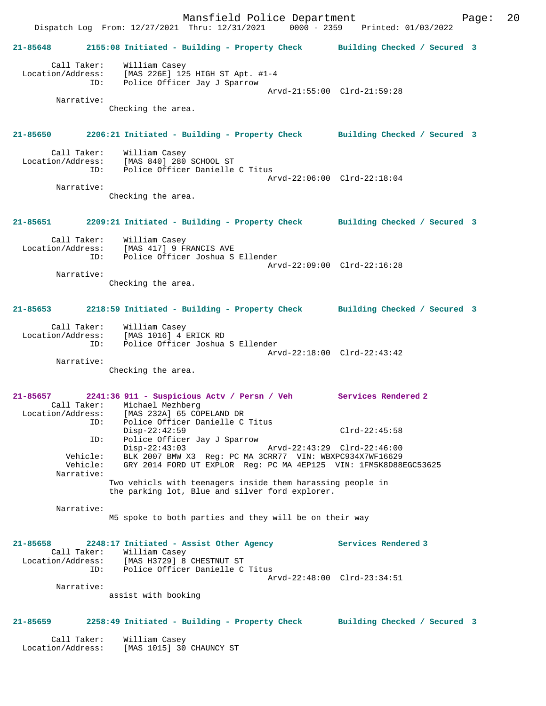Mansfield Police Department Page: 20 Dispatch Log From: 12/27/2021 Thru: 12/31/2021 0000 - 2359 Printed: 01/03/2022 **21-85648 2155:08 Initiated - Building - Property Check Building Checked / Secured 3** Call Taker: William Casey Location/Address: [MAS 226E] 125 HIGH ST Apt. #1-4 ID: Police Officer Jay J Sparrow Arvd-21:55:00 Clrd-21:59:28 Narrative: Checking the area. **21-85650 2206:21 Initiated - Building - Property Check Building Checked / Secured 3** Call Taker: William Casey Location/Address: [MAS 840] 280 SCHOOL ST ID: Police Officer Danielle C Titus Arvd-22:06:00 Clrd-22:18:04 Narrative: Checking the area. **21-85651 2209:21 Initiated - Building - Property Check Building Checked / Secured 3** Call Taker: William Casey Location/Address: [MAS 417] 9 FRANCIS AVE ID: Police Officer Joshua S Ellender Arvd-22:09:00 Clrd-22:16:28 Narrative: Checking the area. **21-85653 2218:59 Initiated - Building - Property Check Building Checked / Secured 3** Call Taker: William Casey Location/Address: [MAS 1016] 4 ERICK RD ID: Police Officer Joshua S Ellender Arvd-22:18:00 Clrd-22:43:42 Narrative: Checking the area. **21-85657 2241:36 911 - Suspicious Actv / Persn / Veh Services Rendered 2**  Call Taker: Michael Mezhberg<br>Location/Address: [MAS 232A] 65 COPELAND DR Location/Address: [MAS 232A] 65 COPELAND DR ID: Police Officer Danielle C Titus Disp-22:42:59 Clrd-22:45:58 ID: Police Officer Jay J Sparrow Disp-22:43:03 Arvd-22:43:29 Clrd-22:46:00 Vehicle: BLK 2007 BMW X3 Reg: PC MA 3CRR77 VIN: WBXPC934X7WF16629 Vehicle: GRY 2014 FORD UT EXPLOR Reg: PC MA 4EP125 VIN: 1FM5K8D88EGC53625 Narrative: Two vehicls with teenagers inside them harassing people in the parking lot, Blue and silver ford explorer. Narrative: M5 spoke to both parties and they will be on their way **21-85658 2248:17 Initiated - Assist Other Agency Services Rendered 3**  Call Taker: William Casey Location/Address: [MAS H3729] 8 CHESTNUT ST ID: Police Officer Danielle C Titus Arvd-22:48:00 Clrd-23:34:51 Narrative: assist with booking **21-85659 2258:49 Initiated - Building - Property Check Building Checked / Secured 3** Call Taker: William Casey Location/Address: [MAS 1015] 30 CHAUNCY ST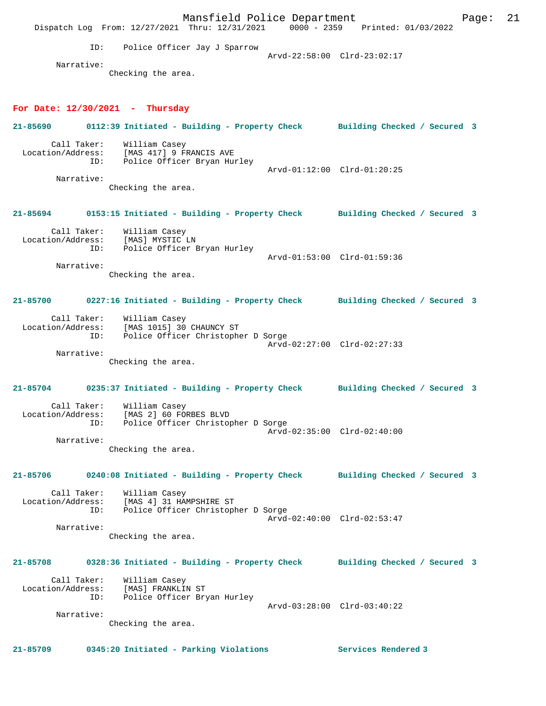Mansfield Police Department Fage: 21 Dispatch Log From: 12/27/2021 Thru: 12/31/2021 0000 - 2359 Printed: 01/03/2022 ID: Police Officer Jay J Sparrow Arvd-22:58:00 Clrd-23:02:17 Narrative: Checking the area. **For Date: 12/30/2021 - Thursday 21-85690 0112:39 Initiated - Building - Property Check Building Checked / Secured 3** Call Taker: William Casey Location/Address: [MAS 417] 9 FRANCIS AVE ID: Police Officer Bryan Hurley Arvd-01:12:00 Clrd-01:20:25 Narrative: Checking the area. **21-85694 0153:15 Initiated - Building - Property Check Building Checked / Secured 3** Call Taker: William Casey Location/Address: [MAS] MYSTIC LN ID: Police Officer Bryan Hurley Arvd-01:53:00 Clrd-01:59:36 Narrative: Checking the area. **21-85700 0227:16 Initiated - Building - Property Check Building Checked / Secured 3** Call Taker: William Casey Location/Address: [MAS 1015] 30 CHAUNCY ST ID: Police Officer Christopher D Sorge Arvd-02:27:00 Clrd-02:27:33 Narrative: Checking the area. **21-85704 0235:37 Initiated - Building - Property Check Building Checked / Secured 3** Call Taker: William Casey Location/Address: [MAS 2] 60 FORBES BLVD ID: Police Officer Christopher D Sorge Arvd-02:35:00 Clrd-02:40:00 Narrative: Checking the area. **21-85706 0240:08 Initiated - Building - Property Check Building Checked / Secured 3** Call Taker: William Casey Location/Address: [MAS 4] 31 HAMPSHIRE ST ID: Police Officer Christopher D Sorge Arvd-02:40:00 Clrd-02:53:47 Narrative: Checking the area. **21-85708 0328:36 Initiated - Building - Property Check Building Checked / Secured 3** Call Taker: William Casey Location/Address: [MAS] FRANKLIN ST ID: Police Officer Bryan Hurley Arvd-03:28:00 Clrd-03:40:22 Narrative: Checking the area. **21-85709 0345:20 Initiated - Parking Violations Services Rendered 3**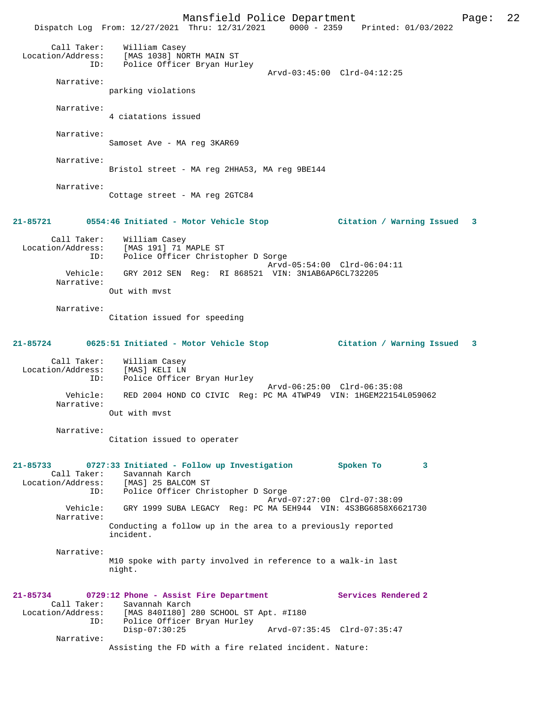Mansfield Police Department Page: 22 Dispatch Log From: 12/27/2021 Thru: 12/31/2021 0000 - 2359 Printed: 01/03/2022 Call Taker: William Casey Location/Address: [MAS 1038] NORTH MAIN ST ID: Police Officer Bryan Hurley Arvd-03:45:00 Clrd-04:12:25 Narrative: parking violations Narrative: 4 ciatations issued Narrative: Samoset Ave - MA reg 3KAR69 Narrative: Bristol street - MA reg 2HHA53, MA reg 9BE144 Narrative: Cottage street - MA reg 2GTC84 **21-85721 0554:46 Initiated - Motor Vehicle Stop Citation / Warning Issued 3** Call Taker: William Casey Location/Address: [MAS 191] 71 MAPLE ST ID: Police Officer Christopher D Sorge Arvd-05:54:00 Clrd-06:04:11 Vehicle: GRY 2012 SEN Reg: RI 868521 VIN: 3N1AB6AP6CL732205 Narrative: Out with mvst Narrative: Citation issued for speeding **21-85724 0625:51 Initiated - Motor Vehicle Stop Citation / Warning Issued 3** Call Taker: William Casey Location/Address: [MAS] KELI LN ID: Police Officer Bryan Hurley Arvd-06:25:00 Clrd-06:35:08 Vehicle: RED 2004 HOND CO CIVIC Reg: PC MA 4TWP49 VIN: 1HGEM22154L059062 Narrative: Out with mvst Narrative: Citation issued to operater **21-85733 0727:33 Initiated - Follow up Investigation Spoken To 3**  Call Taker: Savannah Karch Location/Address: [MAS] 25 BALCOM ST ID: Police Officer Christopher D Sorge Arvd-07:27:00 Clrd-07:38:09<br>Vehicle: GRY 1999 SUBA LEGACY Reg: PC MA 5EH944 VIN: 4S3BG6858X66 GRY 1999 SUBA LEGACY Reg: PC MA 5EH944 VIN: 4S3BG6858X6621730 Narrative: Conducting a follow up in the area to a previously reported incident. Narrative: M10 spoke with party involved in reference to a walk-in last night. **21-85734 0729:12 Phone - Assist Fire Department Services Rendered 2**  Call Taker: Savannah Karch<br>: Location/Address: [MAS 840I180] Location/Address: [MAS 840I180] 280 SCHOOL ST Apt. #I180 ID: Police Officer Bryan Hurley Disp-07:30:25 Arvd-07:35:45 Clrd-07:35:47 Narrative: Assisting the FD with a fire related incident. Nature: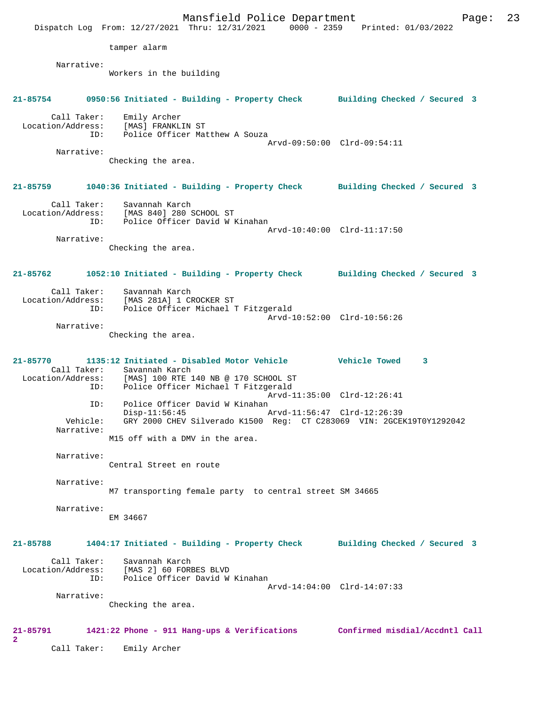Mansfield Police Department Fage: 23 Dispatch Log From: 12/27/2021 Thru: 12/31/2021 0000 - 2359 Printed: 01/03/2022 tamper alarm Narrative: Workers in the building **21-85754 0950:56 Initiated - Building - Property Check Building Checked / Secured 3** Call Taker: Emily Archer Location/Address: [MAS] FRANKLIN ST ID: Police Officer Matthew A Souza Arvd-09:50:00 Clrd-09:54:11 Narrative: Checking the area. **21-85759 1040:36 Initiated - Building - Property Check Building Checked / Secured 3** Call Taker: Savannah Karch Location/Address: [MAS 840] 280 SCHOOL ST ID: Police Officer David W Kinahan Arvd-10:40:00 Clrd-11:17:50 Narrative: Checking the area. **21-85762 1052:10 Initiated - Building - Property Check Building Checked / Secured 3** Call Taker: Savannah Karch Location/Address: [MAS 281A] 1 CROCKER ST ID: Police Officer Michael T Fitzgerald Arvd-10:52:00 Clrd-10:56:26 Narrative: Checking the area. **21-85770 1135:12 Initiated - Disabled Motor Vehicle Vehicle Towed 3**  Call Taker: Savannah Karch<br>Location/Address: [MAS] 100 RTE 1 ess: [MAS] 100 RTE 140 NB @ 170 SCHOOL ST<br>ID: Police Officer Michael T Fitzgerald Police Officer Michael T Fitzgerald Arvd-11:35:00 Clrd-12:26:41 ID: Police Officer David W Kinahan<br>Disp-11:56:45 Disp-11:56:45 Arvd-11:56:47 Clrd-12:26:39 Vehicle: GRY 2000 CHEV Silverado K1500 Reg: CT C283069 VIN: 2GCEK19T0Y1292042 Narrative: M15 off with a DMV in the area. Narrative: Central Street en route Narrative: M7 transporting female party to central street SM 34665 Narrative: EM 34667 **21-85788 1404:17 Initiated - Building - Property Check Building Checked / Secured 3** Call Taker: Savannah Karch Location/Address: [MAS 2] 60 FORBES BLVD ID: Police Officer David W Kinahan Arvd-14:04:00 Clrd-14:07:33 Narrative: Checking the area. **21-85791 1421:22 Phone - 911 Hang-ups & Verifications Confirmed misdial/Accdntl Call 2**  Call Taker: Emily Archer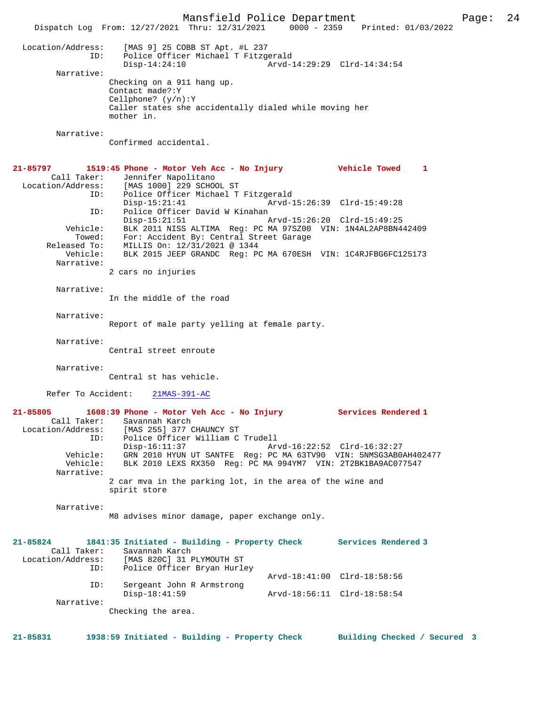Mansfield Police Department Page: 24 Dispatch Log From: 12/27/2021 Thru: 12/31/2021 0000 - 2359 Printed: 01/03/2022 Location/Address: [MAS 9] 25 COBB ST Apt. #L 237<br>ID: Police Officer Michael T Fitzge<br>Disp-14:24:10 Police Officer Michael T Fitzgerald Disp-14:24:10 Arvd-14:29:29 Clrd-14:34:54 Narrative: Checking on a 911 hang up. Contact made?:Y Cellphone? (y/n):Y Caller states she accidentally dialed while moving her mother in. Narrative: Confirmed accidental. **21-85797 1519:45 Phone - Motor Veh Acc - No Injury Vehicle Towed 1**  Call Taker: Jennifer Napolitano<br>Location/Address: [MAS 1000] 229 SCHOC [MAS 1000] 229 SCHOOL ST ID: Police Officer Michael T Fitzgerald Disp-15:21:41 Arvd-15:26:39 Clrd-15:49:28 ID: Police Officer David W Kinahan Disp-15:21:51 Arvd-15:26:20 Clrd-15:49:25 Vehicle: BLK 2011 NISS ALTIMA Reg: PC MA 97SZ00 VIN: 1N4AL2AP8BN442409 Towed: For: Accident By: Central Street Garage Released To: MILLIS On: 12/31/2021 @ 1344<br>Vehicle: BLK 2015 JEEP GRANDC Reg: PO BLK 2015 JEEP GRANDC Reg: PC MA 670ESH VIN: 1C4RJFBG6FC125173 Narrative: 2 cars no injuries Narrative: In the middle of the road Narrative: Report of male party yelling at female party. Narrative: Central street enroute Narrative: Central st has vehicle. Refer To Accident: 21MAS-391-AC **21-85805 1608:39 Phone - Motor Veh Acc - No Injury Services Rendered 1**  Call Taker: Savannah Karch Location/Address: [MAS 255] 377 CHAUNCY ST ID: Police Officer William C Trudell Disp-16:11:37 Arvd-16:22:52 Clrd-16:32:27 Vehicle: GRN 2010 HYUN UT SANTFE Reg: PC MA 63TV90 VIN: 5NMSG3AB0AH402477 Vehicle: BLK 2010 LEXS RX350 Reg: PC MA 994YM7 VIN: 2T2BK1BA9AC077547 Narrative: 2 car mva in the parking lot, in the area of the wine and spirit store Narrative: M8 advises minor damage, paper exchange only. **21-85824 1841:35 Initiated - Building - Property Check Services Rendered 3**  Call Taker: Savannah Karch<br>Location/Address: [MAS 820C] 31 I SS: [MAS 820C] 31 PLYMOUTH ST<br>ID: Police Officer Brvan Hurle Police Officer Bryan Hurley Arvd-18:41:00 Clrd-18:58:56 ID: Sergeant John R Armstrong Disp-18:41:59 Arvd-18:56:11 Clrd-18:58:54 Narrative: Checking the area.

**21-85831 1938:59 Initiated - Building - Property Check Building Checked / Secured 3**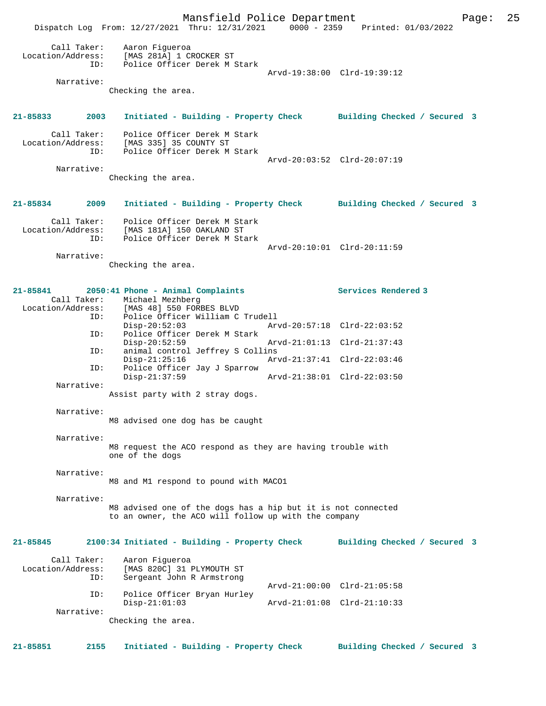Mansfield Police Department Page: 25 Dispatch Log From: 12/27/2021 Thru: 12/31/2021 0000 - 2359 Printed: 01/03/2022 Call Taker: Aaron Figueroa Location/Address: [MAS 281A] 1 CROCKER ST ID: Police Officer Derek M Stark Arvd-19:38:00 Clrd-19:39:12 Narrative: Checking the area. **21-85833 2003 Initiated - Building - Property Check Building Checked / Secured 3** Call Taker: Police Officer Derek M Stark Location/Address: [MAS 335] 35 COUNTY ST Police Officer Derek M Stark Arvd-20:03:52 Clrd-20:07:19 Narrative: Checking the area. **21-85834 2009 Initiated - Building - Property Check Building Checked / Secured 3** Call Taker: Police Officer Derek M Stark Location/Address: [MAS 181A] 150 OAKLAND ST ID: Police Officer Derek M Stark Arvd-20:10:01 Clrd-20:11:59 Narrative: Checking the area. **21-85841 2050:41 Phone - Animal Complaints Services Rendered 3**  Call Taker: Michael Mezhberg Location/Address: [MAS 48] 550 FORBES BLVD ID: Police Officer William C Trudell Disp-20:52:03 Arvd-20:57:18 Clrd-22:03:52 ID: Police Officer Derek M Stark Disp-20:52:59 Arvd-21:01:13 Clrd-21:37:43 ID: animal control Jeffrey S Collins Disp-21:25:16 Arvd-21:37:41 Clrd-22:03:46 ID: Police Officer Jay J Sparrow Disp-21:37:59 Arvd-21:38:01 Clrd-22:03:50 Narrative: Assist party with 2 stray dogs. Narrative: M8 advised one dog has be caught Narrative: M8 request the ACO respond as they are having trouble with one of the dogs Narrative: M8 and M1 respond to pound with MACO1 Narrative: M8 advised one of the dogs has a hip but it is not connected to an owner, the ACO will follow up with the company **21-85845 2100:34 Initiated - Building - Property Check Building Checked / Secured 3** Call Taker: Aaron Figueroa<br>Location/Address: [MAS 820C] 31 1 [MAS 820C] 31 PLYMOUTH ST ID: Sergeant John R Armstrong Arvd-21:00:00 Clrd-21:05:58 ID: Police Officer Bryan Hurley Disp-21:01:03 Arvd-21:01:08 Clrd-21:10:33 Narrative: Checking the area. **21-85851 2155 Initiated - Building - Property Check Building Checked / Secured 3**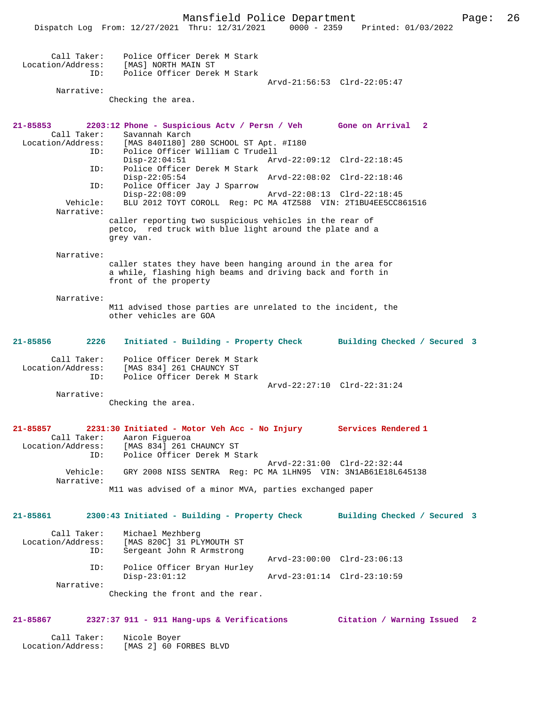|                                         | Dispatch Log From: 12/27/2021 Thru: 12/31/2021 0000 - 2359 Printed: 01/03/2022                                                                     |                             |                              |                         |
|-----------------------------------------|----------------------------------------------------------------------------------------------------------------------------------------------------|-----------------------------|------------------------------|-------------------------|
| ID:                                     | Call Taker: Police Officer Derek M Stark<br>Location/Address: [MAS] NORTH MAIN ST<br>Police Officer Derek M Stark                                  |                             |                              |                         |
| Narrative:                              | Checking the area.                                                                                                                                 |                             | Arvd-21:56:53 Clrd-22:05:47  |                         |
| 21-85853                                | 2203:12 Phone - Suspicious Actv / Persn / Veh Gone on Arrival 2<br>Savannah Karch                                                                  |                             |                              |                         |
|                                         | Call Taker: Savannah Karch<br>Location/Address: [MAS 840I180] 280 SCHOOL ST Apt. #I180<br>ID:<br>Police Officer William C Trudell                  |                             |                              |                         |
| ID:                                     | $Disp-22:04:51$<br>Police Officer Derek M Stark                                                                                                    | Arvd-22:09:12 Clrd-22:18:45 |                              |                         |
| ID:                                     | $Disp-22:05:54$<br>Police Officer Jay J Sparrow                                                                                                    |                             |                              |                         |
| Vehicle:<br>Narrative:                  | $Disp-22:08:09$<br>BLU 2012 TOYT COROLL Reg: PC MA 4TZ588 VIN: 2T1BU4EE5CC861516                                                                   |                             | Arvd-22:08:13 Clrd-22:18:45  |                         |
|                                         | caller reporting two suspicious vehicles in the rear of<br>petco, red truck with blue light around the plate and a<br>qrey van.                    |                             |                              |                         |
| Narrative:                              |                                                                                                                                                    |                             |                              |                         |
|                                         | caller states they have been hanging around in the area for<br>a while, flashing high beams and driving back and forth in<br>front of the property |                             |                              |                         |
| Narrative:                              | M11 advised those parties are unrelated to the incident, the<br>other vehicles are GOA                                                             |                             |                              |                         |
| 21-85856<br>2226                        | Initiated - Building - Property Check Building Checked / Secured 3                                                                                 |                             |                              |                         |
| Call Taker:<br>Location/Address:<br>ID: | Police Officer Derek M Stark<br>[MAS 834] 261 CHAUNCY ST<br>Police Officer Derek M Stark                                                           |                             |                              |                         |
| Narrative:                              |                                                                                                                                                    |                             | Arvd-22:27:10 Clrd-22:31:24  |                         |
|                                         | Checking the area.                                                                                                                                 |                             |                              |                         |
| 21-85857                                | 2231:30 Initiated - Motor Veh Acc - No Injury<br>Call Taker: Aaron Figueroa<br>Location/Address: [MAS 834] 261 CHAUNCY ST                          |                             | Services Rendered 1          |                         |
| ID:<br>Vehicle:                         | Police Officer Derek M Stark<br>GRY 2008 NISS SENTRA Req: PC MA 1LHN95 VIN: 3N1AB61E18L645138                                                      |                             | Arvd-22:31:00 Clrd-22:32:44  |                         |
| Narrative:                              | M11 was advised of a minor MVA, parties exchanged paper                                                                                            |                             |                              |                         |
| 21-85861                                | 2300:43 Initiated - Building - Property Check                                                                                                      |                             | Building Checked / Secured 3 |                         |
| Call Taker:<br>Location/Address:<br>ID: | Michael Mezhberg<br>[MAS 820C] 31 PLYMOUTH ST<br>Sergeant John R Armstrong                                                                         |                             |                              |                         |
| ID:                                     | Police Officer Bryan Hurley                                                                                                                        |                             | Arvd-23:00:00 Clrd-23:06:13  |                         |
| Narrative:                              | $Disp-23:01:12$<br>Checking the front and the rear.                                                                                                |                             | Arvd-23:01:14 Clrd-23:10:59  |                         |
| 21-85867                                | 2327:37 911 - 911 Hang-ups & Verifications                                                                                                         |                             | Citation / Warning Issued    | $\overline{\mathbf{2}}$ |
| Call Taker:                             | Nicole Boyer                                                                                                                                       |                             |                              |                         |

Location/Address: [MAS 2] 60 FORBES BLVD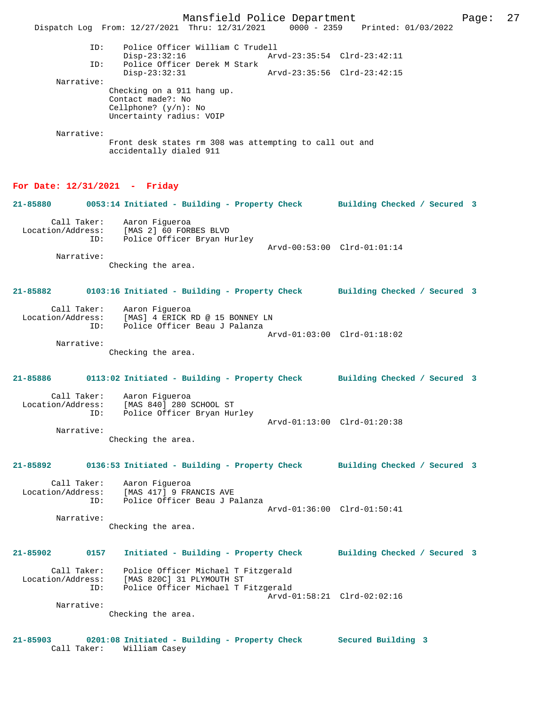Mansfield Police Department Page: 27 Dispatch Log From: 12/27/2021 Thru: 12/31/2021 0000 - 2359 Printed: 01/03/2022 ID: Police Officer William C Trudell Disp-23:32:16 Arvd-23:35:54 Clrd-23:42:11<br>TD: Police Officer Derek M Stark Police Officer Derek M Stark<br>Disp-23:32:31 Disp-23:32:31 Arvd-23:35:56 Clrd-23:42:15 Narrative: Checking on a 911 hang up. Contact made?: No Cellphone? (y/n): No Uncertainty radius: VOIP Narrative: Front desk states rm 308 was attempting to call out and accidentally dialed 911 **For Date: 12/31/2021 - Friday 21-85880 0053:14 Initiated - Building - Property Check Building Checked / Secured 3** Call Taker: Aaron Figueroa Location/Address: [MAS 2] 60 FORBES BLVD ID: Police Officer Bryan Hurley Arvd-00:53:00 Clrd-01:01:14 Narrative: Checking the area. **21-85882 0103:16 Initiated - Building - Property Check Building Checked / Secured 3** Call Taker: Aaron Figueroa Location/Address: [MAS] 4 ERICK RD @ 15 BONNEY LN ID: Police Officer Beau J Palanza Arvd-01:03:00 Clrd-01:18:02 Narrative: Checking the area. **21-85886 0113:02 Initiated - Building - Property Check Building Checked / Secured 3** Call Taker: Aaron Figueroa Location/Address: [MAS 840] 280 SCHOOL ST ID: Police Officer Bryan Hurley Arvd-01:13:00 Clrd-01:20:38 Narrative: Checking the area. **21-85892 0136:53 Initiated - Building - Property Check Building Checked / Secured 3** Call Taker: Aaron Figueroa Location/Address: [MAS 417] 9 FRANCIS AVE ID: Police Officer Beau J Palanza Arvd-01:36:00 Clrd-01:50:41 Narrative: Checking the area. **21-85902 0157 Initiated - Building - Property Check Building Checked / Secured 3** Call Taker: Police Officer Michael T Fitzgerald<br>Location/Address: [MAS 820C] 31 PLYMOUTH ST Location/Address: [MAS 820C] 31 PLYMOUTH ST ID: Police Officer Michael T Fitzgerald ID: Police Officer Michael T Fitzgerald<br>Arvd-01:58:21 Clrd-02:02:16 Narrative: Checking the area. **21-85903 0201:08 Initiated - Building - Property Check Secured Building 3**  Call Taker: William Casey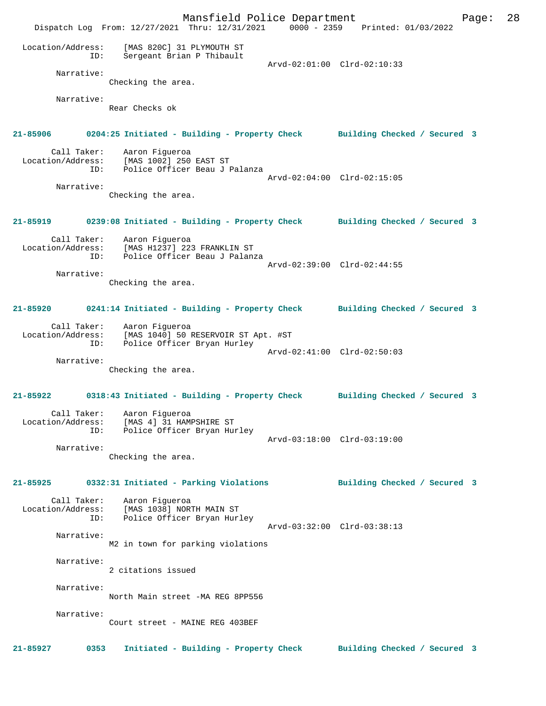Mansfield Police Department Page: 28 Dispatch Log From: 12/27/2021 Thru: 12/31/2021 0000 - 2359 Printed: 01/03/2022 Location/Address: [MAS 820C] 31 PLYMOUTH ST ID: Sergeant Brian P Thibault Arvd-02:01:00 Clrd-02:10:33 Narrative: Checking the area. Narrative: Rear Checks ok **21-85906 0204:25 Initiated - Building - Property Check Building Checked / Secured 3** Call Taker: Aaron Figueroa<br>Location/Address: [MAS 1002] 250 المحمد المحمد ...<br>Stas: [MAS 1002] 250 EAST ST<br>ID: Police Officer Beau J I Police Officer Beau J Palanza Arvd-02:04:00 Clrd-02:15:05 Narrative: Checking the area. **21-85919 0239:08 Initiated - Building - Property Check Building Checked / Secured 3** Call Taker: Aaron Figueroa Location/Address: [MAS H1237] 223 FRANKLIN ST ID: Police Officer Beau J Palanza Arvd-02:39:00 Clrd-02:44:55 Narrative: Checking the area. **21-85920 0241:14 Initiated - Building - Property Check Building Checked / Secured 3** Call Taker: Aaron Figueroa Location/Address: [MAS 1040] 50 RESERVOIR ST Apt. #ST ID: Police Officer Bryan Hurley Arvd-02:41:00 Clrd-02:50:03 Narrative: Checking the area. **21-85922 0318:43 Initiated - Building - Property Check Building Checked / Secured 3** Call Taker: Aaron Figueroa Location/Address: [MAS 4] 31 HAMPSHIRE ST ID: Police Officer Bryan Hurley Arvd-03:18:00 Clrd-03:19:00 Narrative: Checking the area. **21-85925 0332:31 Initiated - Parking Violations Building Checked / Secured 3** Call Taker: Aaron Figueroa Location/Address: [MAS 1038] NORTH MAIN ST Police Officer Bryan Hurley Arvd-03:32:00 Clrd-03:38:13 Narrative: M2 in town for parking violations Narrative: 2 citations issued Narrative: North Main street -MA REG 8PP556 Narrative: Court street - MAINE REG 403BEF **21-85927 0353 Initiated - Building - Property Check Building Checked / Secured 3**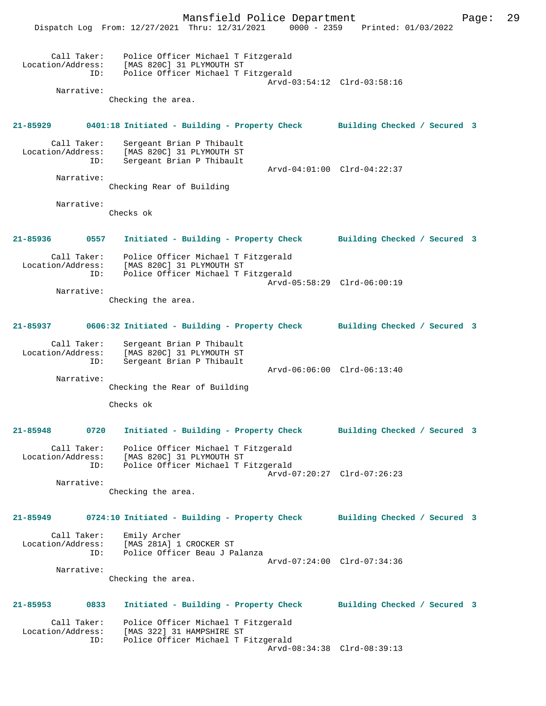|                                  | Mansfield Police Department<br>$0000 - 2359$<br>Dispatch Log From: 12/27/2021 Thru: 12/31/2021                 | Page:<br>Printed: 01/03/2022 | 29 |
|----------------------------------|----------------------------------------------------------------------------------------------------------------|------------------------------|----|
| Call Taker:<br>Location/Address: | Police Officer Michael T Fitzgerald<br>[MAS 820C] 31 PLYMOUTH ST<br>Police Officer Michael T Fitzgerald<br>ID: | Arvd-03:54:12 Clrd-03:58:16  |    |
| Narrative:                       | Checking the area.                                                                                             |                              |    |
|                                  |                                                                                                                |                              |    |
| $21 - 85929$                     | 0401:18 Initiated - Building - Property Check Building Checked / Secured 3                                     |                              |    |
| Call Taker:<br>Location/Address: | Sergeant Brian P Thibault<br>[MAS 820C] 31 PLYMOUTH ST<br>Sergeant Brian P Thibault<br>ID:                     | Arvd-04:01:00 Clrd-04:22:37  |    |
| Narrative:                       | Checking Rear of Building                                                                                      |                              |    |
| Narrative:                       | Checks ok                                                                                                      |                              |    |
| 21-85936                         | Initiated - Building - Property Check<br>0557                                                                  | Building Checked / Secured 3 |    |
| Call Taker:<br>Location/Address: | Police Officer Michael T Fitzgerald<br>[MAS 820C] 31 PLYMOUTH ST<br>Police Officer Michael T Fitzgerald<br>ID: | Arvd-05:58:29 Clrd-06:00:19  |    |
| Narrative:                       | Checking the area.                                                                                             |                              |    |
| 21-85937                         | 0606:32 Initiated - Building - Property Check                                                                  | Building Checked / Secured 3 |    |
| Call Taker:<br>Location/Address: | Sergeant Brian P Thibault<br>[MAS 820C] 31 PLYMOUTH ST<br>Sergeant Brian P Thibault<br>ID:                     | Arvd-06:06:00 Clrd-06:13:40  |    |
| Narrative:                       |                                                                                                                |                              |    |
|                                  | Checking the Rear of Building<br>Checks ok                                                                     |                              |    |
|                                  |                                                                                                                |                              |    |
| 21-85948                         | Initiated - Building - Property Check Building Checked / Secured 3<br>0720                                     |                              |    |
| Call Taker:<br>Location/Address: | Police Officer Michael T Fitzgerald<br>[MAS 820C] 31 PLYMOUTH ST<br>Police Officer Michael T Fitzgerald<br>ID: | Arvd-07:20:27 Clrd-07:26:23  |    |
| Narrative:                       | Checking the area.                                                                                             |                              |    |
| 21-85949                         | 0724:10 Initiated - Building - Property Check Building Checked / Secured 3                                     |                              |    |
| Call Taker:<br>Location/Address: | Emily Archer<br>[MAS 281A] 1 CROCKER ST<br>Police Officer Beau J Palanza<br>ID:                                | Arvd-07:24:00 Clrd-07:34:36  |    |
| Narrative:                       | Checking the area.                                                                                             |                              |    |
| 21-85953                         | 0833<br>Initiated - Building - Property Check                                                                  | Building Checked / Secured 3 |    |
| Call Taker:<br>Location/Address: | Police Officer Michael T Fitzgerald<br>[MAS 322] 31 HAMPSHIRE ST<br>Police Officer Michael T Fitzgerald<br>ID: |                              |    |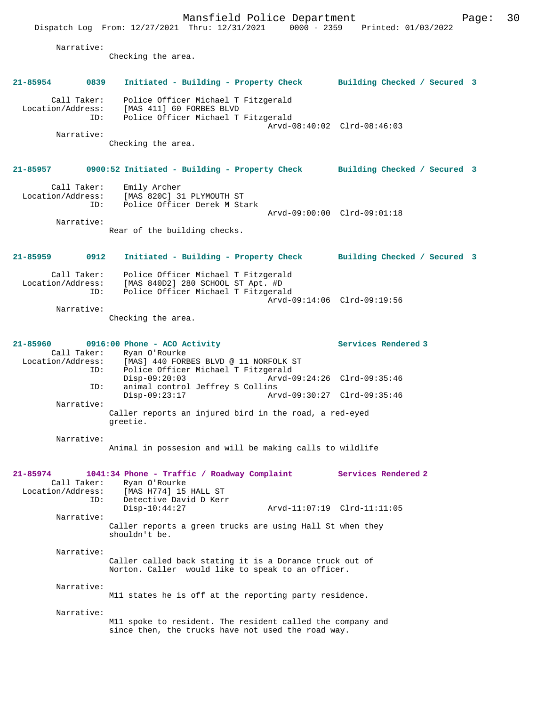Dispatch Log From: 12/27/2021 Thru: 12/31/2021 0000 - 2359 Printed: 01/03/2022 Narrative: Checking the area. **21-85954 0839 Initiated - Building - Property Check Building Checked / Secured 3** Call Taker: Police Officer Michael T Fitzgerald Location/Address: [MAS 411] 60 FORBES BLVD ID: Police Officer Michael T Fitzgerald Arvd-08:40:02 Clrd-08:46:03 Narrative: Checking the area. **21-85957 0900:52 Initiated - Building - Property Check Building Checked / Secured 3** Call Taker: Emily Archer Location/Address: [MAS 820C] 31 PLYMOUTH ST ID: Police Officer Derek M Stark Arvd-09:00:00 Clrd-09:01:18 Narrative: Rear of the building checks. **21-85959 0912 Initiated - Building - Property Check Building Checked / Secured 3** Call Taker: Police Officer Michael T Fitzgerald Location/Address: [MAS 840D2] 280 SCHOOL ST Apt. #D ID: Police Officer Michael T Fitzgerald Arvd-09:14:06 Clrd-09:19:56 Narrative: Checking the area. **21-85960 0916:00 Phone - ACO Activity Services Rendered 3**  Call Taker: Ryan O'Rourke Location/Address: [MAS] 440 FORBES BLVD @ 11 NORFOLK ST ID: Police Officer Michael T Fitzgerald Disp-09:20:03 Arvd-09:24:26 Clrd-09:35:46<br>ID: animal control Jeffrey S Collins animal control Jeffrey S Collins<br>Disp-09:23:17 Arv Disp-09:23:17 Arvd-09:30:27 Clrd-09:35:46 Narrative: Caller reports an injured bird in the road, a red-eyed greetie. Narrative: Animal in possesion and will be making calls to wildlife **21-85974 1041:34 Phone - Traffic / Roadway Complaint Services Rendered 2**  Call Taker: Ryan O'Rourke<br>Location/Address: [MAS H774] 15 [MAS H774] 15 HALL ST ID: Detective David D Kerr<br>Disp-10:44:27 Disp-10:44:27 Arvd-11:07:19 Clrd-11:11:05 Narrative: Caller reports a green trucks are using Hall St when they shouldn't be. Narrative: Caller called back stating it is a Dorance truck out of Norton. Caller would like to speak to an officer. Narrative: M11 states he is off at the reporting party residence. Narrative: M11 spoke to resident. The resident called the company and since then, the trucks have not used the road way.

Mansfield Police Department Page: 30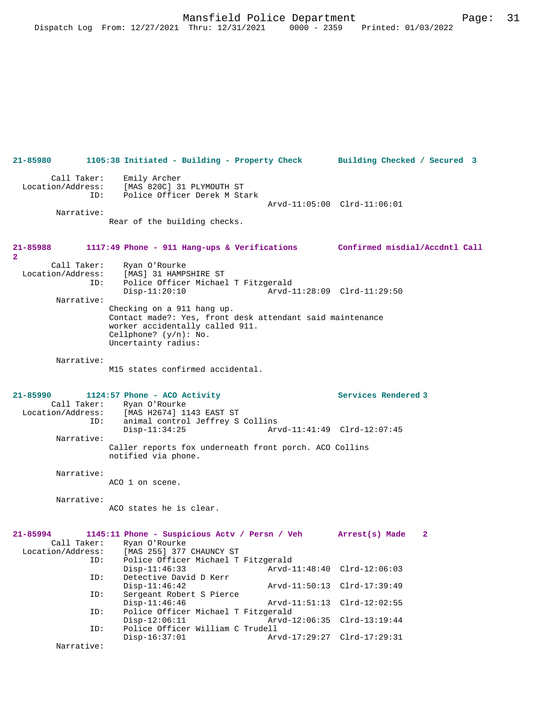**21-85980 1105:38 Initiated - Building - Property Check Building Checked / Secured 3** Call Taker: Emily Archer Location/Address: [MAS 820C] 31 PLYMOUTH ST ID: Police Officer Derek M Stark Arvd-11:05:00 Clrd-11:06:01 Narrative: Rear of the building checks. **21-85988 1117:49 Phone - 911 Hang-ups & Verifications Confirmed misdial/Accdntl Call 2**  Call Taker: Ryan O'Rourke<br>Location/Address: [MAS] 31 HAMP; ess: [MAS] 31 HAMPSHIRE ST<br>ID: Police Officer Michae] Police Officer Michael T Fitzgerald Disp-11:20:10 Arvd-11:28:09 Clrd-11:29:50 Narrative: Checking on a 911 hang up. Contact made?: Yes, front desk attendant said maintenance worker accidentally called 911. Cellphone? (y/n): No. Uncertainty radius: Narrative: M15 states confirmed accidental. **21-85990 1124:57 Phone - ACO Activity Services Rendered 3**  Call Taker: Ryan O'Rourke<br>Location/Address: [MAS H2674] 1 ess: [MAS H2674] 1143 EAST ST<br>TD: animal control Jeffrey S animal control Jeffrey S Collins<br>Disp-11:34:25 Ary Arvd-11:41:49 Clrd-12:07:45 Narrative: Caller reports fox underneath front porch. ACO Collins notified via phone. Narrative: ACO 1 on scene. Narrative: ACO states he is clear. **21-85994 1145:11 Phone - Suspicious Actv / Persn / Veh Arrest(s) Made 2**  Call Taker: Ryan O'Rourke<br>Location/Address: [MAS 255] 377 ess: [MAS 255] 377 CHAUNCY ST<br>ID: Police Officer Michael T Police Officer Michael T Fitzgerald<br>Disp-11:46:33 Arvd-1 Disp-11:46:33 Arvd-11:48:40 Clrd-12:06:03 ID: Detective David D Kerr<br>Disp-11:46:42 Arvd-11:50:13 Clrd-17:39:49 ID: Sergeant Robert S Pierce Disp-11:46:46 Arvd-11:51:13 Clrd-12:02:55<br>ID: Police Officer Michael T Fitzgerald Police Officer Michael T Fitzgerald Disp-12:06:11 Arvd-12:06:35 Clrd-13:19:44<br>TD: Police Officer William C Trudell Police Officer William C Trudell<br>Disp-16:37:01 Arv Disp-16:37:01 Arvd-17:29:27 Clrd-17:29:31 Narrative: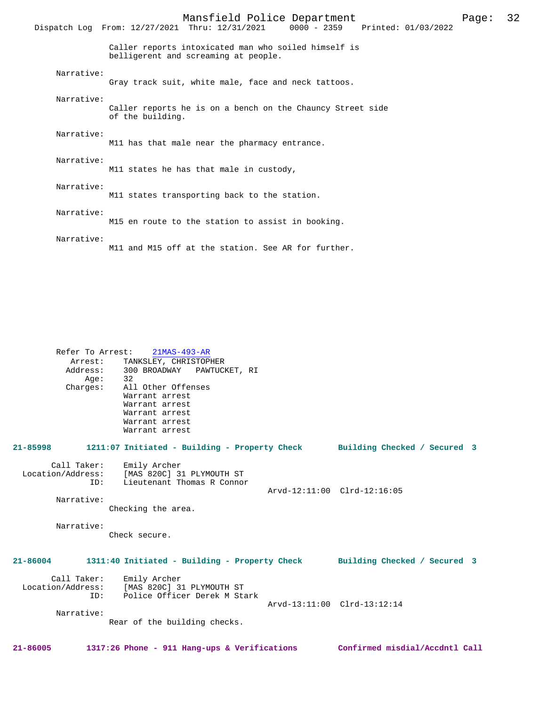|            | Mansfield Police Department<br>$0000 - 2359$<br>Printed: 01/03/2022<br>Dispatch Log From: 12/27/2021 Thru: 12/31/2021 | Page: | 32 |
|------------|-----------------------------------------------------------------------------------------------------------------------|-------|----|
|            | Caller reports intoxicated man who soiled himself is<br>belligerent and screaming at people.                          |       |    |
| Narrative: | Gray track suit, white male, face and neck tattoos.                                                                   |       |    |
| Narrative: | Caller reports he is on a bench on the Chauncy Street side<br>of the building.                                        |       |    |
| Narrative: | M11 has that male near the pharmacy entrance.                                                                         |       |    |
| Narrative: | M11 states he has that male in custody,                                                                               |       |    |
| Narrative: | M11 states transporting back to the station.                                                                          |       |    |
| Narrative: | M15 en route to the station to assist in booking.                                                                     |       |    |
| Narrative: | M11 and M15 off at the station. See AR for further.                                                                   |       |    |

 Refer To Arrest: 21MAS-493-AR Arrest: TANKSLEY, CHRISTOPHER Address: 300 BROADWAY PAWTUCKET, RI<br>Age: 32 Age:<br>:Charges All Other Offenses Warrant arrest Warrant arrest Warrant arrest Warrant arrest Warrant arrest **21-85998 1211:07 Initiated - Building - Property Check Building Checked / Secured 3** Call Taker: Emily Archer<br>Location/Address: [MAS 820C] 3 ess: [MAS 820C] 31 PLYMOUTH ST<br>ID: Lieutenant Thomas R Conno: Lieutenant Thomas R Connor Arvd-12:11:00 Clrd-12:16:05 Narrative: Checking the area. Narrative: Check secure. **21-86004 1311:40 Initiated - Building - Property Check Building Checked / Secured 3** Call Taker: Emily Archer Location/Address: [MAS 820C] 31 PLYMOUTH ST ID: Police Officer Derek M Stark Arvd-13:11:00 Clrd-13:12:14 Narrative: Rear of the building checks. **21-86005 1317:26 Phone - 911 Hang-ups & Verifications Confirmed misdial/Accdntl Call**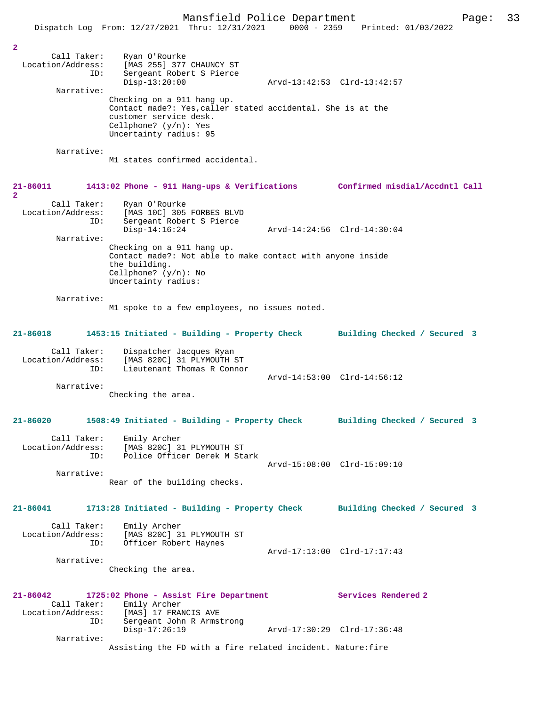|                          | Dispatch Log From: 12/27/2021 Thru: 12/31/2021                              | $0000 - 2359$ | Printed: 01/03/2022          |
|--------------------------|-----------------------------------------------------------------------------|---------------|------------------------------|
|                          |                                                                             |               |                              |
| $\overline{a}$           |                                                                             |               |                              |
| Call Taker:              | Ryan O'Rourke                                                               |               |                              |
| Location/Address:        | [MAS 255] 377 CHAUNCY ST                                                    |               |                              |
| ID:                      | Sergeant Robert S Pierce                                                    |               |                              |
|                          | $Disp-13:20:00$                                                             |               | Arvd-13:42:53 Clrd-13:42:57  |
| Narrative:               |                                                                             |               |                              |
|                          | Checking on a 911 hang up.                                                  |               |                              |
|                          | Contact made?: Yes, caller stated accidental. She is at the                 |               |                              |
|                          | customer service desk.                                                      |               |                              |
|                          | Cellphone? $(y/n)$ : Yes                                                    |               |                              |
|                          | Uncertainty radius: 95                                                      |               |                              |
| Narrative:               |                                                                             |               |                              |
|                          | M1 states confirmed accidental.                                             |               |                              |
|                          |                                                                             |               |                              |
|                          |                                                                             |               |                              |
| 21-86011                 | 1413:02 Phone - 911 Hang-ups & Verifications Confirmed misdial/Accdntl Call |               |                              |
| $\overline{2}$           |                                                                             |               |                              |
| Call Taker:              | Ryan O'Rourke                                                               |               |                              |
| Location/Address:        | [MAS 10C] 305 FORBES BLVD                                                   |               |                              |
| ID:                      | Sergeant Robert S Pierce                                                    |               |                              |
|                          | $Disp-14:16:24$                                                             |               | Arvd-14:24:56 Clrd-14:30:04  |
| Narrative:               |                                                                             |               |                              |
|                          | Checking on a 911 hang up.                                                  |               |                              |
|                          | Contact made?: Not able to make contact with anyone inside                  |               |                              |
|                          | the building.                                                               |               |                              |
|                          | Cellphone? $(y/n):$ No                                                      |               |                              |
|                          | Uncertainty radius:                                                         |               |                              |
|                          |                                                                             |               |                              |
| Narrative:               |                                                                             |               |                              |
|                          | M1 spoke to a few employees, no issues noted.                               |               |                              |
|                          |                                                                             |               |                              |
|                          |                                                                             |               |                              |
| 21-86018                 | 1453:15 Initiated - Building - Property Check                               |               | Building Checked / Secured 3 |
|                          |                                                                             |               |                              |
| Call Taker:              | Dispatcher Jacques Ryan                                                     |               |                              |
| Location/Address:        | [MAS 820C] 31 PLYMOUTH ST                                                   |               |                              |
| ID:                      | Lieutenant Thomas R Connor                                                  |               |                              |
|                          |                                                                             |               | Arvd-14:53:00 Clrd-14:56:12  |
| Narrative:               |                                                                             |               |                              |
|                          | Checking the area.                                                          |               |                              |
|                          |                                                                             |               |                              |
| 21-86020                 | 1508:49 Initiated - Building - Property Check                               |               | Building Checked / Secured 3 |
|                          |                                                                             |               |                              |
| Call Taker:              | Emily Archer                                                                |               |                              |
| Location/Address:        | [MAS 820C] 31 PLYMOUTH ST                                                   |               |                              |
| ID:                      | Police Officer Derek M Stark                                                |               |                              |
|                          |                                                                             |               | Arvd-15:08:00 Clrd-15:09:10  |
| Narrative:               |                                                                             |               |                              |
|                          | Rear of the building checks.                                                |               |                              |
|                          |                                                                             |               |                              |
|                          |                                                                             |               |                              |
|                          |                                                                             |               |                              |
| 21-86041                 | 1713:28 Initiated - Building - Property Check                               |               | Building Checked / Secured 3 |
|                          |                                                                             |               |                              |
| Call Taker:              | Emily Archer                                                                |               |                              |
| Location/Address:        | [MAS 820C] 31 PLYMOUTH ST                                                   |               |                              |
| ID:                      | Officer Robert Haynes                                                       |               |                              |
|                          |                                                                             |               | Arvd-17:13:00 Clrd-17:17:43  |
| Narrative:               |                                                                             |               |                              |
|                          | Checking the area.                                                          |               |                              |
|                          |                                                                             |               |                              |
|                          |                                                                             |               |                              |
| 21-86042                 | 1725:02 Phone - Assist Fire Department                                      |               | Services Rendered 2          |
| Call Taker:              | Emily Archer                                                                |               |                              |
| Location/Address:<br>ID: | [MAS] 17 FRANCIS AVE                                                        |               |                              |
|                          | Sergeant John R Armstrong<br>$Disp-17:26:19$                                |               | Arvd-17:30:29 Clrd-17:36:48  |
| Narrative:               |                                                                             |               |                              |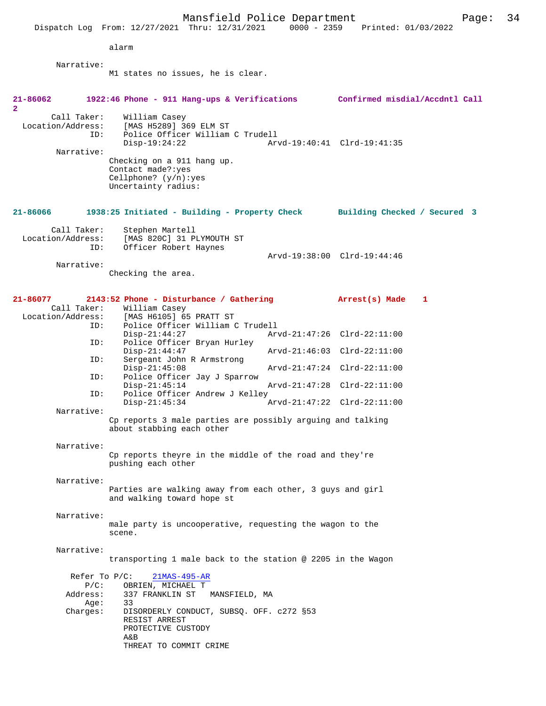Mansfield Police Department<br>Thru:  $12/31/2021$  0000 - 2359 Printed:  $01/03/2022$ Dispatch Log From: 12/27/2021 Thru: 12/31/2021 alarm Narrative: M1 states no issues, he is clear. **21-86062 1922:46 Phone - 911 Hang-ups & Verifications Confirmed misdial/Accdntl Call 2**  Call Taker: William Casey<br>Location/Address: [MAS H5289] 3 ess: [MAS H5289] 369 ELM ST<br>ID: Police Officer William Police Officer William C Trudell<br>Disp-19:24:22 Ar Arvd-19:40:41 Clrd-19:41:35 Narrative: Checking on a 911 hang up. Contact made?:yes Cellphone? (y/n):yes Uncertainty radius: **21-86066 1938:25 Initiated - Building - Property Check Building Checked / Secured 3** Call Taker: Stephen Martell<br>Location/Address: [MAS 820C] 31 P [MAS 820C] 31 PLYMOUTH ST ID: Officer Robert Haynes Arvd-19:38:00 Clrd-19:44:46 Narrative: Checking the area. **21-86077 2143:52 Phone - Disturbance / Gathering Arrest(s) Made 1**  Call Taker: William Casey<br>Location/Address: [MAS H6105] 65 ess: [MAS H6105] 65 PRATT ST<br>ID: Police Officer William C Police Officer William C Trudell<br>Disp-21:44:27 Arv Disp-21:44:27 Arvd-21:47:26 Clrd-22:11:00<br>ID: Police Officer Brvan Hurley Police Officer Bryan Hurley<br>Disp-21:44:47 Disp-21:44:47 Arvd-21:46:03 Clrd-22:11:00<br>ID: Sergeant John R Armstrong Sergeant John R Armstrong<br>Disp-21:45:08 Disp-21:45:08 Arvd-21:47:24 Clrd-22:11:00 ID: Police Officer Jay J Sparrow Disp-21:45:14 Arvd-21:47:28 Clrd-22:11:00 Police Officer Andrew J Kelley<br>Disp-21:45:34 Disp-21:45:34 Arvd-21:47:22 Clrd-22:11:00 Narrative: Cp reports 3 male parties are possibly arguing and talking about stabbing each other Narrative: Cp reports theyre in the middle of the road and they're pushing each other Narrative: Parties are walking away from each other, 3 guys and girl and walking toward hope st Narrative: male party is uncooperative, requesting the wagon to the scene. Narrative: transporting 1 male back to the station @ 2205 in the Wagon Refer To P/C: 21MAS-495-AR P/C: OBRIEN, MICHAEL T Address: 337 FRANKLIN ST MANSFIELD, MA Age: 33<br>Charges: DI: DISORDERLY CONDUCT, SUBSQ. OFF. c272 §53 RESIST ARREST PROTECTIVE CUSTODY A&B THREAT TO COMMIT CRIME